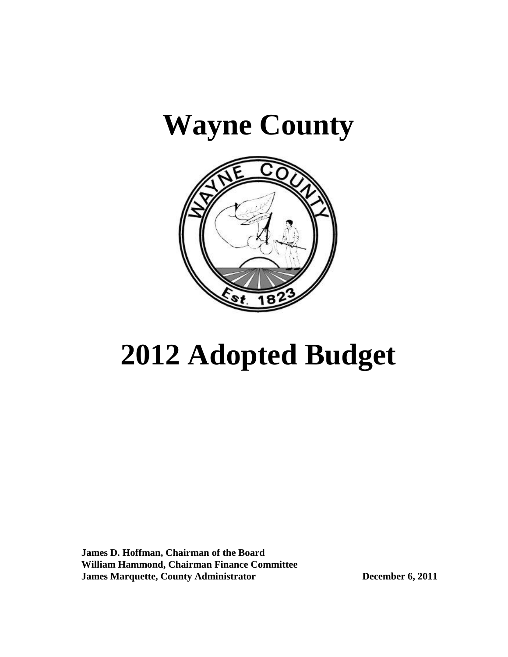# **Wayne County**



# **2012 Adopted Budget**

 **James D. Hoffman, Chairman of the Board William Hammond, Chairman Finance Committee James Marquette, County Administrator December 6, 2011**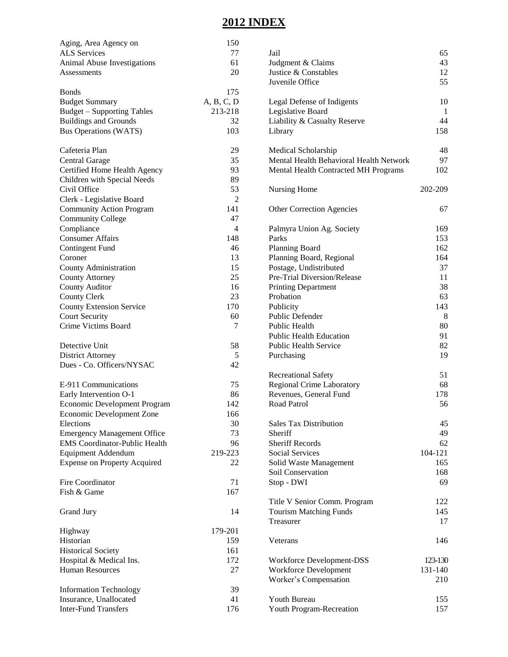# **2012 INDEX**

| Aging, Area Agency on                | 150        |                                         |         |
|--------------------------------------|------------|-----------------------------------------|---------|
| <b>ALS Services</b>                  | 77         | Jail                                    | 65      |
| Animal Abuse Investigations          | 61         | Judgment & Claims                       | 43      |
| Assessments                          | 20         | Justice & Constables                    | 12      |
|                                      |            | Juvenile Office                         | 55      |
| <b>Bonds</b>                         | 175        |                                         |         |
| <b>Budget Summary</b>                | A, B, C, D | Legal Defense of Indigents              | 10      |
| <b>Budget - Supporting Tables</b>    | 213-218    | Legislative Board                       | -1      |
| <b>Buildings and Grounds</b>         | 32         | Liability & Casualty Reserve            | 44      |
|                                      | 103        |                                         | 158     |
| <b>Bus Operations (WATS)</b>         |            | Library                                 |         |
| Cafeteria Plan                       | 29         | Medical Scholarship                     | 48      |
| Central Garage                       | 35         | Mental Health Behavioral Health Network | 97      |
| Certified Home Health Agency         | 93         | Mental Health Contracted MH Programs    | 102     |
|                                      | 89         |                                         |         |
| Children with Special Needs          |            |                                         |         |
| Civil Office                         | 53         | Nursing Home                            | 202-209 |
| Clerk - Legislative Board            | 2          |                                         |         |
| <b>Community Action Program</b>      | 141        | <b>Other Correction Agencies</b>        | 67      |
| <b>Community College</b>             | 47         |                                         |         |
| Compliance                           | 4          | Palmyra Union Ag. Society               | 169     |
| <b>Consumer Affairs</b>              | 148        | Parks                                   | 153     |
| <b>Contingent Fund</b>               | 46         | Planning Board                          | 162     |
| Coroner                              | 13         | Planning Board, Regional                | 164     |
| County Administration                | 15         | Postage, Undistributed                  | 37      |
| <b>County Attorney</b>               | 25         | Pre-Trial Diversion/Release             | 11      |
| <b>County Auditor</b>                | 16         | <b>Printing Department</b>              | 38      |
| <b>County Clerk</b>                  | 23         | Probation                               | 63      |
| <b>County Extension Service</b>      | 170        | Publicity                               | 143     |
| <b>Court Security</b>                | 60         | <b>Public Defender</b>                  | 8       |
| Crime Victims Board                  |            |                                         | 80      |
|                                      | 7          | Public Health                           |         |
|                                      |            | <b>Public Health Education</b>          | 91      |
| Detective Unit                       | 58         | <b>Public Health Service</b>            | 82      |
| <b>District Attorney</b>             | 5          | Purchasing                              | 19      |
| Dues - Co. Officers/NYSAC            | 42         |                                         |         |
|                                      |            | <b>Recreational Safety</b>              | 51      |
| E-911 Communications                 | 75         | Regional Crime Laboratory               | 68      |
| Early Intervention O-1               | 86         | Revenues, General Fund                  | 178     |
| Economic Development Program         | 142        | Road Patrol                             | 56      |
| <b>Economic Development Zone</b>     | 166        |                                         |         |
| Elections                            | 30         | <b>Sales Tax Distribution</b>           | 45      |
| <b>Emergency Management Office</b>   | 73         | Sheriff                                 | 49      |
| <b>EMS</b> Coordinator-Public Health | 96         | <b>Sheriff Records</b>                  | 62      |
| <b>Equipment Addendum</b>            | 219-223    | <b>Social Services</b>                  | 104-121 |
| <b>Expense on Property Acquired</b>  | 22         | Solid Waste Management                  | 165     |
|                                      |            | Soil Conservation                       | 168     |
| Fire Coordinator                     | 71         | Stop - DWI                              | 69      |
| Fish & Game                          | 167        |                                         |         |
|                                      |            | Title V Senior Comm. Program            | 122     |
| Grand Jury                           | 14         | <b>Tourism Matching Funds</b>           | 145     |
|                                      |            | Treasurer                               | 17      |
|                                      | 179-201    |                                         |         |
| Highway                              |            |                                         |         |
| Historian                            | 159        | Veterans                                | 146     |
| <b>Historical Society</b>            | 161        |                                         |         |
| Hospital & Medical Ins.              | 172        | Workforce Development-DSS               | 123-130 |
| <b>Human Resources</b>               | 27         | Workforce Development                   | 131-140 |
|                                      |            | Worker's Compensation                   | 210     |
| <b>Information Technology</b>        | 39         |                                         |         |
| Insurance, Unallocated               | 41         | Youth Bureau                            | 155     |
| <b>Inter-Fund Transfers</b>          | 176        | Youth Program-Recreation                | 157     |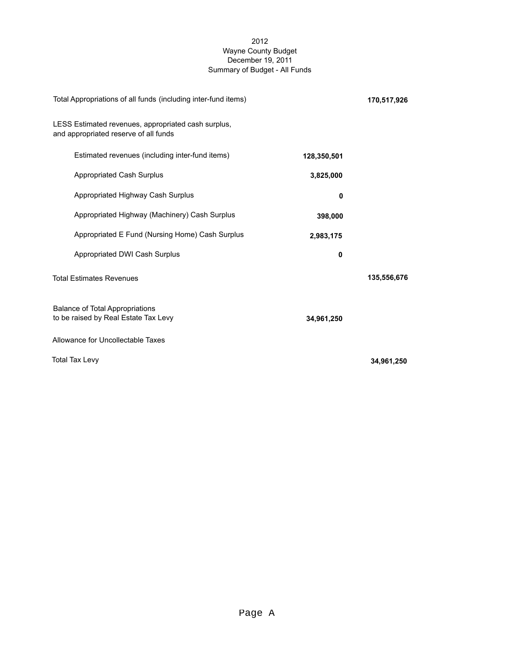### 2012 Wayne County Budget December 19, 2011 Summary of Budget - All Funds

| Total Appropriations of all funds (including inter-fund items)                               | 170,517,926 |             |
|----------------------------------------------------------------------------------------------|-------------|-------------|
| LESS Estimated revenues, appropriated cash surplus,<br>and appropriated reserve of all funds |             |             |
| Estimated revenues (including inter-fund items)                                              | 128,350,501 |             |
| <b>Appropriated Cash Surplus</b>                                                             | 3,825,000   |             |
| Appropriated Highway Cash Surplus                                                            | 0           |             |
| Appropriated Highway (Machinery) Cash Surplus                                                | 398,000     |             |
| Appropriated E Fund (Nursing Home) Cash Surplus                                              | 2,983,175   |             |
| Appropriated DWI Cash Surplus                                                                | $\mathbf 0$ |             |
| <b>Total Estimates Revenues</b>                                                              |             | 135,556,676 |
| <b>Balance of Total Appropriations</b><br>to be raised by Real Estate Tax Levy               | 34,961,250  |             |
| Allowance for Uncollectable Taxes                                                            |             |             |
| <b>Total Tax Levy</b>                                                                        |             | 34,961,250  |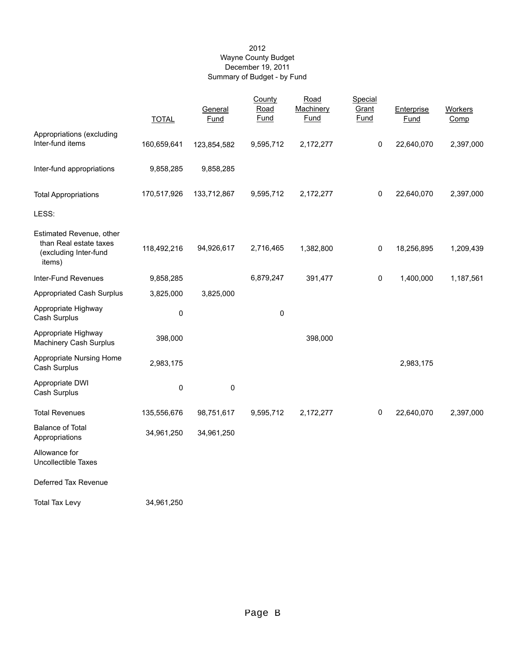### 2012 Wayne County Budget December 19, 2011 Summary of Budget - by Fund

|                                                                                       | <b>TOTAL</b> | General<br>Fund | County<br>Road<br>Fund | Road<br>Machinery<br>Fund | Special<br>Grant<br>Fund | Enterprise<br>Fund | Workers<br>Comp |
|---------------------------------------------------------------------------------------|--------------|-----------------|------------------------|---------------------------|--------------------------|--------------------|-----------------|
| Appropriations (excluding                                                             |              |                 |                        |                           |                          |                    |                 |
| Inter-fund items                                                                      | 160,659,641  | 123,854,582     | 9,595,712              | 2,172,277                 | 0                        | 22,640,070         | 2,397,000       |
| Inter-fund appropriations                                                             | 9,858,285    | 9,858,285       |                        |                           |                          |                    |                 |
| <b>Total Appropriations</b>                                                           | 170,517,926  | 133,712,867     | 9,595,712              | 2,172,277                 | 0                        | 22,640,070         | 2,397,000       |
| LESS:                                                                                 |              |                 |                        |                           |                          |                    |                 |
| Estimated Revenue, other<br>than Real estate taxes<br>(excluding Inter-fund<br>items) | 118,492,216  | 94,926,617      | 2,716,465              | 1,382,800                 | 0                        | 18,256,895         | 1,209,439       |
| Inter-Fund Revenues                                                                   | 9,858,285    |                 | 6,879,247              | 391,477                   | 0                        | 1,400,000          | 1,187,561       |
| <b>Appropriated Cash Surplus</b>                                                      | 3,825,000    | 3,825,000       |                        |                           |                          |                    |                 |
| Appropriate Highway<br>Cash Surplus                                                   | $\pmb{0}$    |                 | 0                      |                           |                          |                    |                 |
| Appropriate Highway<br>Machinery Cash Surplus                                         | 398,000      |                 |                        | 398,000                   |                          |                    |                 |
| Appropriate Nursing Home<br>Cash Surplus                                              | 2,983,175    |                 |                        |                           |                          | 2,983,175          |                 |
| Appropriate DWI<br>Cash Surplus                                                       | $\pmb{0}$    | 0               |                        |                           |                          |                    |                 |
| <b>Total Revenues</b>                                                                 | 135,556,676  | 98,751,617      | 9,595,712              | 2,172,277                 | 0                        | 22,640,070         | 2,397,000       |
| <b>Balance of Total</b><br>Appropriations                                             | 34,961,250   | 34,961,250      |                        |                           |                          |                    |                 |
| Allowance for<br>Uncollectible Taxes                                                  |              |                 |                        |                           |                          |                    |                 |
| Deferred Tax Revenue                                                                  |              |                 |                        |                           |                          |                    |                 |
| <b>Total Tax Levy</b>                                                                 | 34,961,250   |                 |                        |                           |                          |                    |                 |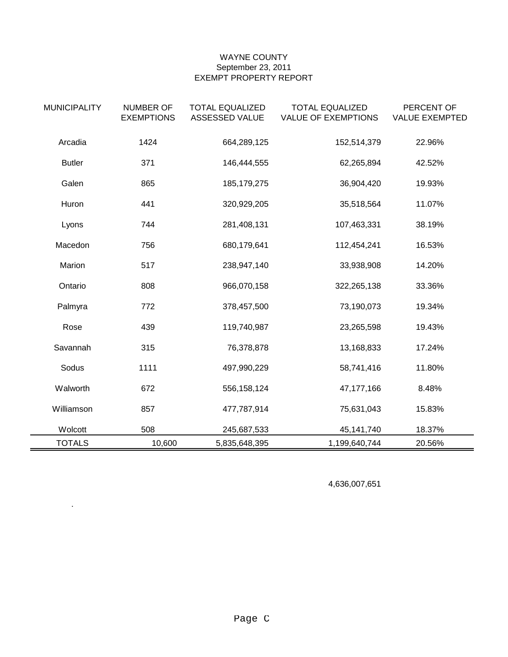## WAYNE COUNTY September 23, 2011 EXEMPT PROPERTY REPORT

| <b>MUNICIPALITY</b> | <b>NUMBER OF</b><br><b>EXEMPTIONS</b> | <b>TOTAL EQUALIZED</b><br>ASSESSED VALUE | <b>TOTAL EQUALIZED</b><br><b>VALUE OF EXEMPTIONS</b> | PERCENT OF<br><b>VALUE EXEMPTED</b> |
|---------------------|---------------------------------------|------------------------------------------|------------------------------------------------------|-------------------------------------|
| Arcadia             | 1424                                  | 664,289,125                              | 152,514,379                                          | 22.96%                              |
| <b>Butler</b>       | 371                                   | 146,444,555                              | 62,265,894                                           | 42.52%                              |
| Galen               | 865                                   | 185, 179, 275                            | 36,904,420                                           | 19.93%                              |
| Huron               | 441                                   | 320,929,205                              | 35,518,564                                           | 11.07%                              |
| Lyons               | 744                                   | 281,408,131                              | 107,463,331                                          | 38.19%                              |
| Macedon             | 756                                   | 680,179,641                              | 112,454,241                                          | 16.53%                              |
| Marion              | 517                                   | 238,947,140                              | 33,938,908                                           | 14.20%                              |
| Ontario             | 808                                   | 966,070,158                              | 322,265,138                                          | 33.36%                              |
| Palmyra             | 772                                   | 378,457,500                              | 73,190,073                                           | 19.34%                              |
| Rose                | 439                                   | 119,740,987                              | 23,265,598                                           | 19.43%                              |
| Savannah            | 315                                   | 76,378,878                               | 13,168,833                                           | 17.24%                              |
| Sodus               | 1111                                  | 497,990,229                              | 58,741,416                                           | 11.80%                              |
| Walworth            | 672                                   | 556, 158, 124                            | 47,177,166                                           | 8.48%                               |
| Williamson          | 857                                   | 477,787,914                              | 75,631,043                                           | 15.83%                              |
| Wolcott             | 508                                   | 245,687,533                              | 45,141,740                                           | 18.37%                              |
| <b>TOTALS</b>       | 10,600                                | 5,835,648,395                            | 1,199,640,744                                        | 20.56%                              |

4,636,007,651

.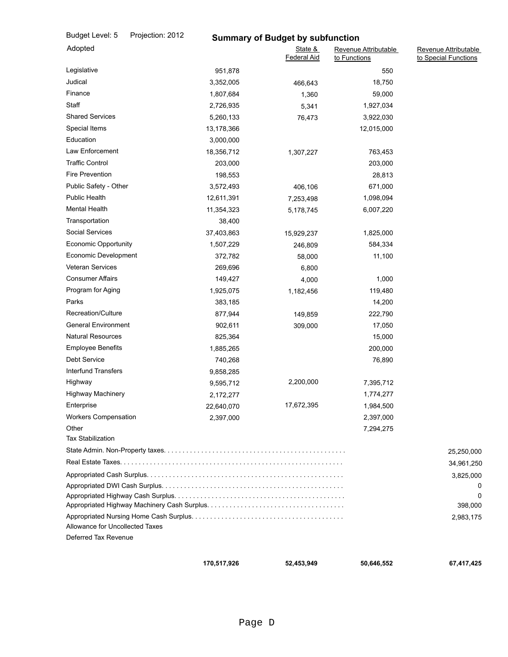| Budget Level: 5                   | Projection: 2012 |            | <b>Summary of Budget by subfunction</b> |                                      |                                              |
|-----------------------------------|------------------|------------|-----------------------------------------|--------------------------------------|----------------------------------------------|
| Adopted                           |                  |            | State &<br><b>Federal Aid</b>           | Revenue Attributable<br>to Functions | Revenue Attributable<br>to Special Functions |
| Legislative                       |                  | 951,878    |                                         | 550                                  |                                              |
| Judical                           |                  | 3,352,005  | 466,643                                 | 18,750                               |                                              |
| Finance                           |                  | 1,807,684  | 1,360                                   | 59,000                               |                                              |
| Staff                             |                  | 2,726,935  | 5,341                                   | 1,927,034                            |                                              |
| <b>Shared Services</b>            |                  | 5,260,133  | 76,473                                  | 3,922,030                            |                                              |
| Special Items                     |                  | 13,178,366 |                                         | 12,015,000                           |                                              |
| Education                         |                  | 3,000,000  |                                         |                                      |                                              |
| Law Enforcement                   |                  | 18,356,712 | 1,307,227                               | 763,453                              |                                              |
| <b>Traffic Control</b>            |                  | 203,000    |                                         | 203,000                              |                                              |
| <b>Fire Prevention</b>            |                  | 198,553    |                                         | 28,813                               |                                              |
| Public Safety - Other             |                  | 3,572,493  | 406,106                                 | 671,000                              |                                              |
| <b>Public Health</b>              |                  | 12,611,391 | 7,253,498                               | 1,098,094                            |                                              |
| <b>Mental Health</b>              |                  | 11,354,323 | 5,178,745                               | 6,007,220                            |                                              |
| Transportation                    |                  | 38,400     |                                         |                                      |                                              |
| <b>Social Services</b>            |                  | 37,403,863 | 15,929,237                              | 1,825,000                            |                                              |
| <b>Economic Opportunity</b>       |                  | 1,507,229  | 246,809                                 | 584,334                              |                                              |
| Economic Development              |                  | 372,782    | 58,000                                  | 11,100                               |                                              |
| <b>Veteran Services</b>           |                  | 269,696    | 6,800                                   |                                      |                                              |
| <b>Consumer Affairs</b>           |                  | 149,427    | 4,000                                   | 1,000                                |                                              |
| Program for Aging                 |                  | 1,925,075  | 1,182,456                               | 119,480                              |                                              |
| Parks                             |                  | 383,185    |                                         | 14,200                               |                                              |
| Recreation/Culture                |                  | 877,944    | 149,859                                 | 222,790                              |                                              |
| <b>General Environment</b>        |                  | 902,611    | 309,000                                 | 17,050                               |                                              |
| <b>Natural Resources</b>          |                  | 825,364    |                                         | 15,000                               |                                              |
| <b>Employee Benefits</b>          |                  | 1,885,265  |                                         | 200,000                              |                                              |
| Debt Service                      |                  | 740,268    |                                         | 76,890                               |                                              |
| <b>Interfund Transfers</b>        |                  | 9,858,285  |                                         |                                      |                                              |
| Highway                           |                  | 9,595,712  | 2,200,000                               | 7,395,712                            |                                              |
| <b>Highway Machinery</b>          |                  | 2,172,277  |                                         | 1,774,277                            |                                              |
| Enterprise                        |                  | 22,640,070 | 17,672,395                              | 1,984,500                            |                                              |
| <b>Workers Compensation</b>       |                  | 2,397,000  |                                         | 2,397,000                            |                                              |
| Other<br><b>Tax Stabilization</b> |                  |            |                                         | 7,294,275                            |                                              |
|                                   |                  |            |                                         |                                      | 25,250,000                                   |
|                                   |                  |            |                                         |                                      | 34,961,250                                   |
|                                   |                  |            |                                         |                                      | 3,825,000                                    |
|                                   |                  |            |                                         |                                      |                                              |
|                                   |                  |            |                                         |                                      | 398,000                                      |
|                                   |                  |            |                                         |                                      | 2,983,175                                    |
| Allowance for Uncollected Taxes   |                  |            |                                         |                                      |                                              |
| Deferred Tax Revenue              |                  |            |                                         |                                      |                                              |
|                                   |                  |            |                                         |                                      |                                              |

 **170,517,926 52,453,949**

 **50,646,552 67,417,425**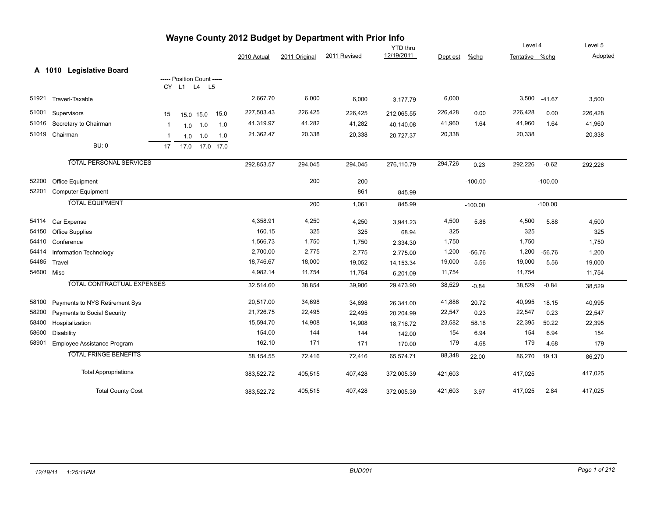|       |                                   |              |                            |                |      |             |               | Wayne County 2012 Budget by Department with Prior Info |                 |          |           |                |           |         |
|-------|-----------------------------------|--------------|----------------------------|----------------|------|-------------|---------------|--------------------------------------------------------|-----------------|----------|-----------|----------------|-----------|---------|
|       |                                   |              |                            |                |      |             |               |                                                        | <b>YTD</b> thru |          |           | Level 4        |           | Level 5 |
|       |                                   |              |                            |                |      | 2010 Actual | 2011 Original | 2011 Revised                                           | 12/19/2011      | Dept est | $%$ chg   | Tentative %chg |           | Adopted |
|       | A 1010 Legislative Board          |              |                            |                |      |             |               |                                                        |                 |          |           |                |           |         |
|       |                                   |              | ----- Position Count ----- |                |      |             |               |                                                        |                 |          |           |                |           |         |
|       |                                   |              | CY L1 L4 L5                |                |      |             |               |                                                        |                 |          |           |                |           |         |
| 51921 | Traverl-Taxable                   |              |                            |                |      | 2,667.70    | 6,000         | 6,000                                                  | 3,177.79        | 6,000    |           | 3,500          | $-41.67$  | 3,500   |
| 51001 | Supervisors                       | 15           |                            | 15.0 15.0      | 15.0 | 227,503.43  | 226,425       | 226,425                                                | 212,065.55      | 226,428  | 0.00      | 226,428        | 0.00      | 226,428 |
| 51016 | Secretary to Chairman             | -1           | 1.0                        | 1.0            | 1.0  | 41,319.97   | 41,282        | 41,282                                                 | 40,140.08       | 41,960   | 1.64      | 41,960         | 1.64      | 41,960  |
|       | 51019 Chairman                    | $\mathbf{1}$ | 1.0                        | 1.0            | 1.0  | 21,362.47   | 20,338        | 20,338                                                 | 20,727.37       | 20,338   |           | 20,338         |           | 20,338  |
|       | <b>BU: 0</b>                      | 17           |                            | 17.0 17.0 17.0 |      |             |               |                                                        |                 |          |           |                |           |         |
|       |                                   |              |                            |                |      |             |               |                                                        |                 |          |           |                |           |         |
|       | <b>TOTAL PERSONAL SERVICES</b>    |              |                            |                |      | 292,853.57  | 294,045       | 294,045                                                | 276,110.79      | 294,726  | 0.23      | 292,226        | $-0.62$   | 292,226 |
| 52200 | Office Equipment                  |              |                            |                |      |             | 200           | 200                                                    |                 |          | $-100.00$ |                | $-100.00$ |         |
| 52201 | <b>Computer Equipment</b>         |              |                            |                |      |             |               | 861                                                    | 845.99          |          |           |                |           |         |
|       | <b>TOTAL EQUIPMENT</b>            |              |                            |                |      |             | 200           | 1,061                                                  | 845.99          |          | $-100.00$ |                | $-100.00$ |         |
|       |                                   |              |                            |                |      |             |               |                                                        |                 |          |           |                |           |         |
| 54114 | Car Expense                       |              |                            |                |      | 4,358.91    | 4,250         | 4,250                                                  | 3,941.23        | 4,500    | 5.88      | 4,500          | 5.88      | 4,500   |
| 54150 | <b>Office Supplies</b>            |              |                            |                |      | 160.15      | 325           | 325                                                    | 68.94           | 325      |           | 325            |           | 325     |
| 54410 | Conference                        |              |                            |                |      | 1,566.73    | 1,750         | 1,750                                                  | 2,334.30        | 1,750    |           | 1,750          |           | 1,750   |
| 54414 | Information Technology            |              |                            |                |      | 2,700.00    | 2,775         | 2,775                                                  | 2,775.00        | 1,200    | $-56.76$  | 1,200          | $-56.76$  | 1,200   |
| 54485 | Travel                            |              |                            |                |      | 18,746.67   | 18,000        | 19,052                                                 | 14, 153.34      | 19,000   | 5.56      | 19,000         | 5.56      | 19,000  |
|       | 54600 Misc                        |              |                            |                |      | 4,982.14    | 11,754        | 11,754                                                 | 6,201.09        | 11,754   |           | 11,754         |           | 11,754  |
|       | <b>TOTAL CONTRACTUAL EXPENSES</b> |              |                            |                |      | 32,514.60   | 38,854        | 39,906                                                 | 29,473.90       | 38,529   | $-0.84$   | 38,529         | $-0.84$   | 38,529  |
| 58100 | Payments to NYS Retirement Sys    |              |                            |                |      | 20,517.00   | 34,698        | 34,698                                                 | 26,341.00       | 41,886   | 20.72     | 40,995         | 18.15     | 40,995  |
| 58200 | Payments to Social Security       |              |                            |                |      | 21,726.75   | 22,495        | 22,495                                                 | 20,204.99       | 22,547   | 0.23      | 22,547         | 0.23      | 22,547  |
| 58400 | Hospitalization                   |              |                            |                |      | 15,594.70   | 14,908        | 14,908                                                 | 18,716.72       | 23,582   | 58.18     | 22,395         | 50.22     | 22,395  |
| 58600 | <b>Disability</b>                 |              |                            |                |      | 154.00      | 144           | 144                                                    | 142.00          | 154      | 6.94      | 154            | 6.94      | 154     |
| 58901 | Employee Assistance Program       |              |                            |                |      | 162.10      | 171           | 171                                                    | 170.00          | 179      | 4.68      | 179            | 4.68      | 179     |
|       | <b>TOTAL FRINGE BENEFITS</b>      |              |                            |                |      | 58,154.55   | 72,416        | 72,416                                                 | 65,574.71       | 88,348   | 22.00     | 86,270         | 19.13     | 86,270  |
|       | <b>Total Appropriations</b>       |              |                            |                |      | 383,522.72  | 405,515       | 407,428                                                | 372,005.39      | 421,603  |           | 417,025        |           | 417,025 |
|       | <b>Total County Cost</b>          |              |                            |                |      | 383,522.72  | 405,515       | 407,428                                                | 372,005.39      | 421,603  | 3.97      | 417,025        | 2.84      | 417,025 |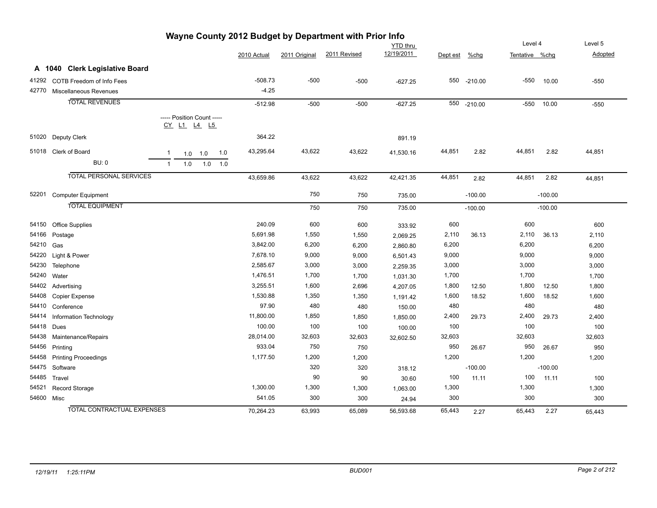|       |                                   | Wayne County 2012 Budget by Department with Prior Info |             |               |              |                 |          |             |                |           |         |
|-------|-----------------------------------|--------------------------------------------------------|-------------|---------------|--------------|-----------------|----------|-------------|----------------|-----------|---------|
|       |                                   |                                                        |             |               |              | <b>YTD</b> thru |          |             | Level 4        |           | Level 5 |
|       |                                   |                                                        | 2010 Actual | 2011 Original | 2011 Revised | 12/19/2011      | Dept est | $%$ chg     | Tentative %chg |           | Adopted |
|       | A 1040 Clerk Legislative Board    |                                                        |             |               |              |                 |          |             |                |           |         |
| 41292 | COTB Freedom of Info Fees         |                                                        | $-508.73$   | $-500$        | $-500$       | $-627.25$       | 550      | $-210.00$   | $-550$         | 10.00     | $-550$  |
| 42770 | Miscellaneous Revenues            |                                                        | $-4.25$     |               |              |                 |          |             |                |           |         |
|       | <b>TOTAL REVENUES</b>             |                                                        | $-512.98$   | $-500$        | $-500$       | $-627.25$       |          | 550 -210.00 | $-550$         | 10.00     | $-550$  |
|       |                                   |                                                        |             |               |              |                 |          |             |                |           |         |
|       |                                   | ----- Position Count -----<br><u>CY L1 L4 L5</u>       |             |               |              |                 |          |             |                |           |         |
|       | 51020 Deputy Clerk                |                                                        | 364.22      |               |              | 891.19          |          |             |                |           |         |
|       | 51018 Clerk of Board              | 1.0<br>1<br>1.0<br>1.0                                 | 43,295.64   | 43,622        | 43,622       | 41,530.16       | 44,851   | 2.82        | 44,851         | 2.82      | 44,851  |
|       | BU: 0                             | 1.0<br>1.0<br>$\mathbf{1}$<br>1.0                      |             |               |              |                 |          |             |                |           |         |
|       | <b>TOTAL PERSONAL SERVICES</b>    |                                                        | 43,659.86   | 43,622        | 43,622       | 42,421.35       | 44,851   | 2.82        | 44,851         | 2.82      | 44,851  |
|       | 52201 Computer Equipment          |                                                        |             | 750           | 750          | 735.00          |          | $-100.00$   |                | $-100.00$ |         |
|       | <b>TOTAL EQUIPMENT</b>            |                                                        |             | 750           | 750          | 735.00          |          | $-100.00$   |                | $-100.00$ |         |
| 54150 | <b>Office Supplies</b>            |                                                        | 240.09      | 600           | 600          | 333.92          | 600      |             | 600            |           | 600     |
| 54166 | Postage                           |                                                        | 5,691.98    | 1,550         | 1,550        | 2,069.25        | 2,110    | 36.13       | 2,110          | 36.13     | 2,110   |
| 54210 | Gas                               |                                                        | 3,842.00    | 6,200         | 6,200        | 2,860.80        | 6,200    |             | 6,200          |           | 6,200   |
| 54220 | Light & Power                     |                                                        | 7,678.10    | 9,000         | 9,000        | 6,501.43        | 9,000    |             | 9,000          |           | 9,000   |
| 54230 | Telephone                         |                                                        | 2,585.67    | 3,000         | 3,000        | 2,259.35        | 3,000    |             | 3,000          |           | 3,000   |
| 54240 | Water                             |                                                        | 1,476.51    | 1,700         | 1,700        | 1,031.30        | 1,700    |             | 1,700          |           | 1,700   |
|       | 54402 Advertising                 |                                                        | 3,255.51    | 1,600         | 2,696        | 4,207.05        | 1,800    | 12.50       | 1,800          | 12.50     | 1,800   |
| 54408 | Copier Expense                    |                                                        | 1,530.88    | 1,350         | 1,350        | 1,191.42        | 1,600    | 18.52       | 1,600          | 18.52     | 1,600   |
| 54410 | Conference                        |                                                        | 97.90       | 480           | 480          | 150.00          | 480      |             | 480            |           | 480     |
| 54414 | Information Technology            |                                                        | 11,800.00   | 1,850         | 1,850        | 1,850.00        | 2,400    | 29.73       | 2,400          | 29.73     | 2,400   |
| 54418 | Dues                              |                                                        | 100.00      | 100           | 100          | 100.00          | 100      |             | 100            |           | 100     |
| 54438 | Maintenance/Repairs               |                                                        | 28,014.00   | 32,603        | 32,603       | 32,602.50       | 32,603   |             | 32,603         |           | 32,603  |
| 54456 | Printing                          |                                                        | 933.04      | 750           | 750          |                 | 950      | 26.67       | 950            | 26.67     | 950     |
| 54458 | <b>Printing Proceedings</b>       |                                                        | 1,177.50    | 1,200         | 1,200        |                 | 1,200    |             | 1,200          |           | 1,200   |
| 54475 | Software                          |                                                        |             | 320           | 320          | 318.12          |          | $-100.00$   |                | $-100.00$ |         |
| 54485 | Travel                            |                                                        |             | 90            | 90           | 30.60           | 100      | 11.11       | 100            | 11.11     | 100     |
| 54521 | Record Storage                    |                                                        | 1,300.00    | 1,300         | 1,300        | 1,063.00        | 1,300    |             | 1,300          |           | 1,300   |
|       | 54600 Misc                        |                                                        | 541.05      | 300           | 300          | 24.94           | 300      |             | 300            |           | 300     |
|       | <b>TOTAL CONTRACTUAL EXPENSES</b> |                                                        | 70,264.23   | 63.993        | 65.089       | 56.593.68       | 65,443   | 2.27        | 65.443         | 2.27      | 65,443  |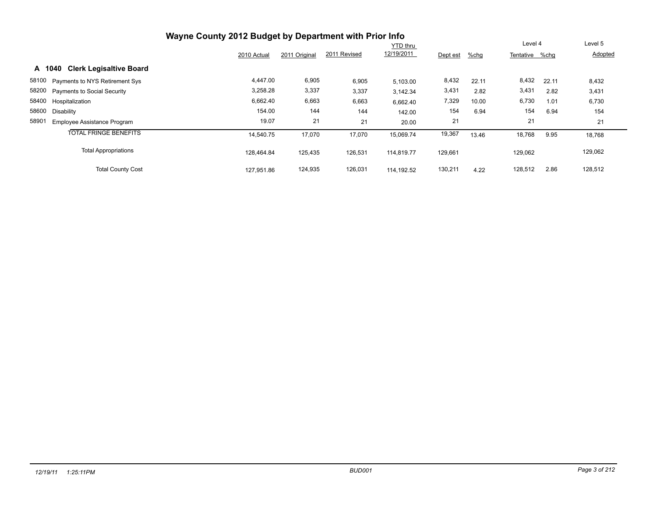| Wayne County 2012 Budget by Department with Prior Info |             |               |              |                 |          |         |                |       |         |
|--------------------------------------------------------|-------------|---------------|--------------|-----------------|----------|---------|----------------|-------|---------|
|                                                        |             |               |              | <b>YTD</b> thru |          |         | Level 4        |       | Level 5 |
|                                                        | 2010 Actual | 2011 Original | 2011 Revised | 12/19/2011      | Dept est | $%$ chg | Tentative %chg |       | Adopted |
| <b>Clerk Legisaltive Board</b><br>A 1040               |             |               |              |                 |          |         |                |       |         |
| 58100 Payments to NYS Retirement Sys                   | 4,447.00    | 6,905         | 6,905        | 5.103.00        | 8,432    | 22.11   | 8,432          | 22.11 | 8,432   |
| 58200 Payments to Social Security                      | 3,258.28    | 3,337         | 3,337        | 3,142.34        | 3,431    | 2.82    | 3,431          | 2.82  | 3,431   |
| 58400 Hospitalization                                  | 6,662.40    | 6,663         | 6,663        | 6,662.40        | 7,329    | 10.00   | 6,730          | 1.01  | 6,730   |
| 58600<br>Disability                                    | 154.00      | 144           | 144          | 142.00          | 154      | 6.94    | 154            | 6.94  | 154     |
| 58901<br><b>Employee Assistance Program</b>            | 19.07       | 21            | 21           | 20.00           | 21       |         | 21             |       | 21      |
| <b>TOTAL FRINGE BENEFITS</b>                           | 14,540.75   | 17,070        | 17,070       | 15,069.74       | 19,367   | 13.46   | 18,768         | 9.95  | 18,768  |
| <b>Total Appropriations</b>                            | 128.464.84  | 125,435       | 126,531      | 114.819.77      | 129,661  |         | 129,062        |       | 129,062 |
| <b>Total County Cost</b>                               | 127,951.86  | 124,935       | 126,031      | 114.192.52      | 130,211  | 4.22    | 128,512        | 2.86  | 128,512 |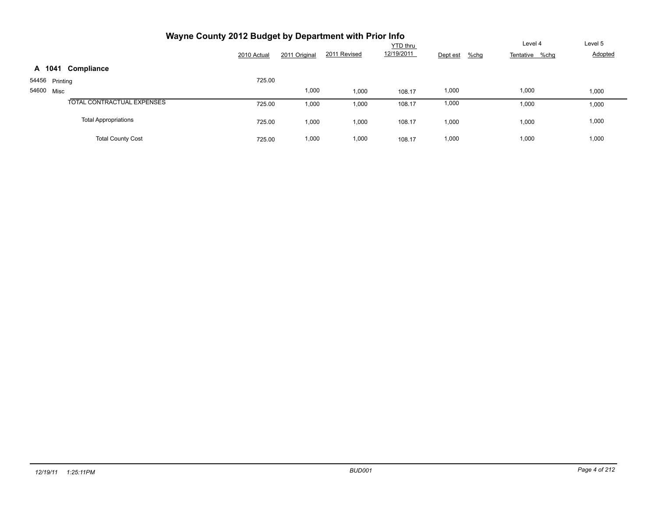| Wayne County 2012 Budget by Department with Prior Info |             |               |              |                 |                     |                   |         |
|--------------------------------------------------------|-------------|---------------|--------------|-----------------|---------------------|-------------------|---------|
|                                                        |             |               |              | <b>YTD</b> thru |                     | Level 4           | Level 5 |
|                                                        | 2010 Actual | 2011 Original | 2011 Revised | 12/19/2011      | $%$ chg<br>Dept est | %chg<br>Tentative | Adopted |
| A 1041<br>Compliance                                   |             |               |              |                 |                     |                   |         |
| 54456 Printing                                         | 725.00      |               |              |                 |                     |                   |         |
| 54600 Misc                                             |             | 1,000         | 1,000        | 108.17          | 1,000               | 1,000             | 1,000   |
| <b>TOTAL CONTRACTUAL EXPENSES</b>                      | 725.00      | 1,000         | 1,000        | 108.17          | 1,000               | 1,000             | 1,000   |
| <b>Total Appropriations</b>                            | 725.00      | 1,000         | 1,000        | 108.17          | 1,000               | 1,000             | 1,000   |
| <b>Total County Cost</b>                               | 725.00      | 1,000         | 1,000        | 108.17          | 1,000               | 1,000             | 1,000   |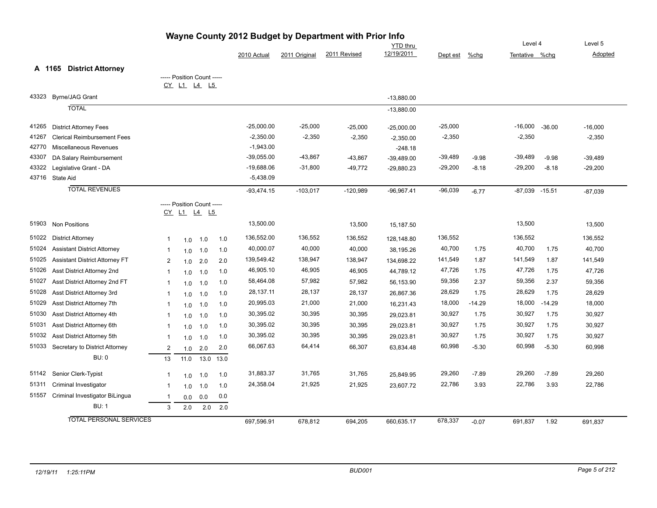|       |                                       |                |                                                  |         |      |              |               | Wayne County 2012 Budget by Department with Prior Info | <b>YTD</b> thru |           |          | Level 4            |          | Level 5   |
|-------|---------------------------------------|----------------|--------------------------------------------------|---------|------|--------------|---------------|--------------------------------------------------------|-----------------|-----------|----------|--------------------|----------|-----------|
|       |                                       |                |                                                  |         |      | 2010 Actual  | 2011 Original | 2011 Revised                                           | 12/19/2011      | Dept est  | $%$ chg  | Tentative %chg     |          | Adopted   |
|       | <b>District Attorney</b><br>A 1165    |                |                                                  |         |      |              |               |                                                        |                 |           |          |                    |          |           |
|       |                                       |                | ----- Position Count -----                       |         |      |              |               |                                                        |                 |           |          |                    |          |           |
|       |                                       |                | CY L1 L4 L5                                      |         |      |              |               |                                                        |                 |           |          |                    |          |           |
| 43323 | <b>Byrne/JAG Grant</b>                |                |                                                  |         |      |              |               |                                                        | $-13,880.00$    |           |          |                    |          |           |
|       | <b>TOTAL</b>                          |                |                                                  |         |      |              |               |                                                        | $-13,880.00$    |           |          |                    |          |           |
| 41265 | <b>District Attorney Fees</b>         |                |                                                  |         |      | $-25,000.00$ | $-25,000$     | $-25,000$                                              | $-25,000.00$    | $-25,000$ |          | $-16,000$          | $-36.00$ | $-16,000$ |
| 41267 | <b>Clerical Reimbursement Fees</b>    |                |                                                  |         |      | $-2,350.00$  | $-2,350$      | $-2,350$                                               | $-2,350.00$     | $-2,350$  |          | $-2,350$           |          | $-2,350$  |
| 42770 | Miscellaneous Revenues                |                |                                                  |         |      | $-1,943.00$  |               |                                                        | $-248.18$       |           |          |                    |          |           |
| 43307 | DA Salary Reimbursement               |                |                                                  |         |      | $-39,055.00$ | $-43,867$     | $-43,867$                                              | $-39,489.00$    | $-39,489$ | $-9.98$  | $-39,489$          | $-9.98$  | $-39,489$ |
| 43322 | Legislative Grant - DA                |                |                                                  |         |      | $-19,688.06$ | $-31,800$     | $-49,772$                                              | $-29,880.23$    | $-29,200$ | $-8.18$  | $-29,200$          | $-8.18$  | $-29,200$ |
|       | 43716 State Aid                       |                |                                                  |         |      | $-5,438.09$  |               |                                                        |                 |           |          |                    |          |           |
|       | <b>TOTAL REVENUES</b>                 |                |                                                  |         |      | $-93,474.15$ | $-103,017$    | $-120,989$                                             | $-96,967.41$    | $-96,039$ | $-6.77$  | $-87,039$ $-15.51$ |          | $-87,039$ |
|       |                                       |                | ----- Position Count -----<br><u>CY L1 L4 L5</u> |         |      |              |               |                                                        |                 |           |          |                    |          |           |
| 51903 | Non Positions                         |                |                                                  |         |      | 13,500.00    |               | 13,500                                                 | 15,187.50       |           |          | 13,500             |          | 13,500    |
| 51022 | <b>District Attorney</b>              | $\mathbf{1}$   | 1.0                                              | 1.0     | 1.0  | 136,552.00   | 136,552       | 136,552                                                | 128,148.80      | 136,552   |          | 136,552            |          | 136,552   |
| 51024 | <b>Assistant District Attorney</b>    | $\mathbf{1}$   | 1.0                                              | 1.0     | 1.0  | 40,000.07    | 40,000        | 40,000                                                 | 38,195.26       | 40,700    | 1.75     | 40,700             | 1.75     | 40,700    |
| 51025 | <b>Assistant District Attorney FT</b> | 2              | 1.0                                              | 2.0     | 2.0  | 139,549.42   | 138,947       | 138,947                                                | 134,698.22      | 141,549   | 1.87     | 141,549            | 1.87     | 141,549   |
| 51026 | Asst District Attorney 2nd            | $\mathbf{1}$   | 1.0                                              | 1.0     | 1.0  | 46,905.10    | 46,905        | 46,905                                                 | 44,789.12       | 47,726    | 1.75     | 47,726             | 1.75     | 47,726    |
| 51027 | Asst District Attorney 2nd FT         | -1             | 1.0                                              | 1.0     | 1.0  | 58,464.08    | 57,982        | 57,982                                                 | 56,153.90       | 59,356    | 2.37     | 59,356             | 2.37     | 59,356    |
| 51028 | Asst District Attorney 3rd            | -1             | 1.0                                              | 1.0     | 1.0  | 28,137.11    | 28,137        | 28,137                                                 | 26,867.36       | 28,629    | 1.75     | 28,629             | 1.75     | 28,629    |
| 51029 | Asst District Attorney 7th            | -1             | 1.0                                              | 1.0     | 1.0  | 20,995.03    | 21,000        | 21,000                                                 | 16,231.43       | 18,000    | $-14.29$ | 18,000             | $-14.29$ | 18,000    |
| 51030 | Asst District Attorney 4th            | -1             | 1.0                                              | 1.0     | 1.0  | 30,395.02    | 30,395        | 30,395                                                 | 29,023.81       | 30,927    | 1.75     | 30,927             | 1.75     | 30,927    |
| 51031 | Asst District Attorney 6th            | -1             | 1.0                                              | 1.0     | 1.0  | 30,395.02    | 30,395        | 30,395                                                 | 29,023.81       | 30,927    | 1.75     | 30,927             | 1.75     | 30,927    |
| 51032 | Asst District Attorney 5th            | $\mathbf{1}$   | 1.0                                              | 1.0     | 1.0  | 30,395.02    | 30,395        | 30,395                                                 | 29,023.81       | 30,927    | 1.75     | 30,927             | 1.75     | 30,927    |
| 51033 | Secretary to District Attorney        | $\overline{2}$ | 1.0                                              | 2.0     | 2.0  | 66,067.63    | 64,414        | 66,307                                                 | 63,834.48       | 60,998    | $-5.30$  | 60,998             | $-5.30$  | 60,998    |
|       | <b>BU: 0</b>                          | 13             | 11.0                                             | 13.0    | 13.0 |              |               |                                                        |                 |           |          |                    |          |           |
| 51142 | Senior Clerk-Typist                   | -1             | 1.0                                              | 1.0     | 1.0  | 31,883.37    | 31,765        | 31,765                                                 | 25,849.95       | 29,260    | $-7.89$  | 29,260             | $-7.89$  | 29,260    |
| 51311 | Criminal Investigator                 | $\mathbf{1}$   | 1.0                                              | 1.0     | 1.0  | 24,358.04    | 21,925        | 21,925                                                 | 23,607.72       | 22,786    | 3.93     | 22,786             | 3.93     | 22,786    |
| 51557 | Criminal Investigator BiLingua        | $\overline{1}$ | 0.0                                              | 0.0     | 0.0  |              |               |                                                        |                 |           |          |                    |          |           |
|       | <b>BU: 1</b>                          | 3              | 2.0                                              | $2.0\,$ | 2.0  |              |               |                                                        |                 |           |          |                    |          |           |
|       | <b>TOTAL PERSONAL SERVICES</b>        |                |                                                  |         |      | 697,596.91   | 678,812       | 694,205                                                | 660,635.17      | 678,337   | $-0.07$  | 691,837            | 1.92     | 691,837   |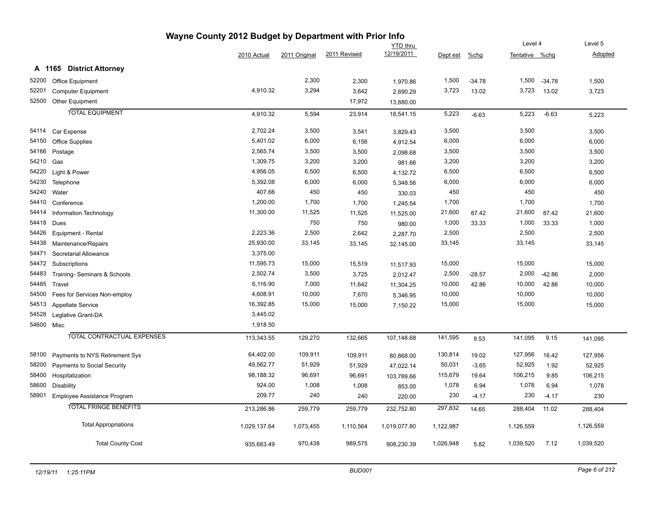|            | Wayne County 2012 Budget by Department with Prior Info |              |               |              |                 |           |          |                |          |                |  |  |  |
|------------|--------------------------------------------------------|--------------|---------------|--------------|-----------------|-----------|----------|----------------|----------|----------------|--|--|--|
|            |                                                        |              |               |              | <b>YTD</b> thru |           |          | Level 4        |          | Level 5        |  |  |  |
|            |                                                        | 2010 Actual  | 2011 Original | 2011 Revised | 12/19/2011      | Dept est  | $%$ chg  | Tentative %chg |          | <b>Adopted</b> |  |  |  |
|            | A 1165 District Attorney                               |              |               |              |                 |           |          |                |          |                |  |  |  |
|            | 52200 Office Equipment                                 |              | 2,300         | 2,300        | 1,970.86        | 1,500     | $-34.78$ | 1,500          | $-34.78$ | 1,500          |  |  |  |
| 52201      | <b>Computer Equipment</b>                              | 4,910.32     | 3,294         | 3,642        | 2,690.29        | 3,723     | 13.02    | 3,723          | 13.02    | 3,723          |  |  |  |
| 52500      | Other Equipment                                        |              |               | 17,972       | 13,880.00       |           |          |                |          |                |  |  |  |
|            | <b>TOTAL EQUIPMENT</b>                                 | 4,910.32     | 5,594         | 23,914       | 18,541.15       | 5,223     | $-6.63$  | 5,223          | $-6.63$  | 5,223          |  |  |  |
|            | 54114 Car Expense                                      | 2,702.24     | 3,500         | 3,541        | 3,829.43        | 3,500     |          | 3,500          |          | 3,500          |  |  |  |
|            | 54150 Office Supplies                                  | 5,401.02     | 6,000         | 6,156        | 4,912.54        | 6,000     |          | 6,000          |          | 6,000          |  |  |  |
|            | 54166 Postage                                          | 2,565.74     | 3,500         | 3,500        | 2,098.68        | 3,500     |          | 3,500          |          | 3,500          |  |  |  |
| 54210 Gas  |                                                        | 1,309.75     | 3,200         | 3,200        | 981.66          | 3,200     |          | 3,200          |          | 3,200          |  |  |  |
| 54220      | Light & Power                                          | 4,956.05     | 6,500         | 6,500        | 4,132.72        | 6,500     |          | 6,500          |          | 6,500          |  |  |  |
| 54230      | Telephone                                              | 5,392.08     | 6,000         | 6,000        | 5,348.56        | 6,000     |          | 6,000          |          | 6,000          |  |  |  |
|            | 54240 Water                                            | 407.66       | 450           | 450          | 330.03          | 450       |          | 450            |          | 450            |  |  |  |
| 54410      | Conference                                             | 1,200.00     | 1,700         | 1,700        | 1,245.54        | 1,700     |          | 1,700          |          | 1,700          |  |  |  |
| 54414      | Information Technology                                 | 11,300.00    | 11,525        | 11,525       | 11,525.00       | 21,600    | 87.42    | 21,600         | 87.42    | 21,600         |  |  |  |
|            | 54418 Dues                                             |              | 750           | 750          | 980.00          | 1,000     | 33.33    | 1,000          | 33.33    | 1,000          |  |  |  |
| 54426      | Equipment - Rental                                     | 2,223.36     | 2,500         | 2,642        | 2,287.70        | 2,500     |          | 2,500          |          | 2,500          |  |  |  |
| 54438      | Maintenance/Repairs                                    | 25,930.00    | 33,145        | 33,145       | 32,145.00       | 33,145    |          | 33,145         |          | 33,145         |  |  |  |
| 54471      | Secretarial Allowance                                  | 3,375.00     |               |              |                 |           |          |                |          |                |  |  |  |
| 54472      | Subscriptions                                          | 11,595.73    | 15,000        | 15,519       | 11,517.93       | 15,000    |          | 15,000         |          | 15,000         |  |  |  |
| 54483      | Training- Seminars & Schools                           | 2,502.74     | 3,500         | 3,725        | 2,012.47        | 2,500     | $-28.57$ | 2,000          | $-42.86$ | 2,000          |  |  |  |
|            | 54485 Travel                                           | 6,116.90     | 7,000         | 11,642       | 11,304.25       | 10,000    | 42.86    | 10,000         | 42.86    | 10,000         |  |  |  |
| 54500      | Fees for Services Non-employ                           | 4,608.91     | 10,000        | 7,670        | 5,346.95        | 10,000    |          | 10,000         |          | 10,000         |  |  |  |
| 54513      | <b>Appellate Service</b>                               | 16,392.85    | 15,000        | 15,000       | 7,150.22        | 15,000    |          | 15,000         |          | 15,000         |  |  |  |
| 54528      | Leglative Grant-DA                                     | 3,445.02     |               |              |                 |           |          |                |          |                |  |  |  |
| 54600 Misc |                                                        | 1,918.50     |               |              |                 |           |          |                |          |                |  |  |  |
|            | <b>TOTAL CONTRACTUAL EXPENSES</b>                      | 113,343.55   | 129,270       | 132,665      | 107,148.68      | 141,595   | 9.53     | 141,095        | 9.15     | 141,095        |  |  |  |
|            | 58100 Payments to NYS Retirement Sys                   | 64,402.00    | 109,911       | 109,911      | 80,868.00       | 130,814   | 19.02    | 127,956        | 16.42    | 127,956        |  |  |  |
| 58200      | Payments to Social Security                            | 49,562.77    | 51,929        | 51,929       | 47,022.14       | 50,031    | $-3.65$  | 52,925         | 1.92     | 52,925         |  |  |  |
| 58400      | Hospitalization                                        | 98,188.32    | 96,691        | 96,691       | 103,789.66      | 115,679   | 19.64    | 106,215        | 9.85     | 106,215        |  |  |  |
| 58600      | Disability                                             | 924.00       | 1,008         | 1,008        | 853.00          | 1,078     | 6.94     | 1,078          | 6.94     | 1,078          |  |  |  |
| 58901      | Employee Assistance Program                            | 209.77       | 240           | 240          | 220.00          | 230       | $-4.17$  | 230            | -4.17    | 230            |  |  |  |
|            | <b>TOTAL FRINGE BENEFITS</b>                           | 213,286.86   | 259,779       | 259,779      | 232,752.80      | 297,832   | 14.65    | 288,404        | 11.02    | 288,404        |  |  |  |
|            | <b>Total Appropriations</b>                            | 1,029,137.64 | 1,073,455     | 1,110,564    | 1,019,077.80    | 1,122,987 |          | 1,126,559      |          | 1,126,559      |  |  |  |
|            | <b>Total County Cost</b>                               | 935,663.49   | 970,438       | 989,575      | 908,230.39      | 1,026,948 | 5.82     | 1,039,520      | 7.12     | 1,039,520      |  |  |  |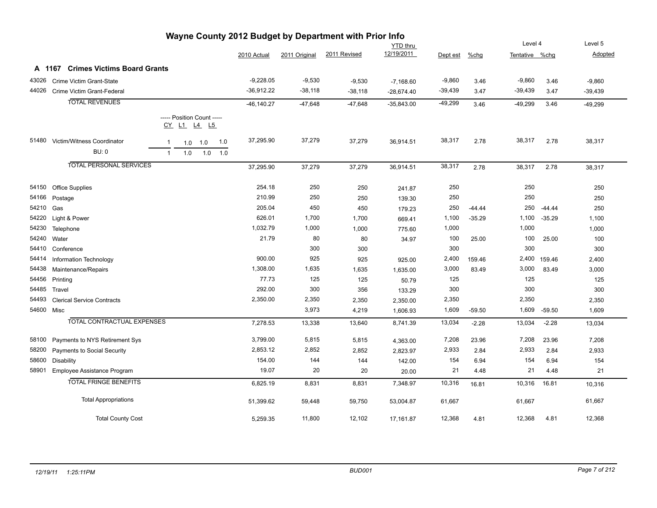| wayne County 2012 Budget by Department with Prior into |                                    |              |                            |     |     |               |               |              |                 |           |          |                |          |           |
|--------------------------------------------------------|------------------------------------|--------------|----------------------------|-----|-----|---------------|---------------|--------------|-----------------|-----------|----------|----------------|----------|-----------|
|                                                        |                                    |              |                            |     |     |               |               |              | <b>YTD thru</b> |           |          | Level 4        |          | Level 5   |
|                                                        |                                    |              |                            |     |     | 2010 Actual   | 2011 Original | 2011 Revised | 12/19/2011      | Dept est  | %chg     | Tentative %chg |          | Adopted   |
|                                                        | A 1167 Crimes Victims Board Grants |              |                            |     |     |               |               |              |                 |           |          |                |          |           |
| 43026                                                  | Crime Victim Grant-State           |              |                            |     |     | $-9,228.05$   | $-9,530$      | $-9,530$     | $-7,168.60$     | $-9,860$  | 3.46     | $-9,860$       | 3.46     | $-9,860$  |
| 44026                                                  | Crime Victim Grant-Federal         |              |                            |     |     | $-36,912.22$  | $-38,118$     | $-38,118$    | $-28,674.40$    | $-39,439$ | 3.47     | $-39,439$      | 3.47     | $-39,439$ |
|                                                        | <b>TOTAL REVENUES</b>              |              |                            |     |     | $-46, 140.27$ | $-47,648$     | $-47,648$    | $-35,843.00$    | $-49,299$ | 3.46     | $-49,299$      | 3.46     | $-49,299$ |
|                                                        |                                    |              | ----- Position Count ----- |     |     |               |               |              |                 |           |          |                |          |           |
|                                                        |                                    |              | CY L1 L4 L5                |     |     |               |               |              |                 |           |          |                |          |           |
| 51480                                                  | Victim/Witness Coordinator         | 1            | 1.0                        | 1.0 | 1.0 | 37,295.90     | 37,279        | 37,279       | 36,914.51       | 38,317    | 2.78     | 38,317         | 2.78     | 38,317    |
|                                                        | <b>BU: 0</b>                       | $\mathbf{1}$ | 1.0                        | 1.0 | 1.0 |               |               |              |                 |           |          |                |          |           |
|                                                        |                                    |              |                            |     |     |               |               |              |                 |           |          |                |          |           |
|                                                        | <b>TOTAL PERSONAL SERVICES</b>     |              |                            |     |     | 37,295.90     | 37,279        | 37,279       | 36,914.51       | 38,317    | 2.78     | 38,317         | 2.78     | 38,317    |
| 54150                                                  | <b>Office Supplies</b>             |              |                            |     |     | 254.18        | 250           | 250          | 241.87          | 250       |          | 250            |          | 250       |
| 54166                                                  | Postage                            |              |                            |     |     | 210.99        | 250           | 250          | 139.30          | 250       |          | 250            |          | 250       |
| 54210                                                  | Gas                                |              |                            |     |     | 205.04        | 450           | 450          | 179.23          | 250       | $-44.44$ | 250            | $-44.44$ | 250       |
| 54220                                                  | Light & Power                      |              |                            |     |     | 626.01        | 1,700         | 1,700        | 669.41          | 1,100     | $-35.29$ | 1,100          | $-35.29$ | 1,100     |
| 54230                                                  | Telephone                          |              |                            |     |     | 1,032.79      | 1,000         | 1,000        | 775.60          | 1,000     |          | 1,000          |          | 1,000     |
| 54240                                                  | Water                              |              |                            |     |     | 21.79         | 80            | 80           | 34.97           | 100       | 25.00    | 100            | 25.00    | 100       |
| 54410                                                  | Conference                         |              |                            |     |     |               | 300           | 300          |                 | 300       |          | 300            |          | 300       |
| 54414                                                  | Information Technology             |              |                            |     |     | 900.00        | 925           | 925          | 925.00          | 2,400     | 159.46   | 2,400          | 159.46   | 2,400     |
| 54438                                                  | Maintenance/Repairs                |              |                            |     |     | 1,308.00      | 1,635         | 1,635        | 1,635.00        | 3,000     | 83.49    | 3,000          | 83.49    | 3,000     |
| 54456                                                  | Printing                           |              |                            |     |     | 77.73         | 125           | 125          | 50.79           | 125       |          | 125            |          | 125       |
| 54485                                                  | Travel                             |              |                            |     |     | 292.00        | 300           | 356          | 133.29          | 300       |          | 300            |          | 300       |
| 54493                                                  | <b>Clerical Service Contracts</b>  |              |                            |     |     | 2,350.00      | 2,350         | 2,350        | 2,350.00        | 2,350     |          | 2,350          |          | 2,350     |
| 54600 Misc                                             |                                    |              |                            |     |     |               | 3,973         | 4,219        | 1,606.93        | 1,609     | $-59.50$ | 1,609          | $-59.50$ | 1,609     |
|                                                        | TOTAL CONTRACTUAL EXPENSES         |              |                            |     |     | 7,278.53      | 13,338        | 13,640       | 8,741.39        | 13,034    | $-2.28$  | 13,034         | $-2.28$  | 13,034    |
| 58100                                                  | Payments to NYS Retirement Sys     |              |                            |     |     | 3,799.00      | 5,815         | 5,815        | 4,363.00        | 7,208     | 23.96    | 7,208          | 23.96    | 7,208     |
| 58200                                                  | Payments to Social Security        |              |                            |     |     | 2,853.12      | 2,852         | 2,852        | 2,823.97        | 2,933     | 2.84     | 2,933          | 2.84     | 2,933     |
| 58600                                                  | Disability                         |              |                            |     |     | 154.00        | 144           | 144          | 142.00          | 154       | 6.94     | 154            | 6.94     | 154       |
| 58901                                                  | Employee Assistance Program        |              |                            |     |     | 19.07         | 20            | 20           | 20.00           | 21        | 4.48     | 21             | 4.48     | 21        |
|                                                        | <b>TOTAL FRINGE BENEFITS</b>       |              |                            |     |     | 6,825.19      | 8,831         | 8,831        | 7,348.97        | 10,316    | 16.81    | 10,316         | 16.81    | 10,316    |
|                                                        | <b>Total Appropriations</b>        |              |                            |     |     | 51,399.62     | 59,448        | 59,750       | 53,004.87       | 61,667    |          | 61,667         |          | 61,667    |
|                                                        | <b>Total County Cost</b>           |              |                            |     |     | 5,259.35      | 11,800        | 12,102       | 17,161.87       | 12,368    | 4.81     | 12,368         | 4.81     | 12,368    |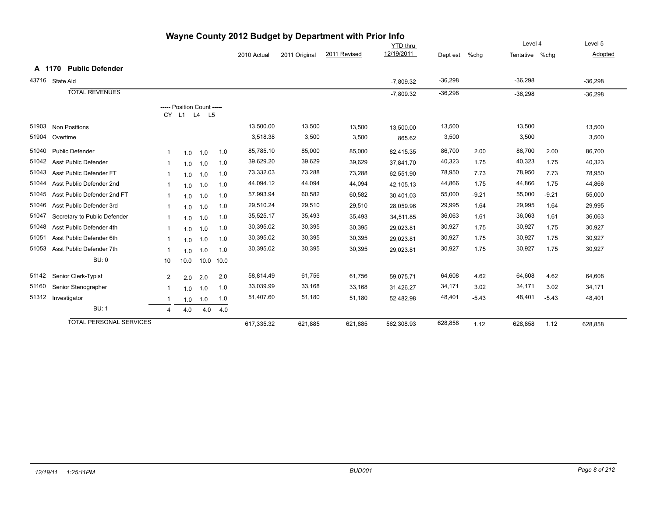|       |                                | <b>The County 2012 Budget by Department with Prior line</b> |                                           |      |      |             |               |              | YTD thru    |           |         | Level 4        |         | Level 5   |
|-------|--------------------------------|-------------------------------------------------------------|-------------------------------------------|------|------|-------------|---------------|--------------|-------------|-----------|---------|----------------|---------|-----------|
|       |                                |                                                             |                                           |      |      | 2010 Actual | 2011 Original | 2011 Revised | 12/19/2011  | Dept est  | $%$ chg | Tentative %chg |         | Adopted   |
|       | A 1170 Public Defender         |                                                             |                                           |      |      |             |               |              |             |           |         |                |         |           |
|       | 43716 State Aid                |                                                             |                                           |      |      |             |               |              | $-7,809.32$ | $-36,298$ |         | $-36,298$      |         | $-36,298$ |
|       | <b>TOTAL REVENUES</b>          |                                                             |                                           |      |      |             |               |              | $-7.809.32$ | $-36,298$ |         | $-36,298$      |         | $-36,298$ |
|       |                                |                                                             | ----- Position Count -----<br>CY L1 L4 L5 |      |      |             |               |              |             |           |         |                |         |           |
| 51903 | <b>Non Positions</b>           |                                                             |                                           |      |      | 13,500.00   | 13,500        | 13,500       | 13,500.00   | 13,500    |         | 13,500         |         | 13,500    |
| 51904 | Overtime                       |                                                             |                                           |      |      | 3,518.38    | 3,500         | 3,500        | 865.62      | 3,500     |         | 3,500          |         | 3,500     |
| 51040 | <b>Public Defender</b>         |                                                             | 1.0                                       | 1.0  | 1.0  | 85,785.10   | 85,000        | 85,000       | 82,415.35   | 86,700    | 2.00    | 86,700         | 2.00    | 86,700    |
| 51042 | <b>Asst Public Defender</b>    | -1                                                          | 1.0                                       | 1.0  | 1.0  | 39,629.20   | 39,629        | 39,629       | 37,841.70   | 40,323    | 1.75    | 40,323         | 1.75    | 40,323    |
| 51043 | Asst Public Defender FT        |                                                             | 1.0                                       | 1.0  | 1.0  | 73,332.03   | 73,288        | 73,288       | 62,551.90   | 78,950    | 7.73    | 78,950         | 7.73    | 78,950    |
| 51044 | Asst Public Defender 2nd       | -1                                                          | 1.0                                       | 1.0  | 1.0  | 44,094.12   | 44,094        | 44,094       | 42,105.13   | 44,866    | 1.75    | 44,866         | 1.75    | 44,866    |
| 51045 | Asst Public Defender 2nd FT    |                                                             | 1.0                                       | 1.0  | 1.0  | 57,993.94   | 60,582        | 60,582       | 30.401.03   | 55,000    | $-9.21$ | 55,000         | $-9.21$ | 55,000    |
| 51046 | Asst Public Defender 3rd       | -1                                                          | 1.0                                       | 1.0  | 1.0  | 29,510.24   | 29,510        | 29,510       | 28,059.96   | 29,995    | 1.64    | 29,995         | 1.64    | 29,995    |
| 51047 | Secretary to Public Defender   | -1                                                          | 1.0                                       | 1.0  | 1.0  | 35,525.17   | 35,493        | 35,493       | 34,511.85   | 36,063    | 1.61    | 36,063         | 1.61    | 36,063    |
| 51048 | Asst Public Defender 4th       |                                                             | 1.0                                       | 1.0  | 1.0  | 30,395.02   | 30,395        | 30,395       | 29,023.81   | 30,927    | 1.75    | 30,927         | 1.75    | 30,927    |
| 51051 | Asst Public Defender 6th       |                                                             | 1.0                                       | 1.0  | 1.0  | 30,395.02   | 30,395        | 30,395       | 29,023.81   | 30,927    | 1.75    | 30,927         | 1.75    | 30,927    |
| 51053 | Asst Public Defender 7th       | $\overline{\mathbf{1}}$                                     | 1.0                                       | 1.0  | 1.0  | 30,395.02   | 30,395        | 30,395       | 29,023.81   | 30,927    | 1.75    | 30,927         | 1.75    | 30,927    |
|       | <b>BU: 0</b>                   | 10                                                          | 10.0                                      | 10.0 | 10.0 |             |               |              |             |           |         |                |         |           |
| 51142 | Senior Clerk-Typist            | $\overline{2}$                                              | 2.0                                       | 2.0  | 2.0  | 58,814.49   | 61,756        | 61,756       | 59,075.71   | 64,608    | 4.62    | 64,608         | 4.62    | 64,608    |
| 51160 | Senior Stenographer            | -1                                                          | 1.0                                       | 1.0  | 1.0  | 33,039.99   | 33,168        | 33,168       | 31,426.27   | 34,171    | 3.02    | 34,171         | 3.02    | 34,171    |
| 51312 | Investigator                   |                                                             | 1.0                                       | 1.0  | 1.0  | 51,407.60   | 51,180        | 51,180       | 52,482.98   | 48,401    | $-5.43$ | 48,401         | $-5.43$ | 48,401    |
|       | <b>BU: 1</b>                   | $\overline{4}$                                              | 4.0                                       | 4.0  | 4.0  |             |               |              |             |           |         |                |         |           |
|       | <b>TOTAL PERSONAL SERVICES</b> |                                                             |                                           |      |      | 617,335.32  | 621,885       | 621,885      | 562,308.93  | 628,858   | 1.12    | 628,858        | 1.12    | 628,858   |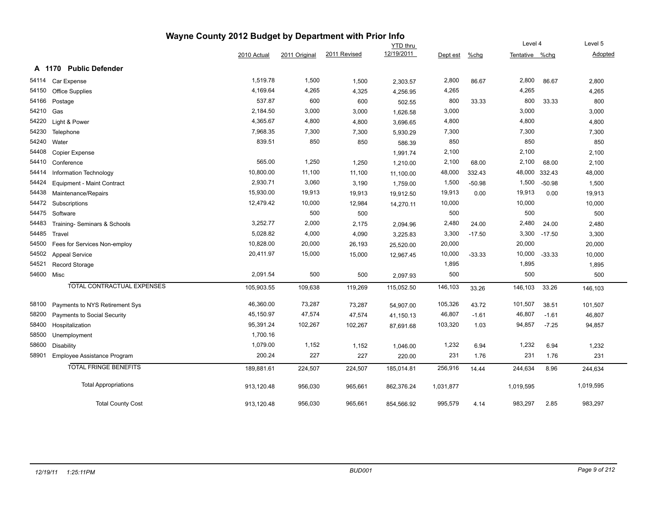|       |                                  | Wayne County 2012 Budget by Department with Prior Info |               |              |                 |           |          |                |          |                |
|-------|----------------------------------|--------------------------------------------------------|---------------|--------------|-----------------|-----------|----------|----------------|----------|----------------|
|       |                                  |                                                        |               |              | <b>YTD thru</b> |           |          | Level 4        |          | Level 5        |
|       |                                  | 2010 Actual                                            | 2011 Original | 2011 Revised | 12/19/2011      | Dept est  | $%$ chg  | Tentative %chg |          | <b>Adopted</b> |
|       | <b>Public Defender</b><br>A 1170 |                                                        |               |              |                 |           |          |                |          |                |
| 54114 | Car Expense                      | 1,519.78                                               | 1,500         | 1,500        | 2,303.57        | 2,800     | 86.67    | 2,800          | 86.67    | 2,800          |
| 54150 | <b>Office Supplies</b>           | 4,169.64                                               | 4,265         | 4,325        | 4,256.95        | 4,265     |          | 4,265          |          | 4,265          |
| 54166 | Postage                          | 537.87                                                 | 600           | 600          | 502.55          | 800       | 33.33    | 800            | 33.33    | 800            |
| 54210 | Gas                              | 2,184.50                                               | 3,000         | 3,000        | 1,626.58        | 3,000     |          | 3,000          |          | 3,000          |
| 54220 | Light & Power                    | 4,365.67                                               | 4,800         | 4,800        | 3,696.65        | 4,800     |          | 4,800          |          | 4,800          |
| 54230 | Telephone                        | 7,968.35                                               | 7,300         | 7,300        | 5,930.29        | 7,300     |          | 7,300          |          | 7,300          |
| 54240 | Water                            | 839.51                                                 | 850           | 850          | 586.39          | 850       |          | 850            |          | 850            |
| 54408 | Copier Expense                   |                                                        |               |              | 1,991.74        | 2,100     |          | 2,100          |          | 2,100          |
| 54410 | Conference                       | 565.00                                                 | 1,250         | 1,250        | 1,210.00        | 2,100     | 68.00    | 2,100          | 68.00    | 2,100          |
| 54414 | Information Technology           | 10,800.00                                              | 11,100        | 11,100       | 11,100.00       | 48,000    | 332.43   | 48,000         | 332.43   | 48,000         |
| 54424 | Equipment - Maint Contract       | 2,930.71                                               | 3,060         | 3,190        | 1,759.00        | 1,500     | $-50.98$ | 1,500          | $-50.98$ | 1,500          |
| 54438 | Maintenance/Repairs              | 15,930.00                                              | 19,913        | 19,913       | 19,912.50       | 19,913    | 0.00     | 19,913         | 0.00     | 19,913         |
| 54472 | Subscriptions                    | 12,479.42                                              | 10,000        | 12,984       | 14,270.11       | 10,000    |          | 10,000         |          | 10,000         |
| 54475 | Software                         |                                                        | 500           | 500          |                 | 500       |          | 500            |          | 500            |
| 54483 | Training- Seminars & Schools     | 3,252.77                                               | 2,000         | 2,175        | 2,094.96        | 2,480     | 24.00    | 2,480          | 24.00    | 2,480          |
| 54485 | Travel                           | 5,028.82                                               | 4,000         | 4,090        | 3,225.83        | 3,300     | $-17.50$ | 3,300          | $-17.50$ | 3,300          |
| 54500 | Fees for Services Non-employ     | 10,828.00                                              | 20,000        | 26,193       | 25,520.00       | 20,000    |          | 20,000         |          | 20,000         |
| 54502 | <b>Appeal Service</b>            | 20,411.97                                              | 15,000        | 15,000       | 12,967.45       | 10,000    | $-33.33$ | 10,000         | $-33.33$ | 10,000         |
| 54521 | Record Storage                   |                                                        |               |              |                 | 1,895     |          | 1,895          |          | 1,895          |
| 54600 | Misc                             | 2,091.54                                               | 500           | 500          | 2,097.93        | 500       |          | 500            |          | 500            |
|       | TOTAL CONTRACTUAL EXPENSES       | 105,903.55                                             | 109,638       | 119,269      | 115,052.50      | 146,103   | 33.26    | 146,103        | 33.26    | 146,103        |
| 58100 | Payments to NYS Retirement Sys   | 46,360.00                                              | 73,287        | 73,287       | 54,907.00       | 105,326   | 43.72    | 101,507        | 38.51    | 101,507        |
| 58200 | Payments to Social Security      | 45,150.97                                              | 47,574        | 47,574       | 41,150.13       | 46,807    | $-1.61$  | 46,807         | $-1.61$  | 46,807         |
| 58400 | Hospitalization                  | 95,391.24                                              | 102,267       | 102,267      | 87,691.68       | 103,320   | 1.03     | 94,857         | $-7.25$  | 94,857         |
| 58500 | Unemployment                     | 1,700.16                                               |               |              |                 |           |          |                |          |                |
| 58600 | <b>Disability</b>                | 1,079.00                                               | 1,152         | 1,152        | 1,046.00        | 1,232     | 6.94     | 1,232          | 6.94     | 1,232          |
| 58901 | Employee Assistance Program      | 200.24                                                 | 227           | 227          | 220.00          | 231       | 1.76     | 231            | 1.76     | 231            |
|       | <b>TOTAL FRINGE BENEFITS</b>     | 189,881.61                                             | 224,507       | 224,507      | 185,014.81      | 256,916   | 14.44    | 244,634        | 8.96     | 244,634        |
|       | <b>Total Appropriations</b>      | 913,120.48                                             | 956,030       | 965,661      | 862,376.24      | 1,031,877 |          | 1,019,595      |          | 1,019,595      |
|       | <b>Total County Cost</b>         | 913,120.48                                             | 956.030       | 965,661      | 854,566.92      | 995,579   | 4.14     | 983,297        | 2.85     | 983,297        |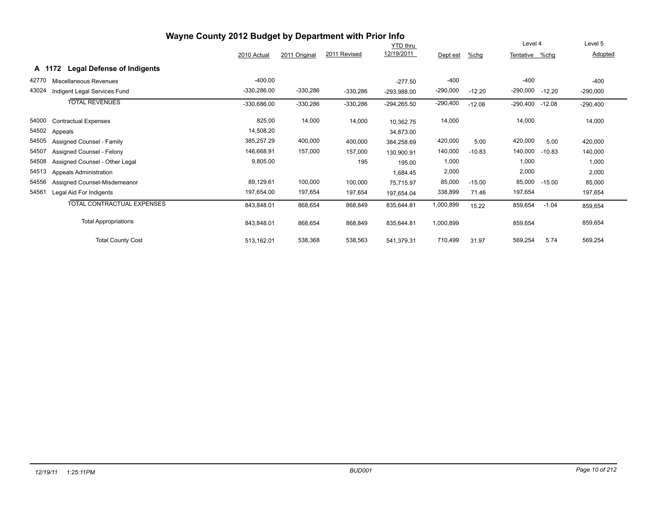|       | Wayne County 2012 Budget by Department with Prior Info |               |               |              |                 |            |          |                |          |            |
|-------|--------------------------------------------------------|---------------|---------------|--------------|-----------------|------------|----------|----------------|----------|------------|
|       |                                                        |               |               |              | <b>YTD thru</b> |            |          | Level 4        |          | Level 5    |
|       |                                                        | 2010 Actual   | 2011 Original | 2011 Revised | 12/19/2011      | Dept est   | %chg     | Tentative %chg |          | Adopted    |
|       | <b>Legal Defense of Indigents</b><br>A 1172            |               |               |              |                 |            |          |                |          |            |
| 42770 | Miscellaneous Revenues                                 | $-400.00$     |               |              | $-277.50$       | $-400$     |          | $-400$         |          | $-400$     |
| 43024 | Indigent Legal Services Fund                           | $-330,286.00$ | $-330,286$    | $-330,286$   | $-293,988.00$   | $-290,000$ | $-12.20$ | -290,000       | $-12.20$ | $-290,000$ |
|       | <b>TOTAL REVENUES</b>                                  | $-330,686.00$ | $-330,286$    | $-330,286$   | $-294, 265.50$  | $-290,400$ | $-12.08$ | $-290,400$     | $-12.08$ | $-290,400$ |
| 54000 | <b>Contractual Expenses</b>                            | 825.00        | 14,000        | 14,000       | 10,362.75       | 14,000     |          | 14,000         |          | 14,000     |
| 54502 | Appeals                                                | 14,508.20     |               |              | 34,873.00       |            |          |                |          |            |
| 54505 | Assigned Counsel - Family                              | 385,257.29    | 400,000       | 400,000      | 384,258.69      | 420,000    | 5.00     | 420,000        | 5.00     | 420,000    |
| 54507 | Assigned Counsel - Felony                              | 146,668.91    | 157,000       | 157,000      | 130.900.91      | 140,000    | $-10.83$ | 140,000        | $-10.83$ | 140,000    |
| 54508 | Assigned Counsel - Other Legal                         | 9,805.00      |               | 195          | 195.00          | 1,000      |          | 1,000          |          | 1,000      |
| 54513 | <b>Appeals Administration</b>                          |               |               |              | 1,684.45        | 2,000      |          | 2,000          |          | 2,000      |
| 54556 | Assigned Counsel-Misdemeanor                           | 89,129.61     | 100,000       | 100,000      | 75,715.97       | 85,000     | $-15.00$ | 85,000         | $-15.00$ | 85,000     |
| 54561 | Legal Aid For Indigents                                | 197,654.00    | 197,654       | 197,654      | 197,654.04      | 338,899    | 71.46    | 197,654        |          | 197,654    |
|       | <b>TOTAL CONTRACTUAL EXPENSES</b>                      | 843,848.01    | 868,654       | 868,849      | 835,644.81      | 1,000,899  | 15.22    | 859,654        | $-1.04$  | 859,654    |
|       | <b>Total Appropriations</b>                            | 843,848.01    | 868,654       | 868,849      | 835,644.81      | 1,000,899  |          | 859,654        |          | 859,654    |
|       | <b>Total County Cost</b>                               | 513.162.01    | 538,368       | 538,563      | 541.379.31      | 710,499    | 31.97    | 569,254        | 5.74     | 569,254    |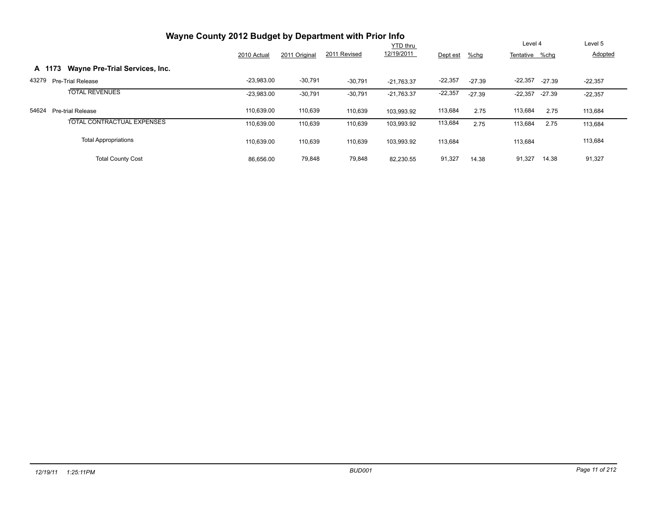| Wayne County 2012 Budget by Department with Prior Info |              |               |              |              |           |          |                |          |                |
|--------------------------------------------------------|--------------|---------------|--------------|--------------|-----------|----------|----------------|----------|----------------|
|                                                        |              |               |              | YTD thru     |           |          | Level 4        |          | Level 5        |
|                                                        | 2010 Actual  | 2011 Original | 2011 Revised | 12/19/2011   | Dept est  | $%$ chg  | Tentative %chg |          | <b>Adopted</b> |
| Wayne Pre-Trial Services, Inc.<br>A 1173               |              |               |              |              |           |          |                |          |                |
| 43279<br>Pre-Trial Release                             | $-23,983.00$ | $-30,791$     | $-30,791$    | $-21.763.37$ | $-22,357$ | $-27.39$ | $-22,357$      | $-27.39$ | $-22,357$      |
| <b>TOTAL REVENUES</b>                                  | $-23,983.00$ | $-30,791$     | $-30,791$    | $-21.763.37$ | $-22,357$ | $-27.39$ | $-22,357$      | -27.39   | $-22,357$      |
| 54624<br><b>Pre-trial Release</b>                      | 110,639.00   | 110,639       | 110,639      | 103.993.92   | 113,684   | 2.75     | 113,684        | 2.75     | 113,684        |
| <b>TOTAL CONTRACTUAL EXPENSES</b>                      | 110,639.00   | 110,639       | 110,639      | 103,993.92   | 113,684   | 2.75     | 113,684        | 2.75     | 113,684        |
| <b>Total Appropriations</b>                            | 110,639.00   | 110,639       | 110,639      | 103,993.92   | 113,684   |          | 113,684        |          | 113,684        |
| <b>Total County Cost</b>                               | 86,656.00    | 79,848        | 79,848       | 82,230.55    | 91,327    | 14.38    | 91,327         | 14.38    | 91,327         |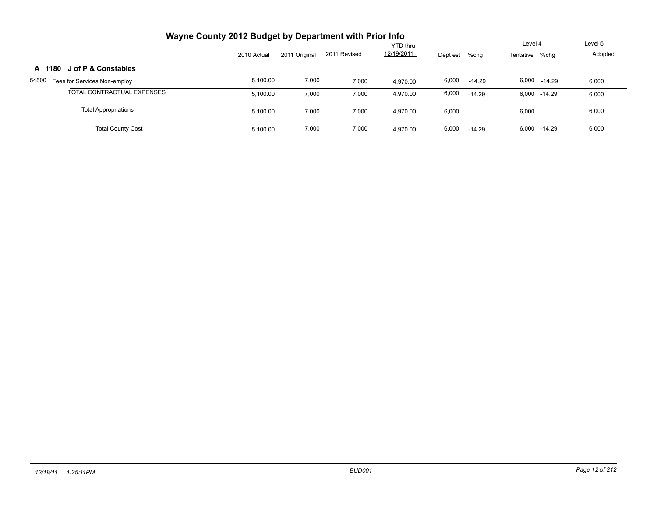| Wayne County 2012 Budget by Department with Prior Info |             |               |              |                 |          |          |                   |                |
|--------------------------------------------------------|-------------|---------------|--------------|-----------------|----------|----------|-------------------|----------------|
|                                                        |             |               |              | <b>YTD thru</b> |          |          | Level 4           | Level 5        |
|                                                        | 2010 Actual | 2011 Original | 2011 Revised | 12/19/2011      | Dept est | %chg     | Tentative %chg    | <b>Adopted</b> |
| J of P & Constables<br>A 1180                          |             |               |              |                 |          |          |                   |                |
| 54500<br>Fees for Services Non-employ                  | 5,100.00    | 7,000         | 7,000        | 4.970.00        | 6,000    | $-14.29$ | 6,000<br>$-14.29$ | 6,000          |
| TOTAL CONTRACTUAL EXPENSES                             | 5,100.00    | 7,000         | 7,000        | 4,970.00        | 6,000    | $-14.29$ | 6,000 -14.29      | 6,000          |
| <b>Total Appropriations</b>                            | 5,100.00    | 7,000         | 7,000        | 4,970.00        | 6,000    |          | 6,000             | 6,000          |
| <b>Total County Cost</b>                               | 5.100.00    | 7,000         | 7,000        | 4.970.00        | 6,000    | $-14.29$ | 6,000<br>-14.29   | 6,000          |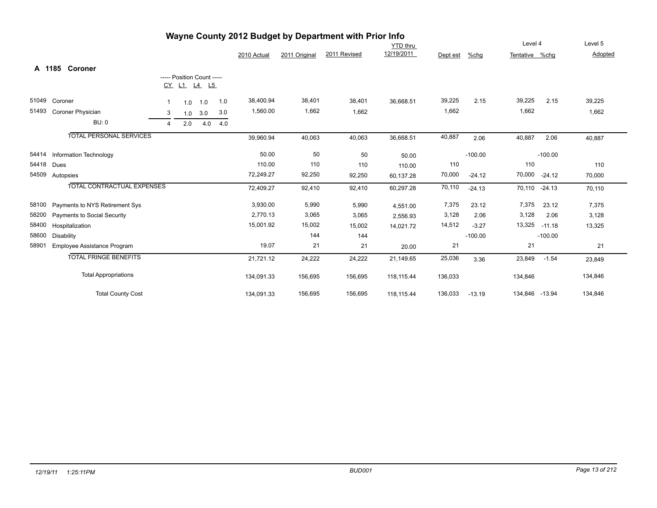| Wayne County 2012 Budget by Department with Prior Info |                                   |                |                            |     |     |             |               |              |                 |          |           |                |           |         |
|--------------------------------------------------------|-----------------------------------|----------------|----------------------------|-----|-----|-------------|---------------|--------------|-----------------|----------|-----------|----------------|-----------|---------|
|                                                        |                                   |                |                            |     |     |             |               |              | <b>YTD thru</b> |          |           | Level 4        |           | Level 5 |
|                                                        |                                   |                |                            |     |     | 2010 Actual | 2011 Original | 2011 Revised | 12/19/2011      | Dept est | $%$ chg   | Tentative %chg |           | Adopted |
|                                                        | A 1185 Coroner                    |                |                            |     |     |             |               |              |                 |          |           |                |           |         |
|                                                        |                                   |                | ----- Position Count ----- |     |     |             |               |              |                 |          |           |                |           |         |
|                                                        |                                   |                | CY L1 L4 L5                |     |     |             |               |              |                 |          |           |                |           |         |
| 51049                                                  | Coroner                           | -1             | 1.0                        | 1.0 | 1.0 | 38,400.94   | 38,401        | 38,401       | 36,668.51       | 39,225   | 2.15      | 39,225         | 2.15      | 39,225  |
| 51493                                                  | Coroner Physician                 | 3              | 1.0                        | 3.0 | 3.0 | 1,560.00    | 1,662         | 1,662        |                 | 1,662    |           | 1,662          |           | 1,662   |
|                                                        | <b>BU: 0</b>                      | $\overline{4}$ | 2.0                        | 4.0 | 4.0 |             |               |              |                 |          |           |                |           |         |
|                                                        | <b>TOTAL PERSONAL SERVICES</b>    |                |                            |     |     | 39,960.94   | 40,063        | 40,063       | 36,668.51       | 40,887   | 2.06      | 40,887         | 2.06      | 40,887  |
| 54414                                                  | Information Technology            |                |                            |     |     | 50.00       | 50            | 50           | 50.00           |          | $-100.00$ |                | $-100.00$ |         |
| 54418                                                  | Dues                              |                |                            |     |     | 110.00      | 110           | 110          | 110.00          | 110      |           | 110            |           | 110     |
| 54509                                                  | Autopsies                         |                |                            |     |     | 72,249.27   | 92,250        | 92,250       | 60,137.28       | 70,000   | $-24.12$  | 70,000         | $-24.12$  | 70,000  |
|                                                        | <b>TOTAL CONTRACTUAL EXPENSES</b> |                |                            |     |     | 72,409.27   | 92,410        | 92,410       | 60,297.28       | 70,110   | $-24.13$  | 70,110 -24.13  |           | 70,110  |
| 58100                                                  | Payments to NYS Retirement Sys    |                |                            |     |     | 3,930.00    | 5,990         | 5,990        | 4,551.00        | 7,375    | 23.12     | 7,375          | 23.12     | 7,375   |
| 58200                                                  | Payments to Social Security       |                |                            |     |     | 2,770.13    | 3,065         | 3,065        | 2,556.93        | 3,128    | 2.06      | 3,128          | 2.06      | 3,128   |
| 58400                                                  | Hospitalization                   |                |                            |     |     | 15,001.92   | 15,002        | 15,002       | 14,021.72       | 14,512   | $-3.27$   | 13,325         | $-11.18$  | 13,325  |
| 58600                                                  | <b>Disability</b>                 |                |                            |     |     |             | 144           | 144          |                 |          | $-100.00$ |                | $-100.00$ |         |
| 58901                                                  | Employee Assistance Program       |                |                            |     |     | 19.07       | 21            | 21           | 20.00           | 21       |           | 21             |           | 21      |
|                                                        | <b>TOTAL FRINGE BENEFITS</b>      |                |                            |     |     | 21,721.12   | 24,222        | 24,222       | 21,149.65       | 25,036   | 3.36      | 23,849         | $-1.54$   | 23,849  |
|                                                        | <b>Total Appropriations</b>       |                |                            |     |     | 134,091.33  | 156,695       | 156,695      | 118,115.44      | 136,033  |           | 134,846        |           | 134,846 |
|                                                        | <b>Total County Cost</b>          |                |                            |     |     | 134,091.33  | 156,695       | 156,695      | 118,115.44      | 136,033  | $-13.19$  | 134,846 -13.94 |           | 134,846 |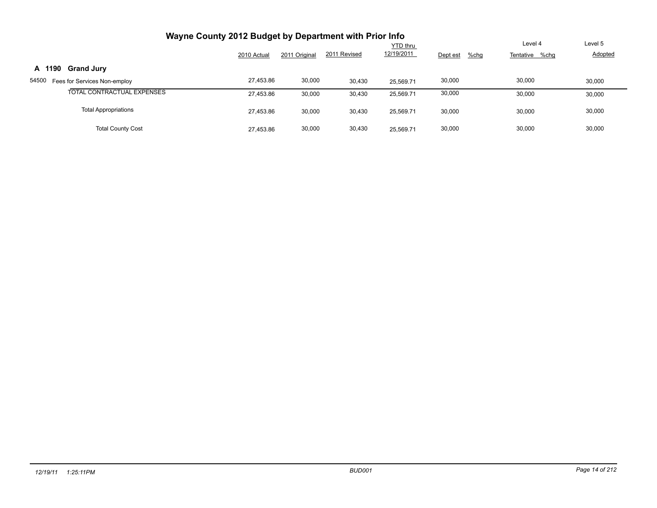| Wayne County 2012 Budget by Department with Prior Info |             |               |              |                               |                  |                           |                           |
|--------------------------------------------------------|-------------|---------------|--------------|-------------------------------|------------------|---------------------------|---------------------------|
|                                                        | 2010 Actual | 2011 Original | 2011 Revised | <b>YTD thru</b><br>12/19/2011 | Dept est<br>%chg | Level 4<br>Tentative %chg | Level 5<br><b>Adopted</b> |
| <b>Grand Jury</b><br>A 1190                            |             |               |              |                               |                  |                           |                           |
| 54500<br>Fees for Services Non-employ                  | 27,453.86   | 30,000        | 30,430       | 25.569.71                     | 30,000           | 30,000                    | 30,000                    |
| TOTAL CONTRACTUAL EXPENSES                             | 27,453.86   | 30,000        | 30,430       | 25,569.71                     | 30,000           | 30,000                    | 30,000                    |
| <b>Total Appropriations</b>                            | 27,453.86   | 30,000        | 30,430       | 25.569.71                     | 30,000           | 30,000                    | 30,000                    |
| <b>Total County Cost</b>                               | 27,453.86   | 30,000        | 30,430       | 25.569.71                     | 30,000           | 30,000                    | 30,000                    |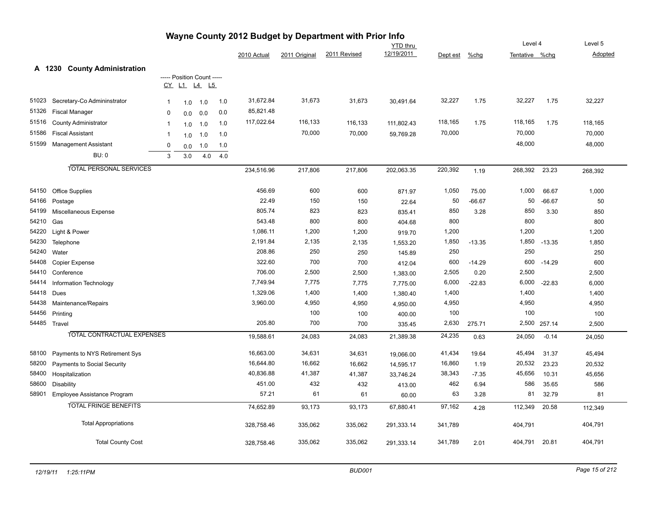|       |                                        |                |                            |     |     | Oddiny eviz Duugut by | <b>Department</b> |              | <b>YTD</b> thru |          |          | Level 4        |              | Level 5 |
|-------|----------------------------------------|----------------|----------------------------|-----|-----|-----------------------|-------------------|--------------|-----------------|----------|----------|----------------|--------------|---------|
|       |                                        |                |                            |     |     | 2010 Actual           | 2011 Original     | 2011 Revised | 12/19/2011      | Dept est | %chg     | Tentative %chg |              | Adopted |
|       |                                        |                |                            |     |     |                       |                   |              |                 |          |          |                |              |         |
|       | A 1230<br><b>County Administration</b> |                | ----- Position Count ----- |     |     |                       |                   |              |                 |          |          |                |              |         |
|       |                                        |                | CY L1 L4 L5                |     |     |                       |                   |              |                 |          |          |                |              |         |
| 51023 | Secretary-Co Admininstrator            | $\mathbf{1}$   | 1.0                        | 1.0 | 1.0 | 31,672.84             | 31,673            | 31,673       | 30,491.64       | 32,227   | 1.75     | 32,227         | 1.75         | 32,227  |
| 51326 | <b>Fiscal Manager</b>                  | 0              | 0.0                        | 0.0 | 0.0 | 85,821.48             |                   |              |                 |          |          |                |              |         |
| 51516 | <b>County Administrator</b>            | $\overline{1}$ | 1.0                        | 1.0 | 1.0 | 117,022.64            | 116,133           | 116,133      | 111,802.43      | 118,165  | 1.75     | 118,165        | 1.75         | 118,165 |
| 51586 | <b>Fiscal Assistant</b>                | $\mathbf 1$    | 1.0                        | 1.0 | 1.0 |                       | 70,000            | 70,000       | 59,769.28       | 70,000   |          | 70,000         |              | 70,000  |
| 51599 | <b>Management Assistant</b>            | $\mathbf 0$    | 0.0                        | 1.0 | 1.0 |                       |                   |              |                 |          |          | 48,000         |              | 48,000  |
|       | <b>BU: 0</b>                           | 3              | 3.0                        | 4.0 | 4.0 |                       |                   |              |                 |          |          |                |              |         |
|       | <b>TOTAL PERSONAL SERVICES</b>         |                |                            |     |     | 234,516.96            | 217,806           | 217,806      | 202,063.35      | 220,392  |          | 268,392        | 23.23        |         |
|       |                                        |                |                            |     |     |                       |                   |              |                 |          | 1.19     |                |              | 268,392 |
| 54150 | <b>Office Supplies</b>                 |                |                            |     |     | 456.69                | 600               | 600          | 871.97          | 1,050    | 75.00    | 1,000          | 66.67        | 1,000   |
| 54166 | Postage                                |                |                            |     |     | 22.49                 | 150               | 150          | 22.64           | 50       | $-66.67$ | 50             | $-66.67$     | 50      |
| 54199 | Miscellaneous Expense                  |                |                            |     |     | 805.74                | 823               | 823          | 835.41          | 850      | 3.28     | 850            | 3.30         | 850     |
| 54210 | Gas                                    |                |                            |     |     | 543.48                | 800               | 800          | 404.68          | 800      |          | 800            |              | 800     |
| 54220 | Light & Power                          |                |                            |     |     | 1,086.11              | 1,200             | 1,200        | 919.70          | 1,200    |          | 1,200          |              | 1,200   |
| 54230 | Telephone                              |                |                            |     |     | 2,191.84              | 2,135             | 2,135        | 1,553.20        | 1,850    | $-13.35$ |                | 1,850 -13.35 | 1,850   |
| 54240 | Water                                  |                |                            |     |     | 208.86                | 250               | 250          | 145.89          | 250      |          | 250            |              | 250     |
| 54408 | Copier Expense                         |                |                            |     |     | 322.60                | 700               | 700          | 412.04          | 600      | $-14.29$ | 600            | $-14.29$     | 600     |
| 54410 | Conference                             |                |                            |     |     | 706.00                | 2,500             | 2,500        | 1,383.00        | 2,505    | 0.20     | 2,500          |              | 2,500   |
| 54414 | Information Technology                 |                |                            |     |     | 7,749.94              | 7,775             | 7,775        | 7,775.00        | 6,000    | $-22.83$ | 6,000          | $-22.83$     | 6,000   |
| 54418 | Dues                                   |                |                            |     |     | 1,329.06              | 1,400             | 1,400        | 1,380.40        | 1,400    |          | 1,400          |              | 1,400   |
| 54438 | Maintenance/Repairs                    |                |                            |     |     | 3,960.00              | 4,950             | 4,950        | 4,950.00        | 4,950    |          | 4,950          |              | 4,950   |
| 54456 | Printing                               |                |                            |     |     |                       | 100               | 100          | 400.00          | 100      |          | 100            |              | 100     |
|       | 54485 Travel                           |                |                            |     |     | 205.80                | 700               | 700          | 335.45          | 2,630    | 275.71   |                | 2,500 257.14 | 2,500   |
|       | TOTAL CONTRACTUAL EXPENSES             |                |                            |     |     | 19,588.61             | 24,083            | 24,083       | 21,389.38       | 24,235   | 0.63     | 24,050         | $-0.14$      | 24,050  |
| 58100 | Payments to NYS Retirement Sys         |                |                            |     |     | 16,663.00             | 34,631            | 34,631       | 19,066.00       | 41,434   | 19.64    | 45,494         | 31.37        | 45,494  |
| 58200 | Payments to Social Security            |                |                            |     |     | 16,644.80             | 16,662            | 16,662       | 14,595.17       | 16,860   | 1.19     | 20,532         | 23.23        | 20,532  |
| 58400 | Hospitalization                        |                |                            |     |     | 40,836.88             | 41,387            | 41,387       | 33,746.24       | 38,343   | $-7.35$  | 45,656         | 10.31        | 45,656  |
| 58600 | <b>Disability</b>                      |                |                            |     |     | 451.00                | 432               | 432          | 413.00          | 462      | 6.94     | 586            | 35.65        | 586     |
| 58901 | Employee Assistance Program            |                |                            |     |     | 57.21                 | 61                | 61           | 60.00           | 63       | 3.28     | 81             | 32.79        | 81      |
|       | <b>TOTAL FRINGE BENEFITS</b>           |                |                            |     |     | 74,652.89             | 93,173            | 93,173       | 67,880.41       | 97,162   | 4.28     | 112,349        | 20.58        | 112,349 |
|       | <b>Total Appropriations</b>            |                |                            |     |     | 328,758.46            | 335,062           | 335,062      | 291,333.14      | 341,789  |          | 404,791        |              | 404,791 |
|       | <b>Total County Cost</b>               |                |                            |     |     | 328,758.46            | 335,062           | 335,062      | 291,333.14      | 341,789  | 2.01     | 404,791        | 20.81        | 404,791 |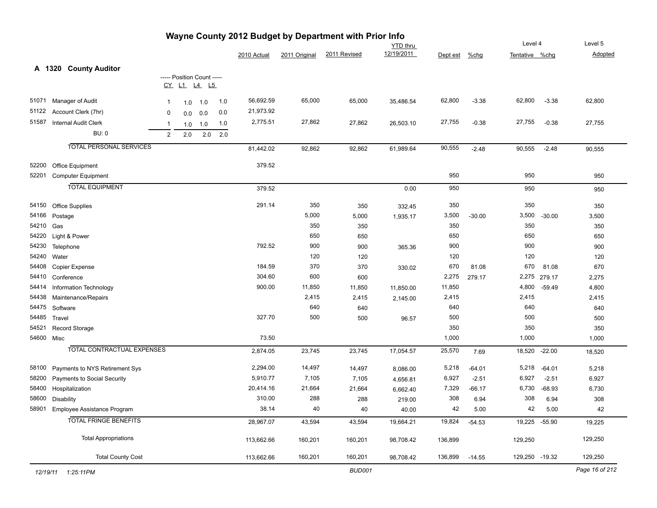|           |                                   |                |                            |     |     |             |               | Wayne County 2012 Budget by Department with Prior Info |                 |          |          |                |          |                |
|-----------|-----------------------------------|----------------|----------------------------|-----|-----|-------------|---------------|--------------------------------------------------------|-----------------|----------|----------|----------------|----------|----------------|
|           |                                   |                |                            |     |     |             |               |                                                        | <b>YTD</b> thru |          |          | Level 4        |          | Level 5        |
|           |                                   |                |                            |     |     | 2010 Actual | 2011 Original | 2011 Revised                                           | 12/19/2011      | Dept est | $%$ chg  | Tentative %chg |          | Adopted        |
|           | A 1320 County Auditor             |                |                            |     |     |             |               |                                                        |                 |          |          |                |          |                |
|           |                                   |                | ----- Position Count ----- |     |     |             |               |                                                        |                 |          |          |                |          |                |
|           |                                   |                | CY L1 L4 L5                |     |     |             |               |                                                        |                 |          |          |                |          |                |
| 51071     | Manager of Audit                  | $\mathbf{1}$   | 1.0                        | 1.0 | 1.0 | 56,692.59   | 65,000        | 65,000                                                 | 35,486.54       | 62,800   | $-3.38$  | 62,800         | $-3.38$  | 62,800         |
| 51122     | Account Clerk (7hr)               | 0              | 0.0                        | 0.0 | 0.0 | 21,973.92   |               |                                                        |                 |          |          |                |          |                |
| 51587     | <b>Internal Audit Clerk</b>       | $\overline{1}$ | 1.0                        | 1.0 | 1.0 | 2,775.51    | 27,862        | 27,862                                                 | 26,503.10       | 27,755   | $-0.38$  | 27,755         | $-0.38$  | 27,755         |
|           | <b>BU: 0</b>                      | 2              | 2.0                        | 2.0 | 2.0 |             |               |                                                        |                 |          |          |                |          |                |
|           |                                   |                |                            |     |     |             |               |                                                        |                 |          |          |                |          |                |
|           | <b>TOTAL PERSONAL SERVICES</b>    |                |                            |     |     | 81,442.02   | 92,862        | 92,862                                                 | 61,989.64       | 90,555   | $-2.48$  | 90,555         | $-2.48$  | 90,555         |
| 52200     | Office Equipment                  |                |                            |     |     | 379.52      |               |                                                        |                 |          |          |                |          |                |
| 52201     | <b>Computer Equipment</b>         |                |                            |     |     |             |               |                                                        |                 | 950      |          | 950            |          | 950            |
|           | <b>TOTAL EQUIPMENT</b>            |                |                            |     |     | 379.52      |               |                                                        | 0.00            | 950      |          | 950            |          | 950            |
|           |                                   |                |                            |     |     |             |               |                                                        |                 |          |          |                |          |                |
| 54150     | Office Supplies                   |                |                            |     |     | 291.14      | 350           | 350                                                    | 332.45          | 350      |          | 350            |          | 350            |
| 54166     | Postage                           |                |                            |     |     |             | 5,000         | 5,000                                                  | 1,935.17        | 3,500    | $-30.00$ | 3,500          | $-30.00$ | 3,500          |
| 54210 Gas |                                   |                |                            |     |     |             | 350           | 350                                                    |                 | 350      |          | 350            |          | 350            |
| 54220     | Light & Power                     |                |                            |     |     |             | 650           | 650                                                    |                 | 650      |          | 650            |          | 650            |
| 54230     | Telephone                         |                |                            |     |     | 792.52      | 900           | 900                                                    | 365.36          | 900      |          | 900            |          | 900            |
| 54240     | Water                             |                |                            |     |     |             | 120           | 120                                                    |                 | 120      |          | 120            |          | 120            |
| 54408     | Copier Expense                    |                |                            |     |     | 184.59      | 370           | 370                                                    | 330.02          | 670      | 81.08    | 670            | 81.08    | 670            |
| 54410     | Conference                        |                |                            |     |     | 304.60      | 600           | 600                                                    |                 | 2,275    | 279.17   | 2,275          | 279.17   | 2,275          |
| 54414     | Information Technology            |                |                            |     |     | 900.00      | 11,850        | 11,850                                                 | 11,850.00       | 11,850   |          | 4,800          | $-59.49$ | 4,800          |
| 54438     | Maintenance/Repairs               |                |                            |     |     |             | 2,415         | 2,415                                                  | 2,145.00        | 2,415    |          | 2,415          |          | 2,415          |
| 54475     | Software                          |                |                            |     |     |             | 640           | 640                                                    |                 | 640      |          | 640            |          | 640            |
| 54485     | Travel                            |                |                            |     |     | 327.70      | 500           | 500                                                    | 96.57           | 500      |          | 500            |          | 500            |
| 54521     | Record Storage                    |                |                            |     |     |             |               |                                                        |                 | 350      |          | 350            |          | 350            |
|           | 54600 Misc                        |                |                            |     |     | 73.50       |               |                                                        |                 | 1,000    |          | 1,000          |          | 1,000          |
|           | <b>TOTAL CONTRACTUAL EXPENSES</b> |                |                            |     |     | 2,874.05    | 23,745        | 23,745                                                 | 17,054.57       | 25,570   | 7.69     | 18,520         | $-22.00$ | 18,520         |
| 58100     | Payments to NYS Retirement Sys    |                |                            |     |     | 2,294.00    | 14,497        | 14,497                                                 | 8,086.00        | 5,218    | $-64.01$ | 5,218          | $-64.01$ | 5,218          |
| 58200     | Payments to Social Security       |                |                            |     |     | 5,910.77    | 7,105         | 7,105                                                  | 4,656.81        | 6,927    | $-2.51$  | 6,927          | $-2.51$  | 6,927          |
| 58400     | Hospitalization                   |                |                            |     |     | 20,414.16   | 21,664        | 21,664                                                 | 6,662.40        | 7,329    | $-66.17$ | 6,730          | $-68.93$ | 6,730          |
|           | 58600 Disability                  |                |                            |     |     | 310.00      | 288           | 288                                                    | 219.00          | 308      | 6.94     | 308            | 6.94     | 308            |
|           | 58901 Employee Assistance Program |                |                            |     |     | 38.14       | 40            | 40                                                     | 40.00           | 42       | 5.00     | 42             | 5.00     | 42             |
|           | <b>TOTAL FRINGE BENEFITS</b>      |                |                            |     |     | 28,967.07   | 43,594        | 43,594                                                 | 19,664.21       | 19,824   | $-54.53$ | 19,225         | $-55.90$ | 19,225         |
|           | <b>Total Appropriations</b>       |                |                            |     |     | 113,662.66  | 160,201       | 160,201                                                | 98,708.42       | 136,899  |          | 129,250        |          | 129,250        |
|           | <b>Total County Cost</b>          |                |                            |     |     | 113,662.66  | 160,201       | 160,201                                                | 98,708.42       | 136,899  | $-14.55$ | 129,250 -19.32 |          | 129,250        |
|           | 12/19/11  1:25:11PM               |                |                            |     |     |             |               | <b>BUD001</b>                                          |                 |          |          |                |          | Page 16 of 212 |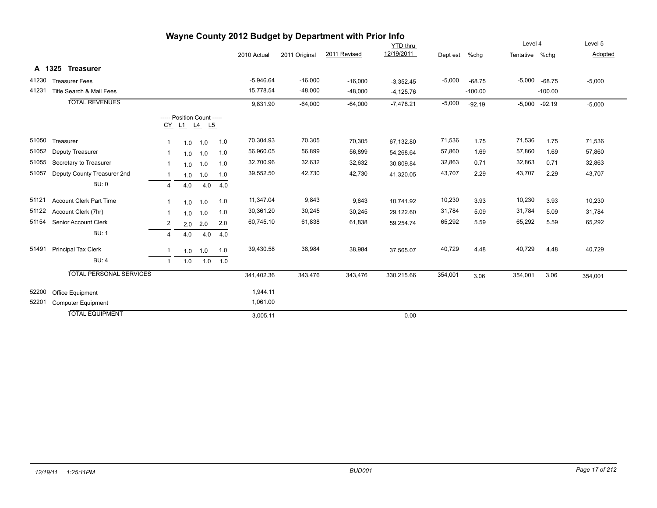| Wayne County 2012 Budget by Department with Prior Info |                                |                         |     |                            |     |             |               |              |                 |          |           |                |                 |          |
|--------------------------------------------------------|--------------------------------|-------------------------|-----|----------------------------|-----|-------------|---------------|--------------|-----------------|----------|-----------|----------------|-----------------|----------|
|                                                        |                                |                         |     |                            |     |             |               |              | <b>YTD</b> thru |          |           | Level 4        |                 | Level 5  |
|                                                        |                                |                         |     |                            |     | 2010 Actual | 2011 Original | 2011 Revised | 12/19/2011      | Dept est | %chq      | Tentative %chq |                 | Adopted  |
|                                                        | A 1325 Treasurer               |                         |     |                            |     |             |               |              |                 |          |           |                |                 |          |
| 41230                                                  | <b>Treasurer Fees</b>          |                         |     |                            |     | $-5,946.64$ | $-16,000$     | $-16,000$    | $-3,352.45$     | $-5,000$ | $-68.75$  | $-5,000$       | $-68.75$        | $-5,000$ |
| 41231                                                  | Title Search & Mail Fees       |                         |     |                            |     | 15,778.54   | $-48,000$     | $-48,000$    | $-4,125.76$     |          | $-100.00$ |                | $-100.00$       |          |
|                                                        | <b>TOTAL REVENUES</b>          |                         |     |                            |     | 9,831.90    | $-64,000$     | $-64,000$    | $-7,478.21$     | $-5,000$ | $-92.19$  |                | $-5,000 -92.19$ | $-5,000$ |
|                                                        |                                |                         |     | ----- Position Count ----- |     |             |               |              |                 |          |           |                |                 |          |
|                                                        |                                |                         |     | <u>CY L1 L4 L5</u>         |     |             |               |              |                 |          |           |                |                 |          |
| 51050                                                  | Treasurer                      | -1                      | 1.0 | 1.0                        | 1.0 | 70,304.93   | 70,305        | 70,305       | 67,132.80       | 71,536   | 1.75      | 71,536         | 1.75            | 71,536   |
| 51052                                                  | Deputy Treasurer               | -1                      | 1.0 | 1.0                        | 1.0 | 56,960.05   | 56,899        | 56,899       | 54,268.64       | 57,860   | 1.69      | 57,860         | 1.69            | 57,860   |
| 51055                                                  | Secretary to Treasurer         | $\overline{\mathbf{1}}$ | 1.0 | 1.0                        | 1.0 | 32,700.96   | 32,632        | 32,632       | 30,809.84       | 32,863   | 0.71      | 32,863         | 0.71            | 32,863   |
| 51057                                                  | Deputy County Treasurer 2nd    |                         | 1.0 | 1.0                        | 1.0 | 39,552.50   | 42,730        | 42,730       | 41,320.05       | 43,707   | 2.29      | 43,707         | 2.29            | 43,707   |
|                                                        | <b>BU: 0</b>                   | $\overline{a}$          | 4.0 | 4.0                        | 4.0 |             |               |              |                 |          |           |                |                 |          |
| 51121                                                  | <b>Account Clerk Part Time</b> |                         | 1.0 | 1.0                        | 1.0 | 11,347.04   | 9,843         | 9,843        | 10,741.92       | 10,230   | 3.93      | 10,230         | 3.93            | 10,230   |
| 51122                                                  | Account Clerk (7hr)            | -1                      | 1.0 | 1.0                        | 1.0 | 30,361.20   | 30,245        | 30,245       | 29.122.60       | 31,784   | 5.09      | 31,784         | 5.09            | 31,784   |
| 51154                                                  | Senior Account Clerk           | $\overline{c}$          | 2.0 | 2.0                        | 2.0 | 60,745.10   | 61,838        | 61,838       | 59,254.74       | 65,292   | 5.59      | 65,292         | 5.59            | 65,292   |
|                                                        | <b>BU: 1</b>                   | $\overline{4}$          | 4.0 | 4.0                        | 4.0 |             |               |              |                 |          |           |                |                 |          |
| 51491                                                  | Principal Tax Clerk            |                         | 1.0 | 1.0                        | 1.0 | 39,430.58   | 38,984        | 38,984       | 37,565.07       | 40,729   | 4.48      | 40,729         | 4.48            | 40,729   |
|                                                        | BU:4                           | $\mathbf{1}$            | 1.0 | 1.0                        | 1.0 |             |               |              |                 |          |           |                |                 |          |
|                                                        | <b>TOTAL PERSONAL SERVICES</b> |                         |     |                            |     | 341,402.36  | 343,476       | 343,476      | 330,215.66      | 354,001  | 3.06      | 354,001        | 3.06            | 354,001  |
|                                                        |                                |                         |     |                            |     |             |               |              |                 |          |           |                |                 |          |
| 52200                                                  | Office Equipment               |                         |     |                            |     | 1,944.11    |               |              |                 |          |           |                |                 |          |
| 52201                                                  | <b>Computer Equipment</b>      |                         |     |                            |     | 1,061.00    |               |              |                 |          |           |                |                 |          |
|                                                        | <b>TOTAL EQUIPMENT</b>         |                         |     |                            |     | 3,005.11    |               |              | 0.00            |          |           |                |                 |          |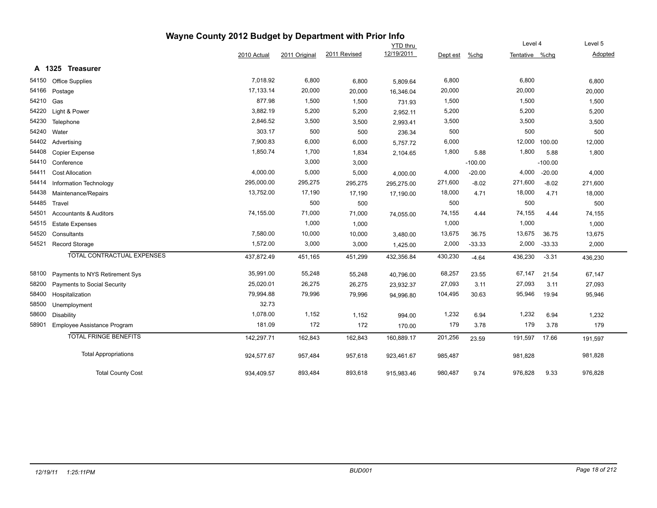|       |                                   | Wayne County 2012 Budget by Department with Prior Info |               |                 |            |          |           |                |           |         |
|-------|-----------------------------------|--------------------------------------------------------|---------------|-----------------|------------|----------|-----------|----------------|-----------|---------|
|       |                                   |                                                        |               | <b>YTD thru</b> |            |          | Level 4   |                | Level 5   |         |
|       |                                   | 2010 Actual                                            | 2011 Original | 2011 Revised    | 12/19/2011 | Dept est | $%$ chg   | Tentative %chg |           | Adopted |
|       | A 1325 Treasurer                  |                                                        |               |                 |            |          |           |                |           |         |
| 54150 | Office Supplies                   | 7,018.92                                               | 6,800         | 6,800           | 5,809.64   | 6,800    |           | 6,800          |           | 6,800   |
| 54166 | Postage                           | 17, 133. 14                                            | 20,000        | 20,000          | 16.346.04  | 20,000   |           | 20,000         |           | 20,000  |
| 54210 | Gas                               | 877.98                                                 | 1,500         | 1,500           | 731.93     | 1,500    |           | 1,500          |           | 1,500   |
| 54220 | Light & Power                     | 3,882.19                                               | 5,200         | 5,200           | 2,952.11   | 5,200    |           | 5,200          |           | 5,200   |
| 54230 | Telephone                         | 2,846.52                                               | 3,500         | 3,500           | 2,993.41   | 3,500    |           | 3,500          |           | 3,500   |
| 54240 | Water                             | 303.17                                                 | 500           | 500             | 236.34     | 500      |           | 500            |           | 500     |
| 54402 | Advertising                       | 7,900.83                                               | 6,000         | 6,000           | 5,757.72   | 6,000    |           | 12,000         | 100.00    | 12,000  |
| 54408 | Copier Expense                    | 1,850.74                                               | 1,700         | 1,834           | 2,104.65   | 1,800    | 5.88      | 1,800          | 5.88      | 1,800   |
| 54410 | Conference                        |                                                        | 3,000         | 3,000           |            |          | $-100.00$ |                | $-100.00$ |         |
| 54411 | <b>Cost Allocation</b>            | 4,000.00                                               | 5,000         | 5,000           | 4,000.00   | 4,000    | $-20.00$  | 4,000          | $-20.00$  | 4,000   |
| 54414 | <b>Information Technology</b>     | 295,000.00                                             | 295,275       | 295,275         | 295,275.00 | 271,600  | $-8.02$   | 271,600        | $-8.02$   | 271,600 |
| 54438 | Maintenance/Repairs               | 13,752.00                                              | 17,190        | 17,190          | 17,190.00  | 18,000   | 4.71      | 18,000         | 4.71      | 18,000  |
| 54485 | Travel                            |                                                        | 500           | 500             |            | 500      |           | 500            |           | 500     |
| 54501 | <b>Accountants &amp; Auditors</b> | 74,155.00                                              | 71,000        | 71,000          | 74,055.00  | 74,155   | 4.44      | 74,155         | 4.44      | 74,155  |
| 54515 | <b>Estate Expenses</b>            |                                                        | 1,000         | 1,000           |            | 1,000    |           | 1,000          |           | 1,000   |
| 54520 | Consultants                       | 7,580.00                                               | 10,000        | 10,000          | 3,480.00   | 13,675   | 36.75     | 13,675         | 36.75     | 13,675  |
| 54521 | Record Storage                    | 1,572.00                                               | 3,000         | 3,000           | 1,425.00   | 2,000    | $-33.33$  | 2,000          | $-33.33$  | 2,000   |
|       | <b>TOTAL CONTRACTUAL EXPENSES</b> | 437,872.49                                             | 451,165       | 451,299         | 432,356.84 | 430,230  | $-4.64$   | 436,230        | $-3.31$   | 436,230 |
| 58100 | Payments to NYS Retirement Sys    | 35,991.00                                              | 55,248        | 55,248          | 40,796.00  | 68,257   | 23.55     | 67,147         | 21.54     | 67,147  |
| 58200 | Payments to Social Security       | 25,020.01                                              | 26,275        | 26,275          | 23,932.37  | 27,093   | 3.11      | 27,093         | 3.11      | 27,093  |
| 58400 | Hospitalization                   | 79,994.88                                              | 79,996        | 79,996          | 94,996.80  | 104,495  | 30.63     | 95,946         | 19.94     | 95,946  |
| 58500 | Unemployment                      | 32.73                                                  |               |                 |            |          |           |                |           |         |
| 58600 | Disability                        | 1,078.00                                               | 1,152         | 1,152           | 994.00     | 1,232    | 6.94      | 1,232          | 6.94      | 1,232   |
| 58901 | Employee Assistance Program       | 181.09                                                 | 172           | 172             | 170.00     | 179      | 3.78      | 179            | 3.78      | 179     |
|       | <b>TOTAL FRINGE BENEFITS</b>      | 142,297.71                                             | 162,843       | 162,843         | 160,889.17 | 201,256  | 23.59     | 191,597 17.66  |           | 191,597 |
|       | <b>Total Appropriations</b>       | 924,577.67                                             | 957,484       | 957,618         | 923,461.67 | 985,487  |           | 981,828        |           | 981,828 |
|       | <b>Total County Cost</b>          | 934,409.57                                             | 893,484       | 893,618         | 915,983.46 | 980,487  | 9.74      | 976,828        | 9.33      | 976,828 |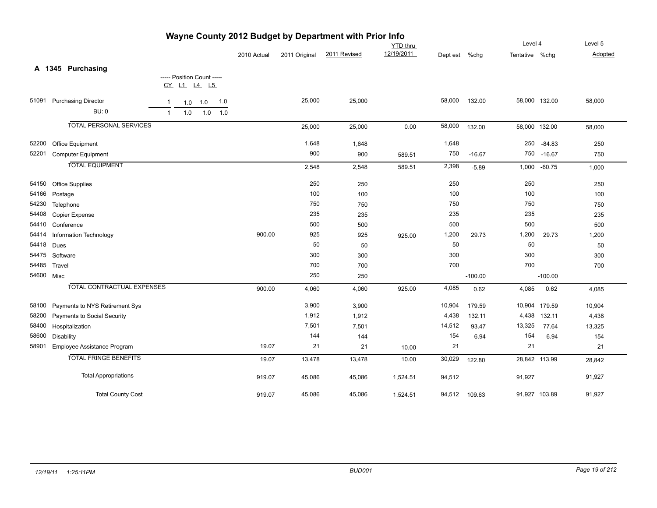| Wayne County 2012 Budget by Department with Prior Info |                                   |                |     |                            |     |             |               |              |                 |          |           |                |            |         |
|--------------------------------------------------------|-----------------------------------|----------------|-----|----------------------------|-----|-------------|---------------|--------------|-----------------|----------|-----------|----------------|------------|---------|
|                                                        |                                   |                |     |                            |     |             |               |              | <b>YTD</b> thru |          |           | Level 4        |            | Level 5 |
|                                                        |                                   |                |     |                            |     | 2010 Actual | 2011 Original | 2011 Revised | 12/19/2011      | Dept est | %chg      | Tentative %chq |            | Adopted |
|                                                        | A 1345 Purchasing                 |                |     |                            |     |             |               |              |                 |          |           |                |            |         |
|                                                        |                                   |                |     | ----- Position Count ----- |     |             |               |              |                 |          |           |                |            |         |
|                                                        |                                   |                |     | CY L1 L4 L5                |     |             |               |              |                 |          |           |                |            |         |
| 51091                                                  | <b>Purchasing Director</b>        | $\overline{1}$ |     | $1.0$ 1.0                  | 1.0 |             | 25,000        | 25,000       |                 | 58,000   | 132.00    | 58,000 132.00  |            | 58,000  |
|                                                        | <b>BU: 0</b>                      | $\mathbf{1}$   | 1.0 | 1.0                        | 1.0 |             |               |              |                 |          |           |                |            |         |
|                                                        | <b>TOTAL PERSONAL SERVICES</b>    |                |     |                            |     |             | 25,000        | 25,000       | 0.00            | 58,000   | 132.00    | 58,000 132.00  |            | 58,000  |
| 52200                                                  | Office Equipment                  |                |     |                            |     |             | 1,648         | 1,648        |                 | 1,648    |           | 250            | $-84.83$   | 250     |
| 52201                                                  | <b>Computer Equipment</b>         |                |     |                            |     |             | 900           | 900          | 589.51          | 750      | $-16.67$  |                | 750 -16.67 | 750     |
|                                                        | <b>TOTAL EQUIPMENT</b>            |                |     |                            |     |             | 2,548         | 2,548        | 589.51          | 2,398    | $-5.89$   | 1,000          | $-60.75$   | 1,000   |
| 54150                                                  | <b>Office Supplies</b>            |                |     |                            |     |             | 250           | 250          |                 | 250      |           | 250            |            | 250     |
| 54166                                                  | Postage                           |                |     |                            |     |             | 100           | 100          |                 | 100      |           | 100            |            | 100     |
| 54230                                                  | Telephone                         |                |     |                            |     |             | 750           | 750          |                 | 750      |           | 750            |            | 750     |
| 54408                                                  | Copier Expense                    |                |     |                            |     |             | 235           | 235          |                 | 235      |           | 235            |            | 235     |
| 54410                                                  | Conference                        |                |     |                            |     |             | 500           | 500          |                 | 500      |           | 500            |            | 500     |
| 54414                                                  | Information Technology            |                |     |                            |     | 900.00      | 925           | 925          | 925.00          | 1,200    | 29.73     | 1,200          | 29.73      | 1,200   |
| 54418                                                  | Dues                              |                |     |                            |     |             | 50            | 50           |                 | 50       |           | 50             |            | 50      |
| 54475                                                  | Software                          |                |     |                            |     |             | 300           | 300          |                 | 300      |           | 300            |            | 300     |
| 54485                                                  | Travel                            |                |     |                            |     |             | 700           | 700          |                 | 700      |           | 700            |            | 700     |
|                                                        | 54600 Misc                        |                |     |                            |     |             | 250           | 250          |                 |          | $-100.00$ |                | $-100.00$  |         |
|                                                        | <b>TOTAL CONTRACTUAL EXPENSES</b> |                |     |                            |     | 900.00      | 4,060         | 4,060        | 925.00          | 4,085    | 0.62      | 4,085          | 0.62       | 4,085   |
| 58100                                                  | Payments to NYS Retirement Sys    |                |     |                            |     |             | 3,900         | 3,900        |                 | 10,904   | 179.59    | 10,904         | 179.59     | 10,904  |
| 58200                                                  | Payments to Social Security       |                |     |                            |     |             | 1,912         | 1,912        |                 | 4,438    | 132.11    | 4,438          | 132.11     | 4,438   |
| 58400                                                  | Hospitalization                   |                |     |                            |     |             | 7,501         | 7,501        |                 | 14,512   | 93.47     | 13,325         | 77.64      | 13,325  |
| 58600                                                  | Disability                        |                |     |                            |     |             | 144           | 144          |                 | 154      | 6.94      | 154            | 6.94       | 154     |
| 58901                                                  | Employee Assistance Program       |                |     |                            |     | 19.07       | 21            | 21           | 10.00           | 21       |           | 21             |            | 21      |
|                                                        | <b>TOTAL FRINGE BENEFITS</b>      |                |     |                            |     | 19.07       | 13,478        | 13,478       | 10.00           | 30,029   | 122.80    | 28,842 113.99  |            | 28,842  |
|                                                        | <b>Total Appropriations</b>       |                |     |                            |     | 919.07      | 45,086        | 45,086       | 1,524.51        | 94,512   |           | 91,927         |            | 91,927  |
|                                                        | <b>Total County Cost</b>          |                |     |                            |     | 919.07      | 45,086        | 45,086       | 1,524.51        | 94,512   | 109.63    | 91,927 103.89  |            | 91,927  |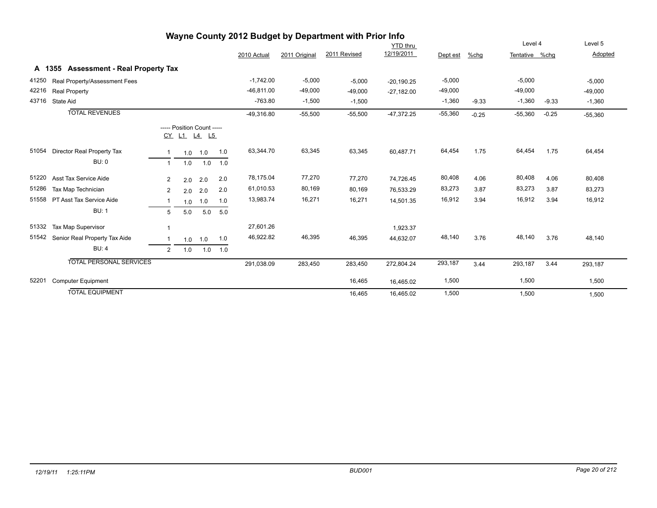|       |                                       |                |                                                  |           |     |              |               | Wayne County 2012 Budget by Department with Prior Info |              |           |         |                |         |           |
|-------|---------------------------------------|----------------|--------------------------------------------------|-----------|-----|--------------|---------------|--------------------------------------------------------|--------------|-----------|---------|----------------|---------|-----------|
|       |                                       |                |                                                  |           |     |              |               |                                                        | YTD thru     |           |         | Level 4        |         | Level 5   |
|       |                                       |                |                                                  |           |     | 2010 Actual  | 2011 Original | 2011 Revised                                           | 12/19/2011   | Dept est  | %chq    | Tentative %chg |         | Adopted   |
|       | A 1355 Assessment - Real Property Tax |                |                                                  |           |     |              |               |                                                        |              |           |         |                |         |           |
| 41250 | Real Property/Assessment Fees         |                |                                                  |           |     | $-1,742.00$  | $-5,000$      | $-5,000$                                               | $-20,190.25$ | $-5,000$  |         | $-5,000$       |         | $-5,000$  |
| 42216 | <b>Real Property</b>                  |                |                                                  |           |     | $-46,811.00$ | $-49,000$     | $-49,000$                                              | $-27,182.00$ | $-49,000$ |         | $-49,000$      |         | $-49,000$ |
| 43716 | State Aid                             |                |                                                  |           |     | $-763.80$    | $-1,500$      | $-1,500$                                               |              | $-1,360$  | $-9.33$ | $-1,360$       | $-9.33$ | $-1,360$  |
|       | <b>TOTAL REVENUES</b>                 |                |                                                  |           |     | $-49,316.80$ | $-55,500$     | $-55,500$                                              | $-47,372.25$ | $-55,360$ | $-0.25$ | $-55,360$      | $-0.25$ | $-55,360$ |
|       |                                       |                | ----- Position Count -----<br><u>CY L1 L4 L5</u> |           |     |              |               |                                                        |              |           |         |                |         |           |
| 51054 | Director Real Property Tax            | $\mathbf 1$    |                                                  | $1.0$ 1.0 | 1.0 | 63,344.70    | 63,345        | 63,345                                                 | 60,487.71    | 64,454    | 1.75    | 64,454         | 1.75    | 64,454    |
|       | <b>BU: 0</b>                          | $\overline{1}$ | 1.0                                              | 1.0       | 1.0 |              |               |                                                        |              |           |         |                |         |           |
| 51220 | Asst Tax Service Aide                 | $\overline{2}$ | 2.0                                              | 2.0       | 2.0 | 78,175.04    | 77,270        | 77,270                                                 | 74,726.45    | 80,408    | 4.06    | 80,408         | 4.06    | 80,408    |
| 51286 | Tax Map Technician                    | $\overline{2}$ | 2.0                                              | 2.0       | 2.0 | 61,010.53    | 80,169        | 80,169                                                 | 76,533.29    | 83,273    | 3.87    | 83,273         | 3.87    | 83,273    |
| 51558 | PT Asst Tax Service Aide              | -1             | 1.0                                              | 1.0       | 1.0 | 13,983.74    | 16,271        | 16,271                                                 | 14,501.35    | 16,912    | 3.94    | 16,912         | 3.94    | 16,912    |
|       | <b>BU: 1</b>                          | 5              | 5.0                                              | 5.0       | 5.0 |              |               |                                                        |              |           |         |                |         |           |
| 51332 | Tax Map Supervisor                    | 1              |                                                  |           |     | 27,601.26    |               |                                                        | 1,923.37     |           |         |                |         |           |
| 51542 | Senior Real Property Tax Aide         | -1             |                                                  | $1.0$ 1.0 | 1.0 | 46,922.82    | 46,395        | 46,395                                                 | 44,632.07    | 48,140    | 3.76    | 48,140         | 3.76    | 48,140    |
|       | BU:4                                  | 2              | 1.0                                              | 1.0       | 1.0 |              |               |                                                        |              |           |         |                |         |           |
|       | <b>TOTAL PERSONAL SERVICES</b>        |                |                                                  |           |     | 291,038.09   | 283,450       | 283,450                                                | 272,804.24   | 293,187   | 3.44    | 293,187        | 3.44    | 293,187   |
| 52201 | <b>Computer Equipment</b>             |                |                                                  |           |     |              |               | 16,465                                                 | 16,465.02    | 1,500     |         | 1,500          |         | 1,500     |
|       | <b>TOTAL EQUIPMENT</b>                |                |                                                  |           |     |              |               | 16,465                                                 | 16,465.02    | 1,500     |         | 1,500          |         | 1,500     |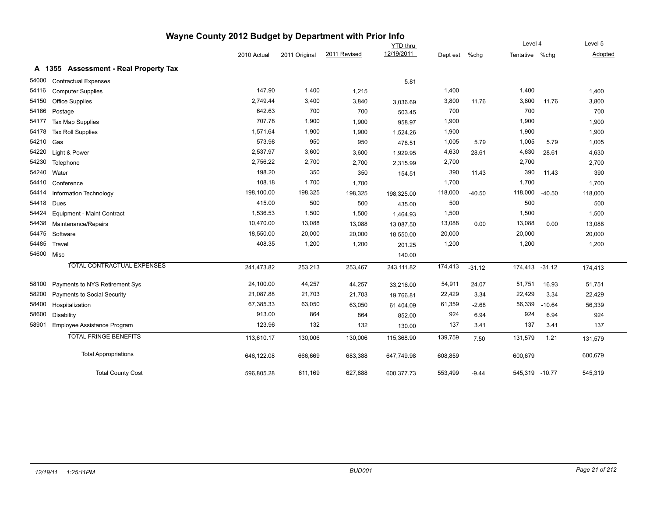|       |                                       | Wayne County 2012 Budget by Department with Prior Info |               |              |                 |          |          |                |          |         |  |
|-------|---------------------------------------|--------------------------------------------------------|---------------|--------------|-----------------|----------|----------|----------------|----------|---------|--|
|       |                                       |                                                        |               |              | <b>YTD</b> thru |          |          | Level 4        |          | Level 5 |  |
|       |                                       | 2010 Actual                                            | 2011 Original | 2011 Revised | 12/19/2011      | Dept est | %chg     | Tentative %chg |          | Adopted |  |
|       | A 1355 Assessment - Real Property Tax |                                                        |               |              |                 |          |          |                |          |         |  |
| 54000 | <b>Contractual Expenses</b>           |                                                        |               |              | 5.81            |          |          |                |          |         |  |
| 54116 | <b>Computer Supplies</b>              | 147.90                                                 | 1,400         | 1,215        |                 | 1,400    |          | 1,400          |          | 1,400   |  |
| 54150 | <b>Office Supplies</b>                | 2,749.44                                               | 3,400         | 3,840        | 3,036.69        | 3,800    | 11.76    | 3,800          | 11.76    | 3,800   |  |
| 54166 | Postage                               | 642.63                                                 | 700           | 700          | 503.45          | 700      |          | 700            |          | 700     |  |
| 54177 | Tax Map Supplies                      | 707.78                                                 | 1,900         | 1,900        | 958.97          | 1,900    |          | 1,900          |          | 1,900   |  |
| 54178 | <b>Tax Roll Supplies</b>              | 1,571.64                                               | 1,900         | 1,900        | 1,524.26        | 1,900    |          | 1,900          |          | 1,900   |  |
| 54210 | Gas                                   | 573.98                                                 | 950           | 950          | 478.51          | 1,005    | 5.79     | 1,005          | 5.79     | 1,005   |  |
| 54220 | Light & Power                         | 2,537.97                                               | 3,600         | 3,600        | 1,929.95        | 4,630    | 28.61    | 4,630          | 28.61    | 4,630   |  |
| 54230 | Telephone                             | 2,756.22                                               | 2,700         | 2,700        | 2,315.99        | 2,700    |          | 2,700          |          | 2,700   |  |
| 54240 | Water                                 | 198.20                                                 | 350           | 350          | 154.51          | 390      | 11.43    | 390            | 11.43    | 390     |  |
| 54410 | Conference                            | 108.18                                                 | 1,700         | 1,700        |                 | 1,700    |          | 1,700          |          | 1,700   |  |
| 54414 | Information Technology                | 198,100.00                                             | 198,325       | 198,325      | 198,325.00      | 118,000  | $-40.50$ | 118,000        | $-40.50$ | 118,000 |  |
| 54418 | Dues                                  | 415.00                                                 | 500           | 500          | 435.00          | 500      |          | 500            |          | 500     |  |
| 54424 | Equipment - Maint Contract            | 1,536.53                                               | 1,500         | 1,500        | 1,464.93        | 1,500    |          | 1,500          |          | 1,500   |  |
| 54438 | Maintenance/Repairs                   | 10,470.00                                              | 13,088        | 13,088       | 13,087.50       | 13,088   | 0.00     | 13,088         | 0.00     | 13,088  |  |
| 54475 | Software                              | 18,550.00                                              | 20,000        | 20,000       | 18,550.00       | 20,000   |          | 20,000         |          | 20,000  |  |
| 54485 | Travel                                | 408.35                                                 | 1,200         | 1,200        | 201.25          | 1,200    |          | 1,200          |          | 1,200   |  |
|       | 54600 Misc                            |                                                        |               |              | 140.00          |          |          |                |          |         |  |
|       | <b>TOTAL CONTRACTUAL EXPENSES</b>     | 241,473.82                                             | 253,213       | 253,467      | 243,111.82      | 174,413  | $-31.12$ | 174,413 -31.12 |          | 174,413 |  |
| 58100 | Payments to NYS Retirement Sys        | 24,100.00                                              | 44,257        | 44,257       | 33,216.00       | 54,911   | 24.07    | 51,751         | 16.93    | 51,751  |  |
| 58200 | Payments to Social Security           | 21,087.88                                              | 21,703        | 21,703       | 19,766.81       | 22,429   | 3.34     | 22,429         | 3.34     | 22,429  |  |
| 58400 | Hospitalization                       | 67,385.33                                              | 63,050        | 63,050       | 61,404.09       | 61,359   | $-2.68$  | 56,339         | $-10.64$ | 56,339  |  |
| 58600 | <b>Disability</b>                     | 913.00                                                 | 864           | 864          | 852.00          | 924      | 6.94     | 924            | 6.94     | 924     |  |
| 58901 | <b>Employee Assistance Program</b>    | 123.96                                                 | 132           | 132          | 130.00          | 137      | 3.41     | 137            | 3.41     | 137     |  |
|       | <b>TOTAL FRINGE BENEFITS</b>          | 113,610.17                                             | 130,006       | 130,006      | 115,368.90      | 139,759  | 7.50     | 131,579        | 1.21     | 131,579 |  |
|       | <b>Total Appropriations</b>           | 646,122.08                                             | 666,669       | 683,388      | 647,749.98      | 608,859  |          | 600,679        |          | 600,679 |  |
|       | <b>Total County Cost</b>              | 596,805.28                                             | 611,169       | 627,888      | 600,377.73      | 553,499  | $-9.44$  | 545,319 -10.77 |          | 545,319 |  |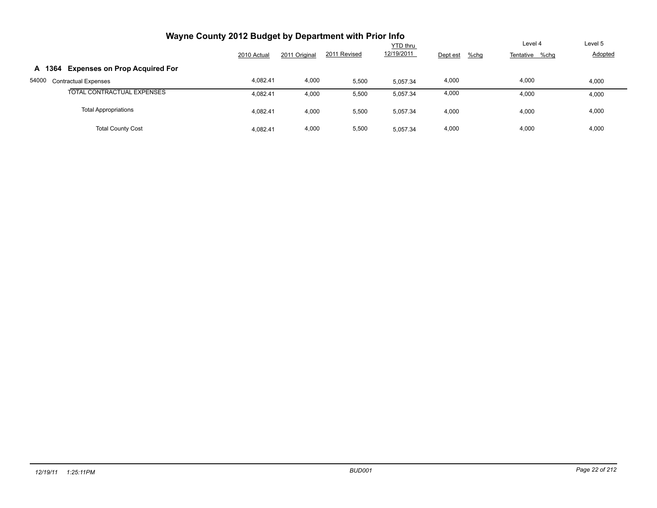| Wayne County 2012 Budget by Department with Prior Info |             |               |              |                 |                  |                |         |
|--------------------------------------------------------|-------------|---------------|--------------|-----------------|------------------|----------------|---------|
|                                                        |             |               |              | <b>YTD thru</b> |                  | Level 4        | Level 5 |
|                                                        | 2010 Actual | 2011 Original | 2011 Revised | 12/19/2011      | Dept est<br>%chg | Tentative %chg | Adopted |
| <b>Expenses on Prop Acquired For</b><br>A 1364         |             |               |              |                 |                  |                |         |
| 54000<br><b>Contractual Expenses</b>                   | 4.082.41    | 4,000         | 5,500        | 5.057.34        | 4,000            | 4,000          | 4,000   |
| TOTAL CONTRACTUAL EXPENSES                             | 4.082.41    | 4,000         | 5,500        | 5.057.34        | 4,000            | 4,000          | 4,000   |
| <b>Total Appropriations</b>                            | 4.082.41    | 4,000         | 5,500        | 5.057.34        | 4,000            | 4,000          | 4,000   |
| <b>Total County Cost</b>                               | 4.082.41    | 4,000         | 5,500        | 5.057.34        | 4,000            | 4,000          | 4,000   |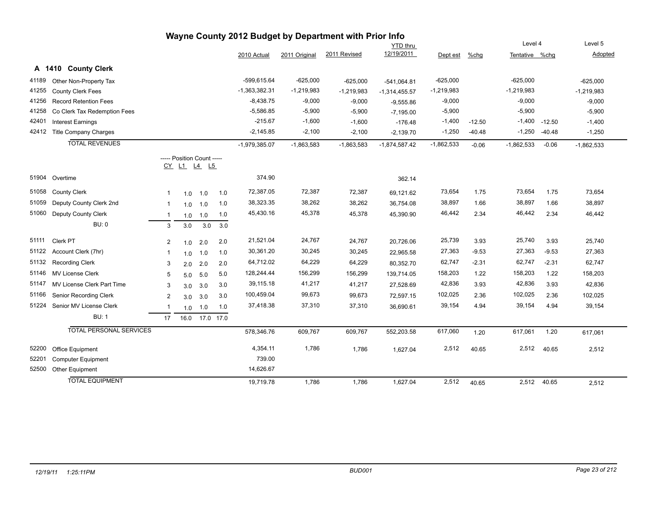| Wayne County 2012 Budget by Department with Prior Info |                                |                |                                           |           |     |                 |               |              |                 |              |          |                |          |              |
|--------------------------------------------------------|--------------------------------|----------------|-------------------------------------------|-----------|-----|-----------------|---------------|--------------|-----------------|--------------|----------|----------------|----------|--------------|
|                                                        |                                |                |                                           |           |     |                 |               |              | <b>YTD thru</b> |              |          | Level 4        |          | Level 5      |
|                                                        |                                |                |                                           |           |     | 2010 Actual     | 2011 Original | 2011 Revised | 12/19/2011      | Dept est     | $%$ chg  | Tentative %chg |          | Adopted      |
|                                                        | A 1410 County Clerk            |                |                                           |           |     |                 |               |              |                 |              |          |                |          |              |
| 41189                                                  | Other Non-Property Tax         |                |                                           |           |     | -599,615.64     | $-625,000$    | $-625,000$   | $-541,064.81$   | $-625,000$   |          | $-625,000$     |          | $-625,000$   |
| 41255                                                  | <b>County Clerk Fees</b>       |                |                                           |           |     | $-1,363,382.31$ | $-1,219,983$  | $-1,219,983$ | $-1,314,455.57$ | $-1,219,983$ |          | $-1,219,983$   |          | $-1,219,983$ |
| 41256                                                  | <b>Record Retention Fees</b>   |                |                                           |           |     | $-8,438.75$     | $-9,000$      | $-9,000$     | $-9,555.86$     | $-9,000$     |          | $-9,000$       |          | $-9,000$     |
| 41258                                                  | Co Clerk Tax Redemption Fees   |                |                                           |           |     | $-5,586.85$     | $-5,900$      | $-5,900$     | $-7,195.00$     | $-5,900$     |          | $-5,900$       |          | $-5,900$     |
| 42401                                                  | <b>Interest Earnings</b>       |                |                                           |           |     | $-215.67$       | $-1,600$      | $-1,600$     | $-176.48$       | $-1,400$     | $-12.50$ | $-1,400$       | $-12.50$ | $-1,400$     |
| 42412                                                  | <b>Title Company Charges</b>   |                |                                           |           |     | $-2,145.85$     | $-2,100$      | $-2,100$     | $-2,139.70$     | $-1,250$     | $-40.48$ | $-1,250$       | $-40.48$ | $-1,250$     |
|                                                        | <b>TOTAL REVENUES</b>          |                |                                           |           |     | $-1,979,385.07$ | $-1,863,583$  | $-1,863,583$ | $-1,874,587.42$ | $-1,862,533$ | $-0.06$  | $-1,862,533$   | $-0.06$  | $-1,862,533$ |
|                                                        |                                |                | ----- Position Count -----<br>CY L1 L4 L5 |           |     |                 |               |              |                 |              |          |                |          |              |
| 51904                                                  | Overtime                       |                |                                           |           |     | 374.90          |               |              | 362.14          |              |          |                |          |              |
| 51058                                                  | <b>County Clerk</b>            | $\mathbf{1}$   | 1.0                                       | 1.0       | 1.0 | 72,387.05       | 72,387        | 72,387       | 69,121.62       | 73,654       | 1.75     | 73,654         | 1.75     | 73,654       |
| 51059                                                  | Deputy County Clerk 2nd        | $\mathbf{1}$   | 1.0                                       | 1.0       | 1.0 | 38,323.35       | 38,262        | 38,262       | 36,754.08       | 38,897       | 1.66     | 38,897         | 1.66     | 38,897       |
| 51060                                                  | Deputy County Clerk            | $\mathbf{1}$   | 1.0                                       | 1.0       | 1.0 | 45,430.16       | 45,378        | 45,378       | 45,390.90       | 46,442       | 2.34     | 46,442         | 2.34     | 46,442       |
|                                                        | <b>BU: 0</b>                   | 3              | 3.0                                       | 3.0       | 3.0 |                 |               |              |                 |              |          |                |          |              |
| 51111                                                  | Clerk PT                       | 2              | 1.0                                       | 2.0       | 2.0 | 21,521.04       | 24,767        | 24,767       | 20,726.06       | 25,739       | 3.93     | 25,740         | 3.93     | 25,740       |
| 51122                                                  | Account Clerk (7hr)            | -1             | 1.0                                       | 1.0       | 1.0 | 30,361.20       | 30,245        | 30,245       | 22,965.58       | 27,363       | $-9.53$  | 27,363         | $-9.53$  | 27,363       |
| 51132                                                  | <b>Recording Clerk</b>         | 3              | 2.0                                       | 2.0       | 2.0 | 64,712.02       | 64,229        | 64,229       | 80,352.70       | 62,747       | $-2.31$  | 62,747         | $-2.31$  | 62,747       |
| 51146                                                  | <b>MV License Clerk</b>        | 5              | 5.0                                       | 5.0       | 5.0 | 128,244.44      | 156,299       | 156,299      | 139,714.05      | 158,203      | 1.22     | 158,203        | 1.22     | 158,203      |
| 51147                                                  | MV License Clerk Part Time     | 3              | 3.0                                       | 3.0       | 3.0 | 39,115.18       | 41,217        | 41,217       | 27,528.69       | 42,836       | 3.93     | 42,836         | 3.93     | 42,836       |
| 51166                                                  | Senior Recording Clerk         | $\overline{2}$ | 3.0                                       | 3.0       | 3.0 | 100,459.04      | 99,673        | 99,673       | 72,597.15       | 102,025      | 2.36     | 102,025        | 2.36     | 102,025      |
| 51224                                                  | Senior MV License Clerk        |                | 1.0                                       | 1.0       | 1.0 | 37,418.38       | 37,310        | 37,310       | 36,690.61       | 39,154       | 4.94     | 39,154         | 4.94     | 39,154       |
|                                                        | <b>BU: 1</b>                   | 17             | 16.0                                      | 17.0 17.0 |     |                 |               |              |                 |              |          |                |          |              |
|                                                        | <b>TOTAL PERSONAL SERVICES</b> |                |                                           |           |     | 578,346.76      | 609,767       | 609,767      | 552,203.58      | 617,060      | 1.20     | 617,061        | 1.20     | 617,061      |
| 52200                                                  | Office Equipment               |                |                                           |           |     | 4,354.11        | 1,786         | 1,786        | 1,627.04        | 2,512        | 40.65    | 2,512          | 40.65    | 2,512        |
| 52201                                                  | <b>Computer Equipment</b>      |                |                                           |           |     | 739.00          |               |              |                 |              |          |                |          |              |
| 52500                                                  | Other Equipment                |                |                                           |           |     | 14,626.67       |               |              |                 |              |          |                |          |              |
|                                                        | <b>TOTAL EQUIPMENT</b>         |                |                                           |           |     | 19,719.78       | 1,786         | 1,786        | 1,627.04        | 2,512        | 40.65    | 2,512          | 40.65    | 2,512        |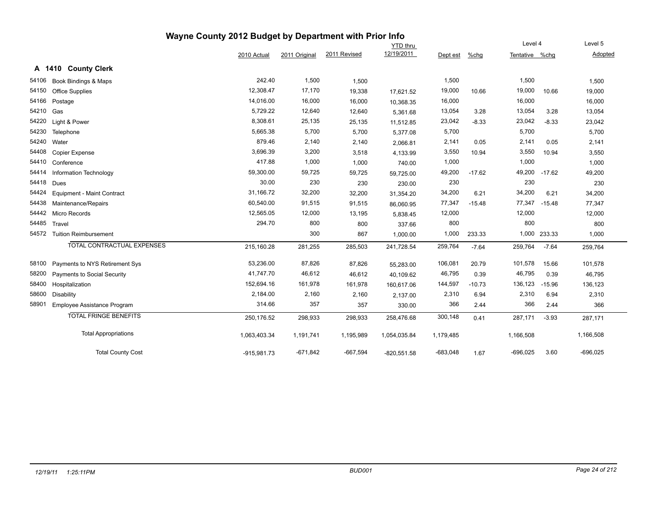|       |                                | Wayne County 2012 Budget by Department with Prior Info |               |              |                 |            |          |                |              |            |
|-------|--------------------------------|--------------------------------------------------------|---------------|--------------|-----------------|------------|----------|----------------|--------------|------------|
|       |                                |                                                        |               |              | <b>YTD</b> thru |            |          | Level 4        |              | Level 5    |
|       |                                | 2010 Actual                                            | 2011 Original | 2011 Revised | 12/19/2011      | Dept est   | $%$ chg  | Tentative %chg |              | Adopted    |
|       | A 1410 County Clerk            |                                                        |               |              |                 |            |          |                |              |            |
| 54106 | Book Bindings & Maps           | 242.40                                                 | 1,500         | 1,500        |                 | 1,500      |          | 1,500          |              | 1,500      |
| 54150 | <b>Office Supplies</b>         | 12,308.47                                              | 17,170        | 19,338       | 17,621.52       | 19,000     | 10.66    | 19,000         | 10.66        | 19,000     |
| 54166 | Postage                        | 14,016.00                                              | 16,000        | 16,000       | 10,368.35       | 16,000     |          | 16,000         |              | 16,000     |
| 54210 | Gas                            | 5,729.22                                               | 12,640        | 12,640       | 5,361.68        | 13,054     | 3.28     | 13,054         | 3.28         | 13,054     |
| 54220 | Light & Power                  | 8,308.61                                               | 25,135        | 25,135       | 11,512.85       | 23,042     | $-8.33$  | 23,042         | $-8.33$      | 23,042     |
| 54230 | Telephone                      | 5,665.38                                               | 5,700         | 5,700        | 5,377.08        | 5,700      |          | 5,700          |              | 5,700      |
| 54240 | Water                          | 879.46                                                 | 2,140         | 2,140        | 2,066.81        | 2,141      | 0.05     | 2,141          | 0.05         | 2,141      |
| 54408 | <b>Copier Expense</b>          | 3,696.39                                               | 3,200         | 3,518        | 4,133.99        | 3,550      | 10.94    | 3,550          | 10.94        | 3,550      |
| 54410 | Conference                     | 417.88                                                 | 1,000         | 1,000        | 740.00          | 1,000      |          | 1,000          |              | 1,000      |
| 54414 | Information Technology         | 59,300.00                                              | 59,725        | 59,725       | 59,725.00       | 49,200     | $-17.62$ | 49,200         | $-17.62$     | 49,200     |
| 54418 | Dues                           | 30.00                                                  | 230           | 230          | 230.00          | 230        |          | 230            |              | 230        |
| 54424 | Equipment - Maint Contract     | 31,166.72                                              | 32,200        | 32,200       | 31,354.20       | 34,200     | 6.21     | 34,200         | 6.21         | 34,200     |
| 54438 | Maintenance/Repairs            | 60,540.00                                              | 91,515        | 91,515       | 86,060.95       | 77,347     | $-15.48$ | 77,347         | $-15.48$     | 77,347     |
| 54442 | Micro Records                  | 12,565.05                                              | 12,000        | 13,195       | 5,838.45        | 12,000     |          | 12,000         |              | 12,000     |
| 54485 | Travel                         | 294.70                                                 | 800           | 800          | 337.66          | 800        |          | 800            |              | 800        |
| 54572 | <b>Tuition Reimbursement</b>   |                                                        | 300           | 867          | 1,000.00        | 1,000      | 233.33   |                | 1,000 233.33 | 1,000      |
|       | TOTAL CONTRACTUAL EXPENSES     | 215,160.28                                             | 281,255       | 285,503      | 241,728.54      | 259,764    | $-7.64$  | 259,764        | $-7.64$      | 259,764    |
| 58100 | Payments to NYS Retirement Sys | 53,236.00                                              | 87,826        | 87,826       | 55,283.00       | 106,081    | 20.79    | 101,578        | 15.66        | 101,578    |
| 58200 | Payments to Social Security    | 41,747.70                                              | 46,612        | 46,612       | 40,109.62       | 46,795     | 0.39     | 46,795         | 0.39         | 46,795     |
| 58400 | Hospitalization                | 152,694.16                                             | 161,978       | 161,978      | 160,617.06      | 144,597    | $-10.73$ | 136,123        | $-15.96$     | 136,123    |
| 58600 | Disability                     | 2,184.00                                               | 2,160         | 2,160        | 2,137.00        | 2,310      | 6.94     | 2,310          | 6.94         | 2,310      |
| 58901 | Employee Assistance Program    | 314.66                                                 | 357           | 357          | 330.00          | 366        | 2.44     | 366            | 2.44         | 366        |
|       | <b>TOTAL FRINGE BENEFITS</b>   | 250,176.52                                             | 298,933       | 298,933      | 258,476.68      | 300,148    | 0.41     | 287,171        | $-3.93$      | 287,171    |
|       | <b>Total Appropriations</b>    | 1,063,403.34                                           | 1,191,741     | 1,195,989    | 1,054,035.84    | 1,179,485  |          | 1,166,508      |              | 1,166,508  |
|       | <b>Total County Cost</b>       | $-915,981.73$                                          | $-671,842$    | $-667,594$   | $-820,551.58$   | $-683,048$ | 1.67     | $-696,025$     | 3.60         | $-696,025$ |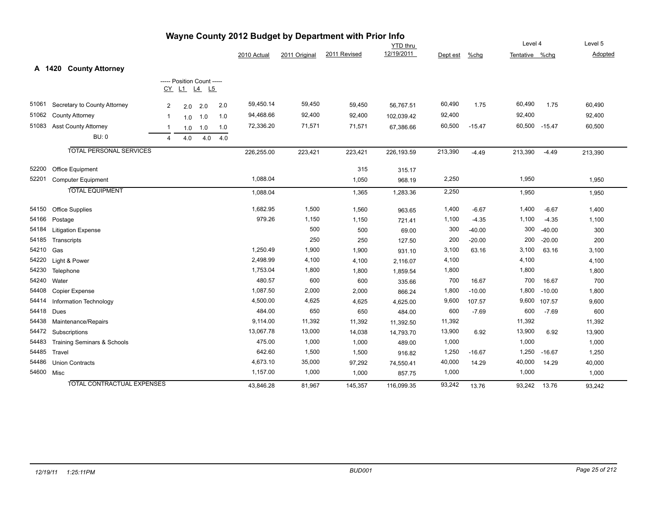|            | wayne County 2012 Budget by Department with Prior Info |                |                            |     |     | Level 4     | Level 5       |              |                               |          |          |                |          |         |
|------------|--------------------------------------------------------|----------------|----------------------------|-----|-----|-------------|---------------|--------------|-------------------------------|----------|----------|----------------|----------|---------|
|            |                                                        |                |                            |     |     | 2010 Actual | 2011 Original | 2011 Revised | <b>YTD</b> thru<br>12/19/2011 | Dept est | $%$ chg  | Tentative %chg |          | Adopted |
|            |                                                        |                |                            |     |     |             |               |              |                               |          |          |                |          |         |
|            | <b>County Attorney</b><br>A 1420                       |                |                            |     |     |             |               |              |                               |          |          |                |          |         |
|            |                                                        |                | ----- Position Count ----- |     |     |             |               |              |                               |          |          |                |          |         |
|            |                                                        |                | CY L1 L4 L5                |     |     |             |               |              |                               |          |          |                |          |         |
| 51061      | Secretary to County Attorney                           | 2              | 2.0                        | 2.0 | 2.0 | 59,450.14   | 59,450        | 59,450       | 56,767.51                     | 60,490   | 1.75     | 60,490         | 1.75     | 60,490  |
| 51062      | <b>County Attorney</b>                                 | -1             | 1.0                        | 1.0 | 1.0 | 94,468.66   | 92,400        | 92,400       | 102,039.42                    | 92,400   |          | 92,400         |          | 92,400  |
| 51083      | <b>Asst County Attorney</b>                            | $\mathbf{1}$   | 1.0                        | 1.0 | 1.0 | 72,336.20   | 71,571        | 71,571       | 67,386.66                     | 60,500   | $-15.47$ | 60,500 -15.47  |          | 60,500  |
|            | <b>BU: 0</b>                                           | $\overline{4}$ | 4.0                        | 4.0 | 4.0 |             |               |              |                               |          |          |                |          |         |
|            | <b>TOTAL PERSONAL SERVICES</b>                         |                |                            |     |     | 226,255.00  | 223,421       | 223,421      | 226,193.59                    | 213,390  | $-4.49$  | 213,390        | $-4.49$  | 213,390 |
|            |                                                        |                |                            |     |     |             |               |              |                               |          |          |                |          |         |
| 52200      | Office Equipment                                       |                |                            |     |     |             |               | 315          | 315.17                        |          |          |                |          |         |
| 52201      | <b>Computer Equipment</b>                              |                |                            |     |     | 1,088.04    |               | 1,050        | 968.19                        | 2,250    |          | 1,950          |          | 1,950   |
|            | <b>TOTAL EQUIPMENT</b>                                 |                |                            |     |     | 1,088.04    |               | 1,365        | 1,283.36                      | 2,250    |          | 1,950          |          | 1,950   |
| 54150      | <b>Office Supplies</b>                                 |                |                            |     |     | 1,682.95    | 1,500         | 1,560        | 963.65                        | 1,400    | $-6.67$  | 1,400          | $-6.67$  | 1,400   |
| 54166      | Postage                                                |                |                            |     |     | 979.26      | 1,150         | 1,150        | 721.41                        | 1,100    | $-4.35$  | 1,100          | $-4.35$  | 1,100   |
| 54184      | <b>Litigation Expense</b>                              |                |                            |     |     |             | 500           | 500          | 69.00                         | 300      | $-40.00$ | 300            | $-40.00$ | 300     |
| 54185      | Transcripts                                            |                |                            |     |     |             | 250           | 250          | 127.50                        | 200      | $-20.00$ | 200            | $-20.00$ | 200     |
| 54210      | Gas                                                    |                |                            |     |     | 1,250.49    | 1,900         | 1,900        | 931.10                        | 3,100    | 63.16    | 3,100          | 63.16    | 3,100   |
| 54220      | Light & Power                                          |                |                            |     |     | 2,498.99    | 4,100         | 4,100        | 2,116.07                      | 4,100    |          | 4,100          |          | 4,100   |
| 54230      | Telephone                                              |                |                            |     |     | 1,753.04    | 1,800         | 1,800        | 1,859.54                      | 1,800    |          | 1,800          |          | 1,800   |
| 54240      | Water                                                  |                |                            |     |     | 480.57      | 600           | 600          | 335.66                        | 700      | 16.67    | 700            | 16.67    | 700     |
| 54408      | Copier Expense                                         |                |                            |     |     | 1,087.50    | 2,000         | 2,000        | 866.24                        | 1,800    | $-10.00$ | 1,800          | $-10.00$ | 1,800   |
| 54414      | Information Technology                                 |                |                            |     |     | 4,500.00    | 4,625         | 4,625        | 4,625.00                      | 9,600    | 107.57   | 9,600          | 107.57   | 9,600   |
| 54418      | Dues                                                   |                |                            |     |     | 484.00      | 650           | 650          | 484.00                        | 600      | $-7.69$  | 600            | $-7.69$  | 600     |
| 54438      | Maintenance/Repairs                                    |                |                            |     |     | 9,114.00    | 11,392        | 11,392       | 11,392.50                     | 11,392   |          | 11,392         |          | 11,392  |
| 54472      | Subscriptions                                          |                |                            |     |     | 13,067.78   | 13,000        | 14,038       | 14,793.70                     | 13,900   | 6.92     | 13,900         | 6.92     | 13,900  |
| 54483      | Training Seminars & Schools                            |                |                            |     |     | 475.00      | 1,000         | 1,000        | 489.00                        | 1,000    |          | 1,000          |          | 1,000   |
| 54485      | Travel                                                 |                |                            |     |     | 642.60      | 1,500         | 1,500        | 916.82                        | 1,250    | $-16.67$ | 1,250          | $-16.67$ | 1,250   |
| 54486      | <b>Union Contracts</b>                                 |                |                            |     |     | 4,673.10    | 35,000        | 97,292       | 74,550.41                     | 40,000   | 14.29    | 40,000         | 14.29    | 40,000  |
| 54600 Misc |                                                        |                |                            |     |     | 1,157.00    | 1,000         | 1,000        | 857.75                        | 1,000    |          | 1,000          |          | 1,000   |
|            | <b>TOTAL CONTRACTUAL EXPENSES</b>                      |                |                            |     |     | 43,846.28   | 81,967        | 145,357      | 116,099.35                    | 93,242   | 13.76    | 93,242 13.76   |          | 93,242  |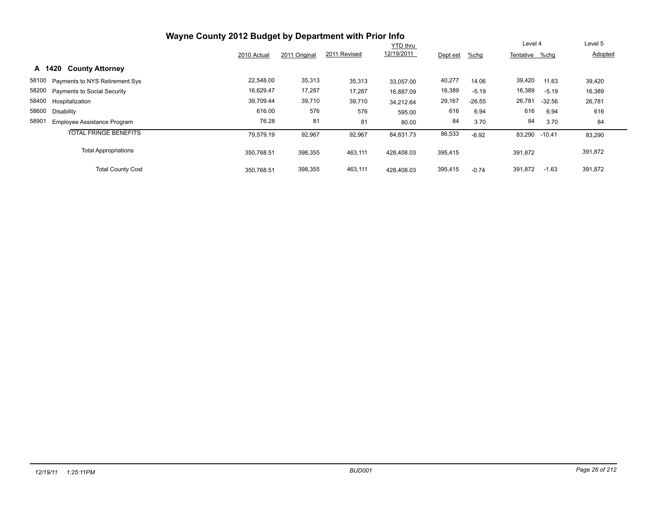| Wayne County 2012 Budget by Department with Prior Info |             |               |              |                 |          |          |                |          |         |
|--------------------------------------------------------|-------------|---------------|--------------|-----------------|----------|----------|----------------|----------|---------|
|                                                        |             |               |              | <b>YTD thru</b> |          |          | Level 4        |          | Level 5 |
|                                                        | 2010 Actual | 2011 Original | 2011 Revised | 12/19/2011      | Dept est | %chg     | Tentative %chg |          | Adopted |
| <b>County Attorney</b><br>A 1420                       |             |               |              |                 |          |          |                |          |         |
| 58100 Payments to NYS Retirement Sys                   | 22,548.00   | 35,313        | 35,313       | 33.057.00       | 40,277   | 14.06    | 39,420         | 11.63    | 39,420  |
| 58200 Payments to Social Security                      | 16,629.47   | 17,287        | 17,287       | 16,887.09       | 16,389   | $-5.19$  | 16,389         | $-5.19$  | 16,389  |
| 58400 Hospitalization                                  | 39,709.44   | 39,710        | 39,710       | 34.212.64       | 29,167   | $-26.55$ | 26,781         | $-32.56$ | 26,781  |
| 58600<br>Disability                                    | 616.00      | 576           | 576          | 595.00          | 616      | 6.94     | 616            | 6.94     | 616     |
| 58901<br><b>Employee Assistance Program</b>            | 76.28       | 81            | 81           | 80.00           | 84       | 3.70     | 84             | 3.70     | 84      |
| <b>TOTAL FRINGE BENEFITS</b>                           | 79,579.19   | 92,967        | 92,967       | 84,831.73       | 86,533   | $-6.92$  | 83,290 -10.41  |          | 83,290  |
| <b>Total Appropriations</b>                            | 350.768.51  | 398,355       | 463,111      | 428.408.03      | 395,415  |          | 391,872        |          | 391,872 |
| <b>Total County Cost</b>                               | 350.768.51  | 398,355       | 463,111      | 428.408.03      | 395,415  | $-0.74$  | 391,872        | $-1.63$  | 391,872 |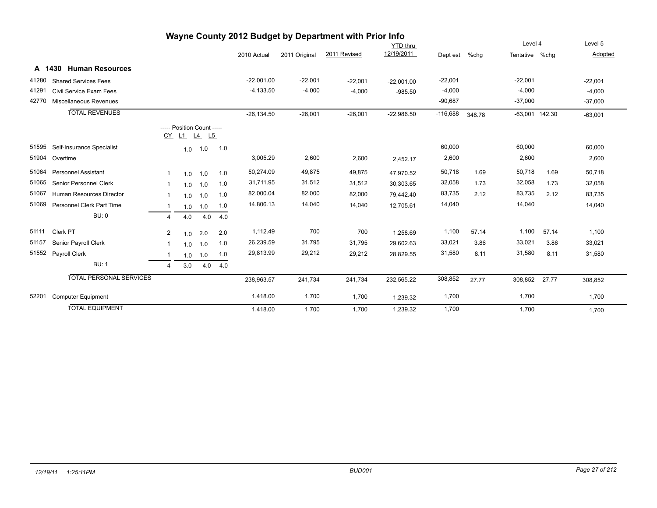| Wayne County 2012 Budget by Department with Prior Info |                                  |                |     |                                        |     |               |               |              |                 |            |        |                  |       |           |
|--------------------------------------------------------|----------------------------------|----------------|-----|----------------------------------------|-----|---------------|---------------|--------------|-----------------|------------|--------|------------------|-------|-----------|
|                                                        |                                  |                |     |                                        |     |               |               |              | <b>YTD</b> thru |            |        | Level 4          |       | Level 5   |
|                                                        |                                  |                |     |                                        |     | 2010 Actual   | 2011 Original | 2011 Revised | 12/19/2011      | Dept est   | %chg   | Tentative %chg   |       | Adopted   |
|                                                        | <b>Human Resources</b><br>A 1430 |                |     |                                        |     |               |               |              |                 |            |        |                  |       |           |
| 41280                                                  | <b>Shared Services Fees</b>      |                |     |                                        |     | $-22,001.00$  | $-22,001$     | $-22,001$    | $-22,001.00$    | $-22,001$  |        | $-22,001$        |       | $-22,001$ |
| 41291                                                  | Civil Service Exam Fees          |                |     |                                        |     | $-4,133.50$   | $-4,000$      | $-4,000$     | $-985.50$       | $-4,000$   |        | $-4.000$         |       | $-4,000$  |
| 42770                                                  | Miscellaneous Revenues           |                |     |                                        |     |               |               |              |                 | $-90,687$  |        | $-37,000$        |       | $-37,000$ |
|                                                        | <b>TOTAL REVENUES</b>            |                |     |                                        |     | $-26, 134.50$ | $-26,001$     | $-26,001$    | $-22,986.50$    | $-116,688$ | 348.78 | $-63,001$ 142.30 |       | $-63,001$ |
|                                                        |                                  | <u>CY</u>      |     | ----- Position Count -----<br>L1 L4 L5 |     |               |               |              |                 |            |        |                  |       |           |
| 51595                                                  | Self-Insurance Specialist        |                | 1.0 | 1.0                                    | 1.0 |               |               |              |                 | 60,000     |        | 60,000           |       | 60,000    |
| 51904                                                  | Overtime                         |                |     |                                        |     | 3,005.29      | 2,600         | 2,600        | 2,452.17        | 2,600      |        | 2,600            |       | 2,600     |
| 51064                                                  | <b>Personnel Assistant</b>       | 1              | 1.0 | 1.0                                    | 1.0 | 50,274.09     | 49,875        | 49,875       | 47,970.52       | 50,718     | 1.69   | 50,718           | 1.69  | 50,718    |
| 51065                                                  | Senior Personnel Clerk           | $\mathbf{1}$   | 1.0 | 1.0                                    | 1.0 | 31,711.95     | 31,512        | 31,512       | 30,303.65       | 32,058     | 1.73   | 32,058           | 1.73  | 32,058    |
| 51067                                                  | <b>Human Resources Director</b>  | -1             | 1.0 | 1.0                                    | 1.0 | 82,000.04     | 82,000        | 82,000       | 79,442.40       | 83,735     | 2.12   | 83,735           | 2.12  | 83,735    |
| 51069                                                  | <b>Personnel Clerk Part Time</b> | -1             | 1.0 | 1.0                                    | 1.0 | 14,806.13     | 14,040        | 14,040       | 12,705.61       | 14,040     |        | 14,040           |       | 14,040    |
|                                                        | BU:0                             | 4              | 4.0 | 4.0                                    | 4.0 |               |               |              |                 |            |        |                  |       |           |
| 51111                                                  | Clerk PT                         | $\overline{2}$ | 1.0 | 2.0                                    | 2.0 | 1,112.49      | 700           | 700          | 1,258.69        | 1,100      | 57.14  | 1,100            | 57.14 | 1,100     |
| 51157                                                  | Senior Payroll Clerk             | 1              | 1.0 | 1.0                                    | 1.0 | 26,239.59     | 31,795        | 31,795       | 29,602.63       | 33,021     | 3.86   | 33,021           | 3.86  | 33,021    |
| 51552                                                  | Payroll Clerk                    | -1             | 1.0 | 1.0                                    | 1.0 | 29,813.99     | 29,212        | 29,212       | 28,829.55       | 31,580     | 8.11   | 31,580           | 8.11  | 31,580    |
|                                                        | <b>BU: 1</b>                     | $\overline{4}$ | 3.0 | 4.0                                    | 4.0 |               |               |              |                 |            |        |                  |       |           |
|                                                        | <b>TOTAL PERSONAL SERVICES</b>   |                |     |                                        |     | 238,963.57    | 241,734       | 241,734      | 232,565.22      | 308,852    | 27.77  | 308,852          | 27.77 | 308,852   |
| 52201                                                  | <b>Computer Equipment</b>        |                |     |                                        |     | 1,418.00      | 1,700         | 1,700        | 1,239.32        | 1,700      |        | 1,700            |       | 1,700     |
|                                                        | <b>TOTAL EQUIPMENT</b>           |                |     |                                        |     | 1,418.00      | 1,700         | 1,700        | 1,239.32        | 1,700      |        | 1,700            |       | 1,700     |

#### *12/19/11 1:25:11PM BUD001 Page 27 of 212*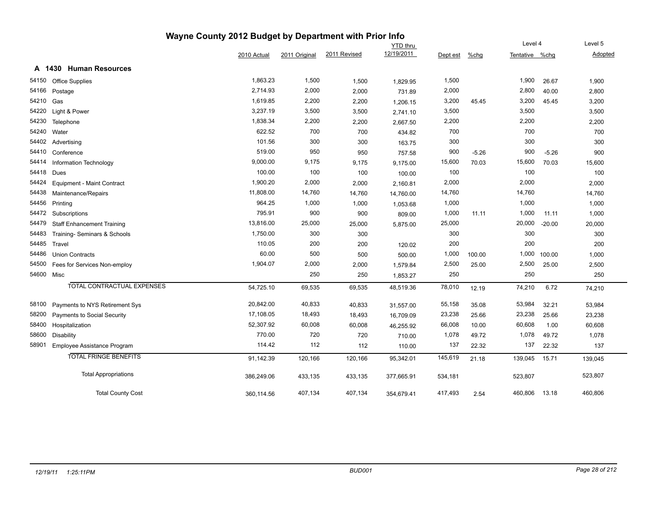|            |                                    | Wayne County 2012 Budget by Department with Prior Info |               |              |                 |          |         |                |          |         |
|------------|------------------------------------|--------------------------------------------------------|---------------|--------------|-----------------|----------|---------|----------------|----------|---------|
|            |                                    |                                                        |               |              | <b>YTD</b> thru |          |         | Level 4        |          | Level 5 |
|            |                                    | 2010 Actual                                            | 2011 Original | 2011 Revised | 12/19/2011      | Dept est | $%$ chg | Tentative %chg |          | Adopted |
|            | A 1430 Human Resources             |                                                        |               |              |                 |          |         |                |          |         |
| 54150      | <b>Office Supplies</b>             | 1,863.23                                               | 1,500         | 1,500        | 1,829.95        | 1,500    |         | 1,900          | 26.67    | 1,900   |
| 54166      | Postage                            | 2,714.93                                               | 2,000         | 2,000        | 731.89          | 2,000    |         | 2,800          | 40.00    | 2,800   |
| 54210      | Gas                                | 1,619.85                                               | 2,200         | 2,200        | 1,206.15        | 3,200    | 45.45   | 3,200          | 45.45    | 3,200   |
| 54220      | Light & Power                      | 3,237.19                                               | 3,500         | 3,500        | 2,741.10        | 3,500    |         | 3,500          |          | 3,500   |
| 54230      | Telephone                          | 1,838.34                                               | 2,200         | 2,200        | 2,667.50        | 2,200    |         | 2,200          |          | 2,200   |
| 54240      | Water                              | 622.52                                                 | 700           | 700          | 434.82          | 700      |         | 700            |          | 700     |
| 54402      | Advertising                        | 101.56                                                 | 300           | 300          | 163.75          | 300      |         | 300            |          | 300     |
| 54410      | Conference                         | 519.00                                                 | 950           | 950          | 757.58          | 900      | $-5.26$ | 900            | $-5.26$  | 900     |
| 54414      | Information Technology             | 9,000.00                                               | 9,175         | 9,175        | 9,175.00        | 15,600   | 70.03   | 15,600         | 70.03    | 15,600  |
| 54418      | Dues                               | 100.00                                                 | 100           | 100          | 100.00          | 100      |         | 100            |          | 100     |
| 54424      | Equipment - Maint Contract         | 1,900.20                                               | 2,000         | 2,000        | 2,160.81        | 2,000    |         | 2,000          |          | 2,000   |
| 54438      | Maintenance/Repairs                | 11,808.00                                              | 14,760        | 14,760       | 14,760.00       | 14,760   |         | 14,760         |          | 14,760  |
| 54456      | Printing                           | 964.25                                                 | 1,000         | 1,000        | 1,053.68        | 1,000    |         | 1,000          |          | 1,000   |
| 54472      | Subscriptions                      | 795.91                                                 | 900           | 900          | 809.00          | 1,000    | 11.11   | 1,000          | 11.11    | 1,000   |
| 54479      | <b>Staff Enhancement Training</b>  | 13,816.00                                              | 25,000        | 25,000       | 5,875.00        | 25,000   |         | 20,000         | $-20.00$ | 20,000  |
| 54483      | Training-Seminars & Schools        | 1,750.00                                               | 300           | 300          |                 | 300      |         | 300            |          | 300     |
| 54485      | Travel                             | 110.05                                                 | 200           | 200          | 120.02          | 200      |         | 200            |          | 200     |
| 54486      | <b>Union Contracts</b>             | 60.00                                                  | 500           | 500          | 500.00          | 1,000    | 100.00  | 1,000          | 100.00   | 1,000   |
| 54500      | Fees for Services Non-employ       | 1,904.07                                               | 2,000         | 2,000        | 1,579.84        | 2,500    | 25.00   | 2,500          | 25.00    | 2,500   |
| 54600 Misc |                                    |                                                        | 250           | 250          | 1,853.27        | 250      |         | 250            |          | 250     |
|            | TOTAL CONTRACTUAL EXPENSES         | 54,725.10                                              | 69,535        | 69,535       | 48,519.36       | 78,010   | 12.19   | 74,210         | 6.72     | 74,210  |
| 58100      | Payments to NYS Retirement Sys     | 20,842.00                                              | 40,833        | 40,833       | 31,557.00       | 55,158   | 35.08   | 53,984         | 32.21    | 53,984  |
| 58200      | <b>Payments to Social Security</b> | 17,108.05                                              | 18,493        | 18,493       | 16,709.09       | 23,238   | 25.66   | 23,238         | 25.66    | 23,238  |
| 58400      | Hospitalization                    | 52,307.92                                              | 60,008        | 60,008       | 46,255.92       | 66,008   | 10.00   | 60,608         | 1.00     | 60,608  |
| 58600      | <b>Disability</b>                  | 770.00                                                 | 720           | 720          | 710.00          | 1,078    | 49.72   | 1,078          | 49.72    | 1,078   |
| 58901      | Employee Assistance Program        | 114.42                                                 | 112           | 112          | 110.00          | 137      | 22.32   | 137            | 22.32    | 137     |
|            | <b>TOTAL FRINGE BENEFITS</b>       | 91,142.39                                              | 120,166       | 120,166      | 95,342.01       | 145,619  | 21.18   | 139,045        | 15.71    | 139,045 |
|            | <b>Total Appropriations</b>        | 386,249.06                                             | 433,135       | 433,135      | 377,665.91      | 534,181  |         | 523,807        |          | 523,807 |
|            | <b>Total County Cost</b>           | 360,114.56                                             | 407,134       | 407,134      | 354,679.41      | 417,493  | 2.54    | 460,806        | 13.18    | 460,806 |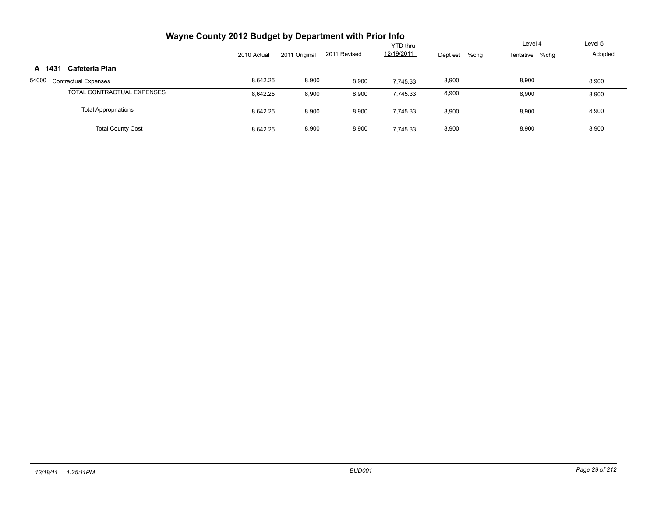|        | Wayne County 2012 Budget by Department with Prior Info |             |               |              |                               |                     |                           |                    |
|--------|--------------------------------------------------------|-------------|---------------|--------------|-------------------------------|---------------------|---------------------------|--------------------|
|        |                                                        | 2010 Actual | 2011 Original | 2011 Revised | <b>YTD</b> thru<br>12/19/2011 | $%$ chg<br>Dept est | Level 4<br>Tentative %chg | Level 5<br>Adopted |
| A 1431 | Cafeteria Plan                                         |             |               |              |                               |                     |                           |                    |
| 54000  | <b>Contractual Expenses</b>                            | 8.642.25    | 8,900         | 8,900        | 7.745.33                      | 8,900               | 8,900                     | 8,900              |
|        | TOTAL CONTRACTUAL EXPENSES                             | 8.642.25    | 8,900         | 8,900        | 7.745.33                      | 8,900               | 8,900                     | 8,900              |
|        | <b>Total Appropriations</b>                            | 8.642.25    | 8,900         | 8,900        | 7,745.33                      | 8,900               | 8,900                     | 8,900              |
|        | <b>Total County Cost</b>                               | 8.642.25    | 8,900         | 8,900        | 7.745.33                      | 8,900               | 8,900                     | 8,900              |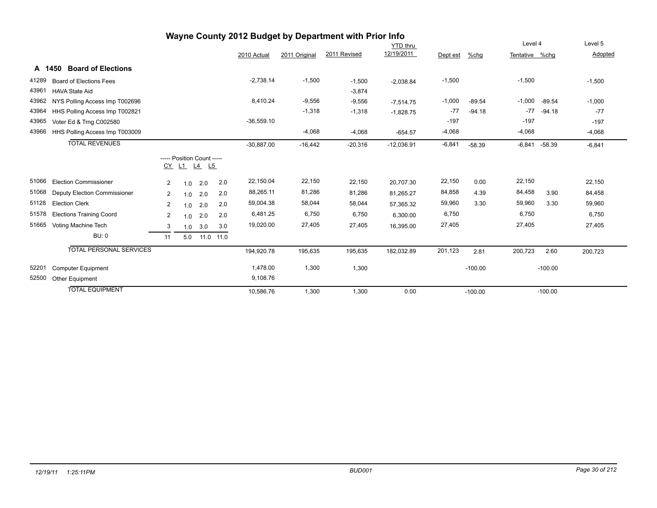| Wayne County 2012 Budget by Department with Prior Info |                                     |                |     |                                              |     |              |               |              |              |          |           |                |           |          |
|--------------------------------------------------------|-------------------------------------|----------------|-----|----------------------------------------------|-----|--------------|---------------|--------------|--------------|----------|-----------|----------------|-----------|----------|
|                                                        |                                     |                |     |                                              |     |              |               |              | YTD thru     |          |           | Level 4        |           | Level 5  |
|                                                        |                                     |                |     |                                              |     | 2010 Actual  | 2011 Original | 2011 Revised | 12/19/2011   | Dept est | %chg      | Tentative %chg |           | Adopted  |
|                                                        | <b>Board of Elections</b><br>A 1450 |                |     |                                              |     |              |               |              |              |          |           |                |           |          |
| 41289                                                  | Board of Elections Fees             |                |     |                                              |     | $-2,738.14$  | $-1,500$      | $-1,500$     | $-2,038.84$  | $-1,500$ |           | $-1,500$       |           | $-1,500$ |
| 43961                                                  | <b>HAVA State Aid</b>               |                |     |                                              |     |              |               | $-3,874$     |              |          |           |                |           |          |
| 43962                                                  | NYS Polling Access Imp T002696      |                |     |                                              |     | 8,410.24     | $-9,556$      | $-9,556$     | $-7,514.75$  | $-1,000$ | $-89.54$  | $-1,000$       | $-89.54$  | $-1,000$ |
| 43964                                                  | HHS Polling Access Imp T002821      |                |     |                                              |     |              | $-1,318$      | $-1,318$     | $-1,828.75$  | $-77$    | $-94.18$  | $-77$          | $-94.18$  | $-77$    |
| 43965                                                  | Voter Ed & Trng C002580             |                |     |                                              |     | $-36,559.10$ |               |              |              | $-197$   |           | $-197$         |           | $-197$   |
| 43966                                                  | HHS Polling Access Imp T003009      |                |     |                                              |     |              | $-4,068$      | $-4,068$     | $-654.57$    | $-4,068$ |           | $-4,068$       |           | $-4,068$ |
|                                                        | <b>TOTAL REVENUES</b>               |                |     |                                              |     | $-30,887.00$ | $-16,442$     | $-20,316$    | $-12,036.91$ | $-6,841$ | $-58.39$  | $-6,841$       | $-58.39$  | $-6,841$ |
|                                                        |                                     | <u>CY</u>      |     | ----- Position Count -----<br>$L1$ $L4$ $L5$ |     |              |               |              |              |          |           |                |           |          |
| 51066                                                  | <b>Election Commissioner</b>        | $\overline{2}$ | 1.0 | 2.0                                          | 2.0 | 22,150.04    | 22,150        | 22,150       | 20,707.30    | 22,150   | 0.00      | 22,150         |           | 22,150   |
| 51068                                                  | Deputy Election Commissioner        | $\overline{2}$ | 1.0 | 2.0                                          | 2.0 | 88,265.11    | 81,286        | 81,286       | 81,265.27    | 84,858   | 4.39      | 84,458         | 3.90      | 84,458   |
| 51128                                                  | <b>Election Clerk</b>               | $\overline{2}$ | 1.0 | 2.0                                          | 2.0 | 59,004.38    | 58,044        | 58,044       | 57,365.32    | 59,960   | 3.30      | 59,960         | 3.30      | 59,960   |
| 51578                                                  | <b>Elections Training Coord</b>     | $\overline{2}$ | 1.0 | 2.0                                          | 2.0 | 6,481.25     | 6,750         | 6,750        | 6,300.00     | 6,750    |           | 6,750          |           | 6,750    |
| 51665                                                  | Voting Machine Tech                 | 3              | 1.0 | 3.0                                          | 3.0 | 19,020.00    | 27,405        | 27,405       | 16,395.00    | 27,405   |           | 27,405         |           | 27,405   |
|                                                        | <b>BU: 0</b>                        | 11             | 5.0 | 11.0 11.0                                    |     |              |               |              |              |          |           |                |           |          |
|                                                        | <b>TOTAL PERSONAL SERVICES</b>      |                |     |                                              |     | 194,920.78   | 195,635       | 195,635      | 182,032.89   | 201,123  | 2.81      | 200,723        | 2.60      | 200,723  |
| 52201                                                  | <b>Computer Equipment</b>           |                |     |                                              |     | 1,478.00     | 1,300         | 1,300        |              |          | $-100.00$ |                | $-100.00$ |          |
| 52500                                                  | Other Equipment                     |                |     |                                              |     | 9,108.76     |               |              |              |          |           |                |           |          |
|                                                        | <b>TOTAL EQUIPMENT</b>              |                |     |                                              |     | 10,586.76    | 1,300         | 1,300        | 0.00         |          | $-100.00$ |                | $-100.00$ |          |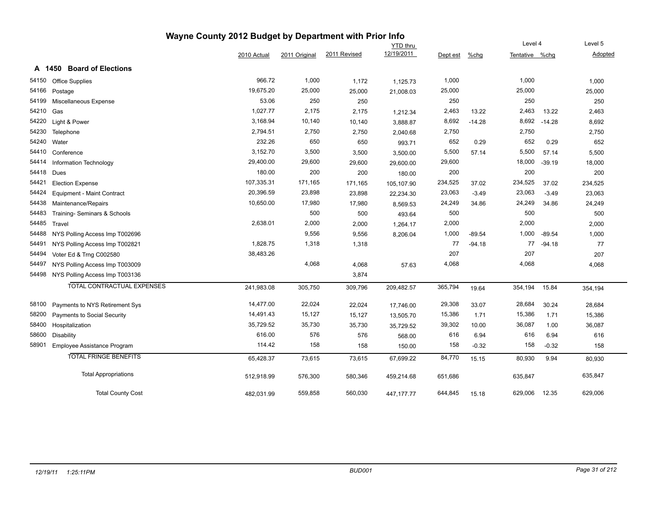|       | Wayne County 2012 Budget by Department with Prior Info |             |               |              |                 |          |          |                |          |         |  |  |  |
|-------|--------------------------------------------------------|-------------|---------------|--------------|-----------------|----------|----------|----------------|----------|---------|--|--|--|
|       |                                                        |             |               |              | <b>YTD</b> thru |          |          | Level 4        |          | Level 5 |  |  |  |
|       |                                                        | 2010 Actual | 2011 Original | 2011 Revised | 12/19/2011      | Dept est | $%$ chg  | Tentative %chg |          | Adopted |  |  |  |
|       | A 1450 Board of Elections                              |             |               |              |                 |          |          |                |          |         |  |  |  |
| 54150 | <b>Office Supplies</b>                                 | 966.72      | 1,000         | 1,172        | 1,125.73        | 1,000    |          | 1,000          |          | 1,000   |  |  |  |
| 54166 | Postage                                                | 19,675.20   | 25,000        | 25,000       | 21,008.03       | 25,000   |          | 25,000         |          | 25,000  |  |  |  |
| 54199 | Miscellaneous Expense                                  | 53.06       | 250           | 250          |                 | 250      |          | 250            |          | 250     |  |  |  |
| 54210 | Gas                                                    | 1,027.77    | 2,175         | 2,175        | 1,212.34        | 2,463    | 13.22    | 2,463          | 13.22    | 2,463   |  |  |  |
| 54220 | Light & Power                                          | 3,168.94    | 10,140        | 10,140       | 3,888.87        | 8,692    | $-14.28$ | 8,692          | $-14.28$ | 8,692   |  |  |  |
| 54230 | Telephone                                              | 2,794.51    | 2,750         | 2,750        | 2,040.68        | 2,750    |          | 2,750          |          | 2,750   |  |  |  |
| 54240 | Water                                                  | 232.26      | 650           | 650          | 993.71          | 652      | 0.29     | 652            | 0.29     | 652     |  |  |  |
| 54410 | Conference                                             | 3,152.70    | 3,500         | 3,500        | 3,500.00        | 5,500    | 57.14    | 5,500          | 57.14    | 5,500   |  |  |  |
| 54414 | Information Technology                                 | 29,400.00   | 29,600        | 29,600       | 29,600.00       | 29,600   |          | 18,000         | $-39.19$ | 18,000  |  |  |  |
| 54418 | Dues                                                   | 180.00      | 200           | 200          | 180.00          | 200      |          | 200            |          | 200     |  |  |  |
| 54421 | <b>Election Expense</b>                                | 107,335.31  | 171,165       | 171,165      | 105,107.90      | 234,525  | 37.02    | 234,525        | 37.02    | 234,525 |  |  |  |
| 54424 | Equipment - Maint Contract                             | 20,396.59   | 23,898        | 23,898       | 22,234.30       | 23,063   | $-3.49$  | 23,063         | $-3.49$  | 23,063  |  |  |  |
| 54438 | Maintenance/Repairs                                    | 10,650.00   | 17,980        | 17,980       | 8,569.53        | 24,249   | 34.86    | 24,249         | 34.86    | 24,249  |  |  |  |
| 54483 | Training- Seminars & Schools                           |             | 500           | 500          | 493.64          | 500      |          | 500            |          | 500     |  |  |  |
| 54485 | Travel                                                 | 2,638.01    | 2,000         | 2,000        | 1,264.17        | 2,000    |          | 2,000          |          | 2,000   |  |  |  |
| 54488 | NYS Polling Access Imp T002696                         |             | 9,556         | 9,556        | 8,206.04        | 1,000    | $-89.54$ | 1,000          | $-89.54$ | 1,000   |  |  |  |
| 54491 | NYS Polling Access Imp T002821                         | 1,828.75    | 1,318         | 1,318        |                 | 77       | $-94.18$ | 77             | -94.18   | 77      |  |  |  |
| 54494 | Voter Ed & Trng C002580                                | 38,483.26   |               |              |                 | 207      |          | 207            |          | 207     |  |  |  |
| 54497 | NYS Polling Access Imp T003009                         |             | 4,068         | 4,068        | 57.63           | 4,068    |          | 4,068          |          | 4,068   |  |  |  |
| 54498 | NYS Polling Access Imp T003136                         |             |               | 3,874        |                 |          |          |                |          |         |  |  |  |
|       | <b>TOTAL CONTRACTUAL EXPENSES</b>                      | 241,983.08  | 305,750       | 309,796      | 209,482.57      | 365,794  | 19.64    | 354,194        | 15.84    | 354,194 |  |  |  |
| 58100 | Payments to NYS Retirement Sys                         | 14,477.00   | 22,024        | 22,024       | 17,746.00       | 29,308   | 33.07    | 28,684         | 30.24    | 28,684  |  |  |  |
| 58200 | Payments to Social Security                            | 14,491.43   | 15,127        | 15,127       | 13,505.70       | 15,386   | 1.71     | 15,386         | 1.71     | 15,386  |  |  |  |
| 58400 | Hospitalization                                        | 35,729.52   | 35,730        | 35,730       | 35,729.52       | 39,302   | 10.00    | 36,087         | 1.00     | 36,087  |  |  |  |
| 58600 | <b>Disability</b>                                      | 616.00      | 576           | 576          | 568.00          | 616      | 6.94     | 616            | 6.94     | 616     |  |  |  |
| 58901 | Employee Assistance Program                            | 114.42      | 158           | 158          | 150.00          | 158      | $-0.32$  | 158            | $-0.32$  | 158     |  |  |  |
|       | <b>TOTAL FRINGE BENEFITS</b>                           | 65,428.37   | 73,615        | 73,615       | 67,699.22       | 84,770   | 15.15    | 80,930         | 9.94     | 80,930  |  |  |  |
|       | <b>Total Appropriations</b>                            | 512,918.99  | 576,300       | 580,346      | 459,214.68      | 651,686  |          | 635,847        |          | 635,847 |  |  |  |
|       | <b>Total County Cost</b>                               | 482,031.99  | 559,858       | 560,030      | 447, 177. 77    | 644,845  | 15.18    | 629,006        | 12.35    | 629,006 |  |  |  |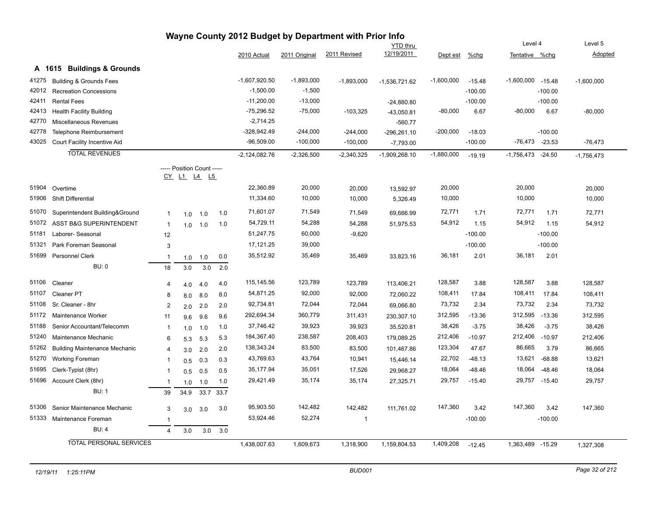| Wayne County 2012 Budget by Department with Prior Info<br>Level 4<br>Level 5 |                                      |                |                            |      |      |                 |               |              |                               |              |           |                    |           |              |
|------------------------------------------------------------------------------|--------------------------------------|----------------|----------------------------|------|------|-----------------|---------------|--------------|-------------------------------|--------------|-----------|--------------------|-----------|--------------|
|                                                                              |                                      |                |                            |      |      |                 |               |              | <b>YTD thru</b><br>12/19/2011 |              |           |                    |           |              |
|                                                                              |                                      |                |                            |      |      | 2010 Actual     | 2011 Original | 2011 Revised |                               | Dept est     | $%$ chg   | Tentative %chq     |           | Adopted      |
|                                                                              | A 1615 Buildings & Grounds           |                |                            |      |      |                 |               |              |                               |              |           |                    |           |              |
| 41275                                                                        | <b>Building &amp; Grounds Fees</b>   |                |                            |      |      | $-1,607,920.50$ | $-1,893,000$  | $-1,893,000$ | $-1,536,721.62$               | $-1,600,000$ | $-15.48$  | $-1,600,000$       | $-15.48$  | $-1,600,000$ |
| 42012                                                                        | <b>Recreation Concessions</b>        |                |                            |      |      | $-1,500.00$     | $-1,500$      |              |                               |              | $-100.00$ |                    | $-100.00$ |              |
| 42411                                                                        | <b>Rental Fees</b>                   |                |                            |      |      | $-11,200.00$    | $-13,000$     |              | $-24,880.80$                  |              | $-100.00$ |                    | $-100.00$ |              |
| 42413                                                                        | <b>Health Facility Building</b>      |                |                            |      |      | $-75,296.52$    | $-75,000$     | $-103,325$   | $-43,050.81$                  | $-80,000$    | 6.67      | $-80,000$          | 6.67      | $-80,000$    |
| 42770                                                                        | Miscellaneous Revenues               |                |                            |      |      | $-2,714.25$     |               |              | $-560.77$                     |              |           |                    |           |              |
| 42778                                                                        | Telephone Reimbursement              |                |                            |      |      | -328,942.49     | $-244,000$    | $-244,000$   | $-296,261.10$                 | $-200,000$   | $-18.03$  |                    | $-100.00$ |              |
| 43025                                                                        | Court Facility Incentive Aid         |                |                            |      |      | $-96,509.00$    | $-100,000$    | $-100,000$   | $-7,793.00$                   |              | $-100.00$ | $-76,473$ $-23.53$ |           | $-76,473$    |
|                                                                              | <b>TOTAL REVENUES</b>                |                |                            |      |      | $-2,124,082.76$ | $-2,326,500$  | $-2,340,325$ | $-1,909,268.10$               | $-1,880,000$ | $-19.19$  | $-1,756,473$       | $-24.50$  | $-1,756,473$ |
|                                                                              |                                      |                | ----- Position Count ----- |      |      |                 |               |              |                               |              |           |                    |           |              |
|                                                                              |                                      |                | <u>CY L1 L4 L5</u>         |      |      |                 |               |              |                               |              |           |                    |           |              |
| 51904                                                                        | Overtime                             |                |                            |      |      | 22,360.89       | 20,000        | 20,000       | 13,592.97                     | 20,000       |           | 20,000             |           | 20,000       |
| 51906                                                                        | <b>Shift Differential</b>            |                |                            |      |      | 11,334.60       | 10,000        | 10,000       | 5,326.49                      | 10,000       |           | 10,000             |           | 10,000       |
| 51070                                                                        | Superintendent Building&Ground       | $\mathbf{1}$   | 1.0                        | 1.0  | 1.0  | 71,601.07       | 71,549        | 71,549       | 69,666.99                     | 72,771       | 1.71      | 72,771             | 1.71      | 72,771       |
| 51072                                                                        | ASST B&G SUPERINTENDENT              | $\overline{1}$ | 1.0                        | 1.0  | 1.0  | 54,729.11       | 54,288        | 54,288       | 51,975.53                     | 54,912       | 1.15      | 54,912             | 1.15      | 54,912       |
| 51181                                                                        | Laborer-Seasonal                     | 12             |                            |      |      | 51,247.75       | 60,000        | $-9,620$     |                               |              | $-100.00$ |                    | $-100.00$ |              |
| 51321                                                                        | Park Foreman Seasonal                | 3              |                            |      |      | 17,121.25       | 39,000        |              |                               |              | $-100.00$ |                    | $-100.00$ |              |
| 51699                                                                        | <b>Personnel Clerk</b>               | $\mathbf{1}$   | 1.0                        | 1.0  | 0.0  | 35,512.92       | 35,469        | 35,469       | 33,823.16                     | 36,181       | 2.01      | 36,181             | 2.01      |              |
|                                                                              | BU: 0                                | 18             | 3.0                        | 3.0  | 2.0  |                 |               |              |                               |              |           |                    |           |              |
|                                                                              |                                      |                |                            |      |      |                 |               |              |                               |              |           |                    |           |              |
| 51106                                                                        | Cleaner                              | $\overline{4}$ | 4.0                        | 4.0  | 4.0  | 115,145.56      | 123,789       | 123,789      | 113,406.21                    | 128,587      | 3.88      | 128,587            | 3.88      | 128,587      |
| 51107                                                                        | Cleaner PT                           | 8              | 8.0                        | 8.0  | 8.0  | 54,871.25       | 92,000        | 92,000       | 72,060.22                     | 108,411      | 17.84     | 108,411            | 17.84     | 108,411      |
| 51108                                                                        | Sr. Cleaner - 8hr                    | $\overline{2}$ | 2.0                        | 2.0  | 2.0  | 92,734.81       | 72,044        | 72,044       | 69,066.80                     | 73,732       | 2.34      | 73,732             | 2.34      | 73,732       |
| 51172                                                                        | Maintenance Worker                   | 11             | 9.6                        | 9.6  | 9.6  | 292,694.34      | 360,779       | 311,431      | 230,307.10                    | 312,595      | $-13.36$  | 312,595            | $-13.36$  | 312,595      |
| 51188                                                                        | Senior Accountant/Telecomm           | $\mathbf{1}$   | 1.0                        | 1.0  | 1.0  | 37,746.42       | 39,923        | 39,923       | 35,520.81                     | 38,426       | $-3.75$   | 38,426             | $-3.75$   | 38,426       |
| 51240                                                                        | Maintenance Mechanic                 | 6              | 5.3                        | 5.3  | 5.3  | 184,367.40      | 238,587       | 208,403      | 179,089.25                    | 212,406      | $-10.97$  | 212,406            | $-10.97$  | 212,406      |
| 51262                                                                        | <b>Building Maintenance Mechanic</b> | $\overline{4}$ | 3.0                        | 2.0  | 2.0  | 138,343.24      | 83,500        | 83,500       | 101,467.86                    | 123,304      | 47.67     | 86,665             | 3.79      | 86,665       |
| 51270                                                                        | Working Foreman                      | $\overline{1}$ | 0.5                        | 0.3  | 0.3  | 43,769.63       | 43,764        | 10,941       | 15,446.14                     | 22,702       | $-48.13$  | 13,621             | $-68.88$  | 13,621       |
| 51695                                                                        | Clerk-Typist (8hr)                   | $\mathbf{1}$   | 0.5                        | 0.5  | 0.5  | 35,177.94       | 35,051        | 17,526       | 29,968.27                     | 18,064       | $-48.46$  | 18,064             | $-48.46$  | 18,064       |
| 51696                                                                        | Account Clerk (8hr)                  | $\mathbf{1}$   | 1.0                        | 1.0  | 1.0  | 29,421.49       | 35,174        | 35,174       | 27,325.71                     | 29,757       | $-15.40$  | 29,757             | $-15.40$  | 29,757       |
|                                                                              | <b>BU: 1</b>                         | 39             | 34.9                       | 33.7 | 33.7 |                 |               |              |                               |              |           |                    |           |              |
| 51306                                                                        | Senior Maintenance Mechanic          | 3              | 3.0                        | 3.0  | 3.0  | 95,903.50       | 142,482       | 142,482      | 111,761.02                    | 147,360      | 3.42      | 147,360            | 3.42      | 147,360      |
| 51333                                                                        | Maintenance Foreman                  | $\overline{1}$ |                            |      |      | 53,924.46       | 52,274        | $\mathbf{1}$ |                               |              | $-100.00$ |                    | $-100.00$ |              |
|                                                                              | <b>BU: 4</b>                         | $\overline{4}$ | 3.0                        | 3.0  | 3.0  |                 |               |              |                               |              |           |                    |           |              |
|                                                                              | <b>TOTAL PERSONAL SERVICES</b>       |                |                            |      |      | 1,438,007.63    | 1,609,673     | 1,318,900    | 1,159,804.53                  | 1,409,208    | $-12.45$  | 1,363,489 -15.29   |           | 1,327,308    |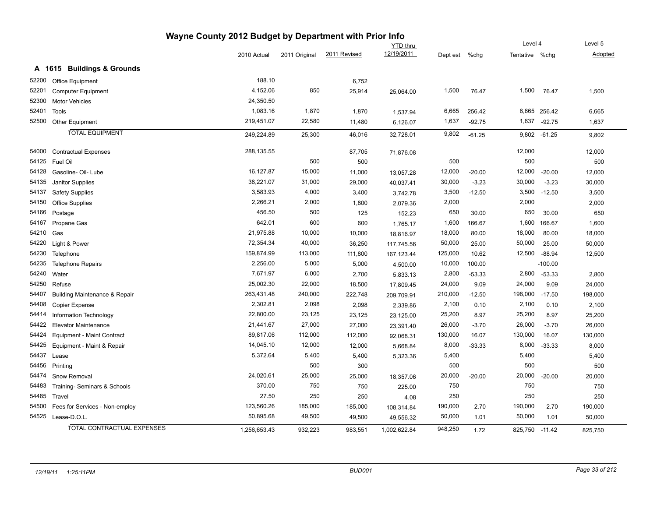|       |                                          | Wayne County 2012 Budget by Department with Prior Info |               |              |                 |          |          |                |              |                |
|-------|------------------------------------------|--------------------------------------------------------|---------------|--------------|-----------------|----------|----------|----------------|--------------|----------------|
|       |                                          |                                                        |               |              | <b>YTD</b> thru |          |          | Level 4        |              | Level 5        |
|       |                                          | 2010 Actual                                            | 2011 Original | 2011 Revised | 12/19/2011      | Dept est | $%$ chg  | Tentative %chg |              | <b>Adopted</b> |
|       | A 1615 Buildings & Grounds               |                                                        |               |              |                 |          |          |                |              |                |
| 52200 | Office Equipment                         | 188.10                                                 |               | 6,752        |                 |          |          |                |              |                |
| 52201 | <b>Computer Equipment</b>                | 4,152.06                                               | 850           | 25,914       | 25,064.00       | 1,500    | 76.47    | 1,500          | 76.47        | 1,500          |
| 52300 | <b>Motor Vehicles</b>                    | 24,350.50                                              |               |              |                 |          |          |                |              |                |
| 52401 | Tools                                    | 1,083.16                                               | 1,870         | 1,870        | 1,537.94        | 6,665    | 256.42   |                | 6,665 256.42 | 6,665          |
| 52500 | Other Equipment                          | 219,451.07                                             | 22,580        | 11,480       | 6,126.07        | 1,637    | $-92.75$ |                | 1,637 -92.75 | 1,637          |
|       | <b>TOTAL EQUIPMENT</b>                   | 249,224.89                                             | 25,300        | 46,016       | 32,728.01       | 9,802    | $-61.25$ | 9,802          | $-61.25$     | 9,802          |
| 54000 | <b>Contractual Expenses</b>              | 288,135.55                                             |               | 87,705       | 71,876.08       |          |          | 12,000         |              | 12,000         |
| 54125 | Fuel Oil                                 |                                                        | 500           | 500          |                 | 500      |          | 500            |              | 500            |
| 54128 | Gasoline- Oil- Lube                      | 16,127.87                                              | 15,000        | 11,000       | 13,057.28       | 12,000   | $-20.00$ | 12,000         | $-20.00$     | 12,000         |
| 54135 | Janitor Supplies                         | 38,221.07                                              | 31,000        | 29,000       | 40,037.41       | 30,000   | $-3.23$  | 30,000         | $-3.23$      | 30,000         |
| 54137 | <b>Safety Supplies</b>                   | 3,583.93                                               | 4,000         | 3,400        | 3,742.78        | 3,500    | $-12.50$ | 3,500          | $-12.50$     | 3,500          |
| 54150 | <b>Office Supplies</b>                   | 2,266.21                                               | 2,000         | 1,800        | 2,079.36        | 2,000    |          | 2,000          |              | 2,000          |
| 54166 | Postage                                  | 456.50                                                 | 500           | 125          | 152.23          | 650      | 30.00    | 650            | 30.00        | 650            |
| 54167 | Propane Gas                              | 642.01                                                 | 600           | 600          | 1,765.17        | 1,600    | 166.67   | 1,600          | 166.67       | 1,600          |
| 54210 | Gas                                      | 21,975.88                                              | 10,000        | 10,000       | 18,816.97       | 18,000   | 80.00    | 18,000         | 80.00        | 18,000         |
| 54220 | Light & Power                            | 72,354.34                                              | 40,000        | 36,250       | 117,745.56      | 50,000   | 25.00    | 50,000         | 25.00        | 50,000         |
| 54230 | Telephone                                | 159,874.99                                             | 113,000       | 111,800      | 167,123.44      | 125,000  | 10.62    | 12,500         | $-88.94$     | 12,500         |
| 54235 | <b>Telephone Repairs</b>                 | 2,256.00                                               | 5,000         | 5,000        | 4,500.00        | 10,000   | 100.00   |                | $-100.00$    |                |
| 54240 | Water                                    | 7,671.97                                               | 6,000         | 2,700        | 5,833.13        | 2,800    | $-53.33$ | 2,800          | $-53.33$     | 2,800          |
| 54250 | Refuse                                   | 25,002.30                                              | 22,000        | 18,500       | 17,809.45       | 24,000   | 9.09     | 24,000         | 9.09         | 24,000         |
| 54407 | <b>Building Maintenance &amp; Repair</b> | 263,431.48                                             | 240,000       | 222,748      | 209,709.91      | 210,000  | $-12.50$ | 198,000        | $-17.50$     | 198,000        |
| 54408 | <b>Copier Expense</b>                    | 2,302.81                                               | 2,098         | 2,098        | 2,339.86        | 2,100    | 0.10     | 2,100          | 0.10         | 2,100          |
| 54414 | Information Technology                   | 22,800.00                                              | 23,125        | 23,125       | 23,125.00       | 25,200   | 8.97     | 25,200         | 8.97         | 25,200         |
| 54422 | <b>Elevator Maintenance</b>              | 21,441.67                                              | 27,000        | 27,000       | 23,391.40       | 26,000   | $-3.70$  | 26,000         | $-3.70$      | 26,000         |
| 54424 | Equipment - Maint Contract               | 89,817.06                                              | 112,000       | 112,000      | 92,068.31       | 130,000  | 16.07    | 130,000        | 16.07        | 130,000        |
| 54425 | Equipment - Maint & Repair               | 14,045.10                                              | 12,000        | 12,000       | 5,668.84        | 8,000    | $-33.33$ | 8,000          | $-33.33$     | 8,000          |
| 54437 | Lease                                    | 5,372.64                                               | 5,400         | 5,400        | 5,323.36        | 5,400    |          | 5,400          |              | 5,400          |
| 54456 | Printing                                 |                                                        | 500           | 300          |                 | 500      |          | 500            |              | 500            |
| 54474 | Snow Removal                             | 24,020.61                                              | 25,000        | 25,000       | 18,357.06       | 20,000   | $-20.00$ | 20,000         | $-20.00$     | 20,000         |
| 54483 | Training- Seminars & Schools             | 370.00                                                 | 750           | 750          | 225.00          | 750      |          | 750            |              | 750            |
| 54485 | Travel                                   | 27.50                                                  | 250           | 250          | 4.08            | 250      |          | 250            |              | 250            |
| 54500 | Fees for Services - Non-employ           | 123,560.26                                             | 185,000       | 185,000      | 108,314.84      | 190,000  | 2.70     | 190,000        | 2.70         | 190,000        |
| 54525 | Lease-D.O.L.                             | 50,895.68                                              | 49,500        | 49,500       | 49,556.32       | 50,000   | 1.01     | 50,000         | 1.01         | 50,000         |
|       | <b>TOTAL CONTRACTUAL EXPENSES</b>        | 1,256,653.43                                           | 932,223       | 983,551      | 1,002,622.84    | 948,250  | 1.72     | 825,750        | $-11.42$     | 825,750        |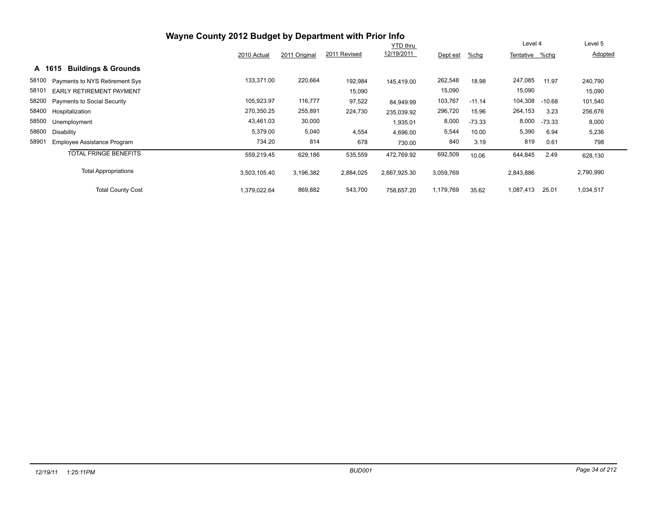|       |                                          |              |               |              | <b>YTD thru</b> |           |          | Level 4        |          | Level 5   |
|-------|------------------------------------------|--------------|---------------|--------------|-----------------|-----------|----------|----------------|----------|-----------|
|       |                                          | 2010 Actual  | 2011 Original | 2011 Revised | 12/19/2011      | Dept est  | %chg     | Tentative %chg |          | Adopted   |
|       | <b>Buildings &amp; Grounds</b><br>A 1615 |              |               |              |                 |           |          |                |          |           |
| 58100 | Payments to NYS Retirement Sys           | 133,371.00   | 220,664       | 192,984      | 145.419.00      | 262,548   | 18.98    | 247,085        | 11.97    | 240,790   |
| 58101 | EARLY RETIREMENT PAYMENT                 |              |               | 15,090       |                 | 15,090    |          | 15,090         |          | 15,090    |
| 58200 | Payments to Social Security              | 105,923.97   | 116,777       | 97,522       | 84.949.99       | 103,767   | $-11.14$ | 104,308        | $-10.68$ | 101,540   |
| 58400 | Hospitalization                          | 270,350.25   | 255,891       | 224,730      | 235.039.92      | 296,720   | 15.96    | 264,153        | 3.23     | 256,676   |
| 58500 | Unemployment                             | 43,461.03    | 30,000        |              | 1,935.01        | 8,000     | $-73.33$ | 8,000          | $-73.33$ | 8,000     |
| 58600 | Disability                               | 5,379.00     | 5,040         | 4,554        | 4,696.00        | 5,544     | 10.00    | 5,390          | 6.94     | 5,236     |
| 58901 | Employee Assistance Program              | 734.20       | 814           | 678          | 730.00          | 840       | 3.19     | 819            | 0.61     | 798       |
|       | <b>TOTAL FRINGE BENEFITS</b>             | 559,219.45   | 629,186       | 535,559      | 472,769.92      | 692,509   | 10.06    | 644,845        | 2.49     | 628,130   |
|       | <b>Total Appropriations</b>              | 3,503,105.40 | 3,196,382     | 2,884,025    | 2,667,925.30    | 3,059,769 |          | 2,843,886      |          | 2,790,990 |
|       | <b>Total County Cost</b>                 | 1,379,022.64 | 869,882       | 543,700      | 758.657.20      | 1,179,769 | 35.62    | 1,087,413      | 25.01    | 1,034,517 |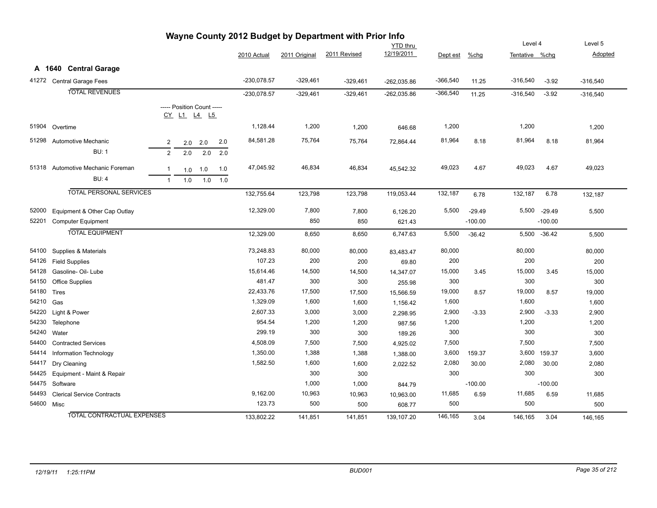| Wayne County 2012 Budget by Department with Prior Info<br>Level 4 |                                               |                |                            |     |     |                     |               |               |                     |               |           |                |           |               |
|-------------------------------------------------------------------|-----------------------------------------------|----------------|----------------------------|-----|-----|---------------------|---------------|---------------|---------------------|---------------|-----------|----------------|-----------|---------------|
|                                                                   |                                               |                |                            |     |     |                     |               |               | <b>YTD</b> thru     |               |           |                |           | Level 5       |
|                                                                   |                                               |                |                            |     |     | 2010 Actual         | 2011 Original | 2011 Revised  | 12/19/2011          | Dept est      | %chg      | Tentative %chg |           | Adopted       |
|                                                                   | A 1640 Central Garage                         |                |                            |     |     |                     |               |               |                     |               |           |                |           |               |
| 41272                                                             | Central Garage Fees                           |                |                            |     |     | $-230,078.57$       | $-329,461$    | $-329,461$    | -262,035.86         | $-366,540$    | 11.25     | $-316,540$     | $-3.92$   | $-316,540$    |
|                                                                   | <b>TOTAL REVENUES</b>                         |                |                            |     |     | $-230,078.57$       | $-329,461$    | $-329,461$    | -262,035.86         | $-366,540$    | 11.25     | $-316,540$     | $-3.92$   | $-316,540$    |
|                                                                   |                                               |                | ----- Position Count ----- |     |     |                     |               |               |                     |               |           |                |           |               |
|                                                                   |                                               |                | CY L1 L4 L5                |     |     |                     |               |               |                     |               |           |                |           |               |
| 51904                                                             | Overtime                                      |                |                            |     |     | 1,128.44            | 1,200         | 1,200         | 646.68              | 1,200         |           | 1,200          |           | 1,200         |
| 51298                                                             | Automotive Mechanic                           |                |                            |     |     | 84,581.28           | 75,764        | 75,764        |                     | 81,964        | 8.18      | 81,964         | 8.18      | 81,964        |
|                                                                   | <b>BU: 1</b>                                  | $\overline{2}$ | 2.0                        | 2.0 | 2.0 |                     |               |               | 72,864.44           |               |           |                |           |               |
|                                                                   |                                               | $\overline{2}$ | 2.0                        | 2.0 | 2.0 |                     |               |               |                     |               |           |                |           |               |
| 51318                                                             | Automotive Mechanic Foreman                   | $\mathbf 1$    | 1.0                        | 1.0 | 1.0 | 47,045.92           | 46,834        | 46,834        | 45,542.32           | 49,023        | 4.67      | 49,023         | 4.67      | 49,023        |
|                                                                   | <b>BU: 4</b>                                  | $\overline{1}$ | 1.0                        | 1.0 | 1.0 |                     |               |               |                     |               |           |                |           |               |
|                                                                   | <b>TOTAL PERSONAL SERVICES</b>                |                |                            |     |     | 132,755.64          | 123,798       | 123,798       | 119,053.44          | 132,187       | 6.78      | 132,187        | 6.78      | 132,187       |
|                                                                   |                                               |                |                            |     |     |                     |               |               |                     |               |           |                |           |               |
| 52000                                                             | Equipment & Other Cap Outlay                  |                |                            |     |     | 12,329.00           | 7,800         | 7,800         | 6,126.20            | 5,500         | $-29.49$  | 5,500          | $-29.49$  | 5,500         |
| 52201                                                             | <b>Computer Equipment</b>                     |                |                            |     |     |                     | 850           | 850           | 621.43              |               | $-100.00$ |                | $-100.00$ |               |
|                                                                   | <b>TOTAL EQUIPMENT</b>                        |                |                            |     |     | 12,329.00           | 8,650         | 8,650         | 6,747.63            | 5,500         | $-36.42$  | 5,500          | $-36.42$  | 5,500         |
|                                                                   |                                               |                |                            |     |     |                     |               |               |                     |               |           | 80,000         |           |               |
| 54100                                                             | Supplies & Materials                          |                |                            |     |     | 73,248.83<br>107.23 | 80,000<br>200 | 80,000        | 83,483.47           | 80,000<br>200 |           | 200            |           | 80,000        |
| 54126<br>54128                                                    | <b>Field Supplies</b>                         |                |                            |     |     | 15,614.46           |               | 200           | 69.80               |               |           |                |           | 200           |
| 54150                                                             | Gasoline- Oil- Lube<br><b>Office Supplies</b> |                |                            |     |     | 481.47              | 14,500<br>300 | 14,500<br>300 | 14,347.07           | 15,000<br>300 | 3.45      | 15,000<br>300  | 3.45      | 15,000<br>300 |
| 54180                                                             | <b>Tires</b>                                  |                |                            |     |     | 22,433.76           | 17,500        | 17,500        | 255.98<br>15,566.59 | 19,000        | 8.57      | 19,000         | 8.57      | 19,000        |
| 54210                                                             | Gas                                           |                |                            |     |     | 1,329.09            | 1,600         | 1,600         | 1,156.42            | 1,600         |           | 1,600          |           | 1,600         |
| 54220                                                             | Light & Power                                 |                |                            |     |     | 2,607.33            | 3,000         | 3,000         | 2,298.95            | 2,900         | $-3.33$   | 2,900          | $-3.33$   | 2,900         |
| 54230                                                             | Telephone                                     |                |                            |     |     | 954.54              | 1,200         | 1,200         | 987.56              | 1,200         |           | 1,200          |           | 1,200         |
| 54240                                                             | Water                                         |                |                            |     |     | 299.19              | 300           | 300           | 189.26              | 300           |           | 300            |           | 300           |
| 54400                                                             | <b>Contracted Services</b>                    |                |                            |     |     | 4,508.09            | 7,500         | 7,500         | 4,925.02            | 7,500         |           | 7,500          |           | 7,500         |
| 54414                                                             | Information Technology                        |                |                            |     |     | 1,350.00            | 1,388         | 1,388         | 1,388.00            | 3,600         | 159.37    | 3,600          | 159.37    | 3,600         |
| 54417                                                             | Dry Cleaning                                  |                |                            |     |     | 1,582.50            | 1,600         | 1,600         | 2,022.52            | 2,080         | 30.00     | 2,080          | 30.00     | 2,080         |
| 54425                                                             | Equipment - Maint & Repair                    |                |                            |     |     |                     | 300           | 300           |                     | 300           |           | 300            |           | 300           |
| 54475                                                             | Software                                      |                |                            |     |     |                     | 1,000         | 1,000         | 844.79              |               | $-100.00$ |                | $-100.00$ |               |
| 54493                                                             | <b>Clerical Service Contracts</b>             |                |                            |     |     | 9,162.00            | 10,963        | 10,963        | 10,963.00           | 11,685        | 6.59      | 11,685         | 6.59      | 11,685        |
| 54600                                                             | Misc                                          |                |                            |     |     | 123.73              | 500           | 500           | 608.77              | 500           |           | 500            |           | 500           |
|                                                                   | <b>TOTAL CONTRACTUAL EXPENSES</b>             |                |                            |     |     | 133.802.22          | 141,851       | 141,851       | 139.107.20          | 146,165       | 3.04      | 146,165        | 3.04      | 146.165       |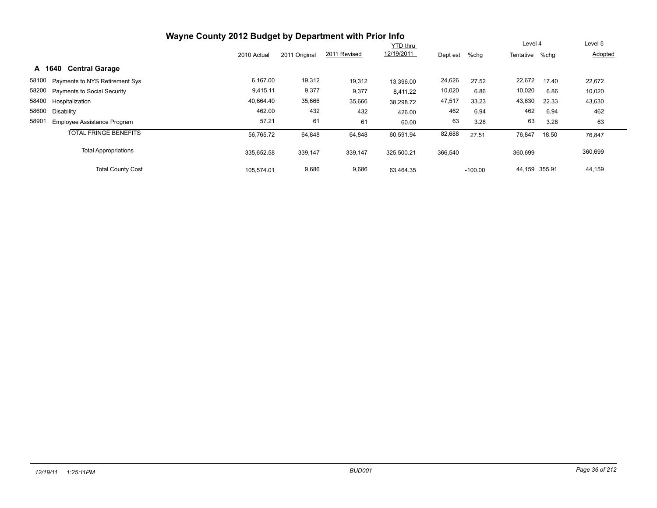| Wayne County 2012 Budget by Department with Prior Info |             |               |              |                 |          |           |                |       |         |
|--------------------------------------------------------|-------------|---------------|--------------|-----------------|----------|-----------|----------------|-------|---------|
|                                                        |             |               |              | <b>YTD thru</b> |          |           | Level 4        |       | Level 5 |
|                                                        | 2010 Actual | 2011 Original | 2011 Revised | 12/19/2011      | Dept est | %chg      | Tentative %chg |       | Adopted |
| <b>Central Garage</b><br>A 1640                        |             |               |              |                 |          |           |                |       |         |
| 58100 Payments to NYS Retirement Sys                   | 6,167.00    | 19,312        | 19,312       | 13.396.00       | 24,626   | 27.52     | 22,672         | 17.40 | 22,672  |
| 58200 Payments to Social Security                      | 9,415.11    | 9,377         | 9,377        | 8.411.22        | 10,020   | 6.86      | 10,020         | 6.86  | 10,020  |
| 58400 Hospitalization                                  | 40,664.40   | 35,666        | 35,666       | 38,298.72       | 47,517   | 33.23     | 43,630         | 22.33 | 43,630  |
| 58600<br>Disability                                    | 462.00      | 432           | 432          | 426.00          | 462      | 6.94      | 462            | 6.94  | 462     |
| 58901<br><b>Employee Assistance Program</b>            | 57.21       | 61            | 61           | 60.00           | 63       | 3.28      | 63             | 3.28  | 63      |
| <b>TOTAL FRINGE BENEFITS</b>                           | 56.765.72   | 64,848        | 64,848       | 60.591.94       | 82,688   | 27.51     | 76,847         | 18.50 | 76,847  |
| <b>Total Appropriations</b>                            | 335,652.58  | 339,147       | 339,147      | 325,500.21      | 366,540  |           | 360,699        |       | 360,699 |
| <b>Total County Cost</b>                               | 105.574.01  | 9,686         | 9,686        | 63.464.35       |          | $-100.00$ | 44,159 355.91  |       | 44,159  |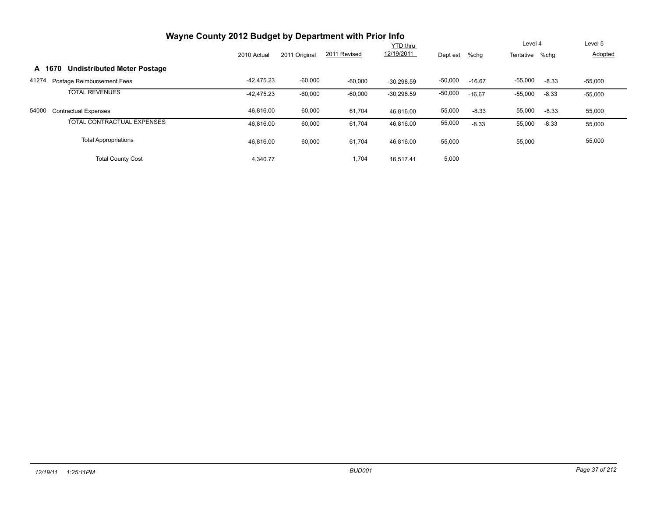|        | Wayne County 2012 Budget by Department with Prior Info |              |               |              |              |           |          |                |         |           |
|--------|--------------------------------------------------------|--------------|---------------|--------------|--------------|-----------|----------|----------------|---------|-----------|
|        |                                                        |              |               |              | YTD thru     |           |          | Level 4        |         | Level 5   |
|        |                                                        | 2010 Actual  | 2011 Original | 2011 Revised | 12/19/2011   | Dept est  | %chg     | Tentative %chq |         | Adopted   |
| A 1670 | <b>Undistributed Meter Postage</b>                     |              |               |              |              |           |          |                |         |           |
| 41274  | Postage Reimbursement Fees                             | $-42,475.23$ | $-60,000$     | $-60,000$    | $-30.298.59$ | $-50,000$ | $-16.67$ | $-55,000$      | $-8.33$ | $-55,000$ |
|        | <b>TOTAL REVENUES</b>                                  | $-42.475.23$ | $-60,000$     | $-60,000$    | $-30,298.59$ | $-50,000$ | $-16.67$ | $-55,000$      | $-8.33$ | $-55,000$ |
| 54000  | <b>Contractual Expenses</b>                            | 46,816.00    | 60,000        | 61,704       | 46.816.00    | 55,000    | $-8.33$  | 55,000         | $-8.33$ | 55,000    |
|        | <b>TOTAL CONTRACTUAL EXPENSES</b>                      | 46.816.00    | 60,000        | 61,704       | 46.816.00    | 55,000    | $-8.33$  | 55,000         | $-8.33$ | 55,000    |
|        | <b>Total Appropriations</b>                            | 46,816.00    | 60,000        | 61,704       | 46,816.00    | 55,000    |          | 55,000         |         | 55,000    |
|        | <b>Total County Cost</b>                               | 4,340.77     |               | 1,704        | 16.517.41    | 5,000     |          |                |         |           |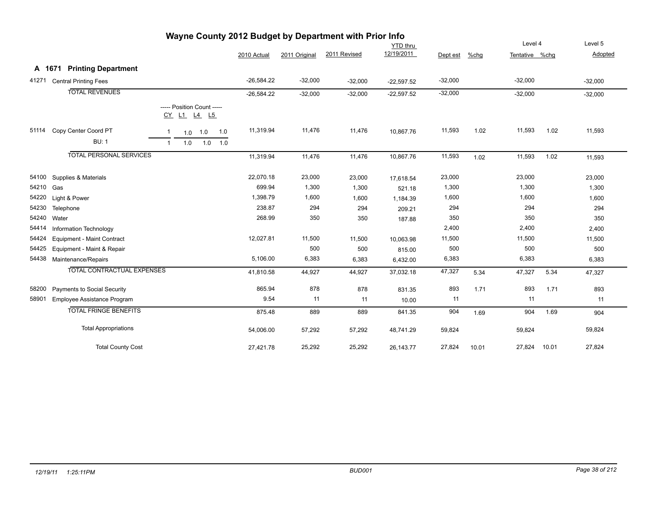| - ອາ<br><b>YTD</b> thru |                                   |              |     |                                           |     |              |               |              |              |           | Level 4 |                | Level 5 |           |
|-------------------------|-----------------------------------|--------------|-----|-------------------------------------------|-----|--------------|---------------|--------------|--------------|-----------|---------|----------------|---------|-----------|
|                         |                                   |              |     |                                           |     | 2010 Actual  | 2011 Original | 2011 Revised | 12/19/2011   | Dept est  | %chg    | Tentative %chg |         | Adopted   |
| A 1671                  | <b>Printing Department</b>        |              |     |                                           |     |              |               |              |              |           |         |                |         |           |
| 41271                   | <b>Central Printing Fees</b>      |              |     |                                           |     | $-26,584.22$ | $-32,000$     | $-32,000$    | $-22,597.52$ | $-32,000$ |         | $-32,000$      |         | $-32,000$ |
|                         | <b>TOTAL REVENUES</b>             |              |     |                                           |     | $-26,584.22$ | $-32,000$     | $-32,000$    | $-22,597.52$ | $-32,000$ |         | $-32,000$      |         | $-32,000$ |
|                         |                                   |              |     | ----- Position Count -----<br>CY L1 L4 L5 |     |              |               |              |              |           |         |                |         |           |
| 51114                   | Copy Center Coord PT              | $\mathbf{1}$ |     | $1.0$ 1.0                                 | 1.0 | 11,319.94    | 11,476        | 11,476       | 10,867.76    | 11,593    | 1.02    | 11,593         | 1.02    | 11,593    |
|                         | <b>BU: 1</b>                      | $\mathbf{1}$ | 1.0 | 1.0                                       | 1.0 |              |               |              |              |           |         |                |         |           |
|                         | <b>TOTAL PERSONAL SERVICES</b>    |              |     |                                           |     | 11,319.94    | 11,476        | 11,476       | 10,867.76    | 11,593    | 1.02    | 11,593         | 1.02    | 11,593    |
| 54100                   | Supplies & Materials              |              |     |                                           |     | 22,070.18    | 23,000        | 23,000       | 17,618.54    | 23,000    |         | 23,000         |         | 23,000    |
| 54210                   | Gas                               |              |     |                                           |     | 699.94       | 1,300         | 1,300        | 521.18       | 1,300     |         | 1,300          |         | 1,300     |
| 54220                   | Light & Power                     |              |     |                                           |     | 1,398.79     | 1,600         | 1,600        | 1,184.39     | 1,600     |         | 1,600          |         | 1,600     |
| 54230                   | Telephone                         |              |     |                                           |     | 238.87       | 294           | 294          | 209.21       | 294       |         | 294            |         | 294       |
| 54240                   | Water                             |              |     |                                           |     | 268.99       | 350           | 350          | 187.88       | 350       |         | 350            |         | 350       |
| 54414                   | Information Technology            |              |     |                                           |     |              |               |              |              | 2,400     |         | 2,400          |         | 2,400     |
| 54424                   | Equipment - Maint Contract        |              |     |                                           |     | 12,027.81    | 11,500        | 11,500       | 10,063.98    | 11,500    |         | 11,500         |         | 11,500    |
| 54425                   | Equipment - Maint & Repair        |              |     |                                           |     |              | 500           | 500          | 815.00       | 500       |         | 500            |         | 500       |
|                         | 54438 Maintenance/Repairs         |              |     |                                           |     | 5,106.00     | 6,383         | 6,383        | 6,432.00     | 6,383     |         | 6,383          |         | 6,383     |
|                         | <b>TOTAL CONTRACTUAL EXPENSES</b> |              |     |                                           |     | 41,810.58    | 44,927        | 44,927       | 37,032.18    | 47,327    | 5.34    | 47,327         | 5.34    | 47,327    |
| 58200                   | Payments to Social Security       |              |     |                                           |     | 865.94       | 878           | 878          | 831.35       | 893       | 1.71    | 893            | 1.71    | 893       |
| 58901                   | Employee Assistance Program       |              |     |                                           |     | 9.54         | 11            | 11           | 10.00        | 11        |         | 11             |         | 11        |
|                         | <b>TOTAL FRINGE BENEFITS</b>      |              |     |                                           |     | 875.48       | 889           | 889          | 841.35       | 904       | 1.69    | 904            | 1.69    | 904       |
|                         | <b>Total Appropriations</b>       |              |     |                                           |     | 54,006.00    | 57,292        | 57,292       | 48,741.29    | 59,824    |         | 59,824         |         | 59,824    |
|                         | <b>Total County Cost</b>          |              |     |                                           |     | 27,421.78    | 25,292        | 25,292       | 26,143.77    | 27,824    | 10.01   | 27,824         | 10.01   | 27,824    |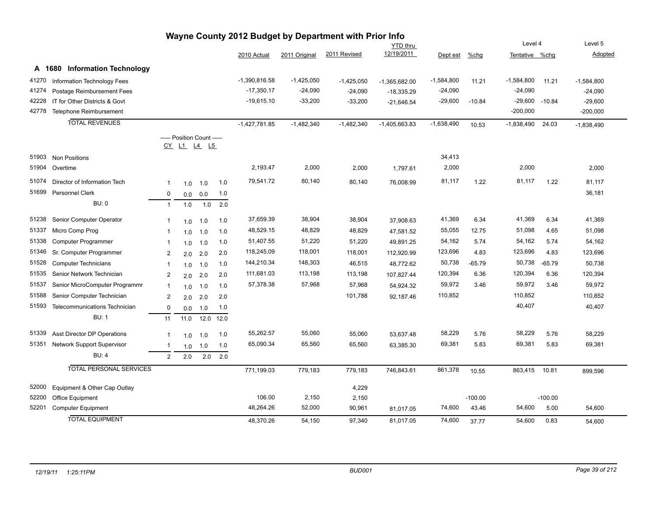| Wayne County 2012 Budget by Department with Prior Info |                                    |                |                                                  |         |      |                 |               |              |                 |              |           |                |           |              |
|--------------------------------------------------------|------------------------------------|----------------|--------------------------------------------------|---------|------|-----------------|---------------|--------------|-----------------|--------------|-----------|----------------|-----------|--------------|
|                                                        |                                    |                |                                                  |         |      |                 |               |              | <b>YTD thru</b> |              |           | Level 4        |           | Level 5      |
|                                                        |                                    |                |                                                  |         |      | 2010 Actual     | 2011 Original | 2011 Revised | 12/19/2011      | Dept est     | $%$ chg   | Tentative %chg |           | Adopted      |
|                                                        | A 1680 Information Technology      |                |                                                  |         |      |                 |               |              |                 |              |           |                |           |              |
| 41270                                                  | Information Technology Fees        |                |                                                  |         |      | $-1,390,816.58$ | $-1,425,050$  | $-1,425,050$ | -1,365,682.00   | $-1,584,800$ | 11.21     | $-1,584,800$   | 11.21     | $-1,584,800$ |
| 41274                                                  | Postage Reimbursement Fees         |                |                                                  |         |      | $-17,350.17$    | $-24,090$     | $-24,090$    | $-18,335.29$    | $-24,090$    |           | $-24,090$      |           | $-24,090$    |
| 42228                                                  | IT for Other Districts & Govt      |                |                                                  |         |      | $-19,615.10$    | $-33,200$     | $-33,200$    | $-21,646.54$    | $-29,600$    | $-10.84$  | $-29,600$      | $-10.84$  | $-29,600$    |
| 42778                                                  | Telephone Reimbursement            |                |                                                  |         |      |                 |               |              |                 |              |           | $-200,000$     |           | $-200,000$   |
|                                                        | <b>TOTAL REVENUES</b>              |                |                                                  |         |      | $-1,427,781.85$ | $-1,482,340$  | $-1,482,340$ | $-1,405,663.83$ | $-1,638,490$ | 10.53     | $-1,838,490$   | 24.03     | $-1,838,490$ |
|                                                        |                                    |                | ----- Position Count -----<br><u>CY L1 L4 L5</u> |         |      |                 |               |              |                 |              |           |                |           |              |
| 51903                                                  | <b>Non Positions</b>               |                |                                                  |         |      |                 |               |              |                 | 34,413       |           |                |           |              |
| 51904                                                  | Overtime                           |                |                                                  |         |      | 2,193.47        | 2,000         | 2,000        | 1,797.61        | 2,000        |           | 2,000          |           | 2,000        |
| 51074                                                  | Director of Information Tech       | 1              | 1.0                                              | 1.0     | 1.0  | 79,541.72       | 80,140        | 80,140       | 76,008.99       | 81,117       | 1.22      | 81,117         | 1.22      | 81,117       |
| 51699                                                  | Personnel Clerk                    | 0              | 0.0                                              | 0.0     | 1.0  |                 |               |              |                 |              |           |                |           | 36,181       |
|                                                        | <b>BU: 0</b>                       | $\overline{1}$ | 1.0                                              | 1.0     | 2.0  |                 |               |              |                 |              |           |                |           |              |
| 51238                                                  | Senior Computer Operator           | -1             | 1.0                                              | 1.0     | 1.0  | 37,659.39       | 38,904        | 38,904       | 37,908.63       | 41,369       | 6.34      | 41,369         | 6.34      | 41,369       |
| 51337                                                  | Micro Comp Prog                    | -1             | 1.0                                              | 1.0     | 1.0  | 48,529.15       | 48,829        | 48,829       | 47,581.52       | 55,055       | 12.75     | 51,098         | 4.65      | 51,098       |
| 51338                                                  | Computer Programmer                | $\mathbf{1}$   | 1.0                                              | 1.0     | 1.0  | 51,407.55       | 51,220        | 51,220       | 49,891.25       | 54,162       | 5.74      | 54,162         | 5.74      | 54,162       |
| 51346                                                  | Sr. Computer Programmer            | $\overline{2}$ | 2.0                                              | 2.0     | 2.0  | 118,245.09      | 118,001       | 118,001      | 112,920.99      | 123,696      | 4.83      | 123,696        | 4.83      | 123,696      |
| 51528                                                  | <b>Computer Technicians</b>        | -1             | 1.0                                              | 1.0     | 1.0  | 144,210.34      | 148,303       | 46,515       | 48,772.62       | 50,738       | $-65.79$  | 50,738         | $-65.79$  | 50,738       |
| 51535                                                  | Senior Network Technician          | $\overline{2}$ | 2.0                                              | 2.0     | 2.0  | 111,681.03      | 113,198       | 113,198      | 107,827.44      | 120,394      | 6.36      | 120,394        | 6.36      | 120,394      |
| 51537                                                  | Senior MicroComputer Programmr     | -1             | 1.0                                              | 1.0     | 1.0  | 57,378.38       | 57,968        | 57,968       | 54,924.32       | 59,972       | 3.46      | 59,972         | 3.46      | 59,972       |
| 51588                                                  | Senior Computer Technician         | 2              | 2.0                                              | 2.0     | 2.0  |                 |               | 101,788      | 92,187.46       | 110,852      |           | 110,852        |           | 110,852      |
| 51593                                                  | Telecommunications Technician      | $\mathbf 0$    | 0.0                                              | 1.0     | 1.0  |                 |               |              |                 |              |           | 40,407         |           | 40,407       |
|                                                        | <b>BU: 1</b>                       | 11             | 11.0                                             | 12.0    | 12.0 |                 |               |              |                 |              |           |                |           |              |
| 51339                                                  | <b>Asst Director DP Operations</b> | $\mathbf{1}$   | 1.0                                              | 1.0     | 1.0  | 55,262.57       | 55,060        | 55,060       | 53,637.48       | 58,229       | 5.76      | 58,229         | 5.76      | 58,229       |
| 51351                                                  | Network Support Supervisor         |                | 1.0                                              | 1.0     | 1.0  | 65,090.34       | 65,560        | 65,560       | 63,385.30       | 69,381       | 5.83      | 69,381         | 5.83      | 69,381       |
|                                                        | <b>BU: 4</b>                       | 2              | 2.0                                              | $2.0\,$ | 2.0  |                 |               |              |                 |              |           |                |           |              |
|                                                        | <b>TOTAL PERSONAL SERVICES</b>     |                |                                                  |         |      | 771,199.03      | 779,183       | 779,183      | 746,843.61      | 861,378      | 10.55     | 863,415        | 10.81     | 899,596      |
| 52000                                                  | Equipment & Other Cap Outlay       |                |                                                  |         |      |                 |               | 4,229        |                 |              |           |                |           |              |
| 52200                                                  | Office Equipment                   |                |                                                  |         |      | 106.00          | 2,150         | 2,150        |                 |              | $-100.00$ |                | $-100.00$ |              |
| 52201                                                  | <b>Computer Equipment</b>          |                |                                                  |         |      | 48,264.26       | 52,000        | 90,961       | 81,017.05       | 74,600       | 43.46     | 54,600         | 5.00      | 54,600       |
|                                                        | <b>TOTAL EQUIPMENT</b>             |                |                                                  |         |      | 48.370.26       | 54,150        | 97.340       | 81.017.05       | 74,600       | 37.77     | 54.600         | 0.83      | 54.600       |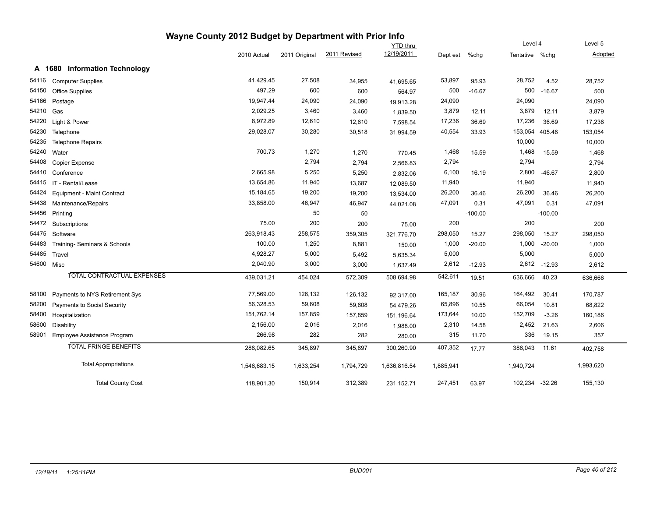| Wayne County 2012 Budget by Department with Prior Info |                                         |              |               |              |                 |           |           |                |           |           |  |
|--------------------------------------------------------|-----------------------------------------|--------------|---------------|--------------|-----------------|-----------|-----------|----------------|-----------|-----------|--|
|                                                        |                                         |              |               |              | <b>YTD</b> thru |           |           | Level 4        |           | Level 5   |  |
|                                                        |                                         | 2010 Actual  | 2011 Original | 2011 Revised | 12/19/2011      | Dept est  | $%$ chg   | Tentative %chg |           | Adopted   |  |
|                                                        | <b>Information Technology</b><br>A 1680 |              |               |              |                 |           |           |                |           |           |  |
| 54116                                                  | <b>Computer Supplies</b>                | 41,429.45    | 27,508        | 34,955       | 41,695.65       | 53,897    | 95.93     | 28,752         | 4.52      | 28,752    |  |
| 54150                                                  | <b>Office Supplies</b>                  | 497.29       | 600           | 600          | 564.97          | 500       | $-16.67$  | 500            | $-16.67$  | 500       |  |
| 54166                                                  | Postage                                 | 19,947.44    | 24,090        | 24,090       | 19,913.28       | 24,090    |           | 24,090         |           | 24,090    |  |
| 54210                                                  | Gas                                     | 2,029.25     | 3,460         | 3,460        | 1,839.50        | 3,879     | 12.11     | 3,879          | 12.11     | 3,879     |  |
| 54220                                                  | Light & Power                           | 8,972.89     | 12,610        | 12,610       | 7,598.54        | 17,236    | 36.69     | 17,236         | 36.69     | 17,236    |  |
| 54230                                                  | Telephone                               | 29,028.07    | 30,280        | 30,518       | 31,994.59       | 40,554    | 33.93     | 153,054        | 405.46    | 153,054   |  |
| 54235                                                  | <b>Telephone Repairs</b>                |              |               |              |                 |           |           | 10,000         |           | 10,000    |  |
| 54240                                                  | Water                                   | 700.73       | 1,270         | 1,270        | 770.45          | 1,468     | 15.59     | 1,468          | 15.59     | 1,468     |  |
| 54408                                                  | <b>Copier Expense</b>                   |              | 2,794         | 2,794        | 2,566.83        | 2,794     |           | 2,794          |           | 2,794     |  |
| 54410                                                  | Conference                              | 2,665.98     | 5,250         | 5,250        | 2,832.06        | 6,100     | 16.19     | 2,800          | $-46.67$  | 2,800     |  |
| 54415                                                  | IT - Rental/Lease                       | 13,654.86    | 11,940        | 13,687       | 12,089.50       | 11,940    |           | 11,940         |           | 11,940    |  |
| 54424                                                  | <b>Equipment - Maint Contract</b>       | 15,184.65    | 19,200        | 19,200       | 13,534.00       | 26,200    | 36.46     | 26,200         | 36.46     | 26,200    |  |
| 54438                                                  | Maintenance/Repairs                     | 33,858.00    | 46,947        | 46,947       | 44,021.08       | 47,091    | 0.31      | 47,091         | 0.31      | 47,091    |  |
| 54456                                                  | Printing                                |              | 50            | 50           |                 |           | $-100.00$ |                | $-100.00$ |           |  |
| 54472                                                  | Subscriptions                           | 75.00        | 200           | 200          | 75.00           | 200       |           | 200            |           | 200       |  |
| 54475                                                  | Software                                | 263,918.43   | 258,575       | 359,305      | 321,776.70      | 298,050   | 15.27     | 298,050        | 15.27     | 298,050   |  |
| 54483                                                  | Training- Seminars & Schools            | 100.00       | 1,250         | 8,881        | 150.00          | 1,000     | $-20.00$  | 1,000          | $-20.00$  | 1,000     |  |
| 54485                                                  | Travel                                  | 4,928.27     | 5,000         | 5,492        | 5,635.34        | 5,000     |           | 5,000          |           | 5,000     |  |
| 54600 Misc                                             |                                         | 2,040.90     | 3,000         | 3,000        | 1,637.49        | 2,612     | $-12.93$  | 2,612          | $-12.93$  | 2,612     |  |
|                                                        | <b>TOTAL CONTRACTUAL EXPENSES</b>       | 439,031.21   | 454,024       | 572,309      | 508,694.98      | 542,611   | 19.51     | 636,666        | 40.23     | 636,666   |  |
| 58100                                                  | Payments to NYS Retirement Sys          | 77,569.00    | 126,132       | 126,132      | 92,317.00       | 165,187   | 30.96     | 164,492        | 30.41     | 170,787   |  |
| 58200                                                  | Payments to Social Security             | 56,328.53    | 59,608        | 59,608       | 54,479.26       | 65,896    | 10.55     | 66,054         | 10.81     | 68,822    |  |
| 58400                                                  | Hospitalization                         | 151,762.14   | 157,859       | 157,859      | 151,196.64      | 173,644   | 10.00     | 152,709        | $-3.26$   | 160,186   |  |
| 58600                                                  | <b>Disability</b>                       | 2,156.00     | 2,016         | 2,016        | 1,988.00        | 2,310     | 14.58     | 2,452          | 21.63     | 2,606     |  |
| 58901                                                  | Employee Assistance Program             | 266.98       | 282           | 282          | 280.00          | 315       | 11.70     | 336            | 19.15     | 357       |  |
|                                                        | <b>TOTAL FRINGE BENEFITS</b>            | 288,082.65   | 345,897       | 345,897      | 300,260.90      | 407,352   | 17.77     | 386,043        | 11.61     | 402,758   |  |
|                                                        | <b>Total Appropriations</b>             | 1,546,683.15 | 1,633,254     | 1,794,729    | 1,636,816.54    | 1,885,941 |           | 1,940,724      |           | 1,993,620 |  |
|                                                        | <b>Total County Cost</b>                | 118,901.30   | 150,914       | 312,389      | 231, 152. 71    | 247,451   | 63.97     | 102,234 -32.26 |           | 155,130   |  |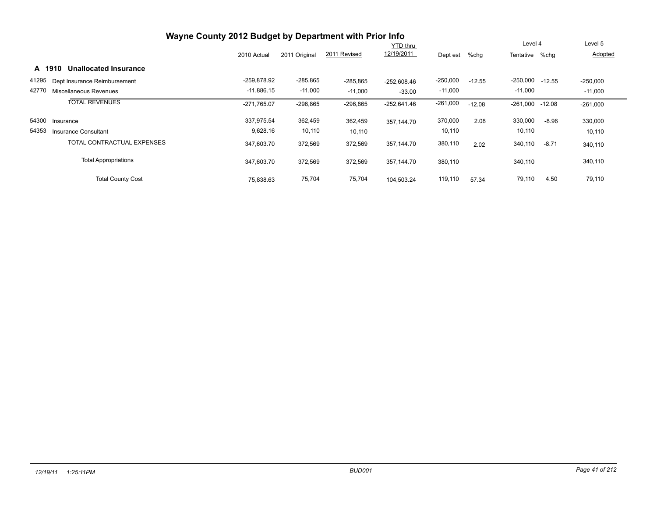|       |                                 | Wayne County 2012 Budget by Department with Prior Info |               |              |                 |            |          |                 |          |            |
|-------|---------------------------------|--------------------------------------------------------|---------------|--------------|-----------------|------------|----------|-----------------|----------|------------|
|       |                                 |                                                        |               |              | <b>YTD thru</b> |            |          | Level 4         |          | Level 5    |
|       |                                 | 2010 Actual                                            | 2011 Original | 2011 Revised | 12/19/2011      | Dept est   | $%$ chg  | Tentative %chg  |          | Adopted    |
|       | Unallocated Insurance<br>A 1910 |                                                        |               |              |                 |            |          |                 |          |            |
| 41295 | Dept Insurance Reimbursement    | -259,878.92                                            | $-285,865$    | $-285,865$   | $-252.608.46$   | $-250,000$ | $-12.55$ | $-250,000$      | $-12.55$ | $-250,000$ |
| 42770 | Miscellaneous Revenues          | $-11,886.15$                                           | $-11,000$     | $-11,000$    | $-33.00$        | $-11,000$  |          | $-11,000$       |          | $-11,000$  |
|       | <b>TOTAL REVENUES</b>           | $-271,765.07$                                          | $-296,865$    | $-296,865$   | $-252,641.46$   | $-261,000$ | $-12.08$ | -261,000 -12.08 |          | $-261,000$ |
| 54300 | Insurance                       | 337,975.54                                             | 362,459       | 362,459      | 357.144.70      | 370,000    | 2.08     | 330,000         | $-8.96$  | 330,000    |
| 54353 | Insurance Consultant            | 9,628.16                                               | 10,110        | 10,110       |                 | 10,110     |          | 10,110          |          | 10,110     |
|       | TOTAL CONTRACTUAL EXPENSES      | 347,603.70                                             | 372,569       | 372,569      | 357.144.70      | 380,110    | 2.02     | 340,110         | $-8.71$  | 340,110    |
|       | <b>Total Appropriations</b>     | 347,603.70                                             | 372,569       | 372,569      | 357.144.70      | 380,110    |          | 340,110         |          | 340,110    |
|       | <b>Total County Cost</b>        | 75,838.63                                              | 75,704        | 75,704       | 104.503.24      | 119,110    | 57.34    | 79,110          | 4.50     | 79,110     |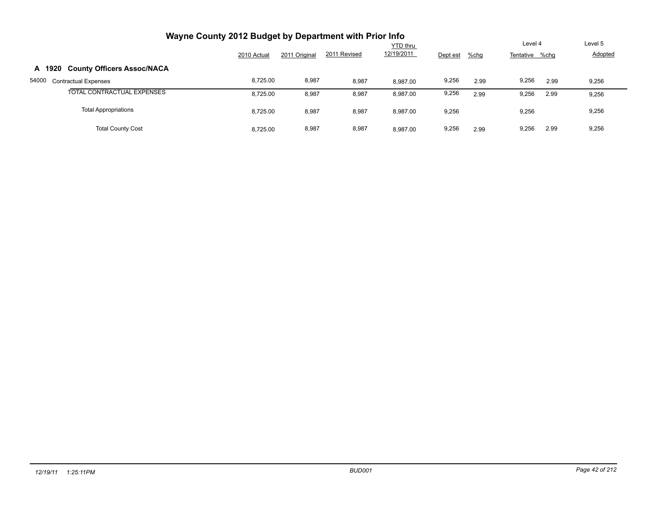| Wayne County 2012 Budget by Department with Prior Info |             |               |              |                 |          |         |                |      |         |
|--------------------------------------------------------|-------------|---------------|--------------|-----------------|----------|---------|----------------|------|---------|
|                                                        |             |               |              | <b>YTD thru</b> |          |         | Level 4        |      | Level 5 |
|                                                        | 2010 Actual | 2011 Original | 2011 Revised | 12/19/2011      | Dept est | $%$ chg | Tentative %chq |      | Adopted |
| <b>County Officers Assoc/NACA</b><br>A 1920            |             |               |              |                 |          |         |                |      |         |
| 54000<br><b>Contractual Expenses</b>                   | 8,725.00    | 8,987         | 8,987        | 8.987.00        | 9,256    | 2.99    | 9,256          | 2.99 | 9,256   |
| TOTAL CONTRACTUAL EXPENSES                             | 8,725.00    | 8,987         | 8,987        | 8,987.00        | 9,256    | 2.99    | 9,256          | 2.99 | 9,256   |
| <b>Total Appropriations</b>                            | 8,725.00    | 8,987         | 8,987        | 8,987.00        | 9,256    |         | 9,256          |      | 9,256   |
| <b>Total County Cost</b>                               | 8.725.00    | 8,987         | 8,987        | 8.987.00        | 9,256    | 2.99    | 9.256          | 2.99 | 9,256   |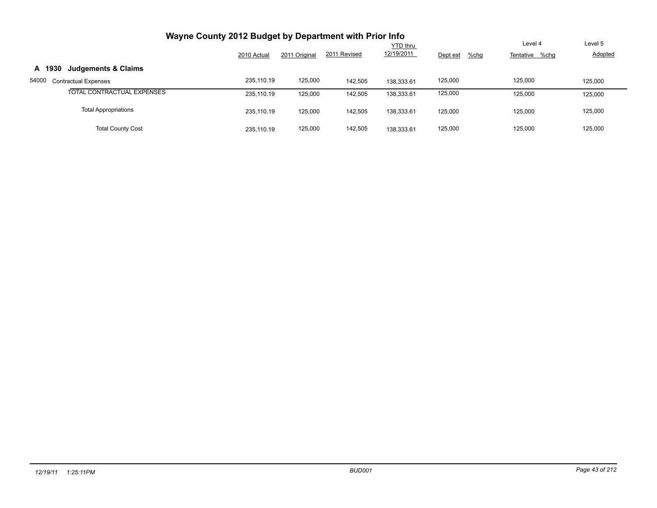| Wayne County 2012 Budget by Department with Prior Info |             |               |              |                               |                  |                           |                           |
|--------------------------------------------------------|-------------|---------------|--------------|-------------------------------|------------------|---------------------------|---------------------------|
|                                                        | 2010 Actual | 2011 Original | 2011 Revised | <b>YTD thru</b><br>12/19/2011 |                  | Level 4<br>Tentative %chg | Level 5<br><b>Adopted</b> |
|                                                        |             |               |              |                               | Dept est<br>%chg |                           |                           |
| <b>Judgements &amp; Claims</b><br>A 1930               |             |               |              |                               |                  |                           |                           |
| 54000<br><b>Contractual Expenses</b>                   | 235.110.19  | 125,000       | 142,505      | 138.333.61                    | 125,000          | 125,000                   | 125,000                   |
| TOTAL CONTRACTUAL EXPENSES                             | 235.110.19  | 125,000       | 142,505      | 138,333.61                    | 125,000          | 125,000                   | 125,000                   |
| <b>Total Appropriations</b>                            | 235.110.19  | 125,000       | 142,505      | 138,333.61                    | 125,000          | 125,000                   | 125,000                   |
| <b>Total County Cost</b>                               | 235.110.19  | 125,000       | 142,505      | 138.333.61                    | 125,000          | 125,000                   | 125,000                   |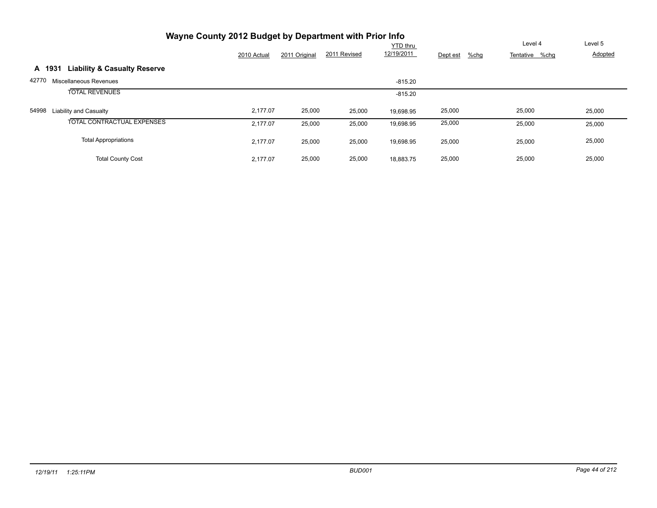| Wayne County 2012 Budget by Department with Prior Info |             |               |              |                 |                     |                |                |
|--------------------------------------------------------|-------------|---------------|--------------|-----------------|---------------------|----------------|----------------|
|                                                        |             |               |              | <b>YTD</b> thru |                     | Level 4        | Level 5        |
|                                                        | 2010 Actual | 2011 Original | 2011 Revised | 12/19/2011      | Dept est<br>$%$ chg | Tentative %chg | <b>Adopted</b> |
| <b>Liability &amp; Casualty Reserve</b><br>A 1931      |             |               |              |                 |                     |                |                |
| 42770<br>Miscellaneous Revenues                        |             |               |              | $-815.20$       |                     |                |                |
| <b>TOTAL REVENUES</b>                                  |             |               |              | $-815.20$       |                     |                |                |
| 54998<br><b>Liability and Casualty</b>                 | 2,177.07    | 25,000        | 25,000       | 19.698.95       | 25,000              | 25,000         | 25,000         |
| TOTAL CONTRACTUAL EXPENSES                             | 2,177.07    | 25,000        | 25,000       | 19,698.95       | 25,000              | 25,000         | 25,000         |
| <b>Total Appropriations</b>                            | 2.177.07    | 25,000        | 25,000       | 19,698.95       | 25,000              | 25,000         | 25,000         |
| <b>Total County Cost</b>                               | 2.177.07    | 25,000        | 25,000       | 18.883.75       | 25,000              | 25,000         | 25,000         |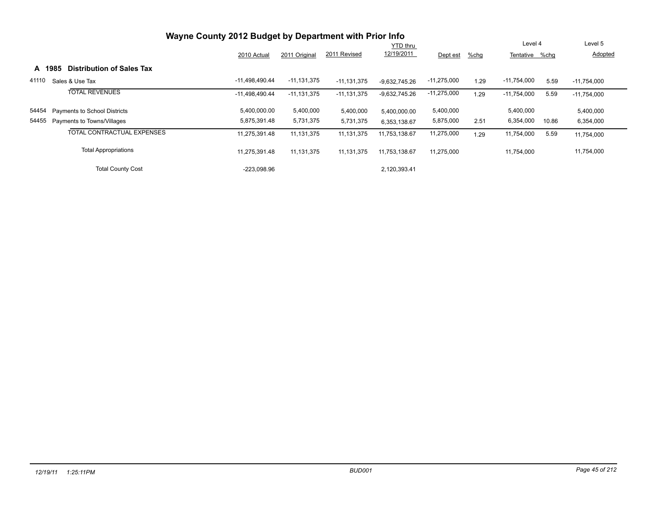|       |        |                                  |                |                 |                 | <b>YTD thru</b> |               |      | Level 4        |       | Level 5       |
|-------|--------|----------------------------------|----------------|-----------------|-----------------|-----------------|---------------|------|----------------|-------|---------------|
|       |        |                                  | 2010 Actual    | 2011 Original   | 2011 Revised    | 12/19/2011      | Dept est      | %chg | Tentative %chg |       | Adopted       |
|       | A 1985 | <b>Distribution of Sales Tax</b> |                |                 |                 |                 |               |      |                |       |               |
| 41110 |        | Sales & Use Tax                  | -11,498,490.44 | $-11, 131, 375$ | $-11, 131, 375$ | $-9.632.745.26$ | $-11,275,000$ | 1.29 | $-11,754,000$  | 5.59  | $-11,754,000$ |
|       |        | <b>TOTAL REVENUES</b>            | -11,498,490.44 | $-11, 131, 375$ | $-11, 131, 375$ | -9,632,745.26   | $-11,275,000$ | 1.29 | $-11,754,000$  | 5.59  | $-11,754,000$ |
| 54454 |        | Payments to School Districts     | 5,400,000.00   | 5,400,000       | 5,400,000       | 5.400.000.00    | 5,400,000     |      | 5,400,000      |       | 5,400,000     |
| 54455 |        | Payments to Towns/Villages       | 5,875,391.48   | 5,731,375       | 5,731,375       | 6,353,138.67    | 5,875,000     | 2.51 | 6,354,000      | 10.86 | 6,354,000     |
|       |        | TOTAL CONTRACTUAL EXPENSES       | 11,275,391.48  | 11, 131, 375    | 11,131,375      | 11,753,138.67   | 11,275,000    | 1.29 | 11,754,000     | 5.59  | 11,754,000    |
|       |        | <b>Total Appropriations</b>      | 11,275,391.48  | 11, 131, 375    | 11,131,375      | 11,753,138.67   | 11,275,000    |      | 11,754,000     |       | 11,754,000    |
|       |        | <b>Total County Cost</b>         | $-223.098.96$  |                 |                 | 2.120.393.41    |               |      |                |       |               |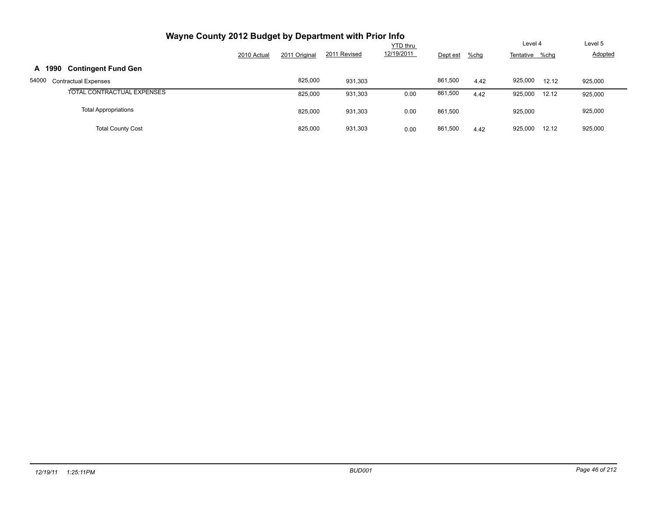| Wayne County 2012 Budget by Department with Prior Info |             |               |              |                               |          |         |                           |       |                    |
|--------------------------------------------------------|-------------|---------------|--------------|-------------------------------|----------|---------|---------------------------|-------|--------------------|
|                                                        | 2010 Actual | 2011 Original | 2011 Revised | <b>YTD thru</b><br>12/19/2011 | Dept est | $%$ chg | Level 4<br>Tentative %chg |       | Level 5<br>Adopted |
| <b>Contingent Fund Gen</b><br>A 1990                   |             |               |              |                               |          |         |                           |       |                    |
| 54000<br><b>Contractual Expenses</b>                   |             | 825.000       | 931.303      |                               | 861,500  | 4.42    | 925.000                   | 12.12 | 925,000            |
| TOTAL CONTRACTUAL EXPENSES                             |             | 825,000       | 931,303      | 0.00                          | 861,500  | 4.42    | 925,000                   | 12.12 | 925,000            |
| <b>Total Appropriations</b>                            |             | 825,000       | 931,303      | 0.00                          | 861.500  |         | 925,000                   |       | 925,000            |
| <b>Total County Cost</b>                               |             | 825.000       | 931,303      | 0.00                          | 861,500  | 4.42    | 925,000                   | 12.12 | 925,000            |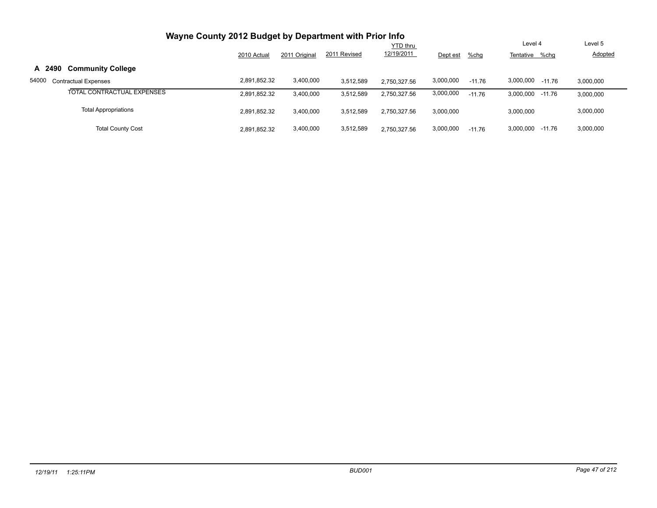| Wayne County 2012 Budget by Department with Prior Info |              |               |              |                 |           |          |                       |                |
|--------------------------------------------------------|--------------|---------------|--------------|-----------------|-----------|----------|-----------------------|----------------|
|                                                        |              |               |              | <b>YTD thru</b> |           |          | Level 4               | Level 5        |
|                                                        | 2010 Actual  | 2011 Original | 2011 Revised | 12/19/2011      | Dept est  | $%$ chg  | Tentative<br>%chq     | <b>Adopted</b> |
| <b>Community College</b><br>A 2490                     |              |               |              |                 |           |          |                       |                |
| 54000<br><b>Contractual Expenses</b>                   | 2,891,852.32 | 3,400,000     | 3,512,589    | 2.750.327.56    | 3,000,000 | $-11.76$ | 3,000,000<br>$-11.76$ | 3,000,000      |
| TOTAL CONTRACTUAL EXPENSES                             | 2,891,852.32 | 3,400,000     | 3,512,589    | 2.750.327.56    | 3,000,000 | $-11.76$ | 3,000,000<br>$-11.76$ | 3,000,000      |
| <b>Total Appropriations</b>                            | 2,891,852.32 | 3,400,000     | 3,512,589    | 2.750.327.56    | 3,000,000 |          | 3,000,000             | 3,000,000      |
| <b>Total County Cost</b>                               | 2,891,852.32 | 3,400,000     | 3,512,589    | 2.750.327.56    | 3,000,000 | $-11.76$ | 3,000,000<br>-11.76   | 3,000,000      |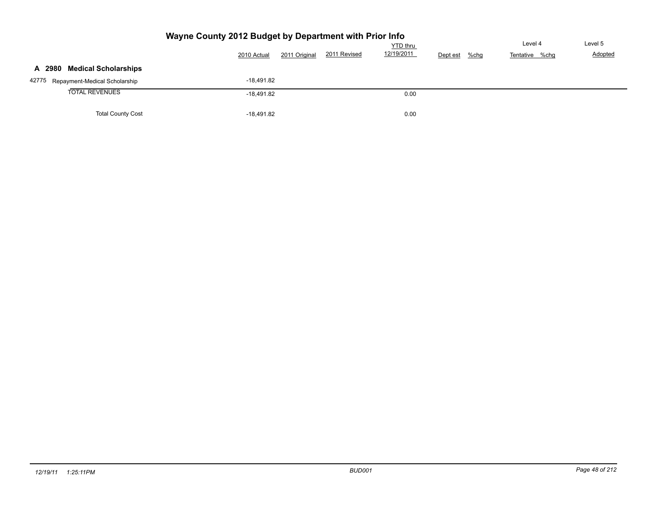|                                     | Wayne County 2012 Budget by Department with Prior Info |                               | YTD thru               |         | Level 4        | Level 5        |
|-------------------------------------|--------------------------------------------------------|-------------------------------|------------------------|---------|----------------|----------------|
|                                     | 2010 Actual                                            | 2011 Revised<br>2011 Original | 12/19/2011<br>Dept est | $%$ chg | Tentative %chg | <b>Adopted</b> |
| A 2980 Medical Scholarships         |                                                        |                               |                        |         |                |                |
| 42775 Repayment-Medical Scholarship | $-18.491.82$                                           |                               |                        |         |                |                |
| <b>TOTAL REVENUES</b>               | $-18.491.82$                                           |                               | 0.00                   |         |                |                |
| <b>Total County Cost</b>            | $-18,491.82$                                           |                               | 0.00                   |         |                |                |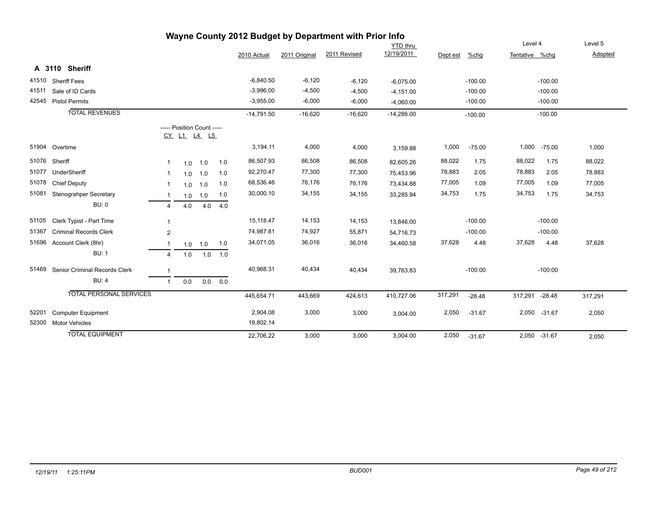| Wayne County 2012 Budget by Department with Prior Info |                                |                 |     |                                                  |     |              |               |              |              |          |           |                |              |         |
|--------------------------------------------------------|--------------------------------|-----------------|-----|--------------------------------------------------|-----|--------------|---------------|--------------|--------------|----------|-----------|----------------|--------------|---------|
|                                                        |                                | <b>YTD</b> thru |     |                                                  |     |              |               |              |              | Level 4  |           | Level 5        |              |         |
|                                                        |                                |                 |     |                                                  |     | 2010 Actual  | 2011 Original | 2011 Revised | 12/19/2011   | Dept est | %chg      | Tentative %chg |              | Adopted |
|                                                        | A 3110 Sheriff                 |                 |     |                                                  |     |              |               |              |              |          |           |                |              |         |
| 41510                                                  | <b>Sheriff Fees</b>            |                 |     |                                                  |     | $-6,840.50$  | $-6,120$      | $-6,120$     | $-6,075.00$  |          | $-100.00$ |                | $-100.00$    |         |
| 41511                                                  | Sale of ID Cards               |                 |     |                                                  |     | $-3,996.00$  | $-4,500$      | $-4,500$     | $-4,151.00$  |          | $-100.00$ |                | $-100.00$    |         |
|                                                        | 42545 Pistol Permits           |                 |     |                                                  |     | $-3,955.00$  | $-6,000$      | $-6,000$     | $-4,060.00$  |          | $-100.00$ |                | $-100.00$    |         |
|                                                        | <b>TOTAL REVENUES</b>          |                 |     |                                                  |     | $-14,791.50$ | $-16,620$     | $-16,620$    | $-14,286.00$ |          | $-100.00$ |                | $-100.00$    |         |
|                                                        |                                |                 |     | ----- Position Count -----<br><u>CY L1 L4 L5</u> |     |              |               |              |              |          |           |                |              |         |
|                                                        | 51904 Overtime                 |                 |     |                                                  |     | 3,194.11     | 4,000         | 4,000        | 3,159.88     | 1,000    | $-75.00$  | 1,000          | $-75.00$     | 1,000   |
| 51076                                                  | Sheriff                        | 1               | 1.0 | 1.0                                              | 1.0 | 86,507.93    | 86,508        | 86,508       | 82,605.26    | 88,022   | 1.75      | 88,022         | 1.75         | 88,022  |
| 51077                                                  | UnderSheriff                   | -1              | 1.0 | 1.0                                              | 1.0 | 92,270.47    | 77,300        | 77,300       | 75,453.96    | 78,883   | 2.05      | 78,883         | 2.05         | 78,883  |
| 51078                                                  | <b>Chief Deputy</b>            | 1               | 1.0 | 1.0                                              | 1.0 | 68,536.46    | 76,176        | 76,176       | 73,434.88    | 77,005   | 1.09      | 77,005         | 1.09         | 77,005  |
| 51081                                                  | Stenograhper Secretary         |                 | 1.0 | 1.0                                              | 1.0 | 30,000.10    | 34,155        | 34,155       | 33,285.94    | 34,753   | 1.75      | 34,753         | 1.75         | 34,753  |
|                                                        | <b>BU: 0</b>                   | 4               | 4.0 | 4.0                                              | 4.0 |              |               |              |              |          |           |                |              |         |
| 51105                                                  | Clerk Typist - Part Time       | 1               |     |                                                  |     | 15,118.47    | 14,153        | 14,153       | 13,846.00    |          | $-100.00$ |                | $-100.00$    |         |
| 51367                                                  | <b>Criminal Records Clerk</b>  | $\mathbf{2}$    |     |                                                  |     | 74,987.81    | 74,927        | 55,871       | 54,716.73    |          | $-100.00$ |                | $-100.00$    |         |
| 51696                                                  | Account Clerk (8hr)            |                 |     | $1.0$ 1.0                                        | 1.0 | 34,071.05    | 36,016        | 36,016       | 34,460.58    | 37,628   | 4.48      | 37,628         | 4.48         | 37,628  |
|                                                        | <b>BU: 1</b>                   | 4               | 1.0 | 1.0                                              | 1.0 |              |               |              |              |          |           |                |              |         |
| 51469                                                  | Senior Criminal Records Clerk  | 1               |     |                                                  |     | 40,968.31    | 40,434        | 40,434       | 39,763.83    |          | $-100.00$ |                | $-100.00$    |         |
|                                                        | <b>BU: 4</b>                   | $\mathbf{1}$    | 0.0 | 0.0                                              | 0.0 |              |               |              |              |          |           |                |              |         |
|                                                        | <b>TOTAL PERSONAL SERVICES</b> |                 |     |                                                  |     | 445,654.71   | 443,669       | 424,613      | 410,727.06   | 317,291  | $-28.48$  | 317,291 -28.48 |              | 317,291 |
| 52201                                                  | <b>Computer Equipment</b>      |                 |     |                                                  |     | 2,904.08     | 3,000         | 3,000        | 3,004.00     | 2,050    | $-31.67$  |                | 2,050 -31.67 | 2,050   |
| 52300                                                  | <b>Motor Vehicles</b>          |                 |     |                                                  |     | 19,802.14    |               |              |              |          |           |                |              |         |
|                                                        | <b>TOTAL EQUIPMENT</b>         |                 |     |                                                  |     | 22.706.22    | 3,000         | 3,000        | 3,004.00     | 2,050    | $-31.67$  |                | 2,050 -31.67 | 2,050   |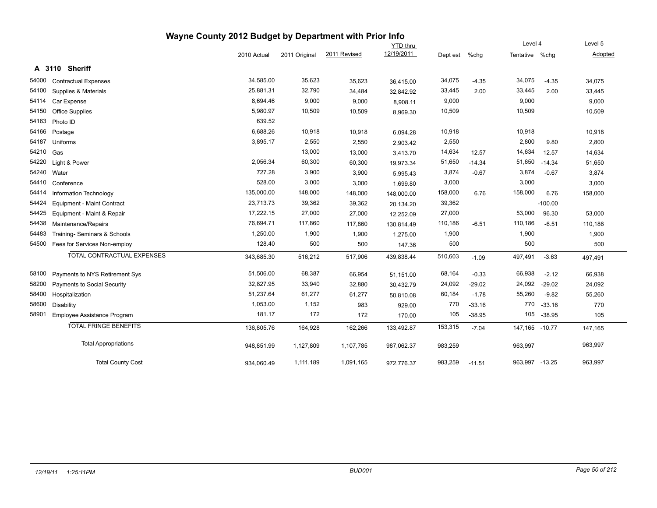|       |                                   | Wayne County 2012 Budget by Department with Prior Info |               |              |                 |          |          |                |           |         |
|-------|-----------------------------------|--------------------------------------------------------|---------------|--------------|-----------------|----------|----------|----------------|-----------|---------|
|       |                                   |                                                        |               |              | <b>YTD thru</b> |          |          | Level 4        |           | Level 5 |
|       |                                   | 2010 Actual                                            | 2011 Original | 2011 Revised | 12/19/2011      | Dept est | %chg     | Tentative %chq |           | Adopted |
|       | A 3110 Sheriff                    |                                                        |               |              |                 |          |          |                |           |         |
| 54000 | <b>Contractual Expenses</b>       | 34,585.00                                              | 35,623        | 35,623       | 36,415.00       | 34,075   | $-4.35$  | 34,075         | $-4.35$   | 34,075  |
| 54100 | Supplies & Materials              | 25,881.31                                              | 32,790        | 34,484       | 32,842.92       | 33,445   | 2.00     | 33,445         | 2.00      | 33,445  |
| 54114 | Car Expense                       | 8,694.46                                               | 9,000         | 9,000        | 8,908.11        | 9,000    |          | 9,000          |           | 9,000   |
| 54150 | <b>Office Supplies</b>            | 5,980.97                                               | 10,509        | 10,509       | 8,969.30        | 10,509   |          | 10,509         |           | 10,509  |
| 54163 | Photo ID                          | 639.52                                                 |               |              |                 |          |          |                |           |         |
| 54166 | Postage                           | 6,688.26                                               | 10,918        | 10,918       | 6,094.28        | 10,918   |          | 10,918         |           | 10,918  |
| 54187 | Uniforms                          | 3,895.17                                               | 2,550         | 2,550        | 2,903.42        | 2,550    |          | 2,800          | 9.80      | 2,800   |
| 54210 | Gas                               |                                                        | 13,000        | 13,000       | 3,413.70        | 14,634   | 12.57    | 14,634         | 12.57     | 14,634  |
| 54220 | Light & Power                     | 2,056.34                                               | 60,300        | 60,300       | 19,973.34       | 51,650   | $-14.34$ | 51,650         | $-14.34$  | 51,650  |
| 54240 | Water                             | 727.28                                                 | 3,900         | 3,900        | 5,995.43        | 3,874    | $-0.67$  | 3,874          | $-0.67$   | 3,874   |
| 54410 | Conference                        | 528.00                                                 | 3,000         | 3,000        | 1,699.80        | 3,000    |          | 3,000          |           | 3,000   |
| 54414 | Information Technology            | 135,000.00                                             | 148,000       | 148,000      | 148,000.00      | 158,000  | 6.76     | 158,000        | 6.76      | 158,000 |
| 54424 | Equipment - Maint Contract        | 23,713.73                                              | 39,362        | 39,362       | 20,134.20       | 39,362   |          |                | $-100.00$ |         |
| 54425 | Equipment - Maint & Repair        | 17,222.15                                              | 27,000        | 27,000       | 12,252.09       | 27,000   |          | 53,000         | 96.30     | 53,000  |
| 54438 | Maintenance/Repairs               | 76,694.71                                              | 117,860       | 117,860      | 130,814.49      | 110,186  | $-6.51$  | 110,186        | $-6.51$   | 110,186 |
| 54483 | Training- Seminars & Schools      | 1,250.00                                               | 1,900         | 1,900        | 1,275.00        | 1,900    |          | 1,900          |           | 1,900   |
| 54500 | Fees for Services Non-employ      | 128.40                                                 | 500           | 500          | 147.36          | 500      |          | 500            |           | 500     |
|       | <b>TOTAL CONTRACTUAL EXPENSES</b> | 343,685.30                                             | 516,212       | 517,906      | 439,838.44      | 510,603  | $-1.09$  | 497,491        | $-3.63$   | 497,491 |
| 58100 | Payments to NYS Retirement Sys    | 51,506.00                                              | 68,387        | 66,954       | 51,151.00       | 68,164   | $-0.33$  | 66,938         | $-2.12$   | 66,938  |
| 58200 | Payments to Social Security       | 32,827.95                                              | 33,940        | 32,880       | 30,432.79       | 24,092   | $-29.02$ | 24,092         | $-29.02$  | 24,092  |
| 58400 | Hospitalization                   | 51,237.64                                              | 61,277        | 61,277       | 50,810.08       | 60,184   | $-1.78$  | 55,260         | $-9.82$   | 55,260  |
| 58600 | Disability                        | 1,053.00                                               | 1,152         | 983          | 929.00          | 770      | $-33.16$ | 770            | $-33.16$  | 770     |
| 58901 | Employee Assistance Program       | 181.17                                                 | 172           | 172          | 170.00          | 105      | $-38.95$ | 105            | $-38.95$  | 105     |
|       | <b>TOTAL FRINGE BENEFITS</b>      | 136,805.76                                             | 164,928       | 162,266      | 133,492.87      | 153,315  | $-7.04$  | 147,165 -10.77 |           | 147,165 |
|       | <b>Total Appropriations</b>       | 948,851.99                                             | 1,127,809     | 1,107,785    | 987,062.37      | 983,259  |          | 963,997        |           | 963,997 |
|       | <b>Total County Cost</b>          | 934,060.49                                             | 1,111,189     | 1,091,165    | 972,776.37      | 983,259  | $-11.51$ | 963,997 -13.25 |           | 963,997 |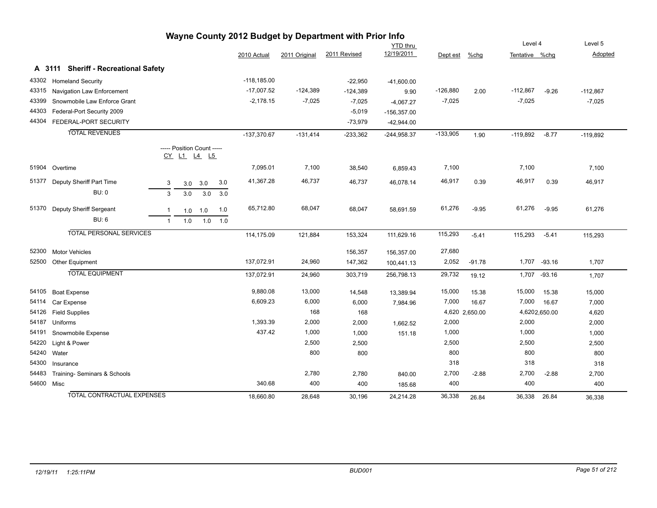| Wayne County 2012 Budget by Department with Prior Info |                                      |                                           |               |               |              |                 |            |                |                |          |            |
|--------------------------------------------------------|--------------------------------------|-------------------------------------------|---------------|---------------|--------------|-----------------|------------|----------------|----------------|----------|------------|
|                                                        |                                      |                                           |               |               |              | <b>YTD</b> thru |            |                | Level 4        |          | Level 5    |
|                                                        |                                      |                                           | 2010 Actual   | 2011 Original | 2011 Revised | 12/19/2011      | Dept est   | %chg           | Tentative %chq |          | Adopted    |
|                                                        | A 3111 Sheriff - Recreational Safety |                                           |               |               |              |                 |            |                |                |          |            |
| 43302                                                  | <b>Homeland Security</b>             |                                           | $-118,185.00$ |               | $-22,950$    | $-41,600.00$    |            |                |                |          |            |
| 43315                                                  | Navigation Law Enforcement           |                                           | $-17,007.52$  | $-124,389$    | $-124,389$   | 9.90            | $-126,880$ | 2.00           | $-112,867$     | $-9.26$  | $-112,867$ |
| 43399                                                  | Snowmobile Law Enforce Grant         |                                           | $-2,178.15$   | $-7,025$      | $-7,025$     | $-4,067.27$     | $-7,025$   |                | $-7,025$       |          | $-7,025$   |
| 44303                                                  | Federal-Port Security 2009           |                                           |               |               | $-5,019$     | $-156,357.00$   |            |                |                |          |            |
|                                                        | 44304 FEDERAL-PORT SECURITY          |                                           |               |               | $-73,979$    | $-42,944.00$    |            |                |                |          |            |
|                                                        | <b>TOTAL REVENUES</b>                |                                           | $-137,370.67$ | $-131,414$    | $-233,362$   | $-244,958.37$   | $-133,905$ | 1.90           | $-119,892$     | $-8.77$  | $-119,892$ |
|                                                        |                                      | ----- Position Count -----<br>CY L1 L4 L5 |               |               |              |                 |            |                |                |          |            |
|                                                        | 51904 Overtime                       |                                           | 7,095.01      | 7,100         | 38,540       | 6,859.43        | 7,100      |                | 7,100          |          | 7,100      |
| 51377                                                  | Deputy Sheriff Part Time             | 3.0<br>$\mathbf{3}$<br>3.0<br>3.0         | 41,367.28     | 46,737        | 46,737       | 46,078.14       | 46,917     | 0.39           | 46,917         | 0.39     | 46,917     |
|                                                        | <b>BU: 0</b>                         | 3<br>3.0<br>3.0<br>3.0                    |               |               |              |                 |            |                |                |          |            |
| 51370                                                  | Deputy Sheriff Sergeant              | 1.0<br>$\mathbf{1}$<br>1.0<br>1.0         | 65,712.80     | 68,047        | 68,047       | 58,691.59       | 61,276     | $-9.95$        | 61,276         | $-9.95$  | 61,276     |
|                                                        | <b>BU: 6</b>                         | 1.0<br>1.0<br>1.0<br>$\overline{1}$       |               |               |              |                 |            |                |                |          |            |
|                                                        | <b>TOTAL PERSONAL SERVICES</b>       |                                           | 114,175.09    | 121,884       | 153,324      | 111,629.16      | 115,293    | $-5.41$        | 115,293        | $-5.41$  | 115,293    |
| 52300                                                  | <b>Motor Vehicles</b>                |                                           |               |               | 156,357      | 156,357.00      | 27,680     |                |                |          |            |
| 52500                                                  | Other Equipment                      |                                           | 137,072.91    | 24,960        | 147,362      | 100,441.13      | 2,052      | $-91.78$       | 1,707          | $-93.16$ | 1,707      |
|                                                        | <b>TOTAL EQUIPMENT</b>               |                                           | 137,072.91    | 24,960        | 303,719      | 256,798.13      | 29,732     | 19.12          | 1,707 -93.16   |          | 1,707      |
| 54105                                                  | <b>Boat Expense</b>                  |                                           | 9,880.08      | 13,000        | 14,548       | 13,389.94       | 15,000     | 15.38          | 15,000         | 15.38    | 15,000     |
| 54114                                                  | Car Expense                          |                                           | 6,609.23      | 6,000         | 6,000        | 7,984.96        | 7,000      | 16.67          | 7,000          | 16.67    | 7,000      |
| 54126                                                  | <b>Field Supplies</b>                |                                           |               | 168           | 168          |                 |            | 4,620 2,650.00 | 4,6202,650.00  |          | 4,620      |
| 54187                                                  | Uniforms                             |                                           | 1,393.39      | 2,000         | 2,000        | 1,662.52        | 2,000      |                | 2,000          |          | 2,000      |
| 54191                                                  | Snowmobile Expense                   |                                           | 437.42        | 1,000         | 1,000        | 151.18          | 1,000      |                | 1,000          |          | 1,000      |
| 54220                                                  | Light & Power                        |                                           |               | 2,500         | 2,500        |                 | 2,500      |                | 2,500          |          | 2,500      |
| 54240                                                  | Water                                |                                           |               | 800           | 800          |                 | 800        |                | 800            |          | 800        |
| 54300                                                  | Insurance                            |                                           |               |               |              |                 | 318        |                | 318            |          | 318        |
| 54483                                                  | Training- Seminars & Schools         |                                           |               | 2,780         | 2,780        | 840.00          | 2,700      | $-2.88$        | 2,700          | $-2.88$  | 2,700      |
| 54600 Misc                                             |                                      |                                           | 340.68        | 400           | 400          | 185.68          | 400        |                | 400            |          | 400        |
|                                                        | <b>TOTAL CONTRACTUAL EXPENSES</b>    |                                           | 18,660.80     | 28,648        | 30,196       | 24,214.28       | 36,338     | 26.84          | 36,338         | 26.84    | 36,338     |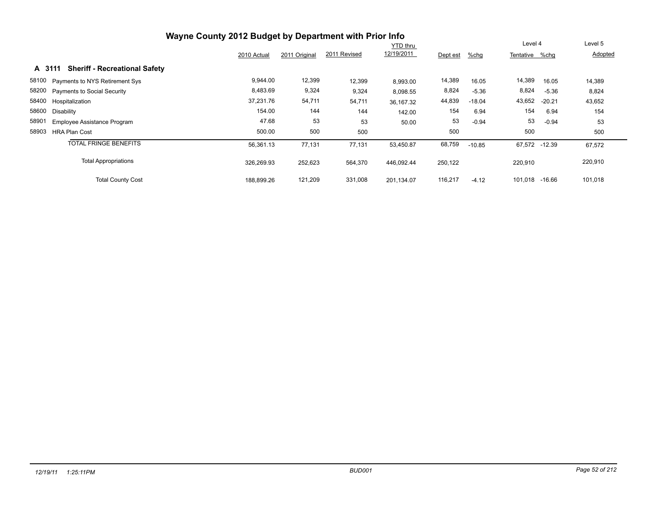| Wayne County 2012 Budget by Department with Prior Info |             |               |              |            |          |          |                |          |         |
|--------------------------------------------------------|-------------|---------------|--------------|------------|----------|----------|----------------|----------|---------|
|                                                        |             |               | Level 4      |            | Level 5  |          |                |          |         |
|                                                        | 2010 Actual | 2011 Original | 2011 Revised | 12/19/2011 | Dept est | $%$ chg  | Tentative %chq |          | Adopted |
| <b>Sheriff - Recreational Safety</b><br>A 3111         |             |               |              |            |          |          |                |          |         |
| 58100 Payments to NYS Retirement Sys                   | 9,944.00    | 12,399        | 12,399       | 8,993.00   | 14,389   | 16.05    | 14,389         | 16.05    | 14,389  |
| 58200 Payments to Social Security                      | 8,483.69    | 9,324         | 9,324        | 8,098.55   | 8,824    | $-5.36$  | 8,824          | $-5.36$  | 8,824   |
| 58400 Hospitalization                                  | 37,231.76   | 54,711        | 54,711       | 36,167.32  | 44,839   | $-18.04$ | 43,652         | $-20.21$ | 43,652  |
| 58600<br>Disability                                    | 154.00      | 144           | 144          | 142.00     | 154      | 6.94     | 154            | 6.94     | 154     |
| 58901<br><b>Employee Assistance Program</b>            | 47.68       | 53            | 53           | 50.00      | 53       | $-0.94$  | 53             | $-0.94$  | 53      |
| 58903<br><b>HRA Plan Cost</b>                          | 500.00      | 500           | 500          |            | 500      |          | 500            |          | 500     |
| <b>TOTAL FRINGE BENEFITS</b>                           | 56,361.13   | 77,131        | 77,131       | 53,450.87  | 68,759   | $-10.85$ | 67,572 -12.39  |          | 67,572  |
| <b>Total Appropriations</b>                            | 326,269.93  | 252,623       | 564,370      | 446.092.44 | 250,122  |          | 220.910        |          | 220,910 |
| <b>Total County Cost</b>                               | 188,899.26  | 121,209       | 331,008      | 201.134.07 | 116,217  | $-4.12$  | 101,018        | -16.66   | 101,018 |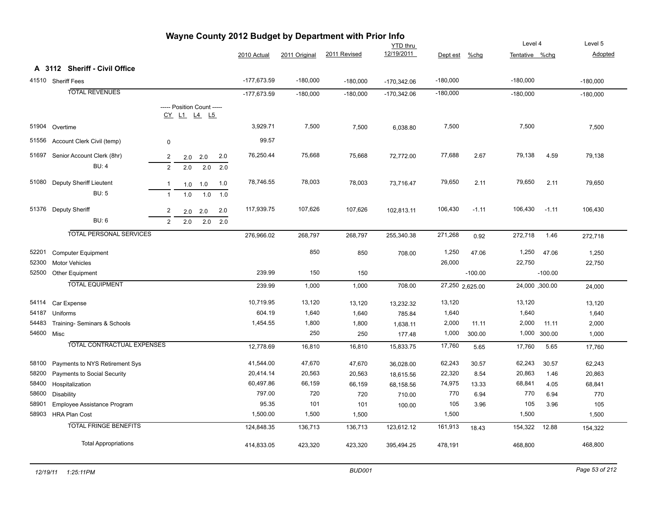|            |                                   |                |     |                                           |     | Puuyv         |               |              | <b>YTD</b> thru |            |                 | Level 4        |              | Level 5    |
|------------|-----------------------------------|----------------|-----|-------------------------------------------|-----|---------------|---------------|--------------|-----------------|------------|-----------------|----------------|--------------|------------|
|            |                                   |                |     |                                           |     | 2010 Actual   | 2011 Original | 2011 Revised | 12/19/2011      | Dept est   | %chg            | Tentative %chg |              | Adopted    |
|            | A 3112 Sheriff - Civil Office     |                |     |                                           |     |               |               |              |                 |            |                 |                |              |            |
|            | 41510 Sheriff Fees                |                |     |                                           |     | $-177,673.59$ | $-180,000$    | $-180,000$   | $-170,342.06$   | $-180,000$ |                 | $-180,000$     |              | $-180,000$ |
|            | <b>TOTAL REVENUES</b>             |                |     |                                           |     | $-177,673.59$ | $-180,000$    | $-180,000$   | $-170,342.06$   | $-180,000$ |                 | $-180,000$     |              | $-180,000$ |
|            |                                   |                |     | ----- Position Count -----<br>CY L1 L4 L5 |     |               |               |              |                 |            |                 |                |              |            |
| 51904      | Overtime                          |                |     |                                           |     | 3,929.71      | 7,500         | 7,500        | 6,038.80        | 7,500      |                 | 7,500          |              | 7,500      |
| 51556      | Account Clerk Civil (temp)        | $\pmb{0}$      |     |                                           |     | 99.57         |               |              |                 |            |                 |                |              |            |
| 51697      | Senior Account Clerk (8hr)        | $\overline{c}$ | 2.0 | 2.0                                       | 2.0 | 76,250.44     | 75,668        | 75,668       | 72,772.00       | 77,688     | 2.67            | 79,138         | 4.59         | 79,138     |
|            | <b>BU: 4</b>                      | $\overline{2}$ | 2.0 | 2.0                                       | 2.0 |               |               |              |                 |            |                 |                |              |            |
| 51080      | Deputy Sheriff Lieutent           | $\mathbf{1}$   | 1.0 | 1.0                                       | 1.0 | 78,746.55     | 78,003        | 78,003       | 73,716.47       | 79,650     | 2.11            | 79,650         | 2.11         | 79,650     |
|            | <b>BU: 5</b>                      | $\overline{1}$ | 1.0 | 1.0                                       | 1.0 |               |               |              |                 |            |                 |                |              |            |
| 51376      | <b>Deputy Sheriff</b>             | $\overline{2}$ | 2.0 | 2.0                                       | 2.0 | 117,939.75    | 107,626       | 107,626      | 102,813.11      | 106,430    | $-1.11$         | 106,430        | $-1.11$      | 106,430    |
|            | <b>BU: 6</b>                      | 2              | 2.0 | 2.0                                       | 2.0 |               |               |              |                 |            |                 |                |              |            |
|            | <b>TOTAL PERSONAL SERVICES</b>    |                |     |                                           |     | 276,966.02    | 268,797       | 268,797      | 255,340.38      | 271,268    | 0.92            | 272,718        | 1.46         | 272,718    |
| 52201      | <b>Computer Equipment</b>         |                |     |                                           |     |               | 850           | 850          | 708.00          | 1,250      | 47.06           | 1,250          | 47.06        | 1,250      |
| 52300      | <b>Motor Vehicles</b>             |                |     |                                           |     |               |               |              |                 | 26,000     |                 | 22,750         |              | 22,750     |
| 52500      | Other Equipment                   |                |     |                                           |     | 239.99        | 150           | 150          |                 |            | $-100.00$       |                | $-100.00$    |            |
|            | <b>TOTAL EQUIPMENT</b>            |                |     |                                           |     | 239.99        | 1,000         | 1,000        | 708.00          |            | 27,250 2,625.00 | 24,000,300.00  |              | 24,000     |
| 54114      | Car Expense                       |                |     |                                           |     | 10,719.95     | 13,120        | 13,120       | 13,232.32       | 13,120     |                 | 13,120         |              | 13,120     |
| 54187      | Uniforms                          |                |     |                                           |     | 604.19        | 1,640         | 1,640        | 785.84          | 1,640      |                 | 1,640          |              | 1,640      |
| 54483      | Training- Seminars & Schools      |                |     |                                           |     | 1,454.55      | 1,800         | 1,800        | 1,638.11        | 2,000      | 11.11           | 2,000          | 11.11        | 2,000      |
| 54600 Misc |                                   |                |     |                                           |     |               | 250           | 250          | 177.48          | 1,000      | 300.00          |                | 1,000 300.00 | 1,000      |
|            | <b>TOTAL CONTRACTUAL EXPENSES</b> |                |     |                                           |     | 12,778.69     | 16,810        | 16,810       | 15,833.75       | 17,760     | 5.65            | 17,760         | 5.65         | 17,760     |
| 58100      | Payments to NYS Retirement Sys    |                |     |                                           |     | 41,544.00     | 47,670        | 47,670       | 36,028.00       | 62,243     | 30.57           | 62,243         | 30.57        | 62,243     |
| 58200      | Payments to Social Security       |                |     |                                           |     | 20,414.14     | 20,563        | 20,563       | 18,615.56       | 22,320     | 8.54            | 20,863         | 1.46         | 20,863     |
| 58400      | Hospitalization                   |                |     |                                           |     | 60,497.86     | 66,159        | 66,159       | 68,158.56       | 74,975     | 13.33           | 68,841         | 4.05         | 68,841     |
| 58600      | <b>Disability</b>                 |                |     |                                           |     | 797.00        | 720           | 720          | 710.00          | 770        | 6.94            | 770            | 6.94         | 770        |
| 58901      | Employee Assistance Program       |                |     |                                           |     | 95.35         | 101           | 101          | 100.00          | 105        | 3.96            | 105            | 3.96         | 105        |
| 58903      | <b>HRA Plan Cost</b>              |                |     |                                           |     | 1,500.00      | 1,500         | 1,500        |                 | 1,500      |                 | 1,500          |              | 1,500      |
|            | <b>TOTAL FRINGE BENEFITS</b>      |                |     |                                           |     | 124,848.35    | 136,713       | 136,713      | 123,612.12      | 161,913    | 18.43           | 154,322        | 12.88        | 154,322    |
|            | <b>Total Appropriations</b>       |                |     |                                           |     | 414,833.05    | 423,320       | 423,320      | 395,494.25      | 478,191    |                 | 468,800        |              | 468,800    |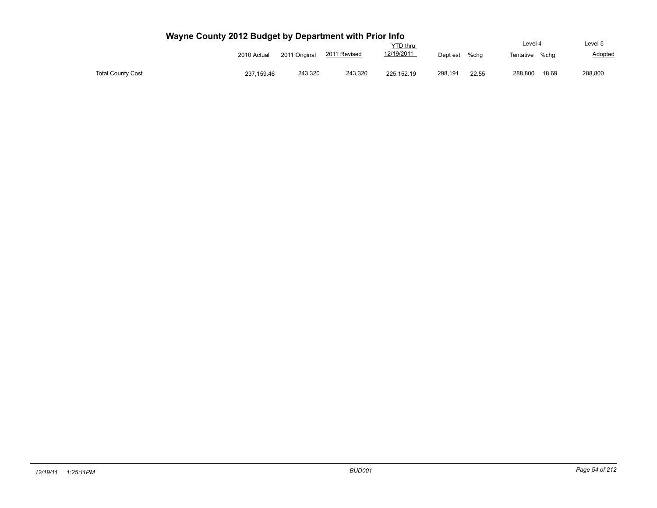|                          |             |               |              | YTD thru          |          |       | Level 4   |       | Level 5 |
|--------------------------|-------------|---------------|--------------|-------------------|----------|-------|-----------|-------|---------|
|                          | 2010 Actual | 2011 Original | 2011 Revised | <u>12/19/2011</u> | Dept est | %chq  | Tentative | %cha  | Adopted |
| <b>Total County Cost</b> | 237,159.46  | 243,320       | 243,320      | 225.152.19        | 298,191  | 22.55 | 288,800   | 18.69 | 288,800 |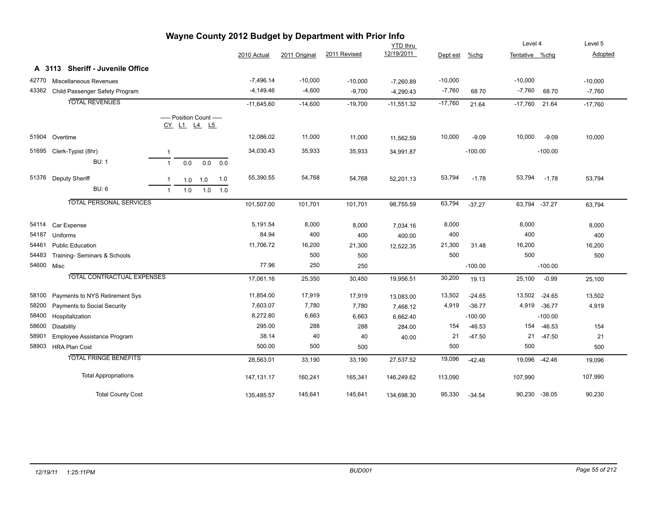| Wayne County 2012 Budget by Department with Prior Info |                                      |              |     |                            |           |              |               |              |                 |           |           |                |               |           |
|--------------------------------------------------------|--------------------------------------|--------------|-----|----------------------------|-----------|--------------|---------------|--------------|-----------------|-----------|-----------|----------------|---------------|-----------|
|                                                        |                                      |              |     |                            |           |              |               |              | <b>YTD thru</b> |           |           | Level 4        |               | Level 5   |
|                                                        |                                      |              |     |                            |           | 2010 Actual  | 2011 Original | 2011 Revised | 12/19/2011      | Dept est  | $%$ chg   | Tentative %chg |               | Adopted   |
|                                                        | A 3113 Sheriff - Juvenile Office     |              |     |                            |           |              |               |              |                 |           |           |                |               |           |
| 42770                                                  | Miscellaneous Revenues               |              |     |                            |           | $-7,496.14$  | $-10,000$     | $-10,000$    | $-7,260.89$     | $-10,000$ |           | $-10,000$      |               | $-10,000$ |
|                                                        | 43362 Child Passenger Safety Program |              |     |                            |           | $-4,149.46$  | $-4,600$      | $-9,700$     | $-4,290.43$     | $-7,760$  | 68.70     | $-7,760$       | 68.70         | $-7,760$  |
|                                                        | <b>TOTAL REVENUES</b>                |              |     |                            |           | $-11,645.60$ | $-14,600$     | $-19,700$    | $-11,551.32$    | $-17,760$ | 21.64     | $-17,760$      | 21.64         | $-17,760$ |
|                                                        |                                      |              |     | ----- Position Count ----- |           |              |               |              |                 |           |           |                |               |           |
|                                                        |                                      |              |     | <u>CY L1 L4 L5</u>         |           |              |               |              |                 |           |           |                |               |           |
|                                                        | 51904 Overtime                       |              |     |                            |           | 12,086.02    | 11,000        | 11,000       | 11,562.59       | 10,000    | $-9.09$   | 10,000         | $-9.09$       | 10,000    |
|                                                        | 51695 Clerk-Typist (8hr)             | $\mathbf{1}$ |     |                            |           | 34,030.43    | 35,933        | 35,933       | 34,991.87       |           | $-100.00$ |                | $-100.00$     |           |
|                                                        | <b>BU: 1</b>                         | $\mathbf{1}$ | 0.0 | 0.0                        | 0.0       |              |               |              |                 |           |           |                |               |           |
|                                                        | 51376 Deputy Sheriff                 | $\mathbf{1}$ |     | $1.0$ 1.0                  | 1.0       | 55,390.55    | 54,768        | 54,768       | 52,201.13       | 53,794    | $-1.78$   | 53,794         | $-1.78$       | 53,794    |
|                                                        | <b>BU: 6</b>                         | $\mathbf{1}$ | 1.0 |                            | $1.0$ 1.0 |              |               |              |                 |           |           |                |               |           |
|                                                        | <b>TOTAL PERSONAL SERVICES</b>       |              |     |                            |           |              |               |              |                 |           |           |                |               |           |
|                                                        |                                      |              |     |                            |           | 101,507.00   | 101,701       | 101,701      | 98,755.59       | 63,794    | $-37.27$  | 63,794 -37.27  |               | 63,794    |
| 54114                                                  | Car Expense                          |              |     |                            |           | 5,191.54     | 8,000         | 8,000        | 7,034.16        | 8,000     |           | 8,000          |               | 8,000     |
| 54187                                                  | Uniforms                             |              |     |                            |           | 84.94        | 400           | 400          | 400.00          | 400       |           | 400            |               | 400       |
| 54461                                                  | <b>Public Education</b>              |              |     |                            |           | 11,706.72    | 16,200        | 21,300       | 12,522.35       | 21,300    | 31.48     | 16,200         |               | 16,200    |
| 54483                                                  | Training- Seminars & Schools         |              |     |                            |           |              | 500           | 500          |                 | 500       |           | 500            |               | 500       |
| 54600 Misc                                             |                                      |              |     |                            |           | 77.96        | 250           | 250          |                 |           | $-100.00$ |                | $-100.00$     |           |
|                                                        | <b>TOTAL CONTRACTUAL EXPENSES</b>    |              |     |                            |           | 17,061.16    | 25,350        | 30,450       | 19,956.51       | 30,200    | 19.13     | 25,100         | $-0.99$       | 25,100    |
| 58100                                                  | Payments to NYS Retirement Sys       |              |     |                            |           | 11,854.00    | 17,919        | 17,919       | 13,083.00       | 13,502    | $-24.65$  | 13,502         | $-24.65$      | 13,502    |
| 58200                                                  | Payments to Social Security          |              |     |                            |           | 7,603.07     | 7,780         | 7,780        | 7,468.12        | 4,919     | $-36.77$  | 4,919          | $-36.77$      | 4,919     |
| 58400                                                  | Hospitalization                      |              |     |                            |           | 8,272.80     | 6,663         | 6,663        | 6,662.40        |           | $-100.00$ |                | $-100.00$     |           |
| 58600                                                  | Disability                           |              |     |                            |           | 295.00       | 288           | 288          | 284.00          | 154       | $-46.53$  | 154            | $-46.53$      | 154       |
| 58901                                                  | Employee Assistance Program          |              |     |                            |           | 38.14        | 40            | 40           | 40.00           | 21        | $-47.50$  | 21             | $-47.50$      | 21        |
| 58903                                                  | <b>HRA Plan Cost</b>                 |              |     |                            |           | 500.00       | 500           | 500          |                 | 500       |           | 500            |               | 500       |
|                                                        | <b>TOTAL FRINGE BENEFITS</b>         |              |     |                            |           | 28,563.01    | 33,190        | 33,190       | 27,537.52       | 19,096    | $-42.46$  |                | 19,096 -42.46 | 19,096    |
|                                                        | <b>Total Appropriations</b>          |              |     |                            |           | 147, 131.17  | 160,241       | 165,341      | 146,249.62      | 113,090   |           | 107,990        |               | 107,990   |
|                                                        | <b>Total County Cost</b>             |              |     |                            |           | 135,485.57   | 145,641       | 145,641      | 134,698.30      | 95,330    | $-34.54$  | 90,230 -38.05  |               | 90,230    |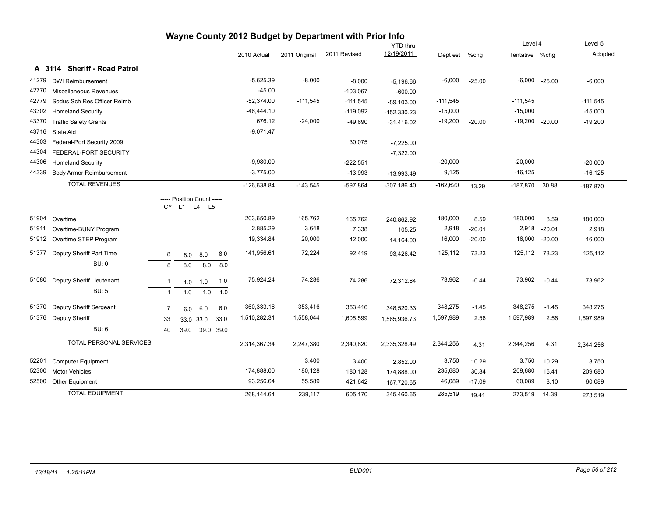|       |                                        |                |                            |           |      |               |               | Wayne County 2012 Budget by Department with Prior Info |                 |            |          |                    |                   |                |
|-------|----------------------------------------|----------------|----------------------------|-----------|------|---------------|---------------|--------------------------------------------------------|-----------------|------------|----------|--------------------|-------------------|----------------|
|       |                                        |                |                            |           |      |               |               |                                                        | <b>YTD thru</b> |            |          | Level 4            |                   | Level 5        |
|       |                                        |                |                            |           |      | 2010 Actual   | 2011 Original | 2011 Revised                                           | 12/19/2011      | Dept est   | $%$ chg  | Tentative %chg     |                   | <b>Adopted</b> |
|       | <b>Sheriff - Road Patrol</b><br>A 3114 |                |                            |           |      |               |               |                                                        |                 |            |          |                    |                   |                |
| 41279 | <b>DWI Reimbursement</b>               |                |                            |           |      | $-5,625.39$   | $-8,000$      | $-8,000$                                               | $-5,196.66$     | $-6,000$   | $-25.00$ |                    | $-6,000$ $-25.00$ | $-6,000$       |
| 42770 | <b>Miscellaneous Revenues</b>          |                |                            |           |      | $-45.00$      |               | $-103,067$                                             | $-600.00$       |            |          |                    |                   |                |
| 42779 | Sodus Sch Res Officer Reimb            |                |                            |           |      | $-52,374.00$  | $-111,545$    | $-111,545$                                             | $-89,103.00$    | $-111,545$ |          | $-111,545$         |                   | $-111,545$     |
| 43302 | <b>Homeland Security</b>               |                |                            |           |      | $-46,444.10$  |               | $-119,092$                                             | $-152,330.23$   | $-15,000$  |          | $-15,000$          |                   | $-15,000$      |
| 43370 | <b>Traffic Safety Grants</b>           |                |                            |           |      | 676.12        | $-24,000$     | $-49,690$                                              | $-31,416.02$    | $-19,200$  | $-20.00$ | $-19,200$ $-20.00$ |                   | $-19,200$      |
| 43716 | State Aid                              |                |                            |           |      | $-9,071.47$   |               |                                                        |                 |            |          |                    |                   |                |
| 44303 | Federal-Port Security 2009             |                |                            |           |      |               |               | 30,075                                                 | $-7,225.00$     |            |          |                    |                   |                |
| 44304 | FEDERAL-PORT SECURITY                  |                |                            |           |      |               |               |                                                        | $-7,322.00$     |            |          |                    |                   |                |
| 44306 | <b>Homeland Security</b>               |                |                            |           |      | $-9,980.00$   |               | $-222,551$                                             |                 | $-20,000$  |          | $-20,000$          |                   | $-20,000$      |
| 44339 | <b>Body Armor Reimbursement</b>        |                |                            |           |      | $-3,775.00$   |               | $-13,993$                                              | $-13,993.49$    | 9,125      |          | $-16, 125$         |                   | $-16, 125$     |
|       | <b>TOTAL REVENUES</b>                  |                |                            |           |      | $-126,638.84$ | $-143,545$    | $-597,864$                                             | $-307,186.40$   | $-162,620$ | 13.29    | $-187,870$         | 30.88             | $-187,870$     |
|       |                                        |                | ----- Position Count ----- |           |      |               |               |                                                        |                 |            |          |                    |                   |                |
|       |                                        |                | CY L1 L4 L5                |           |      |               |               |                                                        |                 |            |          |                    |                   |                |
| 51904 | Overtime                               |                |                            |           |      | 203,650.89    | 165,762       | 165,762                                                | 240,862.92      | 180,000    | 8.59     | 180,000            | 8.59              | 180,000        |
| 51911 | Overtime-BUNY Program                  |                |                            |           |      | 2,885.29      | 3,648         | 7,338                                                  | 105.25          | 2,918      | $-20.01$ | 2,918              | $-20.01$          | 2,918          |
| 51912 | Overtime STEP Program                  |                |                            |           |      | 19,334.84     | 20,000        | 42,000                                                 | 14,164.00       | 16,000     | $-20.00$ | 16,000             | $-20.00$          | 16,000         |
|       |                                        |                |                            |           |      |               |               |                                                        |                 |            |          |                    |                   |                |
| 51377 | Deputy Sheriff Part Time               | 8              | 8.0                        | 8.0       | 8.0  | 141,956.61    | 72,224        | 92,419                                                 | 93,426.42       | 125,112    | 73.23    | 125,112            | 73.23             | 125,112        |
|       | BU: 0                                  | 8              | 8.0                        | 8.0       | 8.0  |               |               |                                                        |                 |            |          |                    |                   |                |
| 51080 | Deputy Sheriff Lieutenant              | $\mathbf{1}$   | 1.0                        | 1.0       | 1.0  | 75,924.24     | 74,286        | 74,286                                                 | 72,312.84       | 73,962     | $-0.44$  | 73,962             | $-0.44$           | 73,962         |
|       | <b>BU: 5</b>                           | $\mathbf{1}$   | 1.0                        | 1.0       | 1.0  |               |               |                                                        |                 |            |          |                    |                   |                |
|       |                                        |                |                            |           |      |               |               |                                                        |                 |            |          |                    |                   |                |
| 51370 | Deputy Sheriff Sergeant                | $\overline{7}$ | 6.0                        | 6.0       | 6.0  | 360,333.16    | 353,416       | 353,416                                                | 348,520.33      | 348,275    | $-1.45$  | 348,275            | $-1.45$           | 348,275        |
| 51376 | <b>Deputy Sheriff</b>                  | 33             | 33.0 33.0                  |           | 33.0 | 1,510,282.31  | 1,558,044     | 1,605,599                                              | 1,565,936.73    | 1,597,989  | 2.56     | 1,597,989          | 2.56              | 1,597,989      |
|       | <b>BU: 6</b>                           | 40             | 39.0                       | 39.0 39.0 |      |               |               |                                                        |                 |            |          |                    |                   |                |
|       | <b>TOTAL PERSONAL SERVICES</b>         |                |                            |           |      | 2,314,367.34  | 2,247,380     | 2,340,820                                              | 2,335,328.49    | 2,344,256  | 4.31     | 2,344,256          | 4.31              | 2,344,256      |
|       |                                        |                |                            |           |      |               |               |                                                        |                 |            |          |                    |                   |                |
| 52201 | <b>Computer Equipment</b>              |                |                            |           |      |               | 3,400         | 3,400                                                  | 2,852.00        | 3,750      | 10.29    | 3,750              | 10.29             | 3,750          |
| 52300 | <b>Motor Vehicles</b>                  |                |                            |           |      | 174,888.00    | 180,128       | 180,128                                                | 174,888.00      | 235,680    | 30.84    | 209,680            | 16.41             | 209,680        |
| 52500 | Other Equipment                        |                |                            |           |      | 93,256.64     | 55,589        | 421,642                                                | 167,720.65      | 46,089     | $-17.09$ | 60,089             | 8.10              | 60,089         |
|       | <b>TOTAL EQUIPMENT</b>                 |                |                            |           |      | 268,144.64    | 239,117       | 605,170                                                | 345,460.65      | 285,519    | 19.41    | 273,519            | 14.39             | 273,519        |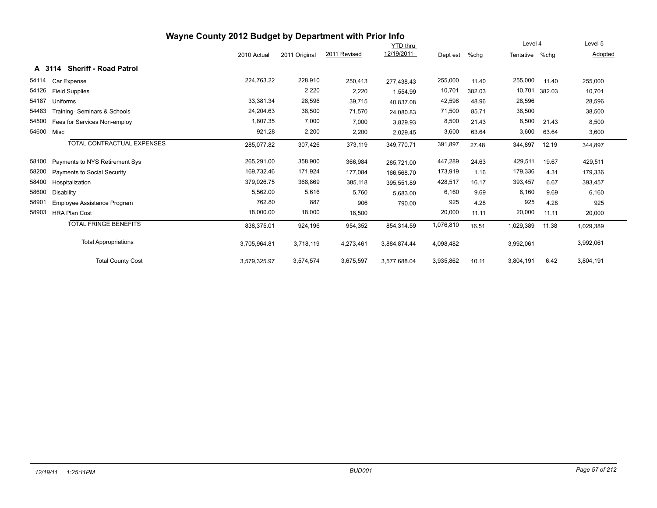|       | Wayne County 2012 Budget by Department with Prior Info |              |               |              |                 |           |         |                |        |           |
|-------|--------------------------------------------------------|--------------|---------------|--------------|-----------------|-----------|---------|----------------|--------|-----------|
|       |                                                        |              |               |              | <b>YTD</b> thru |           |         | Level 4        |        | Level 5   |
|       |                                                        | 2010 Actual  | 2011 Original | 2011 Revised | 12/19/2011      | Dept est  | $%$ chg | Tentative %chg |        | Adopted   |
|       | A 3114 Sheriff - Road Patrol                           |              |               |              |                 |           |         |                |        |           |
| 54114 | Car Expense                                            | 224,763.22   | 228,910       | 250,413      | 277,438.43      | 255,000   | 11.40   | 255,000        | 11.40  | 255,000   |
| 54126 | <b>Field Supplies</b>                                  |              | 2,220         | 2,220        | 1,554.99        | 10,701    | 382.03  | 10,701         | 382.03 | 10,701    |
| 54187 | Uniforms                                               | 33,381.34    | 28,596        | 39,715       | 40,837.08       | 42,596    | 48.96   | 28,596         |        | 28,596    |
| 54483 | Training- Seminars & Schools                           | 24,204.63    | 38,500        | 71,570       | 24,080.83       | 71,500    | 85.71   | 38,500         |        | 38,500    |
| 54500 | Fees for Services Non-employ                           | 1,807.35     | 7,000         | 7,000        | 3,829.93        | 8,500     | 21.43   | 8,500          | 21.43  | 8,500     |
|       | 54600 Misc                                             | 921.28       | 2,200         | 2,200        | 2,029.45        | 3,600     | 63.64   | 3,600          | 63.64  | 3,600     |
|       | TOTAL CONTRACTUAL EXPENSES                             | 285,077.82   | 307,426       | 373,119      | 349.770.71      | 391,897   | 27.48   | 344,897        | 12.19  | 344,897   |
| 58100 | Payments to NYS Retirement Sys                         | 265,291.00   | 358,900       | 366,984      | 285,721.00      | 447,289   | 24.63   | 429,511        | 19.67  | 429,511   |
| 58200 | Payments to Social Security                            | 169,732.46   | 171,924       | 177,084      | 166,568.70      | 173,919   | 1.16    | 179,336        | 4.31   | 179,336   |
| 58400 | Hospitalization                                        | 379,026.75   | 368,869       | 385,118      | 395,551.89      | 428,517   | 16.17   | 393,457        | 6.67   | 393,457   |
| 58600 | Disability                                             | 5,562.00     | 5,616         | 5,760        | 5,683.00        | 6,160     | 9.69    | 6,160          | 9.69   | 6,160     |
| 58901 | Employee Assistance Program                            | 762.80       | 887           | 906          | 790.00          | 925       | 4.28    | 925            | 4.28   | 925       |
| 58903 | <b>HRA Plan Cost</b>                                   | 18,000.00    | 18,000        | 18,500       |                 | 20,000    | 11.11   | 20,000         | 11.11  | 20,000    |
|       | <b>TOTAL FRINGE BENEFITS</b>                           | 838,375.01   | 924,196       | 954,352      | 854,314.59      | 1,076,810 | 16.51   | 1,029,389      | 11.38  | 1,029,389 |
|       | <b>Total Appropriations</b>                            | 3,705,964.81 | 3,718,119     | 4,273,461    | 3,884,874.44    | 4,098,482 |         | 3,992,061      |        | 3,992,061 |
|       | <b>Total County Cost</b>                               | 3,579,325.97 | 3,574,574     | 3,675,597    | 3,577,688.04    | 3,935,862 | 10.11   | 3,804,191      | 6.42   | 3,804,191 |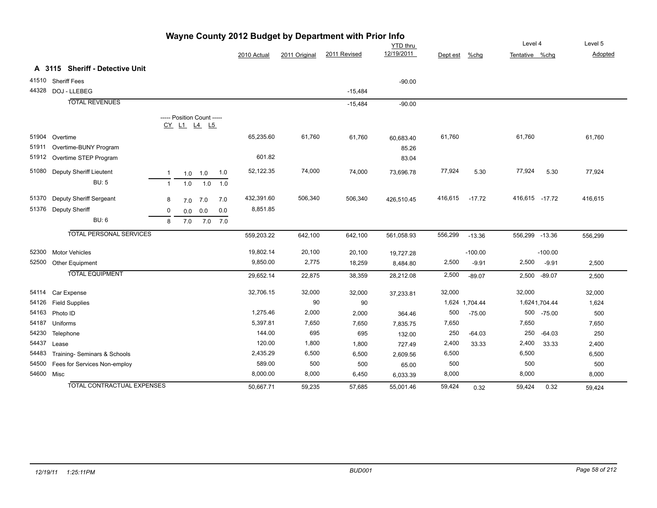|            |                                   |                |                                           |           |         |             |               | wayne County 2012 Budget by Department with Prior info |                               |          |                |                           |               |                    |
|------------|-----------------------------------|----------------|-------------------------------------------|-----------|---------|-------------|---------------|--------------------------------------------------------|-------------------------------|----------|----------------|---------------------------|---------------|--------------------|
|            |                                   |                |                                           |           |         | 2010 Actual | 2011 Original | 2011 Revised                                           | <b>YTD</b> thru<br>12/19/2011 | Dept est | %chg           | Level 4<br>Tentative %chg |               | Level 5<br>Adopted |
|            |                                   |                |                                           |           |         |             |               |                                                        |                               |          |                |                           |               |                    |
|            | A 3115 Sheriff - Detective Unit   |                |                                           |           |         |             |               |                                                        |                               |          |                |                           |               |                    |
|            | 41510 Sheriff Fees                |                |                                           |           |         |             |               |                                                        | $-90.00$                      |          |                |                           |               |                    |
|            | 44328 DOJ - LLEBEG                |                |                                           |           |         |             |               | $-15,484$                                              |                               |          |                |                           |               |                    |
|            | <b>TOTAL REVENUES</b>             |                |                                           |           |         |             |               | $-15,484$                                              | $-90.00$                      |          |                |                           |               |                    |
|            |                                   |                | ----- Position Count -----<br>CY L1 L4 L5 |           |         |             |               |                                                        |                               |          |                |                           |               |                    |
|            | 51904 Overtime                    |                |                                           |           |         | 65,235.60   | 61,760        | 61,760                                                 | 60,683.40                     | 61,760   |                | 61,760                    |               | 61,760             |
| 51911      | Overtime-BUNY Program             |                |                                           |           |         |             |               |                                                        | 85.26                         |          |                |                           |               |                    |
|            | 51912 Overtime STEP Program       |                |                                           |           |         | 601.82      |               |                                                        | 83.04                         |          |                |                           |               |                    |
| 51080      | <b>Deputy Sheriff Lieutent</b>    | -1             |                                           | $1.0$ 1.0 | 1.0     | 52,122.35   | 74,000        | 74,000                                                 | 73,696.78                     | 77,924   | 5.30           | 77,924                    | 5.30          | 77,924             |
|            | <b>BU: 5</b>                      | $\overline{1}$ | 1.0                                       | 1.0       | 1.0     |             |               |                                                        |                               |          |                |                           |               |                    |
| 51370      | Deputy Sheriff Sergeant           | 8              | 7.0                                       | 7.0       | 7.0     | 432,391.60  | 506,340       | 506,340                                                | 426,510.45                    | 416,615  | $-17.72$       | 416,615 -17.72            |               | 416,615            |
|            | 51376 Deputy Sheriff              | 0              | 0.0                                       | 0.0       | 0.0     | 8,851.85    |               |                                                        |                               |          |                |                           |               |                    |
|            | <b>BU: 6</b>                      | 8              | 7.0                                       |           | 7.0 7.0 |             |               |                                                        |                               |          |                |                           |               |                    |
|            | <b>TOTAL PERSONAL SERVICES</b>    |                |                                           |           |         | 559,203.22  | 642,100       | 642,100                                                | 561,058.93                    | 556,299  | $-13.36$       | 556,299 -13.36            |               | 556,299            |
| 52300      | <b>Motor Vehicles</b>             |                |                                           |           |         | 19,802.14   | 20,100        | 20,100                                                 | 19,727.28                     |          | $-100.00$      |                           | $-100.00$     |                    |
| 52500      | Other Equipment                   |                |                                           |           |         | 9,850.00    | 2,775         | 18,259                                                 | 8,484.80                      | 2,500    | $-9.91$        | 2,500                     | $-9.91$       | 2,500              |
|            | <b>TOTAL EQUIPMENT</b>            |                |                                           |           |         | 29,652.14   | 22,875        | 38,359                                                 | 28,212.08                     | 2,500    | $-89.07$       | 2,500                     | $-89.07$      | 2,500              |
| 54114      | Car Expense                       |                |                                           |           |         | 32,706.15   | 32,000        | 32,000                                                 | 37,233.81                     | 32,000   |                | 32,000                    |               | 32,000             |
| 54126      | <b>Field Supplies</b>             |                |                                           |           |         |             | 90            | 90                                                     |                               |          | 1,624 1,704.44 |                           | 1,6241,704.44 | 1,624              |
|            | 54163 Photo ID                    |                |                                           |           |         | 1,275.46    | 2,000         | 2,000                                                  | 364.46                        | 500      | $-75.00$       |                           | 500 -75.00    | 500                |
| 54187      | Uniforms                          |                |                                           |           |         | 5,397.81    | 7,650         | 7,650                                                  | 7,835.75                      | 7,650    |                | 7,650                     |               | 7,650              |
| 54230      | Telephone                         |                |                                           |           |         | 144.00      | 695           | 695                                                    | 132.00                        | 250      | $-64.03$       | 250                       | $-64.03$      | 250                |
| 54437      | Lease                             |                |                                           |           |         | 120.00      | 1,800         | 1,800                                                  | 727.49                        | 2,400    | 33.33          | 2,400                     | 33.33         | 2,400              |
| 54483      | Training- Seminars & Schools      |                |                                           |           |         | 2,435.29    | 6,500         | 6,500                                                  | 2,609.56                      | 6,500    |                | 6,500                     |               | 6,500              |
| 54500      | Fees for Services Non-employ      |                |                                           |           |         | 589.00      | 500           | 500                                                    | 65.00                         | 500      |                | 500                       |               | 500                |
| 54600 Misc |                                   |                |                                           |           |         | 8,000.00    | 8,000         | 6,450                                                  | 6,033.39                      | 8,000    |                | 8,000                     |               | 8,000              |
|            | <b>TOTAL CONTRACTUAL EXPENSES</b> |                |                                           |           |         | 50.667.71   | 59,235        | 57,685                                                 | 55,001.46                     | 59,424   | 0.32           | 59,424                    | 0.32          | 59,424             |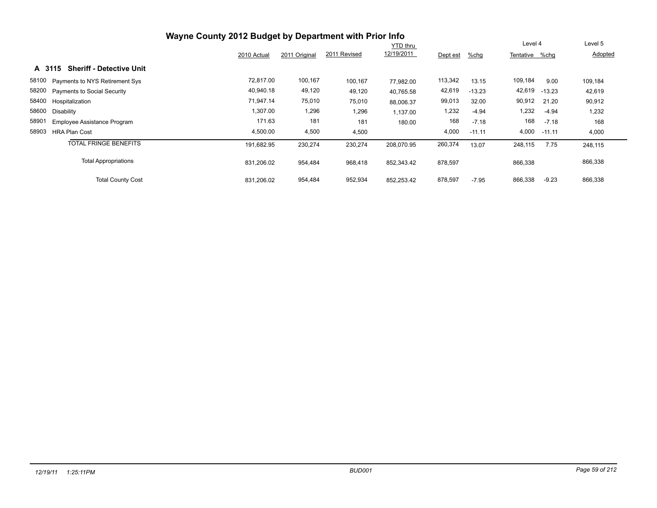|                                           |             |               |              | <b>YTD thru</b> |          |          | Level 4        |          | Level 5 |
|-------------------------------------------|-------------|---------------|--------------|-----------------|----------|----------|----------------|----------|---------|
|                                           | 2010 Actual | 2011 Original | 2011 Revised | 12/19/2011      | Dept est | %chg     | Tentative %chg |          | Adopted |
| <b>Sheriff - Detective Unit</b><br>A 3115 |             |               |              |                 |          |          |                |          |         |
| 58100 Payments to NYS Retirement Sys      | 72,817.00   | 100,167       | 100,167      | 77.982.00       | 113,342  | 13.15    | 109,184        | 9.00     | 109,184 |
| 58200 Payments to Social Security         | 40,940.18   | 49,120        | 49,120       | 40,765.58       | 42,619   | $-13.23$ | 42,619         | $-13.23$ | 42,619  |
| 58400 Hospitalization                     | 71,947.14   | 75,010        | 75,010       | 88,006.37       | 99,013   | 32.00    | 90,912         | 21.20    | 90,912  |
| 58600<br>Disability                       | 1,307.00    | 1,296         | 1,296        | 1,137.00        | 1,232    | $-4.94$  | 1,232          | $-4.94$  | 1,232   |
| 58901<br>Employee Assistance Program      | 171.63      | 181           | 181          | 180.00          | 168      | $-7.18$  | 168            | $-7.18$  | 168     |
| 58903<br><b>HRA Plan Cost</b>             | 4,500.00    | 4,500         | 4,500        |                 | 4,000    | $-11.11$ | 4,000          | $-11.11$ | 4,000   |
| <b>TOTAL FRINGE BENEFITS</b>              | 191,682.95  | 230,274       | 230,274      | 208,070.95      | 260,374  | 13.07    | 248,115        | 7.75     | 248,115 |
| <b>Total Appropriations</b>               | 831,206.02  | 954,484       | 968,418      | 852,343.42      | 878,597  |          | 866,338        |          | 866,338 |
| <b>Total County Cost</b>                  | 831,206.02  | 954,484       | 952,934      | 852,253.42      | 878,597  | $-7.95$  | 866,338        | $-9.23$  | 866,338 |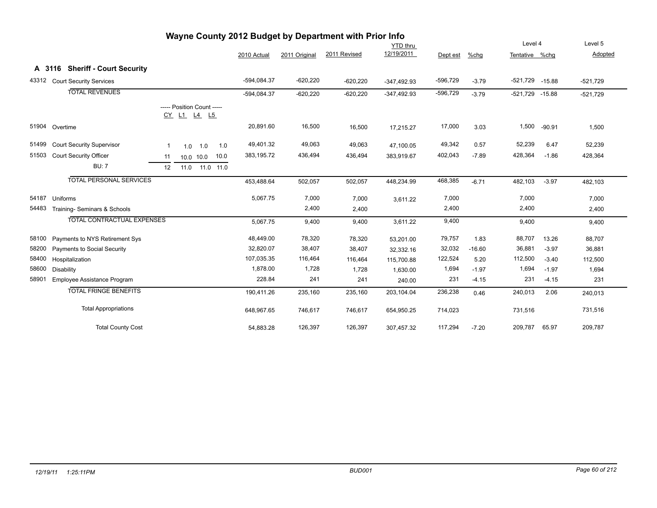|       |                                   |                                           |             |               | Level 4      |               | Level 5    |          |                 |          |            |
|-------|-----------------------------------|-------------------------------------------|-------------|---------------|--------------|---------------|------------|----------|-----------------|----------|------------|
|       |                                   |                                           | 2010 Actual | 2011 Original | 2011 Revised | 12/19/2011    | Dept est   | %chq     | Tentative %chg  |          | Adopted    |
|       | A 3116 Sheriff - Court Security   |                                           |             |               |              |               |            |          |                 |          |            |
| 43312 | <b>Court Security Services</b>    |                                           | -594,084.37 | $-620,220$    | $-620,220$   | $-347,492.93$ | $-596,729$ | $-3.79$  | -521,729 -15.88 |          | $-521,729$ |
|       | <b>TOTAL REVENUES</b>             |                                           | -594,084.37 | $-620,220$    | $-620,220$   | $-347,492.93$ | $-596,729$ | $-3.79$  | -521,729 -15.88 |          | $-521,729$ |
|       |                                   | ----- Position Count -----<br>CY L1 L4 L5 |             |               |              |               |            |          |                 |          |            |
| 51904 | Overtime                          |                                           | 20,891.60   | 16,500        | 16,500       | 17,215.27     | 17,000     | 3.03     | 1,500           | $-90.91$ | 1,500      |
| 51499 | <b>Court Security Supervisor</b>  | 1.0<br>-1<br>1.0<br>1.0                   | 49,401.32   | 49,063        | 49,063       | 47,100.05     | 49,342     | 0.57     | 52,239          | 6.47     | 52,239     |
| 51503 | Court Security Officer            | 10.0<br>11<br>10.0 10.0                   | 383,195.72  | 436,494       | 436,494      | 383,919.67    | 402,043    | $-7.89$  | 428,364         | $-1.86$  | 428,364    |
|       | <b>BU: 7</b>                      | 12<br>11.0<br>11.0 11.0                   |             |               |              |               |            |          |                 |          |            |
|       | <b>TOTAL PERSONAL SERVICES</b>    |                                           | 453,488.64  | 502,057       | 502,057      | 448,234.99    | 468,385    | $-6.71$  | 482,103         | $-3.97$  | 482,103    |
| 54187 | Uniforms                          |                                           | 5,067.75    | 7,000         | 7,000        | 3,611.22      | 7,000      |          | 7,000           |          | 7,000      |
| 54483 | Training- Seminars & Schools      |                                           |             | 2,400         | 2,400        |               | 2,400      |          | 2,400           |          | 2,400      |
|       | <b>TOTAL CONTRACTUAL EXPENSES</b> |                                           | 5,067.75    | 9,400         | 9,400        | 3,611.22      | 9,400      |          | 9,400           |          | 9,400      |
| 58100 | Payments to NYS Retirement Sys    |                                           | 48,449.00   | 78,320        | 78,320       | 53,201.00     | 79,757     | 1.83     | 88,707          | 13.26    | 88,707     |
| 58200 | Payments to Social Security       |                                           | 32,820.07   | 38,407        | 38,407       | 32,332.16     | 32,032     | $-16.60$ | 36,881          | $-3.97$  | 36,881     |
| 58400 | Hospitalization                   |                                           | 107,035.35  | 116,464       | 116,464      | 115,700.88    | 122,524    | 5.20     | 112,500         | $-3.40$  | 112,500    |
| 58600 | Disability                        |                                           | 1,878.00    | 1,728         | 1,728        | 1,630.00      | 1,694      | $-1.97$  | 1,694           | $-1.97$  | 1,694      |
| 58901 | Employee Assistance Program       |                                           | 228.84      | 241           | 241          | 240.00        | 231        | $-4.15$  | 231             | $-4.15$  | 231        |
|       | <b>TOTAL FRINGE BENEFITS</b>      |                                           | 190,411.26  | 235,160       | 235,160      | 203,104.04    | 236,238    | 0.46     | 240,013         | 2.06     | 240,013    |
|       | <b>Total Appropriations</b>       |                                           | 648,967.65  | 746,617       | 746,617      | 654,950.25    | 714,023    |          | 731,516         |          | 731,516    |
|       | <b>Total County Cost</b>          |                                           | 54,883.28   | 126,397       | 126,397      | 307,457.32    | 117,294    | $-7.20$  | 209,787         | 65.97    | 209,787    |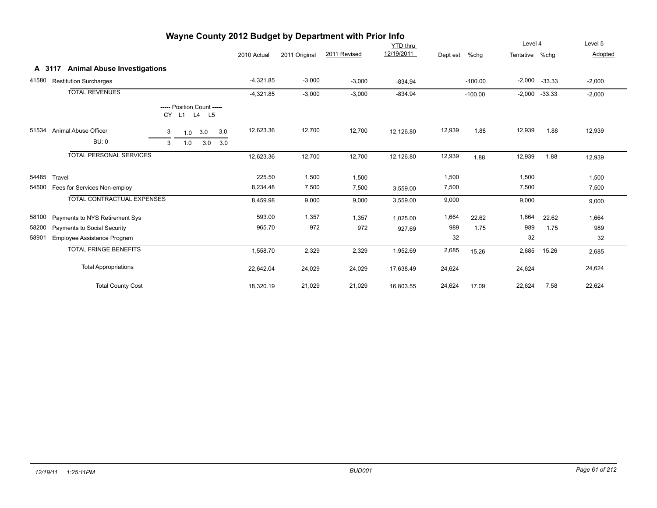|        |                                           |                  |               |              | YTD thru   |          |           | Level 4        |          | Level 5  |
|--------|-------------------------------------------|------------------|---------------|--------------|------------|----------|-----------|----------------|----------|----------|
|        |                                           | 2010 Actual      | 2011 Original | 2011 Revised | 12/19/2011 | Dept est | %chg      | Tentative %chq |          | Adopted  |
| A 3117 | <b>Animal Abuse Investigations</b>        |                  |               |              |            |          |           |                |          |          |
| 41580  | <b>Restitution Surcharges</b>             | $-4,321.85$      | $-3,000$      | $-3,000$     | $-834.94$  |          | $-100.00$ | $-2,000$       | $-33.33$ | $-2,000$ |
|        | <b>TOTAL REVENUES</b>                     | $-4,321.85$      | $-3,000$      | $-3,000$     | $-834.94$  |          | $-100.00$ | $-2,000$       | $-33.33$ | $-2,000$ |
|        | ----- Position Count -----<br>CY L1 L4 L5 |                  |               |              |            |          |           |                |          |          |
| 51534  | Animal Abuse Officer<br>3<br>3.0<br>1.0   | 12,623.36<br>3.0 | 12,700        | 12,700       | 12,126.80  | 12,939   | 1.88      | 12,939         | 1.88     | 12,939   |
|        | <b>BU: 0</b><br>3.0<br>3<br>1.0           | 3.0              |               |              |            |          |           |                |          |          |
|        | <b>TOTAL PERSONAL SERVICES</b>            | 12,623.36        | 12,700        | 12,700       | 12,126.80  | 12,939   | 1.88      | 12,939         | 1.88     | 12,939   |
| 54485  | Travel                                    | 225.50           | 1,500         | 1,500        |            | 1,500    |           | 1,500          |          | 1,500    |
| 54500  | Fees for Services Non-employ              | 8,234.48         | 7,500         | 7,500        | 3,559.00   | 7,500    |           | 7,500          |          | 7,500    |
|        | <b>TOTAL CONTRACTUAL EXPENSES</b>         | 8,459.98         | 9,000         | 9,000        | 3,559.00   | 9,000    |           | 9,000          |          | 9,000    |
| 58100  | Payments to NYS Retirement Sys            | 593.00           | 1,357         | 1,357        | 1,025.00   | 1,664    | 22.62     | 1,664          | 22.62    | 1,664    |
| 58200  | Payments to Social Security               | 965.70           | 972           | 972          | 927.69     | 989      | 1.75      | 989            | 1.75     | 989      |
| 58901  | Employee Assistance Program               |                  |               |              |            | 32       |           | 32             |          | 32       |
|        | <b>TOTAL FRINGE BENEFITS</b>              | 1,558.70         | 2,329         | 2,329        | 1,952.69   | 2,685    | 15.26     | 2,685          | 15.26    | 2,685    |
|        | <b>Total Appropriations</b>               | 22,642.04        | 24,029        | 24,029       | 17,638.49  | 24,624   |           | 24,624         |          | 24,624   |
|        | <b>Total County Cost</b>                  | 18,320.19        | 21,029        | 21,029       | 16,803.55  | 24,624   | 17.09     | 22,624         | 7.58     | 22,624   |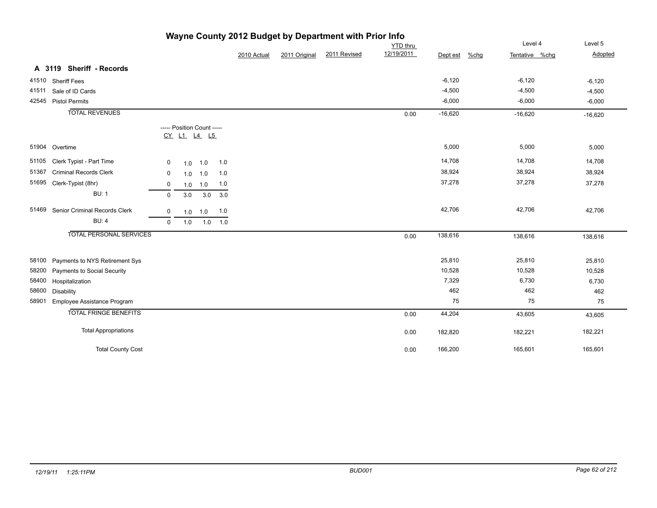|       |                                |             |     |                            |             |             |               | <b>The county zone budget by Department with Film into</b> |            |           |         |                |           |
|-------|--------------------------------|-------------|-----|----------------------------|-------------|-------------|---------------|------------------------------------------------------------|------------|-----------|---------|----------------|-----------|
|       | <b>YTD</b> thru                |             |     |                            |             |             |               |                                                            | Level 4    | Level 5   |         |                |           |
|       |                                |             |     |                            |             | 2010 Actual | 2011 Original | 2011 Revised                                               | 12/19/2011 | Dept est  | $%$ chg | Tentative %chg | Adopted   |
|       | A 3119 Sheriff - Records       |             |     |                            |             |             |               |                                                            |            |           |         |                |           |
|       | 41510 Sheriff Fees             |             |     |                            |             |             |               |                                                            |            | $-6,120$  |         | $-6,120$       | $-6,120$  |
| 41511 | Sale of ID Cards               |             |     |                            |             |             |               |                                                            |            | $-4,500$  |         | $-4,500$       | $-4,500$  |
|       | 42545 Pistol Permits           |             |     |                            |             |             |               |                                                            |            | $-6,000$  |         | $-6,000$       | $-6,000$  |
|       | <b>TOTAL REVENUES</b>          |             |     |                            |             |             |               |                                                            | 0.00       | $-16,620$ |         | $-16,620$      | $-16,620$ |
|       |                                |             |     | ----- Position Count ----- |             |             |               |                                                            |            |           |         |                |           |
|       |                                |             |     | CY L1 L4 L5                |             |             |               |                                                            |            |           |         |                |           |
|       | 51904 Overtime                 |             |     |                            |             |             |               |                                                            |            | 5,000     |         | 5,000          | 5,000     |
|       | 51105 Clerk Typist - Part Time | 0           | 1.0 | 1.0                        | 1.0         |             |               |                                                            |            | 14,708    |         | 14,708         | 14,708    |
| 51367 | <b>Criminal Records Clerk</b>  | $\mathbf 0$ | 1.0 | 1.0                        | 1.0         |             |               |                                                            |            | 38,924    |         | 38,924         | 38,924    |
|       | 51695 Clerk-Typist (8hr)       | $\mathbf 0$ | 1.0 | 1.0                        | 1.0         |             |               |                                                            |            | 37,278    |         | 37,278         | 37,278    |
|       | <b>BU: 1</b>                   | $\mathbf 0$ | 3.0 | 3.0                        | 3.0         |             |               |                                                            |            |           |         |                |           |
| 51469 | Senior Criminal Records Clerk  | $\mathbf 0$ | 1.0 | 1.0                        | 1.0         |             |               |                                                            |            | 42,706    |         | 42,706         | 42,706    |
|       | <b>BU: 4</b>                   | $\mathbf 0$ | 1.0 |                            | $1.0$ $1.0$ |             |               |                                                            |            |           |         |                |           |
|       | <b>TOTAL PERSONAL SERVICES</b> |             |     |                            |             |             |               |                                                            | 0.00       | 138,616   |         | 138,616        | 138,616   |
| 58100 | Payments to NYS Retirement Sys |             |     |                            |             |             |               |                                                            |            | 25,810    |         | 25,810         | 25,810    |
| 58200 | Payments to Social Security    |             |     |                            |             |             |               |                                                            |            | 10,528    |         | 10,528         | 10,528    |
| 58400 | Hospitalization                |             |     |                            |             |             |               |                                                            |            | 7,329     |         | 6,730          | 6,730     |
| 58600 | Disability                     |             |     |                            |             |             |               |                                                            |            | 462       |         | 462            | 462       |
| 58901 | Employee Assistance Program    |             |     |                            |             |             |               |                                                            |            | 75        |         | 75             | 75        |
|       | <b>TOTAL FRINGE BENEFITS</b>   |             |     |                            |             |             |               |                                                            | 0.00       | 44,204    |         | 43,605         | 43,605    |
|       | <b>Total Appropriations</b>    |             |     |                            |             |             |               |                                                            | 0.00       | 182,820   |         | 182,221        | 182,221   |
|       | <b>Total County Cost</b>       |             |     |                            |             |             |               |                                                            | 0.00       | 166,200   |         | 165,601        | 165,601   |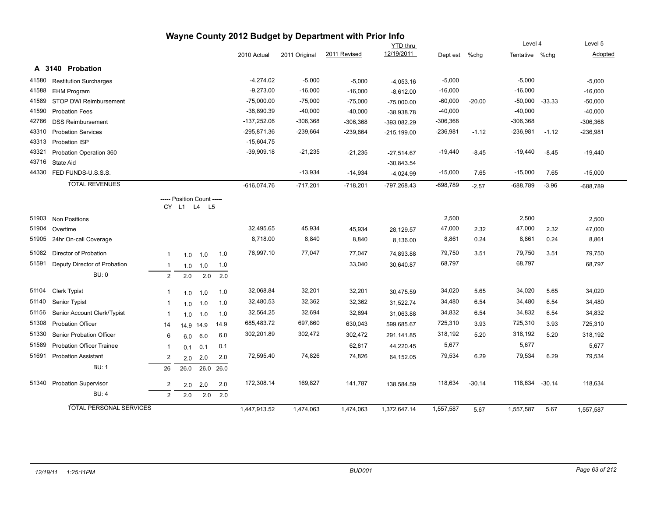|       |                                  |                |                                           |      |      |               |               | Wayne County 2012 Budget by Department with Prior Info |                 |            |          |                  |          |                |
|-------|----------------------------------|----------------|-------------------------------------------|------|------|---------------|---------------|--------------------------------------------------------|-----------------|------------|----------|------------------|----------|----------------|
|       |                                  |                |                                           |      |      |               |               |                                                        | <b>YTD</b> thru |            |          | Level 4          |          | Level 5        |
|       |                                  |                |                                           |      |      | 2010 Actual   | 2011 Original | 2011 Revised                                           | 12/19/2011      | Dept est   | %chg     | Tentative %chq   |          | <b>Adopted</b> |
|       | A 3140 Probation                 |                |                                           |      |      |               |               |                                                        |                 |            |          |                  |          |                |
| 41580 | <b>Restitution Surcharges</b>    |                |                                           |      |      | $-4,274.02$   | $-5,000$      | $-5,000$                                               | $-4,053.16$     | $-5,000$   |          | $-5,000$         |          | $-5,000$       |
| 41588 | EHM Program                      |                |                                           |      |      | $-9,273.00$   | $-16,000$     | $-16,000$                                              | $-8,612.00$     | $-16,000$  |          | $-16,000$        |          | $-16,000$      |
| 41589 | STOP DWI Reimbursement           |                |                                           |      |      | $-75,000.00$  | $-75,000$     | $-75,000$                                              | $-75,000.00$    | $-60,000$  | $-20.00$ | $-50,000 -33.33$ |          | $-50,000$      |
| 41590 | <b>Probation Fees</b>            |                |                                           |      |      | $-38,890.39$  | $-40,000$     | $-40,000$                                              | $-38,938.78$    | $-40,000$  |          | $-40,000$        |          | $-40,000$      |
| 42766 | <b>DSS Reimbursement</b>         |                |                                           |      |      | -137,252.06   | $-306,368$    | $-306,368$                                             | -393,082.29     | $-306,368$ |          | $-306,368$       |          | $-306,368$     |
| 43310 | <b>Probation Services</b>        |                |                                           |      |      | -295,871.36   | $-239,664$    | $-239,664$                                             | $-215,199.00$   | $-236,981$ | $-1.12$  | $-236,981$       | $-1.12$  | $-236,981$     |
| 43313 | Probation ISP                    |                |                                           |      |      | $-15,604.75$  |               |                                                        |                 |            |          |                  |          |                |
| 43321 | Probation Operation 360          |                |                                           |      |      | $-39,909.18$  | $-21,235$     | $-21,235$                                              | $-27,514.67$    | $-19,440$  | $-8.45$  | $-19,440$        | $-8.45$  | $-19,440$      |
| 43716 | <b>State Aid</b>                 |                |                                           |      |      |               |               |                                                        | $-30,843.54$    |            |          |                  |          |                |
| 44330 | FED FUNDS-U.S.S.S.               |                |                                           |      |      |               | $-13,934$     | $-14,934$                                              | $-4,024.99$     | $-15,000$  | 7.65     | $-15,000$        | 7.65     | $-15,000$      |
|       | <b>TOTAL REVENUES</b>            |                |                                           |      |      | $-616,074.76$ | $-717,201$    | $-718,201$                                             | -797,268.43     | $-698,789$ | $-2.57$  | $-688,789$       | $-3.96$  | -688,789       |
|       |                                  |                | ----- Position Count -----<br>CY L1 L4 L5 |      |      |               |               |                                                        |                 |            |          |                  |          |                |
| 51903 | <b>Non Positions</b>             |                |                                           |      |      |               |               |                                                        |                 | 2,500      |          | 2,500            |          | 2,500          |
| 51904 | Overtime                         |                |                                           |      |      | 32,495.65     | 45,934        | 45,934                                                 | 28,129.57       | 47,000     | 2.32     | 47,000           | 2.32     | 47,000         |
| 51905 | 24hr On-call Coverage            |                |                                           |      |      | 8,718.00      | 8,840         | 8,840                                                  | 8,136.00        | 8,861      | 0.24     | 8,861            | 0.24     | 8,861          |
| 51082 | Director of Probation            | $\mathbf{1}$   | 1.0                                       | 1.0  | 1.0  | 76,997.10     | 77,047        | 77,047                                                 | 74,893.88       | 79,750     | 3.51     | 79,750           | 3.51     | 79,750         |
| 51591 | Deputy Director of Probation     | $\mathbf{1}$   | 1.0                                       | 1.0  | 1.0  |               |               | 33,040                                                 | 30,640.87       | 68,797     |          | 68,797           |          | 68,797         |
|       | <b>BU: 0</b>                     | 2              | 2.0                                       | 2.0  | 2.0  |               |               |                                                        |                 |            |          |                  |          |                |
| 51104 | Clerk Typist                     | $\mathbf{1}$   | 1.0                                       | 1.0  | 1.0  | 32,068.84     | 32,201        | 32,201                                                 | 30,475.59       | 34,020     | 5.65     | 34,020           | 5.65     | 34,020         |
| 51140 | Senior Typist                    | -1             | 1.0                                       | 1.0  | 1.0  | 32,480.53     | 32,362        | 32,362                                                 | 31,522.74       | 34,480     | 6.54     | 34,480           | 6.54     | 34,480         |
| 51156 | Senior Account Clerk/Typist      | $\mathbf{1}$   | 1.0                                       | 1.0  | 1.0  | 32,564.25     | 32,694        | 32,694                                                 | 31,063.88       | 34,832     | 6.54     | 34,832           | 6.54     | 34,832         |
| 51308 | <b>Probation Officer</b>         | 14             | 14.9 14.9                                 |      | 14.9 | 685,483.72    | 697,860       | 630,043                                                | 599,685.67      | 725,310    | 3.93     | 725,310          | 3.93     | 725,310        |
| 51330 | Senior Probation Officer         | 6              | 6.0                                       | 6.0  | 6.0  | 302,201.89    | 302,472       | 302,472                                                | 291,141.85      | 318,192    | 5.20     | 318,192          | 5.20     | 318,192        |
| 51589 | <b>Probation Officer Trainee</b> | $\mathbf{1}$   | 0.1                                       | 0.1  | 0.1  |               |               | 62,817                                                 | 44,220.45       | 5,677      |          | 5,677            |          | 5,677          |
| 51691 | <b>Probation Assistant</b>       | $\overline{2}$ | 2.0                                       | 2.0  | 2.0  | 72,595.40     | 74,826        | 74,826                                                 | 64,152.05       | 79,534     | 6.29     | 79,534           | 6.29     | 79,534         |
|       | <b>BU: 1</b>                     | 26             | 26.0                                      | 26.0 | 26.0 |               |               |                                                        |                 |            |          |                  |          |                |
| 51340 | <b>Probation Supervisor</b>      | $\overline{2}$ | 2.0                                       | 2.0  | 2.0  | 172,308.14    | 169,827       | 141,787                                                | 138,584.59      | 118,634    | $-30.14$ | 118,634          | $-30.14$ | 118,634        |
|       | <b>BU: 4</b>                     | $\overline{2}$ | 2.0                                       | 2.0  | 2.0  |               |               |                                                        |                 |            |          |                  |          |                |
|       | <b>TOTAL PERSONAL SERVICES</b>   |                |                                           |      |      | 1.447.913.52  | 1,474,063     | 1,474,063                                              | 1,372,647.14    | 1,557,587  | 5.67     | 1,557,587        | 5.67     | 1,557,587      |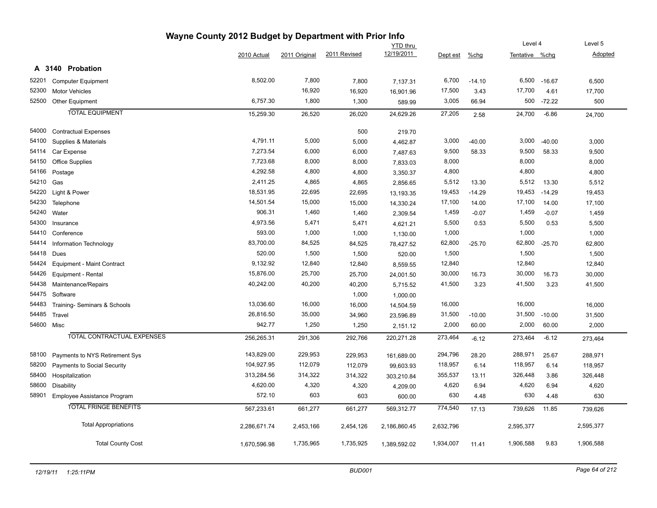|            |                                   | Wayne County 2012 Budget by Department with Prior Info |               |              |                 |           |          |                |          |                |
|------------|-----------------------------------|--------------------------------------------------------|---------------|--------------|-----------------|-----------|----------|----------------|----------|----------------|
|            |                                   |                                                        |               |              | <b>YTD</b> thru |           |          | Level 4        |          | Level 5        |
|            |                                   | 2010 Actual                                            | 2011 Original | 2011 Revised | 12/19/2011      | Dept est  | $%$ chg  | Tentative %chg |          | <b>Adopted</b> |
|            | A 3140 Probation                  |                                                        |               |              |                 |           |          |                |          |                |
| 52201      | <b>Computer Equipment</b>         | 8,502.00                                               | 7,800         | 7,800        | 7,137.31        | 6,700     | $-14.10$ | 6,500          | $-16.67$ | 6,500          |
| 52300      | <b>Motor Vehicles</b>             |                                                        | 16,920        | 16,920       | 16,901.96       | 17,500    | 3.43     | 17,700         | 4.61     | 17,700         |
| 52500      | Other Equipment                   | 6,757.30                                               | 1,800         | 1,300        | 589.99          | 3,005     | 66.94    | 500            | $-72.22$ | 500            |
|            | <b>TOTAL EQUIPMENT</b>            | 15,259.30                                              | 26,520        | 26,020       | 24,629.26       | 27,205    | 2.58     | 24,700         | $-6.86$  | 24,700         |
| 54000      | <b>Contractual Expenses</b>       |                                                        |               | 500          | 219.70          |           |          |                |          |                |
| 54100      | Supplies & Materials              | 4,791.11                                               | 5,000         | 5,000        | 4,462.87        | 3,000     | $-40.00$ | 3,000          | $-40.00$ | 3,000          |
| 54114      | Car Expense                       | 7,273.54                                               | 6,000         | 6,000        | 7,487.63        | 9,500     | 58.33    | 9,500          | 58.33    | 9,500          |
| 54150      | <b>Office Supplies</b>            | 7,723.68                                               | 8,000         | 8,000        | 7,833.03        | 8,000     |          | 8,000          |          | 8,000          |
| 54166      | Postage                           | 4,292.58                                               | 4,800         | 4,800        | 3,350.37        | 4,800     |          | 4,800          |          | 4,800          |
| 54210      | Gas                               | 2,411.25                                               | 4,865         | 4,865        | 2,856.65        | 5,512     | 13.30    | 5,512          | 13.30    | 5,512          |
| 54220      | Light & Power                     | 18,531.95                                              | 22,695        | 22,695       | 13,193.35       | 19,453    | $-14.29$ | 19,453         | $-14.29$ | 19,453         |
| 54230      | Telephone                         | 14,501.54                                              | 15,000        | 15,000       | 14,330.24       | 17,100    | 14.00    | 17,100         | 14.00    | 17,100         |
| 54240      | Water                             | 906.31                                                 | 1,460         | 1,460        | 2,309.54        | 1,459     | $-0.07$  | 1,459          | $-0.07$  | 1,459          |
| 54300      | Insurance                         | 4,973.56                                               | 5,471         | 5,471        | 4,621.21        | 5,500     | 0.53     | 5,500          | 0.53     | 5,500          |
| 54410      | Conference                        | 593.00                                                 | 1,000         | 1,000        | 1,130.00        | 1,000     |          | 1,000          |          | 1,000          |
| 54414      | Information Technology            | 83,700.00                                              | 84,525        | 84,525       | 78,427.52       | 62,800    | $-25.70$ | 62,800         | $-25.70$ | 62,800         |
| 54418      | Dues                              | 520.00                                                 | 1,500         | 1,500        | 520.00          | 1,500     |          | 1,500          |          | 1,500          |
| 54424      | <b>Equipment - Maint Contract</b> | 9,132.92                                               | 12,840        | 12,840       | 8,559.55        | 12,840    |          | 12,840         |          | 12,840         |
| 54426      | Equipment - Rental                | 15,876.00                                              | 25,700        | 25,700       | 24,001.50       | 30,000    | 16.73    | 30,000         | 16.73    | 30,000         |
| 54438      | Maintenance/Repairs               | 40,242.00                                              | 40,200        | 40,200       | 5,715.52        | 41,500    | 3.23     | 41,500         | 3.23     | 41,500         |
| 54475      | Software                          |                                                        |               | 1,000        | 1,000.00        |           |          |                |          |                |
| 54483      | Training- Seminars & Schools      | 13,036.60                                              | 16,000        | 16,000       | 14,504.59       | 16,000    |          | 16,000         |          | 16,000         |
| 54485      | Travel                            | 26,816.50                                              | 35,000        | 34,960       | 23,596.89       | 31,500    | $-10.00$ | 31,500         | $-10.00$ | 31,500         |
| 54600 Misc |                                   | 942.77                                                 | 1,250         | 1,250        | 2,151.12        | 2,000     | 60.00    | 2,000          | 60.00    | 2,000          |
|            | TOTAL CONTRACTUAL EXPENSES        | 256,265.31                                             | 291,306       | 292,766      | 220,271.28      | 273,464   | $-6.12$  | 273,464        | $-6.12$  | 273,464        |
| 58100      | Payments to NYS Retirement Sys    | 143,829.00                                             | 229,953       | 229,953      | 161,689.00      | 294,796   | 28.20    | 288,971        | 25.67    | 288,971        |
| 58200      | Payments to Social Security       | 104,927.95                                             | 112,079       | 112,079      | 99,603.93       | 118,957   | 6.14     | 118,957        | 6.14     | 118,957        |
| 58400      | Hospitalization                   | 313,284.56                                             | 314,322       | 314,322      | 303,210.84      | 355,537   | 13.11    | 326,448        | 3.86     | 326,448        |
| 58600      | <b>Disability</b>                 | 4,620.00                                               | 4,320         | 4,320        | 4,209.00        | 4,620     | 6.94     | 4,620          | 6.94     | 4,620          |
| 58901      | Employee Assistance Program       | 572.10                                                 | 603           | 603          | 600.00          | 630       | 4.48     | 630            | 4.48     | 630            |
|            | <b>TOTAL FRINGE BENEFITS</b>      | 567,233.61                                             | 661,277       | 661,277      | 569,312.77      | 774,540   | 17.13    | 739,626        | 11.85    | 739,626        |
|            | <b>Total Appropriations</b>       | 2,286,671.74                                           | 2,453,166     | 2,454,126    | 2,186,860.45    | 2,632,796 |          | 2,595,377      |          | 2,595,377      |
|            | <b>Total County Cost</b>          | 1,670,596.98                                           | 1,735,965     | 1,735,925    | 1,389,592.02    | 1,934,007 | 11.41    | 1,906,588      | 9.83     | 1,906,588      |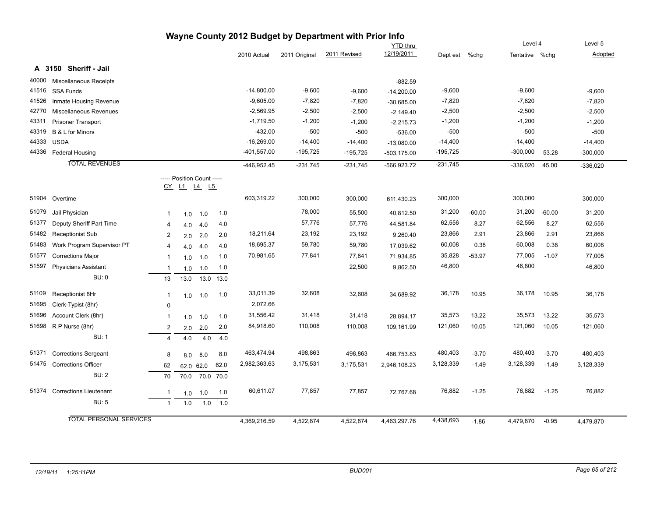|       |                                |                |                            |           |      |               |               | Wayne County 2012 Budget by Department with Prior Info |                 |            |          |                |          |            |
|-------|--------------------------------|----------------|----------------------------|-----------|------|---------------|---------------|--------------------------------------------------------|-----------------|------------|----------|----------------|----------|------------|
|       |                                |                |                            |           |      |               |               |                                                        | <b>YTD</b> thru |            |          | Level 4        |          | Level 5    |
|       |                                |                |                            |           |      | 2010 Actual   | 2011 Original | 2011 Revised                                           | 12/19/2011      | Dept est   | $%$ chg  | Tentative %chg |          | Adopted    |
|       | A 3150 Sheriff - Jail          |                |                            |           |      |               |               |                                                        |                 |            |          |                |          |            |
| 40000 | <b>Miscellaneous Receipts</b>  |                |                            |           |      |               |               |                                                        | $-882.59$       |            |          |                |          |            |
| 41516 | SSA Funds                      |                |                            |           |      | $-14,800.00$  | $-9,600$      | $-9,600$                                               | $-14,200.00$    | $-9,600$   |          | $-9,600$       |          | $-9,600$   |
| 41526 | Inmate Housing Revenue         |                |                            |           |      | $-9,605.00$   | $-7,820$      | $-7,820$                                               | $-30,685.00$    | $-7,820$   |          | $-7,820$       |          | $-7,820$   |
| 42770 | Miscellaneous Revenues         |                |                            |           |      | $-2,569.95$   | $-2,500$      | $-2,500$                                               | $-2,149.40$     | $-2,500$   |          | $-2,500$       |          | $-2,500$   |
| 43311 | <b>Prisoner Transport</b>      |                |                            |           |      | $-1,719.50$   | $-1,200$      | $-1,200$                                               | $-2,215.73$     | $-1,200$   |          | $-1,200$       |          | $-1,200$   |
| 43319 | B & L for Minors               |                |                            |           |      | $-432.00$     | $-500$        | $-500$                                                 | $-536.00$       | $-500$     |          | $-500$         |          | $-500$     |
| 44333 | <b>USDA</b>                    |                |                            |           |      | $-16,269.00$  | $-14,400$     | $-14,400$                                              | $-13,080.00$    | $-14,400$  |          | $-14,400$      |          | $-14,400$  |
| 44336 | Federal Housing                |                |                            |           |      | $-401,557.00$ | $-195,725$    | $-195,725$                                             | -503,175.00     | $-195,725$ |          | $-300,000$     | 53.28    | $-300,000$ |
|       | <b>TOTAL REVENUES</b>          |                |                            |           |      | $-446,952.45$ | $-231,745$    | $-231,745$                                             | -566,923.72     | $-231,745$ |          | $-336,020$     | 45.00    | $-336,020$ |
|       |                                |                | ----- Position Count ----- |           |      |               |               |                                                        |                 |            |          |                |          |            |
|       |                                |                | CY L1 L4 L5                |           |      |               |               |                                                        |                 |            |          |                |          |            |
| 51904 | Overtime                       |                |                            |           |      | 603,319.22    | 300,000       | 300,000                                                | 611,430.23      | 300,000    |          | 300,000        |          | 300,000    |
| 51079 | Jail Physician                 | $\mathbf 1$    | 1.0                        | 1.0       | 1.0  |               | 78,000        | 55,500                                                 | 40,812.50       | 31,200     | $-60.00$ | 31,200         | $-60.00$ | 31,200     |
| 51377 | Deputy Sheriff Part Time       | $\overline{4}$ | 4.0                        | 4.0       | 4.0  |               | 57,776        | 57,776                                                 | 44,581.84       | 62,556     | 8.27     | 62,556         | 8.27     | 62,556     |
| 51482 | <b>Receptionist Sub</b>        | 2              | 2.0                        | 2.0       | 2.0  | 18,211.64     | 23,192        | 23,192                                                 | 9,260.40        | 23,866     | 2.91     | 23,866         | 2.91     | 23,866     |
| 51483 | Work Program Supervisor PT     | $\overline{4}$ | 4.0                        | 4.0       | 4.0  | 18,695.37     | 59,780        | 59,780                                                 | 17,039.62       | 60,008     | 0.38     | 60,008         | 0.38     | 60,008     |
| 51577 | <b>Corrections Major</b>       | $\mathbf 1$    | 1.0                        | 1.0       | 1.0  | 70,981.65     | 77,841        | 77,841                                                 | 71,934.85       | 35,828     | $-53.97$ | 77,005         | $-1.07$  | 77,005     |
| 51597 | <b>Physicians Assistant</b>    | $\overline{1}$ | 1.0                        | 1.0       | 1.0  |               |               | 22,500                                                 | 9,862.50        | 46,800     |          | 46,800         |          | 46,800     |
|       | <b>BU: 0</b>                   | 13             | 13.0                       | 13.0      | 13.0 |               |               |                                                        |                 |            |          |                |          |            |
| 51109 | Receptionist 8Hr               | $\overline{1}$ | 1.0                        | 1.0       | 1.0  | 33,011.39     | 32,608        | 32,608                                                 | 34,689.92       | 36,178     | 10.95    | 36,178         | 10.95    | 36,178     |
| 51695 | Clerk-Typist (8hr)             | $\mathbf 0$    |                            |           |      | 2,072.66      |               |                                                        |                 |            |          |                |          |            |
| 51696 | Account Clerk (8hr)            | -1             | 1.0                        | 1.0       | 1.0  | 31,556.42     | 31,418        | 31,418                                                 | 28,894.17       | 35,573     | 13.22    | 35,573         | 13.22    | 35,573     |
| 51698 | R P Nurse (8hr)                | $\overline{c}$ | 2.0                        | 2.0       | 2.0  | 84,918.60     | 110,008       | 110,008                                                | 109,161.99      | 121,060    | 10.05    | 121,060        | 10.05    | 121,060    |
|       | <b>BU: 1</b>                   | $\overline{4}$ | 4.0                        | 4.0       | 4.0  |               |               |                                                        |                 |            |          |                |          |            |
| 51371 | <b>Corrections Sergeant</b>    | 8              | 8.0                        | 8.0       | 8.0  | 463,474.94    | 498,863       | 498,863                                                | 466,753.83      | 480,403    | $-3.70$  | 480,403        | $-3.70$  | 480,403    |
| 51475 | <b>Corrections Officer</b>     | 62             | 62.0 62.0                  |           | 62.0 | 2,982,363.63  | 3,175,531     | 3,175,531                                              | 2,946,108.23    | 3,128,339  | $-1.49$  | 3,128,339      | $-1.49$  | 3,128,339  |
|       | <b>BU: 2</b>                   | 70             | 70.0                       | 70.0 70.0 |      |               |               |                                                        |                 |            |          |                |          |            |
| 51374 | <b>Corrections Lieutenant</b>  | $\overline{1}$ | 1.0                        | 1.0       | 1.0  | 60,611.07     | 77,857        | 77,857                                                 | 72,767.68       | 76,882     | $-1.25$  | 76,882         | $-1.25$  | 76,882     |
|       | <b>BU: 5</b>                   | $\overline{1}$ | 1.0                        | 1.0       | 1.0  |               |               |                                                        |                 |            |          |                |          |            |
|       | <b>TOTAL PERSONAL SERVICES</b> |                |                            |           |      | 4,369,216.59  | 4,522,874     | 4,522,874                                              | 4,463,297.76    | 4,438,693  | $-1.86$  | 4,479,870      | $-0.95$  | 4,479,870  |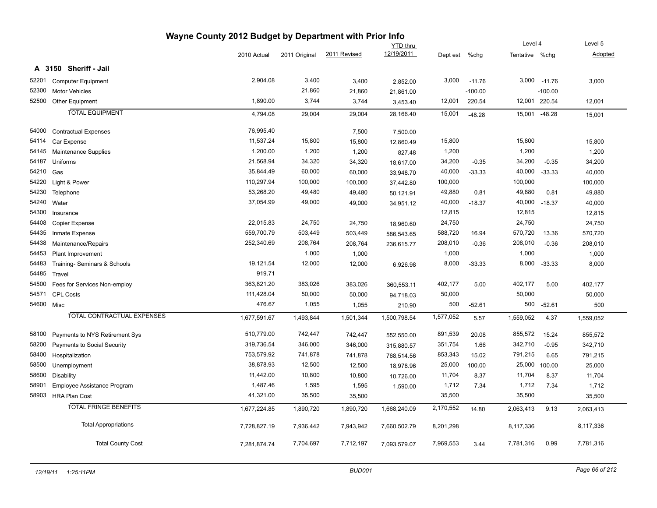| Wayne County 2012 Budget by Department with Prior Info |                                   |              |                 |              |              |           |           |                |               |           |  |  |
|--------------------------------------------------------|-----------------------------------|--------------|-----------------|--------------|--------------|-----------|-----------|----------------|---------------|-----------|--|--|
|                                                        |                                   |              | <b>YTD</b> thru |              |              |           |           |                | Level 4       | Level 5   |  |  |
|                                                        |                                   | 2010 Actual  | 2011 Original   | 2011 Revised | 12/19/2011   | Dept est  | $%$ chg   | Tentative %chg |               | Adopted   |  |  |
|                                                        | A 3150 Sheriff - Jail             |              |                 |              |              |           |           |                |               |           |  |  |
| 52201                                                  | <b>Computer Equipment</b>         | 2,904.08     | 3,400           | 3,400        | 2,852.00     | 3,000     | $-11.76$  | 3,000          | $-11.76$      | 3,000     |  |  |
| 52300                                                  | <b>Motor Vehicles</b>             |              | 21,860          | 21,860       | 21,861.00    |           | $-100.00$ |                | $-100.00$     |           |  |  |
| 52500                                                  | Other Equipment                   | 1,890.00     | 3,744           | 3,744        | 3,453.40     | 12,001    | 220.54    |                | 12,001 220.54 | 12,001    |  |  |
|                                                        | <b>TOTAL EQUIPMENT</b>            | 4,794.08     | 29,004          | 29,004       | 28,166.40    | 15,001    | $-48.28$  | 15,001         | $-48.28$      | 15,001    |  |  |
| 54000                                                  | <b>Contractual Expenses</b>       | 76,995.40    |                 | 7,500        | 7,500.00     |           |           |                |               |           |  |  |
| 54114                                                  | Car Expense                       | 11,537.24    | 15,800          | 15,800       | 12,860.49    | 15,800    |           | 15,800         |               | 15,800    |  |  |
| 54145                                                  | Maintenance Supplies              | 1,200.00     | 1,200           | 1,200        | 827.48       | 1,200     |           | 1,200          |               | 1,200     |  |  |
| 54187                                                  | Uniforms                          | 21,568.94    | 34,320          | 34,320       | 18,617.00    | 34,200    | $-0.35$   | 34,200         | $-0.35$       | 34,200    |  |  |
| 54210                                                  | Gas                               | 35,844.49    | 60,000          | 60,000       | 33,948.70    | 40,000    | $-33.33$  | 40,000         | $-33.33$      | 40,000    |  |  |
| 54220                                                  | Light & Power                     | 110,297.94   | 100,000         | 100,000      | 37,442.80    | 100,000   |           | 100,000        |               | 100,000   |  |  |
| 54230                                                  | Telephone                         | 53,268.20    | 49,480          | 49,480       | 50,121.91    | 49,880    | 0.81      | 49,880         | 0.81          | 49,880    |  |  |
| 54240                                                  | Water                             | 37,054.99    | 49,000          | 49,000       | 34,951.12    | 40,000    | $-18.37$  | 40,000         | $-18.37$      | 40,000    |  |  |
| 54300                                                  | Insurance                         |              |                 |              |              | 12,815    |           | 12,815         |               | 12,815    |  |  |
| 54408                                                  | <b>Copier Expense</b>             | 22,015.83    | 24,750          | 24,750       | 18,960.60    | 24,750    |           | 24,750         |               | 24,750    |  |  |
| 54435                                                  | Inmate Expense                    | 559,700.79   | 503,449         | 503,449      | 586,543.65   | 588,720   | 16.94     | 570,720        | 13.36         | 570,720   |  |  |
| 54438                                                  | Maintenance/Repairs               | 252,340.69   | 208,764         | 208,764      | 236,615.77   | 208,010   | $-0.36$   | 208,010        | $-0.36$       | 208,010   |  |  |
| 54453                                                  | Plant Improvement                 |              | 1,000           | 1,000        |              | 1,000     |           | 1,000          |               | 1,000     |  |  |
| 54483                                                  | Training- Seminars & Schools      | 19,121.54    | 12,000          | 12,000       | 6,926.98     | 8,000     | $-33.33$  | 8,000          | $-33.33$      | 8,000     |  |  |
| 54485                                                  | Travel                            | 919.71       |                 |              |              |           |           |                |               |           |  |  |
| 54500                                                  | Fees for Services Non-employ      | 363,821.20   | 383,026         | 383,026      | 360,553.11   | 402,177   | 5.00      | 402,177        | 5.00          | 402,177   |  |  |
| 54571                                                  | <b>CPL Costs</b>                  | 111,428.04   | 50,000          | 50,000       | 94,718.03    | 50,000    |           | 50,000         |               | 50,000    |  |  |
| 54600 Misc                                             |                                   | 476.67       | 1,055           | 1,055        | 210.90       | 500       | $-52.61$  | 500            | $-52.61$      | 500       |  |  |
|                                                        | <b>TOTAL CONTRACTUAL EXPENSES</b> | 1,677,591.67 | 1,493,844       | 1,501,344    | 1,500,798.54 | 1,577,052 | 5.57      | 1,559,052      | 4.37          | 1,559,052 |  |  |
| 58100                                                  | Payments to NYS Retirement Sys    | 510,779.00   | 742,447         | 742,447      | 552,550.00   | 891,539   | 20.08     | 855,572        | 15.24         | 855,572   |  |  |
| 58200                                                  | Payments to Social Security       | 319,736.54   | 346,000         | 346,000      | 315,880.57   | 351,754   | 1.66      | 342,710        | $-0.95$       | 342,710   |  |  |
| 58400                                                  | Hospitalization                   | 753,579.92   | 741,878         | 741,878      | 768,514.56   | 853,343   | 15.02     | 791,215        | 6.65          | 791,215   |  |  |
| 58500                                                  | Unemployment                      | 38,878.93    | 12,500          | 12,500       | 18,978.96    | 25,000    | 100.00    | 25,000         | 100.00        | 25,000    |  |  |
| 58600                                                  | Disability                        | 11,442.00    | 10,800          | 10,800       | 10,726.00    | 11,704    | 8.37      | 11,704         | 8.37          | 11,704    |  |  |
| 58901                                                  | Employee Assistance Program       | 1,487.46     | 1,595           | 1,595        | 1,590.00     | 1,712     | 7.34      | 1,712          | 7.34          | 1,712     |  |  |
| 58903                                                  | <b>HRA Plan Cost</b>              | 41,321.00    | 35,500          | 35,500       |              | 35,500    |           | 35,500         |               | 35,500    |  |  |
|                                                        | <b>TOTAL FRINGE BENEFITS</b>      | 1,677,224.85 | 1,890,720       | 1,890,720    | 1,668,240.09 | 2,170,552 | 14.80     | 2,063,413      | 9.13          | 2,063,413 |  |  |
|                                                        | <b>Total Appropriations</b>       | 7,728,827.19 | 7,936,442       | 7,943,942    | 7,660,502.79 | 8,201,298 |           | 8,117,336      |               | 8,117,336 |  |  |
|                                                        | <b>Total County Cost</b>          | 7,281,874.74 | 7,704,697       | 7,712,197    | 7,093,579.07 | 7,969,553 | 3.44      | 7,781,316      | 0.99          | 7,781,316 |  |  |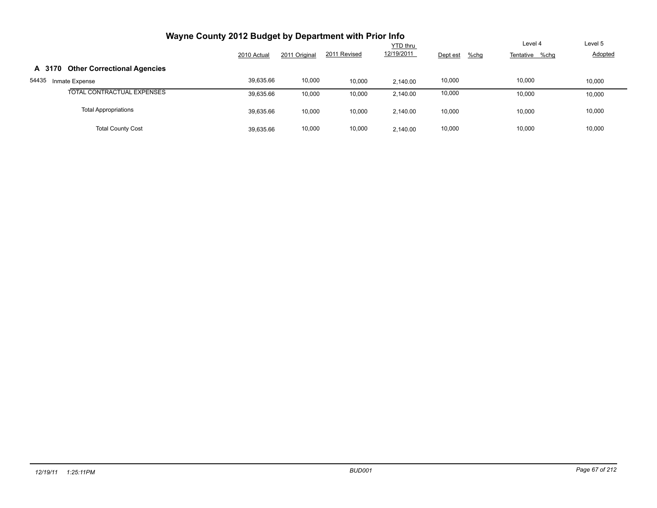| Wayne County 2012 Budget by Department with Prior Info |             |               |              |            |                  |                |         |
|--------------------------------------------------------|-------------|---------------|--------------|------------|------------------|----------------|---------|
|                                                        |             |               |              | YTD thru   |                  | Level 4        | Level 5 |
|                                                        | 2010 Actual | 2011 Original | 2011 Revised | 12/19/2011 | Dept est<br>%chg | Tentative %chg | Adopted |
| <b>Other Correctional Agencies</b><br>A 3170           |             |               |              |            |                  |                |         |
| 54435<br>Inmate Expense                                | 39,635.66   | 10,000        | 10,000       | 2.140.00   | 10,000           | 10,000         | 10,000  |
| TOTAL CONTRACTUAL EXPENSES                             | 39,635.66   | 10,000        | 10,000       | 2.140.00   | 10,000           | 10.000         | 10,000  |
| <b>Total Appropriations</b>                            | 39,635.66   | 10,000        | 10,000       | 2.140.00   | 10,000           | 10.000         | 10,000  |
| <b>Total County Cost</b>                               | 39,635.66   | 10,000        | 10,000       | 2.140.00   | 10,000           | 10.000         | 10,000  |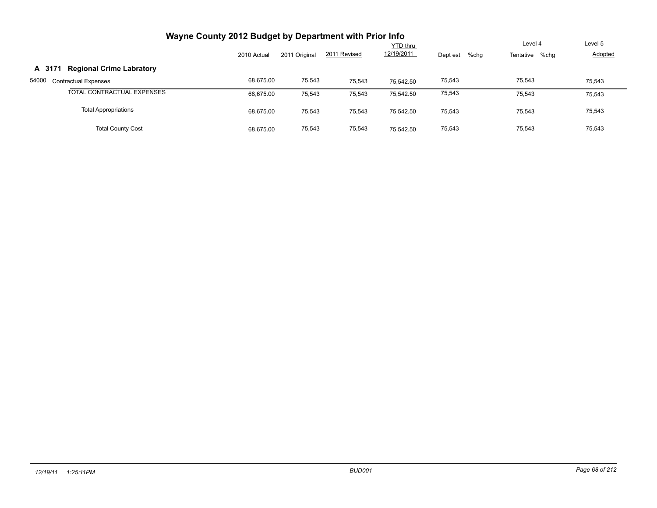| Wayne County 2012 Budget by Department with Prior Info |             |               |              |                 |                  |                |                |
|--------------------------------------------------------|-------------|---------------|--------------|-----------------|------------------|----------------|----------------|
|                                                        |             |               |              | <b>YTD thru</b> |                  | Level 4        | Level 5        |
|                                                        | 2010 Actual | 2011 Original | 2011 Revised | 12/19/2011      | %chg<br>Dept est | Tentative %chg | <b>Adopted</b> |
| <b>Regional Crime Labratory</b><br>A 3171              |             |               |              |                 |                  |                |                |
| 54000<br><b>Contractual Expenses</b>                   | 68,675.00   | 75,543        | 75,543       | 75.542.50       | 75,543           | 75,543         | 75,543         |
| TOTAL CONTRACTUAL EXPENSES                             | 68,675.00   | 75,543        | 75,543       | 75,542.50       | 75,543           | 75,543         | 75,543         |
| <b>Total Appropriations</b>                            | 68,675.00   | 75,543        | 75,543       | 75.542.50       | 75,543           | 75,543         | 75,543         |
| <b>Total County Cost</b>                               | 68.675.00   | 75,543        | 75,543       | 75.542.50       | 75,543           | 75.543         | 75,543         |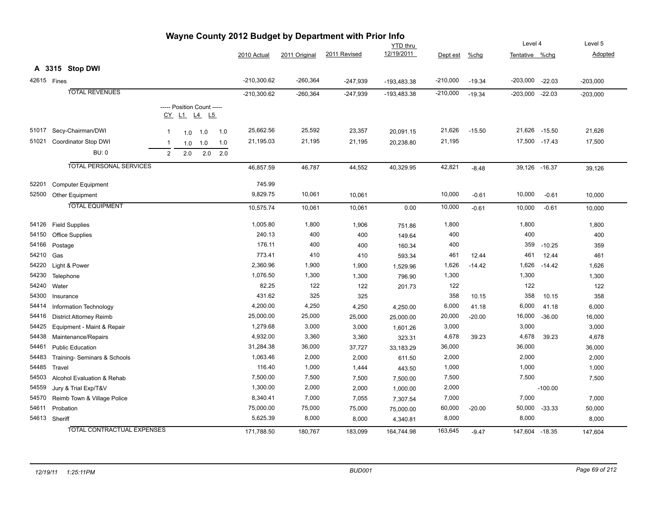|                               | v 12 Duugut<br><b>YTD</b> thru    |                |     |                                                  |     |               |               |              |             | Level 4    |          | Level 5             |           |            |
|-------------------------------|-----------------------------------|----------------|-----|--------------------------------------------------|-----|---------------|---------------|--------------|-------------|------------|----------|---------------------|-----------|------------|
|                               |                                   |                |     |                                                  |     | 2010 Actual   | 2011 Original | 2011 Revised | 12/19/2011  | Dept est   | $%$ chg  | Tentative %chg      |           | Adopted    |
|                               | A 3315 Stop DWI                   |                |     |                                                  |     |               |               |              |             |            |          |                     |           |            |
|                               | 42615 Fines                       |                |     |                                                  |     | $-210,300.62$ | $-260,364$    |              |             | $-210,000$ |          |                     |           |            |
|                               |                                   |                |     |                                                  |     |               |               | $-247,939$   | -193,483.38 |            | $-19.34$ | $-203,000$ $-22.03$ |           | $-203,000$ |
|                               | <b>TOTAL REVENUES</b>             |                |     |                                                  |     | $-210,300.62$ | $-260,364$    | -247,939     | -193,483.38 | $-210,000$ | $-19.34$ | $-203,000$ $-22.03$ |           | $-203,000$ |
|                               |                                   |                |     | ----- Position Count -----<br><u>CY L1 L4 L5</u> |     |               |               |              |             |            |          |                     |           |            |
| 51017                         | Secy-Chairman/DWI                 | $\mathbf{1}$   | 1.0 | 1.0                                              | 1.0 | 25,662.56     | 25,592        | 23,357       | 20,091.15   | 21,626     | $-15.50$ | 21,626 -15.50       |           | 21,626     |
| 51021                         | Coordinator Stop DWI              | $\overline{1}$ | 1.0 | 1.0                                              | 1.0 | 21,195.03     | 21,195        | 21,195       | 20,238.80   | 21,195     |          | 17,500 -17.43       |           | 17,500     |
|                               | <b>BU: 0</b>                      | 2              | 2.0 | 2.0                                              | 2.0 |               |               |              |             |            |          |                     |           |            |
|                               | <b>TOTAL PERSONAL SERVICES</b>    |                |     |                                                  |     | 46,857.59     | 46,787        | 44,552       | 40,329.95   | 42,821     | $-8.48$  | 39,126 -16.37       |           | 39,126     |
| 52201                         | <b>Computer Equipment</b>         |                |     |                                                  |     | 745.99        |               |              |             |            |          |                     |           |            |
| 52500                         | <b>Other Equipment</b>            |                |     |                                                  |     | 9,829.75      | 10,061        | 10,061       |             | 10,000     | $-0.61$  | 10,000              | $-0.61$   | 10,000     |
|                               | <b>TOTAL EQUIPMENT</b>            |                |     |                                                  |     | 10,575.74     | 10,061        | 10,061       | 0.00        | 10,000     | $-0.61$  | 10,000              | $-0.61$   | 10,000     |
| 54126                         | <b>Field Supplies</b>             |                |     |                                                  |     | 1,005.80      | 1,800         | 1,906        | 751.86      | 1,800      |          | 1,800               |           | 1,800      |
| 54150                         | Office Supplies                   |                |     |                                                  |     | 240.13        | 400           | 400          | 149.64      | 400        |          | 400                 |           | 400        |
| 54166                         | Postage                           |                |     |                                                  |     | 176.11        | 400           | 400          | 160.34      | 400        |          | 359                 | $-10.25$  | 359        |
| 54210                         | Gas                               |                |     |                                                  |     | 773.41        | 410           | 410          | 593.34      | 461        | 12.44    | 461                 | 12.44     | 461        |
| 54220                         | Light & Power                     |                |     |                                                  |     | 2,360.96      | 1,900         | 1,900        | 1,529.96    | 1,626      | $-14.42$ | 1,626               | $-14.42$  | 1,626      |
| 54230                         | Telephone                         |                |     |                                                  |     | 1,076.50      | 1,300         | 1,300        | 796.90      | 1,300      |          | 1,300               |           | 1,300      |
| 54240                         | Water                             |                |     |                                                  |     | 82.25         | 122           | 122          | 201.73      | 122        |          | 122                 |           | 122        |
| 54300                         | Insurance                         |                |     |                                                  |     | 431.62        | 325           | 325          |             | 358        | 10.15    | 358                 | 10.15     | 358        |
| 54414                         | Information Technology            |                |     |                                                  |     | 4,200.00      | 4,250         | 4,250        | 4,250.00    | 6,000      | 41.18    | 6,000               | 41.18     | 6,000      |
| 54416                         | District Attorney Reimb           |                |     |                                                  |     | 25,000.00     | 25,000        | 25,000       | 25,000.00   | 20,000     | $-20.00$ | 16,000              | $-36.00$  | 16,000     |
| 54425                         | Equipment - Maint & Repair        |                |     |                                                  |     | 1,279.68      | 3,000         | 3,000        | 1,601.26    | 3,000      |          | 3,000               |           | 3,000      |
| 54438                         | Maintenance/Repairs               |                |     |                                                  |     | 4,932.00      | 3,360         | 3,360        | 323.31      | 4,678      | 39.23    | 4,678               | 39.23     | 4,678      |
| 54461                         | <b>Public Education</b>           |                |     |                                                  |     | 31,284.38     | 36,000        | 37,727       | 33,183.29   | 36,000     |          | 36,000              |           | 36,000     |
| 54483                         | Training-Seminars & Schools       |                |     |                                                  |     | 1,063.46      | 2,000         | 2,000        | 611.50      | 2,000      |          | 2,000               |           | 2,000      |
| 54485                         | Travel                            |                |     |                                                  |     | 116.40        | 1,000         | 1,444        | 443.50      | 1,000      |          | 1,000               |           | 1,000      |
| 54503                         | Alcohol Evaluation & Rehab        |                |     |                                                  |     | 7,500.00      | 7,500         | 7,500        | 7,500.00    | 7,500      |          | 7,500               |           | 7,500      |
| 54559<br>Jury & Trial Exp/T&V |                                   |                |     |                                                  |     | 1,300.00      | 2,000         | 2,000        | 1,000.00    | 2,000      |          |                     | $-100.00$ |            |
| 54570                         | Reimb Town & Village Police       |                |     |                                                  |     | 8,340.41      | 7,000         | 7,055        | 7,307.54    | 7,000      |          | 7,000               |           | 7,000      |
| 54611                         | Probation                         |                |     |                                                  |     | 75,000.00     | 75,000        | 75,000       | 75,000.00   | 60,000     | $-20.00$ | 50,000              | $-33.33$  | 50,000     |
|                               | 54613 Sheriff                     |                |     |                                                  |     | 5,625.39      | 8,000         | 8,000        | 4,340.81    | 8,000      |          | 8,000               |           | 8,000      |
|                               | <b>TOTAL CONTRACTUAL EXPENSES</b> |                |     |                                                  |     | 171,788.50    | 180,767       | 183,099      | 164,744.98  | 163,645    | $-9.47$  | 147,604 - 18.35     |           | 147,604    |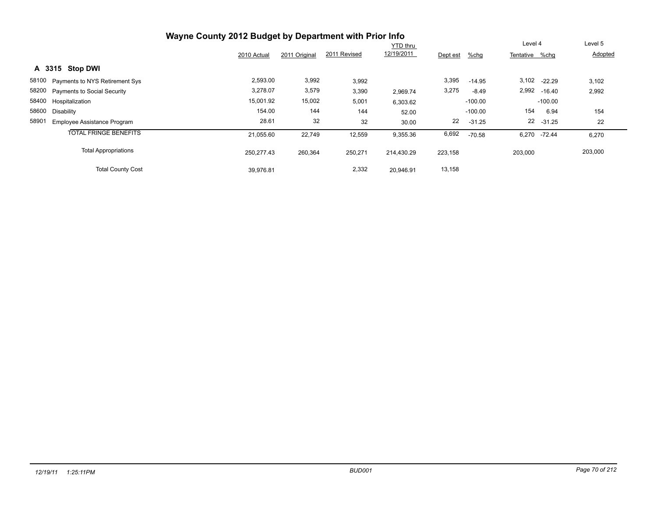|                                             | Wayne County 2012 Budget by Department with Prior Info |               |              | <b>YTD</b> thru |          |           | Level 4        |              | Level 5 |
|---------------------------------------------|--------------------------------------------------------|---------------|--------------|-----------------|----------|-----------|----------------|--------------|---------|
|                                             | 2010 Actual                                            | 2011 Original | 2011 Revised | 12/19/2011      | Dept est | %chg      | Tentative %chg |              | Adopted |
| A 3315 Stop DWI                             |                                                        |               |              |                 |          |           |                |              |         |
| 58100 Payments to NYS Retirement Sys        | 2,593.00                                               | 3,992         | 3,992        |                 | 3,395    | $-14.95$  |                | 3,102 -22.29 | 3,102   |
| 58200 Payments to Social Security           | 3,278.07                                               | 3,579         | 3,390        | 2,969.74        | 3,275    | $-8.49$   |                | 2,992 -16.40 | 2,992   |
| 58400 Hospitalization                       | 15,001.92                                              | 15,002        | 5,001        | 6,303.62        |          | $-100.00$ |                | $-100.00$    |         |
| 58600<br>Disability                         | 154.00                                                 | 144           | 144          | 52.00           |          | $-100.00$ | 154            | 6.94         | 154     |
| 58901<br><b>Employee Assistance Program</b> | 28.61                                                  | 32            | 32           | 30.00           | 22       | $-31.25$  |                | 22 -31.25    | 22      |
| <b>TOTAL FRINGE BENEFITS</b>                | 21.055.60                                              | 22,749        | 12,559       | 9,355.36        | 6,692    | $-70.58$  |                | 6,270 -72.44 | 6,270   |
| <b>Total Appropriations</b>                 | 250,277.43                                             | 260,364       | 250,271      | 214,430.29      | 223,158  |           | 203,000        |              | 203,000 |
| <b>Total County Cost</b>                    | 39,976.81                                              |               | 2,332        | 20.946.91       | 13,158   |           |                |              |         |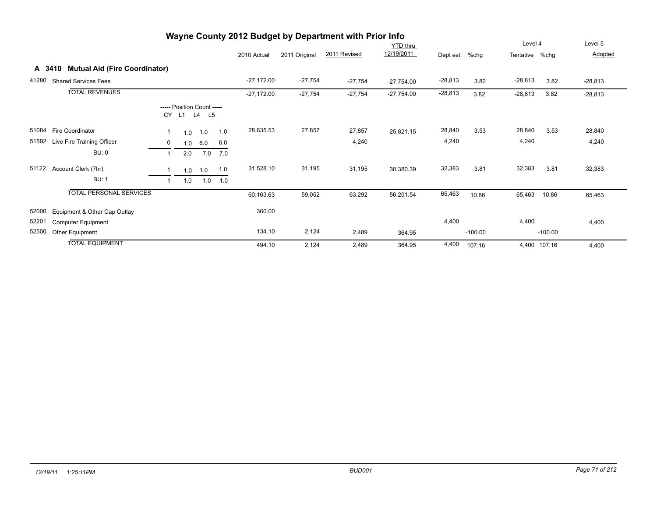|       |                                      |                |                                           |     |     |              |               | Wayne County 2012 Budget by Department with Prior Info |              |           |           |                |              |           |
|-------|--------------------------------------|----------------|-------------------------------------------|-----|-----|--------------|---------------|--------------------------------------------------------|--------------|-----------|-----------|----------------|--------------|-----------|
|       |                                      |                |                                           |     |     |              |               |                                                        | YTD thru     |           |           | Level 4        |              | Level 5   |
|       |                                      |                |                                           |     |     | 2010 Actual  | 2011 Original | 2011 Revised                                           | 12/19/2011   | Dept est  | %chg      | Tentative %chg |              | Adopted   |
|       | A 3410 Mutual Aid (Fire Coordinator) |                |                                           |     |     |              |               |                                                        |              |           |           |                |              |           |
| 41280 | <b>Shared Services Fees</b>          |                |                                           |     |     | $-27,172.00$ | $-27,754$     | $-27,754$                                              | $-27,754.00$ | $-28,813$ | 3.82      | $-28,813$      | 3.82         | $-28,813$ |
|       | <b>TOTAL REVENUES</b>                |                |                                           |     |     | $-27,172.00$ | $-27,754$     | $-27,754$                                              | $-27,754.00$ | $-28,813$ | 3.82      | $-28,813$      | 3.82         | $-28,813$ |
|       |                                      |                | ----- Position Count -----<br>CY L1 L4 L5 |     |     |              |               |                                                        |              |           |           |                |              |           |
| 51084 | Fire Coordinator                     |                | 1.0                                       | 1.0 | 1.0 | 28,635.53    | 27,857        | 27,857                                                 | 25,821.15    | 28,840    | 3.53      | 28,840         | 3.53         | 28,840    |
| 51592 | Live Fire Training Officer           | 0              | 1.0                                       | 6.0 | 6.0 |              |               | 4,240                                                  |              | 4,240     |           | 4,240          |              | 4,240     |
|       | <b>BU: 0</b>                         | $\overline{ }$ | 2.0                                       | 7.0 | 7.0 |              |               |                                                        |              |           |           |                |              |           |
| 51122 | Account Clerk (7hr)                  |                | 1.0                                       | 1.0 | 1.0 | 31,528.10    | 31,195        | 31,195                                                 | 30,380.39    | 32,383    | 3.81      | 32,383         | 3.81         | 32,383    |
|       | <b>BU: 1</b>                         |                | 1.0                                       | 1.0 | 1.0 |              |               |                                                        |              |           |           |                |              |           |
|       | <b>TOTAL PERSONAL SERVICES</b>       |                |                                           |     |     | 60,163.63    | 59,052        | 63,292                                                 | 56,201.54    | 65,463    | 10.86     | 65,463         | 10.86        | 65,463    |
| 52000 | Equipment & Other Cap Outlay         |                |                                           |     |     | 360.00       |               |                                                        |              |           |           |                |              |           |
| 52201 | <b>Computer Equipment</b>            |                |                                           |     |     |              |               |                                                        |              | 4,400     |           | 4,400          |              | 4,400     |
| 52500 | Other Equipment                      |                |                                           |     |     | 134.10       | 2,124         | 2,489                                                  | 364.95       |           | $-100.00$ |                | $-100.00$    |           |
|       | <b>TOTAL EQUIPMENT</b>               |                |                                           |     |     | 494.10       | 2,124         | 2,489                                                  | 364.95       | 4,400     | 107.16    |                | 4,400 107.16 | 4,400     |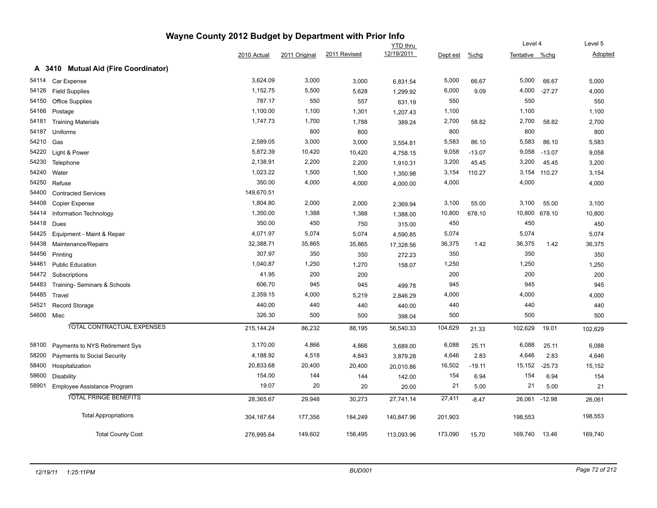### **Wayne County 2012 Budget by Department with Prior Info** Tentative %chg **Level 4** YTD thru 2010 Actual 2011 Original 2011 Revised 12/19/2011 Dept est %chg Level 5 Adopted **A 3410 Mutual Aid (Fire Coordinator)** 54114 Car Expense 3,624.09 3,000 3,000 6,831.54 5,000 66.67 5,000 66.67 5,000 54126 Field Supplies 1,152.75 5,500 <sub>5,</sub>628 1<sub>,299.92</sub> 6,000 9.09 4,000 -27.27 4,000 54150 Office Supplies 787.17 550 631.19 550 550 550 54166 Postage 1,100.00 1,100 1,301 1,207.43 1,100 1,100 1,100 54181 Training Materials 1,700 1,788 389.24 2,700 58.82 2,700 58.82 2,700 2,700 2,700 58.82 2,700 58.82 2,700 54187 Uniforms 800 800 800 800 800 54210 Gas 2,589.05 3,000 3,000 3,554.81 5,583 86.10 5,583 86.10 5,583 54220 Light & Power 5,872.39 10,420 10,420 4,758.15 9,058 -13.07 9,058 -13.07 9,058 54230 Telephone 2,138.91 2,200 2,200 1,910.31 3,200 45.45 3,200 45.45 3,200 54240 Water 1,023.22 1,500 1,500 1,350.98 3,154 110.27 3,154 110.27 3,154 54250 Refuse 350.00 4,000 4,000 4,000.00 4,000 4,000 4,000 54400 Contracted Services 149,670.51 54408 Copier Expense 1,804.80 2,000 2,000 3,100 55.00 3,100 55.00 3,100 54414 Information Technology 1,350.00 1,388 1,388 1,388.00 10,800 678.10 10,800 678.10 10,800 54418 Dues 350.00 450 750 315.00 450 450 450 54425 Equipment - Maint & Repair 4,071.97 5,074 5,074 4,590.85 5,074 5,074 5,074 54438 Maintenance/Repairs 32,388.71 35,865 17,328.56 36,375 1.42 36,375 1.42 36,375 54456 Printing 307.97 350 <sub>272.23</sub> 350 350 350 54461 Public Education 1,250 1,250 1,250 1,270 1,270 1,250 1,250 1,250 1,250 1,250 1,250 1,250 1,250 1,250 1,250 54472 Subscriptions 41.95 200 200 200 200 200 54483 Training- Seminars & Schools 606.70 945 945 499.78 945 945 945 54485 Travel 2,359.15 4,000 5,219 2,846.29 4,000 4,000 4,000 54521 Record Storage 440.00 440 440 440.00 440 440 440 54600 Misc 326.30 500 500 398.04 500 500 500 TOTAL CONTRACTUAL EXPENSES 215,144.24 86,232 88,195 56,540.33 104,629 21.33 102,629 19.01 102,629 58100 Payments to NYS Retirement Sys 3,170.00 4,866 4,866 3,689.00 6,088 25.11 6,088 25.11 6,088 58200 Payments to Social Security 4,188.92 4,518 4,843 3,879.28 4,646 2.83 4,646 2.83 4,646 58400 Hospitalization 20,833.68 20,400 20,400 20,010.86 16,502 -19.11 15,152 -25.73 15,152 58600 Disability 154.00 144 144 142.00 154 6.94 154 6.94 154 58901 Employee Assistance Program 19.07 20 20 20.00 21 5.00 21 5.00 21 TOTAL FRINGE BENEFITS 28,365.67 29,948 30,273 27,741.14 27,411 -8.47 26,061 -12.98 26,061 Total Appropriations 304,167.64 177,356 184,249 140,847.96 201,903 198,553 198,553

Total County Cost 276,995.64 149,602 156,495 113,093.96 173,090 15.70 169,740 13.46 169,740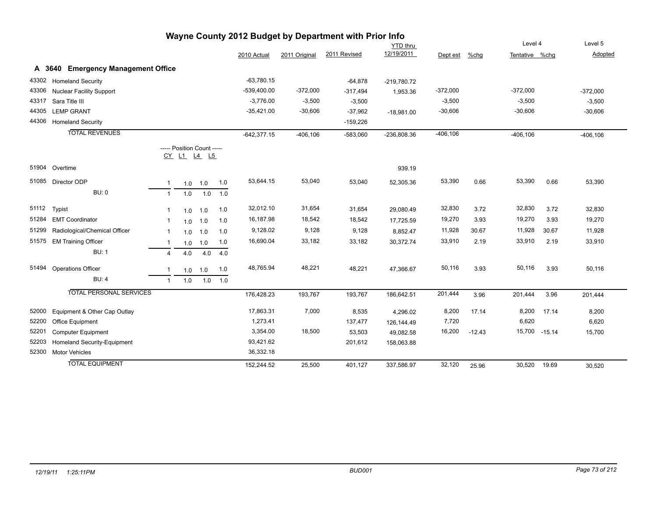|       |                                    |                |     |                                           |             |               |               | Wayne County 2012 Budget by Department with Prior Info |                 |             |          |                |                |             |
|-------|------------------------------------|----------------|-----|-------------------------------------------|-------------|---------------|---------------|--------------------------------------------------------|-----------------|-------------|----------|----------------|----------------|-------------|
|       |                                    |                |     |                                           |             |               |               |                                                        | <b>YTD</b> thru |             |          | Level 4        |                | Level 5     |
|       |                                    |                |     |                                           |             | 2010 Actual   | 2011 Original | 2011 Revised                                           | 12/19/2011      | Dept est    | %chg     | Tentative %chq |                | Adopted     |
|       | A 3640 Emergency Management Office |                |     |                                           |             |               |               |                                                        |                 |             |          |                |                |             |
| 43302 | <b>Homeland Security</b>           |                |     |                                           |             | $-63,780.15$  |               | $-64,878$                                              | -219,780.72     |             |          |                |                |             |
| 43306 | <b>Nuclear Facility Support</b>    |                |     |                                           |             | $-539,400.00$ | $-372,000$    | $-317,494$                                             | 1,953.36        | $-372,000$  |          | $-372,000$     |                | $-372,000$  |
| 43317 | Sara Title III                     |                |     |                                           |             | $-3,776.00$   | $-3,500$      | $-3,500$                                               |                 | $-3,500$    |          | $-3,500$       |                | $-3,500$    |
| 44305 | <b>LEMP GRANT</b>                  |                |     |                                           |             | $-35,421.00$  | $-30,606$     | $-37,962$                                              | $-18,981.00$    | $-30,606$   |          | $-30,606$      |                | $-30,606$   |
| 44306 | <b>Homeland Security</b>           |                |     |                                           |             |               |               | $-159,226$                                             |                 |             |          |                |                |             |
|       | <b>TOTAL REVENUES</b>              |                |     |                                           |             | $-642,377.15$ | $-406, 106$   | $-583,060$                                             | -236,808.36     | $-406, 106$ |          | $-406, 106$    |                | $-406, 106$ |
|       |                                    |                |     | ----- Position Count -----<br>CY L1 L4 L5 |             |               |               |                                                        |                 |             |          |                |                |             |
|       | 51904 Overtime                     |                |     |                                           |             |               |               |                                                        | 939.19          |             |          |                |                |             |
|       | 51085 Director ODP                 | $\mathbf{1}$   | 1.0 | 1.0                                       | 1.0         | 53,644.15     | 53,040        | 53,040                                                 | 52,305.36       | 53,390      | 0.66     | 53,390         | 0.66           | 53,390      |
|       | <b>BU: 0</b>                       | $\mathbf{1}$   | 1.0 | 1.0                                       | 1.0         |               |               |                                                        |                 |             |          |                |                |             |
| 51112 | Typist                             | $\mathbf{1}$   | 1.0 | 1.0                                       | 1.0         | 32,012.10     | 31,654        | 31,654                                                 | 29,080.49       | 32,830      | 3.72     | 32,830         | 3.72           | 32,830      |
|       | 51284 EMT Coordinator              | -1             | 1.0 | 1.0                                       | 1.0         | 16,187.98     | 18,542        | 18,542                                                 | 17,725.59       | 19,270      | 3.93     | 19,270         | 3.93           | 19,270      |
| 51299 | Radiological/Chemical Officer      | -1             | 1.0 | 1.0                                       | 1.0         | 9,128.02      | 9,128         | 9,128                                                  | 8,852.47        | 11,928      | 30.67    | 11,928         | 30.67          | 11,928      |
|       | 51575 EM Training Officer          | $\mathbf{1}$   | 1.0 | 1.0                                       | 1.0         | 16,690.04     | 33,182        | 33,182                                                 | 30,372.74       | 33,910      | 2.19     | 33,910         | 2.19           | 33,910      |
|       | <b>BU: 1</b>                       | $\overline{4}$ | 4.0 | 4.0                                       | 4.0         |               |               |                                                        |                 |             |          |                |                |             |
| 51494 | <b>Operations Officer</b>          | $\mathbf 1$    | 1.0 | 1.0                                       | 1.0         | 48,765.94     | 48,221        | 48,221                                                 | 47,366.67       | 50,116      | 3.93     | 50,116         | 3.93           | 50,116      |
|       | <b>BU: 4</b>                       | $\overline{1}$ | 1.0 |                                           | $1.0$ $1.0$ |               |               |                                                        |                 |             |          |                |                |             |
|       | <b>TOTAL PERSONAL SERVICES</b>     |                |     |                                           |             | 176,428.23    | 193,767       | 193,767                                                | 186,642.51      | 201,444     | 3.96     | 201,444        | 3.96           | 201,444     |
| 52000 | Equipment & Other Cap Outlay       |                |     |                                           |             | 17,863.31     | 7,000         | 8,535                                                  | 4,296.02        | 8,200       | 17.14    | 8,200          | 17.14          | 8,200       |
| 52200 | Office Equipment                   |                |     |                                           |             | 1,273.41      |               | 137,477                                                | 126,144.49      | 7,720       |          | 6,620          |                | 6,620       |
| 52201 | <b>Computer Equipment</b>          |                |     |                                           |             | 3,354.00      | 18,500        | 53,503                                                 | 49.082.58       | 16,200      | $-12.43$ |                | 15,700 - 15.14 | 15,700      |
| 52203 | Homeland Security-Equipment        |                |     |                                           |             | 93,421.62     |               | 201,612                                                | 158,063.88      |             |          |                |                |             |
| 52300 | <b>Motor Vehicles</b>              |                |     |                                           |             | 36,332.18     |               |                                                        |                 |             |          |                |                |             |
|       | <b>TOTAL EQUIPMENT</b>             |                |     |                                           |             | 152,244.52    | 25,500        | 401,127                                                | 337,586.97      | 32,120      | 25.96    | 30,520         | 19.69          | 30,520      |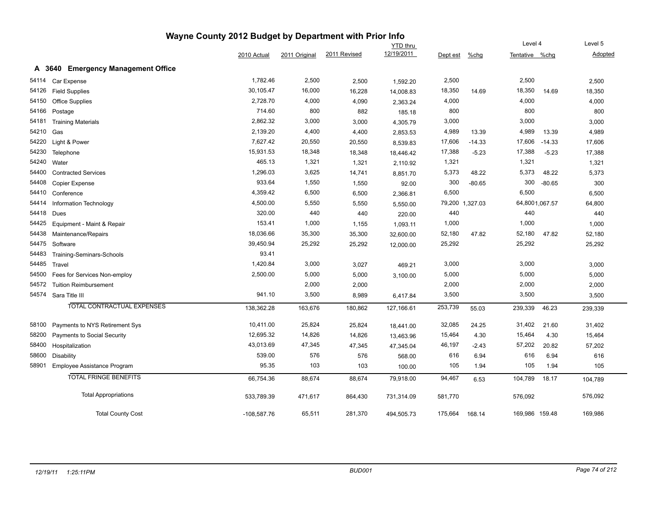|       |                                              | Wayne County 2012 Budget by Department with Prior Info |               |              |                               |          |                 |                           |                |                    |
|-------|----------------------------------------------|--------------------------------------------------------|---------------|--------------|-------------------------------|----------|-----------------|---------------------------|----------------|--------------------|
|       |                                              | 2010 Actual                                            | 2011 Original | 2011 Revised | <b>YTD</b> thru<br>12/19/2011 | Dept est | $%$ chg         | Level 4<br>Tentative %chg |                | Level 5<br>Adopted |
|       | A 3640<br><b>Emergency Management Office</b> |                                                        |               |              |                               |          |                 |                           |                |                    |
| 54114 | Car Expense                                  | 1,782.46                                               | 2,500         | 2,500        | 1,592.20                      | 2,500    |                 | 2,500                     |                | 2,500              |
| 54126 | <b>Field Supplies</b>                        | 30,105.47                                              | 16,000        | 16,228       | 14,008.83                     | 18,350   | 14.69           | 18,350                    | 14.69          | 18,350             |
| 54150 | <b>Office Supplies</b>                       | 2,728.70                                               | 4,000         | 4,090        | 2,363.24                      | 4,000    |                 | 4,000                     |                | 4,000              |
| 54166 | Postage                                      | 714.60                                                 | 800           | 882          | 185.18                        | 800      |                 | 800                       |                | 800                |
| 54181 | <b>Training Materials</b>                    | 2,862.32                                               | 3,000         | 3,000        | 4,305.79                      | 3,000    |                 | 3,000                     |                | 3,000              |
| 54210 | Gas                                          | 2,139.20                                               | 4,400         | 4,400        | 2,853.53                      | 4,989    | 13.39           | 4,989                     | 13.39          | 4,989              |
| 54220 | Light & Power                                | 7,627.42                                               | 20,550        | 20,550       | 8,539.83                      | 17,606   | $-14.33$        | 17,606                    | $-14.33$       | 17,606             |
| 54230 | Telephone                                    | 15,931.53                                              | 18,348        | 18,348       | 18,446.42                     | 17,388   | $-5.23$         | 17,388                    | $-5.23$        | 17,388             |
| 54240 | Water                                        | 465.13                                                 | 1,321         | 1,321        | 2,110.92                      | 1,321    |                 | 1,321                     |                | 1,321              |
| 54400 | <b>Contracted Services</b>                   | 1,296.03                                               | 3,625         | 14,741       | 8,851.70                      | 5,373    | 48.22           | 5,373                     | 48.22          | 5,373              |
| 54408 | Copier Expense                               | 933.64                                                 | 1,550         | 1,550        | 92.00                         | 300      | $-80.65$        | 300                       | $-80.65$       | 300                |
| 54410 | Conference                                   | 4,359.42                                               | 6,500         | 6,500        | 2,366.81                      | 6,500    |                 | 6,500                     |                | 6,500              |
| 54414 | Information Technology                       | 4,500.00                                               | 5,550         | 5,550        | 5,550.00                      |          | 79,200 1,327.03 |                           | 64,8001,067.57 | 64,800             |
| 54418 | Dues                                         | 320.00                                                 | 440           | 440          | 220.00                        | 440      |                 | 440                       |                | 440                |
| 54425 | Equipment - Maint & Repair                   | 153.41                                                 | 1,000         | 1,155        | 1,093.11                      | 1,000    |                 | 1,000                     |                | 1,000              |
| 54438 | Maintenance/Repairs                          | 18,036.66                                              | 35,300        | 35,300       | 32,600.00                     | 52,180   | 47.82           | 52,180                    | 47.82          | 52,180             |
| 54475 | Software                                     | 39,450.94                                              | 25,292        | 25,292       | 12,000.00                     | 25,292   |                 | 25,292                    |                | 25,292             |
| 54483 | Training-Seminars-Schools                    | 93.41                                                  |               |              |                               |          |                 |                           |                |                    |
| 54485 | Travel                                       | 1,420.84                                               | 3,000         | 3,027        | 469.21                        | 3,000    |                 | 3,000                     |                | 3,000              |
| 54500 | Fees for Services Non-employ                 | 2,500.00                                               | 5,000         | 5,000        | 3,100.00                      | 5,000    |                 | 5,000                     |                | 5,000              |
| 54572 | <b>Tuition Reimbursement</b>                 |                                                        | 2,000         | 2,000        |                               | 2,000    |                 | 2,000                     |                | 2,000              |
|       | 54574 Sara Title III                         | 941.10                                                 | 3,500         | 8,989        | 6,417.84                      | 3,500    |                 | 3,500                     |                | 3,500              |
|       | TOTAL CONTRACTUAL EXPENSES                   | 138,362.28                                             | 163,676       | 180,862      | 127,166.61                    | 253,739  | 55.03           | 239,339                   | 46.23          | 239,339            |
| 58100 | Payments to NYS Retirement Sys               | 10,411.00                                              | 25,824        | 25,824       | 18,441.00                     | 32,085   | 24.25           | 31,402                    | 21.60          | 31,402             |
| 58200 | Payments to Social Security                  | 12,695.32                                              | 14,826        | 14,826       | 13,463.96                     | 15,464   | 4.30            | 15,464                    | 4.30           | 15,464             |
| 58400 | Hospitalization                              | 43,013.69                                              | 47,345        | 47,345       | 47,345.04                     | 46,197   | $-2.43$         | 57,202                    | 20.82          | 57,202             |
| 58600 | <b>Disability</b>                            | 539.00                                                 | 576           | 576          | 568.00                        | 616      | 6.94            | 616                       | 6.94           | 616                |
| 58901 | Employee Assistance Program                  | 95.35                                                  | 103           | 103          | 100.00                        | 105      | 1.94            | 105                       | 1.94           | 105                |
|       | <b>TOTAL FRINGE BENEFITS</b>                 | 66,754.36                                              | 88,674        | 88,674       | 79,918.00                     | 94,467   | 6.53            | 104,789                   | 18.17          | 104,789            |
|       | <b>Total Appropriations</b>                  | 533,789.39                                             | 471,617       | 864,430      | 731,314.09                    | 581,770  |                 | 576,092                   |                | 576,092            |
|       | <b>Total County Cost</b>                     | $-108,587.76$                                          | 65,511        | 281,370      | 494,505.73                    | 175,664  | 168.14          | 169,986 159.48            |                | 169,986            |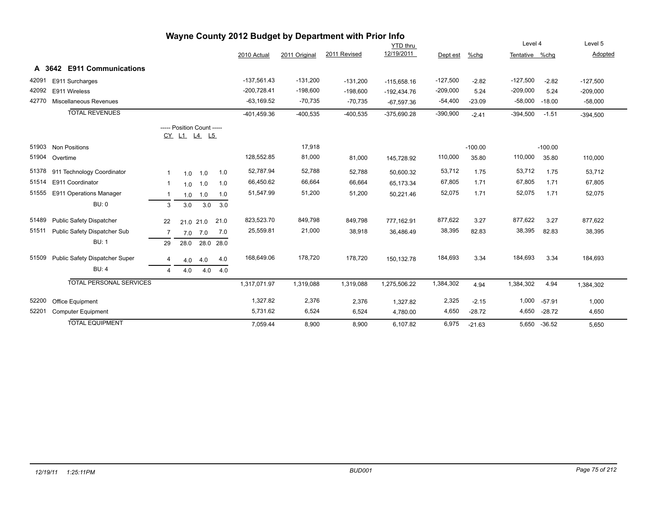| Wayne County 2012 Budget by Department with Prior Info |                                      |                |                                           |           |      |               |               |              |               |            |           |                |           |            |
|--------------------------------------------------------|--------------------------------------|----------------|-------------------------------------------|-----------|------|---------------|---------------|--------------|---------------|------------|-----------|----------------|-----------|------------|
|                                                        |                                      |                |                                           |           |      |               |               |              | YTD thru      |            |           | Level 4        |           | Level 5    |
|                                                        |                                      |                |                                           |           |      | 2010 Actual   | 2011 Original | 2011 Revised | 12/19/2011    | Dept est   | %chg      | Tentative %chq |           | Adopted    |
|                                                        | <b>E911 Communications</b><br>A 3642 |                |                                           |           |      |               |               |              |               |            |           |                |           |            |
| 42091                                                  | E911 Surcharges                      |                |                                           |           |      | $-137,561.43$ | $-131,200$    | $-131,200$   | $-115,658.16$ | $-127,500$ | $-2.82$   | $-127,500$     | $-2.82$   | $-127,500$ |
| 42092                                                  | E911 Wireless                        |                |                                           |           |      | $-200,728.41$ | $-198,600$    | $-198,600$   | $-192,434.76$ | $-209,000$ | 5.24      | $-209,000$     | 5.24      | $-209,000$ |
| 42770                                                  | Miscellaneous Revenues               |                |                                           |           |      | $-63,169.52$  | $-70,735$     | $-70,735$    | $-67,597.36$  | $-54,400$  | $-23.09$  | $-58,000$      | $-18.00$  | $-58,000$  |
|                                                        | <b>TOTAL REVENUES</b>                |                |                                           |           |      | $-401,459.36$ | $-400,535$    | $-400,535$   | $-375,690.28$ | $-390,900$ | $-2.41$   | $-394,500$     | $-1.51$   | $-394,500$ |
|                                                        |                                      |                | ----- Position Count -----<br>CY L1 L4 L5 |           |      |               |               |              |               |            |           |                |           |            |
| 51903                                                  | <b>Non Positions</b>                 |                |                                           |           |      |               | 17,918        |              |               |            | $-100.00$ |                | $-100.00$ |            |
| 51904                                                  | Overtime                             |                |                                           |           |      | 128,552.85    | 81,000        | 81,000       | 145,728.92    | 110,000    | 35.80     | 110,000        | 35.80     | 110,000    |
| 51378                                                  | 911 Technology Coordinator           | -1             | 1.0                                       | 1.0       | 1.0  | 52,787.94     | 52,788        | 52,788       | 50,600.32     | 53,712     | 1.75      | 53,712         | 1.75      | 53,712     |
| 51514                                                  | E911 Coordinator                     | -1             | 1.0                                       | 1.0       | 1.0  | 66,450.62     | 66,664        | 66,664       | 65,173.34     | 67,805     | 1.71      | 67,805         | 1.71      | 67,805     |
| 51555                                                  | E911 Operations Manager              | -1             | 1.0                                       | 1.0       | 1.0  | 51,547.99     | 51,200        | 51,200       | 50,221.46     | 52,075     | 1.71      | 52,075         | 1.71      | 52,075     |
|                                                        | <b>BU: 0</b>                         | 3              | 3.0                                       | 3.0       | 3.0  |               |               |              |               |            |           |                |           |            |
| 51489                                                  | <b>Public Safety Dispatcher</b>      | 22             |                                           | 21.0 21.0 | 21.0 | 823,523.70    | 849,798       | 849,798      | 777,162.91    | 877,622    | 3.27      | 877,622        | 3.27      | 877,622    |
| 51511                                                  | Public Safety Dispatcher Sub         | 7              | 7.0                                       | 7.0       | 7.0  | 25,559.81     | 21,000        | 38,918       | 36,486.49     | 38,395     | 82.83     | 38,395         | 82.83     | 38,395     |
|                                                        | <b>BU: 1</b>                         | 29             | 28.0                                      | 28.0      | 28.0 |               |               |              |               |            |           |                |           |            |
| 51509                                                  | Public Safety Dispatcher Super       | $\overline{4}$ | 4.0                                       | 4.0       | 4.0  | 168,649.06    | 178,720       | 178,720      | 150,132.78    | 184,693    | 3.34      | 184,693        | 3.34      | 184,693    |
|                                                        | <b>BU: 4</b>                         | 4              | 4.0                                       | 4.0       | 4.0  |               |               |              |               |            |           |                |           |            |
|                                                        | <b>TOTAL PERSONAL SERVICES</b>       |                |                                           |           |      | 1,317,071.97  | 1,319,088     | 1,319,088    | 1,275,506.22  | 1,384,302  | 4.94      | 1,384,302      | 4.94      | 1,384,302  |
| 52200                                                  | Office Equipment                     |                |                                           |           |      | 1,327.82      | 2,376         | 2,376        | 1,327.82      | 2,325      | $-2.15$   | 1,000          | $-57.91$  | 1,000      |
| 52201                                                  | Computer Equipment                   |                |                                           |           |      | 5,731.62      | 6,524         | 6,524        | 4,780.00      | 4,650      | $-28.72$  | 4,650          | $-28.72$  | 4,650      |
|                                                        | <b>TOTAL EQUIPMENT</b>               |                |                                           |           |      | 7,059.44      | 8,900         | 8,900        | 6,107.82      | 6,975      | $-21.63$  | 5,650          | $-36.52$  | 5,650      |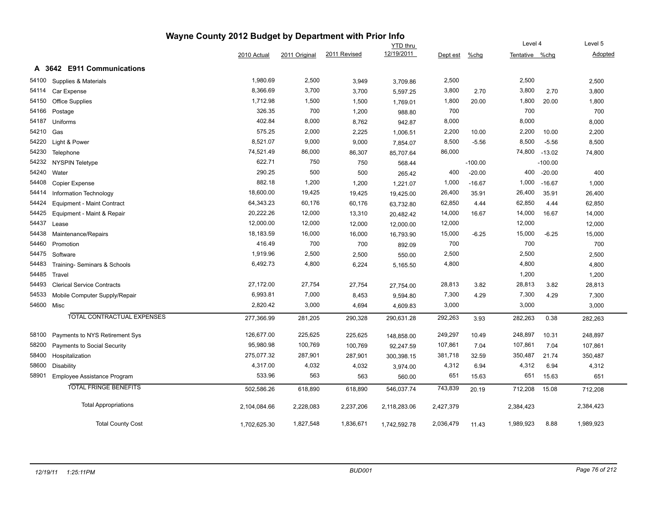|       |                                      | Wayne County 2012 Budget by Department with Prior Info |               |              |                               |           |           |                |           |           |
|-------|--------------------------------------|--------------------------------------------------------|---------------|--------------|-------------------------------|-----------|-----------|----------------|-----------|-----------|
|       |                                      |                                                        |               |              | <b>YTD</b> thru<br>12/19/2011 |           |           | Level 4        |           | Level 5   |
|       |                                      | 2010 Actual                                            | 2011 Original | 2011 Revised |                               | Dept est  | %chg      | Tentative %chg |           | Adopted   |
|       | <b>E911 Communications</b><br>A 3642 |                                                        |               |              |                               |           |           |                |           |           |
| 54100 | Supplies & Materials                 | 1,980.69                                               | 2,500         | 3,949        | 3,709.86                      | 2,500     |           | 2,500          |           | 2,500     |
| 54114 | Car Expense                          | 8,366.69                                               | 3,700         | 3,700        | 5,597.25                      | 3,800     | 2.70      | 3,800          | 2.70      | 3,800     |
| 54150 | <b>Office Supplies</b>               | 1,712.98                                               | 1,500         | 1,500        | 1,769.01                      | 1,800     | 20.00     | 1,800          | 20.00     | 1,800     |
| 54166 | Postage                              | 326.35                                                 | 700           | 1,200        | 988.80                        | 700       |           | 700            |           | 700       |
| 54187 | Uniforms                             | 402.84                                                 | 8,000         | 8,762        | 942.87                        | 8,000     |           | 8,000          |           | 8,000     |
| 54210 | Gas                                  | 575.25                                                 | 2,000         | 2,225        | 1,006.51                      | 2,200     | 10.00     | 2,200          | 10.00     | 2,200     |
| 54220 | Light & Power                        | 8,521.07                                               | 9,000         | 9,000        | 7,854.07                      | 8,500     | $-5.56$   | 8,500          | $-5.56$   | 8,500     |
| 54230 | Telephone                            | 74,521.49                                              | 86,000        | 86,307       | 85,707.64                     | 86,000    |           | 74,800         | $-13.02$  | 74,800    |
| 54232 | <b>NYSPIN Teletype</b>               | 622.71                                                 | 750           | 750          | 568.44                        |           | $-100.00$ |                | $-100.00$ |           |
| 54240 | Water                                | 290.25                                                 | 500           | 500          | 265.42                        | 400       | $-20.00$  | 400            | $-20.00$  | 400       |
| 54408 | Copier Expense                       | 882.18                                                 | 1,200         | 1,200        | 1,221.07                      | 1,000     | $-16.67$  | 1,000          | $-16.67$  | 1,000     |
| 54414 | Information Technology               | 18,600.00                                              | 19,425        | 19,425       | 19,425.00                     | 26,400    | 35.91     | 26,400         | 35.91     | 26,400    |
| 54424 | <b>Equipment - Maint Contract</b>    | 64,343.23                                              | 60,176        | 60,176       | 63,732.80                     | 62,850    | 4.44      | 62,850         | 4.44      | 62,850    |
| 54425 | Equipment - Maint & Repair           | 20,222.26                                              | 12,000        | 13,310       | 20,482.42                     | 14,000    | 16.67     | 14,000         | 16.67     | 14,000    |
| 54437 | Lease                                | 12,000.00                                              | 12,000        | 12,000       | 12,000.00                     | 12,000    |           | 12,000         |           | 12,000    |
| 54438 | Maintenance/Repairs                  | 18,183.59                                              | 16,000        | 16,000       | 16,793.90                     | 15,000    | $-6.25$   | 15,000         | $-6.25$   | 15,000    |
| 54460 | Promotion                            | 416.49                                                 | 700           | 700          | 892.09                        | 700       |           | 700            |           | 700       |
| 54475 | Software                             | 1,919.96                                               | 2,500         | 2,500        | 550.00                        | 2,500     |           | 2,500          |           | 2,500     |
| 54483 | Training-Seminars & Schools          | 6,492.73                                               | 4,800         | 6,224        | 5,165.50                      | 4,800     |           | 4,800          |           | 4,800     |
| 54485 | Travel                               |                                                        |               |              |                               |           |           | 1,200          |           | 1,200     |
| 54493 | <b>Clerical Service Contracts</b>    | 27,172.00                                              | 27,754        | 27,754       | 27,754.00                     | 28,813    | 3.82      | 28,813         | 3.82      | 28,813    |
| 54533 | Mobile Computer Supply/Repair        | 6,993.81                                               | 7,000         | 8,453        | 9,594.80                      | 7,300     | 4.29      | 7,300          | 4.29      | 7,300     |
|       | 54600 Misc                           | 2,820.42                                               | 3,000         | 4,694        | 4,609.83                      | 3,000     |           | 3,000          |           | 3,000     |
|       | TOTAL CONTRACTUAL EXPENSES           | 277,366.99                                             | 281,205       | 290,328      | 290,631.28                    | 292,263   | 3.93      | 282,263        | 0.38      | 282,263   |
|       |                                      |                                                        |               |              |                               |           |           |                |           |           |
| 58100 | Payments to NYS Retirement Sys       | 126,677.00                                             | 225,625       | 225,625      | 148,858.00                    | 249,297   | 10.49     | 248,897        | 10.31     | 248,897   |
| 58200 | Payments to Social Security          | 95,980.98                                              | 100,769       | 100,769      | 92,247.59                     | 107,861   | 7.04      | 107,861        | 7.04      | 107,861   |
| 58400 | Hospitalization                      | 275,077.32                                             | 287,901       | 287,901      | 300,398.15                    | 381,718   | 32.59     | 350,487        | 21.74     | 350,487   |
| 58600 | <b>Disability</b>                    | 4,317.00                                               | 4,032         | 4,032        | 3,974.00                      | 4,312     | 6.94      | 4,312          | 6.94      | 4,312     |
| 58901 | Employee Assistance Program          | 533.96                                                 | 563           | 563          | 560.00                        | 651       | 15.63     | 651            | 15.63     | 651       |
|       | <b>TOTAL FRINGE BENEFITS</b>         | 502,586.26                                             | 618,890       | 618,890      | 546,037.74                    | 743,839   | 20.19     | 712,208        | 15.08     | 712,208   |
|       | <b>Total Appropriations</b>          | 2,104,084.66                                           | 2,228,083     | 2,237,206    | 2,118,283.06                  | 2,427,379 |           | 2,384,423      |           | 2,384,423 |
|       | <b>Total County Cost</b>             | 1,702,625.30                                           | 1,827,548     | 1,836,671    | 1,742,592.78                  | 2,036,479 | 11.43     | 1,989,923      | 8.88      | 1,989,923 |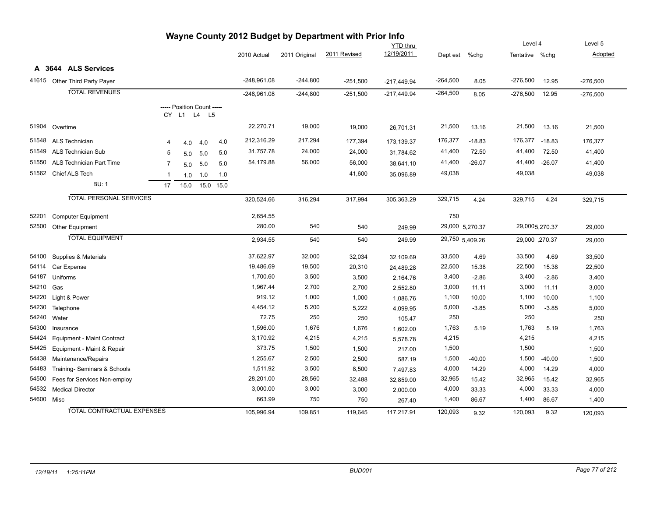| Wayne County 2012 Budget by Department with Prior Info |                                 |                |                            |     |           |               |               |              |                 |                 |          |                |          |            |
|--------------------------------------------------------|---------------------------------|----------------|----------------------------|-----|-----------|---------------|---------------|--------------|-----------------|-----------------|----------|----------------|----------|------------|
|                                                        |                                 |                |                            |     |           |               |               |              | <b>YTD thru</b> |                 |          | Level 4        |          | Level 5    |
|                                                        |                                 |                |                            |     |           | 2010 Actual   | 2011 Original | 2011 Revised | 12/19/2011      | Dept est        | %chg     | Tentative %chq |          | Adopted    |
|                                                        | A 3644 ALS Services             |                |                            |     |           |               |               |              |                 |                 |          |                |          |            |
|                                                        | 41615 Other Third Party Payer   |                |                            |     |           | $-248,961.08$ | $-244,800$    | $-251,500$   | $-217,449.94$   | $-264,500$      | 8.05     | $-276,500$     | 12.95    | $-276,500$ |
|                                                        | <b>TOTAL REVENUES</b>           |                |                            |     |           | $-248,961.08$ | $-244,800$    | $-251,500$   | $-217,449.94$   | $-264,500$      | 8.05     | $-276,500$     | 12.95    | $-276,500$ |
|                                                        |                                 |                | ----- Position Count ----- |     |           |               |               |              |                 |                 |          |                |          |            |
|                                                        |                                 |                | CY L1 L4 L5                |     |           |               |               |              |                 |                 |          |                |          |            |
| 51904                                                  | Overtime                        |                |                            |     |           | 22,270.71     | 19,000        | 19,000       | 26,701.31       | 21,500          | 13.16    | 21,500         | 13.16    | 21,500     |
| 51548                                                  | ALS Technician                  | 4              | 4.0                        | 4.0 | 4.0       | 212,316.29    | 217,294       | 177,394      | 173,139.37      | 176,377         | $-18.83$ | 176,377        | $-18.83$ | 176,377    |
| 51549                                                  | ALS Technician Sub              | 5              | 5.0                        | 5.0 | 5.0       | 31,757.78     | 24,000        | 24,000       | 31,784.62       | 41,400          | 72.50    | 41,400         | 72.50    | 41,400     |
| 51550                                                  | <b>ALS Technician Part Time</b> | $\overline{7}$ | 5.0                        | 5.0 | 5.0       | 54,179.88     | 56,000        | 56,000       | 38,641.10       | 41,400          | $-26.07$ | 41,400         | $-26.07$ | 41,400     |
| 51562                                                  | Chief ALS Tech                  | -1             | 1.0                        | 1.0 | 1.0       |               |               | 41,600       | 35,096.89       | 49,038          |          | 49,038         |          | 49,038     |
|                                                        | <b>BU: 1</b>                    | 17             | 15.0                       |     | 15.0 15.0 |               |               |              |                 |                 |          |                |          |            |
|                                                        | <b>TOTAL PERSONAL SERVICES</b>  |                |                            |     |           | 320,524.66    | 316,294       | 317,994      | 305,363.29      | 329,715         | 4.24     | 329,715        | 4.24     | 329,715    |
|                                                        |                                 |                |                            |     |           |               |               |              |                 |                 |          |                |          |            |
| 52201                                                  | <b>Computer Equipment</b>       |                |                            |     |           | 2,654.55      |               |              |                 | 750             |          |                |          |            |
| 52500                                                  | Other Equipment                 |                |                            |     |           | 280.00        | 540           | 540          | 249.99          | 29,000 5,270.37 |          | 29,0005,270.37 |          | 29,000     |
|                                                        | <b>TOTAL EQUIPMENT</b>          |                |                            |     |           | 2,934.55      | 540           | 540          | 249.99          | 29,750 5,409.26 |          | 29,000 ,270.37 |          | 29,000     |
| 54100                                                  | Supplies & Materials            |                |                            |     |           | 37,622.97     | 32,000        | 32,034       | 32,109.69       | 33,500          | 4.69     | 33,500         | 4.69     | 33,500     |
| 54114                                                  | Car Expense                     |                |                            |     |           | 19,486.69     | 19,500        | 20,310       | 24,489.28       | 22,500          | 15.38    | 22,500         | 15.38    | 22,500     |
| 54187                                                  | Uniforms                        |                |                            |     |           | 1,700.60      | 3,500         | 3,500        | 2,164.76        | 3,400           | $-2.86$  | 3,400          | $-2.86$  | 3,400      |
| 54210                                                  | Gas                             |                |                            |     |           | 1,967.44      | 2,700         | 2,700        | 2,552.80        | 3,000           | 11.11    | 3,000          | 11.11    | 3,000      |
| 54220                                                  | Light & Power                   |                |                            |     |           | 919.12        | 1,000         | 1,000        | 1,086.76        | 1,100           | 10.00    | 1,100          | 10.00    | 1,100      |
| 54230                                                  | Telephone                       |                |                            |     |           | 4,454.12      | 5,200         | 5,222        | 4,099.95        | 5,000           | $-3.85$  | 5,000          | $-3.85$  | 5,000      |
| 54240                                                  | Water                           |                |                            |     |           | 72.75         | 250           | 250          | 105.47          | 250             |          | 250            |          | 250        |
| 54300                                                  | Insurance                       |                |                            |     |           | 1,596.00      | 1,676         | 1,676        | 1,602.00        | 1,763           | 5.19     | 1,763          | 5.19     | 1,763      |
| 54424                                                  | Equipment - Maint Contract      |                |                            |     |           | 3,170.92      | 4,215         | 4,215        | 5,578.78        | 4,215           |          | 4,215          |          | 4,215      |
| 54425                                                  | Equipment - Maint & Repair      |                |                            |     |           | 373.75        | 1,500         | 1,500        | 217.00          | 1,500           |          | 1,500          |          | 1,500      |
| 54438                                                  | Maintenance/Repairs             |                |                            |     |           | 1,255.67      | 2,500         | 2,500        | 587.19          | 1,500           | $-40.00$ | 1,500          | $-40.00$ | 1,500      |
| 54483                                                  | Training- Seminars & Schools    |                |                            |     |           | 1,511.92      | 3,500         | 8,500        | 7,497.83        | 4,000           | 14.29    | 4,000          | 14.29    | 4,000      |
| 54500                                                  | Fees for Services Non-employ    |                |                            |     |           | 28,201.00     | 28,560        | 32,488       | 32,859.00       | 32,965          | 15.42    | 32,965         | 15.42    | 32,965     |
| 54532                                                  | <b>Medical Director</b>         |                |                            |     |           | 3,000.00      | 3,000         | 3,000        | 2,000.00        | 4,000           | 33.33    | 4,000          | 33.33    | 4,000      |
| 54600 Misc                                             |                                 |                |                            |     |           | 663.99        | 750           | 750          | 267.40          | 1,400           | 86.67    | 1,400          | 86.67    | 1,400      |
|                                                        | TOTAL CONTRACTUAL EXPENSES      |                |                            |     |           | 105.996.94    | 109,851       | 119,645      | 117.217.91      | 120,093         | 9.32     | 120,093        | 9.32     | 120,093    |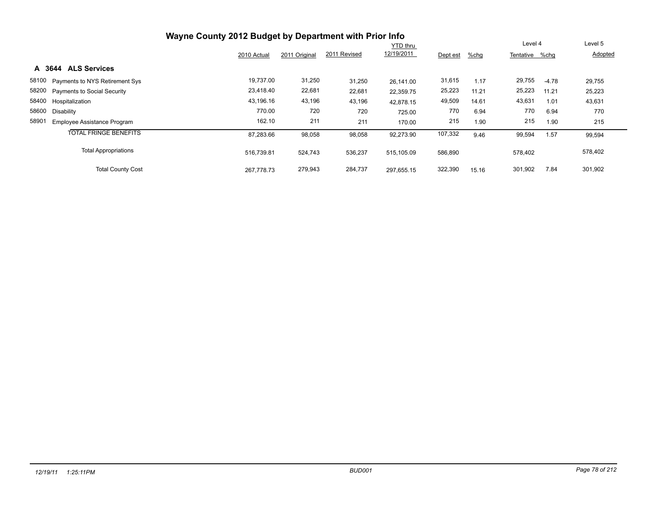| Wayne County 2012 Budget by Department with Prior Info |             |               |              |                 |          |       |                |         |         |
|--------------------------------------------------------|-------------|---------------|--------------|-----------------|----------|-------|----------------|---------|---------|
|                                                        |             |               |              | <b>YTD thru</b> |          |       | Level 4        |         | Level 5 |
|                                                        | 2010 Actual | 2011 Original | 2011 Revised | 12/19/2011      | Dept est | %chg  | Tentative %chg |         | Adopted |
| <b>ALS Services</b><br>A 3644                          |             |               |              |                 |          |       |                |         |         |
| 58100 Payments to NYS Retirement Sys                   | 19,737.00   | 31,250        | 31,250       | 26.141.00       | 31,615   | 1.17  | 29,755         | $-4.78$ | 29,755  |
| 58200 Payments to Social Security                      | 23,418.40   | 22,681        | 22,681       | 22,359.75       | 25,223   | 11.21 | 25,223         | 11.21   | 25,223  |
| 58400 Hospitalization                                  | 43,196.16   | 43,196        | 43,196       | 42.878.15       | 49,509   | 14.61 | 43,631         | 1.01    | 43,631  |
| 58600<br>Disability                                    | 770.00      | 720           | 720          | 725.00          | 770      | 6.94  | 770            | 6.94    | 770     |
| 58901<br>Employee Assistance Program                   | 162.10      | 211           | 211          | 170.00          | 215      | 1.90  | 215            | 1.90    | 215     |
| <b>TOTAL FRINGE BENEFITS</b>                           | 87,283.66   | 98,058        | 98,058       | 92,273.90       | 107,332  | 9.46  | 99,594         | 1.57    | 99,594  |
| <b>Total Appropriations</b>                            | 516.739.81  | 524,743       | 536,237      | 515.105.09      | 586,890  |       | 578,402        |         | 578,402 |
| <b>Total County Cost</b>                               | 267.778.73  | 279,943       | 284,737      | 297.655.15      | 322,390  | 15.16 | 301,902        | 7.84    | 301,902 |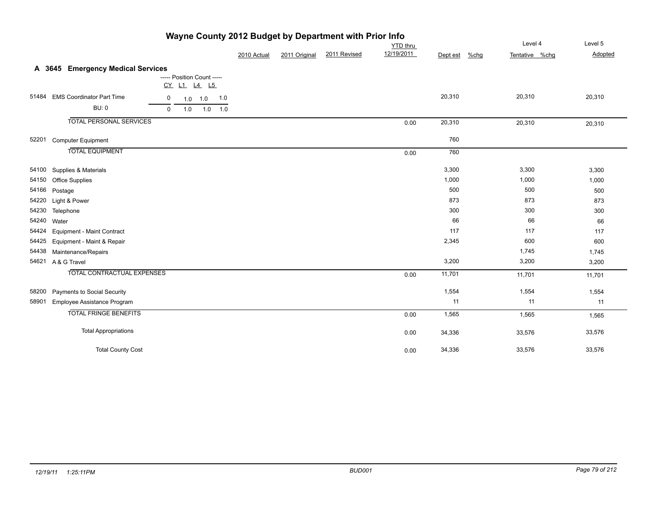|       | <b>The County Long Dudget by Department With First</b>  |             |               |              |                               |          | Level 4                | Level 5 |
|-------|---------------------------------------------------------|-------------|---------------|--------------|-------------------------------|----------|------------------------|---------|
|       |                                                         |             |               |              | <b>YTD</b> thru<br>12/19/2011 |          |                        |         |
|       |                                                         | 2010 Actual | 2011 Original | 2011 Revised |                               | Dept est | %chg<br>Tentative %chg | Adopted |
|       | A 3645 Emergency Medical Services                       |             |               |              |                               |          |                        |         |
|       | ----- Position Count -----                              |             |               |              |                               |          |                        |         |
|       | CY L1 L4 L5                                             |             |               |              |                               |          |                        |         |
| 51484 | <b>EMS Coordinator Part Time</b><br>0<br>1.0 1.0<br>1.0 |             |               |              |                               | 20,310   | 20,310                 | 20,310  |
|       | <b>BU: 0</b><br>1.0<br>$1.0$ $1.0$<br>$\mathbf 0$       |             |               |              |                               |          |                        |         |
|       | <b>TOTAL PERSONAL SERVICES</b>                          |             |               |              | 0.00                          | 20,310   | 20,310                 | 20,310  |
| 52201 | <b>Computer Equipment</b>                               |             |               |              |                               | 760      |                        |         |
|       | <b>TOTAL EQUIPMENT</b>                                  |             |               |              | 0.00                          | 760      |                        |         |
| 54100 | Supplies & Materials                                    |             |               |              |                               | 3,300    | 3,300                  | 3,300   |
| 54150 | <b>Office Supplies</b>                                  |             |               |              |                               | 1,000    | 1,000                  | 1,000   |
|       | 54166 Postage                                           |             |               |              |                               | 500      | 500                    | 500     |
| 54220 | Light & Power                                           |             |               |              |                               | 873      | 873                    | 873     |
|       | 54230 Telephone                                         |             |               |              |                               | 300      | 300                    | 300     |
| 54240 | Water                                                   |             |               |              |                               | 66       | 66                     | 66      |
|       | 54424 Equipment - Maint Contract                        |             |               |              |                               | 117      | 117                    | 117     |
| 54425 | Equipment - Maint & Repair                              |             |               |              |                               | 2,345    | 600                    | 600     |
| 54438 | Maintenance/Repairs                                     |             |               |              |                               |          | 1,745                  | 1,745   |
| 54621 | A & G Travel                                            |             |               |              |                               | 3,200    | 3,200                  | 3,200   |
|       | <b>TOTAL CONTRACTUAL EXPENSES</b>                       |             |               |              | 0.00                          | 11,701   | 11,701                 | 11,701  |
| 58200 | <b>Payments to Social Security</b>                      |             |               |              |                               | 1,554    | 1,554                  | 1,554   |
| 58901 | Employee Assistance Program                             |             |               |              |                               | 11       | 11                     | 11      |
|       | <b>TOTAL FRINGE BENEFITS</b>                            |             |               |              | 0.00                          | 1,565    | 1,565                  | 1,565   |
|       | <b>Total Appropriations</b>                             |             |               |              | 0.00                          | 34,336   | 33,576                 | 33,576  |
|       | <b>Total County Cost</b>                                |             |               |              | 0.00                          | 34,336   | 33,576                 | 33,576  |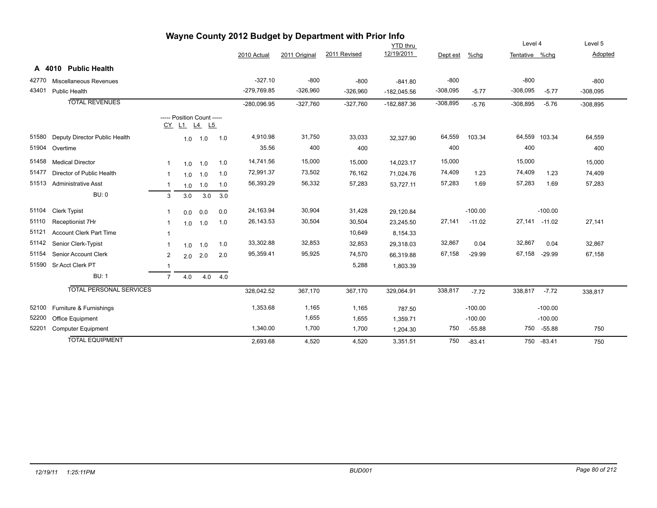|       |                                |                |     |                                           |     |               |               | wayne County 2012 Budget by Department with Prior info |                 |            |           |                |           |            |
|-------|--------------------------------|----------------|-----|-------------------------------------------|-----|---------------|---------------|--------------------------------------------------------|-----------------|------------|-----------|----------------|-----------|------------|
|       |                                |                |     |                                           |     |               |               |                                                        | <b>YTD thru</b> |            |           | Level 4        |           | Level 5    |
|       |                                |                |     |                                           |     | 2010 Actual   | 2011 Original | 2011 Revised                                           | 12/19/2011      | Dept est   | %chg      | Tentative %chg |           | Adopted    |
|       | A 4010 Public Health           |                |     |                                           |     |               |               |                                                        |                 |            |           |                |           |            |
| 42770 | Miscellaneous Revenues         |                |     |                                           |     | $-327.10$     | $-800$        | $-800$                                                 | $-841.80$       | $-800$     |           | $-800$         |           | $-800$     |
| 43401 | Public Health                  |                |     |                                           |     | $-279,769.85$ | $-326,960$    | $-326,960$                                             | $-182,045.56$   | $-308,095$ | $-5.77$   | $-308,095$     | $-5.77$   | $-308,095$ |
|       | <b>TOTAL REVENUES</b>          |                |     |                                           |     | $-280,096.95$ | $-327,760$    | $-327,760$                                             | $-182,887.36$   | $-308,895$ | $-5.76$   | $-308,895$     | $-5.76$   | $-308,895$ |
|       |                                |                |     | ----- Position Count -----<br>CY L1 L4 L5 |     |               |               |                                                        |                 |            |           |                |           |            |
| 51580 | Deputy Director Public Health  |                | 1.0 | 1.0                                       | 1.0 | 4,910.98      | 31,750        | 33,033                                                 | 32,327.90       | 64,559     | 103.34    | 64,559 103.34  |           | 64,559     |
| 51904 | Overtime                       |                |     |                                           |     | 35.56         | 400           | 400                                                    |                 | 400        |           | 400            |           | 400        |
| 51458 | <b>Medical Director</b>        | 1              | 1.0 | 1.0                                       | 1.0 | 14,741.56     | 15,000        | 15,000                                                 | 14,023.17       | 15,000     |           | 15,000         |           | 15,000     |
| 51477 | Director of Public Health      | -1             | 1.0 | 1.0                                       | 1.0 | 72,991.37     | 73,502        | 76,162                                                 | 71,024.76       | 74,409     | 1.23      | 74,409         | 1.23      | 74,409     |
| 51513 | <b>Administrative Asst</b>     | -1             | 1.0 | 1.0                                       | 1.0 | 56,393.29     | 56,332        | 57,283                                                 | 53,727.11       | 57,283     | 1.69      | 57,283         | 1.69      | 57,283     |
|       | <b>BU: 0</b>                   | 3              | 3.0 | 3.0                                       | 3.0 |               |               |                                                        |                 |            |           |                |           |            |
| 51104 | <b>Clerk Typist</b>            | -1             | 0.0 | 0.0                                       | 0.0 | 24,163.94     | 30,904        | 31,428                                                 | 29,120.84       |            | $-100.00$ |                | $-100.00$ |            |
| 51110 | Receptionist 7Hr               | 1              | 1.0 | 1.0                                       | 1.0 | 26,143.53     | 30,504        | 30,504                                                 | 23,245.50       | 27,141     | $-11.02$  | 27,141         | $-11.02$  | 27,141     |
| 51121 | <b>Account Clerk Part Time</b> | $\mathbf{1}$   |     |                                           |     |               |               | 10,649                                                 | 8,154.33        |            |           |                |           |            |
| 51142 | Senior Clerk-Typist            | $\mathbf{1}$   | 1.0 | 1.0                                       | 1.0 | 33,302.88     | 32,853        | 32,853                                                 | 29,318.03       | 32,867     | 0.04      | 32,867         | 0.04      | 32,867     |
| 51154 | Senior Account Clerk           | 2              | 2.0 | 2.0                                       | 2.0 | 95,359.41     | 95,925        | 74,570                                                 | 66,319.88       | 67,158     | $-29.99$  | 67,158         | $-29.99$  | 67,158     |
| 51590 | Sr Acct Clerk PT               | $\mathbf 1$    |     |                                           |     |               |               | 5,288                                                  | 1,803.39        |            |           |                |           |            |
|       | <b>BU: 1</b>                   | $\overline{7}$ | 4.0 | 4.0                                       | 4.0 |               |               |                                                        |                 |            |           |                |           |            |
|       | <b>TOTAL PERSONAL SERVICES</b> |                |     |                                           |     | 328,042.52    | 367,170       | 367,170                                                | 329,064.91      | 338,817    | $-7.72$   | 338,817        | $-7.72$   | 338,817    |
| 52100 | Furniture & Furnishings        |                |     |                                           |     | 1,353.68      | 1,165         | 1,165                                                  | 787.50          |            | $-100.00$ |                | $-100.00$ |            |
| 52200 | Office Equipment               |                |     |                                           |     |               | 1,655         | 1,655                                                  | 1,359.71        |            | $-100.00$ |                | $-100.00$ |            |
| 52201 | <b>Computer Equipment</b>      |                |     |                                           |     | 1,340.00      | 1,700         | 1,700                                                  | 1,204.30        | 750        | $-55.88$  | 750            | $-55.88$  | 750        |
|       | <b>TOTAL EQUIPMENT</b>         |                |     |                                           |     | 2.693.68      | 4.520         | 4.520                                                  | 3.351.51        | 750        | $-83.41$  | 750            | $-83.41$  | 750        |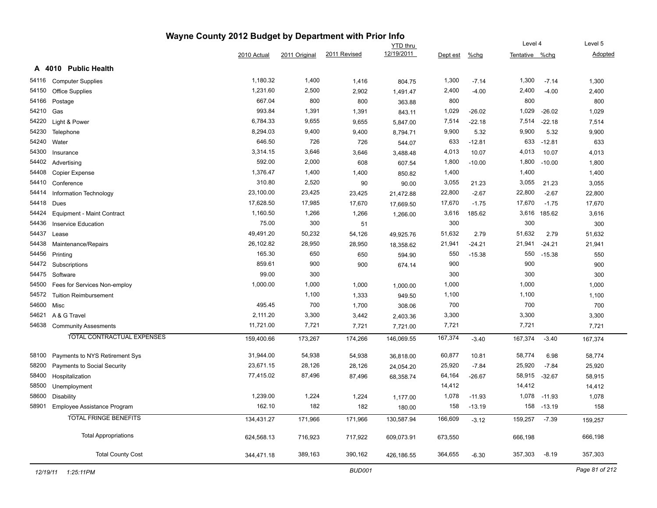|       |                                   | Wayne County 2012 Budget by Department with Prior Info |               |              |                 |          |          |                |              |         |
|-------|-----------------------------------|--------------------------------------------------------|---------------|--------------|-----------------|----------|----------|----------------|--------------|---------|
|       |                                   |                                                        |               |              | <b>YTD thru</b> |          |          | Level 4        |              | Level 5 |
|       |                                   | 2010 Actual                                            | 2011 Original | 2011 Revised | 12/19/2011      | Dept est | $%$ chg  | Tentative %chg |              | Adopted |
|       | A 4010 Public Health              |                                                        |               |              |                 |          |          |                |              |         |
| 54116 | <b>Computer Supplies</b>          | 1,180.32                                               | 1,400         | 1,416        | 804.75          | 1,300    | $-7.14$  | 1,300          | $-7.14$      | 1,300   |
| 54150 | Office Supplies                   | 1,231.60                                               | 2,500         | 2,902        | 1,491.47        | 2,400    | $-4.00$  | 2,400          | $-4.00$      | 2,400   |
| 54166 | Postage                           | 667.04                                                 | 800           | 800          | 363.88          | 800      |          | 800            |              | 800     |
| 54210 | Gas                               | 993.84                                                 | 1,391         | 1,391        | 843.11          | 1,029    | $-26.02$ | 1,029          | $-26.02$     | 1,029   |
| 54220 | Light & Power                     | 6,784.33                                               | 9,655         | 9,655        | 5,847.00        | 7,514    | $-22.18$ | 7,514          | $-22.18$     | 7,514   |
| 54230 | Telephone                         | 8,294.03                                               | 9,400         | 9,400        | 8,794.71        | 9,900    | 5.32     | 9,900          | 5.32         | 9,900   |
| 54240 | Water                             | 646.50                                                 | 726           | 726          | 544.07          | 633      | $-12.81$ | 633            | $-12.81$     | 633     |
| 54300 | Insurance                         | 3,314.15                                               | 3,646         | 3,646        | 3,488.48        | 4,013    | 10.07    | 4,013          | 10.07        | 4,013   |
| 54402 | Advertising                       | 592.00                                                 | 2,000         | 608          | 607.54          | 1,800    | $-10.00$ | 1,800          | $-10.00$     | 1,800   |
| 54408 | <b>Copier Expense</b>             | 1,376.47                                               | 1,400         | 1,400        | 850.82          | 1,400    |          | 1,400          |              | 1,400   |
| 54410 | Conference                        | 310.80                                                 | 2,520         | 90           | 90.00           | 3,055    | 21.23    | 3,055          | 21.23        | 3,055   |
| 54414 | Information Technology            | 23,100.00                                              | 23,425        | 23,425       | 21,472.88       | 22,800   | $-2.67$  | 22,800         | $-2.67$      | 22,800  |
| 54418 | Dues                              | 17,628.50                                              | 17,985        | 17,670       | 17,669.50       | 17,670   | $-1.75$  | 17,670         | $-1.75$      | 17,670  |
| 54424 | Equipment - Maint Contract        | 1,160.50                                               | 1,266         | 1,266        | 1,266.00        | 3,616    | 185.62   |                | 3,616 185.62 | 3,616   |
| 54436 | <b>Inservice Education</b>        | 75.00                                                  | 300           | 51           |                 | 300      |          | 300            |              | 300     |
| 54437 | Lease                             | 49,491.20                                              | 50,232        | 54,126       | 49,925.76       | 51,632   | 2.79     | 51,632         | 2.79         | 51,632  |
| 54438 | Maintenance/Repairs               | 26,102.82                                              | 28,950        | 28,950       | 18,358.62       | 21,941   | $-24.21$ | 21,941         | $-24.21$     | 21,941  |
| 54456 | Printing                          | 165.30                                                 | 650           | 650          | 594.90          | 550      | $-15.38$ | 550            | $-15.38$     | 550     |
| 54472 | Subscriptions                     | 859.61                                                 | 900           | 900          | 674.14          | 900      |          | 900            |              | 900     |
| 54475 | Software                          | 99.00                                                  | 300           |              |                 | 300      |          | 300            |              | 300     |
| 54500 | Fees for Services Non-employ      | 1,000.00                                               | 1,000         | 1,000        | 1,000.00        | 1,000    |          | 1,000          |              | 1,000   |
| 54572 | <b>Tuition Reimbursement</b>      |                                                        | 1,100         | 1,333        | 949.50          | 1,100    |          | 1,100          |              | 1,100   |
| 54600 | Misc                              | 495.45                                                 | 700           | 1,700        | 308.06          | 700      |          | 700            |              | 700     |
| 54621 | A & G Travel                      | 2,111.20                                               | 3,300         | 3,442        | 2,403.36        | 3,300    |          | 3,300          |              | 3,300   |
| 54638 | <b>Community Assesments</b>       | 11,721.00                                              | 7,721         | 7,721        | 7,721.00        | 7,721    |          | 7,721          |              | 7,721   |
|       | <b>TOTAL CONTRACTUAL EXPENSES</b> | 159,400.66                                             | 173,267       | 174,266      | 146,069.55      | 167,374  | $-3.40$  | 167,374        | $-3.40$      | 167,374 |
| 58100 | Payments to NYS Retirement Sys    | 31,944.00                                              | 54,938        | 54,938       | 36,818.00       | 60,877   | 10.81    | 58,774         | 6.98         | 58,774  |
| 58200 | Payments to Social Security       | 23,671.15                                              | 28,126        | 28,126       | 24,054.20       | 25,920   | $-7.84$  | 25,920         | $-7.84$      | 25,920  |
| 58400 | Hospitalization                   | 77,415.02                                              | 87,496        | 87,496       | 68,358.74       | 64,164   | $-26.67$ | 58,915         | $-32.67$     | 58,915  |
| 58500 | Unemployment                      |                                                        |               |              |                 | 14,412   |          | 14,412         |              | 14,412  |
| 58600 | Disability                        | 1,239.00                                               | 1,224         | 1,224        | 1,177.00        | 1,078    | $-11.93$ | 1,078          | $-11.93$     | 1,078   |
| 58901 | Employee Assistance Program       | 162.10                                                 | 182           | 182          | 180.00          | 158      | $-13.19$ | 158            | $-13.19$     | 158     |
|       | <b>TOTAL FRINGE BENEFITS</b>      | 134,431.27                                             | 171,966       | 171,966      | 130,587.94      | 166,609  | $-3.12$  | 159,257        | $-7.39$      | 159,257 |
|       |                                   |                                                        |               |              |                 |          |          |                |              |         |
|       | <b>Total Appropriations</b>       | 624,568.13                                             | 716,923       | 717,922      | 609,073.91      | 673,550  |          | 666,198        |              | 666,198 |
|       | <b>Total County Cost</b>          | 344,471.18                                             | 389,163       | 390,162      | 426,186.55      | 364,655  | $-6.30$  | 357,303        | $-8.19$      | 357,303 |
|       |                                   |                                                        |               |              |                 |          |          |                |              |         |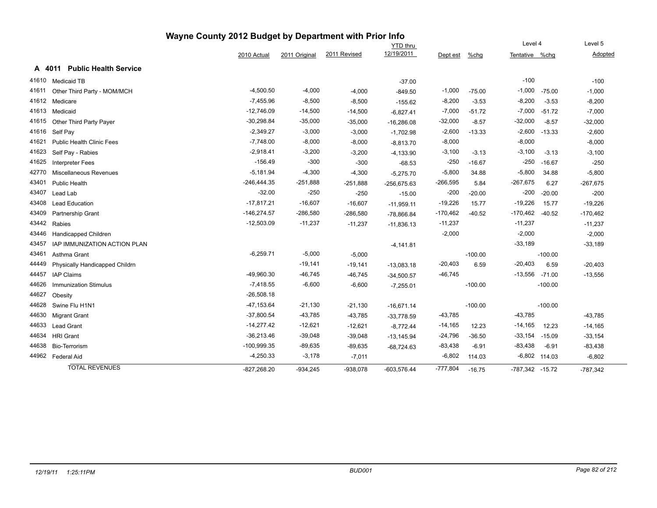| Wayne County 2012 Budget by Department with Prior Info<br>Level 4 |                                        |               |               |              |                 |            |           |                     |                 |            |
|-------------------------------------------------------------------|----------------------------------------|---------------|---------------|--------------|-----------------|------------|-----------|---------------------|-----------------|------------|
|                                                                   |                                        |               |               |              | <b>YTD</b> thru |            |           |                     |                 | Level 5    |
|                                                                   |                                        | 2010 Actual   | 2011 Original | 2011 Revised | 12/19/2011      | Dept est   | %chg      | Tentative %chg      |                 | Adopted    |
|                                                                   | <b>Public Health Service</b><br>A 4011 |               |               |              |                 |            |           |                     |                 |            |
| 41610                                                             | <b>Medicaid TB</b>                     |               |               |              | $-37.00$        |            |           | $-100$              |                 | $-100$     |
| 41611                                                             | Other Third Party - MOM/MCH            | $-4,500.50$   | $-4,000$      | $-4,000$     | $-849.50$       | $-1,000$   | $-75.00$  | $-1,000$            | $-75.00$        | $-1,000$   |
| 41612                                                             | Medicare                               | $-7,455.96$   | $-8,500$      | $-8,500$     | $-155.62$       | $-8,200$   | $-3.53$   | $-8,200$            | $-3.53$         | $-8,200$   |
| 41613                                                             | Medicaid                               | $-12,746.09$  | $-14,500$     | $-14,500$    | $-6,827.41$     | $-7,000$   | $-51.72$  | $-7,000$            | $-51.72$        | $-7,000$   |
| 41615                                                             | Other Third Party Payer                | $-30,298.84$  | $-35,000$     | $-35,000$    | $-16,286.08$    | $-32,000$  | $-8.57$   | $-32,000$           | $-8.57$         | $-32,000$  |
| 41616                                                             | Self Pay                               | $-2,349.27$   | $-3,000$      | $-3,000$     | $-1,702.98$     | $-2,600$   | $-13.33$  | $-2,600$            | $-13.33$        | $-2,600$   |
| 41621                                                             | <b>Public Health Clinic Fees</b>       | $-7,748.00$   | $-8,000$      | $-8,000$     | $-8,813.70$     | $-8,000$   |           | $-8,000$            |                 | $-8,000$   |
| 41623                                                             | Self Pay - Rabies                      | $-2,918.41$   | $-3,200$      | $-3,200$     | $-4,133.90$     | $-3,100$   | $-3.13$   | $-3,100$            | $-3.13$         | $-3,100$   |
| 41625                                                             | <b>Interpreter Fees</b>                | $-156.49$     | $-300$        | $-300$       | $-68.53$        | $-250$     | $-16.67$  | $-250$              | $-16.67$        | $-250$     |
| 42770                                                             | <b>Miscellaneous Revenues</b>          | $-5,181.94$   | $-4,300$      | $-4,300$     | $-5,275.70$     | $-5,800$   | 34.88     | $-5,800$            | 34.88           | $-5,800$   |
| 43401                                                             | Public Health                          | -246,444.35   | $-251,888$    | $-251,888$   | $-256,675.63$   | $-266,595$ | 5.84      | $-267,675$          | 6.27            | $-267,675$ |
| 43407                                                             | Lead Lab                               | $-32.00$      | $-250$        | $-250$       | $-15.00$        | $-200$     | $-20.00$  | $-200$              | $-20.00$        | $-200$     |
| 43408                                                             | <b>Lead Education</b>                  | $-17,817.21$  | $-16,607$     | $-16,607$    | $-11,959.11$    | $-19,226$  | 15.77     | $-19,226$           | 15.77           | $-19,226$  |
| 43409                                                             | Partnership Grant                      | $-146,274.57$ | $-286,580$    | -286,580     | $-78,866.84$    | $-170,462$ | $-40.52$  | $-170,462$          | $-40.52$        | $-170,462$ |
| 43442                                                             | Rabies                                 | $-12,503.09$  | $-11,237$     | $-11,237$    | $-11,836.13$    | $-11,237$  |           | $-11,237$           |                 | $-11,237$  |
| 43446                                                             | Handicapped Children                   |               |               |              |                 | $-2,000$   |           | $-2,000$            |                 | $-2,000$   |
| 43457                                                             | IAP IMMUNIZATION ACTION PLAN           |               |               |              | $-4,141.81$     |            |           | $-33,189$           |                 | $-33,189$  |
| 43461                                                             | Asthma Grant                           | $-6,259.71$   | $-5,000$      | $-5,000$     |                 |            | $-100.00$ |                     | $-100.00$       |            |
| 44449                                                             | Physically Handicapped Childrn         |               | $-19,141$     | $-19,141$    | $-13,083.18$    | $-20,403$  | 6.59      | $-20,403$           | 6.59            | $-20,403$  |
| 44457                                                             | <b>IAP Claims</b>                      | $-49,960.30$  | $-46,745$     | $-46,745$    | $-34,500.57$    | $-46,745$  |           | $-13,556$ $-71.00$  |                 | $-13,556$  |
| 44626                                                             | <b>Immunization Stimulus</b>           | $-7,418.55$   | $-6,600$      | $-6,600$     | $-7,255.01$     |            | $-100.00$ |                     | $-100.00$       |            |
| 44627                                                             | Obesity                                | $-26,508.18$  |               |              |                 |            |           |                     |                 |            |
| 44628                                                             | Swine Flu H1N1                         | $-47, 153.64$ | $-21,130$     | $-21,130$    | $-16,671.14$    |            | $-100.00$ |                     | $-100.00$       |            |
| 44630                                                             | <b>Migrant Grant</b>                   | $-37,800.54$  | $-43,785$     | $-43,785$    | $-33,778.59$    | $-43,785$  |           | $-43,785$           |                 | $-43,785$  |
| 44633                                                             | <b>Lead Grant</b>                      | $-14,277.42$  | $-12,621$     | $-12,621$    | $-8,772.44$     | $-14,165$  | 12.23     | $-14,165$           | 12.23           | $-14,165$  |
| 44634                                                             | <b>HRI Grant</b>                       | $-36,213.46$  | $-39,048$     | $-39,048$    | $-13,145.94$    | $-24,796$  | $-36.50$  | $-33,154$           | $-15.09$        | $-33,154$  |
| 44638                                                             | Bio-Terrorism                          | $-100,999.35$ | $-89,635$     | -89,635      | $-68,724.63$    | $-83,438$  | $-6.91$   | $-83,438$           | $-6.91$         | $-83,438$  |
|                                                                   | 44962 Federal Aid                      | $-4,250.33$   | $-3,178$      | $-7,011$     |                 | $-6,802$   | 114.03    |                     | $-6,802$ 114.03 | $-6,802$   |
|                                                                   | <b>TOTAL REVENUES</b>                  | $-827,268.20$ | $-934,245$    | $-938,078$   | $-603,576.44$   | $-777,804$ | $-16.75$  | $-787,342$ $-15.72$ |                 | $-787,342$ |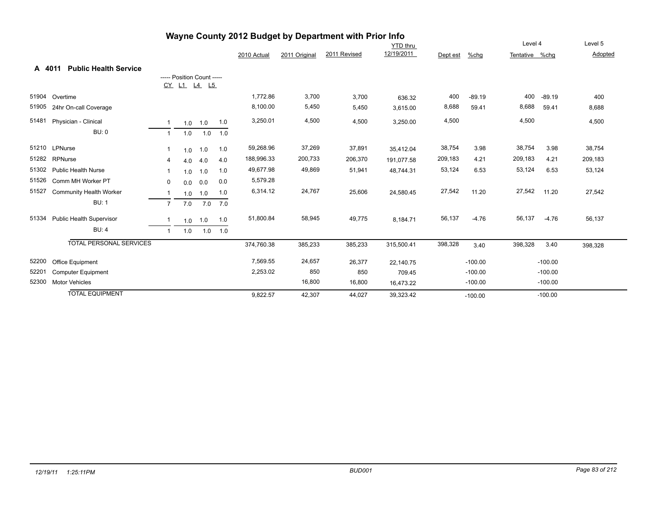|        |                                | <b>The County Zone Dudget by Department with First Into</b><br><b>YTD</b> thru |     |                            |     |             |               |              |            | Level 4  | Level 5   |                |           |         |
|--------|--------------------------------|--------------------------------------------------------------------------------|-----|----------------------------|-----|-------------|---------------|--------------|------------|----------|-----------|----------------|-----------|---------|
|        |                                |                                                                                |     |                            |     | 2010 Actual | 2011 Original | 2011 Revised | 12/19/2011 | Dept est | %chg      | Tentative %chg |           | Adopted |
| A 4011 | <b>Public Health Service</b>   |                                                                                |     |                            |     |             |               |              |            |          |           |                |           |         |
|        |                                |                                                                                |     | ----- Position Count ----- |     |             |               |              |            |          |           |                |           |         |
|        |                                |                                                                                |     | CY L1 L4 L5                |     |             |               |              |            |          |           |                |           |         |
| 51904  | Overtime                       |                                                                                |     |                            |     | 1,772.86    | 3,700         | 3,700        | 636.32     | 400      | $-89.19$  | 400            | $-89.19$  | 400     |
| 51905  | 24hr On-call Coverage          |                                                                                |     |                            |     | 8,100.00    | 5,450         | 5,450        | 3,615.00   | 8,688    | 59.41     | 8,688          | 59.41     | 8,688   |
| 51481  | Physician - Clinical           | $\overline{1}$                                                                 |     | $1.0$ 1.0                  | 1.0 | 3,250.01    | 4,500         | 4,500        | 3,250.00   | 4,500    |           | 4,500          |           | 4,500   |
|        | <b>BU: 0</b>                   | $\mathbf{1}$                                                                   | 1.0 | 1.0                        | 1.0 |             |               |              |            |          |           |                |           |         |
|        | 51210 LPNurse                  | 1                                                                              | 1.0 | 1.0                        | 1.0 | 59,268.96   | 37,269        | 37,891       | 35,412.04  | 38,754   | 3.98      | 38,754         | 3.98      | 38,754  |
| 51282  | RPNurse                        | 4                                                                              | 4.0 | 4.0                        | 4.0 | 188,996.33  | 200,733       | 206,370      | 191,077.58 | 209,183  | 4.21      | 209,183        | 4.21      | 209,183 |
| 51302  | <b>Public Health Nurse</b>     | -1                                                                             | 1.0 | 1.0                        | 1.0 | 49,677.98   | 49,869        | 51,941       | 48,744.31  | 53,124   | 6.53      | 53,124         | 6.53      | 53,124  |
| 51526  | Comm MH Worker PT              | 0                                                                              | 0.0 | 0.0                        | 0.0 | 5,579.28    |               |              |            |          |           |                |           |         |
| 51527  | <b>Community Health Worker</b> | -1                                                                             | 1.0 | 1.0                        | 1.0 | 6,314.12    | 24,767        | 25,606       | 24,580.45  | 27,542   | 11.20     | 27,542         | 11.20     | 27,542  |
|        | <b>BU: 1</b>                   | 7                                                                              | 7.0 | 7.0                        | 7.0 |             |               |              |            |          |           |                |           |         |
| 51334  | Public Health Supervisor       |                                                                                |     | $1.0$ 1.0                  | 1.0 | 51,800.84   | 58,945        | 49,775       | 8,184.71   | 56,137   | $-4.76$   | 56,137         | $-4.76$   | 56,137  |
|        | BU:4                           | $\mathbf{1}$                                                                   | 1.0 | 1.0                        | 1.0 |             |               |              |            |          |           |                |           |         |
|        | <b>TOTAL PERSONAL SERVICES</b> |                                                                                |     |                            |     | 374,760.38  | 385,233       | 385,233      | 315,500.41 | 398,328  | 3.40      | 398,328        | 3.40      | 398,328 |
| 52200  | Office Equipment               |                                                                                |     |                            |     | 7,569.55    | 24,657        | 26,377       | 22,140.75  |          | $-100.00$ |                | $-100.00$ |         |
| 52201  | <b>Computer Equipment</b>      |                                                                                |     |                            |     | 2,253.02    | 850           | 850          | 709.45     |          | $-100.00$ |                | $-100.00$ |         |
| 52300  | <b>Motor Vehicles</b>          |                                                                                |     |                            |     |             | 16,800        | 16,800       | 16,473.22  |          | $-100.00$ |                | $-100.00$ |         |
|        | <b>TOTAL EQUIPMENT</b>         |                                                                                |     |                            |     | 9,822.57    | 42,307        | 44,027       | 39,323.42  |          | $-100.00$ |                | $-100.00$ |         |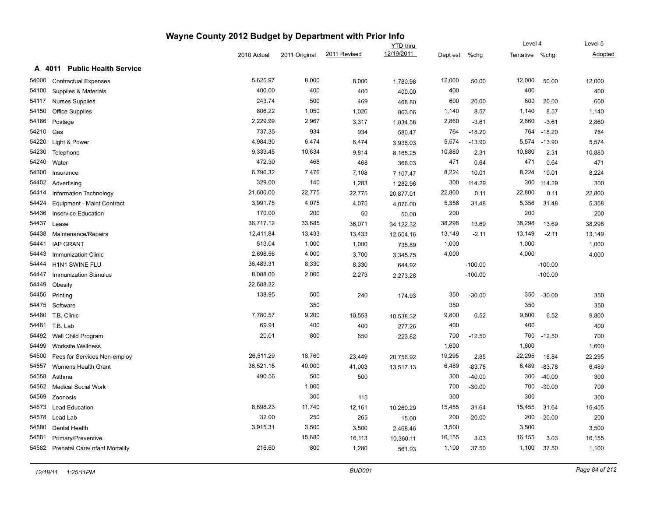|       |                                        | Wayne County 2012 Budget by Department with Prior Info |               |              |            |          |           |                |           |         |
|-------|----------------------------------------|--------------------------------------------------------|---------------|--------------|------------|----------|-----------|----------------|-----------|---------|
|       |                                        |                                                        |               |              | YTD thru   |          |           | Level 4        |           | Level 5 |
|       |                                        | 2010 Actual                                            | 2011 Original | 2011 Revised | 12/19/2011 | Dept est | %chg      | Tentative %chg |           | Adopted |
|       | <b>Public Health Service</b><br>A 4011 |                                                        |               |              |            |          |           |                |           |         |
| 54000 | <b>Contractual Expenses</b>            | 5,625.97                                               | 8,000         | 8,000        | 1,780.98   | 12,000   | 50.00     | 12,000         | 50.00     | 12,000  |
| 54100 | Supplies & Materials                   | 400.00                                                 | 400           | 400          | 400.00     | 400      |           | 400            |           | 400     |
| 54117 | <b>Nurses Supplies</b>                 | 243.74                                                 | 500           | 469          | 468.80     | 600      | 20.00     | 600            | 20.00     | 600     |
| 54150 | <b>Office Supplies</b>                 | 806.22                                                 | 1,050         | 1,026        | 863.06     | 1,140    | 8.57      | 1,140          | 8.57      | 1,140   |
| 54166 | Postage                                | 2,229.99                                               | 2,967         | 3,317        | 1,834.58   | 2,860    | $-3.61$   | 2,860          | $-3.61$   | 2,860   |
| 54210 | Gas                                    | 737.35                                                 | 934           | 934          | 580.47     | 764      | $-18.20$  | 764            | $-18.20$  | 764     |
| 54220 | Light & Power                          | 4,984.30                                               | 6,474         | 6,474        | 3,938.03   | 5,574    | $-13.90$  | 5,574          | $-13.90$  | 5,574   |
| 54230 | Telephone                              | 9,333.45                                               | 10,634        | 9,814        | 8,165.25   | 10,880   | 2.31      | 10,880         | 2.31      | 10,880  |
| 54240 | Water                                  | 472.30                                                 | 468           | 468          | 366.03     | 471      | 0.64      | 471            | 0.64      | 471     |
| 54300 | Insurance                              | 6,796.32                                               | 7,476         | 7,108        | 7,107.47   | 8,224    | 10.01     | 8,224          | 10.01     | 8,224   |
| 54402 | Advertising                            | 329.00                                                 | 140           | 1,283        | 1,282.96   | 300      | 114.29    | 300            | 114.29    | 300     |
| 54414 | Information Technology                 | 21,600.00                                              | 22,775        | 22,775       | 20,877.01  | 22,800   | 0.11      | 22,800         | 0.11      | 22,800  |
| 54424 | Equipment - Maint Contract             | 3,991.75                                               | 4,075         | 4,075        | 4,076.00   | 5,358    | 31.48     | 5,358          | 31.48     | 5,358   |
| 54436 | <b>Inservice Education</b>             | 170.00                                                 | 200           | 50           | 50.00      | 200      |           | 200            |           | 200     |
| 54437 | Lease                                  | 36,717.12                                              | 33,685        | 36,071       | 34,122.32  | 38,298   | 13.69     | 38,298         | 13.69     | 38,298  |
| 54438 | Maintenance/Repairs                    | 12,411.84                                              | 13,433        | 13,433       | 12,504.16  | 13,149   | $-2.11$   | 13,149         | $-2.11$   | 13,149  |
| 54441 | <b>IAP GRANT</b>                       | 513.04                                                 | 1,000         | 1,000        | 735.89     | 1,000    |           | 1,000          |           | 1,000   |
| 54443 | <b>Immunization Clinic</b>             | 2,698.56                                               | 4,000         | 3,700        | 3,345.75   | 4,000    |           | 4,000          |           | 4,000   |
| 54444 | H1N1 SWINE FLU                         | 36,483.31                                              | 8,330         | 8,330        | 644.92     |          | $-100.00$ |                | $-100.00$ |         |
| 54447 | Immunization Stimulus                  | 8,088.00                                               | 2,000         | 2,273        | 2,273.28   |          | $-100.00$ |                | $-100.00$ |         |
| 54449 | Obesity                                | 22,688.22                                              |               |              |            |          |           |                |           |         |
| 54456 | Printing                               | 138.95                                                 | 500           | 240          | 174.93     | 350      | $-30.00$  | 350            | $-30.00$  | 350     |
| 54475 | Software                               |                                                        | 350           |              |            | 350      |           | 350            |           | 350     |
| 54480 | T.B. Clinic                            | 7,780.57                                               | 9,200         | 10,553       | 10,538.32  | 9,800    | 6.52      | 9,800          | 6.52      | 9,800   |
|       | 54481 T.B. Lab                         | 69.91                                                  | 400           | 400          | 277.26     | 400      |           | 400            |           | 400     |
| 54492 | Well Child Program                     | 20.01                                                  | 800           | 650          | 223.82     | 700      | $-12.50$  | 700            | $-12.50$  | 700     |
| 54499 | <b>Worksite Wellness</b>               |                                                        |               |              |            | 1,600    |           | 1,600          |           | 1,600   |
| 54500 | Fees for Services Non-employ           | 26,511.29                                              | 18,760        | 23,449       | 20,756.92  | 19,295   | 2.85      | 22,295         | 18.84     | 22,295  |
| 54557 | Womens Health Grant                    | 36,521.15                                              | 40,000        | 41,003       | 13,517.13  | 6,489    | $-83.78$  | 6,489          | $-83.78$  | 6,489   |
| 54558 | Asthma                                 | 490.56                                                 | 500           | 500          |            | 300      | $-40.00$  | 300            | $-40.00$  | 300     |
| 54562 | <b>Medical Social Work</b>             |                                                        | 1,000         |              |            | 700      | $-30.00$  | 700            | $-30.00$  | 700     |
| 54569 | Zoonosis                               |                                                        | 300           | 115          |            | 300      |           | 300            |           | 300     |
| 54573 | <b>Lead Education</b>                  | 8,698.23                                               | 11,740        | 12,161       | 10,260.29  | 15,455   | 31.64     | 15,455         | 31.64     | 15,455  |
| 54578 | Lead Lab                               | 32.00                                                  | 250           | 265          | 15.00      | 200      | $-20.00$  | 200            | $-20.00$  | 200     |
| 54580 | Dental Health                          | 3,915.31                                               | 3,500         | 3,500        | 2,468.46   | 3,500    |           | 3,500          |           | 3,500   |
| 54581 | Primary/Preventive                     |                                                        | 15,680        | 16,113       | 10,360.11  | 16,155   | 3.03      | 16,155         | 3.03      | 16,155  |
|       | 54582 Prenatal Care/ nfant Mortality   | 216.60                                                 | 800           | 1,280        | 561.93     | 1,100    | 37.50     | 1,100          | 37.50     | 1,100   |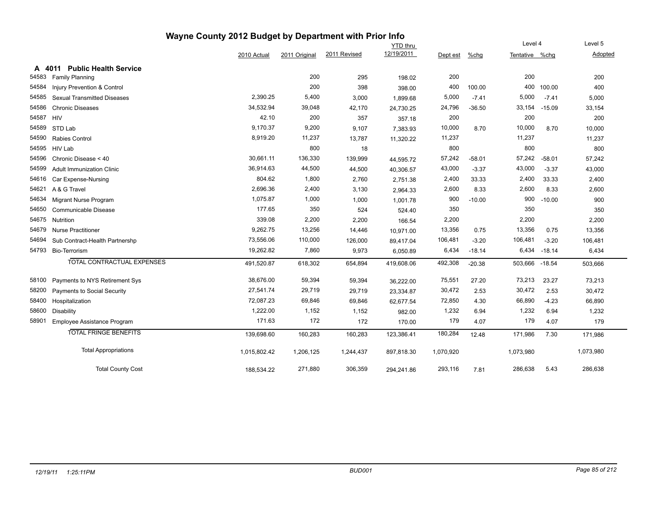| Wayne County 2012 Budget by Department with Prior Info |                                    |              |               |              |                 |           |          |                |          |           |
|--------------------------------------------------------|------------------------------------|--------------|---------------|--------------|-----------------|-----------|----------|----------------|----------|-----------|
|                                                        |                                    |              |               |              | <b>YTD</b> thru |           |          | Level 4        |          | Level 5   |
|                                                        |                                    | 2010 Actual  | 2011 Original | 2011 Revised | 12/19/2011      | Dept est  | %chg     | Tentative %chq |          | Adopted   |
| A 4011                                                 | <b>Public Health Service</b>       |              |               |              |                 |           |          |                |          |           |
| 54583                                                  | <b>Family Planning</b>             |              | 200           | 295          | 198.02          | 200       |          | 200            |          | 200       |
| 54584                                                  | Injury Prevention & Control        |              | 200           | 398          | 398.00          | 400       | 100.00   | 400            | 100.00   | 400       |
| 54585                                                  | <b>Sexual Transmitted Diseases</b> | 2,390.25     | 5,400         | 3,000        | 1,899.68        | 5,000     | $-7.41$  | 5,000          | $-7.41$  | 5,000     |
| 54586                                                  | <b>Chronic Diseases</b>            | 34,532.94    | 39,048        | 42,170       | 24,730.25       | 24,796    | $-36.50$ | 33,154         | $-15.09$ | 33,154    |
| 54587                                                  | <b>HIV</b>                         | 42.10        | 200           | 357          | 357.18          | 200       |          | 200            |          | 200       |
| 54589                                                  | STD Lab                            | 9.170.37     | 9,200         | 9,107        | 7,383.93        | 10,000    | 8.70     | 10,000         | 8.70     | 10,000    |
| 54590                                                  | Rabies Control                     | 8,919.20     | 11,237        | 13,787       | 11,320.22       | 11,237    |          | 11,237         |          | 11,237    |
| 54595                                                  | HIV Lab                            |              | 800           | 18           |                 | 800       |          | 800            |          | 800       |
| 54596                                                  | Chronic Disease < 40               | 30,661.11    | 136,330       | 139,999      | 44,595.72       | 57,242    | $-58.01$ | 57,242         | $-58.01$ | 57,242    |
| 54599                                                  | <b>Adult Immunization Clinic</b>   | 36,914.63    | 44,500        | 44,500       | 40,306.57       | 43,000    | $-3.37$  | 43,000         | $-3.37$  | 43,000    |
| 54616                                                  | Car Expense-Nursing                | 804.62       | 1,800         | 2,760        | 2,751.38        | 2,400     | 33.33    | 2,400          | 33.33    | 2,400     |
| 54621                                                  | A & G Travel                       | 2,696.36     | 2,400         | 3,130        | 2,964.33        | 2,600     | 8.33     | 2,600          | 8.33     | 2,600     |
| 54634                                                  | Migrant Nurse Program              | 1,075.87     | 1,000         | 1,000        | 1,001.78        | 900       | $-10.00$ | 900            | $-10.00$ | 900       |
| 54650                                                  | Communicable Disease               | 177.65       | 350           | 524          | 524.40          | 350       |          | 350            |          | 350       |
| 54675                                                  | Nutrition                          | 339.08       | 2,200         | 2,200        | 166.54          | 2,200     |          | 2,200          |          | 2,200     |
| 54679                                                  | <b>Nurse Practitioner</b>          | 9,262.75     | 13,256        | 14,446       | 10,971.00       | 13,356    | 0.75     | 13,356         | 0.75     | 13,356    |
| 54694                                                  | Sub Contract-Health Partnershp     | 73,556.06    | 110,000       | 126,000      | 89,417.04       | 106,481   | $-3.20$  | 106,481        | $-3.20$  | 106,481   |
| 54793                                                  | Bio-Terrorism                      | 19,262.82    | 7,860         | 9,973        | 6,050.89        | 6,434     | $-18.14$ | 6,434          | $-18.14$ | 6,434     |
|                                                        | TOTAL CONTRACTUAL EXPENSES         | 491,520.87   | 618,302       | 654,894      | 419,608.06      | 492,308   | $-20.38$ | 503,666        | $-18.54$ | 503,666   |
| 58100                                                  | Payments to NYS Retirement Sys     | 38,676.00    | 59,394        | 59,394       | 36,222.00       | 75,551    | 27.20    | 73,213         | 23.27    | 73,213    |
| 58200                                                  | Payments to Social Security        | 27,541.74    | 29,719        | 29,719       | 23,334.87       | 30,472    | 2.53     | 30,472         | 2.53     | 30,472    |
| 58400                                                  | Hospitalization                    | 72,087.23    | 69,846        | 69,846       | 62,677.54       | 72,850    | 4.30     | 66,890         | $-4.23$  | 66,890    |
| 58600                                                  | <b>Disability</b>                  | 1,222.00     | 1,152         | 1,152        | 982.00          | 1,232     | 6.94     | 1,232          | 6.94     | 1,232     |
| 58901                                                  | Employee Assistance Program        | 171.63       | 172           | 172          | 170.00          | 179       | 4.07     | 179            | 4.07     | 179       |
|                                                        | <b>TOTAL FRINGE BENEFITS</b>       | 139.698.60   | 160,283       | 160,283      | 123,386.41      | 180,284   | 12.48    | 171,986        | 7.30     | 171,986   |
|                                                        | <b>Total Appropriations</b>        | 1,015,802.42 | 1,206,125     | 1,244,437    | 897,818.30      | 1,070,920 |          | 1,073,980      |          | 1,073,980 |
|                                                        | <b>Total County Cost</b>           | 188,534.22   | 271,880       | 306,359      | 294,241.86      | 293,116   | 7.81     | 286,638        | 5.43     | 286,638   |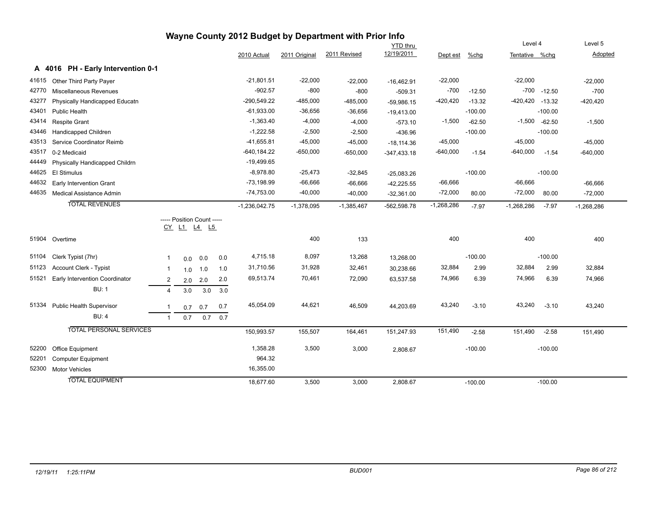| wayne County 2012 Budget by Department with Prior Info |                                  |                |     |                                           |     |                 |               |              |                 |              |           |                     |                 |              |
|--------------------------------------------------------|----------------------------------|----------------|-----|-------------------------------------------|-----|-----------------|---------------|--------------|-----------------|--------------|-----------|---------------------|-----------------|--------------|
|                                                        |                                  |                |     |                                           |     |                 |               |              | <b>YTD thru</b> |              |           | Level 4             |                 | Level 5      |
|                                                        |                                  |                |     |                                           |     | 2010 Actual     | 2011 Original | 2011 Revised | 12/19/2011      | Dept est     | %chg      | Tentative %chg      |                 | Adopted      |
| A                                                      | 4016 PH - Early Intervention 0-1 |                |     |                                           |     |                 |               |              |                 |              |           |                     |                 |              |
| 41615                                                  | Other Third Party Payer          |                |     |                                           |     | $-21,801.51$    | $-22,000$     | $-22,000$    | $-16,462.91$    | $-22,000$    |           | $-22,000$           |                 | $-22,000$    |
| 42770                                                  | Miscellaneous Revenues           |                |     |                                           |     | $-902.57$       | $-800$        | $-800$       | $-509.31$       | $-700$       | $-12.50$  |                     | $-700 - 12.50$  | $-700$       |
| 43277                                                  | Physically Handicapped Educatn   |                |     |                                           |     | $-290,549.22$   | $-485,000$    | $-485,000$   | $-59,986.15$    | $-420,420$   | $-13.32$  | $-420,420$ $-13.32$ |                 | $-420,420$   |
| 43401                                                  | Public Health                    |                |     |                                           |     | $-61,933.00$    | $-36,656$     | $-36,656$    | $-19,413.00$    |              | $-100.00$ |                     | $-100.00$       |              |
| 43414                                                  | <b>Respite Grant</b>             |                |     |                                           |     | $-1,363.40$     | $-4,000$      | $-4,000$     | $-573.10$       | $-1,500$     | $-62.50$  |                     | $-1,500 -62.50$ | $-1,500$     |
| 43446                                                  | <b>Handicapped Children</b>      |                |     |                                           |     | $-1,222.58$     | $-2,500$      | $-2,500$     | $-436.96$       |              | $-100.00$ |                     | $-100.00$       |              |
| 43513                                                  | Service Coordinator Reimb        |                |     |                                           |     | $-41,655.81$    | $-45,000$     | $-45,000$    | $-18,114.36$    | $-45,000$    |           | $-45,000$           |                 | $-45,000$    |
| 43517                                                  | 0-2 Medicaid                     |                |     |                                           |     | $-640, 184.22$  | $-650,000$    | $-650,000$   | $-347,433.18$   | $-640,000$   | $-1.54$   | $-640,000$          | $-1.54$         | $-640,000$   |
| 44449                                                  | Physically Handicapped Childrn   |                |     |                                           |     | $-19,499.65$    |               |              |                 |              |           |                     |                 |              |
| 44625                                                  | <b>El Stimulus</b>               |                |     |                                           |     | $-8,978.80$     | $-25,473$     | $-32,845$    | $-25,083.26$    |              | $-100.00$ |                     | $-100.00$       |              |
| 44632                                                  | <b>Early Intervention Grant</b>  |                |     |                                           |     | $-73,198.99$    | $-66,666$     | $-66,666$    | $-42,225.55$    | $-66,666$    |           | $-66,666$           |                 | $-66,666$    |
| 44635                                                  | <b>Medical Assistance Admin</b>  |                |     |                                           |     | $-74,753.00$    | $-40,000$     | $-40,000$    | $-32,361.00$    | $-72,000$    | 80.00     | $-72,000$           | 80.00           | $-72,000$    |
|                                                        | <b>TOTAL REVENUES</b>            |                |     |                                           |     | $-1,236,042.75$ | $-1,378,095$  | $-1,385,467$ | $-562,598.78$   | $-1,268,286$ | $-7.97$   | $-1,268,286$        | $-7.97$         | $-1,268,286$ |
|                                                        |                                  |                |     | ----- Position Count -----<br>CY L1 L4 L5 |     |                 |               |              |                 |              |           |                     |                 |              |
| 51904                                                  | Overtime                         |                |     |                                           |     |                 | 400           | 133          |                 | 400          |           | 400                 |                 | 400          |
| 51104                                                  | Clerk Typist (7hr)               | 1              |     | $0.0\ 0.0$                                | 0.0 | 4,715.18        | 8,097         | 13,268       | 13,268.00       |              | $-100.00$ |                     | $-100.00$       |              |
| 51123                                                  | Account Clerk - Typist           | 1              | 1.0 | 1.0                                       | 1.0 | 31,710.56       | 31,928        | 32,461       | 30,238.66       | 32,884       | 2.99      | 32,884              | 2.99            | 32,884       |
| 51521                                                  | Early Intervention Coordinator   | $\overline{c}$ |     | $2.0$ 2.0                                 | 2.0 | 69,513.74       | 70,461        | 72,090       | 63,537.58       | 74,966       | 6.39      | 74,966              | 6.39            | 74,966       |
|                                                        | <b>BU: 1</b>                     | $\overline{4}$ | 3.0 | 3.0                                       | 3.0 |                 |               |              |                 |              |           |                     |                 |              |
| 51334                                                  | <b>Public Health Supervisor</b>  | $\mathbf{1}$   | 0.7 | 0.7                                       | 0.7 | 45,054.09       | 44,621        | 46,509       | 44,203.69       | 43,240       | $-3.10$   | 43,240              | $-3.10$         | 43,240       |
|                                                        | <b>BU: 4</b>                     | $\mathbf{1}$   | 0.7 | 0.7                                       | 0.7 |                 |               |              |                 |              |           |                     |                 |              |
|                                                        | <b>TOTAL PERSONAL SERVICES</b>   |                |     |                                           |     | 150,993.57      | 155,507       | 164,461      | 151,247.93      | 151,490      | $-2.58$   | 151,490             | $-2.58$         | 151,490      |
| 52200                                                  | Office Equipment                 |                |     |                                           |     | 1,358.28        | 3,500         | 3,000        | 2,808.67        |              | $-100.00$ |                     | $-100.00$       |              |
| 52201                                                  | <b>Computer Equipment</b>        |                |     |                                           |     | 964.32          |               |              |                 |              |           |                     |                 |              |
| 52300                                                  | <b>Motor Vehicles</b>            |                |     |                                           |     | 16,355.00       |               |              |                 |              |           |                     |                 |              |
|                                                        | <b>TOTAL EQUIPMENT</b>           |                |     |                                           |     | 18,677.60       | 3,500         | 3,000        | 2,808.67        |              | $-100.00$ |                     | $-100.00$       |              |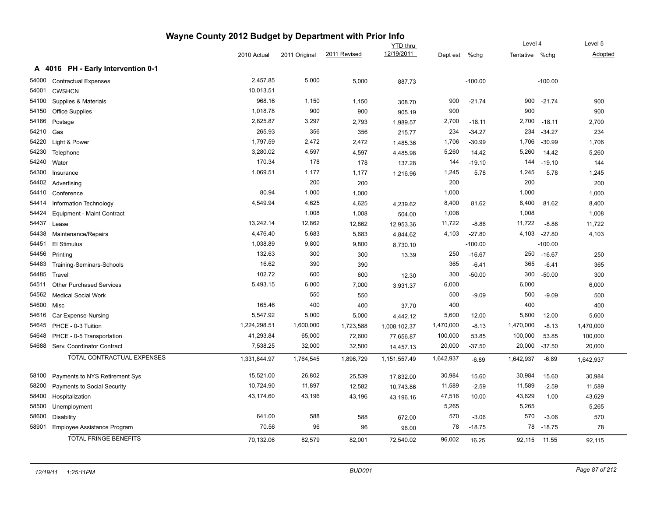|       |                                  | Wayne County 2012 Budget by Department with Prior Info |               |              |                 |           |             |                |           |           |
|-------|----------------------------------|--------------------------------------------------------|---------------|--------------|-----------------|-----------|-------------|----------------|-----------|-----------|
|       |                                  |                                                        |               |              | <b>YTD</b> thru |           |             | Level 4        |           | Level 5   |
|       |                                  | 2010 Actual                                            | 2011 Original | 2011 Revised | 12/19/2011      | Dept est  | <u>%chg</u> | Tentative %chg |           | Adopted   |
| A     | 4016 PH - Early Intervention 0-1 |                                                        |               |              |                 |           |             |                |           |           |
| 54000 | <b>Contractual Expenses</b>      | 2,457.85                                               | 5,000         | 5,000        | 887.73          |           | $-100.00$   |                | $-100.00$ |           |
| 54001 | <b>CWSHCN</b>                    | 10,013.51                                              |               |              |                 |           |             |                |           |           |
| 54100 | Supplies & Materials             | 968.16                                                 | 1,150         | 1,150        | 308.70          | 900       | $-21.74$    | 900            | $-21.74$  | 900       |
| 54150 | <b>Office Supplies</b>           | 1,018.78                                               | 900           | 900          | 905.19          | 900       |             | 900            |           | 900       |
| 54166 | Postage                          | 2,825.87                                               | 3,297         | 2,793        | 1,989.57        | 2,700     | $-18.11$    | 2,700          | $-18.11$  | 2,700     |
| 54210 | Gas                              | 265.93                                                 | 356           | 356          | 215.77          | 234       | $-34.27$    | 234            | $-34.27$  | 234       |
| 54220 | Light & Power                    | 1,797.59                                               | 2,472         | 2,472        | 1,485.36        | 1,706     | $-30.99$    | 1,706          | $-30.99$  | 1,706     |
| 54230 | Telephone                        | 3,280.02                                               | 4,597         | 4,597        | 4,485.98        | 5,260     | 14.42       | 5,260          | 14.42     | 5,260     |
| 54240 | Water                            | 170.34                                                 | 178           | 178          | 137.28          | 144       | $-19.10$    | 144            | $-19.10$  | 144       |
| 54300 | Insurance                        | 1,069.51                                               | 1,177         | 1,177        | 1,216.96        | 1,245     | 5.78        | 1,245          | 5.78      | 1,245     |
| 54402 | Advertising                      |                                                        | 200           | 200          |                 | 200       |             | 200            |           | 200       |
| 54410 | Conference                       | 80.94                                                  | 1,000         | 1,000        |                 | 1,000     |             | 1,000          |           | 1,000     |
| 54414 | Information Technology           | 4,549.94                                               | 4,625         | 4,625        | 4,239.62        | 8,400     | 81.62       | 8,400          | 81.62     | 8,400     |
| 54424 | Equipment - Maint Contract       |                                                        | 1,008         | 1,008        | 504.00          | 1,008     |             | 1,008          |           | 1,008     |
| 54437 | Lease                            | 13,242.14                                              | 12,862        | 12,862       | 12,953.36       | 11,722    | $-8.86$     | 11,722         | $-8.86$   | 11,722    |
| 54438 | Maintenance/Repairs              | 4,476.40                                               | 5,683         | 5,683        | 4,844.62        | 4,103     | $-27.80$    | 4,103          | $-27.80$  | 4,103     |
| 54451 | El Stimulus                      | 1,038.89                                               | 9,800         | 9,800        | 8,730.10        |           | $-100.00$   |                | $-100.00$ |           |
| 54456 | Printing                         | 132.63                                                 | 300           | 300          | 13.39           | 250       | $-16.67$    | 250            | $-16.67$  | 250       |
| 54483 | Training-Seminars-Schools        | 16.62                                                  | 390           | 390          |                 | 365       | $-6.41$     | 365            | $-6.41$   | 365       |
| 54485 | Travel                           | 102.72                                                 | 600           | 600          | 12.30           | 300       | $-50.00$    | 300            | $-50.00$  | 300       |
| 54511 | <b>Other Purchased Services</b>  | 5,493.15                                               | 6,000         | 7,000        | 3,931.37        | 6,000     |             | 6,000          |           | 6,000     |
| 54562 | <b>Medical Social Work</b>       |                                                        | 550           | 550          |                 | 500       | $-9.09$     | 500            | $-9.09$   | 500       |
| 54600 | Misc                             | 165.46                                                 | 400           | 400          | 37.70           | 400       |             | 400            |           | 400       |
| 54616 | Car Expense-Nursing              | 5,547.92                                               | 5,000         | 5,000        | 4,442.12        | 5,600     | 12.00       | 5,600          | 12.00     | 5,600     |
| 54645 | PHCE - 0-3 Tuition               | 1,224,298.51                                           | 1,600,000     | 1,723,588    | 1,008,102.37    | 1,470,000 | $-8.13$     | 1,470,000      | $-8.13$   | 1,470,000 |
| 54648 | PHCE - 0-5 Transportation        | 41,293.84                                              | 65,000        | 72,600       | 77,656.87       | 100,000   | 53.85       | 100,000        | 53.85     | 100,000   |
| 54688 | Serv. Coordinator Contract       | 7,538.25                                               | 32,000        | 32,500       | 14,457.13       | 20,000    | $-37.50$    | 20,000         | $-37.50$  | 20,000    |
|       | TOTAL CONTRACTUAL EXPENSES       | 1,331,844.97                                           | 1,764,545     | 1,896,729    | 1,151,557.49    | 1,642,937 | $-6.89$     | 1,642,937      | $-6.89$   | 1,642,937 |
| 58100 | Payments to NYS Retirement Sys   | 15,521.00                                              | 26,802        | 25,539       | 17,832.00       | 30,984    | 15.60       | 30,984         | 15.60     | 30,984    |
| 58200 | Payments to Social Security      | 10,724.90                                              | 11,897        | 12,582       | 10,743.86       | 11,589    | $-2.59$     | 11,589         | $-2.59$   | 11,589    |
| 58400 | Hospitalization                  | 43,174.60                                              | 43,196        | 43,196       | 43,196.16       | 47,516    | 10.00       | 43,629         | 1.00      | 43,629    |
| 58500 | Unemployment                     |                                                        |               |              |                 | 5,265     |             | 5,265          |           | 5,265     |
| 58600 | Disability                       | 641.00                                                 | 588           | 588          | 672.00          | 570       | $-3.06$     | 570            | $-3.06$   | 570       |
| 58901 | Employee Assistance Program      | 70.56                                                  | 96            | 96           | 96.00           | 78        | $-18.75$    | 78             | $-18.75$  | 78        |
|       | <b>TOTAL FRINGE BENEFITS</b>     | 70,132.06                                              | 82,579        | 82,001       | 72.540.02       | 96,002    | 16.25       | 92,115         | 11.55     | 92.115    |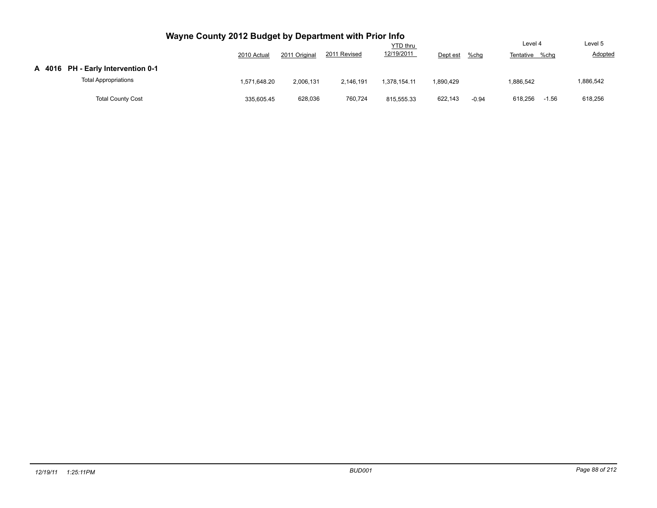|                                    | 2010 Actual  | 2011 Original | 2011 Revised | <b>YTD thru</b><br>12/19/2011 | Dept est  | $%$ chg | Level 4<br>Tentative %chg | Level 5<br>Adopted |
|------------------------------------|--------------|---------------|--------------|-------------------------------|-----------|---------|---------------------------|--------------------|
| A 4016 PH - Early Intervention 0-1 |              |               |              |                               |           |         |                           |                    |
| <b>Total Appropriations</b>        | 1.571.648.20 | 2,006,131     | 2.146.191    | 1.378.154.11                  | 1,890,429 |         | 1.886.542                 | 1,886,542          |
| <b>Total County Cost</b>           | 335,605.45   | 628,036       | 760.724      | 815.555.33                    | 622,143   | $-0.94$ | 618.256<br>$-1.56$        | 618,256            |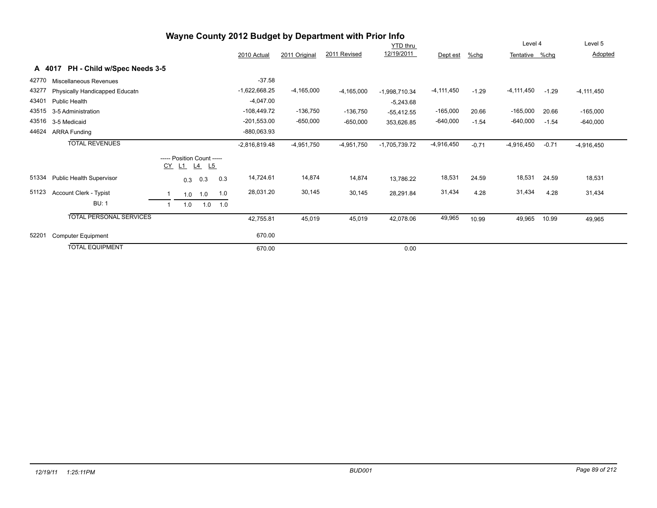|       |                                       |     |                                                  |     |                 |               | Wayne County 2012 Budget by Department with Prior Info |                 |                |         |                |         |                |
|-------|---------------------------------------|-----|--------------------------------------------------|-----|-----------------|---------------|--------------------------------------------------------|-----------------|----------------|---------|----------------|---------|----------------|
|       |                                       |     |                                                  |     |                 |               |                                                        | <b>YTD</b> thru |                |         | Level 4        |         | Level 5        |
|       |                                       |     |                                                  |     | 2010 Actual     | 2011 Original | 2011 Revised                                           | 12/19/2011      | Dept est       | %chq    | Tentative %chg |         | Adopted        |
|       | PH - Child w/Spec Needs 3-5<br>A 4017 |     |                                                  |     |                 |               |                                                        |                 |                |         |                |         |                |
| 42770 | Miscellaneous Revenues                |     |                                                  |     | $-37.58$        |               |                                                        |                 |                |         |                |         |                |
| 43277 | Physically Handicapped Educatn        |     |                                                  |     | $-1,622,668.25$ | $-4,165,000$  | $-4,165,000$                                           | $-1,998,710.34$ | $-4, 111, 450$ | $-1.29$ | $-4,111,450$   | $-1.29$ | $-4, 111, 450$ |
| 43401 | Public Health                         |     |                                                  |     | $-4,047.00$     |               |                                                        | $-5,243.68$     |                |         |                |         |                |
| 43515 | 3-5 Administration                    |     |                                                  |     | $-108,449.72$   | $-136,750$    | $-136,750$                                             | $-55,412.55$    | $-165,000$     | 20.66   | $-165,000$     | 20.66   | $-165,000$     |
| 43516 | 3-5 Medicaid                          |     |                                                  |     | $-201,553.00$   | $-650,000$    | $-650,000$                                             | 353,626.85      | $-640,000$     | $-1.54$ | $-640,000$     | $-1.54$ | $-640,000$     |
| 44624 | <b>ARRA Funding</b>                   |     |                                                  |     | -880,063.93     |               |                                                        |                 |                |         |                |         |                |
|       | <b>TOTAL REVENUES</b>                 |     |                                                  |     | $-2,816,819.48$ | $-4,951,750$  | $-4,951,750$                                           | $-1,705,739.72$ | $-4,916,450$   | $-0.71$ | $-4,916,450$   | $-0.71$ | $-4,916,450$   |
|       |                                       |     | ----- Position Count -----<br><u>CY L1 L4 L5</u> |     |                 |               |                                                        |                 |                |         |                |         |                |
| 51334 | Public Health Supervisor              |     | $0.3$ 0.3                                        | 0.3 | 14,724.61       | 14,874        | 14,874                                                 | 13,786.22       | 18,531         | 24.59   | 18,531         | 24.59   | 18,531         |
| 51123 | Account Clerk - Typist                | 1.0 | 1.0                                              | 1.0 | 28,031.20       | 30,145        | 30,145                                                 | 28,291.84       | 31,434         | 4.28    | 31,434         | 4.28    | 31,434         |
|       | <b>BU: 1</b>                          | 1.0 | 1.0                                              | 1.0 |                 |               |                                                        |                 |                |         |                |         |                |
|       | <b>TOTAL PERSONAL SERVICES</b>        |     |                                                  |     | 42,755.81       | 45,019        | 45,019                                                 | 42,078.06       | 49,965         | 10.99   | 49,965         | 10.99   | 49,965         |
| 52201 | <b>Computer Equipment</b>             |     |                                                  |     | 670.00          |               |                                                        |                 |                |         |                |         |                |
|       | <b>TOTAL EQUIPMENT</b>                |     |                                                  |     | 670.00          |               |                                                        | 0.00            |                |         |                |         |                |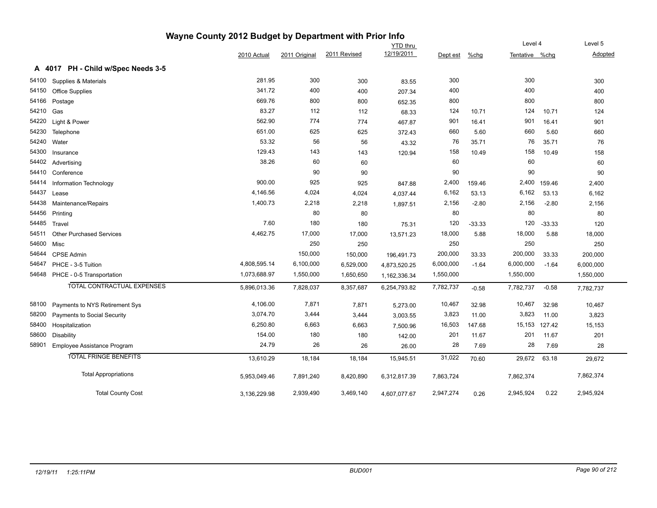|       |                                    | Wayne County 2012 Budget by Department with Prior Info |               |              |                 |           |          |                |              |           |
|-------|------------------------------------|--------------------------------------------------------|---------------|--------------|-----------------|-----------|----------|----------------|--------------|-----------|
|       |                                    |                                                        |               |              | <b>YTD</b> thru |           |          | Level 4        |              | Level 5   |
|       |                                    | 2010 Actual                                            | 2011 Original | 2011 Revised | 12/19/2011      | Dept est  | $%$ chg  | Tentative %chg |              | Adopted   |
|       | A 4017 PH - Child w/Spec Needs 3-5 |                                                        |               |              |                 |           |          |                |              |           |
| 54100 | Supplies & Materials               | 281.95                                                 | 300           | 300          | 83.55           | 300       |          | 300            |              | 300       |
| 54150 | Office Supplies                    | 341.72                                                 | 400           | 400          | 207.34          | 400       |          | 400            |              | 400       |
| 54166 | Postage                            | 669.76                                                 | 800           | 800          | 652.35          | 800       |          | 800            |              | 800       |
| 54210 | Gas                                | 83.27                                                  | 112           | 112          | 68.33           | 124       | 10.71    | 124            | 10.71        | 124       |
| 54220 | Light & Power                      | 562.90                                                 | 774           | 774          | 467.87          | 901       | 16.41    | 901            | 16.41        | 901       |
| 54230 | Telephone                          | 651.00                                                 | 625           | 625          | 372.43          | 660       | 5.60     | 660            | 5.60         | 660       |
| 54240 | Water                              | 53.32                                                  | 56            | 56           | 43.32           | 76        | 35.71    | 76             | 35.71        | 76        |
| 54300 | Insurance                          | 129.43                                                 | 143           | 143          | 120.94          | 158       | 10.49    | 158            | 10.49        | 158       |
| 54402 | Advertising                        | 38.26                                                  | 60            | 60           |                 | 60        |          | 60             |              | 60        |
| 54410 | Conference                         |                                                        | 90            | 90           |                 | 90        |          | 90             |              | 90        |
| 54414 | Information Technology             | 900.00                                                 | 925           | 925          | 847.88          | 2,400     | 159.46   |                | 2,400 159.46 | 2,400     |
| 54437 | Lease                              | 4,146.56                                               | 4,024         | 4,024        | 4,037.44        | 6,162     | 53.13    | 6,162          | 53.13        | 6,162     |
| 54438 | Maintenance/Repairs                | 1,400.73                                               | 2,218         | 2,218        | 1,897.51        | 2,156     | $-2.80$  | 2,156          | $-2.80$      | 2,156     |
| 54456 | Printing                           |                                                        | 80            | 80           |                 | 80        |          | 80             |              | 80        |
| 54485 | Travel                             | 7.60                                                   | 180           | 180          | 75.31           | 120       | $-33.33$ | 120            | $-33.33$     | 120       |
| 54511 | <b>Other Purchased Services</b>    | 4,462.75                                               | 17,000        | 17,000       | 13,571.23       | 18,000    | 5.88     | 18,000         | 5.88         | 18,000    |
| 54600 | Misc                               |                                                        | 250           | 250          |                 | 250       |          | 250            |              | 250       |
| 54644 | <b>CPSE Admin</b>                  |                                                        | 150,000       | 150,000      | 196,491.73      | 200,000   | 33.33    | 200,000        | 33.33        | 200,000   |
| 54647 | PHCE - 3-5 Tuition                 | 4,808,595.14                                           | 6,100,000     | 6,529,000    | 4,873,520.25    | 6,000,000 | $-1.64$  | 6,000,000      | $-1.64$      | 6,000,000 |
|       | 54648 PHCE - 0-5 Transportation    | 1,073,688.97                                           | 1,550,000     | 1,650,650    | 1,162,336.34    | 1,550,000 |          | 1,550,000      |              | 1,550,000 |
|       | TOTAL CONTRACTUAL EXPENSES         | 5,896,013.36                                           | 7,828,037     | 8,357,687    | 6,254,793.82    | 7,782,737 | $-0.58$  | 7,782,737      | $-0.58$      | 7,782,737 |
| 58100 | Payments to NYS Retirement Sys     | 4,106.00                                               | 7,871         | 7,871        | 5,273.00        | 10,467    | 32.98    | 10,467         | 32.98        | 10,467    |
| 58200 | Payments to Social Security        | 3,074.70                                               | 3,444         | 3,444        | 3,003.55        | 3,823     | 11.00    | 3,823          | 11.00        | 3,823     |
| 58400 | Hospitalization                    | 6,250.80                                               | 6,663         | 6,663        | 7,500.96        | 16,503    | 147.68   | 15,153         | 127.42       | 15,153    |
| 58600 | <b>Disability</b>                  | 154.00                                                 | 180           | 180          | 142.00          | 201       | 11.67    | 201            | 11.67        | 201       |
| 58901 | Employee Assistance Program        | 24.79                                                  | 26            | 26           | 26.00           | 28        | 7.69     | 28             | 7.69         | 28        |
|       | <b>TOTAL FRINGE BENEFITS</b>       | 13,610.29                                              | 18,184        | 18,184       | 15,945.51       | 31,022    | 70.60    | 29,672         | 63.18        | 29,672    |
|       | <b>Total Appropriations</b>        | 5,953,049.46                                           | 7,891,240     | 8,420,890    | 6,312,817.39    | 7,863,724 |          | 7,862,374      |              | 7,862,374 |
|       | <b>Total County Cost</b>           | 3,136,229.98                                           | 2,939,490     | 3,469,140    | 4,607,077.67    | 2,947,274 | 0.26     | 2,945,924      | 0.22         | 2,945,924 |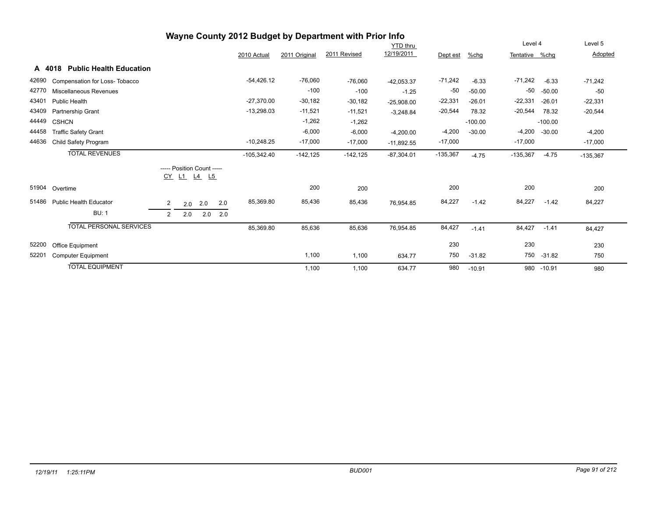|       |                                          |                                                |         |           |     |               |               | Wayne County 2012 Budget by Department with Prior Info |                 |            |           |                |           |            |
|-------|------------------------------------------|------------------------------------------------|---------|-----------|-----|---------------|---------------|--------------------------------------------------------|-----------------|------------|-----------|----------------|-----------|------------|
|       |                                          |                                                |         |           |     |               |               |                                                        | <b>YTD thru</b> |            |           | Level 4        |           | Level 5    |
|       |                                          |                                                |         |           |     | 2010 Actual   | 2011 Original | 2011 Revised                                           | 12/19/2011      | Dept est   | %chg      | Tentative %chq |           | Adopted    |
|       | <b>Public Health Education</b><br>A 4018 |                                                |         |           |     |               |               |                                                        |                 |            |           |                |           |            |
|       | 42690 Compensation for Loss-Tobacco      |                                                |         |           |     | $-54,426.12$  | $-76,060$     | $-76,060$                                              | $-42,053.37$    | $-71,242$  | $-6.33$   | -71,242        | $-6.33$   | $-71,242$  |
|       | 42770 Miscellaneous Revenues             |                                                |         |           |     |               | $-100$        | $-100$                                                 | $-1.25$         | $-50$      | $-50.00$  | $-50$          | $-50.00$  | $-50$      |
|       | 43401 Public Health                      |                                                |         |           |     | $-27,370.00$  | $-30,182$     | $-30,182$                                              | $-25,908.00$    | $-22,331$  | $-26.01$  | $-22,331$      | $-26.01$  | $-22,331$  |
|       | 43409 Partnership Grant                  |                                                |         |           |     | $-13,298.03$  | $-11,521$     | $-11,521$                                              | $-3,248.84$     | $-20,544$  | 78.32     | $-20,544$      | 78.32     | $-20,544$  |
|       | 44449 CSHCN                              |                                                |         |           |     |               | $-1,262$      | $-1,262$                                               |                 |            | $-100.00$ |                | $-100.00$ |            |
|       | 44458 Traffic Safety Grant               |                                                |         |           |     |               | $-6,000$      | $-6,000$                                               | $-4,200.00$     | $-4,200$   | $-30.00$  | $-4,200$       | $-30.00$  | $-4,200$   |
| 44636 | Child Safety Program                     |                                                |         |           |     | $-10,248.25$  | $-17,000$     | $-17,000$                                              | $-11,892.55$    | $-17,000$  |           | $-17,000$      |           | $-17,000$  |
|       | <b>TOTAL REVENUES</b>                    |                                                |         |           |     | $-105,342.40$ | $-142,125$    | $-142, 125$                                            | $-87,304.01$    | $-135,367$ | $-4.75$   | $-135,367$     | $-4.75$   | $-135,367$ |
|       |                                          | ----- Position Count -----<br>CY.<br><u>L1</u> | $\perp$ | <u>L5</u> |     |               |               |                                                        |                 |            |           |                |           |            |
|       | 51904 Overtime                           |                                                |         |           |     |               | 200           | 200                                                    |                 | 200        |           | 200            |           | 200        |
| 51486 | <b>Public Health Educator</b>            | 2                                              | 2.0     | 2.0       | 2.0 | 85,369.80     | 85,436        | 85,436                                                 | 76,954.85       | 84,227     | $-1.42$   | 84,227         | $-1.42$   | 84,227     |
|       | <b>BU: 1</b>                             | $\overline{2}$                                 | 2.0     | 2.0       | 2.0 |               |               |                                                        |                 |            |           |                |           |            |
|       | <b>TOTAL PERSONAL SERVICES</b>           |                                                |         |           |     | 85,369.80     | 85,636        | 85,636                                                 | 76,954.85       | 84,427     | $-1.41$   | 84,427         | $-1.41$   | 84,427     |
| 52200 | <b>Office Equipment</b>                  |                                                |         |           |     |               |               |                                                        |                 | 230        |           | 230            |           | 230        |
| 52201 | <b>Computer Equipment</b>                |                                                |         |           |     |               | 1,100         | 1,100                                                  | 634.77          | 750        | $-31.82$  | 750            | $-31.82$  | 750        |
|       | <b>TOTAL EQUIPMENT</b>                   |                                                |         |           |     |               | 1,100         | 1,100                                                  | 634.77          | 980        | $-10.91$  | 980            | $-10.91$  | 980        |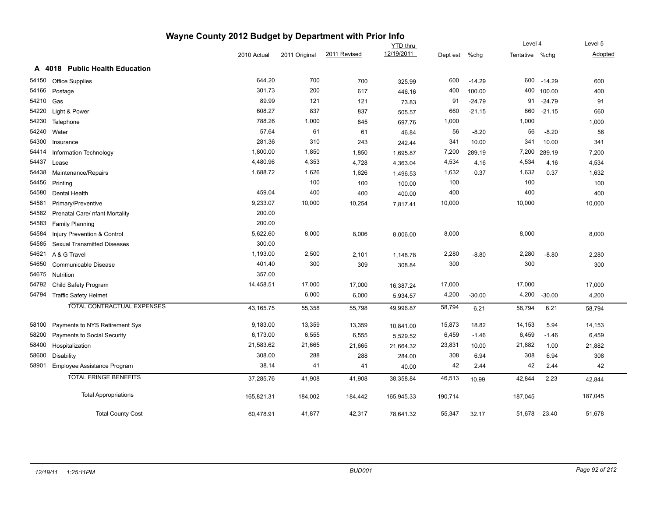|                |                                    | Wayne County 2012 Budget by Department with Prior Info                                    |         |         |            |         |          |                |          |         |
|----------------|------------------------------------|-------------------------------------------------------------------------------------------|---------|---------|------------|---------|----------|----------------|----------|---------|
|                |                                    | <b>YTD thru</b><br>12/19/2011<br>2011 Revised<br>2011 Original<br>2010 Actual<br>Dept est |         |         |            |         | Level 4  |                | Level 5  |         |
|                |                                    |                                                                                           |         |         |            |         | $%$ chg  | Tentative %chg |          | Adopted |
| A 4018         | <b>Public Health Education</b>     |                                                                                           |         |         |            |         |          |                |          |         |
| 54150          | <b>Office Supplies</b>             | 644.20                                                                                    | 700     | 700     | 325.99     | 600     | $-14.29$ | 600            | $-14.29$ | 600     |
| 54166          | Postage                            | 301.73                                                                                    | 200     | 617     | 446.16     | 400     | 100.00   | 400            | 100.00   | 400     |
| 54210 Gas      |                                    | 89.99                                                                                     | 121     | 121     | 73.83      | 91      | $-24.79$ | 91             | $-24.79$ | 91      |
| 54220          | Light & Power                      | 608.27                                                                                    | 837     | 837     | 505.57     | 660     | $-21.15$ | 660            | $-21.15$ | 660     |
| 54230          | Telephone                          | 788.26                                                                                    | 1,000   | 845     | 697.76     | 1,000   |          | 1,000          |          | 1,000   |
| 54240 Water    |                                    | 57.64                                                                                     | 61      | 61      | 46.84      | 56      | $-8.20$  | 56             | $-8.20$  | 56      |
| 54300          | Insurance                          | 281.36                                                                                    | 310     | 243     | 242.44     | 341     | 10.00    | 341            | 10.00    | 341     |
| 54414          | Information Technology             | 1,800.00                                                                                  | 1,850   | 1,850   | 1,695.87   | 7,200   | 289.19   | 7,200          | 289.19   | 7,200   |
| 54437<br>Lease |                                    | 4,480.96                                                                                  | 4,353   | 4,728   | 4,363.04   | 4,534   | 4.16     | 4,534          | 4.16     | 4,534   |
| 54438          | Maintenance/Repairs                | 1,688.72                                                                                  | 1,626   | 1,626   | 1,496.53   | 1,632   | 0.37     | 1,632          | 0.37     | 1,632   |
| 54456          | Printing                           |                                                                                           | 100     | 100     | 100.00     | 100     |          | 100            |          | 100     |
| 54580          | Dental Health                      | 459.04                                                                                    | 400     | 400     | 400.00     | 400     |          | 400            |          | 400     |
| 54581          | Primary/Preventive                 | 9,233.07                                                                                  | 10,000  | 10,254  | 7,817.41   | 10,000  |          | 10,000         |          | 10,000  |
| 54582          | Prenatal Care/ nfant Mortality     | 200.00                                                                                    |         |         |            |         |          |                |          |         |
| 54583          | <b>Family Planning</b>             | 200.00                                                                                    |         |         |            |         |          |                |          |         |
| 54584          | Injury Prevention & Control        | 5,622.60                                                                                  | 8,000   | 8,006   | 8,006.00   | 8,000   |          | 8,000          |          | 8,000   |
| 54585          | <b>Sexual Transmitted Diseases</b> | 300.00                                                                                    |         |         |            |         |          |                |          |         |
| 54621          | A & G Travel                       | 1,193.00                                                                                  | 2,500   | 2,101   | 1,148.78   | 2,280   | $-8.80$  | 2,280          | $-8.80$  | 2,280   |
| 54650          | Communicable Disease               | 401.40                                                                                    | 300     | 309     | 308.84     | 300     |          | 300            |          | 300     |
| 54675          | Nutrition                          | 357.00                                                                                    |         |         |            |         |          |                |          |         |
| 54792          | Child Safety Program               | 14,458.51                                                                                 | 17,000  | 17,000  | 16,387.24  | 17,000  |          | 17,000         |          | 17,000  |
| 54794          | <b>Traffic Safety Helmet</b>       |                                                                                           | 6,000   | 6,000   | 5,934.57   | 4,200   | $-30.00$ | 4,200          | $-30.00$ | 4,200   |
|                | <b>TOTAL CONTRACTUAL EXPENSES</b>  | 43,165.75                                                                                 | 55,358  | 55,798  | 49,996.87  | 58,794  | 6.21     | 58,794         | 6.21     | 58,794  |
| 58100          | Payments to NYS Retirement Sys     | 9,183.00                                                                                  | 13,359  | 13,359  | 10,841.00  | 15,873  | 18.82    | 14,153         | 5.94     | 14,153  |
| 58200          | Payments to Social Security        | 6,173.00                                                                                  | 6,555   | 6,555   | 5,529.52   | 6,459   | $-1.46$  | 6,459          | $-1.46$  | 6,459   |
| 58400          | Hospitalization                    | 21,583.62                                                                                 | 21,665  | 21,665  | 21,664.32  | 23,831  | 10.00    | 21,882         | 1.00     | 21,882  |
| 58600          | <b>Disability</b>                  | 308.00                                                                                    | 288     | 288     | 284.00     | 308     | 6.94     | 308            | 6.94     | 308     |
| 58901          | Employee Assistance Program        | 38.14                                                                                     | 41      | 41      | 40.00      | 42      | 2.44     | 42             | 2.44     | 42      |
|                | <b>TOTAL FRINGE BENEFITS</b>       | 37,285.76                                                                                 | 41,908  | 41,908  | 38,358.84  | 46,513  | 10.99    | 42,844         | 2.23     | 42,844  |
|                | <b>Total Appropriations</b>        | 165,821.31                                                                                | 184,002 | 184,442 | 165,945.33 | 190,714 |          | 187,045        |          | 187,045 |
|                | <b>Total County Cost</b>           | 60,478.91                                                                                 | 41,877  | 42,317  | 78,641.32  | 55,347  | 32.17    | 51,678         | 23.40    | 51,678  |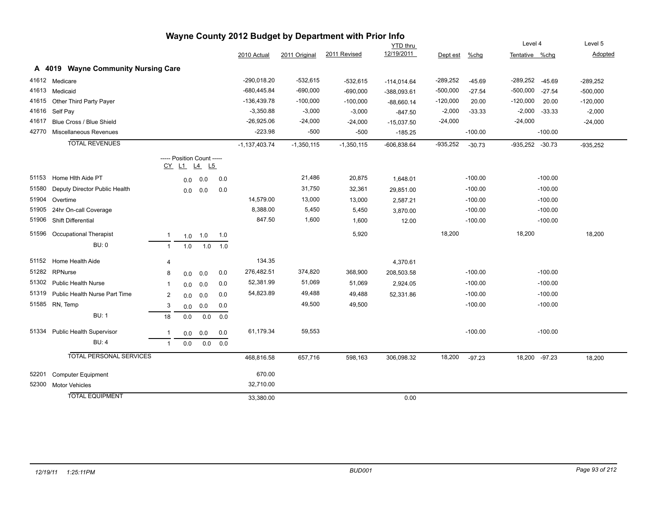|       |                                     |                |                            |     |     |                 |               | Wayne County 2012 Budget by Department with Prior Info |                 |            |           |                        |                |
|-------|-------------------------------------|----------------|----------------------------|-----|-----|-----------------|---------------|--------------------------------------------------------|-----------------|------------|-----------|------------------------|----------------|
|       |                                     |                |                            |     |     |                 |               |                                                        | <b>YTD</b> thru |            |           | Level 4                | Level 5        |
|       |                                     |                |                            |     |     | 2010 Actual     | 2011 Original | 2011 Revised                                           | 12/19/2011      | Dept est   | $%$ chg   | Tentative %chg         | <b>Adopted</b> |
|       | A 4019 Wayne Community Nursing Care |                |                            |     |     |                 |               |                                                        |                 |            |           |                        |                |
|       | 41612 Medicare                      |                |                            |     |     | -290,018.20     | $-532,615$    | $-532,615$                                             | $-114,014.64$   | $-289,252$ | $-45.69$  | $-289,252$<br>$-45.69$ | $-289,252$     |
|       | 41613 Medicaid                      |                |                            |     |     | $-680,445.84$   | $-690,000$    | $-690,000$                                             | -388,093.61     | $-500,000$ | $-27.54$  | $-500,000$<br>$-27.54$ | $-500,000$     |
|       | 41615 Other Third Party Payer       |                |                            |     |     | -136,439.78     | $-100,000$    | $-100,000$                                             | $-88,660.14$    | $-120,000$ | 20.00     | $-120,000$<br>20.00    | $-120,000$     |
|       | 41616 Self Pay                      |                |                            |     |     | $-3,350.88$     | $-3,000$      | $-3,000$                                               | $-847.50$       | $-2,000$   | $-33.33$  | $-2,000$<br>$-33.33$   | $-2,000$       |
| 41617 | Blue Cross / Blue Shield            |                |                            |     |     | $-26,925.06$    | $-24,000$     | $-24,000$                                              | $-15,037.50$    | $-24,000$  |           | $-24,000$              | $-24,000$      |
| 42770 | Miscellaneous Revenues              |                |                            |     |     | $-223.98$       | $-500$        | $-500$                                                 | $-185.25$       |            | $-100.00$ | $-100.00$              |                |
|       | <b>TOTAL REVENUES</b>               |                |                            |     |     | $-1,137,403.74$ | $-1,350,115$  | $-1,350,115$                                           | $-606,838.64$   | $-935,252$ | $-30.73$  | $-935,252 -30.73$      | $-935,252$     |
|       |                                     |                | ----- Position Count ----- |     |     |                 |               |                                                        |                 |            |           |                        |                |
|       |                                     |                | <u>CY L1 L4</u>            | L5  |     |                 |               |                                                        |                 |            |           |                        |                |
| 51153 | Home Hith Aide PT                   |                | 0.0                        | 0.0 | 0.0 |                 | 21,486        | 20,875                                                 | 1,648.01        |            | $-100.00$ | $-100.00$              |                |
| 51580 | Deputy Director Public Health       |                | 0.0                        | 0.0 | 0.0 |                 | 31,750        | 32,361                                                 | 29,851.00       |            | $-100.00$ | $-100.00$              |                |
|       | 51904 Overtime                      |                |                            |     |     | 14,579.00       | 13,000        | 13,000                                                 | 2,587.21        |            | $-100.00$ | $-100.00$              |                |
| 51905 | 24hr On-call Coverage               |                |                            |     |     | 8,388.00        | 5,450         | 5,450                                                  | 3,870.00        |            | $-100.00$ | $-100.00$              |                |
| 51906 | <b>Shift Differential</b>           |                |                            |     |     | 847.50          | 1,600         | 1,600                                                  | 12.00           |            | $-100.00$ | $-100.00$              |                |
|       | 51596 Occupational Therapist        | $\mathbf{1}$   | 1.0                        | 1.0 | 1.0 |                 |               | 5,920                                                  |                 | 18,200     |           | 18,200                 | 18,200         |
|       | <b>BU: 0</b>                        | $\mathbf{1}$   | 1.0                        | 1.0 | 1.0 |                 |               |                                                        |                 |            |           |                        |                |
|       | 51152 Home Health Aide              | 4              |                            |     |     | 134.35          |               |                                                        | 4,370.61        |            |           |                        |                |
| 51282 | RPNurse                             | 8              | 0.0                        | 0.0 | 0.0 | 276,482.51      | 374,820       | 368,900                                                | 208,503.58      |            | $-100.00$ | $-100.00$              |                |
|       | 51302 Public Health Nurse           | 1              | 0.0                        | 0.0 | 0.0 | 52,381.99       | 51,069        | 51,069                                                 | 2,924.05        |            | $-100.00$ | $-100.00$              |                |
|       | 51319 Public Health Nurse Part Time | 2              | 0.0                        | 0.0 | 0.0 | 54,823.89       | 49,488        | 49,488                                                 | 52,331.86       |            | $-100.00$ | $-100.00$              |                |
|       | 51585 RN, Temp                      | 3              | 0.0                        | 0.0 | 0.0 |                 | 49,500        | 49,500                                                 |                 |            | $-100.00$ | $-100.00$              |                |
|       | <b>BU: 1</b>                        | 18             | 0.0                        | 0.0 | 0.0 |                 |               |                                                        |                 |            |           |                        |                |
|       | 51334 Public Health Supervisor      | $\overline{1}$ | 0.0                        | 0.0 | 0.0 | 61,179.34       | 59,553        |                                                        |                 |            | $-100.00$ | $-100.00$              |                |
|       | <b>BU: 4</b>                        | $\mathbf{1}$   | 0.0                        | 0.0 | 0.0 |                 |               |                                                        |                 |            |           |                        |                |
|       | <b>TOTAL PERSONAL SERVICES</b>      |                |                            |     |     | 468,816.58      | 657,716       | 598,163                                                | 306,098.32      | 18,200     | $-97.23$  | 18,200 -97.23          | 18,200         |
| 52201 | <b>Computer Equipment</b>           |                |                            |     |     | 670.00          |               |                                                        |                 |            |           |                        |                |
| 52300 | <b>Motor Vehicles</b>               |                |                            |     |     | 32,710.00       |               |                                                        |                 |            |           |                        |                |
|       | <b>TOTAL EQUIPMENT</b>              |                |                            |     |     | 33,380.00       |               |                                                        | 0.00            |            |           |                        |                |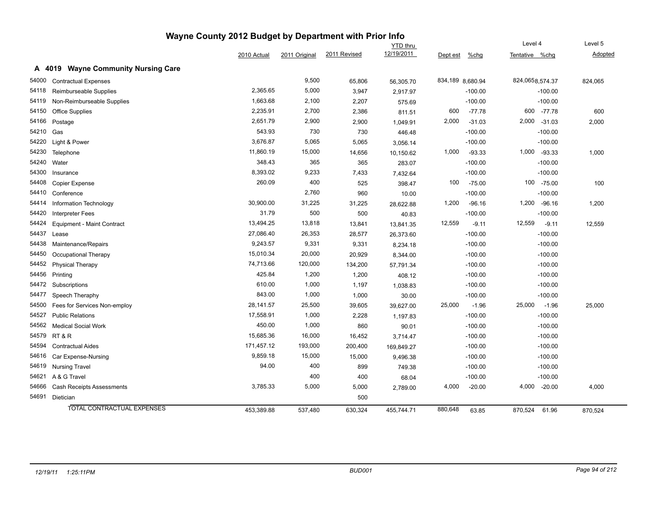|       |                                               | Wayne County 2012 Budget by Department with Prior Info |               |              |                               |                  |           |                           |              |                    |
|-------|-----------------------------------------------|--------------------------------------------------------|---------------|--------------|-------------------------------|------------------|-----------|---------------------------|--------------|--------------------|
|       |                                               | 2010 Actual                                            | 2011 Original | 2011 Revised | <b>YTD thru</b><br>12/19/2011 |                  | %chg      | Level 4<br>Tentative %chg |              | Level 5<br>Adopted |
|       |                                               |                                                        |               |              |                               | Dept est         |           |                           |              |                    |
|       | <b>Wayne Community Nursing Care</b><br>A 4019 |                                                        |               |              |                               |                  |           |                           |              |                    |
| 54000 | <b>Contractual Expenses</b>                   |                                                        | 9,500         | 65,806       | 56,305.70                     | 834,189 8,680.94 |           | 824,0658,574.37           |              | 824,065            |
| 54118 | Reimburseable Supplies                        | 2,365.65                                               | 5,000         | 3,947        | 2,917.97                      |                  | $-100.00$ |                           | $-100.00$    |                    |
| 54119 | Non-Reimburseable Supplies                    | 1,663.68                                               | 2,100         | 2,207        | 575.69                        |                  | $-100.00$ |                           | $-100.00$    |                    |
| 54150 | <b>Office Supplies</b>                        | 2,235.91                                               | 2,700         | 2,386        | 811.51                        | 600              | $-77.78$  |                           | 600 -77.78   | 600                |
| 54166 | Postage                                       | 2,651.79                                               | 2,900         | 2,900        | 1,049.91                      | 2,000            | $-31.03$  |                           | 2,000 -31.03 | 2,000              |
| 54210 | Gas                                           | 543.93                                                 | 730           | 730          | 446.48                        |                  | $-100.00$ |                           | $-100.00$    |                    |
| 54220 | Light & Power                                 | 3,676.87                                               | 5,065         | 5,065        | 3,056.14                      |                  | $-100.00$ |                           | $-100.00$    |                    |
| 54230 | Telephone                                     | 11,860.19                                              | 15,000        | 14,656       | 10,150.62                     | 1,000            | $-93.33$  |                           | 1,000 -93.33 | 1,000              |
| 54240 | Water                                         | 348.43                                                 | 365           | 365          | 283.07                        |                  | $-100.00$ |                           | $-100.00$    |                    |
| 54300 | Insurance                                     | 8,393.02                                               | 9,233         | 7,433        | 7,432.64                      |                  | $-100.00$ |                           | $-100.00$    |                    |
| 54408 | <b>Copier Expense</b>                         | 260.09                                                 | 400           | 525          | 398.47                        | 100              | $-75.00$  |                           | 100 -75.00   | 100                |
| 54410 | Conference                                    |                                                        | 2,760         | 960          | 10.00                         |                  | $-100.00$ |                           | $-100.00$    |                    |
| 54414 | Information Technology                        | 30,900.00                                              | 31,225        | 31,225       | 28,622.88                     | 1,200            | $-96.16$  |                           | 1,200 -96.16 | 1,200              |
| 54420 | <b>Interpreter Fees</b>                       | 31.79                                                  | 500           | 500          | 40.83                         |                  | $-100.00$ |                           | $-100.00$    |                    |
| 54424 | <b>Equipment - Maint Contract</b>             | 13,494.25                                              | 13,818        | 13,841       | 13,841.35                     | 12,559           | $-9.11$   | 12,559                    | $-9.11$      | 12,559             |
| 54437 | Lease                                         | 27,086.40                                              | 26,353        | 28,577       | 26,373.60                     |                  | $-100.00$ |                           | $-100.00$    |                    |
| 54438 | Maintenance/Repairs                           | 9,243.57                                               | 9,331         | 9,331        | 8,234.18                      |                  | $-100.00$ |                           | $-100.00$    |                    |
| 54450 | Occupational Therapy                          | 15,010.34                                              | 20,000        | 20,929       | 8,344.00                      |                  | $-100.00$ |                           | $-100.00$    |                    |
| 54452 | <b>Physical Therapy</b>                       | 74,713.66                                              | 120,000       | 134,200      | 57,791.34                     |                  | $-100.00$ |                           | $-100.00$    |                    |
| 54456 | Printing                                      | 425.84                                                 | 1,200         | 1,200        | 408.12                        |                  | $-100.00$ |                           | $-100.00$    |                    |
| 54472 | Subscriptions                                 | 610.00                                                 | 1,000         | 1,197        | 1,038.83                      |                  | $-100.00$ |                           | $-100.00$    |                    |
| 54477 | Speech Theraphy                               | 843.00                                                 | 1,000         | 1,000        | 30.00                         |                  | $-100.00$ |                           | $-100.00$    |                    |
| 54500 | Fees for Services Non-employ                  | 28,141.57                                              | 25,500        | 39,605       | 39,627.00                     | 25,000           | $-1.96$   | 25,000                    | $-1.96$      | 25,000             |
| 54527 | <b>Public Relations</b>                       | 17,558.91                                              | 1,000         | 2,228        | 1,197.83                      |                  | $-100.00$ |                           | $-100.00$    |                    |
| 54562 | <b>Medical Social Work</b>                    | 450.00                                                 | 1,000         | 860          | 90.01                         |                  | $-100.00$ |                           | $-100.00$    |                    |
| 54579 | RT & R                                        | 15,685.36                                              | 16,000        | 16,452       | 3,714.47                      |                  | $-100.00$ |                           | $-100.00$    |                    |
| 54594 | <b>Contractual Aides</b>                      | 171,457.12                                             | 193,000       | 200,400      | 169,849.27                    |                  | $-100.00$ |                           | $-100.00$    |                    |
| 54616 | Car Expense-Nursing                           | 9,859.18                                               | 15,000        | 15,000       | 9,496.38                      |                  | $-100.00$ |                           | $-100.00$    |                    |
| 54619 | <b>Nursing Travel</b>                         | 94.00                                                  | 400           | 899          | 749.38                        |                  | $-100.00$ |                           | $-100.00$    |                    |
| 54621 | A & G Travel                                  |                                                        | 400           | 400          | 68.04                         |                  | $-100.00$ |                           | $-100.00$    |                    |
| 54666 | <b>Cash Receipts Assessments</b>              | 3,785.33                                               | 5,000         | 5,000        | 2,789.00                      | 4,000            | $-20.00$  | 4,000                     | $-20.00$     | 4,000              |
| 54691 | Dietician                                     |                                                        |               | 500          |                               |                  |           |                           |              |                    |
|       | TOTAL CONTRACTUAL EXPENSES                    | 453.389.88                                             | 537,480       | 630,324      | 455.744.71                    | 880,648          | 63.85     | 870,524                   | 61.96        | 870,524            |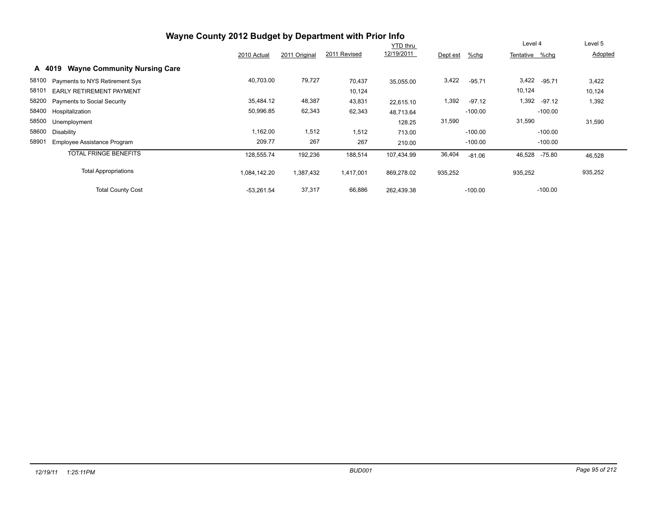|                                          |                                     | Wayne County 2012 Budget by Department with Prior Info |               |              |                 |          |           |                |           |         |
|------------------------------------------|-------------------------------------|--------------------------------------------------------|---------------|--------------|-----------------|----------|-----------|----------------|-----------|---------|
|                                          |                                     |                                                        |               |              | <b>YTD thru</b> |          |           | Level 4        |           | Level 5 |
|                                          |                                     | 2010 Actual                                            | 2011 Original | 2011 Revised | 12/19/2011      | Dept est | %chg      | Tentative %chq |           | Adopted |
| A 4019                                   | <b>Wayne Community Nursing Care</b> |                                                        |               |              |                 |          |           |                |           |         |
| 58100<br>Payments to NYS Retirement Sys  |                                     | 40,703.00                                              | 79,727        | 70,437       | 35,055.00       | 3,422    | $-95.71$  | 3,422          | $-95.71$  | 3,422   |
| 58101<br><b>EARLY RETIREMENT PAYMENT</b> |                                     |                                                        |               | 10,124       |                 |          |           | 10,124         |           | 10,124  |
| 58200 Payments to Social Security        |                                     | 35,484.12                                              | 48,387        | 43,831       | 22,615.10       | 1,392    | $-97.12$  | 1,392          | -97.12    | 1,392   |
| 58400 Hospitalization                    |                                     | 50,996.85                                              | 62,343        | 62,343       | 48,713.64       |          | $-100.00$ |                | $-100.00$ |         |
| 58500<br>Unemployment                    |                                     |                                                        |               |              | 128.25          | 31,590   |           | 31,590         |           | 31,590  |
| 58600<br>Disability                      |                                     | 1,162.00                                               | 1,512         | 1,512        | 713.00          |          | $-100.00$ |                | $-100.00$ |         |
| 58901<br>Employee Assistance Program     |                                     | 209.77                                                 | 267           | 267          | 210.00          |          | $-100.00$ |                | $-100.00$ |         |
|                                          | <b>TOTAL FRINGE BENEFITS</b>        | 128,555.74                                             | 192,236       | 188,514      | 107,434.99      | 36,404   | $-81.06$  | 46,528         | -75.80    | 46,528  |
|                                          | <b>Total Appropriations</b>         | 084,142.20                                             | 1,387,432     | 1,417,001    | 869,278.02      | 935,252  |           | 935,252        |           | 935,252 |
|                                          | <b>Total County Cost</b>            | $-53,261.54$                                           | 37,317        | 66,886       | 262,439.38      |          | $-100.00$ |                | $-100.00$ |         |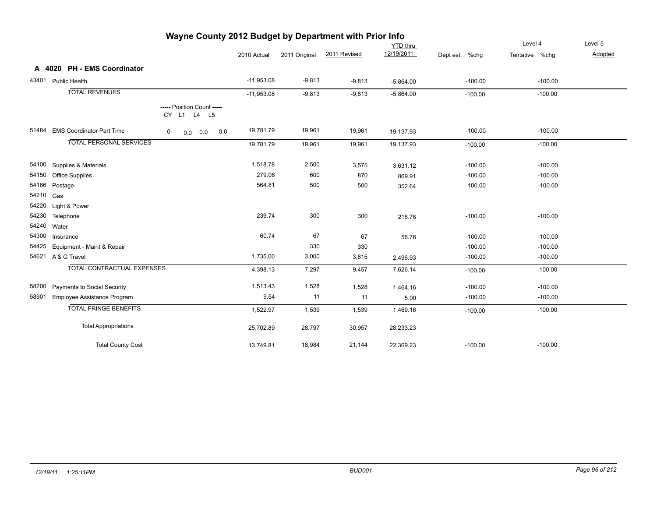|             |                                   |   |                    |                            |              |               |              | <b>YTD thru</b> |                     | Level 4        | Level 5 |
|-------------|-----------------------------------|---|--------------------|----------------------------|--------------|---------------|--------------|-----------------|---------------------|----------------|---------|
|             |                                   |   |                    |                            | 2010 Actual  | 2011 Original | 2011 Revised | 12/19/2011      | $%$ chg<br>Dept est | Tentative %chg | Adopted |
|             | A 4020 PH - EMS Coordinator       |   |                    |                            |              |               |              |                 |                     |                |         |
|             | 43401 Public Health               |   |                    |                            | $-11,953.08$ | $-9,813$      | $-9,813$     | $-5,864.00$     | $-100.00$           | $-100.00$      |         |
|             | <b>TOTAL REVENUES</b>             |   |                    |                            | $-11,953.08$ | $-9,813$      | $-9,813$     | $-5,864.00$     | $-100.00$           | $-100.00$      |         |
|             |                                   |   | <u>CY L1 L4 L5</u> | ----- Position Count ----- |              |               |              |                 |                     |                |         |
|             | 51484 EMS Coordinator Part Time   | 0 | $0.0\ 0.0$         | 0.0                        | 19,781.79    | 19,961        | 19,961       | 19,137.93       | $-100.00$           | $-100.00$      |         |
|             | <b>TOTAL PERSONAL SERVICES</b>    |   |                    |                            | 19,781.79    | 19,961        | 19,961       | 19,137.93       | $-100.00$           | $-100.00$      |         |
|             | 54100 Supplies & Materials        |   |                    |                            | 1,518.78     | 2,500         | 3,575        | 3,631.12        | $-100.00$           | $-100.00$      |         |
| 54150       | <b>Office Supplies</b>            |   |                    |                            | 279.06       | 600           | 870          | 869.91          | $-100.00$           | $-100.00$      |         |
|             | 54166 Postage                     |   |                    |                            | 564.81       | 500           | 500          | 352.64          | $-100.00$           | $-100.00$      |         |
| 54210 Gas   |                                   |   |                    |                            |              |               |              |                 |                     |                |         |
|             | 54220 Light & Power               |   |                    |                            |              |               |              |                 |                     |                |         |
|             | 54230 Telephone                   |   |                    |                            | 239.74       | 300           | 300          | 218.78          | $-100.00$           | $-100.00$      |         |
| 54240 Water |                                   |   |                    |                            |              |               |              |                 |                     |                |         |
| 54300       | Insurance                         |   |                    |                            | 60.74        | 67            | 67           | 56.76           | $-100.00$           | $-100.00$      |         |
| 54425       | Equipment - Maint & Repair        |   |                    |                            |              | 330           | 330          |                 | $-100.00$           | $-100.00$      |         |
|             | 54621 A & G Travel                |   |                    |                            | 1,735.00     | 3,000         | 3,815        | 2,496.93        | $-100.00$           | $-100.00$      |         |
|             | <b>TOTAL CONTRACTUAL EXPENSES</b> |   |                    |                            | 4,398.13     | 7,297         | 9,457        | 7,626.14        | $-100.00$           | $-100.00$      |         |
|             | 58200 Payments to Social Security |   |                    |                            | 1,513.43     | 1,528         | 1,528        | 1,464.16        | $-100.00$           | $-100.00$      |         |
| 58901       | Employee Assistance Program       |   |                    |                            | 9.54         | 11            | 11           | 5.00            | $-100.00$           | $-100.00$      |         |
|             | <b>TOTAL FRINGE BENEFITS</b>      |   |                    |                            | 1,522.97     | 1,539         | 1,539        | 1,469.16        | $-100.00$           | $-100.00$      |         |
|             | <b>Total Appropriations</b>       |   |                    |                            | 25,702.89    | 28,797        | 30,957       | 28,233.23       |                     |                |         |
|             | <b>Total County Cost</b>          |   |                    |                            | 13,749.81    | 18,984        | 21,144       | 22,369.23       | $-100.00$           | $-100.00$      |         |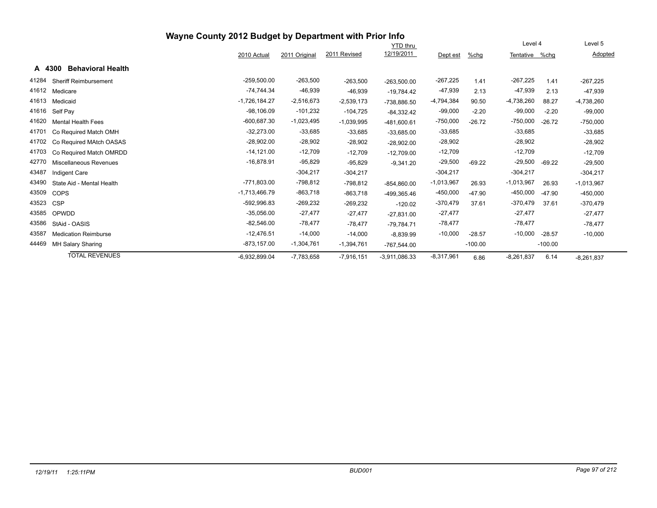| Wayne County 2012 Budget by Department with Prior Info |                                    |                 |               |              |                 |              |           |                |           |              |  |
|--------------------------------------------------------|------------------------------------|-----------------|---------------|--------------|-----------------|--------------|-----------|----------------|-----------|--------------|--|
|                                                        |                                    |                 |               |              | <b>YTD</b> thru |              |           | Level 4        |           | Level 5      |  |
|                                                        |                                    | 2010 Actual     | 2011 Original | 2011 Revised | 12/19/2011      | Dept est     | $%$ chg   | Tentative %chg |           | Adopted      |  |
|                                                        | A 4300<br><b>Behavioral Health</b> |                 |               |              |                 |              |           |                |           |              |  |
| 41284                                                  | <b>Sheriff Reimbursement</b>       | $-259,500.00$   | $-263,500$    | $-263,500$   | $-263,500.00$   | $-267,225$   | 1.41      | $-267,225$     | 1.41      | $-267,225$   |  |
| 41612                                                  | Medicare                           | $-74,744.34$    | $-46,939$     | $-46,939$    | $-19,784.42$    | $-47,939$    | 2.13      | -47,939        | 2.13      | $-47,939$    |  |
| 41613                                                  | Medicaid                           | $-1,726,184.27$ | $-2,516,673$  | $-2,539,173$ | -738,886.50     | $-4,794,384$ | 90.50     | $-4,738,260$   | 88.27     | $-4,738,260$ |  |
| 41616                                                  | Self Pay                           | $-98,106.09$    | $-101,232$    | $-104,725$   | $-84,332.42$    | $-99,000$    | $-2.20$   | $-99,000$      | $-2.20$   | $-99,000$    |  |
| 41620                                                  | <b>Mental Health Fees</b>          | $-600,687.30$   | $-1,023,495$  | $-1,039,995$ | $-481,600.61$   | $-750,000$   | $-26.72$  | $-750,000$     | $-26.72$  | $-750,000$   |  |
| 41701                                                  | Co Required Match OMH              | $-32,273.00$    | $-33,685$     | $-33,685$    | $-33,685.00$    | $-33,685$    |           | $-33,685$      |           | $-33,685$    |  |
| 41702                                                  | Co Required MAtch OASAS            | $-28,902.00$    | $-28,902$     | $-28,902$    | $-28,902.00$    | $-28,902$    |           | $-28,902$      |           | $-28,902$    |  |
| 41703                                                  | Co Required Match OMRDD            | $-14,121.00$    | $-12,709$     | $-12,709$    | $-12,709.00$    | $-12,709$    |           | $-12,709$      |           | $-12,709$    |  |
| 42770                                                  | Miscellaneous Revenues             | $-16,878.91$    | $-95,829$     | $-95,829$    | $-9.341.20$     | $-29,500$    | $-69.22$  | $-29,500$      | $-69.22$  | $-29,500$    |  |
| 43487                                                  | Indigent Care                      |                 | $-304,217$    | $-304,217$   |                 | $-304,217$   |           | $-304,217$     |           | $-304,217$   |  |
| 43490                                                  | State Aid - Mental Health          | $-771,803.00$   | $-798,812$    | $-798,812$   | $-854,860.00$   | $-1,013,967$ | 26.93     | $-1,013,967$   | 26.93     | $-1,013,967$ |  |
| 43509                                                  | <b>COPS</b>                        | $-1,713,466.79$ | $-863,718$    | $-863,718$   | -499,365.46     | $-450,000$   | $-47.90$  | $-450,000$     | $-47.90$  | $-450,000$   |  |
| 43523                                                  | <b>CSP</b>                         | $-592,996.83$   | $-269,232$    | $-269,232$   | $-120.02$       | $-370,479$   | 37.61     | $-370,479$     | 37.61     | $-370,479$   |  |
| 43585                                                  | OPWDD                              | $-35,056.00$    | $-27,477$     | $-27,477$    | $-27,831.00$    | $-27,477$    |           | $-27,477$      |           | $-27,477$    |  |
| 43586                                                  | StAid - OASIS                      | $-82,546.00$    | $-78,477$     | $-78,477$    | $-79,784.71$    | $-78,477$    |           | $-78,477$      |           | $-78,477$    |  |
| 43587                                                  | <b>Medication Reimburse</b>        | $-12,476.51$    | $-14,000$     | $-14,000$    | $-8,839.99$     | $-10,000$    | $-28.57$  | $-10,000$      | $-28.57$  | $-10,000$    |  |
| 44469                                                  | MH Salary Sharing                  | $-873, 157.00$  | $-1,304,761$  | $-1,394,761$ | $-767,544.00$   |              | $-100.00$ |                | $-100.00$ |              |  |
|                                                        | <b>TOTAL REVENUES</b>              | -6,932,899.04   | $-7,783,658$  | $-7,916,151$ | $-3.911,086.33$ | $-8,317,961$ | 6.86      | $-8,261,837$   | 6.14      | $-8,261,837$ |  |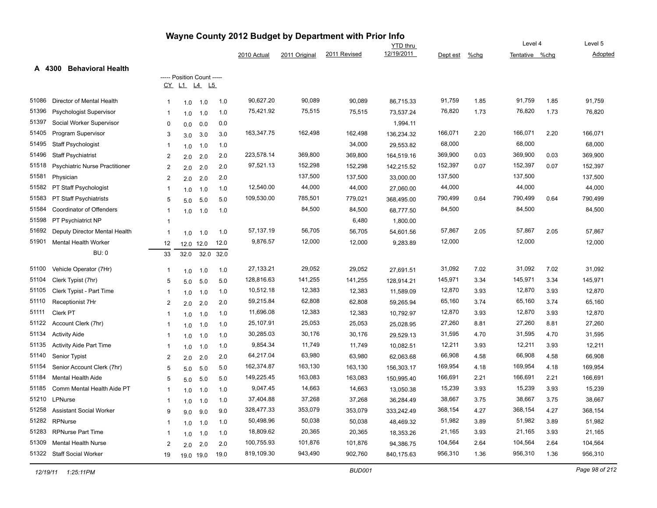|                                                |                |                                                  |      |             |               | Wayne County 2012 Budget by Department with Prior Info |                 |          |         |                |      |         |
|------------------------------------------------|----------------|--------------------------------------------------|------|-------------|---------------|--------------------------------------------------------|-----------------|----------|---------|----------------|------|---------|
|                                                |                |                                                  |      |             |               |                                                        | <b>YTD</b> thru |          |         | Level 4        |      | Level 5 |
|                                                |                |                                                  |      | 2010 Actual | 2011 Original | 2011 Revised                                           | 12/19/2011      | Dept est | $%$ chg | Tentative %chg |      | Adopted |
| <b>Behavioral Health</b><br>A 4300             |                |                                                  |      |             |               |                                                        |                 |          |         |                |      |         |
|                                                | CY             | ----- Position Count -----<br>L1<br><u>L4 L5</u> |      |             |               |                                                        |                 |          |         |                |      |         |
|                                                |                |                                                  |      |             |               |                                                        |                 |          |         |                |      |         |
| 51086<br>Director of Mental Health             | 1              | 1.0<br>1.0                                       | 1.0  | 90,627.20   | 90,089        | 90,089                                                 | 86,715.33       | 91,759   | 1.85    | 91,759         | 1.85 | 91,759  |
| 51396<br>Psychologist Supervisor               |                | 1.0<br>1.0                                       | 1.0  | 75,421.92   | 75,515        | 75,515                                                 | 73,537.24       | 76,820   | 1.73    | 76,820         | 1.73 | 76,820  |
| 51397<br>Social Worker Supervisor              | $\Omega$       | 0.0<br>0.0                                       | 0.0  |             |               |                                                        | 1,994.11        |          |         |                |      |         |
| 51405<br>Program Supervisor                    | 3              | 3.0<br>3.0                                       | 3.0  | 163,347.75  | 162,498       | 162,498                                                | 136,234.32      | 166,071  | 2.20    | 166,071        | 2.20 | 166,071 |
| 51495<br>Staff Psychologist                    | 1              | 1.0<br>1.0                                       | 1.0  |             |               | 34,000                                                 | 29,553.82       | 68,000   |         | 68,000         |      | 68,000  |
| 51496<br><b>Staff Psychiatrist</b>             | $\overline{2}$ | 2.0<br>2.0                                       | 2.0  | 223,578.14  | 369,800       | 369,800                                                | 164,519.16      | 369,900  | 0.03    | 369,900        | 0.03 | 369,900 |
| 51518<br><b>Psychiatric Nurse Practitioner</b> | 2              | 2.0<br>2.0                                       | 2.0  | 97,521.13   | 152,298       | 152,298                                                | 142,215.52      | 152,397  | 0.07    | 152,397        | 0.07 | 152,397 |
| 51581<br>Physician                             | $\overline{2}$ | 2.0<br>2.0                                       | 2.0  |             | 137,500       | 137,500                                                | 33,000.00       | 137,500  |         | 137,500        |      | 137,500 |
| 51582<br>PT Staff Psychologist                 | -1             | 1.0<br>1.0                                       | 1.0  | 12,540.00   | 44,000        | 44,000                                                 | 27,060.00       | 44,000   |         | 44,000         |      | 44,000  |
| 51583<br>PT Staff Psychiatrists                | 5              | 5.0<br>5.0                                       | 5.0  | 109,530.00  | 785,501       | 779,021                                                | 368,495.00      | 790,499  | 0.64    | 790,499        | 0.64 | 790,499 |
| 51584<br>Coordinator of Offenders              |                | 1.0<br>1.0                                       | 1.0  |             | 84,500        | 84,500                                                 | 68,777.50       | 84,500   |         | 84,500         |      | 84,500  |
| 51598<br>PT Psychiatrict NP                    | -1             |                                                  |      |             |               | 6,480                                                  | 1,800.00        |          |         |                |      |         |
| 51692<br>Deputy Director Mental Health         | -1             | 1.0<br>1.0                                       | 1.0  | 57,137.19   | 56,705        | 56,705                                                 | 54,601.56       | 57,867   | 2.05    | 57,867         | 2.05 | 57,867  |
| 51901<br>Mental Health Worker                  | 12             | 12.0<br>12.0                                     | 12.0 | 9,876.57    | 12,000        | 12,000                                                 | 9,283.89        | 12,000   |         | 12,000         |      | 12,000  |
| <b>BU: 0</b>                                   | 33             | 32.0<br>32.0                                     | 32.0 |             |               |                                                        |                 |          |         |                |      |         |
| 51100<br>Vehicle Operator (7Hr)                | 1              | 1.0<br>1.0                                       | 1.0  | 27,133.21   | 29,052        | 29,052                                                 | 27,691.51       | 31,092   | 7.02    | 31,092         | 7.02 | 31,092  |
| 51104<br>Clerk Typist (7hr)                    | 5              | 5.0<br>5.0                                       | 5.0  | 128,816.63  | 141,255       | 141,255                                                | 128,914.21      | 145,971  | 3.34    | 145,971        | 3.34 | 145,971 |
| 51105<br>Clerk Typist - Part Time              |                | 1.0<br>1.0                                       | 1.0  | 10,512.18   | 12,383        | 12,383                                                 | 11,589.09       | 12,870   | 3.93    | 12,870         | 3.93 | 12,870  |
| 51110<br>Receptionist 7Hr                      | $\overline{2}$ | 2.0<br>2.0                                       | 2.0  | 59,215.84   | 62,808        | 62,808                                                 | 59,265.94       | 65,160   | 3.74    | 65,160         | 3.74 | 65,160  |
| 51111<br>Clerk PT                              | $\mathbf 1$    | 1.0<br>1.0                                       | 1.0  | 11,696.08   | 12,383        | 12,383                                                 | 10,792.97       | 12,870   | 3.93    | 12,870         | 3.93 | 12,870  |
| 51122<br>Account Clerk (7hr)                   | -1             | 1.0<br>1.0                                       | 1.0  | 25,107.91   | 25,053        | 25,053                                                 | 25,028.95       | 27,260   | 8.81    | 27,260         | 8.81 | 27,260  |
| 51134<br><b>Activity Aide</b>                  | -1             | 1.0<br>1.0                                       | 1.0  | 30,285.03   | 30,176        | 30,176                                                 | 29,529.13       | 31,595   | 4.70    | 31,595         | 4.70 | 31,595  |
| 51135<br><b>Activity Aide Part Time</b>        | $\mathbf 1$    | 1.0<br>1.0                                       | 1.0  | 9,854.34    | 11,749        | 11,749                                                 | 10,082.51       | 12,211   | 3.93    | 12,211         | 3.93 | 12,211  |
| 51140<br>Senior Typist                         | $\overline{2}$ | 2.0<br>2.0                                       | 2.0  | 64,217.04   | 63,980        | 63,980                                                 | 62,063.68       | 66,908   | 4.58    | 66,908         | 4.58 | 66,908  |
| 51154<br>Senior Account Clerk (7hr)            | 5              | 5.0<br>5.0                                       | 5.0  | 162,374.87  | 163,130       | 163,130                                                | 156,303.17      | 169,954  | 4.18    | 169,954        | 4.18 | 169,954 |
| 51184<br><b>Mental Health Aide</b>             | 5              | 5.0<br>5.0                                       | 5.0  | 149,225.45  | 163,083       | 163,083                                                | 150,995.40      | 166,691  | 2.21    | 166,691        | 2.21 | 166,691 |
| 51185<br>Comm Mental Health Aide PT            |                | 1.0<br>1.0                                       | 1.0  | 9,047.45    | 14,663        | 14,663                                                 | 13,050.38       | 15,239   | 3.93    | 15,239         | 3.93 | 15,239  |
| 51210<br>LPNurse                               |                | 1.0<br>1.0                                       | 1.0  | 37,404.88   | 37,268        | 37,268                                                 | 36,284.49       | 38,667   | 3.75    | 38,667         | 3.75 | 38,667  |
| 51258<br><b>Assistant Social Worker</b>        | 9              | 9.0<br>9.0                                       | 9.0  | 328,477.33  | 353,079       | 353,079                                                | 333,242.49      | 368,154  | 4.27    | 368,154        | 4.27 | 368,154 |
| 51282<br>RPNurse                               |                | 1.0<br>1.0                                       | 1.0  | 50,498.96   | 50,038        | 50,038                                                 | 48,469.32       | 51,982   | 3.89    | 51,982         | 3.89 | 51,982  |
| 51283<br><b>RPNurse Part Time</b>              | -1             | 1.0                                              | 1.0  | 18,809.62   | 20,365        | 20,365                                                 | 18,353.26       | 21,165   | 3.93    | 21,165         | 3.93 | 21,165  |
| 51309<br><b>Mental Health Nurse</b>            | $\overline{2}$ | 1.0<br>2.0                                       | 2.0  | 100,755.93  | 101,876       | 101,876                                                | 94,386.75       | 104,564  | 2.64    | 104,564        | 2.64 | 104,564 |
| 51322<br>Staff Social Worker                   | 19             | 2.0                                              | 19.0 | 819,109.30  | 943,490       | 902,760                                                | 840,175.63      | 956,310  | 1.36    | 956,310        | 1.36 | 956,310 |
|                                                |                | 19.0 19.0                                        |      |             |               |                                                        |                 |          |         |                |      |         |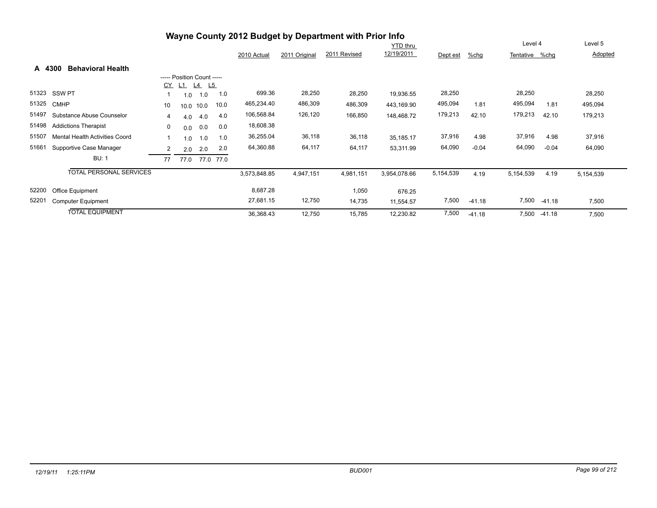|        |                                                                                           |                |                            |           |           |              |           | Wayne County 2012 Budget by Department with Prior Info |              |           |          | Level 4        |          |           |
|--------|-------------------------------------------------------------------------------------------|----------------|----------------------------|-----------|-----------|--------------|-----------|--------------------------------------------------------|--------------|-----------|----------|----------------|----------|-----------|
|        | <b>YTD thru</b><br>12/19/2011<br>2011 Revised<br>2011 Original<br>2010 Actual<br>Dept est |                |                            |           |           |              |           |                                                        |              |           |          |                |          | Level 5   |
|        |                                                                                           |                |                            |           |           |              |           |                                                        |              |           | %chg     | Tentative %chg |          | Adopted   |
| A 4300 | <b>Behavioral Health</b>                                                                  |                |                            |           |           |              |           |                                                        |              |           |          |                |          |           |
|        |                                                                                           |                | ----- Position Count ----- |           |           |              |           |                                                        |              |           |          |                |          |           |
|        |                                                                                           | CY             | $L1$ $L4$                  | L5        |           |              |           |                                                        |              |           |          |                |          |           |
| 51323  | <b>SSW PT</b>                                                                             |                | 1.0                        | 1.0       | 1.0       | 699.36       | 28,250    | 28,250                                                 | 19,936.55    | 28,250    |          | 28,250         |          | 28,250    |
| 51325  | <b>CMHP</b>                                                                               | 10             |                            | 10.0 10.0 | 10.0      | 465,234.40   | 486,309   | 486,309                                                | 443,169.90   | 495,094   | 1.81     | 495,094        | 1.81     | 495,094   |
| 51497  | Substance Abuse Counselor                                                                 | 4              | 4.0                        | 4.0       | 4.0       | 106,568.84   | 126,120   | 166,850                                                | 148,468.72   | 179,213   | 42.10    | 179,213        | 42.10    | 179,213   |
| 51498  | <b>Addictions Therapist</b>                                                               | 0              | 0.0                        | 0.0       | 0.0       | 18,608.38    |           |                                                        |              |           |          |                |          |           |
| 51507  | <b>Mental Health Activities Coord</b>                                                     |                | 1.0                        | 1.0       | 1.0       | 36,255.04    | 36,118    | 36,118                                                 | 35,185.17    | 37,916    | 4.98     | 37,916         | 4.98     | 37,916    |
| 51661  | Supportive Case Manager                                                                   | $\overline{2}$ | 2.0                        | 2.0       | 2.0       | 64,360.88    | 64,117    | 64,117                                                 | 53,311.99    | 64,090    | $-0.04$  | 64,090         | $-0.04$  | 64,090    |
|        | <b>BU: 1</b>                                                                              | 77             | 77.0                       |           | 77.0 77.0 |              |           |                                                        |              |           |          |                |          |           |
|        | <b>TOTAL PERSONAL SERVICES</b>                                                            |                |                            |           |           | 3,573,848.85 | 4,947,151 | 4,981,151                                              | 3,954,078.66 | 5,154,539 | 4.19     | 5,154,539      | 4.19     | 5,154,539 |
| 52200  | Office Equipment                                                                          |                |                            |           |           | 8,687.28     |           | 1,050                                                  | 676.25       |           |          |                |          |           |
| 52201  | <b>Computer Equipment</b>                                                                 |                |                            |           |           | 27,681.15    | 12,750    | 14,735                                                 | 11,554.57    | 7,500     | $-41.18$ | 7,500          | $-41.18$ | 7,500     |
|        | <b>TOTAL EQUIPMENT</b>                                                                    |                |                            |           |           | 36,368.43    | 12,750    | 15,785                                                 | 12,230.82    | 7,500     | $-41.18$ | 7,500          | $-41.18$ | 7,500     |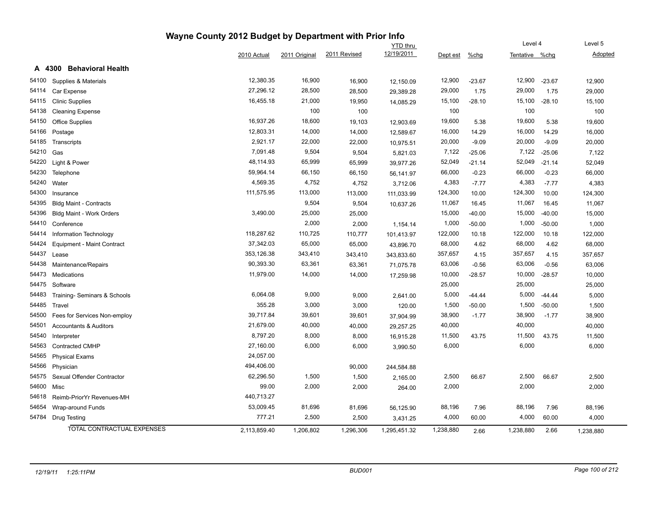|       |                                    |              |               |              | <b>YTD</b> thru |           |          | Level 4        |          | Level 5   |
|-------|------------------------------------|--------------|---------------|--------------|-----------------|-----------|----------|----------------|----------|-----------|
|       |                                    | 2010 Actual  | 2011 Original | 2011 Revised | 12/19/2011      | Dept est  | %chg     | Tentative %chg |          | Adopted   |
|       | <b>Behavioral Health</b><br>A 4300 |              |               |              |                 |           |          |                |          |           |
| 54100 | Supplies & Materials               | 12,380.35    | 16,900        | 16,900       | 12,150.09       | 12,900    | $-23.67$ | 12,900         | $-23.67$ | 12,900    |
| 54114 | Car Expense                        | 27,296.12    | 28,500        | 28,500       | 29,389.28       | 29,000    | 1.75     | 29,000         | 1.75     | 29,000    |
| 54115 | <b>Clinic Supplies</b>             | 16,455.18    | 21,000        | 19,950       | 14,085.29       | 15,100    | $-28.10$ | 15,100         | $-28.10$ | 15,100    |
| 54138 | <b>Cleaning Expense</b>            |              | 100           | 100          |                 | 100       |          | 100            |          | 100       |
| 54150 | Office Supplies                    | 16,937.26    | 18,600        | 19,103       | 12,903.69       | 19,600    | 5.38     | 19,600         | 5.38     | 19,600    |
| 54166 | Postage                            | 12,803.31    | 14,000        | 14,000       | 12,589.67       | 16,000    | 14.29    | 16,000         | 14.29    | 16,000    |
| 54185 | Transcripts                        | 2,921.17     | 22,000        | 22,000       | 10,975.51       | 20,000    | $-9.09$  | 20,000         | $-9.09$  | 20,000    |
| 54210 | Gas                                | 7,091.48     | 9,504         | 9,504        | 5,821.03        | 7,122     | $-25.06$ | 7,122          | $-25.06$ | 7,122     |
| 54220 | Light & Power                      | 48,114.93    | 65,999        | 65,999       | 39,977.26       | 52,049    | $-21.14$ | 52,049         | $-21.14$ | 52,049    |
| 54230 | Telephone                          | 59,964.14    | 66,150        | 66,150       | 56,141.97       | 66,000    | $-0.23$  | 66,000         | $-0.23$  | 66,000    |
| 54240 | Water                              | 4,569.35     | 4,752         | 4,752        | 3,712.06        | 4,383     | $-7.77$  | 4,383          | $-7.77$  | 4,383     |
| 54300 | Insurance                          | 111,575.95   | 113,000       | 113,000      | 111,033.99      | 124,300   | 10.00    | 124,300        | 10.00    | 124,300   |
| 54395 | <b>Bldg Maint - Contracts</b>      |              | 9,504         | 9,504        | 10,637.26       | 11,067    | 16.45    | 11,067         | 16.45    | 11,067    |
| 54396 | Bldg Maint - Work Orders           | 3,490.00     | 25,000        | 25,000       |                 | 15,000    | $-40.00$ | 15,000         | $-40.00$ | 15,000    |
| 54410 | Conference                         |              | 2,000         | 2,000        | 1,154.14        | 1,000     | $-50.00$ | 1,000          | $-50.00$ | 1,000     |
| 54414 | Information Technology             | 118,287.62   | 110,725       | 110,777      | 101,413.97      | 122,000   | 10.18    | 122,000        | 10.18    | 122,000   |
| 54424 | Equipment - Maint Contract         | 37,342.03    | 65,000        | 65,000       | 43,896.70       | 68,000    | 4.62     | 68,000         | 4.62     | 68,000    |
| 54437 | Lease                              | 353,126.38   | 343,410       | 343,410      | 343,833.60      | 357,657   | 4.15     | 357,657        | 4.15     | 357,657   |
| 54438 | Maintenance/Repairs                | 90,393.30    | 63,361        | 63,361       | 71,075.78       | 63,006    | $-0.56$  | 63,006         | $-0.56$  | 63,006    |
| 54473 | Medications                        | 11,979.00    | 14,000        | 14,000       | 17,259.98       | 10,000    | $-28.57$ | 10,000         | $-28.57$ | 10,000    |
| 54475 | Software                           |              |               |              |                 | 25,000    |          | 25,000         |          | 25,000    |
| 54483 | Training- Seminars & Schools       | 6,064.08     | 9,000         | 9,000        | 2,641.00        | 5,000     | $-44.44$ | 5,000          | $-44.44$ | 5,000     |
| 54485 | Travel                             | 355.28       | 3,000         | 3,000        | 120.00          | 1,500     | $-50.00$ | 1,500          | $-50.00$ | 1,500     |
| 54500 | Fees for Services Non-employ       | 39,717.84    | 39,601        | 39,601       | 37,904.99       | 38,900    | $-1.77$  | 38,900         | $-1.77$  | 38,900    |
| 54501 | <b>Accountants &amp; Auditors</b>  | 21,679.00    | 40,000        | 40,000       | 29,257.25       | 40,000    |          | 40,000         |          | 40,000    |
| 54540 | Interpreter                        | 8,797.20     | 8,000         | 8,000        | 16,915.28       | 11,500    | 43.75    | 11,500         | 43.75    | 11,500    |
| 54563 | Contracted CMHP                    | 27,160.00    | 6,000         | 6,000        | 3,990.50        | 6,000     |          | 6,000          |          | 6,000     |
| 54565 | <b>Physical Exams</b>              | 24,057.00    |               |              |                 |           |          |                |          |           |
| 54566 | Physician                          | 494,406.00   |               | 90,000       | 244,584.88      |           |          |                |          |           |
| 54575 | Sexual Offender Contractor         | 62,296.50    | 1,500         | 1,500        | 2,165.00        | 2,500     | 66.67    | 2,500          | 66.67    | 2,500     |
| 54600 | Misc                               | 99.00        | 2,000         | 2,000        | 264.00          | 2,000     |          | 2,000          |          | 2,000     |
| 54618 | Reimb-PriorYr Revenues-MH          | 440,713.27   |               |              |                 |           |          |                |          |           |
| 54654 | Wrap-around Funds                  | 53,009.45    | 81,696        | 81,696       | 56,125.90       | 88,196    | 7.96     | 88,196         | 7.96     | 88,196    |
| 54784 | <b>Drug Testing</b>                | 777.21       | 2,500         | 2,500        | 3,431.25        | 4,000     | 60.00    | 4,000          | 60.00    | 4,000     |
|       | TOTAL CONTRACTUAL EXPENSES         | 2.113.859.40 | 1,206,802     | 1,296,306    | 1,295,451.32    | 1,238,880 | 2.66     | 1,238,880      | 2.66     | 1,238,880 |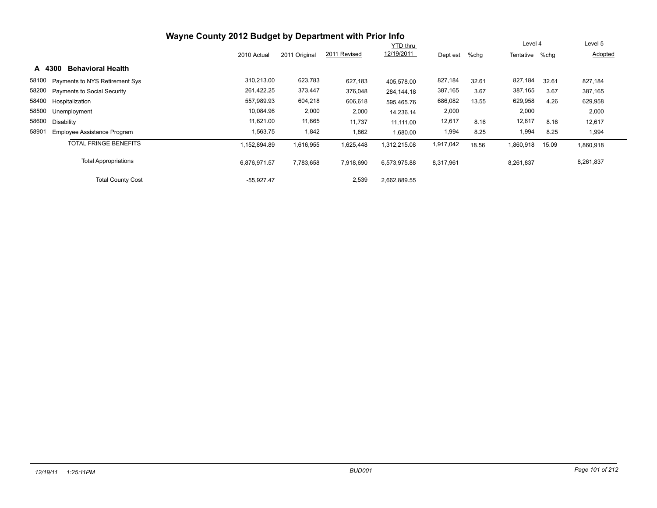|                                      | Wayne County 2012 Budget by Department with Prior Info |               |              |                 |           |       |                |       |           |
|--------------------------------------|--------------------------------------------------------|---------------|--------------|-----------------|-----------|-------|----------------|-------|-----------|
|                                      |                                                        |               |              | <b>YTD thru</b> |           |       | Level 4        |       | Level 5   |
|                                      | 2010 Actual                                            | 2011 Original | 2011 Revised | 12/19/2011      | Dept est  | %chg  | Tentative %chq |       | Adopted   |
| <b>Behavioral Health</b><br>A 4300   |                                                        |               |              |                 |           |       |                |       |           |
| 58100 Payments to NYS Retirement Sys | 310,213.00                                             | 623,783       | 627,183      | 405.578.00      | 827,184   | 32.61 | 827,184        | 32.61 | 827,184   |
| 58200 Payments to Social Security    | 261,422.25                                             | 373,447       | 376,048      | 284,144.18      | 387,165   | 3.67  | 387,165        | 3.67  | 387,165   |
| 58400 Hospitalization                | 557,989.93                                             | 604,218       | 606,618      | 595,465.76      | 686,082   | 13.55 | 629,958        | 4.26  | 629,958   |
| 58500<br>Unemployment                | 10,084.96                                              | 2,000         | 2,000        | 14,236.14       | 2,000     |       | 2,000          |       | 2,000     |
| 58600<br>Disability                  | 11,621.00                                              | 11,665        | 11,737       | 11.111.00       | 12,617    | 8.16  | 12,617         | 8.16  | 12,617    |
| 58901<br>Employee Assistance Program | 1,563.75                                               | 1,842         | 1,862        | 1,680.00        | 1,994     | 8.25  | 1,994          | 8.25  | 1,994     |
| <b>TOTAL FRINGE BENEFITS</b>         | 1,152,894.89                                           | 1,616,955     | 1,625,448    | 1,312,215.08    | 1,917,042 | 18.56 | 1,860,918      | 15.09 | 1,860,918 |
| <b>Total Appropriations</b>          | 6,876,971.57                                           | 7,783,658     | 7,918,690    | 6,573,975.88    | 8,317,961 |       | 8,261,837      |       | 8,261,837 |
| <b>Total County Cost</b>             | $-55,927.47$                                           |               | 2,539        | 2,662,889.55    |           |       |                |       |           |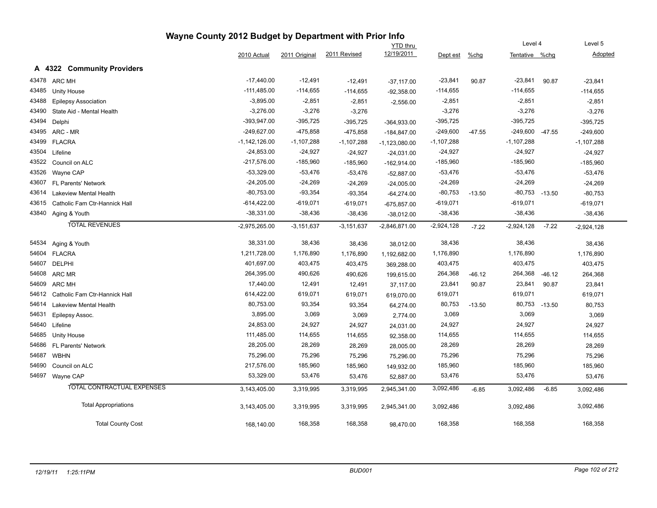|       |                               |                 |                |                | <b>YTD</b> thru |              | Level 4  |                    |          | Level 5      |
|-------|-------------------------------|-----------------|----------------|----------------|-----------------|--------------|----------|--------------------|----------|--------------|
|       |                               | 2010 Actual     | 2011 Original  | 2011 Revised   | 12/19/2011      | Dept est     | $%$ chg  | Tentative %chg     |          | Adopted      |
|       | A 4322 Community Providers    |                 |                |                |                 |              |          |                    |          |              |
| 43478 | <b>ARC MH</b>                 | $-17,440.00$    | $-12,491$      | $-12,491$      | $-37,117.00$    | $-23,841$    | 90.87    | $-23,841$          | 90.87    | $-23,841$    |
| 43485 | Unity House                   | $-111,485.00$   | $-114,655$     | $-114,655$     | $-92,358.00$    | $-114,655$   |          | $-114,655$         |          | $-114,655$   |
| 43488 | <b>Epilepsy Association</b>   | $-3,895.00$     | $-2,851$       | $-2,851$       | $-2,556.00$     | $-2,851$     |          | $-2,851$           |          | $-2,851$     |
| 43490 | State Aid - Mental Health     | $-3,276.00$     | $-3,276$       | $-3,276$       |                 | $-3,276$     |          | $-3,276$           |          | $-3,276$     |
| 43494 | Delphi                        | -393,947.00     | $-395,725$     | $-395,725$     | $-364,933.00$   | $-395,725$   |          | $-395,725$         |          | $-395,725$   |
| 43495 | ARC - MR                      | $-249,627.00$   | $-475,858$     | $-475,858$     | $-184,847.00$   | $-249,600$   | $-47.55$ | $-249,600$         | $-47.55$ | $-249,600$   |
| 43499 | <b>FLACRA</b>                 | $-1,142,126.00$ | $-1,107,288$   | -1,107,288     | $-1,123,080.00$ | $-1,107,288$ |          | $-1,107,288$       |          | $-1,107,288$ |
| 43504 | Lifeline                      | $-24,853.00$    | $-24,927$      | $-24,927$      | $-24,031.00$    | $-24,927$    |          | $-24,927$          |          | $-24,927$    |
| 43522 | Council on ALC                | $-217,576.00$   | $-185,960$     | $-185,960$     | $-162,914.00$   | $-185,960$   |          | -185,960           |          | $-185,960$   |
| 43526 | Wayne CAP                     | $-53,329.00$    | $-53,476$      | $-53,476$      | $-52,887.00$    | $-53,476$    |          | $-53,476$          |          | $-53,476$    |
| 43607 | FL Parents' Network           | $-24,205.00$    | $-24,269$      | $-24,269$      | $-24,005.00$    | $-24,269$    |          | $-24,269$          |          | $-24,269$    |
| 43614 | <b>Lakeview Mental Health</b> | $-80,753.00$    | $-93,354$      | $-93,354$      | $-64,274.00$    | $-80,753$    | $-13.50$ | $-80,753$ $-13.50$ |          | $-80,753$    |
| 43615 | Catholic Fam Ctr-Hannick Hall | -614,422.00     | $-619,071$     | $-619,071$     | $-675,857.00$   | $-619,071$   |          | $-619,071$         |          | $-619,071$   |
| 43840 | Aging & Youth                 | $-38,331.00$    | $-38,436$      | $-38,436$      | $-38,012.00$    | $-38,436$    |          | $-38,436$          |          | $-38,436$    |
|       | <b>TOTAL REVENUES</b>         | $-2,975,265.00$ | $-3, 151, 637$ | $-3, 151, 637$ | $-2,846,871.00$ | $-2,924,128$ | $-7.22$  | $-2,924,128$       | $-7.22$  | $-2,924,128$ |
| 54534 | Aging & Youth                 | 38,331.00       | 38,436         | 38,436         | 38,012.00       | 38,436       |          | 38,436             |          | 38,436       |
| 54604 | <b>FLACRA</b>                 | 1,211,728.00    | 1,176,890      | 1,176,890      | 1,192,682.00    | 1,176,890    |          | 1,176,890          |          | 1,176,890    |
| 54607 | <b>DELPHI</b>                 | 401,697.00      | 403,475        | 403,475        | 369,288.00      | 403,475      |          | 403,475            |          | 403,475      |
| 54608 | ARC MR                        | 264,395.00      | 490,626        | 490,626        | 199,615.00      | 264,368      | $-46.12$ | 264,368            | $-46.12$ | 264,368      |
| 54609 | <b>ARC MH</b>                 | 17,440.00       | 12,491         | 12,491         | 37,117.00       | 23,841       | 90.87    | 23,841             | 90.87    | 23,841       |
| 54612 | Catholic Fam Ctr-Hannick Hall | 614,422.00      | 619,071        | 619,071        | 619,070.00      | 619,071      |          | 619,071            |          | 619,071      |
| 54614 | <b>Lakeview Mental Health</b> | 80,753.00       | 93,354         | 93,354         | 64,274.00       | 80,753       | $-13.50$ | 80,753             | $-13.50$ | 80,753       |
| 54631 | Epilepsy Assoc.               | 3,895.00        | 3,069          | 3,069          | 2,774.00        | 3,069        |          | 3,069              |          | 3,069        |
| 54640 | Lifeline                      | 24,853.00       | 24,927         | 24,927         | 24,031.00       | 24,927       |          | 24,927             |          | 24,927       |
| 54685 | Unity House                   | 111,485.00      | 114,655        | 114,655        | 92,358.00       | 114,655      |          | 114,655            |          | 114,655      |
| 54686 | FL Parents' Network           | 28,205.00       | 28,269         | 28,269         | 28,005.00       | 28,269       |          | 28,269             |          | 28,269       |
| 54687 | <b>WBHN</b>                   | 75,296.00       | 75,296         | 75,296         | 75,296.00       | 75,296       |          | 75,296             |          | 75,296       |
| 54690 | Council on ALC                | 217,576.00      | 185,960        | 185,960        | 149,932.00      | 185,960      |          | 185,960            |          | 185,960      |
| 54697 | Wayne CAP                     | 53,329.00       | 53,476         | 53,476         | 52,887.00       | 53,476       |          | 53,476             |          | 53,476       |
|       | TOTAL CONTRACTUAL EXPENSES    | 3,143,405.00    | 3,319,995      | 3,319,995      | 2,945,341.00    | 3,092,486    | $-6.85$  | 3,092,486          | $-6.85$  | 3,092,486    |
|       | <b>Total Appropriations</b>   | 3,143,405.00    | 3,319,995      | 3,319,995      | 2,945,341.00    | 3,092,486    |          | 3,092,486          |          | 3,092,486    |
|       | <b>Total County Cost</b>      | 168,140.00      | 168,358        | 168,358        | 98,470.00       | 168,358      |          | 168,358            |          | 168,358      |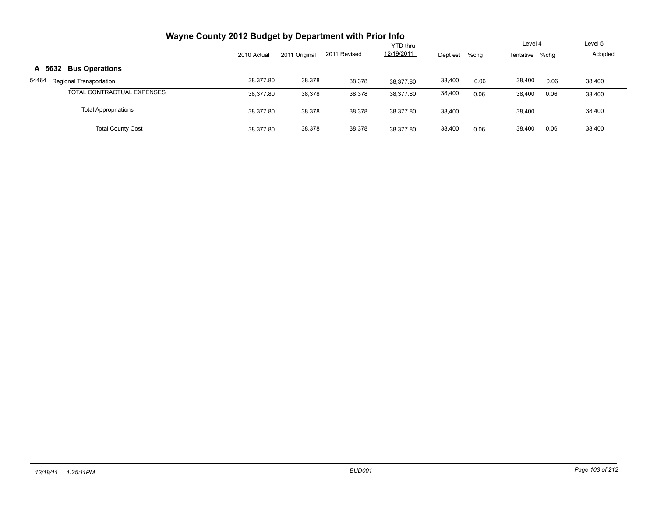| Wayne County 2012 Budget by Department with Prior Info |             |               |              |                 |          |      |                |                |
|--------------------------------------------------------|-------------|---------------|--------------|-----------------|----------|------|----------------|----------------|
|                                                        |             |               |              | <b>YTD thru</b> |          |      | Level 4        | Level 5        |
|                                                        | 2010 Actual | 2011 Original | 2011 Revised | 12/19/2011      | Dept est | %chg | Tentative %chg | <b>Adopted</b> |
| <b>Bus Operations</b><br>A 5632                        |             |               |              |                 |          |      |                |                |
| 54464<br>Regional Transportation                       | 38,377.80   | 38,378        | 38,378       | 38.377.80       | 38,400   | 0.06 | 38,400<br>0.06 | 38,400         |
| TOTAL CONTRACTUAL EXPENSES                             | 38,377.80   | 38,378        | 38,378       | 38,377.80       | 38,400   | 0.06 | 38,400<br>0.06 | 38,400         |
| <b>Total Appropriations</b>                            | 38,377.80   | 38,378        | 38,378       | 38,377.80       | 38,400   |      | 38,400         | 38,400         |
| <b>Total County Cost</b>                               | 38.377.80   | 38,378        | 38,378       | 38.377.80       | 38,400   | 0.06 | 38,400<br>0.06 | 38,400         |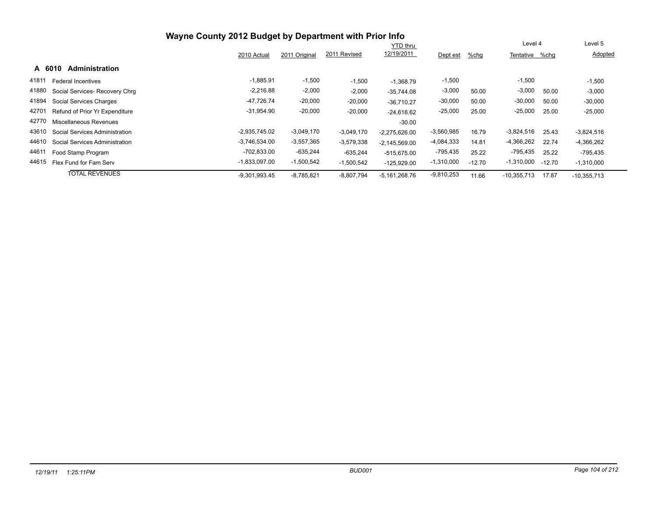|                                         | Wayne County 2012 Budget by Department with Prior Info |               |              | <b>YTD thru</b> |              |          | Level 4        |          | Level 5       |  |
|-----------------------------------------|--------------------------------------------------------|---------------|--------------|-----------------|--------------|----------|----------------|----------|---------------|--|
|                                         | 2010 Actual                                            | 2011 Original | 2011 Revised | 12/19/2011      | Dept est     | %chg     | Tentative %chq |          | Adopted       |  |
| A 6010<br><b>Administration</b>         |                                                        |               |              |                 |              |          |                |          |               |  |
| 41811<br><b>Federal Incentives</b>      | $-1.885.91$                                            | $-1,500$      | $-1,500$     | $-1.368.79$     | $-1,500$     |          | $-1,500$       |          | $-1,500$      |  |
| 41880<br>Social Services- Recovery Chrq | $-2,216.88$                                            | $-2,000$      | $-2,000$     | $-35,744.08$    | $-3,000$     | 50.00    | $-3,000$       | 50.00    | $-3,000$      |  |
| 41894<br>Social Services Charges        | $-47,726.74$                                           | $-20,000$     | $-20,000$    | $-36.710.27$    | $-30,000$    | 50.00    | $-30,000$      | 50.00    | $-30,000$     |  |
| 42701<br>Refund of Prior Yr Expenditure | $-31,954.90$                                           | $-20,000$     | $-20,000$    | $-24,616.62$    | $-25,000$    | 25.00    | $-25,000$      | 25.00    | $-25,000$     |  |
| 42770<br>Miscellaneous Revenues         |                                                        |               |              | $-30.00$        |              |          |                |          |               |  |
| 43610<br>Social Services Administration | $-2.935.745.02$                                        | $-3,049,170$  | $-3,049,170$ | $-2,275,626.00$ | $-3,560,985$ | 16.79    | $-3,824,516$   | 25.43    | $-3,824,516$  |  |
| 44610<br>Social Services Administration | $-3,746,534.00$                                        | $-3,557,365$  | $-3,579,338$ | $-2.145.569.00$ | $-4,084,333$ | 14.81    | $-4,366,262$   | 22.74    | -4,366,262    |  |
| 44611<br>Food Stamp Program             | $-702,833.00$                                          | $-635,244$    | $-635,244$   | $-515,675.00$   | $-795,435$   | 25.22    | $-795,435$     | 25.22    | -795,435      |  |
| 44615<br>Flex Fund for Fam Serv         | $-1.833.097.00$                                        | $-1,500,542$  | $-1,500,542$ | $-125,929.00$   | $-1,310,000$ | $-12.70$ | $-1,310,000$   | $-12.70$ | $-1,310,000$  |  |
| <b>TOTAL REVENUES</b>                   | $-9,301,993.45$                                        | $-8,785,821$  | $-8,807,794$ | $-5,161,268.76$ | $-9,810,253$ | 11.66    | $-10,355,713$  | 17.87    | $-10,355,713$ |  |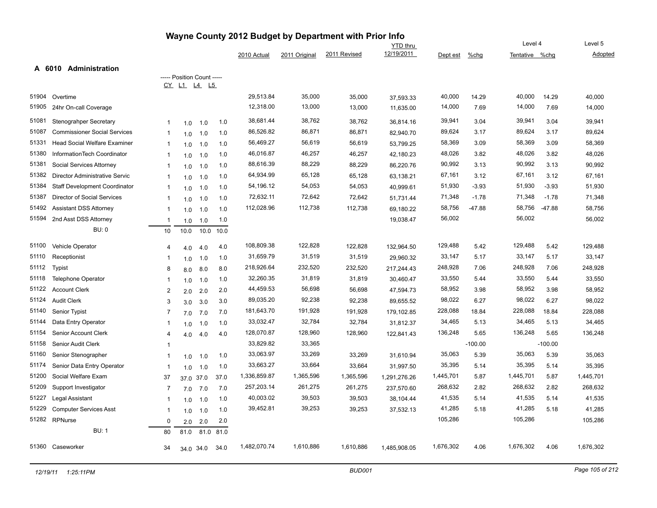|       |                                     |                         |                            |      |      |              |               | Wayne County 2012 Budget by Department with Prior Info |                 |           |           |                |           |           |
|-------|-------------------------------------|-------------------------|----------------------------|------|------|--------------|---------------|--------------------------------------------------------|-----------------|-----------|-----------|----------------|-----------|-----------|
|       |                                     |                         |                            |      |      |              |               |                                                        | <b>YTD thru</b> |           |           | Level 4        |           | Level 5   |
|       |                                     |                         |                            |      |      | 2010 Actual  | 2011 Original | 2011 Revised                                           | 12/19/2011      | Dept est  | $%$ chg   | Tentative %chq |           | Adopted   |
|       | A 6010<br><b>Administration</b>     |                         |                            |      |      |              |               |                                                        |                 |           |           |                |           |           |
|       |                                     |                         | ----- Position Count ----- |      |      |              |               |                                                        |                 |           |           |                |           |           |
|       |                                     | CY .                    | $L1$ $L4$ $L5$             |      |      |              |               |                                                        |                 |           |           |                |           |           |
| 51904 | Overtime                            |                         |                            |      |      | 29,513.84    | 35,000        | 35,000                                                 | 37,593.33       | 40,000    | 14.29     | 40,000         | 14.29     | 40,000    |
| 51905 | 24hr On-call Coverage               |                         |                            |      |      | 12,318.00    | 13,000        | 13,000                                                 | 11,635.00       | 14,000    | 7.69      | 14,000         | 7.69      | 14,000    |
| 51081 | Stenograhper Secretary              |                         | 1.0                        | 1.0  | 1.0  | 38,681.44    | 38,762        | 38,762                                                 | 36,814.16       | 39,941    | 3.04      | 39,941         | 3.04      | 39,941    |
| 51087 | <b>Commissioner Social Services</b> | -1                      | 1.0                        | 1.0  | 1.0  | 86,526.82    | 86,871        | 86,871                                                 | 82,940.70       | 89,624    | 3.17      | 89,624         | 3.17      | 89,624    |
| 51331 | Head Social Welfare Examiner        | $\mathbf{1}$            | 1.0                        | 1.0  | 1.0  | 56,469.27    | 56,619        | 56,619                                                 | 53,799.25       | 58,369    | 3.09      | 58,369         | 3.09      | 58,369    |
| 51380 | InformationTech Coordinator         | -1                      | 1.0                        | 1.0  | 1.0  | 46,016.87    | 46,257        | 46,257                                                 | 42,180.23       | 48,026    | 3.82      | 48,026         | 3.82      | 48,026    |
| 51381 | Social Services Attorney            | -1                      | 1.0                        | 1.0  | 1.0  | 88,616.39    | 88,229        | 88,229                                                 | 86,220.76       | 90,992    | 3.13      | 90,992         | 3.13      | 90,992    |
| 51382 | Director Administrative Servic      | -1                      | 1.0                        | 1.0  | 1.0  | 64,934.99    | 65,128        | 65,128                                                 | 63,138.21       | 67,161    | 3.12      | 67,161         | 3.12      | 67,161    |
| 51384 | Staff Development Coordinator       |                         | 1.0                        | 1.0  | 1.0  | 54,196.12    | 54,053        | 54,053                                                 | 40,999.61       | 51,930    | $-3.93$   | 51,930         | $-3.93$   | 51,930    |
| 51387 | Director of Social Services         |                         | 1.0                        | 1.0  | 1.0  | 72,632.11    | 72,642        | 72,642                                                 | 51,731.44       | 71,348    | $-1.78$   | 71,348         | $-1.78$   | 71,348    |
| 51492 | <b>Assistant DSS Attorney</b>       | -1                      | 1.0                        | 1.0  | 1.0  | 112,028.96   | 112,738       | 112,738                                                | 69,180.22       | 58,756    | $-47.88$  | 58,756         | $-47.88$  | 58,756    |
| 51594 | 2nd Asst DSS Attorney               | -1                      | 1.0                        | 1.0  | 1.0  |              |               |                                                        | 19,038.47       | 56,002    |           | 56,002         |           | 56,002    |
|       | <b>BU: 0</b>                        | 10                      | 10.0                       | 10.0 | 10.0 |              |               |                                                        |                 |           |           |                |           |           |
| 51100 | Vehicle Operator                    | 4                       | 4.0                        | 4.0  | 4.0  | 108,809.38   | 122,828       | 122,828                                                | 132,964.50      | 129,488   | 5.42      | 129,488        | 5.42      | 129,488   |
| 51110 | Receptionist                        |                         | 1.0                        | 1.0  | 1.0  | 31,659.79    | 31,519        | 31,519                                                 | 29,960.32       | 33,147    | 5.17      | 33,147         | 5.17      | 33,147    |
| 51112 | <b>Typist</b>                       | 8                       | 8.0                        | 8.0  | 8.0  | 218,926.64   | 232,520       | 232,520                                                | 217,244.43      | 248,928   | 7.06      | 248,928        | 7.06      | 248,928   |
| 51118 | Telephone Operator                  | -1                      | 1.0                        | 1.0  | 1.0  | 32,260.35    | 31,819        | 31,819                                                 | 30,460.47       | 33,550    | 5.44      | 33,550         | 5.44      | 33,550    |
| 51122 | <b>Account Clerk</b>                | $\overline{2}$          | 2.0                        | 2.0  | 2.0  | 44,459.53    | 56,698        | 56,698                                                 | 47,594.73       | 58,952    | 3.98      | 58,952         | 3.98      | 58,952    |
| 51124 | <b>Audit Clerk</b>                  | 3                       | 3.0                        | 3.0  | 3.0  | 89,035.20    | 92,238        | 92,238                                                 | 89,655.52       | 98,022    | 6.27      | 98,022         | 6.27      | 98,022    |
| 51140 | <b>Senior Typist</b>                | 7                       | 7.0                        | 7.0  | 7.0  | 181,643.70   | 191,928       | 191,928                                                | 179,102.85      | 228,088   | 18.84     | 228,088        | 18.84     | 228,088   |
| 51144 | Data Entry Operator                 |                         | 1.0                        | 1.0  | 1.0  | 33,032.47    | 32,784        | 32,784                                                 | 31,812.37       | 34,465    | 5.13      | 34,465         | 5.13      | 34,465    |
| 51154 | Senior Account Clerk                | 4                       | 4.0                        | 4.0  | 4.0  | 128,070.87   | 128,960       | 128,960                                                | 122,841.43      | 136,248   | 5.65      | 136,248        | 5.65      | 136,248   |
| 51158 | Senior Audit Clerk                  | -1                      |                            |      |      | 33,829.82    | 33,365        |                                                        |                 |           | $-100.00$ |                | $-100.00$ |           |
| 51160 | Senior Stenographer                 |                         | 1.0                        | 1.0  | 1.0  | 33,063.97    | 33,269        | 33,269                                                 | 31,610.94       | 35,063    | 5.39      | 35,063         | 5.39      | 35,063    |
| 51174 | Senior Data Entry Operator          | -1                      | 1.0                        | 1.0  | 1.0  | 33,663.27    | 33,664        | 33,664                                                 | 31,997.50       | 35,395    | 5.14      | 35,395         | 5.14      | 35,395    |
| 51200 | Social Welfare Exam                 | 37                      | 37.0 37.0                  |      | 37.0 | 1,336,859.87 | 1,365,596     | 1,365,596                                              | 1,291,276.26    | 1,445,701 | 5.87      | 1,445,701      | 5.87      | 1,445,701 |
| 51209 | Support Investigator                | $\overline{7}$          | 7.0                        | 7.0  | 7.0  | 257,203.14   | 261,275       | 261,275                                                | 237,570.60      | 268,632   | 2.82      | 268,632        | 2.82      | 268,632   |
| 51227 | Legal Assistant                     | $\overline{\mathbf{1}}$ | 1.0                        | 1.0  | 1.0  | 40,003.02    | 39,503        | 39,503                                                 | 38,104.44       | 41,535    | 5.14      | 41,535         | 5.14      | 41,535    |
| 51229 | <b>Computer Services Asst</b>       | -1                      | 1.0                        | 1.0  | 1.0  | 39,452.81    | 39,253        | 39,253                                                 | 37,532.13       | 41,285    | 5.18      | 41,285         | 5.18      | 41,285    |
|       | 51282 RPNurse                       | $\Omega$                | 2.0                        | 2.0  | 2.0  |              |               |                                                        |                 | 105,286   |           | 105,286        |           | 105,286   |
|       | <b>BU: 1</b>                        | 80                      | 81.0                       | 81.0 | 81.0 |              |               |                                                        |                 |           |           |                |           |           |
| 51360 | Caseworker                          | 34                      | 34.0 34.0                  |      | 34.0 | 1,482,070.74 | 1,610,886     | 1,610,886                                              | 1,485,908.05    | 1,676,302 | 4.06      | 1,676,302      | 4.06      | 1,676,302 |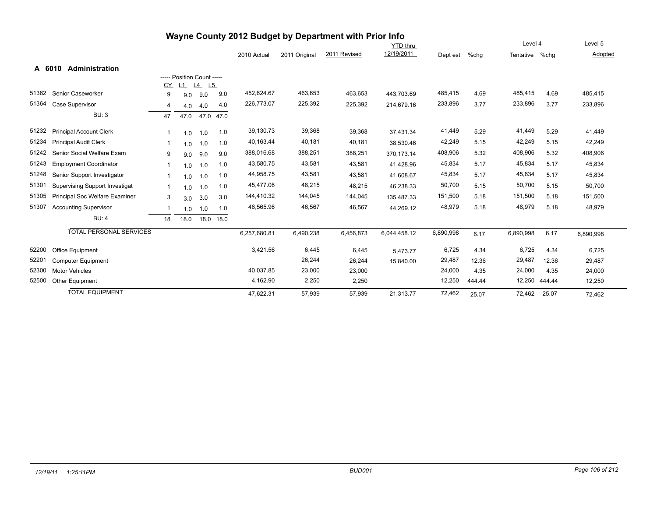|       | Wayne County 2012 Budget by Department with Prior Info |             |                            |                     |      |              |               |              |                 |           |        |                |        |           |
|-------|--------------------------------------------------------|-------------|----------------------------|---------------------|------|--------------|---------------|--------------|-----------------|-----------|--------|----------------|--------|-----------|
|       |                                                        |             |                            |                     |      |              |               |              | <b>YTD thru</b> |           |        | Level 4        |        | Level 5   |
|       |                                                        |             |                            |                     |      | 2010 Actual  | 2011 Original | 2011 Revised | 12/19/2011      | Dept est  | %chq   | Tentative %chq |        | Adopted   |
|       | A 6010<br><b>Administration</b>                        |             |                            |                     |      |              |               |              |                 |           |        |                |        |           |
|       |                                                        |             | ----- Position Count ----- |                     |      |              |               |              |                 |           |        |                |        |           |
|       |                                                        | CY          | L1                         | $L4$ L <sub>5</sub> |      |              |               |              |                 |           |        |                |        |           |
| 51362 | Senior Caseworker                                      | 9           | 9.0                        | 9.0                 | 9.0  | 452,624.67   | 463,653       | 463,653      | 443,703.69      | 485,415   | 4.69   | 485,415        | 4.69   | 485,415   |
| 51364 | Case Supervisor                                        | 4           | 4.0                        | 4.0                 | 4.0  | 226,773.07   | 225,392       | 225,392      | 214.679.16      | 233,896   | 3.77   | 233,896        | 3.77   | 233,896   |
|       | <b>BU: 3</b>                                           | 47          | 47.0                       | 47.0                | 47.0 |              |               |              |                 |           |        |                |        |           |
| 51232 | <b>Principal Account Clerk</b>                         | 1           | 1.0                        | 1.0                 | 1.0  | 39,130.73    | 39,368        | 39,368       | 37,431.34       | 41,449    | 5.29   | 41,449         | 5.29   | 41,449    |
| 51234 | <b>Principal Audit Clerk</b>                           | 1           | 1.0                        | 1.0                 | 1.0  | 40,163.44    | 40,181        | 40,181       | 38,530.46       | 42,249    | 5.15   | 42,249         | 5.15   | 42,249    |
| 51242 | Senior Social Welfare Exam                             | 9           | 9.0                        | 9.0                 | 9.0  | 388,016.68   | 388,251       | 388,251      | 370,173.14      | 408,906   | 5.32   | 408,906        | 5.32   | 408,906   |
| 51243 | <b>Employment Coordinator</b>                          | 1           | 1.0                        | 1.0                 | 1.0  | 43,580.75    | 43,581        | 43,581       | 41,428.96       | 45,834    | 5.17   | 45,834         | 5.17   | 45,834    |
| 51248 | Senior Support Investigator                            | $\mathbf 1$ | 1.0                        | 1.0                 | 1.0  | 44,958.75    | 43,581        | 43,581       | 41,608.67       | 45,834    | 5.17   | 45,834         | 5.17   | 45,834    |
| 51301 | <b>Supervising Support Investigat</b>                  | $\mathbf 1$ | 1.0                        | 1.0                 | 1.0  | 45,477.06    | 48,215        | 48,215       | 46,238.33       | 50,700    | 5.15   | 50,700         | 5.15   | 50,700    |
| 51305 | Principal Soc Welfare Examiner                         | 3           | 3.0                        | 3.0                 | 3.0  | 144,410.32   | 144,045       | 144,045      | 135,487.33      | 151,500   | 5.18   | 151,500        | 5.18   | 151,500   |
| 51307 | <b>Accounting Supervisor</b>                           | 1           | 1.0                        | 1.0                 | 1.0  | 46,565.96    | 46,567        | 46,567       | 44,269.12       | 48,979    | 5.18   | 48,979         | 5.18   | 48,979    |
|       | <b>BU: 4</b>                                           | 18          | 18.0                       | 18.0                | 18.0 |              |               |              |                 |           |        |                |        |           |
|       | <b>TOTAL PERSONAL SERVICES</b>                         |             |                            |                     |      | 6,257,680.81 | 6,490,238     | 6,456,873    | 6,044,458.12    | 6,890,998 | 6.17   | 6,890,998      | 6.17   | 6,890,998 |
| 52200 | Office Equipment                                       |             |                            |                     |      | 3,421.56     | 6,445         | 6,445        | 5,473.77        | 6,725     | 4.34   | 6,725          | 4.34   | 6,725     |
| 52201 | <b>Computer Equipment</b>                              |             |                            |                     |      |              | 26,244        | 26,244       | 15,840.00       | 29,487    | 12.36  | 29,487         | 12.36  | 29,487    |
| 52300 | <b>Motor Vehicles</b>                                  |             |                            |                     |      | 40,037.85    | 23,000        | 23,000       |                 | 24,000    | 4.35   | 24,000         | 4.35   | 24,000    |
| 52500 | <b>Other Equipment</b>                                 |             |                            |                     |      | 4,162.90     | 2,250         | 2,250        |                 | 12,250    | 444.44 | 12,250         | 444.44 | 12,250    |
|       | <b>TOTAL EQUIPMENT</b>                                 |             |                            |                     |      | 47,622.31    | 57,939        | 57,939       | 21,313.77       | 72,462    | 25.07  | 72,462         | 25.07  | 72,462    |

#### *12/19/11 1:25:11PM BUD001 Page 106 of 212*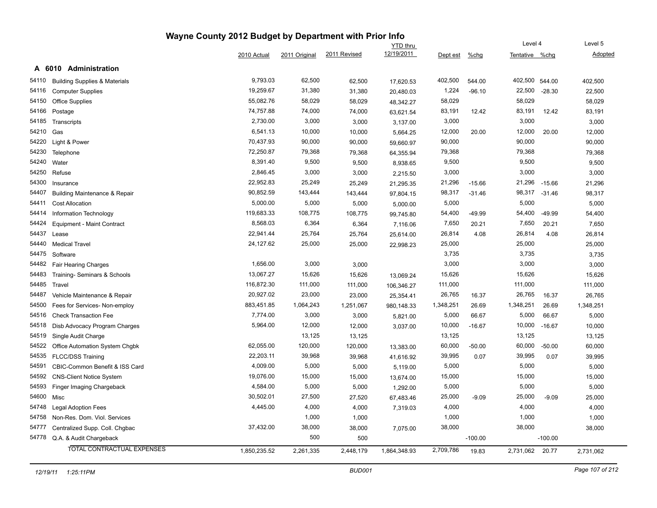|       |                                          | Wayne County 2012 Budget by Department with Prior Info |               |              |                 |           |           |                |           |           |
|-------|------------------------------------------|--------------------------------------------------------|---------------|--------------|-----------------|-----------|-----------|----------------|-----------|-----------|
|       |                                          |                                                        |               |              | <b>YTD thru</b> |           |           | Level 4        |           | Level 5   |
|       |                                          | 2010 Actual                                            | 2011 Original | 2011 Revised | 12/19/2011      | Dept est  | $%$ chg   | Tentative %chg |           | Adopted   |
|       | A 6010 Administration                    |                                                        |               |              |                 |           |           |                |           |           |
| 54110 | <b>Building Supplies &amp; Materials</b> | 9,793.03                                               | 62,500        | 62,500       | 17,620.53       | 402,500   | 544.00    | 402,500        | 544.00    | 402,500   |
| 54116 | <b>Computer Supplies</b>                 | 19,259.67                                              | 31,380        | 31,380       | 20,480.03       | 1,224     | $-96.10$  | 22,500         | $-28.30$  | 22,500    |
| 54150 | Office Supplies                          | 55,082.76                                              | 58,029        | 58,029       | 48,342.27       | 58,029    |           | 58,029         |           | 58,029    |
| 54166 | Postage                                  | 74,757.88                                              | 74,000        | 74,000       | 63,621.54       | 83,191    | 12.42     | 83,191         | 12.42     | 83,191    |
| 54185 | Transcripts                              | 2,730.00                                               | 3,000         | 3,000        | 3,137.00        | 3,000     |           | 3,000          |           | 3,000     |
| 54210 | Gas                                      | 6,541.13                                               | 10,000        | 10,000       | 5,664.25        | 12,000    | 20.00     | 12,000         | 20.00     | 12,000    |
| 54220 | Light & Power                            | 70,437.93                                              | 90,000        | 90,000       | 59,660.97       | 90,000    |           | 90,000         |           | 90,000    |
| 54230 | Telephone                                | 72,250.87                                              | 79,368        | 79,368       | 64,355.94       | 79,368    |           | 79,368         |           | 79,368    |
| 54240 | Water                                    | 8,391.40                                               | 9,500         | 9,500        | 8,938.65        | 9,500     |           | 9,500          |           | 9,500     |
| 54250 | Refuse                                   | 2,846.45                                               | 3,000         | 3,000        | 2,215.50        | 3,000     |           | 3,000          |           | 3,000     |
| 54300 | Insurance                                | 22,952.83                                              | 25,249        | 25,249       | 21,295.35       | 21,296    | $-15.66$  | 21,296         | $-15.66$  | 21,296    |
| 54407 | <b>Building Maintenance &amp; Repair</b> | 90,852.59                                              | 143,444       | 143,444      | 97,804.15       | 98,317    | $-31.46$  | 98,317         | $-31.46$  | 98,317    |
| 54411 | <b>Cost Allocation</b>                   | 5,000.00                                               | 5,000         | 5,000        | 5,000.00        | 5,000     |           | 5,000          |           | 5,000     |
| 54414 | Information Technology                   | 119,683.33                                             | 108,775       | 108,775      | 99,745.80       | 54,400    | $-49.99$  | 54,400         | $-49.99$  | 54,400    |
| 54424 | Equipment - Maint Contract               | 8,568.03                                               | 6,364         | 6,364        | 7,116.06        | 7,650     | 20.21     | 7,650          | 20.21     | 7,650     |
| 54437 | Lease                                    | 22,941.44                                              | 25,764        | 25,764       | 25,614.00       | 26,814    | 4.08      | 26,814         | 4.08      | 26,814    |
| 54440 | <b>Medical Travel</b>                    | 24,127.62                                              | 25,000        | 25,000       | 22,998.23       | 25,000    |           | 25,000         |           | 25,000    |
| 54475 | Software                                 |                                                        |               |              |                 | 3,735     |           | 3,735          |           | 3,735     |
| 54482 | Fair Hearing Charges                     | 1,656.00                                               | 3,000         | 3,000        |                 | 3,000     |           | 3,000          |           | 3,000     |
| 54483 | Training- Seminars & Schools             | 13,067.27                                              | 15,626        | 15,626       | 13,069.24       | 15,626    |           | 15,626         |           | 15,626    |
| 54485 | Travel                                   | 116,872.30                                             | 111,000       | 111,000      | 106,346.27      | 111,000   |           | 111,000        |           | 111,000   |
| 54487 | Vehicle Maintenance & Repair             | 20,927.02                                              | 23,000        | 23,000       | 25,354.41       | 26,765    | 16.37     | 26,765         | 16.37     | 26,765    |
| 54500 | Fees for Services- Non-employ            | 883,451.85                                             | 1,064,243     | 1,251,067    | 980,148.33      | 1,348,251 | 26.69     | 1,348,251      | 26.69     | 1,348,251 |
| 54516 | <b>Check Transaction Fee</b>             | 7,774.00                                               | 3,000         | 3,000        | 5,821.00        | 5,000     | 66.67     | 5,000          | 66.67     | 5,000     |
| 54518 | Disb Advocacy Program Charges            | 5,964.00                                               | 12,000        | 12,000       | 3,037.00        | 10,000    | $-16.67$  | 10,000         | $-16.67$  | 10,000    |
| 54519 | Single Audit Charge                      |                                                        | 13,125        | 13,125       |                 | 13,125    |           | 13,125         |           | 13,125    |
| 54522 | Office Automation System Chgbk           | 62,055.00                                              | 120,000       | 120,000      | 13,383.00       | 60,000    | $-50.00$  | 60,000         | $-50.00$  | 60,000    |
| 54535 | <b>FLCC/DSS Training</b>                 | 22,203.11                                              | 39,968        | 39,968       | 41,616.92       | 39,995    | 0.07      | 39,995         | 0.07      | 39,995    |
| 54591 | CBIC-Common Benefit & ISS Card           | 4,009.00                                               | 5,000         | 5,000        | 5,119.00        | 5,000     |           | 5,000          |           | 5,000     |
| 54592 | <b>CNS-Client Notice System</b>          | 19,076.00                                              | 15,000        | 15,000       | 13,674.00       | 15,000    |           | 15,000         |           | 15,000    |
| 54593 | Finger Imaging Chargeback                | 4,584.00                                               | 5,000         | 5,000        | 1,292.00        | 5,000     |           | 5,000          |           | 5,000     |
| 54600 | Misc                                     | 30,502.01                                              | 27,500        | 27,520       | 67,483.46       | 25,000    | $-9.09$   | 25,000         | $-9.09$   | 25,000    |
| 54748 | <b>Legal Adoption Fees</b>               | 4,445.00                                               | 4,000         | 4,000        | 7,319.03        | 4,000     |           | 4,000          |           | 4,000     |
| 54758 | Non-Res. Dom. Viol. Services             |                                                        | 1,000         | 1,000        |                 | 1,000     |           | 1,000          |           | 1,000     |
| 54777 | Centralized Supp. Coll. Chgbac           | 37,432.00                                              | 38,000        | 38,000       | 7,075.00        | 38,000    |           | 38,000         |           | 38,000    |
| 54778 | Q.A. & Audit Chargeback                  |                                                        | 500           | 500          |                 |           | $-100.00$ |                | $-100.00$ |           |
|       | <b>TOTAL CONTRACTUAL EXPENSES</b>        | 1,850,235.52                                           | 2,261,335     | 2,448,179    | 1,864,348.93    | 2,709,786 | 19.83     | 2,731,062      | 20.77     | 2,731,062 |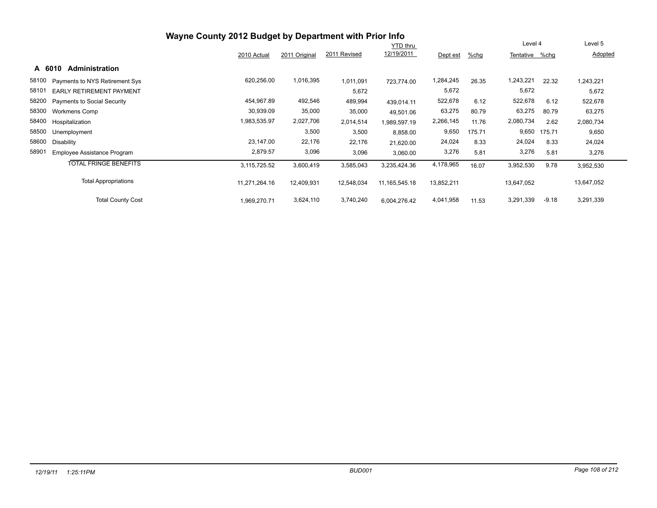|                                             | Wayne County 2012 Budget by Department with Prior Info |               |              |                  |            |        |            |         |            |
|---------------------------------------------|--------------------------------------------------------|---------------|--------------|------------------|------------|--------|------------|---------|------------|
|                                             | <b>YTD</b> thru                                        |               |              |                  |            |        |            |         | Level 5    |
|                                             | 2010 Actual                                            | 2011 Original | 2011 Revised | 12/19/2011       | Dept est   | %chg   | Tentative  | %chg    | Adopted    |
| <b>Administration</b><br>A 6010             |                                                        |               |              |                  |            |        |            |         |            |
| 58100<br>Payments to NYS Retirement Sys     | 620,256.00                                             | 1,016,395     | 1,011,091    | 723,774.00       | 1,284,245  | 26.35  | 1,243,221  | 22.32   | 1,243,221  |
| 58101<br><b>EARLY RETIREMENT PAYMENT</b>    |                                                        |               | 5,672        |                  | 5,672      |        | 5,672      |         | 5,672      |
| 58200<br><b>Payments to Social Security</b> | 454,967.89                                             | 492,546       | 489,994      | 439,014.11       | 522,678    | 6.12   | 522,678    | 6.12    | 522,678    |
| 58300<br><b>Workmens Comp</b>               | 30,939.09                                              | 35,000        | 35,000       | 49,501.06        | 63,275     | 80.79  | 63,275     | 80.79   | 63,275     |
| 58400<br>Hospitalization                    | 1,983,535.97                                           | 2,027,706     | 2,014,514    | 1,989,597.19     | 2,266,145  | 11.76  | 2,080,734  | 2.62    | 2,080,734  |
| 58500<br>Unemployment                       |                                                        | 3,500         | 3,500        | 8,858.00         | 9,650      | 175.71 | 9,650      | 175.71  | 9,650      |
| 58600<br>Disability                         | 23,147.00                                              | 22,176        | 22,176       | 21,620.00        | 24,024     | 8.33   | 24,024     | 8.33    | 24,024     |
| 58901<br>Employee Assistance Program        | 2,879.57                                               | 3,096         | 3,096        | 3,060.00         | 3,276      | 5.81   | 3,276      | 5.81    | 3,276      |
| <b>TOTAL FRINGE BENEFITS</b>                | 3,115,725.52                                           | 3,600,419     | 3,585,043    | 3,235,424.36     | 4,178,965  | 16.07  | 3,952,530  | 9.78    | 3,952,530  |
| <b>Total Appropriations</b>                 | 11,271,264.16                                          | 12,409,931    | 12,548,034   | 11, 165, 545. 18 | 13,852,211 |        | 13,647,052 |         | 13,647,052 |
| <b>Total County Cost</b>                    | 1,969,270.71                                           | 3,624,110     | 3,740,240    | 6,004,276.42     | 4,041,958  | 11.53  | 3,291,339  | $-9.18$ | 3,291,339  |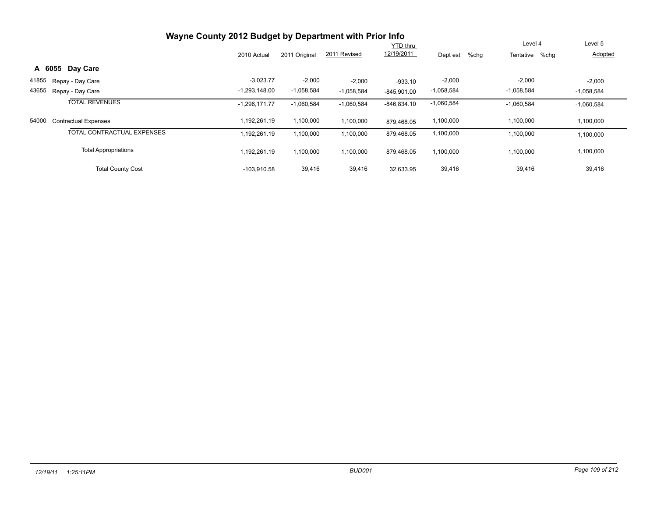|       | Wayne County 2012 Budget by Department with Prior Info |                 |               |              |                 |                  |                   |              |
|-------|--------------------------------------------------------|-----------------|---------------|--------------|-----------------|------------------|-------------------|--------------|
|       |                                                        |                 |               |              | <b>YTD thru</b> |                  | Level 4           | Level 5      |
|       |                                                        | 2010 Actual     | 2011 Original | 2011 Revised | 12/19/2011      | %chg<br>Dept est | Tentative<br>%chq | Adopted      |
|       | A 6055 Day Care                                        |                 |               |              |                 |                  |                   |              |
| 41855 | Repay - Day Care                                       | $-3,023.77$     | $-2,000$      | $-2,000$     | $-933.10$       | $-2,000$         | $-2,000$          | $-2,000$     |
| 43655 | Repay - Day Care                                       | $-1,293,148.00$ | $-1,058,584$  | $-1,058,584$ | $-845.901.00$   | $-1,058,584$     | $-1,058,584$      | $-1,058,584$ |
|       | <b>TOTAL REVENUES</b>                                  | $-1,296,171.77$ | $-1,060,584$  | $-1,060,584$ | $-846,834.10$   | $-1,060,584$     | $-1,060,584$      | $-1,060,584$ |
| 54000 | <b>Contractual Expenses</b>                            | 1.192.261.19    | 1,100,000     | 1,100,000    | 879.468.05      | 1,100,000        | 1,100,000         | 1,100,000    |
|       | <b>TOTAL CONTRACTUAL EXPENSES</b>                      | 1,192,261.19    | 1,100,000     | 1,100,000    | 879,468.05      | 1,100,000        | 1,100,000         | 1,100,000    |
|       | <b>Total Appropriations</b>                            | 1,192,261.19    | 1,100,000     | 1,100,000    | 879,468.05      | 1,100,000        | 1,100,000         | 1,100,000    |
|       | <b>Total County Cost</b>                               | $-103.910.58$   | 39,416        | 39,416       | 32,633.95       | 39,416           | 39,416            | 39,416       |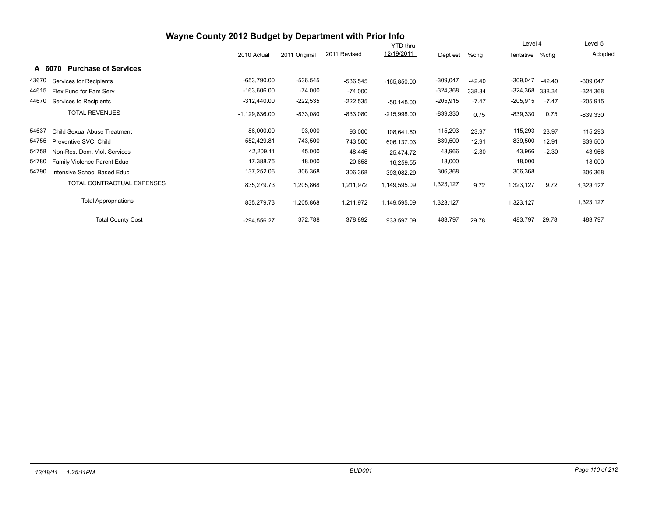|       |                                       | Wayne County 2012 Budget by Department with Prior Info |               |              |                 |            |          |            |          |            |
|-------|---------------------------------------|--------------------------------------------------------|---------------|--------------|-----------------|------------|----------|------------|----------|------------|
|       |                                       |                                                        |               |              | <b>YTD</b> thru |            |          | Level 4    |          | Level 5    |
|       |                                       | 2010 Actual                                            | 2011 Original | 2011 Revised | 12/19/2011      | Dept est   | %chg     | Tentative  | %chg     | Adopted    |
|       | <b>Purchase of Services</b><br>A 6070 |                                                        |               |              |                 |            |          |            |          |            |
| 43670 | Services for Recipients               | $-653,790.00$                                          | $-536,545$    | $-536,545$   | $-165,850.00$   | $-309,047$ | $-42.40$ | $-309,047$ | $-42.40$ | $-309,047$ |
| 44615 | Flex Fund for Fam Serv                | $-163,606.00$                                          | $-74,000$     | $-74,000$    |                 | $-324,368$ | 338.34   | $-324,368$ | 338.34   | $-324,368$ |
| 44670 | Services to Recipients                | $-312,440.00$                                          | $-222,535$    | $-222,535$   | $-50,148.00$    | $-205,915$ | $-7.47$  | $-205,915$ | $-7.47$  | $-205,915$ |
|       | <b>TOTAL REVENUES</b>                 | $-1,129,836.00$                                        | $-833,080$    | $-833,080$   | $-215,998.00$   | $-839,330$ | 0.75     | $-839,330$ | 0.75     | $-839,330$ |
| 54637 | <b>Child Sexual Abuse Treatment</b>   | 86,000.00                                              | 93,000        | 93,000       | 108,641.50      | 115,293    | 23.97    | 115,293    | 23.97    | 115,293    |
| 54755 | Preventive SVC, Child                 | 552,429.81                                             | 743,500       | 743,500      | 606,137.03      | 839,500    | 12.91    | 839,500    | 12.91    | 839,500    |
| 54758 | Non-Res. Dom. Viol. Services          | 42,209.11                                              | 45,000        | 48,446       | 25,474.72       | 43,966     | $-2.30$  | 43,966     | $-2.30$  | 43,966     |
| 54780 | Family Violence Parent Educ           | 17,388.75                                              | 18,000        | 20,658       | 16,259.55       | 18,000     |          | 18,000     |          | 18,000     |
| 54790 | Intensive School Based Educ           | 137,252.06                                             | 306,368       | 306,368      | 393,082.29      | 306,368    |          | 306,368    |          | 306,368    |
|       | TOTAL CONTRACTUAL EXPENSES            | 835,279.73                                             | 1,205,868     | 1,211,972    | 1,149,595.09    | 1,323,127  | 9.72     | 1,323,127  | 9.72     | 1,323,127  |
|       | <b>Total Appropriations</b>           | 835,279.73                                             | 1,205,868     | 1,211,972    | 1,149,595.09    | 1,323,127  |          | 1,323,127  |          | 1,323,127  |
|       | <b>Total County Cost</b>              | $-294,556.27$                                          | 372,788       | 378,892      | 933,597.09      | 483,797    | 29.78    | 483,797    | 29.78    | 483,797    |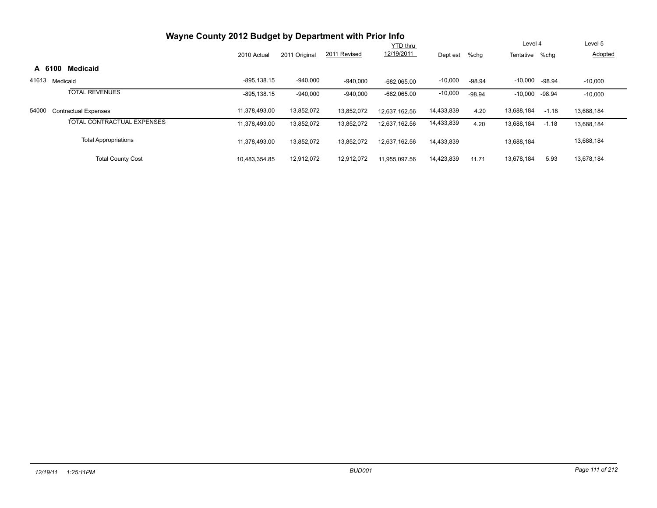| Wayne County 2012 Budget by Department with Prior Info |                 |               | Level 5      |               |            |          |                |          |            |  |
|--------------------------------------------------------|-----------------|---------------|--------------|---------------|------------|----------|----------------|----------|------------|--|
|                                                        | <b>YTD thru</b> |               |              |               |            |          |                |          |            |  |
|                                                        | 2010 Actual     | 2011 Original | 2011 Revised | 12/19/2011    | Dept est   | %chg     | Tentative %chg |          | Adopted    |  |
| <b>Medicaid</b><br>A 6100                              |                 |               |              |               |            |          |                |          |            |  |
| 41613<br>Medicaid                                      | $-895.138.15$   | $-940,000$    | $-940,000$   | $-682.065.00$ | $-10,000$  | $-98.94$ | $-10,000$      | -98.94   | $-10,000$  |  |
| <b>TOTAL REVENUES</b>                                  | $-895, 138.15$  | $-940,000$    | $-940,000$   | $-682,065.00$ | $-10,000$  | $-98.94$ | $-10,000$      | $-98.94$ | $-10,000$  |  |
| 54000<br><b>Contractual Expenses</b>                   | 11.378.493.00   | 13,852,072    | 13.852.072   | 12.637.162.56 | 14,433,839 | 4.20     | 13,688,184     | $-1.18$  | 13,688,184 |  |
| TOTAL CONTRACTUAL EXPENSES                             | 11,378,493.00   | 13,852,072    | 13,852,072   | 12,637,162.56 | 14,433,839 | 4.20     | 13,688,184     | $-1.18$  | 13,688,184 |  |
| <b>Total Appropriations</b>                            | 11,378,493.00   | 13.852.072    | 13,852,072   | 12,637,162.56 | 14,433,839 |          | 13,688,184     |          | 13,688,184 |  |
| <b>Total County Cost</b>                               | 10,483,354.85   | 12.912.072    | 12.912.072   | 11.955.097.56 | 14,423,839 | 11.71    | 13.678.184     | 5.93     | 13.678.184 |  |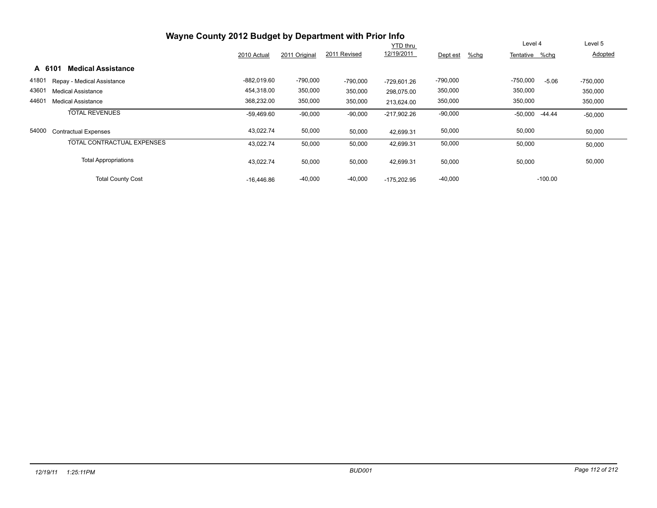|       | Wayne County 2012 Budget by Department with Prior Info |               |               |              |                 |                  |                       |            |
|-------|--------------------------------------------------------|---------------|---------------|--------------|-----------------|------------------|-----------------------|------------|
|       |                                                        |               |               |              | <b>YTD thru</b> |                  | Level 4               | Level 5    |
|       |                                                        | 2010 Actual   | 2011 Original | 2011 Revised | 12/19/2011      | %chg<br>Dept est | Tentative %chq        | Adopted    |
|       | <b>Medical Assistance</b><br>A 6101                    |               |               |              |                 |                  |                       |            |
| 41801 | Repay - Medical Assistance                             | $-882.019.60$ | $-790,000$    | $-790,000$   | $-729.601.26$   | $-790,000$       | $-750,000$<br>$-5.06$ | $-750,000$ |
| 43601 | <b>Medical Assistance</b>                              | 454,318.00    | 350,000       | 350,000      | 298,075.00      | 350,000          | 350,000               | 350,000    |
| 44601 | <b>Medical Assistance</b>                              | 368,232.00    | 350,000       | 350,000      | 213.624.00      | 350,000          | 350,000               | 350,000    |
|       | <b>TOTAL REVENUES</b>                                  | $-59.469.60$  | $-90,000$     | $-90,000$    | $-217,902.26$   | $-90,000$        | $-50,000$<br>$-44.44$ | $-50,000$  |
| 54000 | Contractual Expenses                                   | 43,022.74     | 50,000        | 50,000       | 42,699.31       | 50,000           | 50,000                | 50,000     |
|       | <b>TOTAL CONTRACTUAL EXPENSES</b>                      | 43,022.74     | 50,000        | 50,000       | 42,699.31       | 50,000           | 50,000                | 50,000     |
|       | <b>Total Appropriations</b>                            | 43,022.74     | 50,000        | 50,000       | 42,699.31       | 50,000           | 50,000                | 50,000     |
|       | <b>Total County Cost</b>                               | $-16.446.86$  | $-40,000$     | $-40,000$    | $-175,202.95$   | $-40,000$        | $-100.00$             |            |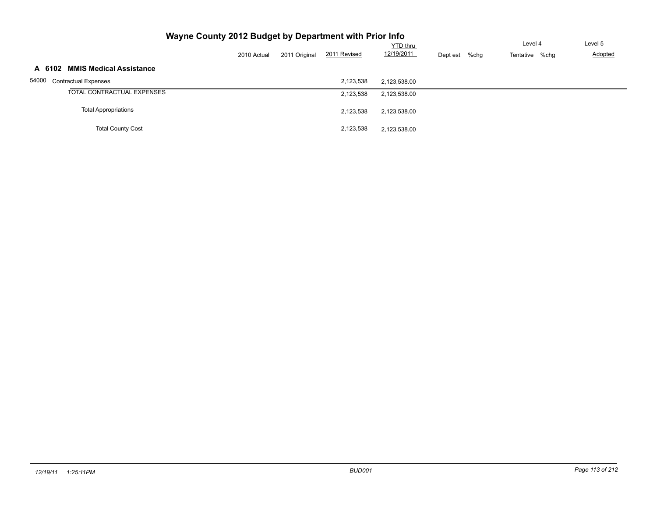|                                | 2010 Actual | 2011 Original | 2011 Revised | <b>YTD</b> thru<br>12/19/2011 | $%$ chg<br>Dept est | Level 4<br>Tentative %chg | Level 5<br>Adopted |
|--------------------------------|-------------|---------------|--------------|-------------------------------|---------------------|---------------------------|--------------------|
| A 6102 MMIS Medical Assistance |             |               |              |                               |                     |                           |                    |
| 54000 Contractual Expenses     |             |               | 2,123,538    | 2,123,538.00                  |                     |                           |                    |
| TOTAL CONTRACTUAL EXPENSES     |             |               | 2,123,538    | 2,123,538.00                  |                     |                           |                    |
| <b>Total Appropriations</b>    |             |               | 2,123,538    | 2,123,538.00                  |                     |                           |                    |
| <b>Total County Cost</b>       |             |               | 2,123,538    | 2,123,538.00                  |                     |                           |                    |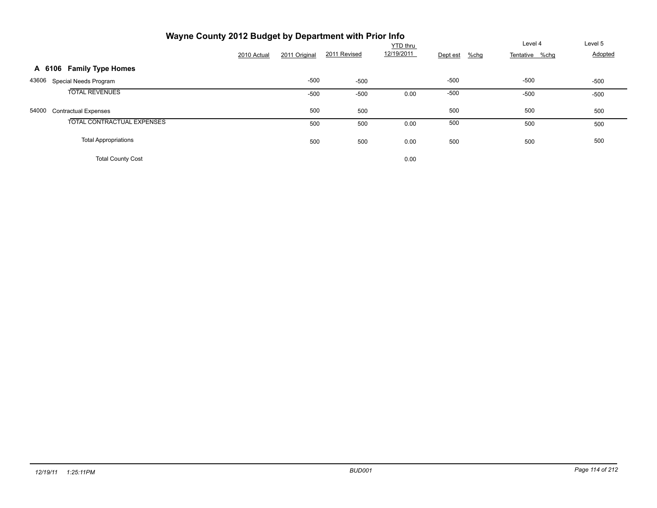| Wayne County 2012 Budget by Department with Prior Info |             |               |              |                 |          |                           |         |
|--------------------------------------------------------|-------------|---------------|--------------|-----------------|----------|---------------------------|---------|
|                                                        |             |               |              | <b>YTD</b> thru |          | Level 4                   | Level 5 |
|                                                        | 2010 Actual | 2011 Original | 2011 Revised | 12/19/2011      | Dept est | $%$ chg<br>Tentative %chg | Adopted |
| A 6106 Family Type Homes                               |             |               |              |                 |          |                           |         |
| 43606<br>Special Needs Program                         |             | $-500$        | $-500$       |                 | $-500$   | $-500$                    | $-500$  |
| <b>TOTAL REVENUES</b>                                  |             | $-500$        | $-500$       | 0.00            | $-500$   | $-500$                    | $-500$  |
| 54000<br><b>Contractual Expenses</b>                   |             | 500           | 500          |                 | 500      | 500                       | 500     |
| TOTAL CONTRACTUAL EXPENSES                             |             | 500           | 500          | 0.00            | 500      | 500                       | 500     |
| <b>Total Appropriations</b>                            |             | 500           | 500          | 0.00            | 500      | 500                       | 500     |
| <b>Total County Cost</b>                               |             |               |              | 0.00            |          |                           |         |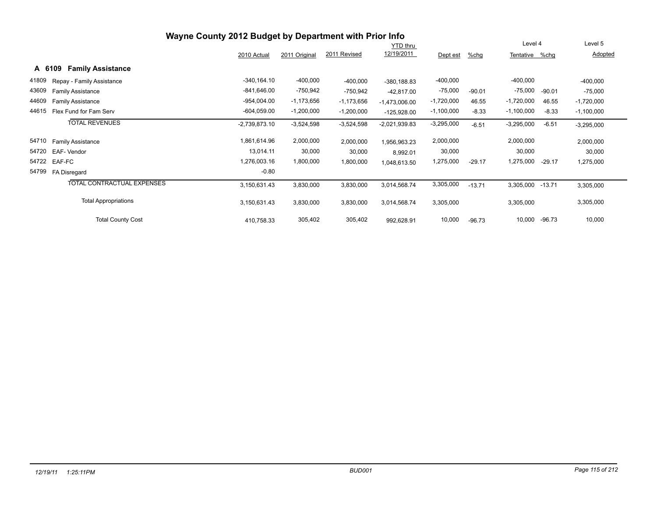|        |                             | Wayne County 2012 Budget by Department with Prior Info |               |              |                 |              |          |                |          |              |
|--------|-----------------------------|--------------------------------------------------------|---------------|--------------|-----------------|--------------|----------|----------------|----------|--------------|
|        |                             |                                                        |               |              | <b>YTD thru</b> |              |          | Level 4        |          | Level 5      |
|        |                             | 2010 Actual                                            | 2011 Original | 2011 Revised | 12/19/2011      | Dept est     | $%$ chg  | Tentative %chg |          | Adopted      |
| A 6109 | <b>Family Assistance</b>    |                                                        |               |              |                 |              |          |                |          |              |
| 41809  | Repay - Family Assistance   | $-340, 164.10$                                         | $-400,000$    | $-400,000$   | $-380, 188.83$  | $-400,000$   |          | $-400,000$     |          | $-400,000$   |
| 43609  | <b>Family Assistance</b>    | $-841,646.00$                                          | -750,942      | $-750,942$   | $-42,817.00$    | $-75,000$    | $-90.01$ | -75,000        | $-90.01$ | $-75,000$    |
| 44609  | <b>Family Assistance</b>    | $-954,004.00$                                          | $-1,173,656$  | $-1,173,656$ | $-1,473,006.00$ | $-1,720,000$ | 46.55    | $-1,720,000$   | 46.55    | $-1,720,000$ |
| 44615  | Flex Fund for Fam Serv      | $-604,059.00$                                          | $-1,200,000$  | $-1,200,000$ | $-125,928.00$   | $-1,100,000$ | $-8.33$  | $-1,100,000$   | $-8.33$  | $-1,100,000$ |
|        | <b>TOTAL REVENUES</b>       | $-2,739,873.10$                                        | $-3,524,598$  | $-3,524,598$ | $-2,021,939.83$ | $-3,295,000$ | $-6.51$  | $-3,295,000$   | $-6.51$  | $-3,295,000$ |
| 54710  | Family Assistance           | 1,861,614.96                                           | 2,000,000     | 2,000,000    | 1,956,963.23    | 2,000,000    |          | 2,000,000      |          | 2,000,000    |
| 54720  | EAF-Vendor                  | 13,014.11                                              | 30,000        | 30,000       | 8,992.01        | 30,000       |          | 30,000         |          | 30,000       |
| 54722  | EAF-FC                      | 1,276,003.16                                           | 1,800,000     | 1,800,000    | 1,048,613.50    | 1,275,000    | $-29.17$ | 1,275,000      | $-29.17$ | 1,275,000    |
| 54799  | FA Disregard                | $-0.80$                                                |               |              |                 |              |          |                |          |              |
|        | TOTAL CONTRACTUAL EXPENSES  | 3,150,631.43                                           | 3,830,000     | 3,830,000    | 3,014,568.74    | 3,305,000    | $-13.71$ | 3,305,000      | $-13.71$ | 3,305,000    |
|        | <b>Total Appropriations</b> | 3,150,631.43                                           | 3,830,000     | 3,830,000    | 3,014,568.74    | 3,305,000    |          | 3,305,000      |          | 3,305,000    |
|        | <b>Total County Cost</b>    | 410,758.33                                             | 305,402       | 305,402      | 992,628.91      | 10,000       | $-96.73$ | 10,000         | $-96.73$ | 10,000       |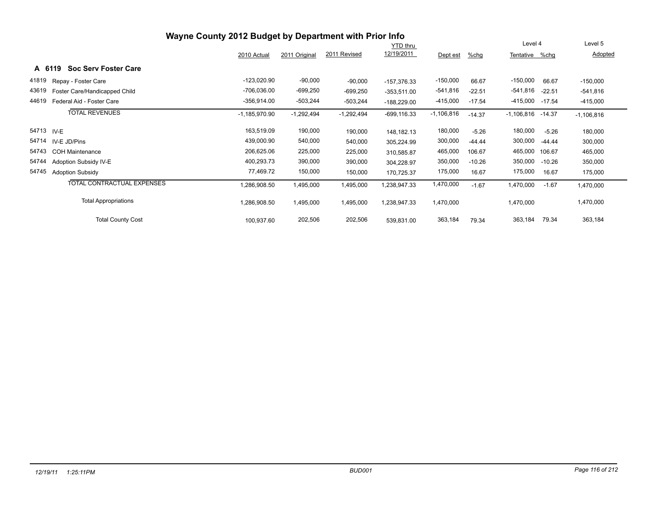|       |                                       | Wayne County 2012 Budget by Department with Prior Info |               |              |                 |              |          |              |          |              |
|-------|---------------------------------------|--------------------------------------------------------|---------------|--------------|-----------------|--------------|----------|--------------|----------|--------------|
|       |                                       |                                                        |               |              | <b>YTD</b> thru |              |          | Level 4      |          | Level 5      |
|       |                                       | 2010 Actual                                            | 2011 Original | 2011 Revised | 12/19/2011      | Dept est     | %chg     | Tentative    | %chg     | Adopted      |
|       | <b>Soc Serv Foster Care</b><br>A 6119 |                                                        |               |              |                 |              |          |              |          |              |
| 41819 | Repay - Foster Care                   | -123,020.90                                            | $-90,000$     | $-90,000$    | $-157.376.33$   | $-150,000$   | 66.67    | $-150,000$   | 66.67    | $-150,000$   |
| 43619 | Foster Care/Handicapped Child         | $-706,036.00$                                          | $-699,250$    | $-699,250$   | $-353,511.00$   | $-541,816$   | $-22.51$ | $-541,816$   | $-22.51$ | $-541,816$   |
| 44619 | Federal Aid - Foster Care             | -356,914.00                                            | $-503,244$    | $-503,244$   | $-188,229.00$   | $-415,000$   | $-17.54$ | $-415,000$   | $-17.54$ | $-415,000$   |
|       | <b>TOTAL REVENUES</b>                 | $-1,185,970.90$                                        | $-1,292,494$  | $-1,292,494$ | $-699, 116.33$  | $-1,106,816$ | $-14.37$ | $-1,106,816$ | -14.37   | $-1,106,816$ |
|       | 54713 IV-E                            | 163,519.09                                             | 190,000       | 190,000      | 148,182.13      | 180,000      | $-5.26$  | 180,000      | $-5.26$  | 180,000      |
| 54714 | IV-E JD/Pins                          | 439,000.90                                             | 540,000       | 540,000      | 305,224.99      | 300,000      | $-44.44$ | 300,000      | $-44.44$ | 300,000      |
| 54743 | <b>COH Maintenance</b>                | 206,625.06                                             | 225,000       | 225,000      | 310,585.87      | 465,000      | 106.67   | 465,000      | 106.67   | 465,000      |
| 54744 | Adoption Subsidy IV-E                 | 400,293.73                                             | 390,000       | 390,000      | 304,228.97      | 350,000      | $-10.26$ | 350,000      | $-10.26$ | 350,000      |
| 54745 | <b>Adoption Subsidy</b>               | 77,469.72                                              | 150,000       | 150,000      | 170,725.37      | 175,000      | 16.67    | 175,000      | 16.67    | 175,000      |
|       | TOTAL CONTRACTUAL EXPENSES            | ,286,908.50                                            | 1,495,000     | 1,495,000    | ,238,947.33     | 1,470,000    | $-1.67$  | 1,470,000    | $-1.67$  | 1,470,000    |
|       | <b>Total Appropriations</b>           | .286,908.50                                            | 1,495,000     | 1,495,000    | 238,947.33      | 1,470,000    |          | 1,470,000    |          | 1,470,000    |
|       | <b>Total County Cost</b>              | 100,937.60                                             | 202,506       | 202,506      | 539,831.00      | 363,184      | 79.34    | 363,184      | 79.34    | 363,184      |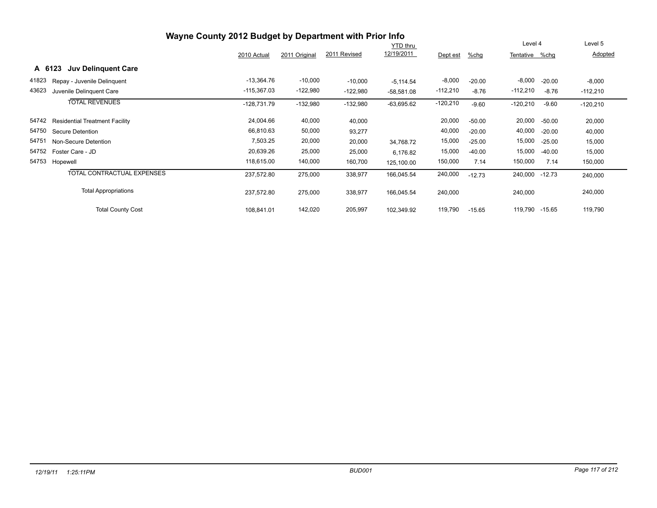|        |                                       | Wayne County 2012 Budget by Department with Prior Info |               |              |                 |            |          |                |          |            |
|--------|---------------------------------------|--------------------------------------------------------|---------------|--------------|-----------------|------------|----------|----------------|----------|------------|
|        |                                       |                                                        |               |              | <b>YTD</b> thru |            |          | Level 4        |          | Level 5    |
|        |                                       | 2010 Actual                                            | 2011 Original | 2011 Revised | 12/19/2011      | Dept est   | %chg     | Tentative %chg |          | Adopted    |
| A 6123 | <b>Juv Delinguent Care</b>            |                                                        |               |              |                 |            |          |                |          |            |
| 41823  | Repay - Juvenile Delinquent           | $-13,364.76$                                           | $-10,000$     | $-10,000$    | $-5,114.54$     | $-8,000$   | $-20.00$ | $-8,000$       | $-20.00$ | $-8,000$   |
| 43623  | Juvenile Delinquent Care              | $-115,367.03$                                          | $-122,980$    | $-122,980$   | $-58,581.08$    | $-112,210$ | $-8.76$  | $-112,210$     | $-8.76$  | $-112,210$ |
|        | <b>TOTAL REVENUES</b>                 | $-128,731.79$                                          | $-132,980$    | $-132,980$   | $-63,695.62$    | $-120,210$ | $-9.60$  | $-120,210$     | $-9.60$  | $-120,210$ |
| 54742  | <b>Residential Treatment Facility</b> | 24,004.66                                              | 40,000        | 40,000       |                 | 20,000     | $-50.00$ | 20,000         | $-50.00$ | 20,000     |
| 54750  | Secure Detention                      | 66,810.63                                              | 50,000        | 93,277       |                 | 40,000     | $-20.00$ | 40,000         | $-20.00$ | 40,000     |
| 54751  | Non-Secure Detention                  | 7,503.25                                               | 20,000        | 20,000       | 34,768.72       | 15,000     | $-25.00$ | 15,000         | $-25.00$ | 15,000     |
| 54752  | Foster Care - JD                      | 20,639.26                                              | 25,000        | 25,000       | 6,176.82        | 15,000     | $-40.00$ | 15,000         | $-40.00$ | 15,000     |
| 54753  | Hopewell                              | 118,615.00                                             | 140,000       | 160,700      | 125,100.00      | 150,000    | 7.14     | 150,000        | 7.14     | 150,000    |
|        | TOTAL CONTRACTUAL EXPENSES            | 237,572.80                                             | 275,000       | 338,977      | 166,045.54      | 240,000    | $-12.73$ | 240,000        | $-12.73$ | 240,000    |
|        | <b>Total Appropriations</b>           | 237,572.80                                             | 275,000       | 338,977      | 166,045.54      | 240,000    |          | 240,000        |          | 240,000    |
|        | <b>Total County Cost</b>              | 108,841.01                                             | 142,020       | 205,997      | 102,349.92      | 119,790    | $-15.65$ | 119,790        | $-15.65$ | 119,790    |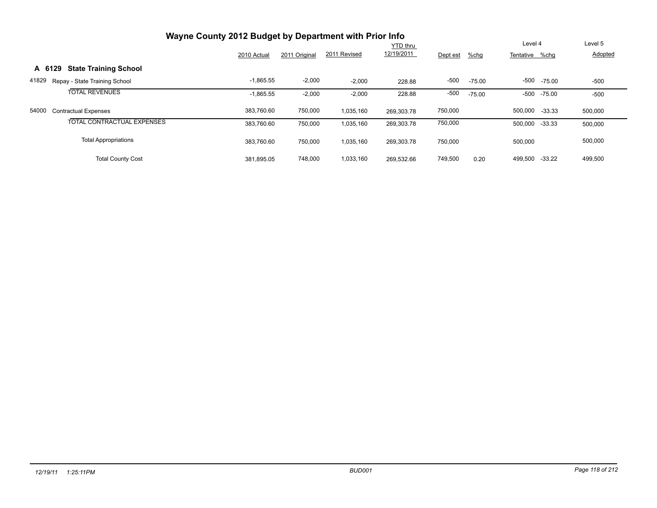|        | Wayne County 2012 Budget by Department with Prior Info |             |               |              |                 |          |          |                |          |                |
|--------|--------------------------------------------------------|-------------|---------------|--------------|-----------------|----------|----------|----------------|----------|----------------|
|        |                                                        |             |               |              | <b>YTD thru</b> |          |          | Level 4        |          | Level 5        |
|        |                                                        | 2010 Actual | 2011 Original | 2011 Revised | 12/19/2011      | Dept est | $%$ chg  | Tentative %chg |          | <b>Adopted</b> |
| A 6129 | <b>State Training School</b>                           |             |               |              |                 |          |          |                |          |                |
| 41829  | Repay - State Training School                          | $-1,865.55$ | $-2,000$      | $-2,000$     | 228.88          | $-500$   | $-75.00$ | -500           | $-75.00$ | $-500$         |
|        | <b>TOTAL REVENUES</b>                                  | $-1,865.55$ | $-2,000$      | $-2,000$     | 228.88          | $-500$   | $-75.00$ | -500           | $-75.00$ | $-500$         |
| 54000  | <b>Contractual Expenses</b>                            | 383,760.60  | 750,000       | 1,035,160    | 269.303.78      | 750,000  |          | 500,000 -33.33 |          | 500,000        |
|        | TOTAL CONTRACTUAL EXPENSES                             | 383.760.60  | 750,000       | 1,035,160    | 269,303.78      | 750,000  |          | 500,000 -33.33 |          | 500,000        |
|        | <b>Total Appropriations</b>                            | 383,760.60  | 750,000       | 1,035,160    | 269,303.78      | 750,000  |          | 500,000        |          | 500,000        |
|        | <b>Total County Cost</b>                               | 381,895.05  | 748,000       | 1,033,160    | 269.532.66      | 749,500  | 0.20     | 499,500        | $-33.22$ | 499,500        |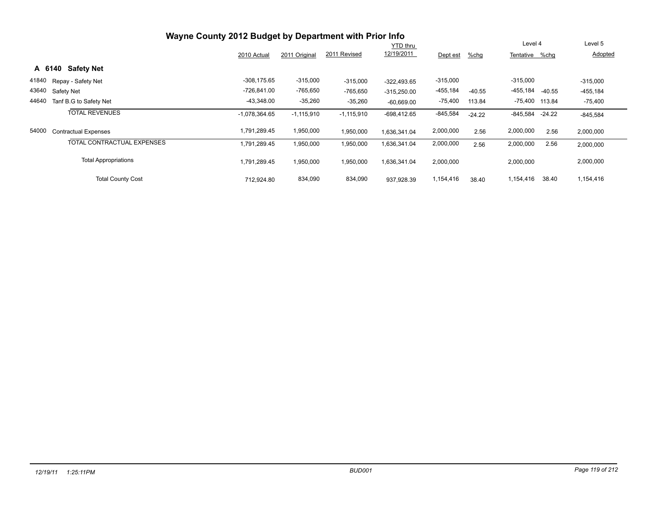|       |                                   | Wayne County 2012 Budget by Department with Prior Info |               |              |                 |            |          |                |          |            |
|-------|-----------------------------------|--------------------------------------------------------|---------------|--------------|-----------------|------------|----------|----------------|----------|------------|
|       |                                   |                                                        |               |              | <b>YTD</b> thru |            |          | Level 4        |          | Level 5    |
|       |                                   | 2010 Actual                                            | 2011 Original | 2011 Revised | 12/19/2011      | Dept est   | $%$ chg  | Tentative      | %chq     | Adopted    |
|       | <b>Safety Net</b><br>A 6140       |                                                        |               |              |                 |            |          |                |          |            |
|       | 41840 Repay - Safety Net          | $-308, 175.65$                                         | $-315,000$    | $-315,000$   | $-322.493.65$   | $-315,000$ |          | $-315,000$     |          | $-315,000$ |
| 43640 | Safety Net                        | -726,841.00                                            | -765,650      | $-765,650$   | $-315,250.00$   | -455,184   | $-40.55$ | -455,184       | $-40.55$ | $-455,184$ |
| 44640 | Tanf B.G to Safety Net            | $-43,348.00$                                           | $-35,260$     | $-35,260$    | $-60,669.00$    | $-75,400$  | 113.84   | -75,400 113.84 |          | $-75,400$  |
|       | <b>TOTAL REVENUES</b>             | $-1,078,364.65$                                        | $-1,115,910$  | $-1,115,910$ | $-698,412.65$   | $-845,584$ | $-24.22$ | $-845,584$     | $-24.22$ | $-845,584$ |
| 54000 | <b>Contractual Expenses</b>       | 1,791,289.45                                           | 1,950,000     | 1,950,000    | 1,636,341.04    | 2,000,000  | 2.56     | 2,000,000      | 2.56     | 2,000,000  |
|       | <b>TOTAL CONTRACTUAL EXPENSES</b> | 1,791,289.45                                           | 1,950,000     | 1,950,000    | 1,636,341.04    | 2,000,000  | 2.56     | 2,000,000      | 2.56     | 2,000,000  |
|       | <b>Total Appropriations</b>       | 1,791,289.45                                           | 1,950,000     | 1,950,000    | 1,636,341.04    | 2,000,000  |          | 2,000,000      |          | 2,000,000  |
|       | <b>Total County Cost</b>          | 712.924.80                                             | 834,090       | 834,090      | 937.928.39      | 1,154,416  | 38.40    | 1,154,416      | 38.40    | 1,154,416  |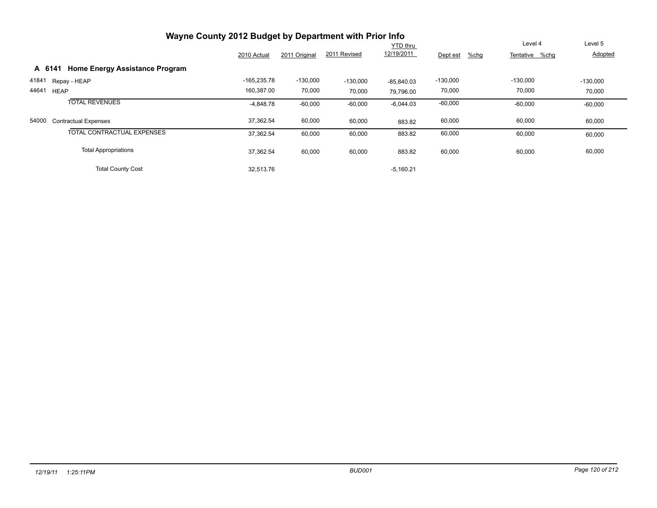|       | Wayne County 2012 Budget by Department with Prior Info |               |               |              |              |                  |                |            |
|-------|--------------------------------------------------------|---------------|---------------|--------------|--------------|------------------|----------------|------------|
|       |                                                        |               |               |              | YTD thru     |                  | Level 4        | Level 5    |
|       |                                                        | 2010 Actual   | 2011 Original | 2011 Revised | 12/19/2011   | %chg<br>Dept est | Tentative %chq | Adopted    |
|       | <b>Home Energy Assistance Program</b><br>A 6141        |               |               |              |              |                  |                |            |
| 41841 | Repay - HEAP                                           | $-165,235.78$ | $-130,000$    | $-130,000$   | $-85.840.03$ | $-130,000$       | $-130,000$     | $-130,000$ |
| 44641 | <b>HEAP</b>                                            | 160,387.00    | 70,000        | 70,000       | 79,796.00    | 70,000           | 70,000         | 70,000     |
|       | <b>TOTAL REVENUES</b>                                  | $-4,848.78$   | $-60,000$     | $-60,000$    | $-6,044.03$  | $-60,000$        | $-60,000$      | $-60,000$  |
| 54000 | <b>Contractual Expenses</b>                            | 37,362.54     | 60,000        | 60,000       | 883.82       | 60,000           | 60,000         | 60,000     |
|       | TOTAL CONTRACTUAL EXPENSES                             | 37,362.54     | 60,000        | 60,000       | 883.82       | 60,000           | 60,000         | 60,000     |
|       | <b>Total Appropriations</b>                            | 37,362.54     | 60,000        | 60,000       | 883.82       | 60,000           | 60,000         | 60,000     |
|       | <b>Total County Cost</b>                               | 32,513.76     |               |              | $-5,160.21$  |                  |                |            |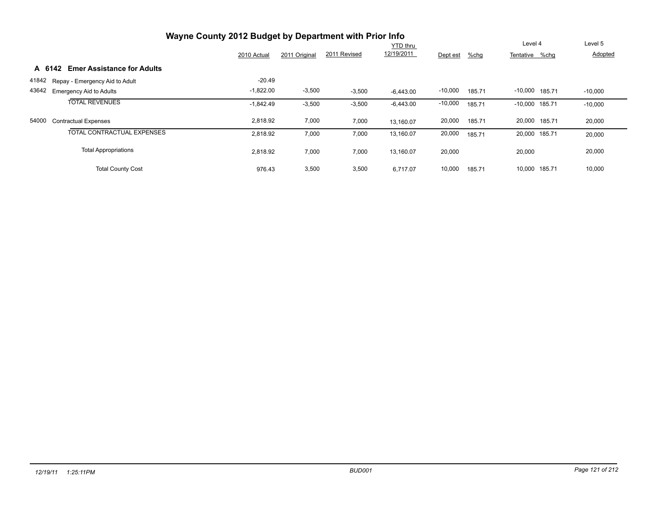|       |                                             | Wayne County 2012 Budget by Department with Prior Info |               |              |                 |           |        |                  |           |
|-------|---------------------------------------------|--------------------------------------------------------|---------------|--------------|-----------------|-----------|--------|------------------|-----------|
|       |                                             |                                                        |               |              | <b>YTD thru</b> |           |        | Level 4          | Level 5   |
|       |                                             | 2010 Actual                                            | 2011 Original | 2011 Revised | 12/19/2011      | Dept est  | %chg   | Tentative %chq   | Adopted   |
|       | <b>Emer Assistance for Adults</b><br>A 6142 |                                                        |               |              |                 |           |        |                  |           |
| 41842 | Repay - Emergency Aid to Adult              | $-20.49$                                               |               |              |                 |           |        |                  |           |
| 43642 | <b>Emergency Aid to Adults</b>              | $-1,822.00$                                            | $-3,500$      | $-3,500$     | $-6,443.00$     | $-10,000$ | 185.71 | $-10,000$ 185.71 | $-10,000$ |
|       | <b>TOTAL REVENUES</b>                       | $-1.842.49$                                            | $-3,500$      | $-3,500$     | $-6,443.00$     | $-10,000$ | 185.71 | $-10,000$ 185.71 | $-10,000$ |
| 54000 | <b>Contractual Expenses</b>                 | 2,818.92                                               | 7,000         | 7,000        | 13,160.07       | 20,000    | 185.71 | 20,000 185.71    | 20,000    |
|       | TOTAL CONTRACTUAL EXPENSES                  | 2,818.92                                               | 7,000         | 7,000        | 13,160.07       | 20,000    | 185.71 | 20.000 185.71    | 20,000    |
|       | <b>Total Appropriations</b>                 | 2.818.92                                               | 7,000         | 7,000        | 13,160.07       | 20,000    |        | 20,000           | 20,000    |
|       | <b>Total County Cost</b>                    | 976.43                                                 | 3,500         | 3,500        | 6.717.07        | 10,000    | 185.71 | 10,000 185.71    | 10,000    |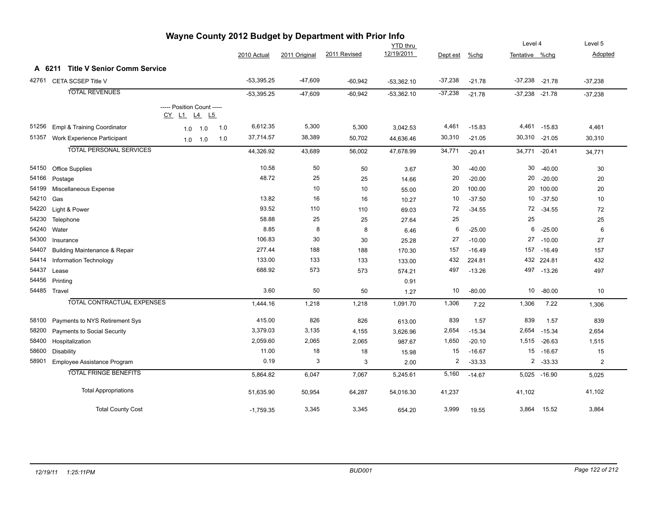| --- ฯ<br><b>YTD thru</b> |                                          |                                                  |           |     |              |               | Level 4      |              | Level 5   |          |                    |              |                |
|--------------------------|------------------------------------------|--------------------------------------------------|-----------|-----|--------------|---------------|--------------|--------------|-----------|----------|--------------------|--------------|----------------|
|                          |                                          |                                                  |           |     | 2010 Actual  | 2011 Original | 2011 Revised | 12/19/2011   | Dept est  | $%$ chg  | Tentative %chg     |              | Adopted        |
|                          | A 6211 Title V Senior Comm Service       |                                                  |           |     |              |               |              |              |           |          |                    |              |                |
| 42761                    | CETA SCSEP Title V                       |                                                  |           |     | $-53,395.25$ | $-47,609$     | $-60,942$    | $-53,362.10$ | $-37,238$ | $-21.78$ | $-37,238$ $-21.78$ |              | $-37,238$      |
|                          | <b>TOTAL REVENUES</b>                    |                                                  |           |     | $-53,395.25$ | $-47,609$     | $-60,942$    | $-53,362.10$ | $-37,238$ | $-21.78$ | $-37,238$ $-21.78$ |              | $-37,238$      |
|                          |                                          | ----- Position Count -----<br><u>CY L1 L4 L5</u> |           |     |              |               |              |              |           |          |                    |              |                |
| 51256                    | <b>Empl &amp; Training Coordinator</b>   | 1.0                                              | 1.0       | 1.0 | 6,612.35     | 5,300         | 5,300        | 3,042.53     | 4,461     | $-15.83$ | 4,461              | $-15.83$     | 4,461          |
| 51357                    | Work Experience Participant              |                                                  | $1.0$ 1.0 | 1.0 | 37,714.57    | 38,389        | 50,702       | 44,636.46    | 30,310    | $-21.05$ | 30,310             | $-21.05$     | 30,310         |
|                          | <b>TOTAL PERSONAL SERVICES</b>           |                                                  |           |     | 44,326.92    | 43,689        | 56,002       | 47,678.99    | 34,771    | $-20.41$ | 34,771             | $-20.41$     | 34,771         |
| 54150                    | Office Supplies                          |                                                  |           |     | 10.58        | 50            | 50           | 3.67         | 30        | $-40.00$ | 30                 | $-40.00$     | 30             |
| 54166                    | Postage                                  |                                                  |           |     | 48.72        | 25            | 25           | 14.66        | 20        | $-20.00$ | 20                 | $-20.00$     | 20             |
| 54199                    | Miscellaneous Expense                    |                                                  |           |     |              | 10            | 10           | 55.00        | 20        | 100.00   | 20                 | 100.00       | 20             |
| 54210                    | Gas                                      |                                                  |           |     | 13.82        | 16            | 16           | 10.27        | 10        | $-37.50$ | 10                 | $-37.50$     | 10             |
| 54220                    | Light & Power                            |                                                  |           |     | 93.52        | 110           | 110          | 69.03        | 72        | $-34.55$ | 72                 | $-34.55$     | 72             |
| 54230                    | Telephone                                |                                                  |           |     | 58.88        | 25            | 25           | 27.64        | 25        |          | 25                 |              | 25             |
| 54240                    | Water                                    |                                                  |           |     | 8.85         | 8             | 8            | 6.46         | 6         | $-25.00$ | 6                  | $-25.00$     | 6              |
| 54300                    | Insurance                                |                                                  |           |     | 106.83       | 30            | 30           | 25.28        | 27        | $-10.00$ | 27                 | $-10.00$     | 27             |
| 54407                    | <b>Building Maintenance &amp; Repair</b> |                                                  |           |     | 277.44       | 188           | 188          | 170.30       | 157       | $-16.49$ | 157                | $-16.49$     | 157            |
| 54414                    | Information Technology                   |                                                  |           |     | 133.00       | 133           | 133          | 133.00       | 432       | 224.81   | 432                | 224.81       | 432            |
| 54437                    | Lease                                    |                                                  |           |     | 688.92       | 573           | 573          | 574.21       | 497       | $-13.26$ | 497                | $-13.26$     | 497            |
| 54456                    | Printing                                 |                                                  |           |     |              |               |              | 0.91         |           |          |                    |              |                |
|                          | 54485 Travel                             |                                                  |           |     | 3.60         | 50            | 50           | 1.27         | 10        | $-80.00$ | 10                 | $-80.00$     | 10             |
|                          | <b>TOTAL CONTRACTUAL EXPENSES</b>        |                                                  |           |     | 1,444.16     | 1,218         | 1,218        | 1,091.70     | 1,306     | 7.22     | 1,306              | 7.22         | 1,306          |
| 58100                    | Payments to NYS Retirement Sys           |                                                  |           |     | 415.00       | 826           | 826          | 613.00       | 839       | 1.57     | 839                | 1.57         | 839            |
| 58200                    | <b>Payments to Social Security</b>       |                                                  |           |     | 3,379.03     | 3,135         | 4,155        | 3,626.96     | 2,654     | $-15.34$ | 2,654              | $-15.34$     | 2,654          |
| 58400                    | Hospitalization                          |                                                  |           |     | 2,059.60     | 2,065         | 2,065        | 987.67       | 1,650     | $-20.10$ | 1,515              | $-26.63$     | 1,515          |
| 58600                    | <b>Disability</b>                        |                                                  |           |     | 11.00        | 18            | 18           | 15.98        | 15        | $-16.67$ | 15                 | $-16.67$     | 15             |
| 58901                    | Employee Assistance Program              |                                                  |           |     | 0.19         | 3             | 3            | 2.00         | 2         | $-33.33$ |                    | $2 - 33.33$  | $\overline{2}$ |
|                          | <b>TOTAL FRINGE BENEFITS</b>             |                                                  |           |     | 5,864.82     | 6,047         | 7,067        | 5,245.61     | 5,160     | $-14.67$ |                    | 5,025 -16.90 | 5,025          |
|                          | <b>Total Appropriations</b>              |                                                  |           |     | 51,635.90    | 50,954        | 64,287       | 54,016.30    | 41,237    |          | 41,102             |              | 41,102         |
|                          | <b>Total County Cost</b>                 |                                                  |           |     | $-1,759.35$  | 3,345         | 3,345        | 654.20       | 3,999     | 19.55    | 3,864              | 15.52        | 3,864          |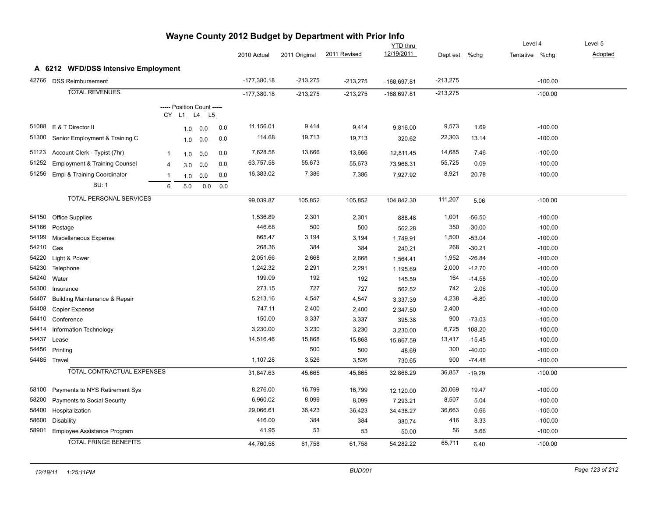|       |                                          |                |                                           |     |     |               |               |              | <b>YTD</b> thru |            |          | Level 4        | Level 5 |
|-------|------------------------------------------|----------------|-------------------------------------------|-----|-----|---------------|---------------|--------------|-----------------|------------|----------|----------------|---------|
|       |                                          |                |                                           |     |     | 2010 Actual   | 2011 Original | 2011 Revised | 12/19/2011      | Dept est   | %chg     | Tentative %chg | Adopted |
|       | A 6212 WFD/DSS Intensive Employment      |                |                                           |     |     |               |               |              |                 |            |          |                |         |
|       | 42766 DSS Reimbursement                  |                |                                           |     |     | $-177,380.18$ | $-213,275$    | $-213,275$   | $-168,697.81$   | $-213,275$ |          | $-100.00$      |         |
|       | <b>TOTAL REVENUES</b>                    |                |                                           |     |     | $-177,380.18$ | $-213,275$    | $-213,275$   | -168,697.81     | $-213,275$ |          | $-100.00$      |         |
|       |                                          |                | ----- Position Count -----<br>CY L1 L4 L5 |     |     |               |               |              |                 |            |          |                |         |
| 51088 | E & T Director II                        |                | 1.0                                       | 0.0 | 0.0 | 11,156.01     | 9,414         | 9,414        | 9,816.00        | 9,573      | 1.69     | $-100.00$      |         |
| 51300 | Senior Employment & Training C           |                | 1.0                                       | 0.0 | 0.0 | 114.68        | 19,713        | 19,713       | 320.62          | 22,303     | 13.14    | $-100.00$      |         |
| 51123 | Account Clerk - Typist (7hr)             | $\mathbf{1}$   | 1.0                                       | 0.0 | 0.0 | 7,628.58      | 13,666        | 13,666       | 12,811.45       | 14,685     | 7.46     | $-100.00$      |         |
| 51252 | <b>Employment &amp; Training Counsel</b> | $\overline{4}$ | 3.0                                       | 0.0 | 0.0 | 63,757.58     | 55,673        | 55,673       | 73,966.31       | 55,725     | 0.09     | $-100.00$      |         |
| 51256 | Empl & Training Coordinator              |                | 1.0                                       | 0.0 | 0.0 | 16,383.02     | 7,386         | 7,386        | 7,927.92        | 8,921      | 20.78    | $-100.00$      |         |
|       | <b>BU: 1</b>                             | 6              | 5.0                                       | 0.0 | 0.0 |               |               |              |                 |            |          |                |         |
|       | <b>TOTAL PERSONAL SERVICES</b>           |                |                                           |     |     | 99,039.87     | 105,852       | 105,852      | 104,842.30      | 111,207    | 5.06     | $-100.00$      |         |
| 54150 | <b>Office Supplies</b>                   |                |                                           |     |     | 1,536.89      | 2,301         | 2,301        | 888.48          | 1,001      | $-56.50$ | $-100.00$      |         |
| 54166 | Postage                                  |                |                                           |     |     | 446.68        | 500           | 500          | 562.28          | 350        | $-30.00$ | $-100.00$      |         |
| 54199 | Miscellaneous Expense                    |                |                                           |     |     | 865.47        | 3,194         | 3,194        | 1,749.91        | 1,500      | $-53.04$ | $-100.00$      |         |
| 54210 | Gas                                      |                |                                           |     |     | 268.36        | 384           | 384          | 240.21          | 268        | $-30.21$ | $-100.00$      |         |
| 54220 | Light & Power                            |                |                                           |     |     | 2,051.66      | 2,668         | 2,668        | 1,564.41        | 1,952      | $-26.84$ | $-100.00$      |         |
| 54230 | Telephone                                |                |                                           |     |     | 1,242.32      | 2,291         | 2,291        | 1,195.69        | 2,000      | $-12.70$ | $-100.00$      |         |
| 54240 | Water                                    |                |                                           |     |     | 199.09        | 192           | 192          | 145.59          | 164        | $-14.58$ | $-100.00$      |         |
| 54300 | Insurance                                |                |                                           |     |     | 273.15        | 727           | 727          | 562.52          | 742        | 2.06     | $-100.00$      |         |
| 54407 | <b>Building Maintenance &amp; Repair</b> |                |                                           |     |     | 5,213.16      | 4,547         | 4,547        | 3,337.39        | 4,238      | $-6.80$  | $-100.00$      |         |
| 54408 | Copier Expense                           |                |                                           |     |     | 747.11        | 2,400         | 2,400        | 2,347.50        | 2,400      |          | $-100.00$      |         |
| 54410 | Conference                               |                |                                           |     |     | 150.00        | 3,337         | 3,337        | 395.38          | 900        | $-73.03$ | $-100.00$      |         |
| 54414 | Information Technology                   |                |                                           |     |     | 3,230.00      | 3,230         | 3,230        | 3,230.00        | 6,725      | 108.20   | $-100.00$      |         |
| 54437 | Lease                                    |                |                                           |     |     | 14,516.46     | 15,868        | 15,868       | 15,867.59       | 13,417     | $-15.45$ | $-100.00$      |         |
| 54456 | Printing                                 |                |                                           |     |     |               | 500           | 500          | 48.69           | 300        | $-40.00$ | $-100.00$      |         |
|       | 54485 Travel                             |                |                                           |     |     | 1,107.28      | 3,526         | 3,526        | 730.65          | 900        | $-74.48$ | $-100.00$      |         |
|       | <b>TOTAL CONTRACTUAL EXPENSES</b>        |                |                                           |     |     | 31,847.63     | 45,665        | 45,665       | 32,866.29       | 36,857     | $-19.29$ | $-100.00$      |         |
| 58100 | Payments to NYS Retirement Sys           |                |                                           |     |     | 8,276.00      | 16,799        | 16,799       | 12,120.00       | 20,069     | 19.47    | $-100.00$      |         |
| 58200 | <b>Payments to Social Security</b>       |                |                                           |     |     | 6,960.02      | 8,099         | 8,099        | 7,293.21        | 8,507      | 5.04     | $-100.00$      |         |
| 58400 | Hospitalization                          |                |                                           |     |     | 29,066.61     | 36,423        | 36,423       | 34,438.27       | 36,663     | 0.66     | $-100.00$      |         |
| 58600 | <b>Disability</b>                        |                |                                           |     |     | 416.00        | 384           | 384          | 380.74          | 416        | 8.33     | $-100.00$      |         |
| 58901 | Employee Assistance Program              |                |                                           |     |     | 41.95         | 53            | 53           | 50.00           | 56         | 5.66     | $-100.00$      |         |
|       | <b>TOTAL FRINGE BENEFITS</b>             |                |                                           |     |     | 44,760.58     | 61,758        | 61,758       | 54,282.22       | 65,711     | 6.40     | $-100.00$      |         |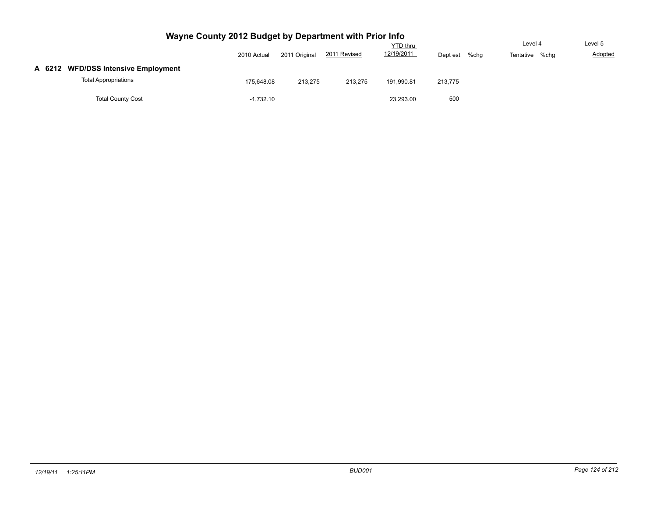|                                     |             |               |              | <b>YTD</b> thru |                     | Level 4        | Level 5 |
|-------------------------------------|-------------|---------------|--------------|-----------------|---------------------|----------------|---------|
|                                     | 2010 Actual | 2011 Original | 2011 Revised | 12/19/2011      | $%$ chg<br>Dept est | Tentative %chg | Adopted |
| A 6212 WFD/DSS Intensive Employment |             |               |              |                 |                     |                |         |
| <b>Total Appropriations</b>         | 175.648.08  | 213,275       | 213,275      | 191,990.81      | 213,775             |                |         |
| <b>Total County Cost</b>            | $-1,732.10$ |               |              | 23,293.00       | 500                 |                |         |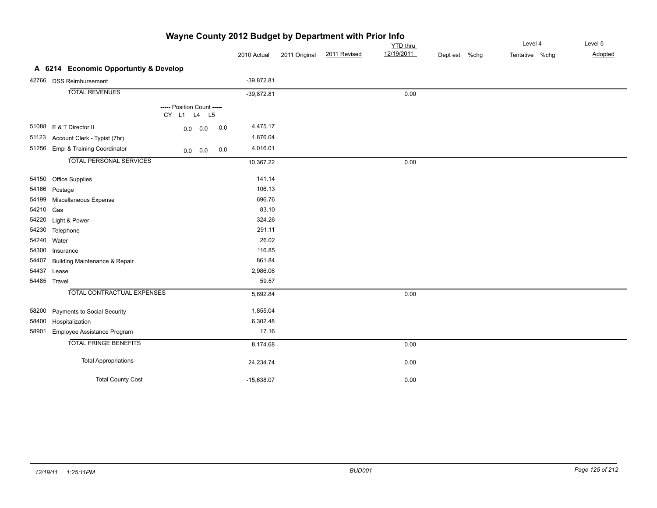|           |                                          | Wayne County 2012 Budget by Department with Prior Info |     |              |               |              |                 |          |      |                |         |
|-----------|------------------------------------------|--------------------------------------------------------|-----|--------------|---------------|--------------|-----------------|----------|------|----------------|---------|
|           |                                          |                                                        |     |              |               |              | <b>YTD</b> thru |          |      | Level 4        | Level 5 |
|           |                                          |                                                        |     | 2010 Actual  | 2011 Original | 2011 Revised | 12/19/2011      | Dept est | %chg | Tentative %chg | Adopted |
|           | A 6214 Economic Opportuntiy & Develop    |                                                        |     |              |               |              |                 |          |      |                |         |
|           | 42766 DSS Reimbursement                  |                                                        |     | $-39,872.81$ |               |              |                 |          |      |                |         |
|           | <b>TOTAL REVENUES</b>                    |                                                        |     | $-39,872.81$ |               |              | 0.00            |          |      |                |         |
|           |                                          | ----- Position Count -----<br>CY L1 L4 L5              |     |              |               |              |                 |          |      |                |         |
|           | 51088 E & T Director II                  | $0.0 \ 0.0$                                            | 0.0 | 4,475.17     |               |              |                 |          |      |                |         |
| 51123     | Account Clerk - Typist (7hr)             |                                                        |     | 1,876.04     |               |              |                 |          |      |                |         |
| 51256     | Empl & Training Coordinator              | $0.0\ 0.0$                                             | 0.0 | 4,016.01     |               |              |                 |          |      |                |         |
|           | <b>TOTAL PERSONAL SERVICES</b>           |                                                        |     | 10,367.22    |               |              | 0.00            |          |      |                |         |
|           | 54150 Office Supplies                    |                                                        |     | 141.14       |               |              |                 |          |      |                |         |
| 54166     | Postage                                  |                                                        |     | 106.13       |               |              |                 |          |      |                |         |
| 54199     | Miscellaneous Expense                    |                                                        |     | 696.76       |               |              |                 |          |      |                |         |
| 54210 Gas |                                          |                                                        |     | 83.10        |               |              |                 |          |      |                |         |
|           | 54220 Light & Power                      |                                                        |     | 324.26       |               |              |                 |          |      |                |         |
| 54230     | Telephone                                |                                                        |     | 291.11       |               |              |                 |          |      |                |         |
|           | 54240 Water                              |                                                        |     | 26.02        |               |              |                 |          |      |                |         |
|           | 54300 Insurance                          |                                                        |     | 116.85       |               |              |                 |          |      |                |         |
| 54407     | <b>Building Maintenance &amp; Repair</b> |                                                        |     | 861.84       |               |              |                 |          |      |                |         |
|           | 54437 Lease                              |                                                        |     | 2,986.06     |               |              |                 |          |      |                |         |
|           | 54485 Travel                             |                                                        |     | 59.57        |               |              |                 |          |      |                |         |
|           | <b>TOTAL CONTRACTUAL EXPENSES</b>        |                                                        |     | 5,692.84     |               |              | 0.00            |          |      |                |         |
| 58200     | Payments to Social Security              |                                                        |     | 1,855.04     |               |              |                 |          |      |                |         |
| 58400     | Hospitalization                          |                                                        |     | 6,302.48     |               |              |                 |          |      |                |         |
| 58901     | Employee Assistance Program              |                                                        |     | 17.16        |               |              |                 |          |      |                |         |
|           | <b>TOTAL FRINGE BENEFITS</b>             |                                                        |     | 8,174.68     |               |              | 0.00            |          |      |                |         |
|           | <b>Total Appropriations</b>              |                                                        |     | 24,234.74    |               |              | 0.00            |          |      |                |         |
|           | <b>Total County Cost</b>                 |                                                        |     | $-15,638.07$ |               |              | 0.00            |          |      |                |         |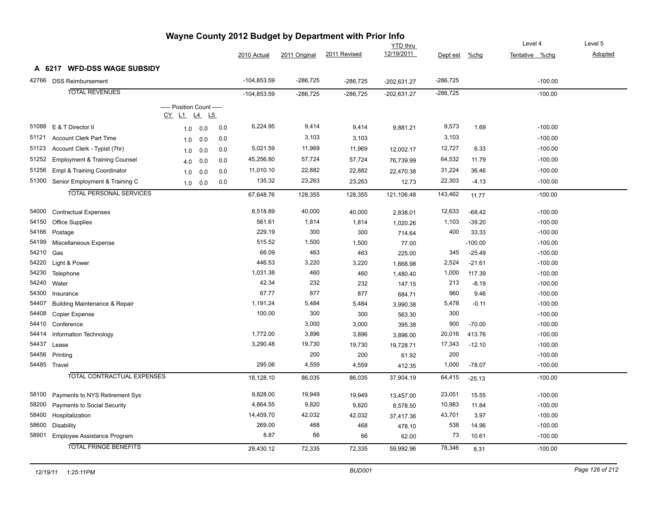| Wayne County 2012 Budget by Department with Prior Info |                                          |                                               |     |     |               |               |              |                 |            |           |                |         |
|--------------------------------------------------------|------------------------------------------|-----------------------------------------------|-----|-----|---------------|---------------|--------------|-----------------|------------|-----------|----------------|---------|
|                                                        |                                          |                                               |     |     |               |               |              | <b>YTD thru</b> |            |           | Level 4        | Level 5 |
|                                                        |                                          |                                               |     |     | 2010 Actual   | 2011 Original | 2011 Revised | 12/19/2011      | Dept est   | %chg      | Tentative %chg | Adopted |
|                                                        | A 6217 WFD-DSS WAGE SUBSIDY              |                                               |     |     |               |               |              |                 |            |           |                |         |
|                                                        | 42766 DSS Reimbursement                  |                                               |     |     | $-104,853.59$ | $-286,725$    | $-286,725$   | $-202,631.27$   | -286,725   |           | $-100.00$      |         |
|                                                        | <b>TOTAL REVENUES</b>                    |                                               |     |     | $-104,853.59$ | $-286,725$    | $-286,725$   | $-202,631.27$   | $-286,725$ |           | $-100.00$      |         |
|                                                        |                                          | ----- Position Count -----<br><u>CY L1 L4</u> | L5  |     |               |               |              |                 |            |           |                |         |
| 51088                                                  | E & T Director II                        | 1.0                                           | 0.0 | 0.0 | 6,224.95      | 9,414         | 9,414        | 9,881.21        | 9,573      | 1.69      | $-100.00$      |         |
| 51121                                                  | <b>Account Clerk Part Time</b>           | 1.0                                           | 0.0 | 0.0 |               | 3,103         | 3,103        |                 | 3,103      |           | $-100.00$      |         |
| 51123                                                  | Account Clerk - Typist (7hr)             | 1.0                                           | 0.0 | 0.0 | 5,021.59      | 11,969        | 11,969       | 12,002.17       | 12,727     | 6.33      | $-100.00$      |         |
| 51252                                                  | <b>Employment &amp; Training Counsel</b> | 4.0                                           | 0.0 | 0.0 | 45,256.80     | 57,724        | 57,724       | 76,739.99       | 64,532     | 11.79     | $-100.00$      |         |
| 51256                                                  | Empl & Training Coordinator              | 1.0                                           | 0.0 | 0.0 | 11,010.10     | 22,882        | 22,882       | 22,470.38       | 31,224     | 36.46     | $-100.00$      |         |
| 51300                                                  | Senior Employment & Training C           | 1.0                                           | 0.0 | 0.0 | 135.32        | 23,263        | 23,263       | 12.73           | 22,303     | $-4.13$   | $-100.00$      |         |
|                                                        | <b>TOTAL PERSONAL SERVICES</b>           |                                               |     |     | 67,648.76     | 128,355       | 128,355      | 121,106.48      | 143,462    | 11.77     | $-100.00$      |         |
|                                                        |                                          |                                               |     |     |               |               |              |                 |            |           |                |         |
| 54000                                                  | <b>Contractual Expenses</b>              |                                               |     |     | 8,518.89      | 40,000        | 40,000       | 2,838.01        | 12,633     | $-68.42$  | $-100.00$      |         |
| 54150                                                  | <b>Office Supplies</b>                   |                                               |     |     | 561.61        | 1,814         | 1,814        | 1,020.26        | 1,103      | $-39.20$  | $-100.00$      |         |
| 54166                                                  | Postage                                  |                                               |     |     | 229.19        | 300           | 300          | 714.64          | 400        | 33.33     | $-100.00$      |         |
| 54199                                                  | Miscellaneous Expense                    |                                               |     |     | 515.52        | 1,500         | 1,500        | 77.00           |            | $-100.00$ | $-100.00$      |         |
| 54210                                                  | Gas                                      |                                               |     |     | 66.09         | 463           | 463          | 225.00          | 345        | $-25.49$  | $-100.00$      |         |
| 54220                                                  | Light & Power                            |                                               |     |     | 446.53        | 3,220         | 3,220        | 1,668.98        | 2,524      | $-21.61$  | $-100.00$      |         |
| 54230                                                  | Telephone                                |                                               |     |     | 1,031.38      | 460           | 460          | 1,480.40        | 1,000      | 117.39    | $-100.00$      |         |
| 54240                                                  | Water                                    |                                               |     |     | 42.34         | 232           | 232          | 147.15          | 213        | $-8.19$   | $-100.00$      |         |
| 54300                                                  | Insurance                                |                                               |     |     | 67.77         | 877           | 877          | 684.71          | 960        | 9.46      | $-100.00$      |         |
| 54407                                                  | <b>Building Maintenance &amp; Repair</b> |                                               |     |     | 1,191.24      | 5,484         | 5,484        | 3,990.38        | 5,478      | $-0.11$   | $-100.00$      |         |
| 54408                                                  | Copier Expense                           |                                               |     |     | 100.00        | 300           | 300          | 563.30          | 300        |           | $-100.00$      |         |
| 54410                                                  | Conference                               |                                               |     |     |               | 3,000         | 3,000        | 395.38          | 900        | $-70.00$  | $-100.00$      |         |
| 54414                                                  | Information Technology                   |                                               |     |     | 1,772.00      | 3,896         | 3,896        | 3,896.00        | 20,016     | 413.76    | $-100.00$      |         |
| 54437                                                  | Lease                                    |                                               |     |     | 3,290.48      | 19,730        | 19,730       | 19,728.71       | 17,343     | $-12.10$  | $-100.00$      |         |
| 54456                                                  | Printing                                 |                                               |     |     |               | 200           | 200          | 61.92           | 200        |           | $-100.00$      |         |
|                                                        | 54485 Travel                             |                                               |     |     | 295.06        | 4,559         | 4,559        | 412.35          | 1,000      | $-78.07$  | $-100.00$      |         |
|                                                        | <b>TOTAL CONTRACTUAL EXPENSES</b>        |                                               |     |     | 18,128.10     | 86,035        | 86,035       | 37,904.19       | 64,415     | $-25.13$  | $-100.00$      |         |
| 58100                                                  | Payments to NYS Retirement Sys           |                                               |     |     | 9,828.00      | 19,949        | 19,949       | 13,457.00       | 23,051     | 15.55     | $-100.00$      |         |
| 58200                                                  | Payments to Social Security              |                                               |     |     | 4,864.55      | 9,820         | 9,820        | 8,578.50        | 10,983     | 11.84     | $-100.00$      |         |
| 58400                                                  | Hospitalization                          |                                               |     |     | 14,459.70     | 42,032        | 42,032       | 37,417.36       | 43,701     | 3.97      | $-100.00$      |         |
| 58600                                                  | Disability                               |                                               |     |     | 269.00        | 468           | 468          | 478.10          | 538        | 14.96     | $-100.00$      |         |
|                                                        | 58901 Employee Assistance Program        |                                               |     |     | 8.87          | 66            | 66           | 62.00           | 73         | 10.61     | $-100.00$      |         |
|                                                        | <b>TOTAL FRINGE BENEFITS</b>             |                                               |     |     | 29,430.12     | 72,335        | 72,335       | 59,992.96       | 78,346     | 8.31      | $-100.00$      |         |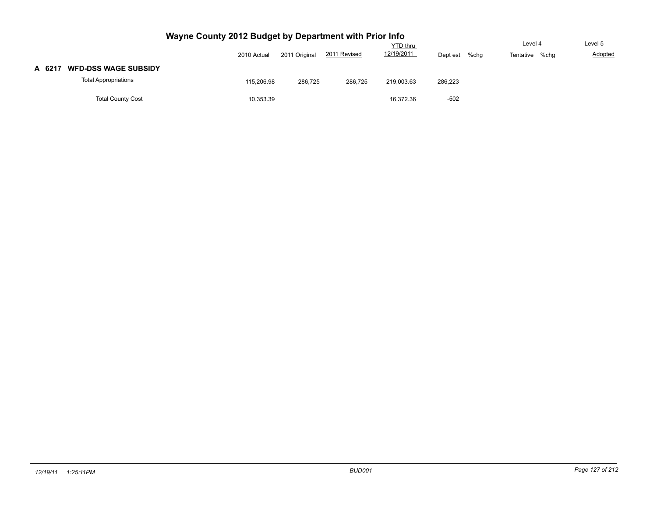|                                       |             |               |              | <b>YTD thru</b> |                     | Level 4           | Level 5        |
|---------------------------------------|-------------|---------------|--------------|-----------------|---------------------|-------------------|----------------|
|                                       | 2010 Actual | 2011 Original | 2011 Revised | 12/19/2011      | $%$ chg<br>Dept est | Tentative<br>%chg | <b>Adopted</b> |
| <b>WFD-DSS WAGE SUBSIDY</b><br>A 6217 |             |               |              |                 |                     |                   |                |
| <b>Total Appropriations</b>           | 115,206.98  | 286,725       | 286,725      | 219,003.63      | 286,223             |                   |                |
| <b>Total County Cost</b>              | 10,353.39   |               |              | 16.372.36       | $-502$              |                   |                |
|                                       |             |               |              |                 |                     |                   |                |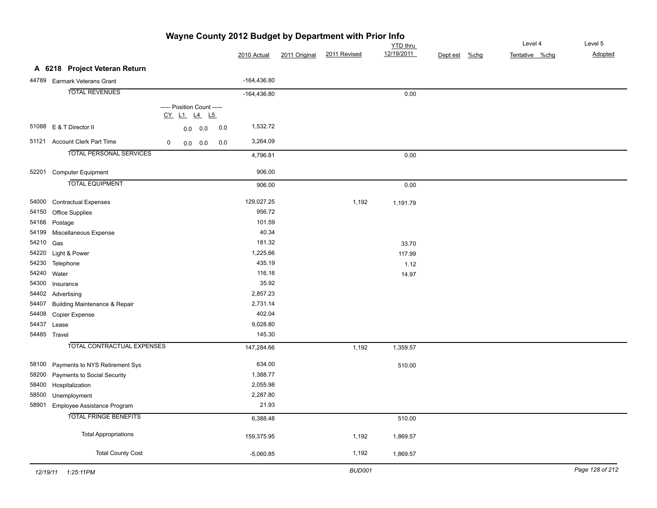| Wayne County 2012 Budget by Department with Prior Info |                                      |   |  |                            |     |               |               |              |                 |               |  |                |         |
|--------------------------------------------------------|--------------------------------------|---|--|----------------------------|-----|---------------|---------------|--------------|-----------------|---------------|--|----------------|---------|
|                                                        |                                      |   |  |                            |     |               |               |              | <b>YTD</b> thru |               |  | Level 4        | Level 5 |
|                                                        |                                      |   |  |                            |     | 2010 Actual   | 2011 Original | 2011 Revised | 12/19/2011      | Dept est %chg |  | Tentative %chg | Adopted |
|                                                        | A 6218 Project Veteran Return        |   |  |                            |     |               |               |              |                 |               |  |                |         |
|                                                        | 44789 Earmark Veterans Grant         |   |  |                            |     | $-164,436.80$ |               |              |                 |               |  |                |         |
|                                                        | <b>TOTAL REVENUES</b>                |   |  |                            |     | $-164,436.80$ |               |              | 0.00            |               |  |                |         |
|                                                        |                                      |   |  | ----- Position Count ----- |     |               |               |              |                 |               |  |                |         |
|                                                        |                                      |   |  | CY L1 L4 L5                |     |               |               |              |                 |               |  |                |         |
|                                                        | 51088 E & T Director II              |   |  | 0.0 0.0                    | 0.0 | 1,532.72      |               |              |                 |               |  |                |         |
| 51121                                                  | <b>Account Clerk Part Time</b>       | 0 |  | $0.0 \ 0.0$                | 0.0 | 3,264.09      |               |              |                 |               |  |                |         |
|                                                        | <b>TOTAL PERSONAL SERVICES</b>       |   |  |                            |     | 4,796.81      |               |              | 0.00            |               |  |                |         |
|                                                        | 52201 Computer Equipment             |   |  |                            |     | 906.00        |               |              |                 |               |  |                |         |
|                                                        | <b>TOTAL EQUIPMENT</b>               |   |  |                            |     |               |               |              |                 |               |  |                |         |
|                                                        |                                      |   |  |                            |     | 906.00        |               |              | 0.00            |               |  |                |         |
|                                                        | 54000 Contractual Expenses           |   |  |                            |     | 129,027.25    |               | 1,192        | 1,191.79        |               |  |                |         |
|                                                        | 54150 Office Supplies                |   |  |                            |     | 956.72        |               |              |                 |               |  |                |         |
|                                                        | 54166 Postage                        |   |  |                            |     | 101.59        |               |              |                 |               |  |                |         |
|                                                        | 54199 Miscellaneous Expense          |   |  |                            |     | 40.34         |               |              |                 |               |  |                |         |
| 54210 Gas                                              |                                      |   |  |                            |     | 181.32        |               |              | 33.70           |               |  |                |         |
|                                                        | 54220 Light & Power                  |   |  |                            |     | 1,225.66      |               |              | 117.99          |               |  |                |         |
| 54230                                                  | Telephone                            |   |  |                            |     | 435.19        |               |              | 1.12            |               |  |                |         |
| 54240 Water                                            |                                      |   |  |                            |     | 116.16        |               |              | 14.97           |               |  |                |         |
|                                                        | 54300 Insurance                      |   |  |                            |     | 35.92         |               |              |                 |               |  |                |         |
|                                                        | 54402 Advertising                    |   |  |                            |     | 2,857.23      |               |              |                 |               |  |                |         |
|                                                        | 54407 Building Maintenance & Repair  |   |  |                            |     | 2,731.14      |               |              |                 |               |  |                |         |
|                                                        | 54408 Copier Expense                 |   |  |                            |     | 402.04        |               |              |                 |               |  |                |         |
| 54437 Lease                                            |                                      |   |  |                            |     | 9,028.80      |               |              |                 |               |  |                |         |
| 54485 Travel                                           |                                      |   |  |                            |     | 145.30        |               |              |                 |               |  |                |         |
|                                                        | <b>TOTAL CONTRACTUAL EXPENSES</b>    |   |  |                            |     | 147,284.66    |               | 1,192        | 1,359.57        |               |  |                |         |
|                                                        | 58100 Payments to NYS Retirement Sys |   |  |                            |     | 634.00        |               |              | 510.00          |               |  |                |         |
|                                                        | 58200 Payments to Social Security    |   |  |                            |     | 1,388.77      |               |              |                 |               |  |                |         |
|                                                        | 58400 Hospitalization                |   |  |                            |     | 2,055.98      |               |              |                 |               |  |                |         |
| 58500                                                  | Unemployment                         |   |  |                            |     | 2,287.80      |               |              |                 |               |  |                |         |
| 58901                                                  | Employee Assistance Program          |   |  |                            |     | 21.93         |               |              |                 |               |  |                |         |
|                                                        | <b>TOTAL FRINGE BENEFITS</b>         |   |  |                            |     | 6,388.48      |               |              | 510.00          |               |  |                |         |
|                                                        | <b>Total Appropriations</b>          |   |  |                            |     | 159,375.95    |               | 1,192        | 1,869.57        |               |  |                |         |
|                                                        | <b>Total County Cost</b>             |   |  |                            |     | $-5,060.85$   |               | 1,192        | 1,869.57        |               |  |                |         |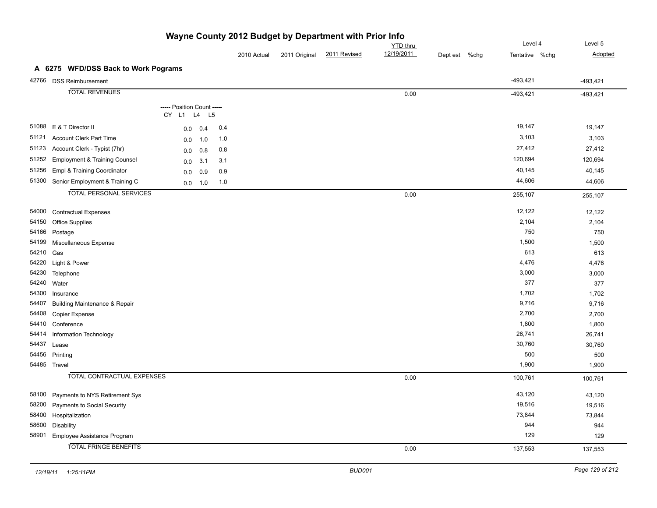|       |                                          |                                                           |     |             |               |              | <b>YTD</b> thru |                     | Level 4        | Level 5    |
|-------|------------------------------------------|-----------------------------------------------------------|-----|-------------|---------------|--------------|-----------------|---------------------|----------------|------------|
|       |                                          |                                                           |     | 2010 Actual | 2011 Original | 2011 Revised | 12/19/2011      | $%$ chg<br>Dept est | Tentative %chg | Adopted    |
|       | A 6275 WFD/DSS Back to Work Pograms      |                                                           |     |             |               |              |                 |                     |                |            |
|       | 42766 DSS Reimbursement                  |                                                           |     |             |               |              |                 |                     | $-493,421$     | $-493,421$ |
|       | <b>TOTAL REVENUES</b>                    |                                                           |     |             |               |              | 0.00            |                     | $-493,421$     | $-493,421$ |
|       |                                          |                                                           |     |             |               |              |                 |                     |                |            |
|       |                                          | ----- Position Count -----<br>$CY$ $L1$ $L4$<br><u>L5</u> |     |             |               |              |                 |                     |                |            |
|       | 51088 E & T Director II                  | 0.4<br>0.0                                                | 0.4 |             |               |              |                 |                     | 19,147         | 19,147     |
| 51121 | <b>Account Clerk Part Time</b>           | 1.0<br>0.0                                                | 1.0 |             |               |              |                 |                     | 3,103          | 3,103      |
| 51123 | Account Clerk - Typist (7hr)             | 0.8<br>0.0                                                | 0.8 |             |               |              |                 |                     | 27,412         | 27,412     |
| 51252 | <b>Employment &amp; Training Counsel</b> | 3.1<br>0.0                                                | 3.1 |             |               |              |                 |                     | 120,694        | 120,694    |
| 51256 | Empl & Training Coordinator              | 0.9<br>0.0                                                | 0.9 |             |               |              |                 |                     | 40,145         | 40,145     |
| 51300 | Senior Employment & Training C           | 1.0<br>0.0                                                | 1.0 |             |               |              |                 |                     | 44,606         | 44,606     |
|       | <b>TOTAL PERSONAL SERVICES</b>           |                                                           |     |             |               |              | 0.00            |                     | 255,107        | 255,107    |
|       |                                          |                                                           |     |             |               |              |                 |                     |                |            |
| 54000 | <b>Contractual Expenses</b>              |                                                           |     |             |               |              |                 |                     | 12,122         | 12,122     |
| 54150 | Office Supplies                          |                                                           |     |             |               |              |                 |                     | 2,104          | 2,104      |
| 54166 | Postage                                  |                                                           |     |             |               |              |                 |                     | 750            | 750        |
| 54199 | Miscellaneous Expense                    |                                                           |     |             |               |              |                 |                     | 1,500          | 1,500      |
| 54210 | Gas                                      |                                                           |     |             |               |              |                 |                     | 613            | 613        |
| 54220 | Light & Power                            |                                                           |     |             |               |              |                 |                     | 4,476          | 4,476      |
| 54230 | Telephone                                |                                                           |     |             |               |              |                 |                     | 3,000          | 3,000      |
| 54240 | Water                                    |                                                           |     |             |               |              |                 |                     | 377            | 377        |
| 54300 | Insurance                                |                                                           |     |             |               |              |                 |                     | 1,702          | 1,702      |
| 54407 | <b>Building Maintenance &amp; Repair</b> |                                                           |     |             |               |              |                 |                     | 9,716          | 9,716      |
| 54408 | Copier Expense                           |                                                           |     |             |               |              |                 |                     | 2,700          | 2,700      |
| 54410 | Conference                               |                                                           |     |             |               |              |                 |                     | 1,800          | 1,800      |
| 54414 | Information Technology                   |                                                           |     |             |               |              |                 |                     | 26,741         | 26,741     |
| 54437 | Lease                                    |                                                           |     |             |               |              |                 |                     | 30,760         | 30,760     |
| 54456 | Printing                                 |                                                           |     |             |               |              |                 |                     | 500            | 500        |
|       | 54485 Travel                             |                                                           |     |             |               |              |                 |                     | 1,900          | 1,900      |
|       | <b>TOTAL CONTRACTUAL EXPENSES</b>        |                                                           |     |             |               |              | 0.00            |                     | 100,761        | 100,761    |
| 58100 | Payments to NYS Retirement Sys           |                                                           |     |             |               |              |                 |                     | 43,120         | 43,120     |
| 58200 | Payments to Social Security              |                                                           |     |             |               |              |                 |                     | 19,516         | 19,516     |
| 58400 | Hospitalization                          |                                                           |     |             |               |              |                 |                     | 73,844         | 73,844     |
| 58600 | Disability                               |                                                           |     |             |               |              |                 |                     | 944            | 944        |
| 58901 | Employee Assistance Program              |                                                           |     |             |               |              |                 |                     | 129            | 129        |
|       | <b>TOTAL FRINGE BENEFITS</b>             |                                                           |     |             |               |              | 0.00            |                     | 137,553        | 137,553    |
|       |                                          |                                                           |     |             |               |              |                 |                     |                |            |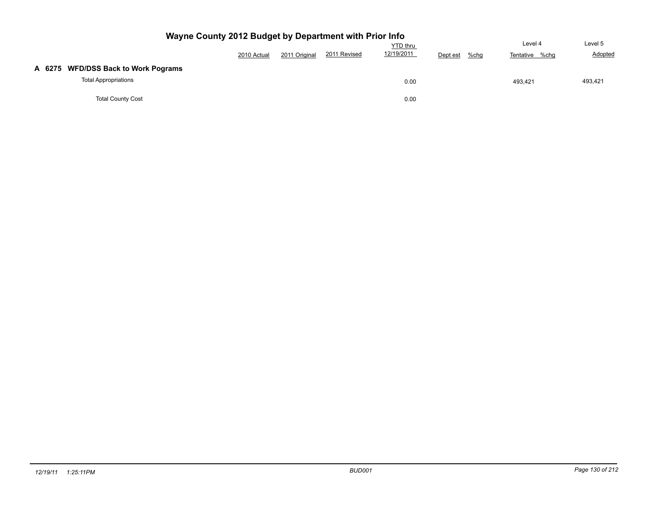| Wayne County 2012 Budget by Department with Prior Info             |                                                                                                   |  |  |      |  |         |         |  |  |  |  |
|--------------------------------------------------------------------|---------------------------------------------------------------------------------------------------|--|--|------|--|---------|---------|--|--|--|--|
|                                                                    | <b>YTD</b> thru<br>12/19/2011<br>2011 Revised<br>2011 Original<br>2010 Actual<br>%chg<br>Dept est |  |  |      |  |         |         |  |  |  |  |
| A 6275 WFD/DSS Back to Work Pograms<br><b>Total Appropriations</b> |                                                                                                   |  |  | 0.00 |  | 493.421 | 493,421 |  |  |  |  |
| <b>Total County Cost</b>                                           |                                                                                                   |  |  | 0.00 |  |         |         |  |  |  |  |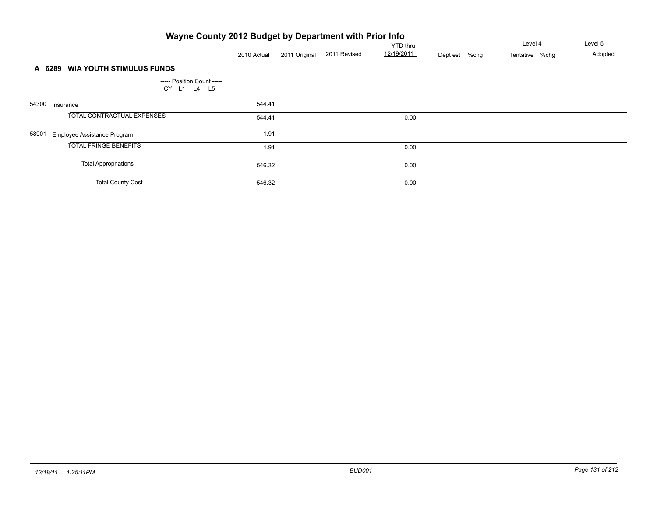|       | Wayne County 2012 Budget by Department with Prior Info |             |               |              |            |          |      |                |         |
|-------|--------------------------------------------------------|-------------|---------------|--------------|------------|----------|------|----------------|---------|
|       |                                                        |             |               |              | YTD thru   |          |      | Level 4        | Level 5 |
|       |                                                        | 2010 Actual | 2011 Original | 2011 Revised | 12/19/2011 | Dept est | %chg | Tentative %chg | Adopted |
|       | <b>WIA YOUTH STIMULUS FUNDS</b><br>A 6289              |             |               |              |            |          |      |                |         |
|       | ----- Position Count -----<br>CY L1 L4 L5              |             |               |              |            |          |      |                |         |
| 54300 | Insurance                                              | 544.41      |               |              |            |          |      |                |         |
|       | <b>TOTAL CONTRACTUAL EXPENSES</b>                      | 544.41      |               |              | 0.00       |          |      |                |         |
| 58901 | Employee Assistance Program                            | 1.91        |               |              |            |          |      |                |         |
|       | <b>TOTAL FRINGE BENEFITS</b>                           | 1.91        |               |              | 0.00       |          |      |                |         |
|       | <b>Total Appropriations</b>                            | 546.32      |               |              | 0.00       |          |      |                |         |
|       | <b>Total County Cost</b>                               | 546.32      |               |              | 0.00       |          |      |                |         |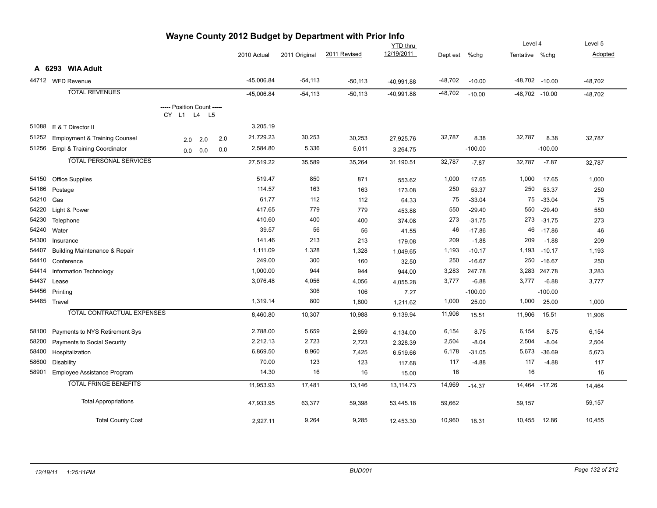| wayne County Zu iz Buuget by Department with Frior lino |                                          |                                           |     |     |              |               |              |                 |           |           |                |                    |           |
|---------------------------------------------------------|------------------------------------------|-------------------------------------------|-----|-----|--------------|---------------|--------------|-----------------|-----------|-----------|----------------|--------------------|-----------|
|                                                         |                                          |                                           |     |     |              |               |              | <b>YTD</b> thru |           |           | Level 4        |                    | Level 5   |
|                                                         |                                          |                                           |     |     | 2010 Actual  | 2011 Original | 2011 Revised | 12/19/2011      | Dept est  | %chg      | Tentative %chq |                    | Adopted   |
|                                                         | A 6293 WIA Adult                         |                                           |     |     |              |               |              |                 |           |           |                |                    |           |
|                                                         | 44712 WFD Revenue                        |                                           |     |     | $-45,006.84$ | $-54,113$     | $-50,113$    | $-40,991.88$    | $-48,702$ | $-10.00$  |                | $-48,702$ $-10.00$ | $-48,702$ |
|                                                         | <b>TOTAL REVENUES</b>                    |                                           |     |     | $-45,006.84$ | $-54,113$     | $-50,113$    | $-40,991.88$    | $-48,702$ | $-10.00$  | -48,702 -10.00 |                    | $-48,702$ |
|                                                         |                                          | ----- Position Count -----<br>CY L1 L4 L5 |     |     |              |               |              |                 |           |           |                |                    |           |
| 51088                                                   | E & T Director II                        |                                           |     |     | 3,205.19     |               |              |                 |           |           |                |                    |           |
| 51252                                                   | <b>Employment &amp; Training Counsel</b> | 2.0                                       | 2.0 | 2.0 | 21,729.23    | 30,253        | 30,253       | 27,925.76       | 32,787    | 8.38      | 32,787         | 8.38               | 32,787    |
| 51256                                                   | Empl & Training Coordinator              | 0.0                                       | 0.0 | 0.0 | 2,584.80     | 5,336         | 5,011        | 3,264.75        |           | $-100.00$ |                | $-100.00$          |           |
|                                                         | <b>TOTAL PERSONAL SERVICES</b>           |                                           |     |     | 27,519.22    | 35,589        | 35,264       | 31,190.51       | 32,787    | $-7.87$   | 32,787         | $-7.87$            | 32,787    |
|                                                         | 54150 Office Supplies                    |                                           |     |     | 519.47       | 850           | 871          | 553.62          | 1,000     | 17.65     | 1,000          | 17.65              | 1,000     |
| 54166                                                   | Postage                                  |                                           |     |     | 114.57       | 163           | 163          | 173.08          | 250       | 53.37     | 250            | 53.37              | 250       |
| 54210                                                   | Gas                                      |                                           |     |     | 61.77        | 112           | 112          | 64.33           | 75        | $-33.04$  | 75             | $-33.04$           | 75        |
| 54220                                                   | Light & Power                            |                                           |     |     | 417.65       | 779           | 779          | 453.88          | 550       | $-29.40$  | 550            | $-29.40$           | 550       |
| 54230                                                   | Telephone                                |                                           |     |     | 410.60       | 400           | 400          | 374.08          | 273       | $-31.75$  | 273            | $-31.75$           | 273       |
| 54240                                                   | Water                                    |                                           |     |     | 39.57        | 56            | 56           | 41.55           | 46        | $-17.86$  | 46             | $-17.86$           | 46        |
| 54300                                                   | Insurance                                |                                           |     |     | 141.46       | 213           | 213          | 179.08          | 209       | $-1.88$   | 209            | $-1.88$            | 209       |
| 54407                                                   | <b>Building Maintenance &amp; Repair</b> |                                           |     |     | 1,111.09     | 1,328         | 1,328        | 1,049.65        | 1,193     | $-10.17$  | 1,193          | $-10.17$           | 1,193     |
| 54410                                                   | Conference                               |                                           |     |     | 249.00       | 300           | 160          | 32.50           | 250       | $-16.67$  | 250            | $-16.67$           | 250       |
| 54414                                                   | Information Technology                   |                                           |     |     | 1,000.00     | 944           | 944          | 944.00          | 3,283     | 247.78    |                | 3,283 247.78       | 3,283     |
| 54437                                                   | Lease                                    |                                           |     |     | 3,076.48     | 4,056         | 4,056        | 4,055.28        | 3,777     | $-6.88$   | 3,777          | $-6.88$            | 3,777     |
| 54456                                                   | Printing                                 |                                           |     |     |              | 306           | 106          | 7.27            |           | $-100.00$ |                | $-100.00$          |           |
|                                                         | 54485 Travel                             |                                           |     |     | 1,319.14     | 800           | 1,800        | 1,211.62        | 1,000     | 25.00     | 1,000          | 25.00              | 1,000     |
|                                                         | <b>TOTAL CONTRACTUAL EXPENSES</b>        |                                           |     |     | 8,460.80     | 10,307        | 10,988       | 9,139.94        | 11,906    | 15.51     | 11,906         | 15.51              | 11,906    |
| 58100                                                   | Payments to NYS Retirement Sys           |                                           |     |     | 2,788.00     | 5,659         | 2,859        | 4,134.00        | 6,154     | 8.75      | 6,154          | 8.75               | 6,154     |
| 58200                                                   | Payments to Social Security              |                                           |     |     | 2,212.13     | 2,723         | 2,723        | 2,328.39        | 2,504     | $-8.04$   | 2,504          | $-8.04$            | 2,504     |
| 58400                                                   | Hospitalization                          |                                           |     |     | 6,869.50     | 8,960         | 7,425        | 6,519.66        | 6,178     | $-31.05$  | 5,673          | $-36.69$           | 5,673     |
| 58600                                                   | <b>Disability</b>                        |                                           |     |     | 70.00        | 123           | 123          | 117.68          | 117       | $-4.88$   | 117            | $-4.88$            | 117       |
| 58901                                                   | Employee Assistance Program              |                                           |     |     | 14.30        | 16            | 16           | 15.00           | 16        |           | 16             |                    | 16        |
|                                                         | <b>TOTAL FRINGE BENEFITS</b>             |                                           |     |     | 11,953.93    | 17,481        | 13,146       | 13,114.73       | 14,969    | $-14.37$  |                | 14,464 -17.26      | 14,464    |
|                                                         | <b>Total Appropriations</b>              |                                           |     |     | 47,933.95    | 63,377        | 59,398       | 53,445.18       | 59,662    |           | 59,157         |                    | 59,157    |
|                                                         | <b>Total County Cost</b>                 |                                           |     |     | 2.927.11     | 9,264         | 9,285        | 12.453.30       | 10,960    | 18.31     | 10,455         | 12.86              | 10,455    |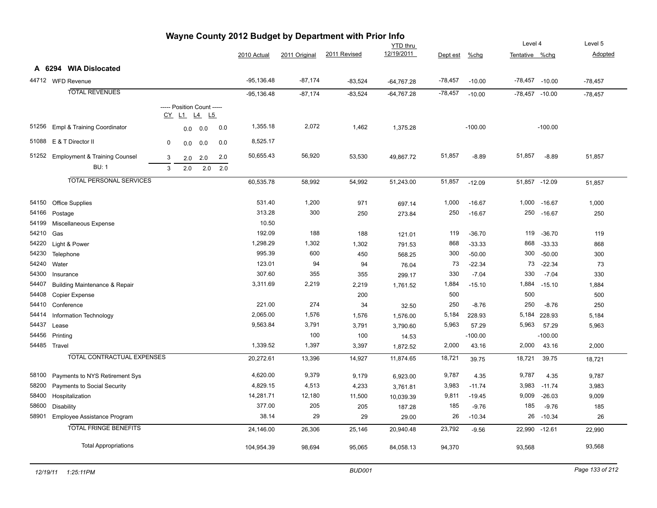| Wayne County 2012 Budget by Department with Prior Info |                                                          |        |                                        |            |            |              |               |              |                               |           |           |                  |           |           |
|--------------------------------------------------------|----------------------------------------------------------|--------|----------------------------------------|------------|------------|--------------|---------------|--------------|-------------------------------|-----------|-----------|------------------|-----------|-----------|
|                                                        |                                                          |        |                                        |            |            |              |               |              | <b>YTD thru</b><br>12/19/2011 |           |           | Level 4          |           | Level 5   |
|                                                        |                                                          |        |                                        |            |            | 2010 Actual  | 2011 Original | 2011 Revised |                               | Dept est  | %chg      | Tentative %chg   |           | Adopted   |
|                                                        | A 6294 WIA Dislocated                                    |        |                                        |            |            |              |               |              |                               |           |           |                  |           |           |
|                                                        | 44712 WFD Revenue                                        |        |                                        |            |            | $-95,136.48$ | $-87,174$     | $-83,524$    | $-64,767.28$                  | $-78,457$ | $-10.00$  | $-78,457 -10.00$ |           | $-78,457$ |
|                                                        | <b>TOTAL REVENUES</b>                                    |        |                                        |            |            | $-95,136.48$ | $-87,174$     | $-83,524$    | $-64,767.28$                  | $-78,457$ | $-10.00$  | $-78,457 -10.00$ |           | $-78,457$ |
|                                                        |                                                          |        | ----- Position Count -----<br>CY L1 L4 | L5         |            |              |               |              |                               |           |           |                  |           |           |
| 51256                                                  | Empl & Training Coordinator                              |        | 0.0                                    | 0.0        | 0.0        | 1,355.18     | 2,072         | 1,462        | 1,375.28                      |           | $-100.00$ |                  | $-100.00$ |           |
|                                                        | 51088 E & T Director II                                  | 0      | 0.0                                    | 0.0        | 0.0        | 8,525.17     |               |              |                               |           |           |                  |           |           |
| 51252                                                  | <b>Employment &amp; Training Counsel</b><br><b>BU: 1</b> | 3<br>3 | 2.0<br>2.0                             | 2.0<br>2.0 | 2.0<br>2.0 | 50,655.43    | 56,920        | 53,530       | 49,867.72                     | 51,857    | $-8.89$   | 51,857           | $-8.89$   | 51,857    |
|                                                        | <b>TOTAL PERSONAL SERVICES</b>                           |        |                                        |            |            | 60,535.78    | 58,992        | 54,992       | 51,243.00                     | 51,857    | $-12.09$  | 51,857           | $-12.09$  | 51,857    |
| 54150                                                  | <b>Office Supplies</b>                                   |        |                                        |            |            | 531.40       | 1,200         | 971          | 697.14                        | 1,000     | $-16.67$  | 1,000            | $-16.67$  | 1,000     |
| 54166                                                  | Postage                                                  |        |                                        |            |            | 313.28       | 300           | 250          | 273.84                        | 250       | $-16.67$  | 250              | $-16.67$  | 250       |
| 54199                                                  | Miscellaneous Expense                                    |        |                                        |            |            | 10.50        |               |              |                               |           |           |                  |           |           |
| 54210                                                  | Gas                                                      |        |                                        |            |            | 192.09       | 188           | 188          | 121.01                        | 119       | $-36.70$  | 119              | $-36.70$  | 119       |
| 54220                                                  | Light & Power                                            |        |                                        |            |            | 1,298.29     | 1,302         | 1,302        | 791.53                        | 868       | $-33.33$  | 868              | $-33.33$  | 868       |
| 54230                                                  | Telephone                                                |        |                                        |            |            | 995.39       | 600           | 450          | 568.25                        | 300       | $-50.00$  | 300              | $-50.00$  | 300       |
| 54240                                                  | Water                                                    |        |                                        |            |            | 123.01       | 94            | 94           | 76.04                         | 73        | $-22.34$  | 73               | $-22.34$  | 73        |
| 54300                                                  | Insurance                                                |        |                                        |            |            | 307.60       | 355           | 355          | 299.17                        | 330       | $-7.04$   | 330              | $-7.04$   | 330       |
| 54407                                                  | <b>Building Maintenance &amp; Repair</b>                 |        |                                        |            |            | 3,311.69     | 2,219         | 2,219        | 1,761.52                      | 1,884     | $-15.10$  | 1,884            | $-15.10$  | 1,884     |
| 54408                                                  | <b>Copier Expense</b>                                    |        |                                        |            |            |              |               | 200          |                               | 500       |           | 500              |           | 500       |
| 54410                                                  | Conference                                               |        |                                        |            |            | 221.00       | 274           | 34           | 32.50                         | 250       | $-8.76$   | 250              | $-8.76$   | 250       |
| 54414                                                  | Information Technology                                   |        |                                        |            |            | 2,065.00     | 1,576         | 1,576        | 1,576.00                      | 5,184     | 228.93    | 5,184            | 228.93    | 5,184     |
| 54437                                                  | Lease                                                    |        |                                        |            |            | 9,563.84     | 3,791         | 3,791        | 3,790.60                      | 5,963     | 57.29     | 5,963            | 57.29     | 5,963     |
| 54456                                                  | Printing                                                 |        |                                        |            |            |              | 100           | 100          | 14.53                         |           | $-100.00$ |                  | $-100.00$ |           |
|                                                        | 54485 Travel                                             |        |                                        |            |            | 1,339.52     | 1,397         | 3,397        | 1,872.52                      | 2,000     | 43.16     | 2,000            | 43.16     | 2,000     |
|                                                        | <b>TOTAL CONTRACTUAL EXPENSES</b>                        |        |                                        |            |            | 20,272.61    | 13,396        | 14,927       | 11,874.65                     | 18,721    | 39.75     | 18,721           | 39.75     | 18,721    |
| 58100                                                  | Payments to NYS Retirement Sys                           |        |                                        |            |            | 4,620.00     | 9,379         | 9,179        | 6,923.00                      | 9,787     | 4.35      | 9,787            | 4.35      | 9,787     |
| 58200                                                  | Payments to Social Security                              |        |                                        |            |            | 4,829.15     | 4,513         | 4,233        | 3,761.81                      | 3,983     | $-11.74$  | 3,983            | $-11.74$  | 3,983     |
| 58400                                                  | Hospitalization                                          |        |                                        |            |            | 14,281.71    | 12,180        | 11,500       | 10,039.39                     | 9,811     | $-19.45$  | 9,009            | $-26.03$  | 9,009     |
| 58600                                                  | <b>Disability</b>                                        |        |                                        |            |            | 377.00       | 205           | 205          | 187.28                        | 185       | $-9.76$   | 185              | $-9.76$   | 185       |
| 58901                                                  | Employee Assistance Program                              |        |                                        |            |            | 38.14        | 29            | 29           | 29.00                         | 26        | $-10.34$  | 26               | $-10.34$  | 26        |
|                                                        | <b>TOTAL FRINGE BENEFITS</b>                             |        |                                        |            |            | 24,146.00    | 26,306        | 25,146       | 20,940.48                     | 23,792    | $-9.56$   | 22,990 -12.61    |           | 22,990    |
|                                                        | <b>Total Appropriations</b>                              |        |                                        |            |            | 104,954.39   | 98,694        | 95,065       | 84,058.13                     | 94,370    |           | 93,568           |           | 93,568    |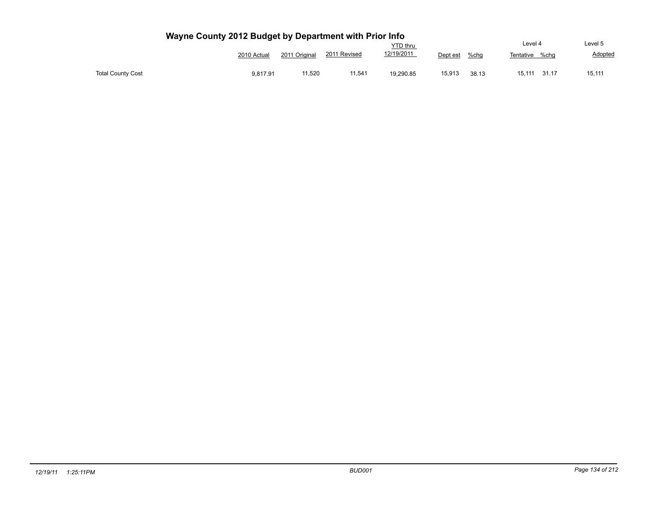|                          |             |               |              | YTD thru   |          |       | Level 4   |       | Level 5 |
|--------------------------|-------------|---------------|--------------|------------|----------|-------|-----------|-------|---------|
|                          | 2010 Actual | 2011 Original | 2011 Revised | 12/19/2011 | Dept est | %chg  | Tentative | %cha  | Adopted |
| <b>Total County Cost</b> | 9.817.91    | 11,520        | 11,541       | 19,290.85  | 15,913   | 38.13 | 15.111    | 31.17 | 15,111  |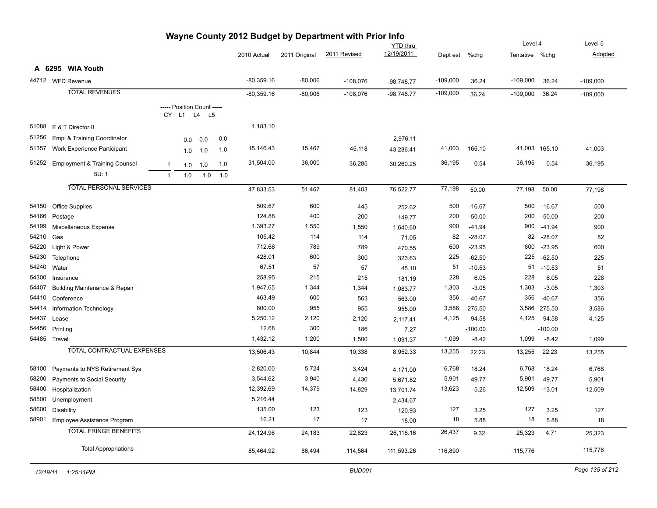|       | wayne County Zuiz Duuget by Department with Frior lino<br><b>YTD thru</b> |                                           |     |     |              |               |              |              | Level 4    |           | Level 5        |               |            |
|-------|---------------------------------------------------------------------------|-------------------------------------------|-----|-----|--------------|---------------|--------------|--------------|------------|-----------|----------------|---------------|------------|
|       |                                                                           |                                           |     |     | 2010 Actual  | 2011 Original | 2011 Revised | 12/19/2011   | Dept est   | $%$ chg   | Tentative %chg |               | Adopted    |
|       | A 6295 WIA Youth                                                          |                                           |     |     |              |               |              |              |            |           |                |               |            |
|       | 44712 WFD Revenue                                                         |                                           |     |     | $-80,359.16$ | $-80,006$     | $-108,076$   | $-98,748.77$ | $-109,000$ | 36.24     | $-109,000$     | 36.24         | $-109,000$ |
|       | <b>TOTAL REVENUES</b>                                                     |                                           |     |     | $-80,359.16$ | $-80,006$     | $-108,076$   | $-98,748.77$ | $-109,000$ | 36.24     | $-109,000$     | 36.24         | $-109,000$ |
|       |                                                                           | ----- Position Count -----<br>CY L1 L4 L5 |     |     |              |               |              |              |            |           |                |               |            |
| 51088 | E & T Director II                                                         |                                           |     |     | 1,183.10     |               |              |              |            |           |                |               |            |
| 51256 | Empl & Training Coordinator                                               | 0.0                                       | 0.0 | 0.0 |              |               |              | 2,976.11     |            |           |                |               |            |
| 51357 | Work Experience Participant                                               | 1.0                                       | 1.0 | 1.0 | 15,146.43    | 15,467        | 45,118       | 43,286.41    | 41,003     | 165.10    |                | 41,003 165.10 | 41,003     |
| 51252 | <b>Employment &amp; Training Counsel</b>                                  | $\mathbf{1}$<br>1.0                       | 1.0 | 1.0 | 31,504.00    | 36,000        | 36,285       | 30,260.25    | 36,195     | 0.54      | 36,195         | 0.54          | 36,195     |
|       | <b>BU: 1</b>                                                              | 1.0<br>$\mathbf{1}$                       | 1.0 | 1.0 |              |               |              |              |            |           |                |               |            |
|       | <b>TOTAL PERSONAL SERVICES</b>                                            |                                           |     |     | 47,833.53    | 51,467        | 81,403       | 76,522.77    | 77,198     | 50.00     | 77,198         | 50.00         | 77,198     |
| 54150 | <b>Office Supplies</b>                                                    |                                           |     |     | 509.67       | 600           | 445          | 252.62       | 500        | $-16.67$  | 500            | $-16.67$      | 500        |
| 54166 | Postage                                                                   |                                           |     |     | 124.88       | 400           | 200          | 149.77       | 200        | $-50.00$  | 200            | $-50.00$      | 200        |
| 54199 | Miscellaneous Expense                                                     |                                           |     |     | 1,393.27     | 1,550         | 1,550        | 1,640.60     | 900        | $-41.94$  | 900            | $-41.94$      | 900        |
| 54210 | Gas                                                                       |                                           |     |     | 105.42       | 114           | 114          | 71.05        | 82         | $-28.07$  | 82             | $-28.07$      | 82         |
| 54220 | Light & Power                                                             |                                           |     |     | 712.66       | 789           | 789          | 470.55       | 600        | $-23.95$  | 600            | $-23.95$      | 600        |
| 54230 | Telephone                                                                 |                                           |     |     | 428.01       | 600           | 300          | 323.63       | 225        | $-62.50$  | 225            | $-62.50$      | 225        |
| 54240 | Water                                                                     |                                           |     |     | 67.51        | 57            | 57           | 45.10        | 51         | $-10.53$  | 51             | $-10.53$      | 51         |
| 54300 | Insurance                                                                 |                                           |     |     | 258.95       | 215           | 215          | 181.19       | 228        | 6.05      | 228            | 6.05          | 228        |
| 54407 | <b>Building Maintenance &amp; Repair</b>                                  |                                           |     |     | 1,947.65     | 1,344         | 1,344        | 1,083.77     | 1,303      | $-3.05$   | 1,303          | $-3.05$       | 1,303      |
| 54410 | Conference                                                                |                                           |     |     | 463.49       | 600           | 563          | 563.00       | 356        | $-40.67$  | 356            | $-40.67$      | 356        |
| 54414 | Information Technology                                                    |                                           |     |     | 800.00       | 955           | 955          | 955.00       | 3,586      | 275.50    | 3,586          | 275.50        | 3,586      |
| 54437 | Lease                                                                     |                                           |     |     | 5,250.12     | 2,120         | 2,120        | 2,117.41     | 4,125      | 94.58     | 4,125          | 94.58         | 4,125      |
| 54456 | Printing                                                                  |                                           |     |     | 12.68        | 300           | 186          | 7.27         |            | $-100.00$ |                | $-100.00$     |            |
|       | 54485 Travel                                                              |                                           |     |     | 1,432.12     | 1,200         | 1,500        | 1,091.37     | 1,099      | $-8.42$   | 1,099          | $-8.42$       | 1,099      |
|       | <b>TOTAL CONTRACTUAL EXPENSES</b>                                         |                                           |     |     | 13,506.43    | 10,844        | 10,338       | 8,952.33     | 13,255     | 22.23     | 13,255         | 22.23         | 13,255     |
| 58100 | Payments to NYS Retirement Sys                                            |                                           |     |     | 2,820.00     | 5,724         | 3,424        | 4,171.00     | 6,768      | 18.24     | 6,768          | 18.24         | 6,768      |
| 58200 | Payments to Social Security                                               |                                           |     |     | 3,544.62     | 3,940         | 4,430        | 5,671.82     | 5,901      | 49.77     | 5,901          | 49.77         | 5,901      |
| 58400 | Hospitalization                                                           |                                           |     |     | 12,392.69    | 14,379        | 14,829       | 13,701.74    | 13,623     | $-5.26$   | 12,509         | $-13.01$      | 12,509     |
| 58500 | Unemployment                                                              |                                           |     |     | 5,216.44     |               |              | 2,434.67     |            |           |                |               |            |
| 58600 | Disability                                                                |                                           |     |     | 135.00       | 123           | 123          | 120.93       | 127        | 3.25      | 127            | 3.25          | 127        |
| 58901 | Employee Assistance Program                                               |                                           |     |     | 16.21        | 17            | 17           | 18.00        | 18         | 5.88      | 18             | 5.88          | 18         |
|       | <b>TOTAL FRINGE BENEFITS</b>                                              |                                           |     |     | 24,124.96    | 24,183        | 22,823       | 26,118.16    | 26,437     | 9.32      | 25,323         | 4.71          | 25,323     |
|       | <b>Total Appropriations</b>                                               |                                           |     |     | 85,464.92    | 86,494        | 114,564      | 111,593.26   | 116,890    |           | 115,776        |               | 115,776    |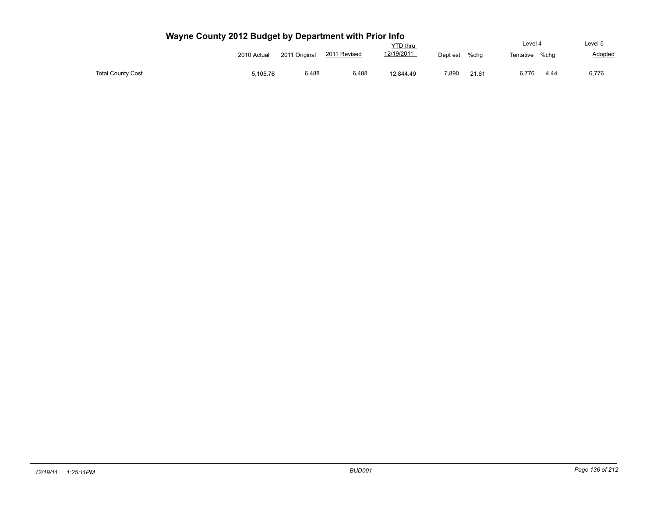|                          |             |               |              | <b>YTD</b> thru |          |       | Level 4           | Level 5 |
|--------------------------|-------------|---------------|--------------|-----------------|----------|-------|-------------------|---------|
|                          | 2010 Actual | 2011 Original | 2011 Revised | 12/19/2011      | Dept est | %chg  | %cha<br>Tentative | Adopted |
| <b>Total County Cost</b> | 5,105.76    | 6,488         | 6,488        | 12,844.49       | 7,890    | 21.61 | 6.776<br>4.44     | 6,776   |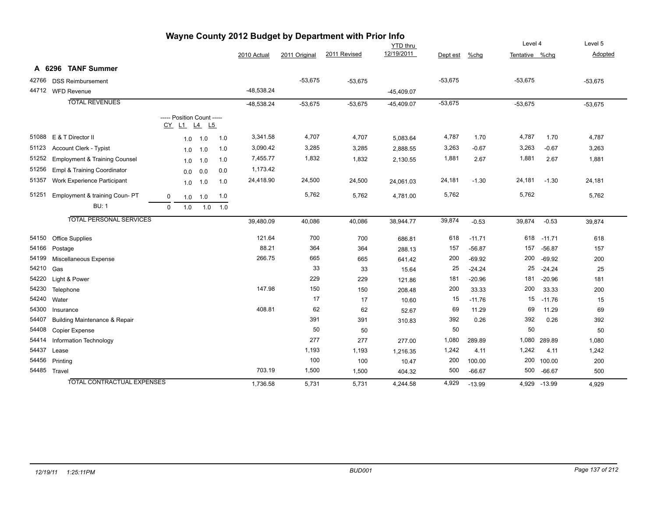| wayne County 2012 Budget by Department with Prior lino |                                          |          |                                                  |     |     |              |               |              |              |           |          |                |          |           |
|--------------------------------------------------------|------------------------------------------|----------|--------------------------------------------------|-----|-----|--------------|---------------|--------------|--------------|-----------|----------|----------------|----------|-----------|
|                                                        | <b>YTD</b> thru                          |          |                                                  |     |     |              |               |              | Level 4      |           | Level 5  |                |          |           |
|                                                        |                                          |          |                                                  |     |     | 2010 Actual  | 2011 Original | 2011 Revised | 12/19/2011   | Dept est  | %chq     | Tentative %chq |          | Adopted   |
|                                                        | A 6296 TANF Summer                       |          |                                                  |     |     |              |               |              |              |           |          |                |          |           |
| 42766                                                  | <b>DSS Reimbursement</b>                 |          |                                                  |     |     |              | $-53,675$     | $-53,675$    |              | $-53,675$ |          | $-53,675$      |          | $-53,675$ |
|                                                        | 44712 WFD Revenue                        |          |                                                  |     |     | $-48,538.24$ |               |              | $-45,409.07$ |           |          |                |          |           |
|                                                        | <b>TOTAL REVENUES</b>                    |          |                                                  |     |     | $-48,538.24$ | $-53,675$     | $-53,675$    | $-45,409.07$ | $-53,675$ |          | $-53,675$      |          | $-53,675$ |
|                                                        |                                          |          | ----- Position Count -----<br><u>CY L1 L4 L5</u> |     |     |              |               |              |              |           |          |                |          |           |
|                                                        | 51088 E & T Director II                  |          | 1.0                                              | 1.0 | 1.0 | 3,341.58     | 4,707         | 4,707        | 5,083.64     | 4,787     | 1.70     | 4,787          | 1.70     | 4,787     |
| 51123                                                  | <b>Account Clerk - Typist</b>            |          | 1.0                                              | 1.0 | 1.0 | 3,090.42     | 3,285         | 3,285        | 2,888.55     | 3,263     | $-0.67$  | 3,263          | $-0.67$  | 3,263     |
| 51252                                                  | <b>Employment &amp; Training Counsel</b> |          | 1.0                                              | 1.0 | 1.0 | 7,455.77     | 1,832         | 1,832        | 2,130.55     | 1,881     | 2.67     | 1,881          | 2.67     | 1,881     |
| 51256                                                  | Empl & Training Coordinator              |          | 0.0                                              | 0.0 | 0.0 | 1,173.42     |               |              |              |           |          |                |          |           |
| 51357                                                  | Work Experience Participant              |          | 1.0                                              | 1.0 | 1.0 | 24,418.90    | 24,500        | 24,500       | 24,061.03    | 24,181    | $-1.30$  | 24,181         | $-1.30$  | 24,181    |
| 51251                                                  | Employment & training Coun- PT           | 0        | 1.0                                              | 1.0 | 1.0 |              | 5,762         | 5,762        | 4,781.00     | 5,762     |          | 5,762          |          | 5,762     |
|                                                        | <b>BU: 1</b>                             | $\Omega$ | 1.0                                              | 1.0 | 1.0 |              |               |              |              |           |          |                |          |           |
|                                                        | <b>TOTAL PERSONAL SERVICES</b>           |          |                                                  |     |     | 39,480.09    | 40,086        | 40,086       | 38,944.77    | 39,874    | $-0.53$  | 39,874         | $-0.53$  | 39,874    |
| 54150                                                  | <b>Office Supplies</b>                   |          |                                                  |     |     | 121.64       | 700           | 700          | 686.81       | 618       | $-11.71$ | 618            | $-11.71$ | 618       |
| 54166                                                  | Postage                                  |          |                                                  |     |     | 88.21        | 364           | 364          | 288.13       | 157       | $-56.87$ | 157            | $-56.87$ | 157       |
| 54199                                                  | Miscellaneous Expense                    |          |                                                  |     |     | 266.75       | 665           | 665          | 641.42       | 200       | $-69.92$ | 200            | $-69.92$ | 200       |
| 54210                                                  | Gas                                      |          |                                                  |     |     |              | 33            | 33           | 15.64        | 25        | $-24.24$ | 25             | $-24.24$ | 25        |
| 54220                                                  | Light & Power                            |          |                                                  |     |     |              | 229           | 229          | 121.86       | 181       | $-20.96$ | 181            | $-20.96$ | 181       |
| 54230                                                  | Telephone                                |          |                                                  |     |     | 147.98       | 150           | 150          | 208.48       | 200       | 33.33    | 200            | 33.33    | 200       |
| 54240                                                  | Water                                    |          |                                                  |     |     |              | 17            | 17           | 10.60        | 15        | $-11.76$ | 15             | $-11.76$ | 15        |
| 54300                                                  | Insurance                                |          |                                                  |     |     | 408.81       | 62            | 62           | 52.67        | 69        | 11.29    | 69             | 11.29    | 69        |
| 54407                                                  | <b>Building Maintenance &amp; Repair</b> |          |                                                  |     |     |              | 391           | 391          | 310.83       | 392       | 0.26     | 392            | 0.26     | 392       |
| 54408                                                  | Copier Expense                           |          |                                                  |     |     |              | 50            | 50           |              | 50        |          | 50             |          | 50        |
| 54414                                                  | Information Technology                   |          |                                                  |     |     |              | 277           | 277          | 277.00       | 1,080     | 289.89   | 1,080          | 289.89   | 1,080     |
| 54437                                                  | Lease                                    |          |                                                  |     |     |              | 1,193         | 1,193        | 1,216.35     | 1,242     | 4.11     | 1,242          | 4.11     | 1,242     |
| 54456                                                  | Printing                                 |          |                                                  |     |     |              | 100           | 100          | 10.47        | 200       | 100.00   | 200            | 100.00   | 200       |
|                                                        | 54485 Travel                             |          |                                                  |     |     | 703.19       | 1,500         | 1,500        | 404.32       | 500       | $-66.67$ | 500            | $-66.67$ | 500       |
|                                                        | <b>TOTAL CONTRACTUAL EXPENSES</b>        |          |                                                  |     |     | 1,736.58     | 5,731         | 5,731        | 4,244.58     | 4,929     | $-13.99$ | 4,929          | $-13.99$ | 4,929     |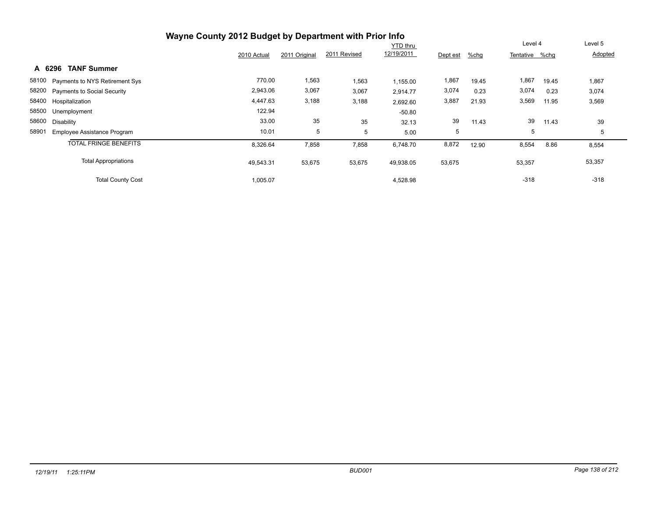|                                             | Wayne County 2012 Budget by Department with Prior Info |               |              |                 |          |         |                |       |         |
|---------------------------------------------|--------------------------------------------------------|---------------|--------------|-----------------|----------|---------|----------------|-------|---------|
|                                             |                                                        |               |              | <b>YTD thru</b> |          |         | Level 4        |       | Level 5 |
|                                             | 2010 Actual                                            | 2011 Original | 2011 Revised | 12/19/2011      | Dept est | $%$ chg | Tentative %chq |       | Adopted |
| <b>TANF Summer</b><br>A 6296                |                                                        |               |              |                 |          |         |                |       |         |
| 58100 Payments to NYS Retirement Sys        | 770.00                                                 | 1,563         | 1,563        | 1,155.00        | 1,867    | 19.45   | 1,867          | 19.45 | 1,867   |
| 58200 Payments to Social Security           | 2,943.06                                               | 3,067         | 3,067        | 2,914.77        | 3,074    | 0.23    | 3,074          | 0.23  | 3,074   |
| 58400 Hospitalization                       | 4,447.63                                               | 3,188         | 3,188        | 2,692.60        | 3,887    | 21.93   | 3,569          | 11.95 | 3,569   |
| 58500 Unemployment                          | 122.94                                                 |               |              | $-50.80$        |          |         |                |       |         |
| 58600<br>Disability                         | 33.00                                                  | 35            | 35           | 32.13           | 39       | 11.43   | 39             | 11.43 | 39      |
| 58901<br><b>Employee Assistance Program</b> | 10.01                                                  | 5             | 5            | 5.00            | 5        |         | 5              |       | 5       |
| <b>TOTAL FRINGE BENEFITS</b>                | 8,326.64                                               | 7,858         | 7,858        | 6,748.70        | 8,872    | 12.90   | 8,554          | 8.86  | 8,554   |
| <b>Total Appropriations</b>                 | 49,543.31                                              | 53,675        | 53,675       | 49,938.05       | 53,675   |         | 53,357         |       | 53,357  |
| <b>Total County Cost</b>                    | 1,005.07                                               |               |              | 4,528.98        |          |         | $-318$         |       | $-318$  |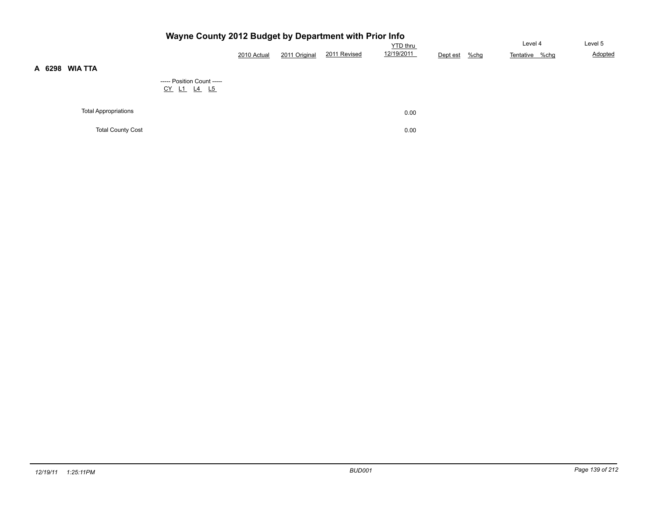|                             |                                                  | 2010 Actual | $%$ chg<br>Dept est | Level 4<br>Tentative %chg | Level 5<br>Adopted |  |  |
|-----------------------------|--------------------------------------------------|-------------|---------------------|---------------------------|--------------------|--|--|
| <b>WIA TTA</b>              | ----- Position Count -----<br><u>CY L1 L4 L5</u> |             |                     |                           |                    |  |  |
| <b>Total Appropriations</b> |                                                  |             |                     | 0.00                      |                    |  |  |
| <b>Total County Cost</b>    |                                                  |             |                     | 0.00                      |                    |  |  |

**A 6298 WIA TTA**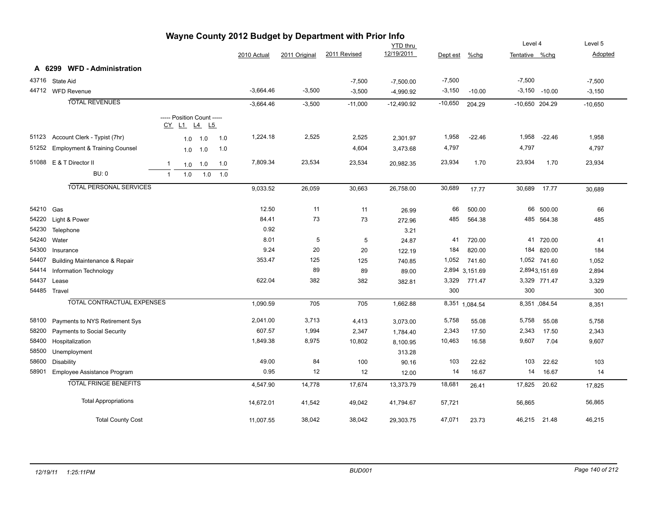| Wayne County 2012 Budget by Department with Prior Info |                                          |                |            |                                           |     |             |               |                 |              |           |                |                |                 |           |
|--------------------------------------------------------|------------------------------------------|----------------|------------|-------------------------------------------|-----|-------------|---------------|-----------------|--------------|-----------|----------------|----------------|-----------------|-----------|
|                                                        |                                          |                |            |                                           |     |             |               |                 | YTD thru     |           |                | Level 4        |                 | Level 5   |
|                                                        |                                          |                |            |                                           |     | 2010 Actual | 2011 Original | 2011 Revised    | 12/19/2011   | Dept est  | %chg           | Tentative %chg |                 | Adopted   |
|                                                        | <b>WFD - Administration</b><br>A 6299    |                |            |                                           |     |             |               |                 |              |           |                |                |                 |           |
|                                                        | 43716 State Aid                          |                |            |                                           |     |             |               | $-7,500$        | $-7,500.00$  | $-7,500$  |                | $-7,500$       |                 | $-7,500$  |
|                                                        | 44712 WFD Revenue                        |                |            |                                           |     | $-3,664.46$ | $-3,500$      | $-3,500$        | $-4,990.92$  | $-3,150$  | $-10.00$       |                | $-3,150 -10.00$ | $-3,150$  |
|                                                        | <b>TOTAL REVENUES</b>                    |                |            |                                           |     | $-3,664.46$ |               |                 | $-12,490.92$ | $-10,650$ |                | -10,650 204.29 |                 |           |
|                                                        |                                          |                |            |                                           |     |             | $-3,500$      | $-11,000$       |              |           | 204.29         |                |                 | $-10,650$ |
|                                                        |                                          |                |            | ----- Position Count -----<br>CY L1 L4 L5 |     |             |               |                 |              |           |                |                |                 |           |
| 51123                                                  | Account Clerk - Typist (7hr)             |                | 1.0        | 1.0                                       | 1.0 | 1,224.18    | 2,525         | 2,525           | 2,301.97     | 1,958     | $-22.46$       | 1,958          | $-22.46$        | 1,958     |
| 51252                                                  | <b>Employment &amp; Training Counsel</b> |                | 1.0        | 1.0                                       | 1.0 |             |               | 4,604           | 3,473.68     | 4,797     |                | 4,797          |                 | 4,797     |
|                                                        | 51088 E & T Director II                  | $\mathbf{1}$   |            | 1.0                                       | 1.0 | 7,809.34    | 23,534        | 23,534          | 20,982.35    | 23,934    | 1.70           | 23,934         | 1.70            | 23,934    |
|                                                        | <b>BU: 0</b>                             | $\overline{1}$ | 1.0<br>1.0 | 1.0                                       | 1.0 |             |               |                 |              |           |                |                |                 |           |
|                                                        |                                          |                |            |                                           |     |             |               |                 |              |           |                |                |                 |           |
|                                                        | <b>TOTAL PERSONAL SERVICES</b>           |                |            |                                           |     | 9,033.52    | 26,059        | 30,663          | 26,758.00    | 30,689    | 17.77          | 30,689         | 17.77           | 30,689    |
| 54210 Gas                                              |                                          |                |            |                                           |     | 12.50       | 11            |                 |              | 66        | 500.00         |                | 66 500.00       | 66        |
|                                                        | 54220 Light & Power                      |                |            |                                           |     | 84.41       | 73            | 11              | 26.99        | 485       |                |                | 485 564.38      |           |
| 54230                                                  |                                          |                |            |                                           |     | 0.92        |               | 73              | 272.96       |           | 564.38         |                |                 | 485       |
| 54240                                                  | Telephone<br>Water                       |                |            |                                           |     | 8.01        | 5             |                 | 3.21         | 41        |                |                | 41 720.00       | 41        |
| 54300                                                  |                                          |                |            |                                           |     | 9.24        | 20            | $5\phantom{.0}$ | 24.87        | 184       | 720.00         |                |                 |           |
|                                                        | Insurance                                |                |            |                                           |     | 353.47      | 125           | 20              | 122.19       |           | 820.00         |                | 184 820.00      | 184       |
| 54407                                                  | <b>Building Maintenance &amp; Repair</b> |                |            |                                           |     |             |               | 125             | 740.85       | 1,052     | 741.60         |                | 1,052 741.60    | 1,052     |
| 54414                                                  | Information Technology                   |                |            |                                           |     |             | 89            | 89              | 89.00        |           | 2,894 3,151.69 |                | 2,8943,151.69   | 2,894     |
| 54437                                                  | Lease                                    |                |            |                                           |     | 622.04      | 382           | 382             | 382.81       | 3,329     | 771.47         |                | 3,329 771.47    | 3,329     |
|                                                        | 54485 Travel                             |                |            |                                           |     |             |               |                 |              | 300       |                | 300            |                 | 300       |
|                                                        | <b>TOTAL CONTRACTUAL EXPENSES</b>        |                |            |                                           |     | 1,090.59    | 705           | 705             | 1,662.88     |           | 8,351 1,084.54 |                | 8,351,084.54    | 8,351     |
| 58100                                                  | Payments to NYS Retirement Sys           |                |            |                                           |     | 2,041.00    | 3,713         | 4,413           | 3,073.00     | 5,758     | 55.08          | 5,758          | 55.08           | 5,758     |
| 58200                                                  | Payments to Social Security              |                |            |                                           |     | 607.57      | 1,994         | 2,347           | 1,784.40     | 2,343     | 17.50          | 2,343          | 17.50           | 2,343     |
| 58400                                                  | Hospitalization                          |                |            |                                           |     | 1,849.38    | 8,975         | 10,802          | 8,100.95     | 10,463    | 16.58          | 9,607          | 7.04            | 9,607     |
| 58500                                                  | Unemployment                             |                |            |                                           |     |             |               |                 | 313.28       |           |                |                |                 |           |
| 58600                                                  | <b>Disability</b>                        |                |            |                                           |     | 49.00       | 84            | 100             | 90.16        | 103       | 22.62          | 103            | 22.62           | 103       |
| 58901                                                  | Employee Assistance Program              |                |            |                                           |     | 0.95        | 12            | 12              | 12.00        | 14        | 16.67          | 14             | 16.67           | 14        |
|                                                        | <b>TOTAL FRINGE BENEFITS</b>             |                |            |                                           |     | 4,547.90    | 14,778        | 17,674          | 13,373.79    | 18,681    | 26.41          | 17,825         | 20.62           | 17,825    |
|                                                        | <b>Total Appropriations</b>              |                |            |                                           |     | 14,672.01   | 41,542        | 49,042          | 41,794.67    | 57,721    |                | 56,865         |                 | 56,865    |
|                                                        | <b>Total County Cost</b>                 |                |            |                                           |     | 11,007.55   | 38,042        | 38,042          | 29,303.75    | 47,071    | 23.73          | 46,215 21.48   |                 | 46,215    |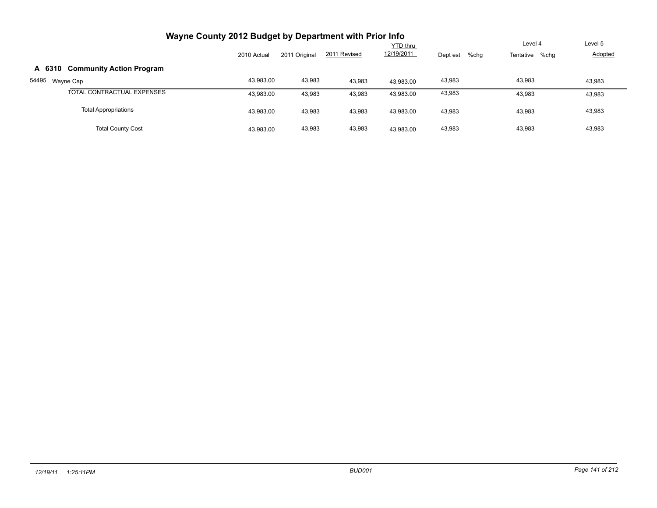| Wayne County 2012 Budget by Department with Prior Info |             |               |              |                 |                  |                |                |
|--------------------------------------------------------|-------------|---------------|--------------|-----------------|------------------|----------------|----------------|
|                                                        |             |               |              | <b>YTD thru</b> |                  | Level 4        | Level 5        |
|                                                        | 2010 Actual | 2011 Original | 2011 Revised | 12/19/2011      | Dept est<br>%chg | Tentative %chg | <b>Adopted</b> |
| <b>Community Action Program</b><br>A 6310              |             |               |              |                 |                  |                |                |
| 54495<br>Wayne Cap                                     | 43,983.00   | 43,983        | 43,983       | 43.983.00       | 43,983           | 43,983         | 43,983         |
| TOTAL CONTRACTUAL EXPENSES                             | 43,983.00   | 43,983        | 43,983       | 43,983.00       | 43,983           | 43,983         | 43,983         |
| <b>Total Appropriations</b>                            | 43,983.00   | 43,983        | 43,983       | 43,983.00       | 43,983           | 43,983         | 43,983         |
| <b>Total County Cost</b>                               | 43,983.00   | 43,983        | 43,983       | 43.983.00       | 43,983           | 43.983         | 43,983         |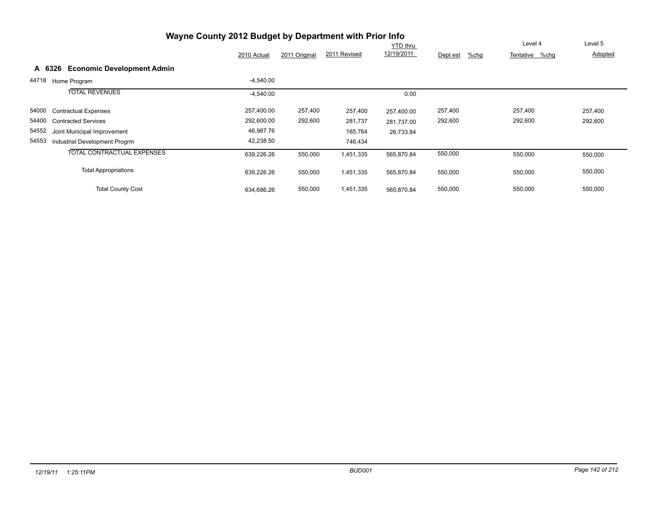|        | Wayne County 2012 Budget by Department with Prior Info |             | Level 4       | Level 5      |                        |                     |                |         |
|--------|--------------------------------------------------------|-------------|---------------|--------------|------------------------|---------------------|----------------|---------|
|        |                                                        | 2010 Actual | 2011 Original | 2011 Revised | YTD thru<br>12/19/2011 | $%$ chg<br>Dept est | Tentative %chg | Adopted |
| A 6326 | <b>Economic Development Admin</b>                      |             |               |              |                        |                     |                |         |
| 44718  | Home Program                                           | $-4,540.00$ |               |              |                        |                     |                |         |
|        | <b>TOTAL REVENUES</b>                                  | $-4,540.00$ |               |              | 0.00                   |                     |                |         |
| 54000  | <b>Contractual Expenses</b>                            | 257,400.00  | 257,400       | 257,400      | 257,400.00             | 257,400             | 257,400        | 257,400 |
| 54400  | <b>Contracted Services</b>                             | 292,600.00  | 292,600       | 281,737      | 281.737.00             | 292,600             | 292,600        | 292,600 |
| 54552  | Joint Municipal Improvement                            | 46,987.76   |               | 165,764      | 26,733.84              |                     |                |         |
| 54553  | Industrial Development Progrm                          | 42,238.50   |               | 746,434      |                        |                     |                |         |
|        | <b>TOTAL CONTRACTUAL EXPENSES</b>                      | 639,226.26  | 550,000       | 1,451,335    | 565,870.84             | 550,000             | 550,000        | 550,000 |
|        | <b>Total Appropriations</b>                            | 639,226.26  | 550,000       | 1,451,335    | 565,870.84             | 550,000             | 550,000        | 550,000 |
|        | <b>Total County Cost</b>                               | 634,686.26  | 550,000       | 1,451,335    | 565,870.84             | 550,000             | 550,000        | 550,000 |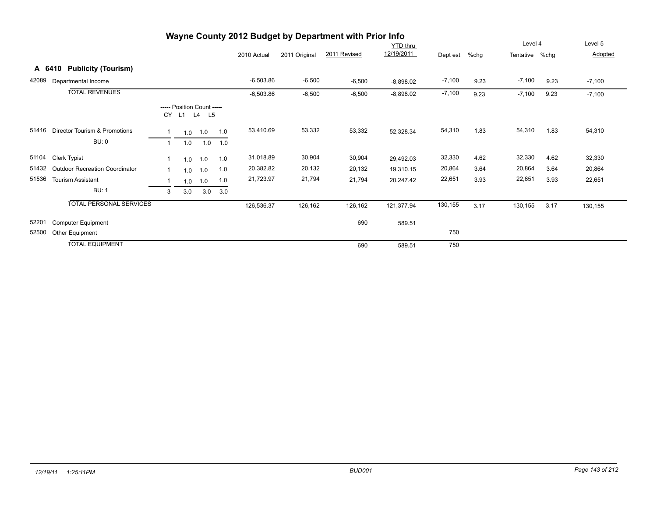|        |                                       |                |                                                  |     |     |             |               | Wayne County 2012 Budget by Department with Prior Info |                 |          |      |                |      |          |
|--------|---------------------------------------|----------------|--------------------------------------------------|-----|-----|-------------|---------------|--------------------------------------------------------|-----------------|----------|------|----------------|------|----------|
|        |                                       |                |                                                  |     |     |             |               |                                                        | <b>YTD thru</b> |          |      | Level 4        |      | Level 5  |
|        |                                       |                |                                                  |     |     | 2010 Actual | 2011 Original | 2011 Revised                                           | 12/19/2011      | Dept est | %chg | Tentative %chg |      | Adopted  |
| A 6410 | <b>Publicity (Tourism)</b>            |                |                                                  |     |     |             |               |                                                        |                 |          |      |                |      |          |
| 42089  | Departmental Income                   |                |                                                  |     |     | $-6,503.86$ | $-6,500$      | $-6,500$                                               | $-8,898.02$     | $-7,100$ | 9.23 | $-7,100$       | 9.23 | $-7,100$ |
|        | <b>TOTAL REVENUES</b>                 |                |                                                  |     |     | $-6,503.86$ | $-6,500$      | $-6,500$                                               | $-8,898.02$     | $-7,100$ | 9.23 | $-7,100$       | 9.23 | $-7,100$ |
|        |                                       |                | ----- Position Count -----<br><u>CY L1 L4 L5</u> |     |     |             |               |                                                        |                 |          |      |                |      |          |
| 51416  | Director Tourism & Promotions         |                | 1.0                                              | 1.0 | 1.0 | 53,410.69   | 53,332        | 53,332                                                 | 52,328.34       | 54,310   | 1.83 | 54,310         | 1.83 | 54,310   |
|        | BU: 0                                 | $\overline{1}$ | 1.0                                              | 1.0 | 1.0 |             |               |                                                        |                 |          |      |                |      |          |
| 51104  | <b>Clerk Typist</b>                   |                | 1.0                                              | 1.0 | 1.0 | 31,018.89   | 30,904        | 30,904                                                 | 29,492.03       | 32,330   | 4.62 | 32,330         | 4.62 | 32,330   |
| 51432  | <b>Outdoor Recreation Coordinator</b> |                | 1.0                                              | 1.0 | 1.0 | 20,382.82   | 20,132        | 20,132                                                 | 19,310.15       | 20,864   | 3.64 | 20,864         | 3.64 | 20,864   |
| 51536  | <b>Tourism Assistant</b>              |                | 1.0                                              | 1.0 | 1.0 | 21,723.97   | 21,794        | 21,794                                                 | 20,247.42       | 22,651   | 3.93 | 22,651         | 3.93 | 22,651   |
|        | <b>BU: 1</b>                          | 3              | 3.0                                              | 3.0 | 3.0 |             |               |                                                        |                 |          |      |                |      |          |
|        | <b>TOTAL PERSONAL SERVICES</b>        |                |                                                  |     |     | 126,536.37  | 126,162       | 126,162                                                | 121,377.94      | 130,155  | 3.17 | 130,155        | 3.17 | 130,155  |
| 52201  | <b>Computer Equipment</b>             |                |                                                  |     |     |             |               | 690                                                    | 589.51          |          |      |                |      |          |
| 52500  | Other Equipment                       |                |                                                  |     |     |             |               |                                                        |                 | 750      |      |                |      |          |
|        | <b>TOTAL EQUIPMENT</b>                |                |                                                  |     |     |             |               | 690                                                    | 589.51          | 750      |      |                |      |          |

## *12/19/11 1:25:11PM BUD001 Page 143 of 212*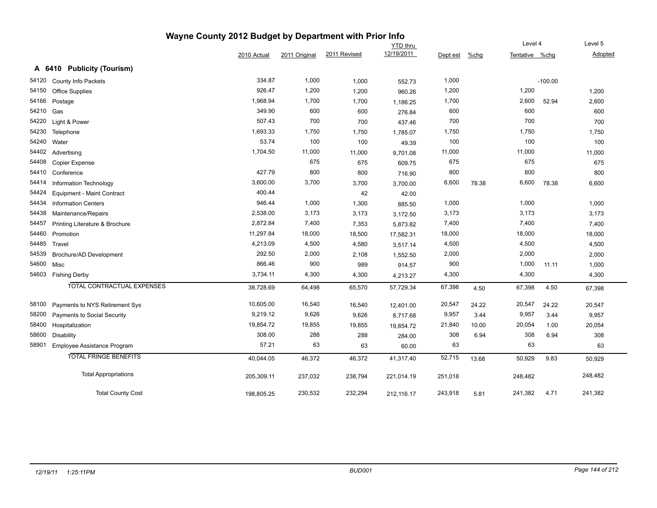| Wayne County 2012 Budget by Department with Prior Info |                                    |             |               |              |                 |          |         |                |           |         |
|--------------------------------------------------------|------------------------------------|-------------|---------------|--------------|-----------------|----------|---------|----------------|-----------|---------|
|                                                        |                                    |             |               |              | <b>YTD</b> thru |          |         | Level 4        |           | Level 5 |
|                                                        |                                    | 2010 Actual | 2011 Original | 2011 Revised | 12/19/2011      | Dept est | $%$ chg | Tentative %chg |           | Adopted |
|                                                        | A 6410 Publicity (Tourism)         |             |               |              |                 |          |         |                |           |         |
| 54120                                                  | County Info Packets                | 334.87      | 1,000         | 1,000        | 552.73          | 1,000    |         |                | $-100.00$ |         |
| 54150                                                  | Office Supplies                    | 926.47      | 1,200         | 1,200        | 960.26          | 1,200    |         | 1,200          |           | 1,200   |
| 54166                                                  | Postage                            | 1,968.94    | 1,700         | 1,700        | 1,186.25        | 1,700    |         | 2,600          | 52.94     | 2,600   |
| 54210                                                  | Gas                                | 349.90      | 600           | 600          | 276.84          | 600      |         | 600            |           | 600     |
| 54220                                                  | Light & Power                      | 507.43      | 700           | 700          | 437.46          | 700      |         | 700            |           | 700     |
| 54230                                                  | Telephone                          | 1,693.33    | 1,750         | 1,750        | 1,785.07        | 1,750    |         | 1,750          |           | 1,750   |
| 54240                                                  | Water                              | 53.74       | 100           | 100          | 49.39           | 100      |         | 100            |           | 100     |
| 54402                                                  | Advertising                        | 1,704.50    | 11,000        | 11,000       | 9,701.08        | 11,000   |         | 11,000         |           | 11,000  |
| 54408                                                  | Copier Expense                     |             | 675           | 675          | 609.75          | 675      |         | 675            |           | 675     |
| 54410                                                  | Conference                         | 427.79      | 800           | 800          | 716.90          | 800      |         | 800            |           | 800     |
| 54414                                                  | Information Technology             | 3,600.00    | 3,700         | 3,700        | 3,700.00        | 6,600    | 78.38   | 6,600          | 78.38     | 6,600   |
| 54424                                                  | Equipment - Maint Contract         | 400.44      |               | 42           | 42.00           |          |         |                |           |         |
| 54434                                                  | <b>Information Centers</b>         | 946.44      | 1,000         | 1,300        | 885.50          | 1,000    |         | 1,000          |           | 1,000   |
| 54438                                                  | Maintenance/Repairs                | 2,538.00    | 3,173         | 3,173        | 3,172.50        | 3,173    |         | 3,173          |           | 3,173   |
| 54457                                                  | Printing Literature & Brochure     | 2,872.84    | 7,400         | 7,353        | 5,873.82        | 7,400    |         | 7,400          |           | 7,400   |
| 54460                                                  | Promotion                          | 11,297.84   | 18,000        | 18,500       | 17,582.31       | 18,000   |         | 18,000         |           | 18,000  |
| 54485                                                  | Travel                             | 4,213.09    | 4,500         | 4,580        | 3,517.14        | 4,500    |         | 4,500          |           | 4,500   |
| 54539                                                  | Brochure/AD Development            | 292.50      | 2,000         | 2,108        | 1,552.50        | 2,000    |         | 2,000          |           | 2,000   |
| 54600                                                  | Misc                               | 866.46      | 900           | 989          | 914.57          | 900      |         | 1,000          | 11.11     | 1,000   |
|                                                        | 54603 Fishing Derby                | 3,734.11    | 4,300         | 4,300        | 4,213.27        | 4,300    |         | 4,300          |           | 4,300   |
|                                                        | TOTAL CONTRACTUAL EXPENSES         | 38,728.69   | 64,498        | 65,570       | 57,729.34       | 67,398   | 4.50    | 67,398         | 4.50      | 67,398  |
| 58100                                                  | Payments to NYS Retirement Sys     | 10,605.00   | 16,540        | 16,540       | 12,401.00       | 20,547   | 24.22   | 20,547         | 24.22     | 20,547  |
| 58200                                                  | <b>Payments to Social Security</b> | 9,219.12    | 9,626         | 9,626        | 8,717.68        | 9,957    | 3.44    | 9,957          | 3.44      | 9,957   |
| 58400                                                  | Hospitalization                    | 19,854.72   | 19,855        | 19,855       | 19,854.72       | 21,840   | 10.00   | 20,054         | 1.00      | 20,054  |
| 58600                                                  | <b>Disability</b>                  | 308.00      | 288           | 288          | 284.00          | 308      | 6.94    | 308            | 6.94      | 308     |
| 58901                                                  | Employee Assistance Program        | 57.21       | 63            | 63           | 60.00           | 63       |         | 63             |           | 63      |
|                                                        | <b>TOTAL FRINGE BENEFITS</b>       | 40,044.05   | 46,372        | 46,372       | 41,317.40       | 52,715   | 13.68   | 50,929         | 9.83      | 50,929  |
|                                                        |                                    |             |               |              |                 |          |         |                |           |         |
|                                                        | <b>Total Appropriations</b>        | 205,309.11  | 237,032       | 238,794      | 221,014.19      | 251,018  |         | 248,482        |           | 248,482 |
|                                                        | <b>Total County Cost</b>           | 198,805.25  | 230,532       | 232,294      | 212,116.17      | 243,918  | 5.81    | 241,382        | 4.71      | 241,382 |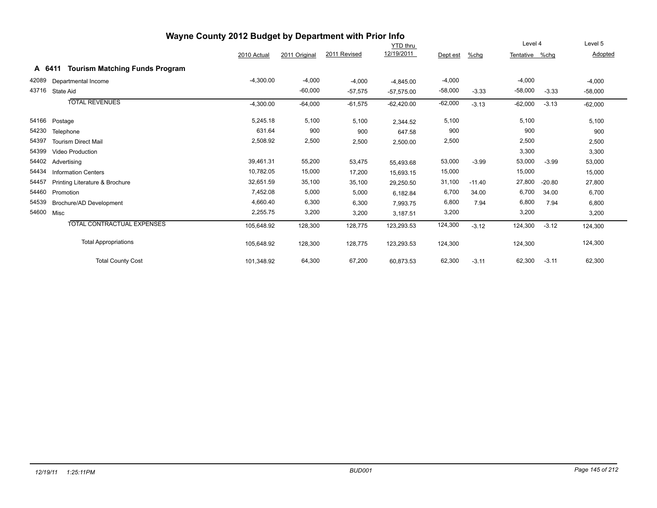| Wayne County 2012 Budget by Department with Prior Info |                                                 |             |               |              |              |           |          |                |          |           |  |
|--------------------------------------------------------|-------------------------------------------------|-------------|---------------|--------------|--------------|-----------|----------|----------------|----------|-----------|--|
|                                                        |                                                 |             |               |              | YTD thru     |           |          | Level 4        |          | Level 5   |  |
|                                                        |                                                 | 2010 Actual | 2011 Original | 2011 Revised | 12/19/2011   | Dept est  | $%$ chg  | Tentative %chg |          | Adopted   |  |
|                                                        | <b>Tourism Matching Funds Program</b><br>A 6411 |             |               |              |              |           |          |                |          |           |  |
| 42089                                                  | Departmental Income                             | $-4,300.00$ | $-4,000$      | $-4,000$     | $-4,845.00$  | $-4,000$  |          | $-4,000$       |          | $-4,000$  |  |
| 43716                                                  | State Aid                                       |             | $-60,000$     | $-57,575$    | $-57,575.00$ | $-58,000$ | $-3.33$  | $-58,000$      | $-3.33$  | $-58,000$ |  |
|                                                        | <b>TOTAL REVENUES</b>                           | $-4,300.00$ | $-64,000$     | $-61,575$    | $-62,420.00$ | $-62,000$ | $-3.13$  | $-62,000$      | $-3.13$  | $-62,000$ |  |
| 54166                                                  | Postage                                         | 5,245.18    | 5,100         | 5,100        | 2,344.52     | 5,100     |          | 5,100          |          | 5,100     |  |
| 54230                                                  | Telephone                                       | 631.64      | 900           | 900          | 647.58       | 900       |          | 900            |          | 900       |  |
| 54397                                                  | <b>Tourism Direct Mail</b>                      | 2,508.92    | 2,500         | 2,500        | 2,500.00     | 2,500     |          | 2,500          |          | 2,500     |  |
| 54399                                                  | <b>Video Production</b>                         |             |               |              |              |           |          | 3,300          |          | 3,300     |  |
| 54402                                                  | Advertising                                     | 39,461.31   | 55,200        | 53,475       | 55,493.68    | 53,000    | $-3.99$  | 53,000         | $-3.99$  | 53,000    |  |
| 54434                                                  | <b>Information Centers</b>                      | 10,782.05   | 15,000        | 17,200       | 15,693.15    | 15,000    |          | 15,000         |          | 15,000    |  |
| 54457                                                  | Printing Literature & Brochure                  | 32,651.59   | 35,100        | 35,100       | 29,250.50    | 31,100    | $-11.40$ | 27,800         | $-20.80$ | 27,800    |  |
| 54460                                                  | Promotion                                       | 7,452.08    | 5,000         | 5,000        | 6,182.84     | 6,700     | 34.00    | 6,700          | 34.00    | 6,700     |  |
| 54539                                                  | Brochure/AD Development                         | 4,660.40    | 6,300         | 6,300        | 7,993.75     | 6,800     | 7.94     | 6,800          | 7.94     | 6,800     |  |
| 54600                                                  | Misc                                            | 2,255.75    | 3,200         | 3,200        | 3,187.51     | 3,200     |          | 3,200          |          | 3,200     |  |
|                                                        | TOTAL CONTRACTUAL EXPENSES                      | 105,648.92  | 128,300       | 128,775      | 123,293.53   | 124,300   | $-3.12$  | 124,300        | $-3.12$  | 124,300   |  |
|                                                        | <b>Total Appropriations</b>                     | 105,648.92  | 128,300       | 128,775      | 123,293.53   | 124,300   |          | 124,300        |          | 124,300   |  |
|                                                        | <b>Total County Cost</b>                        | 101,348.92  | 64,300        | 67,200       | 60,873.53    | 62,300    | $-3.11$  | 62,300         | $-3.11$  | 62,300    |  |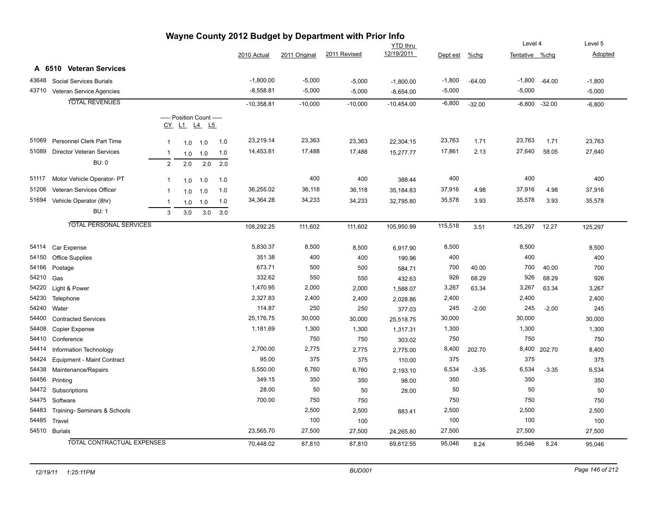|       | wayne County 2012 Budget by Department with Prior info |                |            |                                           |     |              |               |              |                 |          |          |                |                 |          |
|-------|--------------------------------------------------------|----------------|------------|-------------------------------------------|-----|--------------|---------------|--------------|-----------------|----------|----------|----------------|-----------------|----------|
|       |                                                        |                |            |                                           |     |              |               |              | <b>YTD</b> thru |          |          | Level 4        |                 | Level 5  |
|       |                                                        |                |            |                                           |     | 2010 Actual  | 2011 Original | 2011 Revised | 12/19/2011      | Dept est | %chg     | Tentative %chg |                 | Adopted  |
|       | A 6510 Veteran Services                                |                |            |                                           |     |              |               |              |                 |          |          |                |                 |          |
| 43648 | <b>Social Services Burials</b>                         |                |            |                                           |     | $-1,800.00$  | $-5,000$      | $-5,000$     | $-1,800.00$     | $-1,800$ | $-64.00$ |                | $-1,800 -64.00$ | $-1,800$ |
|       | 43710 Veteran Service Agencies                         |                |            |                                           |     | $-8,558.81$  | $-5,000$      | $-5,000$     | $-8,654.00$     | $-5,000$ |          | $-5,000$       |                 | $-5,000$ |
|       | <b>TOTAL REVENUES</b>                                  |                |            |                                           |     | $-10,358.81$ | $-10,000$     | $-10,000$    | $-10,454.00$    | $-6,800$ | $-32.00$ | $-6,800$       | $-32.00$        | $-6,800$ |
|       |                                                        |                |            |                                           |     |              |               |              |                 |          |          |                |                 |          |
|       |                                                        |                |            | ----- Position Count -----<br>CY L1 L4 L5 |     |              |               |              |                 |          |          |                |                 |          |
|       |                                                        |                |            |                                           |     |              |               |              |                 |          |          |                |                 |          |
| 51069 | <b>Personnel Clerk Part Time</b>                       | $\mathbf{1}$   | 1.0        | 1.0                                       | 1.0 | 23,219.14    | 23,363        | 23,363       | 22,304.15       | 23,763   | 1.71     | 23,763         | 1.71            | 23,763   |
|       | 51089 Director Veteran Services                        | $\overline{1}$ | 1.0        | 1.0                                       | 1.0 | 14,453.81    | 17,488        | 17,488       | 15,277.77       | 17,861   | 2.13     | 27,640         | 58.05           | 27,640   |
|       | BU: 0                                                  | $\overline{2}$ | 2.0        | 2.0                                       | 2.0 |              |               |              |                 |          |          |                |                 |          |
| 51117 | Motor Vehicle Operator- PT                             | $\mathbf{1}$   | 1.0        | 1.0                                       | 1.0 |              | 400           | 400          | 388.44          | 400      |          | 400            |                 | 400      |
| 51206 | Veteran Services Officer                               | $\mathbf{1}$   | 1.0        | 1.0                                       | 1.0 | 36,255.02    | 36,118        | 36,118       | 35,184.83       | 37,916   | 4.98     | 37,916         | 4.98            | 37,916   |
| 51694 | Vehicle Operator (8hr)                                 | $\mathbf{1}$   |            |                                           | 1.0 | 34,364.28    | 34,233        | 34,233       | 32,795.80       | 35,578   | 3.93     | 35,578         | 3.93            | 35,578   |
|       | <b>BU: 1</b>                                           | 3              | 1.0<br>3.0 | 1.0<br>$3.0\,$                            | 3.0 |              |               |              |                 |          |          |                |                 |          |
|       |                                                        |                |            |                                           |     |              |               |              |                 |          |          |                |                 |          |
|       | <b>TOTAL PERSONAL SERVICES</b>                         |                |            |                                           |     | 108,292.25   | 111,602       | 111,602      | 105,950.99      | 115,518  | 3.51     | 125,297        | 12.27           | 125,297  |
|       |                                                        |                |            |                                           |     |              |               |              |                 |          |          |                |                 |          |
| 54114 | Car Expense                                            |                |            |                                           |     | 5,830.37     | 8,500         | 8,500        | 6,917.90        | 8,500    |          | 8,500          |                 | 8,500    |
| 54150 | Office Supplies                                        |                |            |                                           |     | 351.38       | 400           | 400          | 190.96          | 400      |          | 400            |                 | 400      |
| 54166 | Postage                                                |                |            |                                           |     | 673.71       | 500           | 500          | 584.71          | 700      | 40.00    | 700            | 40.00           | 700      |
| 54210 | Gas                                                    |                |            |                                           |     | 332.62       | 550           | 550          | 432.63          | 926      | 68.29    | 926            | 68.29           | 926      |
| 54220 | Light & Power                                          |                |            |                                           |     | 1,470.95     | 2,000         | 2,000        | 1,588.07        | 3,267    | 63.34    | 3,267          | 63.34           | 3,267    |
| 54230 | Telephone                                              |                |            |                                           |     | 2,327.83     | 2,400         | 2,400        | 2,028.86        | 2,400    |          | 2,400          |                 | 2,400    |
| 54240 | Water                                                  |                |            |                                           |     | 114.87       | 250           | 250          | 377.03          | 245      | $-2.00$  | 245            | $-2.00$         | 245      |
| 54400 | <b>Contracted Services</b>                             |                |            |                                           |     | 25,176.75    | 30,000        | 30,000       | 25,518.75       | 30,000   |          | 30,000         |                 | 30,000   |
| 54408 | Copier Expense                                         |                |            |                                           |     | 1,181.69     | 1,300         | 1,300        | 1,317.31        | 1,300    |          | 1,300          |                 | 1,300    |
| 54410 | Conference                                             |                |            |                                           |     |              | 750           | 750          | 303.02          | 750      |          | 750            |                 | 750      |
| 54414 | Information Technology                                 |                |            |                                           |     | 2,700.00     | 2,775         | 2,775        | 2,775.00        | 8,400    | 202.70   |                | 8,400 202.70    | 8,400    |
| 54424 | Equipment - Maint Contract                             |                |            |                                           |     | 95.00        | 375           | 375          | 110.00          | 375      |          | 375            |                 | 375      |
| 54438 | Maintenance/Repairs                                    |                |            |                                           |     | 5,550.00     | 6,760         | 6,760        | 2,193.10        | 6,534    | $-3.35$  | 6,534          | $-3.35$         | 6,534    |
| 54456 | Printing                                               |                |            |                                           |     | 349.15       | 350           | 350          | 98.00           | 350      |          | 350            |                 | 350      |
| 54472 | Subscriptions                                          |                |            |                                           |     | 28.00        | 50            | 50           | 28.00           | 50       |          | 50             |                 | 50       |
| 54475 | Software                                               |                |            |                                           |     | 700.00       | 750           | 750          |                 | 750      |          | 750            |                 | 750      |
| 54483 | Training- Seminars & Schools                           |                |            |                                           |     |              | 2,500         | 2,500        | 883.41          | 2,500    |          | 2,500          |                 | 2,500    |
| 54485 | Travel                                                 |                |            |                                           |     |              | 100           | 100          |                 | 100      |          | 100            |                 | 100      |
|       | 54510 Burials                                          |                |            |                                           |     | 23,565.70    | 27,500        | 27,500       | 24,265.80       | 27,500   |          | 27,500         |                 | 27,500   |
|       | <b>TOTAL CONTRACTUAL EXPENSES</b>                      |                |            |                                           |     | 70,448.02    | 87,810        | 87,810       | 69,612.55       | 95,046   | 8.24     | 95,046         | 8.24            | 95,046   |

## **Wayne County 2012 Budget by Department with Prior Info**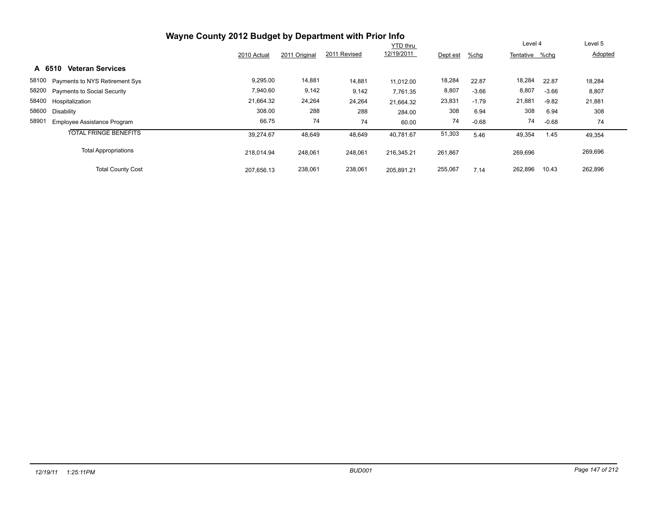|                                             | Wayne County 2012 Budget by Department with Prior Info |               |              |                 |          |         |                |         |         |
|---------------------------------------------|--------------------------------------------------------|---------------|--------------|-----------------|----------|---------|----------------|---------|---------|
|                                             |                                                        |               |              | <b>YTD thru</b> |          |         | Level 4        |         | Level 5 |
|                                             | 2010 Actual                                            | 2011 Original | 2011 Revised | 12/19/2011      | Dept est | %chg    | Tentative %chg |         | Adopted |
| <b>Veteran Services</b><br>A 6510           |                                                        |               |              |                 |          |         |                |         |         |
| 58100 Payments to NYS Retirement Sys        | 9,295.00                                               | 14,881        | 14,881       | 11.012.00       | 18,284   | 22.87   | 18,284         | 22.87   | 18,284  |
| 58200 Payments to Social Security           | 7,940.60                                               | 9,142         | 9,142        | 7,761.35        | 8,807    | $-3.66$ | 8,807          | $-3.66$ | 8,807   |
| 58400 Hospitalization                       | 21,664.32                                              | 24,264        | 24,264       | 21,664.32       | 23,831   | $-1.79$ | 21,881         | $-9.82$ | 21,881  |
| 58600<br>Disability                         | 308.00                                                 | 288           | 288          | 284.00          | 308      | 6.94    | 308            | 6.94    | 308     |
| 58901<br><b>Employee Assistance Program</b> | 66.75                                                  | 74            | 74           | 60.00           | 74       | $-0.68$ | 74             | $-0.68$ | 74      |
| <b>TOTAL FRINGE BENEFITS</b>                | 39.274.67                                              | 48,649        | 48,649       | 40.781.67       | 51,303   | 5.46    | 49,354         | 1.45    | 49,354  |
| <b>Total Appropriations</b>                 | 218.014.94                                             | 248,061       | 248,061      | 216.345.21      | 261,867  |         | 269,696        |         | 269,696 |
| <b>Total County Cost</b>                    | 207,656.13                                             | 238,061       | 238,061      | 205.891.21      | 255,067  | 7.14    | 262,896        | 10.43   | 262,896 |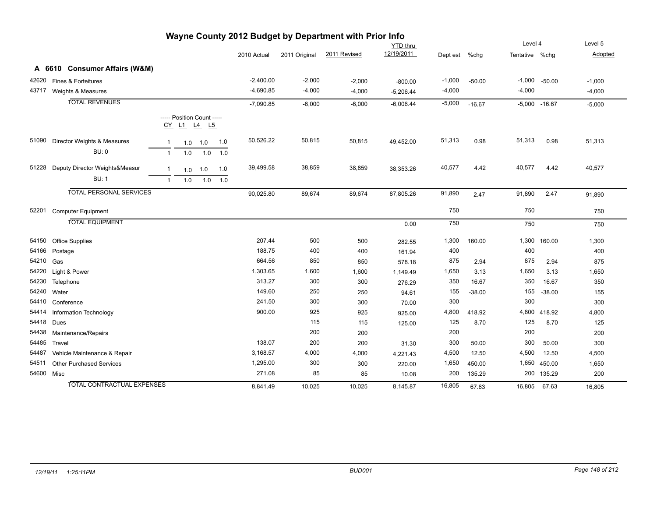| Wayne County 2012 Budget by Department with Prior Info |           |                                   |                |                                           |     |     |             |               |              |                 |          |          |                |                 |          |
|--------------------------------------------------------|-----------|-----------------------------------|----------------|-------------------------------------------|-----|-----|-------------|---------------|--------------|-----------------|----------|----------|----------------|-----------------|----------|
|                                                        |           |                                   |                |                                           |     |     |             |               |              | <b>YTD</b> thru |          |          | Level 4        |                 | Level 5  |
|                                                        |           |                                   |                |                                           |     |     | 2010 Actual | 2011 Original | 2011 Revised | 12/19/2011      | Dept est | %chg     | Tentative %chg |                 | Adopted  |
|                                                        |           | A 6610 Consumer Affairs (W&M)     |                |                                           |     |     |             |               |              |                 |          |          |                |                 |          |
| 42620                                                  |           | Fines & Forteitures               |                |                                           |     |     | $-2,400.00$ | $-2,000$      | $-2,000$     | $-800.00$       | $-1,000$ | $-50.00$ | $-1,000$       | $-50.00$        | $-1,000$ |
| 43717                                                  |           | Weights & Measures                |                |                                           |     |     | $-4,690.85$ | $-4,000$      | $-4,000$     | $-5,206.44$     | $-4,000$ |          | $-4,000$       |                 | $-4,000$ |
|                                                        |           | <b>TOTAL REVENUES</b>             |                |                                           |     |     | $-7,090.85$ | $-6,000$      | $-6,000$     | $-6,006.44$     | $-5,000$ | $-16.67$ |                | $-5,000 -16.67$ | $-5,000$ |
|                                                        |           |                                   |                |                                           |     |     |             |               |              |                 |          |          |                |                 |          |
|                                                        |           |                                   |                | ----- Position Count -----<br>CY L1 L4 L5 |     |     |             |               |              |                 |          |          |                |                 |          |
|                                                        |           |                                   |                |                                           |     |     |             |               |              |                 |          |          |                |                 |          |
| 51090                                                  |           | Director Weights & Measures       | $\mathbf{1}$   | 1.0                                       | 1.0 | 1.0 | 50,526.22   | 50,815        | 50,815       | 49,452.00       | 51,313   | 0.98     | 51,313         | 0.98            | 51,313   |
|                                                        |           | BU: 0                             | $\overline{1}$ | 1.0                                       | 1.0 | 1.0 |             |               |              |                 |          |          |                |                 |          |
| 51228                                                  |           | Deputy Director Weights&Measur    | $\mathbf 1$    | 1.0                                       | 1.0 | 1.0 | 39,499.58   | 38,859        | 38,859       | 38,353.26       | 40,577   | 4.42     | 40,577         | 4.42            | 40,577   |
|                                                        |           | <b>BU: 1</b>                      | $\mathbf{1}$   | 1.0                                       | 1.0 | 1.0 |             |               |              |                 |          |          |                |                 |          |
|                                                        |           |                                   |                |                                           |     |     |             |               |              |                 |          |          |                |                 |          |
|                                                        |           | <b>TOTAL PERSONAL SERVICES</b>    |                |                                           |     |     | 90,025.80   | 89,674        | 89,674       | 87,805.26       | 91,890   | 2.47     | 91,890         | 2.47            | 91,890   |
| 52201                                                  |           | <b>Computer Equipment</b>         |                |                                           |     |     |             |               |              |                 | 750      |          | 750            |                 | 750      |
|                                                        |           | <b>TOTAL EQUIPMENT</b>            |                |                                           |     |     |             |               |              | 0.00            | 750      |          | 750            |                 | 750      |
|                                                        |           |                                   |                |                                           |     |     |             |               |              |                 |          |          |                |                 |          |
| 54150                                                  |           | <b>Office Supplies</b>            |                |                                           |     |     | 207.44      | 500           | 500          | 282.55          | 1,300    | 160.00   |                | 1,300 160.00    | 1,300    |
| 54166                                                  | Postage   |                                   |                |                                           |     |     | 188.75      | 400           | 400          | 161.94          | 400      |          | 400            |                 | 400      |
| 54210                                                  | Gas       |                                   |                |                                           |     |     | 664.56      | 850           | 850          | 578.18          | 875      | 2.94     | 875            | 2.94            | 875      |
| 54220                                                  |           | Light & Power                     |                |                                           |     |     | 1,303.65    | 1,600         | 1,600        | 1,149.49        | 1,650    | 3.13     | 1,650          | 3.13            | 1,650    |
| 54230                                                  | Telephone |                                   |                |                                           |     |     | 313.27      | 300           | 300          | 276.29          | 350      | 16.67    | 350            | 16.67           | 350      |
| 54240                                                  | Water     |                                   |                |                                           |     |     | 149.60      | 250           | 250          | 94.61           | 155      | $-38.00$ | 155            | $-38.00$        | 155      |
| 54410                                                  |           | Conference                        |                |                                           |     |     | 241.50      | 300           | 300          | 70.00           | 300      |          | 300            |                 | 300      |
| 54414                                                  |           | Information Technology            |                |                                           |     |     | 900.00      | 925           | 925          | 925.00          | 4,800    | 418.92   |                | 4,800 418.92    | 4,800    |
| 54418                                                  | Dues      |                                   |                |                                           |     |     |             | 115           | 115          | 125.00          | 125      | 8.70     | 125            | 8.70            | 125      |
| 54438                                                  |           | Maintenance/Repairs               |                |                                           |     |     |             | 200           | 200          |                 | 200      |          | 200            |                 | 200      |
| 54485                                                  | Travel    |                                   |                |                                           |     |     | 138.07      | 200           | 200          | 31.30           | 300      | 50.00    | 300            | 50.00           | 300      |
| 54487                                                  |           | Vehicle Maintenance & Repair      |                |                                           |     |     | 3,168.57    | 4,000         | 4,000        | 4,221.43        | 4,500    | 12.50    | 4,500          | 12.50           | 4,500    |
| 54511                                                  |           | <b>Other Purchased Services</b>   |                |                                           |     |     | 1,295.00    | 300           | 300          | 220.00          | 1,650    | 450.00   |                | 1,650 450.00    | 1,650    |
| 54600 Misc                                             |           |                                   |                |                                           |     |     | 271.08      | 85            | 85           | 10.08           | 200      | 135.29   |                | 200 135.29      | 200      |
|                                                        |           | <b>TOTAL CONTRACTUAL EXPENSES</b> |                |                                           |     |     | 8,841.49    | 10,025        | 10,025       | 8,145.87        | 16,805   | 67.63    | 16,805         | 67.63           | 16,805   |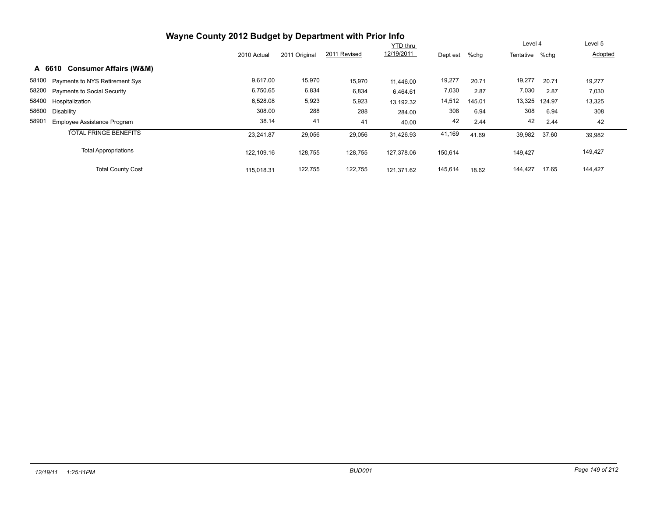|                                             | Wayne County 2012 Budget by Department with Prior Info |               |              |            |          |         |                |       |         |
|---------------------------------------------|--------------------------------------------------------|---------------|--------------|------------|----------|---------|----------------|-------|---------|
|                                             |                                                        |               |              | Level 4    |          | Level 5 |                |       |         |
|                                             | 2010 Actual                                            | 2011 Original | 2011 Revised | 12/19/2011 | Dept est | %chg    | Tentative %chg |       | Adopted |
| <b>Consumer Affairs (W&amp;M)</b><br>A 6610 |                                                        |               |              |            |          |         |                |       |         |
| 58100 Payments to NYS Retirement Sys        | 9,617.00                                               | 15,970        | 15,970       | 11.446.00  | 19,277   | 20.71   | 19,277         | 20.71 | 19,277  |
| 58200 Payments to Social Security           | 6,750.65                                               | 6,834         | 6,834        | 6,464.61   | 7,030    | 2.87    | 7,030          | 2.87  | 7,030   |
| 58400 Hospitalization                       | 6,528.08                                               | 5,923         | 5,923        | 13,192.32  | 14,512   | 145.01  | 13,325 124.97  |       | 13,325  |
| 58600<br>Disability                         | 308.00                                                 | 288           | 288          | 284.00     | 308      | 6.94    | 308            | 6.94  | 308     |
| 58901<br><b>Employee Assistance Program</b> | 38.14                                                  | 41            | 41           | 40.00      | 42       | 2.44    | 42             | 2.44  | 42      |
| <b>TOTAL FRINGE BENEFITS</b>                | 23,241.87                                              | 29,056        | 29,056       | 31.426.93  | 41,169   | 41.69   | 39,982         | 37.60 | 39,982  |
| <b>Total Appropriations</b>                 | 122.109.16                                             | 128,755       | 128,755      | 127.378.06 | 150,614  |         | 149,427        |       | 149,427 |
| <b>Total County Cost</b>                    | 115.018.31                                             | 122,755       | 122,755      | 121.371.62 | 145,614  | 18.62   | 144,427        | 17.65 | 144,427 |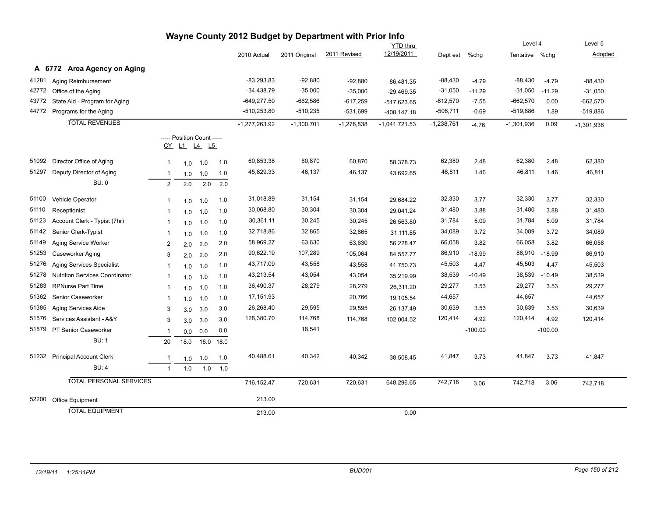|       |                                       |                |                                           |      |      |                 |               | Wayne County 2012 Budget by Department with Prior Info |                 |              |           |                |           |              |
|-------|---------------------------------------|----------------|-------------------------------------------|------|------|-----------------|---------------|--------------------------------------------------------|-----------------|--------------|-----------|----------------|-----------|--------------|
|       |                                       |                |                                           |      |      |                 |               |                                                        | <b>YTD</b> thru |              |           | Level 4        |           | Level 5      |
|       |                                       |                |                                           |      |      | 2010 Actual     | 2011 Original | 2011 Revised                                           | 12/19/2011      | Dept est     | $%$ chg   | Tentative %chg |           | Adopted      |
|       | A 6772 Area Agency on Aging           |                |                                           |      |      |                 |               |                                                        |                 |              |           |                |           |              |
| 41281 | Aging Reimbursement                   |                |                                           |      |      | $-83,293.83$    | $-92,880$     | $-92,880$                                              | $-86,481.35$    | $-88,430$    | $-4.79$   | $-88,430$      | $-4.79$   | $-88,430$    |
| 42772 | Office of the Aging                   |                |                                           |      |      | $-34,438.79$    | $-35,000$     | $-35,000$                                              | $-29,469.35$    | $-31,050$    | $-11.29$  | $-31,050$      | $-11.29$  | $-31,050$    |
| 43772 | State Aid - Program for Aging         |                |                                           |      |      | $-649,277.50$   | $-662,586$    | $-617,259$                                             | -517,623.65     | $-612,570$   | $-7.55$   | $-662,570$     | 0.00      | $-662,570$   |
| 44772 | Programs for the Aging                |                |                                           |      |      | $-510,253.80$   | $-510,235$    | -531,699                                               | -408,147.18     | $-506,711$   | $-0.69$   | $-519,886$     | 1.89      | $-519,886$   |
|       | <b>TOTAL REVENUES</b>                 |                |                                           |      |      | $-1,277,263.92$ | $-1,300,701$  | $-1,276,838$                                           | $-1,041,721.53$ | $-1,238,761$ | $-4.76$   | $-1,301,936$   | 0.09      | $-1,301,936$ |
|       |                                       |                | ----- Position Count -----<br>CY L1 L4 L5 |      |      |                 |               |                                                        |                 |              |           |                |           |              |
| 51092 | Director Office of Aging              | $\mathbf{1}$   | 1.0                                       | 1.0  | 1.0  | 60,853.38       | 60,870        | 60,870                                                 | 58,378.73       | 62,380       | 2.48      | 62,380         | 2.48      | 62,380       |
| 51297 | Deputy Director of Aging              | $\mathbf{1}$   | 1.0                                       | 1.0  | 1.0  | 45,829.33       | 46,137        | 46,137                                                 | 43,692.65       | 46,811       | 1.46      | 46,811         | 1.46      | 46,811       |
|       | <b>BU: 0</b>                          | $\overline{2}$ | 2.0                                       | 2.0  | 2.0  |                 |               |                                                        |                 |              |           |                |           |              |
| 51100 | Vehicle Operator                      | $\mathbf{1}$   | 1.0                                       | 1.0  | 1.0  | 31,018.89       | 31,154        | 31,154                                                 | 29,684.22       | 32,330       | 3.77      | 32,330         | 3.77      | 32,330       |
| 51110 | Receptionist                          | -1             | 1.0                                       | 1.0  | 1.0  | 30,068.80       | 30,304        | 30,304                                                 | 29,041.24       | 31,480       | 3.88      | 31,480         | 3.88      | 31,480       |
| 51123 | Account Clerk - Typist (7hr)          | $\mathbf{1}$   | 1.0                                       | 1.0  | 1.0  | 30,361.11       | 30,245        | 30,245                                                 | 26,563.80       | 31,784       | 5.09      | 31,784         | 5.09      | 31,784       |
| 51142 | Senior Clerk-Typist                   | $\mathbf{1}$   | 1.0                                       | 1.0  | 1.0  | 32,718.86       | 32,865        | 32,865                                                 | 31,111.85       | 34,089       | 3.72      | 34,089         | 3.72      | 34,089       |
| 51149 | Aging Service Worker                  | $\overline{c}$ | 2.0                                       | 2.0  | 2.0  | 58,969.27       | 63,630        | 63,630                                                 | 56,228.47       | 66,058       | 3.82      | 66,058         | 3.82      | 66,058       |
| 51253 | Caseworker Aging                      | 3              | 2.0                                       | 2.0  | 2.0  | 90,622.19       | 107,289       | 105,064                                                | 84,557.77       | 86,910       | $-18.99$  | 86,910         | $-18.99$  | 86,910       |
| 51276 | <b>Aging Services Specialist</b>      | $\mathbf{1}$   | 1.0                                       | 1.0  | 1.0  | 43,717.09       | 43,558        | 43,558                                                 | 41,750.73       | 45,503       | 4.47      | 45,503         | 4.47      | 45,503       |
| 51278 | <b>Nutrition Services Coordinator</b> | $\mathbf{1}$   | 1.0                                       | 1.0  | 1.0  | 43,213.54       | 43,054        | 43,054                                                 | 35,219.99       | 38,539       | $-10.49$  | 38,539         | $-10.49$  | 38,539       |
| 51283 | <b>RPNurse Part Time</b>              | $\mathbf{1}$   | 1.0                                       | 1.0  | 1.0  | 36,490.37       | 28,279        | 28,279                                                 | 26,311.20       | 29,277       | 3.53      | 29,277         | 3.53      | 29,277       |
| 51362 | Senior Caseworker                     | $\mathbf{1}$   | 1.0                                       | 1.0  | 1.0  | 17,151.93       |               | 20,766                                                 | 19,105.54       | 44,657       |           | 44,657         |           | 44,657       |
| 51385 | Aging Services Aide                   | 3              | 3.0                                       | 3.0  | 3.0  | 26,268.40       | 29,595        | 29,595                                                 | 26,137.49       | 30,639       | 3.53      | 30,639         | 3.53      | 30,639       |
| 51576 | Services Assistant - A&Y              | 3              | 3.0                                       | 3.0  | 3.0  | 128,380.70      | 114,768       | 114,768                                                | 102,004.52      | 120,414      | 4.92      | 120,414        | 4.92      | 120,414      |
| 51579 | PT Senior Caseworker                  | -1             | 0.0                                       | 0.0  | 0.0  |                 | 18,541        |                                                        |                 |              | $-100.00$ |                | $-100.00$ |              |
|       | <b>BU: 1</b>                          | 20             | 18.0                                      | 18.0 | 18.0 |                 |               |                                                        |                 |              |           |                |           |              |
| 51232 | <b>Principal Account Clerk</b>        | $\overline{1}$ | 1.0                                       | 1.0  | 1.0  | 40,488.61       | 40,342        | 40,342                                                 | 38,508.45       | 41,847       | 3.73      | 41,847         | 3.73      | 41,847       |
|       | <b>BU: 4</b>                          | $\mathbf{1}$   | $1.0\,$                                   | 1.0  | 1.0  |                 |               |                                                        |                 |              |           |                |           |              |
|       | <b>TOTAL PERSONAL SERVICES</b>        |                |                                           |      |      | 716,152.47      | 720,631       | 720,631                                                | 648,296.65      | 742,718      | 3.06      | 742,718        | 3.06      | 742,718      |
| 52200 | Office Equipment                      |                |                                           |      |      | 213.00          |               |                                                        |                 |              |           |                |           |              |
|       | <b>TOTAL EQUIPMENT</b>                |                |                                           |      |      | 213.00          |               |                                                        | 0.00            |              |           |                |           |              |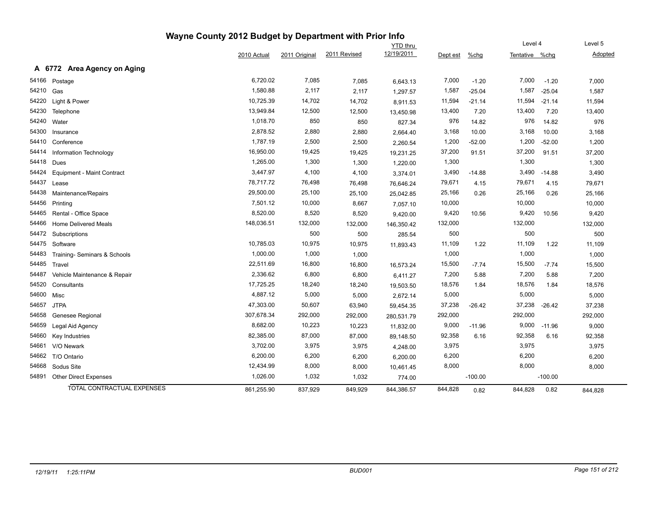|                                       | Wayne County 2012 Budget by Department with Prior Info |               |              |                 |          |           |                |           |         |
|---------------------------------------|--------------------------------------------------------|---------------|--------------|-----------------|----------|-----------|----------------|-----------|---------|
|                                       |                                                        |               |              | <b>YTD</b> thru |          |           | Level 4        |           | Level 5 |
|                                       | 2010 Actual                                            | 2011 Original | 2011 Revised | 12/19/2011      | Dept est | $%$ chg   | Tentative %chg |           | Adopted |
| A 6772 Area Agency on Aging           |                                                        |               |              |                 |          |           |                |           |         |
| 54166<br>Postage                      | 6,720.02                                               | 7,085         | 7,085        | 6,643.13        | 7,000    | $-1.20$   | 7,000          | $-1.20$   | 7,000   |
| 54210<br>Gas                          | 1,580.88                                               | 2,117         | 2,117        | 1,297.57        | 1,587    | $-25.04$  | 1,587          | $-25.04$  | 1,587   |
| 54220<br>Light & Power                | 10,725.39                                              | 14,702        | 14,702       | 8,911.53        | 11,594   | $-21.14$  | 11,594         | $-21.14$  | 11,594  |
| 54230<br>Telephone                    | 13,949.84                                              | 12,500        | 12,500       | 13,450.98       | 13,400   | 7.20      | 13,400         | 7.20      | 13,400  |
| 54240<br>Water                        | 1,018.70                                               | 850           | 850          | 827.34          | 976      | 14.82     | 976            | 14.82     | 976     |
| 54300<br>Insurance                    | 2,878.52                                               | 2,880         | 2,880        | 2,664.40        | 3,168    | 10.00     | 3,168          | 10.00     | 3,168   |
| 54410<br>Conference                   | 1,787.19                                               | 2,500         | 2,500        | 2,260.54        | 1,200    | $-52.00$  | 1,200          | $-52.00$  | 1,200   |
| 54414<br>Information Technology       | 16,950.00                                              | 19,425        | 19,425       | 19,231.25       | 37,200   | 91.51     | 37,200         | 91.51     | 37,200  |
| 54418<br>Dues                         | 1,265.00                                               | 1,300         | 1,300        | 1,220.00        | 1,300    |           | 1,300          |           | 1,300   |
| 54424<br>Equipment - Maint Contract   | 3,447.97                                               | 4,100         | 4,100        | 3,374.01        | 3,490    | $-14.88$  | 3,490          | $-14.88$  | 3,490   |
| 54437<br>Lease                        | 78,717.72                                              | 76,498        | 76,498       | 76,646.24       | 79,671   | 4.15      | 79,671         | 4.15      | 79,671  |
| 54438<br>Maintenance/Repairs          | 29,500.00                                              | 25,100        | 25,100       | 25,042.85       | 25,166   | 0.26      | 25,166         | 0.26      | 25,166  |
| 54456<br>Printing                     | 7,501.12                                               | 10,000        | 8,667        | 7,057.10        | 10,000   |           | 10,000         |           | 10,000  |
| 54465<br>Rental - Office Space        | 8,520.00                                               | 8,520         | 8,520        | 9,420.00        | 9,420    | 10.56     | 9,420          | 10.56     | 9,420   |
| 54466<br><b>Home Delivered Meals</b>  | 148,036.51                                             | 132,000       | 132,000      | 146,350.42      | 132,000  |           | 132,000        |           | 132,000 |
| 54472<br>Subscriptions                |                                                        | 500           | 500          | 285.54          | 500      |           | 500            |           | 500     |
| 54475<br>Software                     | 10,785.03                                              | 10,975        | 10,975       | 11,893.43       | 11,109   | 1.22      | 11,109         | 1.22      | 11,109  |
| 54483<br>Training- Seminars & Schools | 1,000.00                                               | 1,000         | 1,000        |                 | 1,000    |           | 1,000          |           | 1,000   |
| 54485<br>Travel                       | 22,511.69                                              | 16,800        | 16,800       | 16,573.24       | 15,500   | $-7.74$   | 15,500         | $-7.74$   | 15,500  |
| 54487<br>Vehicle Maintenance & Repair | 2,336.62                                               | 6,800         | 6,800        | 6,411.27        | 7,200    | 5.88      | 7,200          | 5.88      | 7,200   |
| 54520<br>Consultants                  | 17,725.25                                              | 18,240        | 18,240       | 19,503.50       | 18,576   | 1.84      | 18,576         | 1.84      | 18,576  |
| 54600<br>Misc                         | 4,887.12                                               | 5,000         | 5,000        | 2,672.14        | 5,000    |           | 5,000          |           | 5,000   |
| 54657<br><b>JTPA</b>                  | 47,303.00                                              | 50,607        | 63,940       | 59,454.35       | 37,238   | $-26.42$  | 37,238         | $-26.42$  | 37,238  |
| 54658<br>Genesee Regional             | 307,678.34                                             | 292,000       | 292,000      | 280,531.79      | 292,000  |           | 292,000        |           | 292,000 |
| 54659<br>Legal Aid Agency             | 8,682.00                                               | 10,223        | 10,223       | 11,832.00       | 9,000    | $-11.96$  | 9,000          | $-11.96$  | 9,000   |
| 54660<br>Key Industries               | 82,385.00                                              | 87,000        | 87,000       | 89,148.50       | 92,358   | 6.16      | 92,358         | 6.16      | 92,358  |
| 54661<br>V/O Newark                   | 3,702.00                                               | 3,975         | 3,975        | 4,248.00        | 3,975    |           | 3,975          |           | 3,975   |
| 54662<br>T/O Ontario                  | 6,200.00                                               | 6,200         | 6,200        | 6,200.00        | 6,200    |           | 6,200          |           | 6,200   |
| 54668<br>Sodus Site                   | 12,434.99                                              | 8,000         | 8,000        | 10,461.45       | 8,000    |           | 8,000          |           | 8,000   |
| 54891<br><b>Other Direct Expenses</b> | 1,026.00                                               | 1,032         | 1,032        | 774.00          |          | $-100.00$ |                | $-100.00$ |         |
| <b>TOTAL CONTRACTUAL EXPENSES</b>     | 861,255.90                                             | 837,929       | 849,929      | 844,386.57      | 844,828  | 0.82      | 844,828        | 0.82      | 844,828 |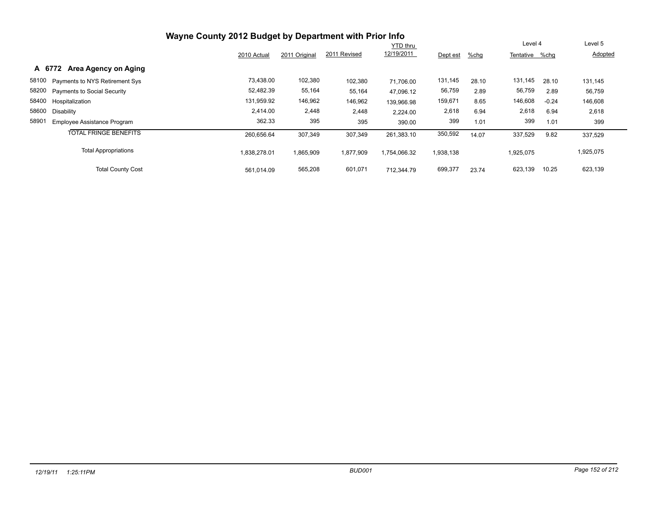|                                             | Wayne County 2012 Budget by Department with Prior Info |               |              |                 |           |       |           |         |           |
|---------------------------------------------|--------------------------------------------------------|---------------|--------------|-----------------|-----------|-------|-----------|---------|-----------|
|                                             |                                                        |               |              | <b>YTD thru</b> |           |       | Level 4   |         | Level 5   |
|                                             | 2010 Actual                                            | 2011 Original | 2011 Revised | 12/19/2011      | Dept est  | %chg  | Tentative | %chq    | Adopted   |
| Area Agency on Aging<br>A 6772              |                                                        |               |              |                 |           |       |           |         |           |
| 58100 Payments to NYS Retirement Sys        | 73,438.00                                              | 102,380       | 102,380      | 71.706.00       | 131,145   | 28.10 | 131,145   | 28.10   | 131,145   |
| 58200 Payments to Social Security           | 52,482.39                                              | 55,164        | 55,164       | 47.096.12       | 56,759    | 2.89  | 56,759    | 2.89    | 56,759    |
| 58400 Hospitalization                       | 131,959.92                                             | 146,962       | 146,962      | 139.966.98      | 159,671   | 8.65  | 146,608   | $-0.24$ | 146,608   |
| 58600<br>Disability                         | 2,414.00                                               | 2,448         | 2,448        | 2,224.00        | 2,618     | 6.94  | 2,618     | 6.94    | 2,618     |
| 58901<br><b>Employee Assistance Program</b> | 362.33                                                 | 395           | 395          | 390.00          | 399       | 1.01  | 399       | 1.01    | 399       |
| <b>TOTAL FRINGE BENEFITS</b>                | 260,656.64                                             | 307,349       | 307,349      | 261,383.10      | 350,592   | 14.07 | 337,529   | 9.82    | 337,529   |
| <b>Total Appropriations</b>                 | 1,838,278.01                                           | 1,865,909     | 1,877,909    | 1,754,066.32    | 1,938,138 |       | 1,925,075 |         | 1,925,075 |
| <b>Total County Cost</b>                    | 561.014.09                                             | 565,208       | 601,071      | 712.344.79      | 699,377   | 23.74 | 623,139   | 10.25   | 623,139   |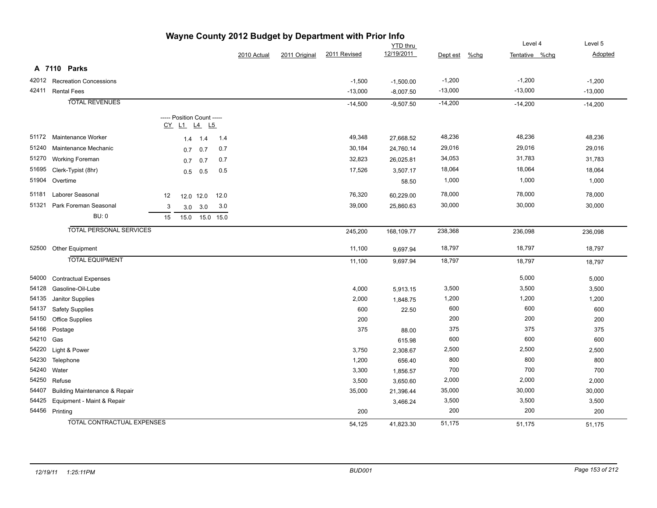| wayne County 2012 Budget by Department with Prior info |                                          |    |                                           |                |           |             |                                      |              |             |           |           |           |
|--------------------------------------------------------|------------------------------------------|----|-------------------------------------------|----------------|-----------|-------------|--------------------------------------|--------------|-------------|-----------|-----------|-----------|
|                                                        | YTD thru                                 |    |                                           |                |           | Level 4     | Level 5<br>Adopted<br>Tentative %chg |              |             |           |           |           |
|                                                        |                                          |    |                                           |                |           | 2010 Actual | 2011 Original                        | 2011 Revised | 12/19/2011  | Dept est  | $%$ chg   |           |
|                                                        | A 7110 Parks                             |    |                                           |                |           |             |                                      |              |             |           |           |           |
|                                                        | 42012 Recreation Concessions             |    |                                           |                |           |             |                                      | $-1,500$     | $-1,500.00$ | $-1,200$  | $-1,200$  | $-1,200$  |
|                                                        | 42411 Rental Fees                        |    |                                           |                |           |             |                                      | $-13,000$    | $-8,007.50$ | $-13,000$ | $-13,000$ | $-13,000$ |
|                                                        | <b>TOTAL REVENUES</b>                    |    |                                           |                |           |             |                                      | $-14,500$    | $-9,507.50$ | $-14,200$ | $-14,200$ | $-14,200$ |
|                                                        |                                          |    | ----- Position Count -----<br>CY L1 L4 L5 |                |           |             |                                      |              |             |           |           |           |
|                                                        | 51172 Maintenance Worker                 |    | 1.4                                       | 1.4            | 1.4       |             |                                      | 49,348       | 27,668.52   | 48,236    | 48,236    | 48,236    |
| 51240                                                  | Maintenance Mechanic                     |    | 0.7                                       | 0.7            | 0.7       |             |                                      | 30,184       | 24,760.14   | 29,016    | 29,016    | 29,016    |
| 51270                                                  | <b>Working Foreman</b>                   |    | 0.7                                       | 0.7            | 0.7       |             |                                      | 32,823       | 26,025.81   | 34,053    | 31,783    | 31,783    |
| 51695                                                  | Clerk-Typist (8hr)                       |    | 0.5                                       | 0.5            | 0.5       |             |                                      | 17,526       | 3,507.17    | 18,064    | 18,064    | 18,064    |
| 51904                                                  | Overtime                                 |    |                                           |                |           |             |                                      |              | 58.50       | 1,000     | 1,000     | 1,000     |
| 51181                                                  | Laborer Seasonal                         | 12 |                                           | 12.0 12.0      | 12.0      |             |                                      | 76,320       | 60,229.00   | 78,000    | 78,000    | 78,000    |
| 51321                                                  | Park Foreman Seasonal                    | 3  |                                           | $3.0\quad 3.0$ | 3.0       |             |                                      | 39,000       | 25,860.63   | 30,000    | 30,000    | 30,000    |
|                                                        | <b>BU: 0</b>                             | 15 | 15.0                                      |                | 15.0 15.0 |             |                                      |              |             |           |           |           |
|                                                        | <b>TOTAL PERSONAL SERVICES</b>           |    |                                           |                |           |             |                                      | 245,200      | 168,109.77  | 238,368   | 236,098   | 236,098   |
|                                                        | 52500 Other Equipment                    |    |                                           |                |           |             |                                      | 11,100       | 9,697.94    | 18,797    | 18,797    | 18,797    |
|                                                        | <b>TOTAL EQUIPMENT</b>                   |    |                                           |                |           |             |                                      | 11,100       | 9,697.94    | 18,797    | 18,797    | 18,797    |
| 54000                                                  | <b>Contractual Expenses</b>              |    |                                           |                |           |             |                                      |              |             |           | 5,000     | 5,000     |
| 54128                                                  | Gasoline-Oil-Lube                        |    |                                           |                |           |             |                                      | 4,000        | 5,913.15    | 3,500     | 3,500     | 3,500     |
| 54135                                                  | Janitor Supplies                         |    |                                           |                |           |             |                                      | 2,000        | 1,848.75    | 1,200     | 1,200     | 1,200     |
| 54137                                                  | <b>Safety Supplies</b>                   |    |                                           |                |           |             |                                      | 600          | 22.50       | 600       | 600       | 600       |
| 54150                                                  | Office Supplies                          |    |                                           |                |           |             |                                      | 200          |             | 200       | 200       | 200       |
| 54166                                                  | Postage                                  |    |                                           |                |           |             |                                      | 375          | 88.00       | 375       | 375       | 375       |
| 54210 Gas                                              |                                          |    |                                           |                |           |             |                                      |              | 615.98      | 600       | 600       | 600       |
| 54220                                                  | Light & Power                            |    |                                           |                |           |             |                                      | 3,750        | 2,308.67    | 2,500     | 2,500     | 2,500     |
| 54230                                                  | Telephone                                |    |                                           |                |           |             |                                      | 1,200        | 656.40      | 800       | 800       | 800       |
| 54240                                                  | Water                                    |    |                                           |                |           |             |                                      | 3,300        | 1,856.57    | 700       | 700       | 700       |
| 54250                                                  | Refuse                                   |    |                                           |                |           |             |                                      | 3,500        | 3,650.60    | 2,000     | 2,000     | 2,000     |
| 54407                                                  | <b>Building Maintenance &amp; Repair</b> |    |                                           |                |           |             |                                      | 35,000       | 21,396.44   | 35,000    | 30,000    | 30,000    |
| 54425                                                  | Equipment - Maint & Repair               |    |                                           |                |           |             |                                      |              | 3,466.24    | 3,500     | 3,500     | 3,500     |
|                                                        | 54456 Printing                           |    |                                           |                |           |             |                                      | 200          |             | 200       | 200       | 200       |
|                                                        | <b>TOTAL CONTRACTUAL EXPENSES</b>        |    |                                           |                |           |             |                                      | 54,125       | 41.823.30   | 51,175    | 51.175    | 51,175    |

## **Wayne County 2012 Budget by Department with Prior Info**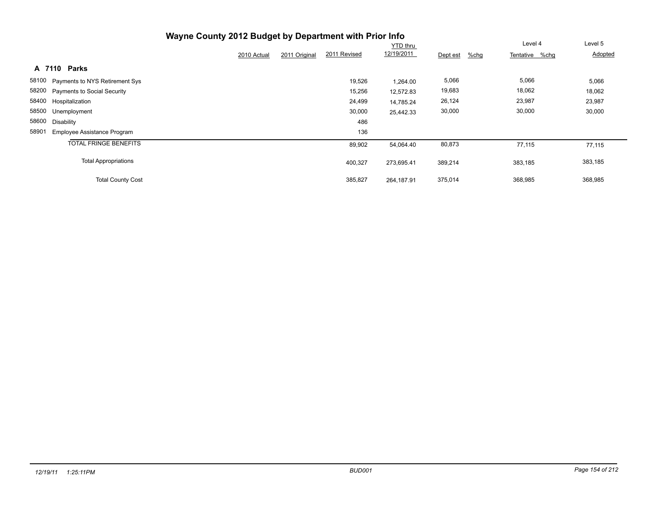|                                             |             |                               | <b>YTD thru</b> |                  | Level 4        | Level 5 |
|---------------------------------------------|-------------|-------------------------------|-----------------|------------------|----------------|---------|
|                                             | 2010 Actual | 2011 Revised<br>2011 Original | 12/19/2011      | %chq<br>Dept est | Tentative %chg | Adopted |
| Parks<br>A 7110                             |             |                               |                 |                  |                |         |
| 58100 Payments to NYS Retirement Sys        |             | 19,526                        | 1,264.00        | 5,066            | 5,066          | 5,066   |
| 58200 Payments to Social Security           |             | 15,256                        | 12,572.83       | 19,683           | 18,062         | 18,062  |
| 58400 Hospitalization                       |             | 24,499                        | 14,785.24       | 26,124           | 23,987         | 23,987  |
| 58500 Unemployment                          |             | 30,000                        | 25,442.33       | 30,000           | 30,000         | 30,000  |
| 58600<br>Disability                         |             | 486                           |                 |                  |                |         |
| 58901<br><b>Employee Assistance Program</b> |             | 136                           |                 |                  |                |         |
| <b>TOTAL FRINGE BENEFITS</b>                |             | 89,902                        | 54,064.40       | 80,873           | 77,115         | 77,115  |
| <b>Total Appropriations</b>                 |             | 400,327                       | 273,695.41      | 389,214          | 383,185        | 383,185 |
| <b>Total County Cost</b>                    |             | 385,827                       | 264.187.91      | 375,014          | 368,985        | 368,985 |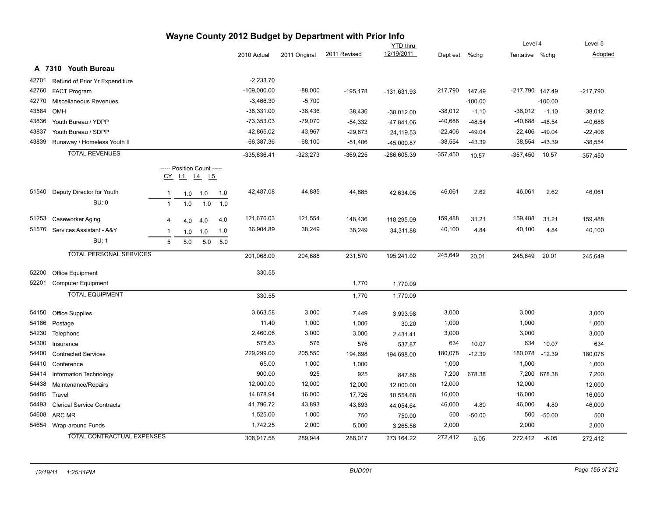|       |                                   |              |                                                  |     |     |               |               | Wayne County 2012 Budget by Department with Prior Info |                 |            |           |                 |              |            |
|-------|-----------------------------------|--------------|--------------------------------------------------|-----|-----|---------------|---------------|--------------------------------------------------------|-----------------|------------|-----------|-----------------|--------------|------------|
|       |                                   |              |                                                  |     |     |               |               |                                                        | <b>YTD thru</b> |            |           | Level 4         |              | Level 5    |
|       |                                   |              |                                                  |     |     | 2010 Actual   | 2011 Original | 2011 Revised                                           | 12/19/2011      | Dept est   | %chg      | Tentative %chg  |              | Adopted    |
|       | A 7310 Youth Bureau               |              |                                                  |     |     |               |               |                                                        |                 |            |           |                 |              |            |
| 42701 | Refund of Prior Yr Expenditure    |              |                                                  |     |     | $-2,233.70$   |               |                                                        |                 |            |           |                 |              |            |
| 42760 | <b>FACT Program</b>               |              |                                                  |     |     | $-109,000.00$ | $-88,000$     | $-195,178$                                             | $-131,631.93$   | -217,790   | 147.49    | -217,790 147.49 |              | $-217,790$ |
| 42770 | Miscellaneous Revenues            |              |                                                  |     |     | $-3,466.30$   | $-5,700$      |                                                        |                 |            | $-100.00$ |                 | $-100.00$    |            |
| 43584 | OMH                               |              |                                                  |     |     | $-38,331.00$  | $-38,436$     | $-38,436$                                              | $-38,012.00$    | $-38,012$  | $-1.10$   | $-38,012$       | $-1.10$      | $-38,012$  |
| 43836 | Youth Bureau / YDPP               |              |                                                  |     |     | $-73,353.03$  | $-79,070$     | $-54,332$                                              | $-47,841.06$    | $-40,688$  | $-48.54$  | $-40,688$       | $-48.54$     | $-40,688$  |
| 43837 | Youth Bureau / SDPP               |              |                                                  |     |     | -42,865.02    | $-43,967$     | $-29,873$                                              | $-24, 119.53$   | $-22,406$  | $-49.04$  | $-22,406$       | $-49.04$     | $-22,406$  |
| 43839 | Runaway / Homeless Youth II       |              |                                                  |     |     | $-66,387.36$  | $-68,100$     | $-51,406$                                              | $-45,000.87$    | $-38,554$  | $-43.39$  | -38,554         | $-43.39$     | $-38,554$  |
|       | <b>TOTAL REVENUES</b>             |              |                                                  |     |     | $-335,636.41$ | $-323,273$    | $-369,225$                                             | $-286,605.39$   | $-357,450$ | 10.57     | $-357,450$      | 10.57        | $-357,450$ |
|       |                                   |              | ----- Position Count -----<br><u>CY L1 L4 L5</u> |     |     |               |               |                                                        |                 |            |           |                 |              |            |
| 51540 | Deputy Director for Youth         | $\mathbf{1}$ | 1.0                                              | 1.0 | 1.0 | 42,487.08     | 44,885        | 44,885                                                 | 42,634.05       | 46,061     | 2.62      | 46,061          | 2.62         | 46,061     |
|       | <b>BU: 0</b>                      | $\mathbf{1}$ | 1.0                                              | 1.0 | 1.0 |               |               |                                                        |                 |            |           |                 |              |            |
| 51253 | Caseworker Aging                  | 4            | 4.0                                              | 4.0 | 4.0 | 121,676.03    | 121,554       | 148,436                                                | 118,295.09      | 159,488    | 31.21     | 159,488         | 31.21        | 159,488    |
| 51576 | Services Assistant - A&Y          | -1           | 1.0                                              | 1.0 | 1.0 | 36,904.89     | 38,249        | 38,249                                                 | 34,311.88       | 40,100     | 4.84      | 40,100          | 4.84         | 40,100     |
|       | <b>BU: 1</b>                      | 5            | 5.0                                              | 5.0 | 5.0 |               |               |                                                        |                 |            |           |                 |              |            |
|       | <b>TOTAL PERSONAL SERVICES</b>    |              |                                                  |     |     | 201,068.00    | 204,688       | 231,570                                                | 195,241.02      | 245,649    | 20.01     | 245,649         | 20.01        | 245,649    |
| 52200 | Office Equipment                  |              |                                                  |     |     | 330.55        |               |                                                        |                 |            |           |                 |              |            |
| 52201 | <b>Computer Equipment</b>         |              |                                                  |     |     |               |               | 1,770                                                  | 1,770.09        |            |           |                 |              |            |
|       | <b>TOTAL EQUIPMENT</b>            |              |                                                  |     |     | 330.55        |               | 1,770                                                  | 1,770.09        |            |           |                 |              |            |
| 54150 | <b>Office Supplies</b>            |              |                                                  |     |     | 3,663.58      | 3,000         | 7,449                                                  | 3,993.98        | 3,000      |           | 3,000           |              | 3,000      |
| 54166 | Postage                           |              |                                                  |     |     | 11.40         | 1,000         | 1,000                                                  | 30.20           | 1,000      |           | 1,000           |              | 1,000      |
| 54230 | Telephone                         |              |                                                  |     |     | 2,460.06      | 3,000         | 3,000                                                  | 2,431.41        | 3,000      |           | 3,000           |              | 3,000      |
| 54300 | Insurance                         |              |                                                  |     |     | 575.63        | 576           | 576                                                    | 537.87          | 634        | 10.07     | 634             | 10.07        | 634        |
| 54400 | <b>Contracted Services</b>        |              |                                                  |     |     | 229,299.00    | 205,550       | 194,698                                                | 194,698.00      | 180,078    | $-12.39$  | 180,078         | $-12.39$     | 180,078    |
| 54410 | Conference                        |              |                                                  |     |     | 65.00         | 1,000         | 1,000                                                  |                 | 1,000      |           | 1,000           |              | 1,000      |
| 54414 | Information Technology            |              |                                                  |     |     | 900.00        | 925           | 925                                                    | 847.88          | 7,200      | 678.38    |                 | 7,200 678.38 | 7,200      |
| 54438 | Maintenance/Repairs               |              |                                                  |     |     | 12,000.00     | 12,000        | 12,000                                                 | 12,000.00       | 12,000     |           | 12,000          |              | 12,000     |
| 54485 | Travel                            |              |                                                  |     |     | 14,878.94     | 16,000        | 17,726                                                 | 10,554.68       | 16,000     |           | 16,000          |              | 16,000     |
| 54493 | <b>Clerical Service Contracts</b> |              |                                                  |     |     | 41,796.72     | 43,893        | 43,893                                                 | 44,054.64       | 46,000     | 4.80      | 46,000          | 4.80         | 46,000     |
| 54608 | ARC MR                            |              |                                                  |     |     | 1,525.00      | 1,000         | 750                                                    | 750.00          | 500        | $-50.00$  | 500             | $-50.00$     | 500        |
| 54654 | Wrap-around Funds                 |              |                                                  |     |     | 1,742.25      | 2,000         | 5,000                                                  | 3,265.56        | 2,000      |           | 2,000           |              | 2,000      |
|       | TOTAL CONTRACTUAL EXPENSES        |              |                                                  |     |     | 308,917.58    | 289,944       | 288,017                                                | 273.164.22      | 272,412    | $-6.05$   | 272,412         | $-6.05$      | 272,412    |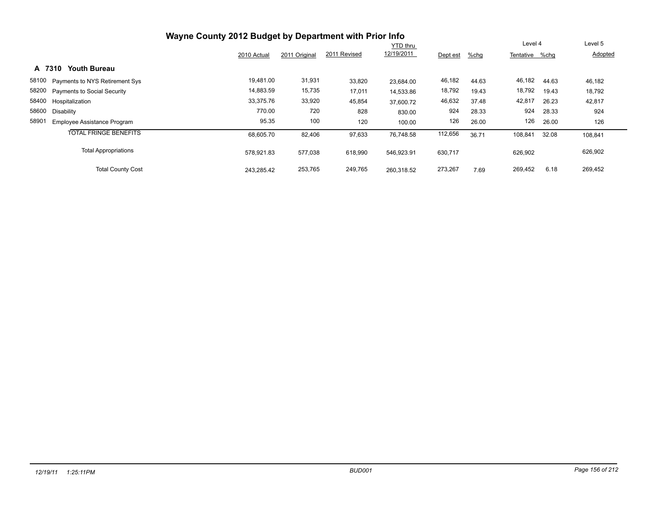|                                             | Wayne County 2012 Budget by Department with Prior Info |               | Level 4      |            | Level 5  |       |                |       |         |
|---------------------------------------------|--------------------------------------------------------|---------------|--------------|------------|----------|-------|----------------|-------|---------|
|                                             | 2010 Actual                                            | 2011 Original | 2011 Revised | 12/19/2011 | Dept est | %chg  | Tentative %chg |       | Adopted |
| <b>Youth Bureau</b><br>A 7310               |                                                        |               |              |            |          |       |                |       |         |
| 58100 Payments to NYS Retirement Sys        | 19,481.00                                              | 31,931        | 33,820       | 23.684.00  | 46,182   | 44.63 | 46,182         | 44.63 | 46,182  |
| 58200 Payments to Social Security           | 14,883.59                                              | 15,735        | 17,011       | 14.533.86  | 18,792   | 19.43 | 18,792         | 19.43 | 18,792  |
| 58400 Hospitalization                       | 33,375.76                                              | 33,920        | 45,854       | 37,600.72  | 46,632   | 37.48 | 42,817         | 26.23 | 42,817  |
| 58600<br>Disabilitv                         | 770.00                                                 | 720           | 828          | 830.00     | 924      | 28.33 | 924            | 28.33 | 924     |
| 58901<br><b>Employee Assistance Program</b> | 95.35                                                  | 100           | 120          | 100.00     | 126      | 26.00 | 126            | 26.00 | 126     |
| <b>TOTAL FRINGE BENEFITS</b>                | 68,605.70                                              | 82,406        | 97,633       | 76.748.58  | 112,656  | 36.71 | 108,841        | 32.08 | 108,841 |
| <b>Total Appropriations</b>                 | 578.921.83                                             | 577,038       | 618,990      | 546.923.91 | 630,717  |       | 626,902        |       | 626,902 |
| <b>Total County Cost</b>                    | 243,285.42                                             | 253,765       | 249,765      | 260.318.52 | 273,267  | 7.69  | 269,452        | 6.18  | 269,452 |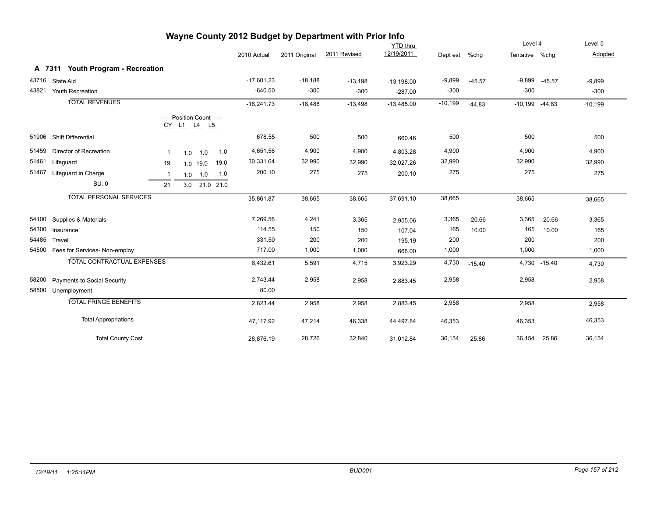| Wayne County 2012 Budget by Department with Prior Info |                                   |              |                                           |             |               |              |               |              |                 |           |          |                    |              |           |
|--------------------------------------------------------|-----------------------------------|--------------|-------------------------------------------|-------------|---------------|--------------|---------------|--------------|-----------------|-----------|----------|--------------------|--------------|-----------|
|                                                        |                                   |              |                                           |             |               |              |               |              | <b>YTD</b> thru |           |          | Level 4            |              | Level 5   |
|                                                        |                                   |              |                                           |             |               | 2010 Actual  | 2011 Original | 2011 Revised | 12/19/2011      | Dept est  | %chq     | Tentative %chg     |              | Adopted   |
|                                                        | A 7311 Youth Program - Recreation |              |                                           |             |               |              |               |              |                 |           |          |                    |              |           |
| 43716                                                  | State Aid                         |              |                                           |             |               | $-17,601.23$ | $-18,188$     | $-13,198$    | $-13,198.00$    | $-9,899$  | $-45.57$ | $-9,899 -45.57$    |              | $-9,899$  |
| 43821                                                  | Youth Recreation                  |              |                                           |             |               | $-640.50$    | $-300$        | $-300$       | $-287.00$       | $-300$    |          | $-300$             |              | $-300$    |
|                                                        | <b>TOTAL REVENUES</b>             |              |                                           |             |               | $-18,241.73$ | $-18,488$     | $-13,498$    | $-13,485.00$    | $-10,199$ | $-44.83$ | $-10,199$ $-44.83$ |              | $-10,199$ |
|                                                        |                                   |              | ----- Position Count -----<br>CY L1 L4 L5 |             |               |              |               |              |                 |           |          |                    |              |           |
| 51906                                                  | Shift Differential                |              |                                           |             |               | 678.55       | 500           | 500          | 660.46          | 500       |          | 500                |              | 500       |
| 51459                                                  | <b>Director of Recreation</b>     | $\mathbf{1}$ |                                           | $1.0$ 1.0   | 1.0           | 4,651.58     | 4,900         | 4,900        | 4,803.28        | 4,900     |          | 4,900              |              | 4,900     |
| 51461                                                  | Lifeguard                         | 19           |                                           | $1.0$ 19.0  | 19.0          | 30,331.64    | 32,990        | 32,990       | 32,027.26       | 32,990    |          | 32,990             |              | 32,990    |
| 51467                                                  | Lifeguard in Charge               | $\mathbf{1}$ |                                           | $1.0$ $1.0$ | 1.0           | 200.10       | 275           | 275          | 200.10          | 275       |          | 275                |              | 275       |
|                                                        | <b>BU: 0</b>                      | 21           |                                           |             | 3.0 21.0 21.0 |              |               |              |                 |           |          |                    |              |           |
|                                                        | <b>TOTAL PERSONAL SERVICES</b>    |              |                                           |             |               | 35,861.87    | 38,665        | 38,665       | 37,691.10       | 38,665    |          | 38,665             |              | 38,665    |
| 54100                                                  | Supplies & Materials              |              |                                           |             |               | 7,269.56     | 4,241         | 3,365        | 2,955.06        | 3,365     | $-20.66$ | 3,365              | $-20.66$     | 3,365     |
| 54300                                                  | Insurance                         |              |                                           |             |               | 114.55       | 150           | 150          | 107.04          | 165       | 10.00    | 165                | 10.00        | 165       |
| 54485                                                  | Travel                            |              |                                           |             |               | 331.50       | 200           | 200          | 195.19          | 200       |          | 200                |              | 200       |
| 54500                                                  | Fees for Services- Non-employ     |              |                                           |             |               | 717.00       | 1,000         | 1,000        | 666.00          | 1,000     |          | 1,000              |              | 1,000     |
|                                                        | <b>TOTAL CONTRACTUAL EXPENSES</b> |              |                                           |             |               | 8,432.61     | 5,591         | 4,715        | 3,923.29        | 4,730     | $-15.40$ |                    | 4,730 -15.40 | 4,730     |
| 58200                                                  | Payments to Social Security       |              |                                           |             |               | 2,743.44     | 2,958         | 2,958        | 2,883.45        | 2,958     |          | 2,958              |              | 2,958     |
| 58500                                                  | Unemployment                      |              |                                           |             |               | 80.00        |               |              |                 |           |          |                    |              |           |
|                                                        | <b>TOTAL FRINGE BENEFITS</b>      |              |                                           |             |               | 2,823.44     | 2,958         | 2,958        | 2,883.45        | 2,958     |          | 2,958              |              | 2,958     |
|                                                        | <b>Total Appropriations</b>       |              |                                           |             |               | 47,117.92    | 47,214        | 46,338       | 44,497.84       | 46,353    |          | 46,353             |              | 46,353    |
|                                                        | <b>Total County Cost</b>          |              |                                           |             |               | 28,876.19    | 28,726        | 32,840       | 31,012.84       | 36,154    | 25.86    | 36,154             | 25.86        | 36,154    |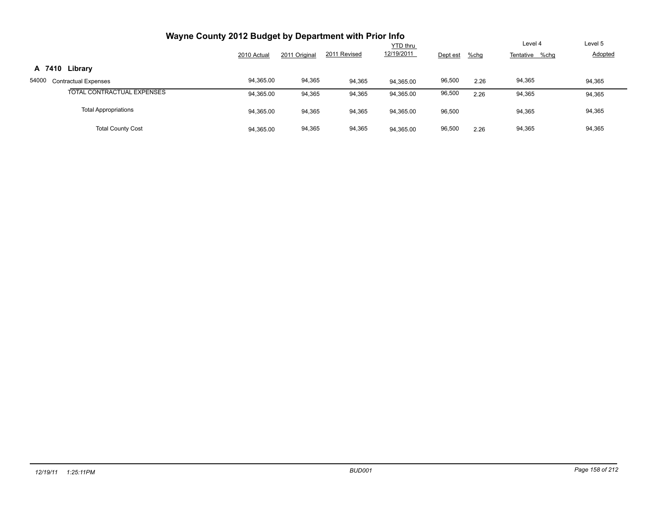| Wayne County 2012 Budget by Department with Prior Info |             |               |              |                               |          |      |                |         |
|--------------------------------------------------------|-------------|---------------|--------------|-------------------------------|----------|------|----------------|---------|
|                                                        |             |               | 2011 Revised | <b>YTD thru</b><br>12/19/2011 |          |      | Level 4        | Level 5 |
|                                                        | 2010 Actual | 2011 Original |              |                               | Dept est | %chg | Tentative %chg | Adopted |
| Library<br>A 7410                                      |             |               |              |                               |          |      |                |         |
| 54000<br><b>Contractual Expenses</b>                   | 94,365.00   | 94,365        | 94,365       | 94.365.00                     | 96,500   | 2.26 | 94,365         | 94,365  |
| TOTAL CONTRACTUAL EXPENSES                             | 94,365.00   | 94,365        | 94,365       | 94,365.00                     | 96,500   | 2.26 | 94,365         | 94,365  |
| <b>Total Appropriations</b>                            | 94,365.00   | 94,365        | 94,365       | 94,365.00                     | 96,500   |      | 94,365         | 94,365  |
| <b>Total County Cost</b>                               | 94,365.00   | 94,365        | 94,365       | 94.365.00                     | 96,500   | 2.26 | 94,365         | 94,365  |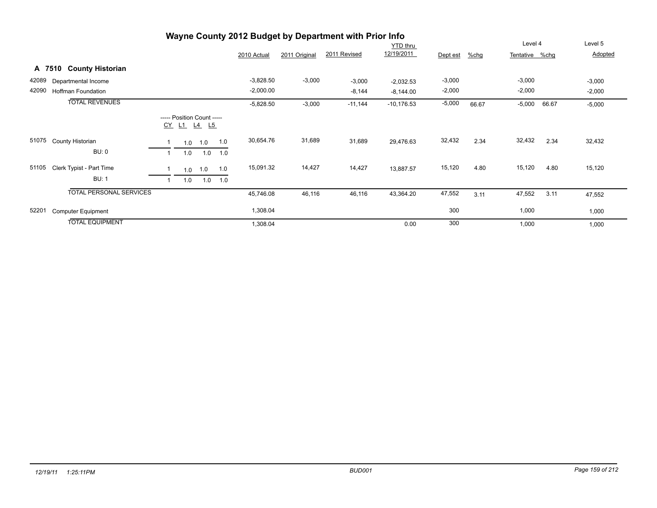|       | Wayne County 2012 Budget by Department with Prior Info |  |     |                                           |     |             |               |              |              |          |       |                |       |          |
|-------|--------------------------------------------------------|--|-----|-------------------------------------------|-----|-------------|---------------|--------------|--------------|----------|-------|----------------|-------|----------|
|       |                                                        |  |     |                                           |     |             |               |              | YTD thru     |          |       | Level 4        |       | Level 5  |
|       |                                                        |  |     |                                           |     | 2010 Actual | 2011 Original | 2011 Revised | 12/19/2011   | Dept est | %chg  | Tentative %chg |       | Adopted  |
|       | A 7510 County Historian                                |  |     |                                           |     |             |               |              |              |          |       |                |       |          |
| 42089 | Departmental Income                                    |  |     |                                           |     | $-3,828.50$ | $-3,000$      | $-3,000$     | $-2,032.53$  | $-3,000$ |       | $-3,000$       |       | $-3,000$ |
| 42090 | <b>Hoffman Foundation</b>                              |  |     |                                           |     | $-2,000.00$ |               | $-8,144$     | $-8,144.00$  | $-2,000$ |       | $-2,000$       |       | $-2,000$ |
|       | <b>TOTAL REVENUES</b>                                  |  |     |                                           |     | $-5,828.50$ | $-3,000$      | $-11,144$    | $-10,176.53$ | $-5,000$ | 66.67 | $-5,000$       | 66.67 | $-5,000$ |
|       |                                                        |  |     | ----- Position Count -----<br>CY L1 L4 L5 |     |             |               |              |              |          |       |                |       |          |
| 51075 | County Historian                                       |  | 1.0 | 1.0                                       | 1.0 | 30,654.76   | 31,689        | 31,689       | 29,476.63    | 32,432   | 2.34  | 32,432         | 2.34  | 32,432   |
|       | <b>BU: 0</b>                                           |  | 1.0 | 1.0                                       | 1.0 |             |               |              |              |          |       |                |       |          |
| 51105 | Clerk Typist - Part Time                               |  | 1.0 | 1.0                                       | 1.0 | 15,091.32   | 14,427        | 14,427       | 13,887.57    | 15,120   | 4.80  | 15,120         | 4.80  | 15,120   |
|       | <b>BU: 1</b>                                           |  | 1.0 | 1.0                                       | 1.0 |             |               |              |              |          |       |                |       |          |
|       | <b>TOTAL PERSONAL SERVICES</b>                         |  |     |                                           |     | 45,746.08   | 46,116        | 46,116       | 43,364.20    | 47,552   | 3.11  | 47,552         | 3.11  | 47,552   |
| 52201 | <b>Computer Equipment</b>                              |  |     |                                           |     | 1,308.04    |               |              |              | 300      |       | 1,000          |       | 1,000    |
|       | <b>TOTAL EQUIPMENT</b>                                 |  |     |                                           |     | 1,308.04    |               |              | 0.00         | 300      |       | 1,000          |       | 1,000    |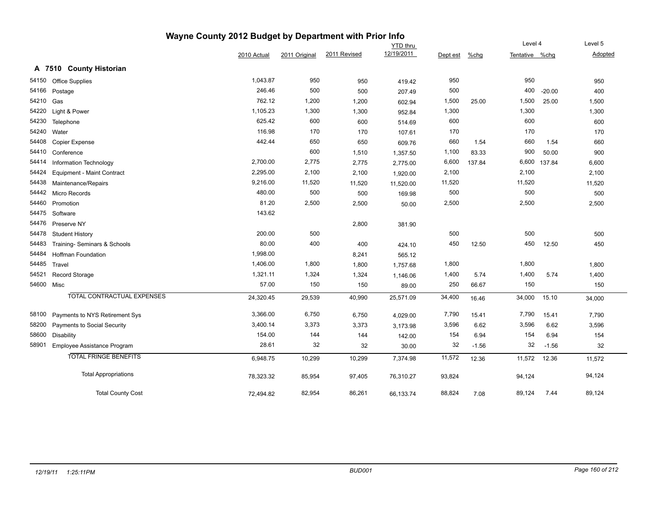| Wayne County 2012 Budget by Department with Prior Info |                                   |             |               |              |                 |          |         |                |          |         |
|--------------------------------------------------------|-----------------------------------|-------------|---------------|--------------|-----------------|----------|---------|----------------|----------|---------|
|                                                        |                                   |             |               |              | <b>YTD thru</b> |          |         | Level 4        |          | Level 5 |
|                                                        |                                   | 2010 Actual | 2011 Original | 2011 Revised | 12/19/2011      | Dept est | $%$ chg | Tentative %chg |          | Adopted |
|                                                        | A 7510 County Historian           |             |               |              |                 |          |         |                |          |         |
| 54150                                                  | Office Supplies                   | 1,043.87    | 950           | 950          | 419.42          | 950      |         | 950            |          | 950     |
| 54166                                                  | Postage                           | 246.46      | 500           | 500          | 207.49          | 500      |         | 400            | $-20.00$ | 400     |
| 54210                                                  | Gas                               | 762.12      | 1,200         | 1,200        | 602.94          | 1,500    | 25.00   | 1,500          | 25.00    | 1,500   |
| 54220                                                  | Light & Power                     | 1,105.23    | 1,300         | 1,300        | 952.84          | 1,300    |         | 1,300          |          | 1,300   |
| 54230                                                  | Telephone                         | 625.42      | 600           | 600          | 514.69          | 600      |         | 600            |          | 600     |
| 54240                                                  | Water                             | 116.98      | 170           | 170          | 107.61          | 170      |         | 170            |          | 170     |
| 54408                                                  | Copier Expense                    | 442.44      | 650           | 650          | 609.76          | 660      | 1.54    | 660            | 1.54     | 660     |
| 54410                                                  | Conference                        |             | 600           | 1,510        | 1,357.50        | 1,100    | 83.33   | 900            | 50.00    | 900     |
| 54414                                                  | Information Technology            | 2,700.00    | 2,775         | 2,775        | 2,775.00        | 6,600    | 137.84  | 6,600          | 137.84   | 6,600   |
| 54424                                                  | <b>Equipment - Maint Contract</b> | 2,295.00    | 2,100         | 2,100        | 1,920.00        | 2,100    |         | 2,100          |          | 2,100   |
| 54438                                                  | Maintenance/Repairs               | 9,216.00    | 11,520        | 11,520       | 11,520.00       | 11,520   |         | 11,520         |          | 11,520  |
| 54442                                                  | Micro Records                     | 480.00      | 500           | 500          | 169.98          | 500      |         | 500            |          | 500     |
| 54460                                                  | Promotion                         | 81.20       | 2,500         | 2,500        | 50.00           | 2,500    |         | 2,500          |          | 2,500   |
| 54475                                                  | Software                          | 143.62      |               |              |                 |          |         |                |          |         |
| 54476                                                  | Preserve NY                       |             |               | 2,800        | 381.90          |          |         |                |          |         |
| 54478                                                  | <b>Student History</b>            | 200.00      | 500           |              |                 | 500      |         | 500            |          | 500     |
| 54483                                                  | Training- Seminars & Schools      | 80.00       | 400           | 400          | 424.10          | 450      | 12.50   | 450            | 12.50    | 450     |
| 54484                                                  | <b>Hoffman Foundation</b>         | 1,998.00    |               | 8,241        | 565.12          |          |         |                |          |         |
| 54485                                                  | Travel                            | 1,406.00    | 1,800         | 1,800        | 1,757.68        | 1,800    |         | 1,800          |          | 1,800   |
| 54521                                                  | Record Storage                    | 1,321.11    | 1,324         | 1,324        | 1,146.06        | 1,400    | 5.74    | 1,400          | 5.74     | 1,400   |
| 54600                                                  | Misc                              | 57.00       | 150           | 150          | 89.00           | 250      | 66.67   | 150            |          | 150     |
|                                                        | <b>TOTAL CONTRACTUAL EXPENSES</b> | 24,320.45   | 29,539        | 40,990       | 25,571.09       | 34,400   | 16.46   | 34,000         | 15.10    | 34,000  |
| 58100                                                  | Payments to NYS Retirement Sys    | 3,366.00    | 6,750         | 6,750        | 4,029.00        | 7,790    | 15.41   | 7,790          | 15.41    | 7,790   |
| 58200                                                  | Payments to Social Security       | 3,400.14    | 3,373         | 3,373        | 3,173.98        | 3,596    | 6.62    | 3,596          | 6.62     | 3,596   |
| 58600                                                  | <b>Disability</b>                 | 154.00      | 144           | 144          | 142.00          | 154      | 6.94    | 154            | 6.94     | 154     |
| 58901                                                  | Employee Assistance Program       | 28.61       | 32            | 32           | 30.00           | 32       | $-1.56$ | 32             | $-1.56$  | 32      |
|                                                        | <b>TOTAL FRINGE BENEFITS</b>      | 6,948.75    | 10,299        | 10,299       | 7,374.98        | 11,572   | 12.36   | 11,572         | 12.36    | 11,572  |
|                                                        | <b>Total Appropriations</b>       | 78,323.32   | 85,954        | 97,405       | 76,310.27       | 93,824   |         | 94,124         |          | 94,124  |
|                                                        | <b>Total County Cost</b>          | 72,494.82   | 82,954        | 86,261       | 66,133.74       | 88,824   | 7.08    | 89,124         | 7.44     | 89,124  |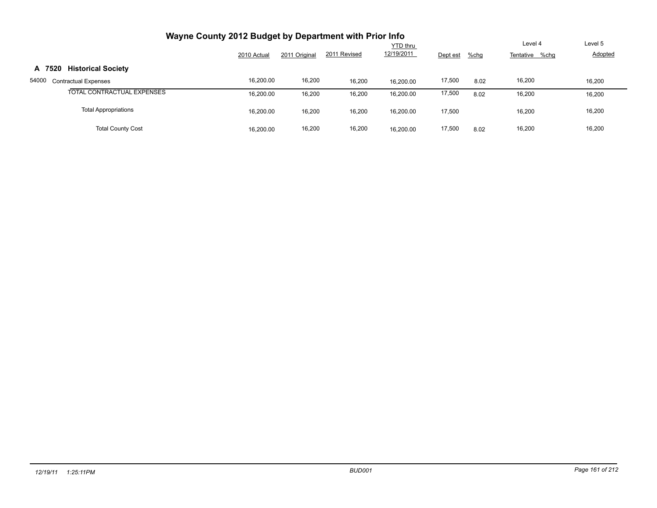| Wayne County 2012 Budget by Department with Prior Info |             |                           |                           |           |        |      |        |        |
|--------------------------------------------------------|-------------|---------------------------|---------------------------|-----------|--------|------|--------|--------|
|                                                        | 2010 Actual | Level 4<br>Tentative %chg | Level 5<br><b>Adopted</b> |           |        |      |        |        |
| <b>Historical Society</b><br>A 7520                    |             |                           |                           |           |        |      |        |        |
| 54000<br><b>Contractual Expenses</b>                   | 16,200.00   | 16,200                    | 16,200                    | 16.200.00 | 17,500 | 8.02 | 16,200 | 16,200 |
| TOTAL CONTRACTUAL EXPENSES                             | 16,200.00   | 16,200                    | 16,200                    | 16,200.00 | 17,500 | 8.02 | 16,200 | 16,200 |
| <b>Total Appropriations</b>                            | 16,200.00   | 16,200                    | 16,200                    | 16,200.00 | 17,500 |      | 16,200 | 16,200 |
| <b>Total County Cost</b>                               | 16,200.00   | 16,200                    | 16,200                    | 16.200.00 | 17,500 | 8.02 | 16,200 | 16,200 |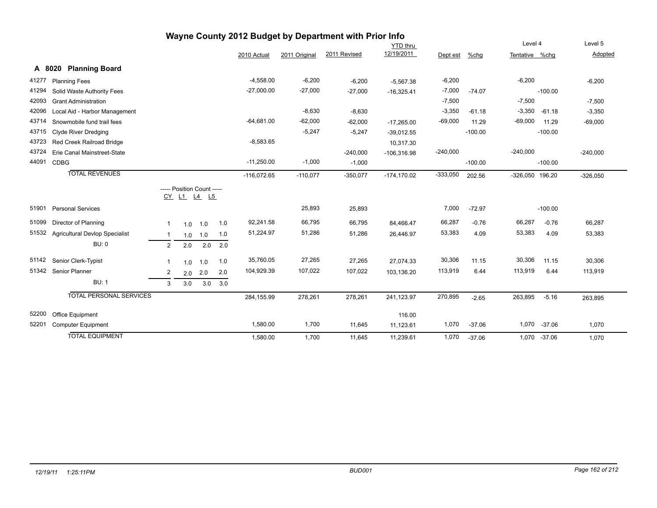|       |                                       |                |                                           |     |     |               |               | Wayne County 2012 Budget by Department with Prior Info |                 |            |           |                 |              |            |
|-------|---------------------------------------|----------------|-------------------------------------------|-----|-----|---------------|---------------|--------------------------------------------------------|-----------------|------------|-----------|-----------------|--------------|------------|
|       |                                       |                |                                           |     |     |               |               |                                                        | <b>YTD thru</b> |            |           | Level 4         |              | Level 5    |
|       |                                       |                |                                           |     |     | 2010 Actual   | 2011 Original | 2011 Revised                                           | 12/19/2011      | Dept est   | %chg      | Tentative %chg  |              | Adopted    |
|       | <b>Planning Board</b><br>A 8020       |                |                                           |     |     |               |               |                                                        |                 |            |           |                 |              |            |
| 41277 | <b>Planning Fees</b>                  |                |                                           |     |     | $-4,558.00$   | $-6,200$      | $-6,200$                                               | $-5,567.38$     | $-6,200$   |           | $-6,200$        |              | $-6,200$   |
| 41294 | Solid Waste Authority Fees            |                |                                           |     |     | $-27,000.00$  | $-27,000$     | $-27,000$                                              | $-16,325.41$    | $-7,000$   | $-74.07$  |                 | $-100.00$    |            |
| 42093 | <b>Grant Administration</b>           |                |                                           |     |     |               |               |                                                        |                 | $-7,500$   |           | $-7,500$        |              | $-7,500$   |
| 42096 | Local Aid - Harbor Management         |                |                                           |     |     |               | $-8,630$      | $-8,630$                                               |                 | $-3,350$   | $-61.18$  | $-3,350$        | $-61.18$     | $-3,350$   |
| 43714 | Snowmobile fund trail fees            |                |                                           |     |     | $-64,681.00$  | $-62,000$     | $-62,000$                                              | $-17,265.00$    | $-69,000$  | 11.29     | $-69,000$       | 11.29        | $-69,000$  |
| 43715 | <b>Clyde River Dredging</b>           |                |                                           |     |     |               | $-5,247$      | $-5,247$                                               | $-39,012.55$    |            | $-100.00$ |                 | $-100.00$    |            |
| 43723 | Red Creek Railroad Bridge             |                |                                           |     |     | $-8,583.65$   |               |                                                        | 10,317.30       |            |           |                 |              |            |
| 43724 | Erie Canal Mainstreet-State           |                |                                           |     |     |               |               | $-240,000$                                             | $-106,316.98$   | $-240,000$ |           | $-240,000$      |              | $-240,000$ |
| 44091 | <b>CDBG</b>                           |                |                                           |     |     | $-11,250.00$  | $-1,000$      | $-1,000$                                               |                 |            | $-100.00$ |                 | $-100.00$    |            |
|       | <b>TOTAL REVENUES</b>                 |                |                                           |     |     | $-116,072.65$ | $-110,077$    | $-350,077$                                             | $-174, 170.02$  | $-333,050$ | 202.56    | -326,050 196.20 |              | $-326,050$ |
|       |                                       |                | ----- Position Count -----<br>CY L1 L4 L5 |     |     |               |               |                                                        |                 |            |           |                 |              |            |
| 51901 | <b>Personal Services</b>              |                |                                           |     |     |               | 25,893        | 25,893                                                 |                 | 7,000      | $-72.97$  |                 | $-100.00$    |            |
| 51099 | Director of Planning                  | -1             | 1.0                                       | 1.0 | 1.0 | 92,241.58     | 66,795        | 66,795                                                 | 84,466.47       | 66,287     | $-0.76$   | 66,287          | $-0.76$      | 66,287     |
| 51532 | <b>Agricultural Devlop Specialist</b> | -1             | 1.0                                       | 1.0 | 1.0 | 51,224.97     | 51,286        | 51,286                                                 | 26,446.97       | 53,383     | 4.09      | 53,383          | 4.09         | 53,383     |
|       | <b>BU: 0</b>                          | 2              | 2.0                                       | 2.0 | 2.0 |               |               |                                                        |                 |            |           |                 |              |            |
|       | 51142 Senior Clerk-Typist             | $\mathbf 1$    | 1.0                                       | 1.0 | 1.0 | 35,760.05     | 27,265        | 27,265                                                 | 27,074.33       | 30,306     | 11.15     | 30,306          | 11.15        | 30,306     |
|       | 51342 Senior Planner                  | $\overline{2}$ | 2.0                                       | 2.0 | 2.0 | 104,929.39    | 107,022       | 107,022                                                | 103,136.20      | 113,919    | 6.44      | 113,919         | 6.44         | 113,919    |
|       | <b>BU: 1</b>                          | 3              | 3.0                                       | 3.0 | 3.0 |               |               |                                                        |                 |            |           |                 |              |            |
|       | <b>TOTAL PERSONAL SERVICES</b>        |                |                                           |     |     | 284,155.99    | 278,261       | 278,261                                                | 241,123.97      | 270,895    | $-2.65$   | 263,895         | $-5.16$      | 263,895    |
| 52200 | Office Equipment                      |                |                                           |     |     |               |               |                                                        | 116.00          |            |           |                 |              |            |
| 52201 | <b>Computer Equipment</b>             |                |                                           |     |     | 1,580.00      | 1,700         | 11,645                                                 | 11,123.61       | 1,070      | $-37.06$  | 1,070           | $-37.06$     | 1,070      |
|       | <b>TOTAL EQUIPMENT</b>                |                |                                           |     |     | 1.580.00      | 1,700         | 11.645                                                 | 11.239.61       | 1,070      | $-37.06$  |                 | 1.070 -37.06 | 1,070      |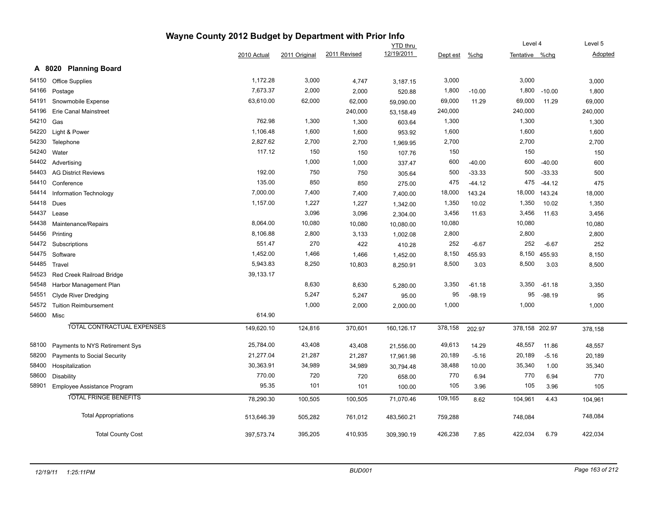|            |                                | Wayne County 2012 Budget by Department with Prior Info |               |              |                 |          |          |                |          | Level 5 |  |
|------------|--------------------------------|--------------------------------------------------------|---------------|--------------|-----------------|----------|----------|----------------|----------|---------|--|
|            |                                |                                                        |               |              | <b>YTD</b> thru |          |          |                | Level 4  |         |  |
|            |                                | 2010 Actual                                            | 2011 Original | 2011 Revised | 12/19/2011      | Dept est | $%$ chg  | Tentative %chg |          | Adopted |  |
|            | A 8020 Planning Board          |                                                        |               |              |                 |          |          |                |          |         |  |
| 54150      | <b>Office Supplies</b>         | 1,172.28                                               | 3,000         | 4,747        | 3,187.15        | 3,000    |          | 3,000          |          | 3,000   |  |
| 54166      | Postage                        | 7,673.37                                               | 2,000         | 2,000        | 520.88          | 1,800    | $-10.00$ | 1,800          | $-10.00$ | 1,800   |  |
| 54191      | Snowmobile Expense             | 63,610.00                                              | 62,000        | 62,000       | 59,090.00       | 69,000   | 11.29    | 69,000         | 11.29    | 69,000  |  |
| 54196      | <b>Erie Canal Mainstreet</b>   |                                                        |               | 240,000      | 53,158.49       | 240,000  |          | 240,000        |          | 240,000 |  |
| 54210      | Gas                            | 762.98                                                 | 1,300         | 1,300        | 603.64          | 1,300    |          | 1,300          |          | 1,300   |  |
| 54220      | Light & Power                  | 1,106.48                                               | 1,600         | 1,600        | 953.92          | 1,600    |          | 1,600          |          | 1,600   |  |
| 54230      | Telephone                      | 2,827.62                                               | 2,700         | 2,700        | 1,969.95        | 2,700    |          | 2,700          |          | 2,700   |  |
| 54240      | Water                          | 117.12                                                 | 150           | 150          | 107.76          | 150      |          | 150            |          | 150     |  |
| 54402      | Advertising                    |                                                        | 1,000         | 1,000        | 337.47          | 600      | $-40.00$ | 600            | $-40.00$ | 600     |  |
| 54403      | <b>AG District Reviews</b>     | 192.00                                                 | 750           | 750          | 305.64          | 500      | $-33.33$ | 500            | $-33.33$ | 500     |  |
| 54410      | Conference                     | 135.00                                                 | 850           | 850          | 275.00          | 475      | $-44.12$ | 475            | $-44.12$ | 475     |  |
| 54414      | Information Technology         | 7,000.00                                               | 7,400         | 7,400        | 7,400.00        | 18,000   | 143.24   | 18,000         | 143.24   | 18,000  |  |
| 54418      | Dues                           | 1,157.00                                               | 1,227         | 1,227        | 1,342.00        | 1,350    | 10.02    | 1,350          | 10.02    | 1,350   |  |
| 54437      | Lease                          |                                                        | 3,096         | 3,096        | 2,304.00        | 3,456    | 11.63    | 3,456          | 11.63    | 3,456   |  |
| 54438      | Maintenance/Repairs            | 8,064.00                                               | 10,080        | 10,080       | 10,080.00       | 10,080   |          | 10,080         |          | 10,080  |  |
| 54456      | Printing                       | 8,106.88                                               | 2,800         | 3,133        | 1,002.08        | 2,800    |          | 2,800          |          | 2,800   |  |
| 54472      | Subscriptions                  | 551.47                                                 | 270           | 422          | 410.28          | 252      | $-6.67$  | 252            | $-6.67$  | 252     |  |
| 54475      | Software                       | 1,452.00                                               | 1,466         | 1,466        | 1,452.00        | 8,150    | 455.93   | 8,150          | 455.93   | 8,150   |  |
| 54485      | Travel                         | 5,943.83                                               | 8,250         | 10,803       | 8,250.91        | 8,500    | 3.03     | 8,500          | 3.03     | 8,500   |  |
| 54523      | Red Creek Railroad Bridge      | 39,133.17                                              |               |              |                 |          |          |                |          |         |  |
| 54548      | Harbor Management Plan         |                                                        | 8,630         | 8,630        | 5,280.00        | 3,350    | $-61.18$ | 3,350          | $-61.18$ | 3,350   |  |
| 54551      | Clyde River Dredging           |                                                        | 5,247         | 5,247        | 95.00           | 95       | $-98.19$ | 95             | $-98.19$ | 95      |  |
| 54572      | <b>Tuition Reimbursement</b>   |                                                        | 1,000         | 2,000        | 2,000.00        | 1,000    |          | 1,000          |          | 1,000   |  |
| 54600 Misc |                                | 614.90                                                 |               |              |                 |          |          |                |          |         |  |
|            | TOTAL CONTRACTUAL EXPENSES     | 149,620.10                                             | 124,816       | 370,601      | 160,126.17      | 378,158  | 202.97   | 378,158 202.97 |          | 378,158 |  |
| 58100      | Payments to NYS Retirement Sys | 25,784.00                                              | 43,408        | 43,408       | 21,556.00       | 49,613   | 14.29    | 48,557         | 11.86    | 48,557  |  |
| 58200      | Payments to Social Security    | 21,277.04                                              | 21,287        | 21,287       | 17,961.98       | 20,189   | $-5.16$  | 20,189         | $-5.16$  | 20,189  |  |
| 58400      | Hospitalization                | 30,363.91                                              | 34,989        | 34,989       | 30,794.48       | 38,488   | 10.00    | 35,340         | 1.00     | 35,340  |  |
| 58600      | <b>Disability</b>              | 770.00                                                 | 720           | 720          | 658.00          | 770      | 6.94     | 770            | 6.94     | 770     |  |
| 58901      | Employee Assistance Program    | 95.35                                                  | 101           | 101          | 100.00          | 105      | 3.96     | 105            | 3.96     | 105     |  |
|            | <b>TOTAL FRINGE BENEFITS</b>   | 78,290.30                                              | 100,505       | 100,505      | 71,070.46       | 109,165  | 8.62     | 104,961        | 4.43     | 104,961 |  |
|            | <b>Total Appropriations</b>    |                                                        |               |              |                 |          |          |                |          | 748,084 |  |
|            |                                | 513,646.39                                             | 505,282       | 761,012      | 483,560.21      | 759,288  |          | 748,084        |          |         |  |
|            | <b>Total County Cost</b>       | 397,573.74                                             | 395,205       | 410,935      | 309,390.19      | 426,238  | 7.85     | 422,034        | 6.79     | 422,034 |  |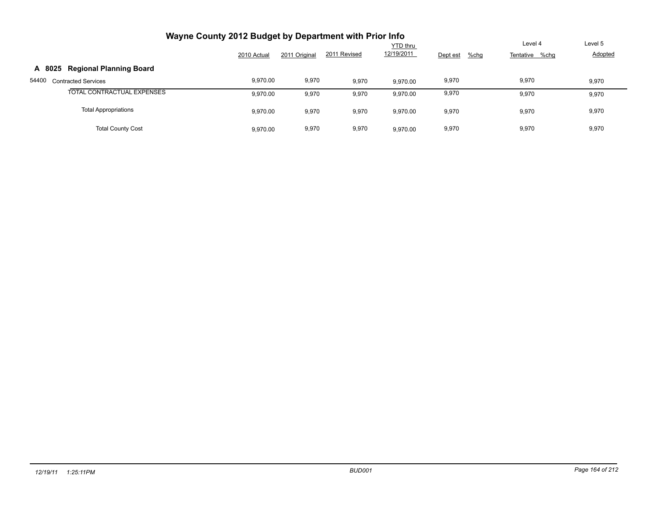| Wayne County 2012 Budget by Department with Prior Info |             |               |              |                 |                  |                |         |
|--------------------------------------------------------|-------------|---------------|--------------|-----------------|------------------|----------------|---------|
|                                                        |             |               |              | <b>YTD thru</b> |                  | Level 4        | Level 5 |
|                                                        | 2010 Actual | 2011 Original | 2011 Revised | 12/19/2011      | %chg<br>Dept est | Tentative %chg | Adopted |
| <b>Regional Planning Board</b><br>A 8025               |             |               |              |                 |                  |                |         |
| 54400<br><b>Contracted Services</b>                    | 9,970.00    | 9,970         | 9,970        | 9.970.00        | 9,970            | 9,970          | 9,970   |
| TOTAL CONTRACTUAL EXPENSES                             | 9,970.00    | 9,970         | 9,970        | 9,970.00        | 9,970            | 9,970          | 9,970   |
| <b>Total Appropriations</b>                            | 9,970.00    | 9,970         | 9,970        | 9,970.00        | 9,970            | 9,970          | 9,970   |
| <b>Total County Cost</b>                               | 9.970.00    | 9,970         | 9,970        | 9.970.00        | 9,970            | 9,970          | 9,970   |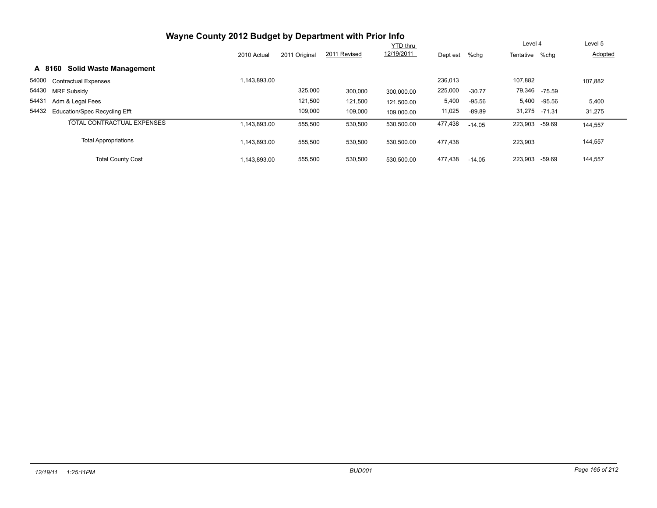| Wayne County 2012 Budget by Department with Prior Info |              |               |              |                 |          |          |               |          |         |
|--------------------------------------------------------|--------------|---------------|--------------|-----------------|----------|----------|---------------|----------|---------|
|                                                        |              |               |              | <b>YTD thru</b> |          |          | Level 4       |          | Level 5 |
|                                                        | 2010 Actual  | 2011 Original | 2011 Revised | 12/19/2011      | Dept est | $%$ chg  | Tentative     | %chq     | Adopted |
| <b>Solid Waste Management</b><br>A 8160                |              |               |              |                 |          |          |               |          |         |
| 54000<br><b>Contractual Expenses</b>                   | 1,143,893.00 |               |              |                 | 236,013  |          | 107,882       |          | 107,882 |
| 54430 MRF Subsidy                                      |              | 325,000       | 300,000      | 300.000.00      | 225,000  | $-30.77$ | 79,346 -75.59 |          |         |
| 54431<br>Adm & Legal Fees                              |              | 121,500       | 121,500      | 121,500.00      | 5,400    | $-95.56$ | 5,400         | -95.56   | 5,400   |
| 54432<br><b>Education/Spec Recycling Efft</b>          |              | 109,000       | 109,000      | 109,000.00      | 11,025   | $-89.89$ | 31,275 -71.31 |          | 31,275  |
| TOTAL CONTRACTUAL EXPENSES                             | 1.143.893.00 | 555,500       | 530,500      | 530,500.00      | 477,438  | $-14.05$ | 223,903       | -59.69   | 144,557 |
| <b>Total Appropriations</b>                            | 1,143,893.00 | 555,500       | 530,500      | 530,500.00      | 477,438  |          | 223,903       |          | 144,557 |
| <b>Total County Cost</b>                               | 1,143,893.00 | 555,500       | 530,500      | 530.500.00      | 477,438  | $-14.05$ | 223,903       | $-59.69$ | 144,557 |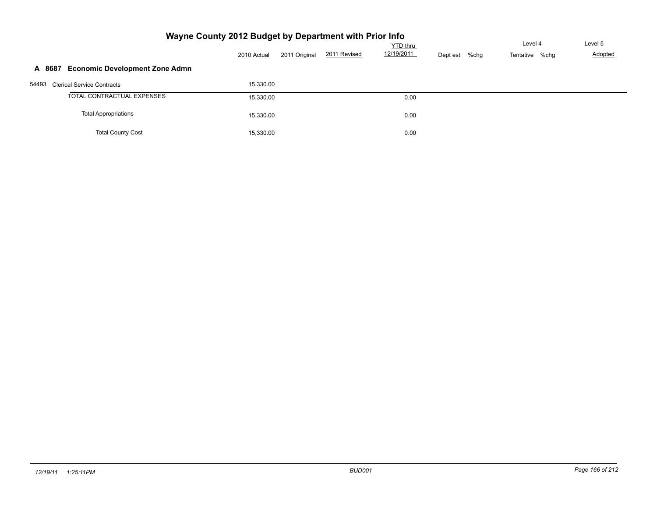| Wayne County 2012 Budget by Department with Prior Info | Level 4     | Level 5       |              |                        |          |         |                |         |
|--------------------------------------------------------|-------------|---------------|--------------|------------------------|----------|---------|----------------|---------|
|                                                        | 2010 Actual | 2011 Original | 2011 Revised | YTD thru<br>12/19/2011 | Dept est | $%$ chg | Tentative %chg | Adopted |
| <b>Economic Development Zone Admn</b><br>A 8687        |             |               |              |                        |          |         |                |         |
| 54493<br><b>Clerical Service Contracts</b>             | 15,330.00   |               |              |                        |          |         |                |         |
| TOTAL CONTRACTUAL EXPENSES                             | 15,330.00   |               |              | 0.00                   |          |         |                |         |
| <b>Total Appropriations</b>                            | 15,330.00   |               |              | 0.00                   |          |         |                |         |
| <b>Total County Cost</b>                               | 15,330.00   |               |              | 0.00                   |          |         |                |         |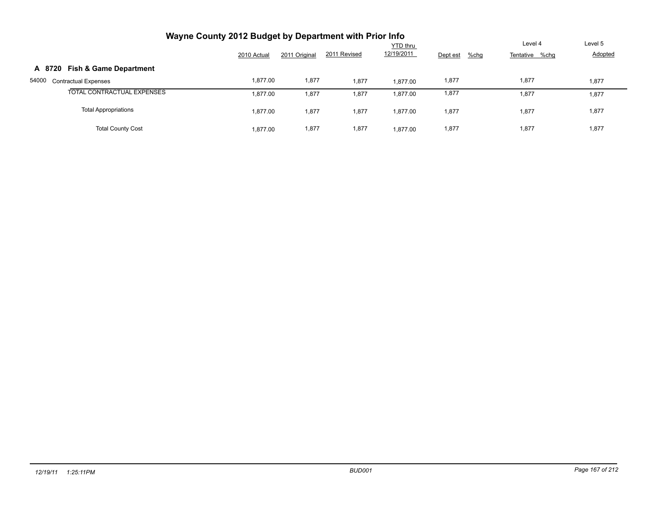| Wayne County 2012 Budget by Department with Prior Info |             |               |              |                               |                  |                           |                    |
|--------------------------------------------------------|-------------|---------------|--------------|-------------------------------|------------------|---------------------------|--------------------|
|                                                        | 2010 Actual | 2011 Original | 2011 Revised | <b>YTD thru</b><br>12/19/2011 | %chg<br>Dept est | Level 4<br>Tentative %chg | Level 5<br>Adopted |
| <b>Fish &amp; Game Department</b><br>A 8720            |             |               |              |                               |                  |                           |                    |
| 54000<br><b>Contractual Expenses</b>                   | 1.877.00    | 1,877         | 1,877        | 1.877.00                      | 1,877            | 1,877                     | 1,877              |
| TOTAL CONTRACTUAL EXPENSES                             | 1.877.00    | 1,877         | 1,877        | 1,877.00                      | 1,877            | 1,877                     | 1,877              |
| <b>Total Appropriations</b>                            | 1,877.00    | 1,877         | 1,877        | 1,877.00                      | 1,877            | 1,877                     | 1,877              |
| <b>Total County Cost</b>                               | 1.877.00    | 1,877         | 1,877        | 1.877.00                      | 1,877            | 1,877                     | 1,877              |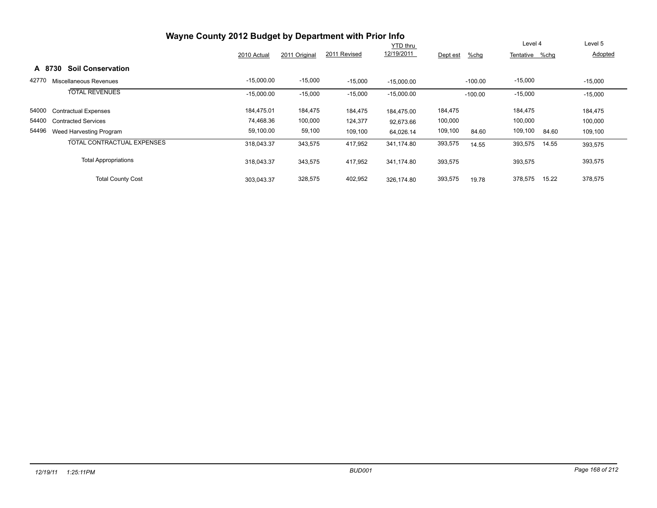| Wayne County 2012 Budget by Department with Prior Info |              |               |              |                 |                     |                  |           |
|--------------------------------------------------------|--------------|---------------|--------------|-----------------|---------------------|------------------|-----------|
|                                                        |              |               |              | <b>YTD</b> thru |                     | Level 4          | Level 5   |
|                                                        | 2010 Actual  | 2011 Original | 2011 Revised | 12/19/2011      | $%$ chg<br>Dept est | Tentative %chq   | Adopted   |
| <b>Soil Conservation</b><br>A 8730                     |              |               |              |                 |                     |                  |           |
| 42770<br>Miscellaneous Revenues                        | $-15,000.00$ | $-15,000$     | $-15,000$    | $-15,000.00$    | $-100.00$           | $-15,000$        | $-15,000$ |
| <b>TOTAL REVENUES</b>                                  | $-15,000.00$ | $-15,000$     | $-15,000$    | $-15,000.00$    | $-100.00$           | $-15,000$        | $-15,000$ |
| 54000<br><b>Contractual Expenses</b>                   | 184,475.01   | 184,475       | 184,475      | 184.475.00      | 184,475             | 184,475          | 184,475   |
| 54400<br><b>Contracted Services</b>                    | 74,468.36    | 100,000       | 124,377      | 92.673.66       | 100,000             | 100,000          | 100,000   |
| 54496<br>Weed Harvesting Program                       | 59,100.00    | 59,100        | 109,100      | 64,026.14       | 109,100<br>84.60    | 109,100<br>84.60 | 109,100   |
| TOTAL CONTRACTUAL EXPENSES                             | 318,043.37   | 343,575       | 417,952      | 341.174.80      | 393,575<br>14.55    | 393,575<br>14.55 | 393,575   |
| <b>Total Appropriations</b>                            | 318,043.37   | 343,575       | 417,952      | 341.174.80      | 393,575             | 393,575          | 393,575   |
| <b>Total County Cost</b>                               | 303.043.37   | 328,575       | 402,952      | 326.174.80      | 393,575<br>19.78    | 378,575<br>15.22 | 378,575   |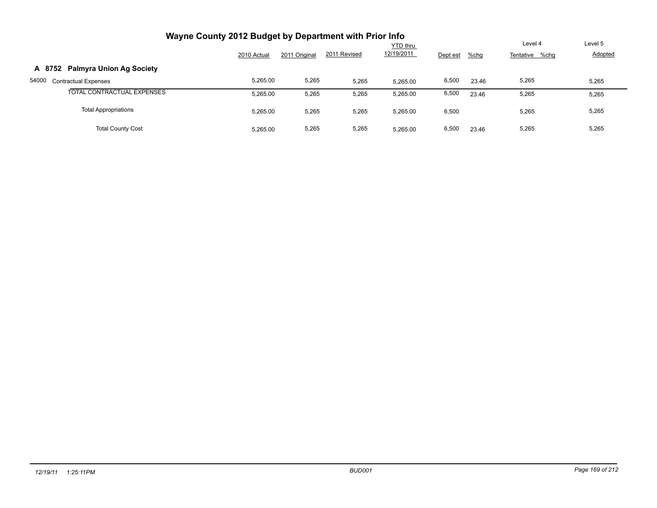| Wayne County 2012 Budget by Department with Prior Info |             |               |              |                 |          |       |                |                |
|--------------------------------------------------------|-------------|---------------|--------------|-----------------|----------|-------|----------------|----------------|
|                                                        |             |               |              | <b>YTD thru</b> |          |       | Level 4        | Level 5        |
|                                                        | 2010 Actual | 2011 Original | 2011 Revised | 12/19/2011      | Dept est | %chg  | Tentative %chg | <b>Adopted</b> |
| <b>Palmyra Union Ag Society</b><br>A 8752              |             |               |              |                 |          |       |                |                |
| 54000<br><b>Contractual Expenses</b>                   | 5,265.00    | 5,265         | 5,265        | 5.265.00        | 6,500    | 23.46 | 5,265          | 5,265          |
| TOTAL CONTRACTUAL EXPENSES                             | 5,265.00    | 5,265         | 5,265        | 5,265.00        | 6,500    | 23.46 | 5,265          | 5,265          |
| <b>Total Appropriations</b>                            | 5,265.00    | 5,265         | 5,265        | 5,265.00        | 6,500    |       | 5,265          | 5,265          |
| <b>Total County Cost</b>                               | 5.265.00    | 5,265         | 5,265        | 5.265.00        | 6,500    | 23.46 | 5,265          | 5,265          |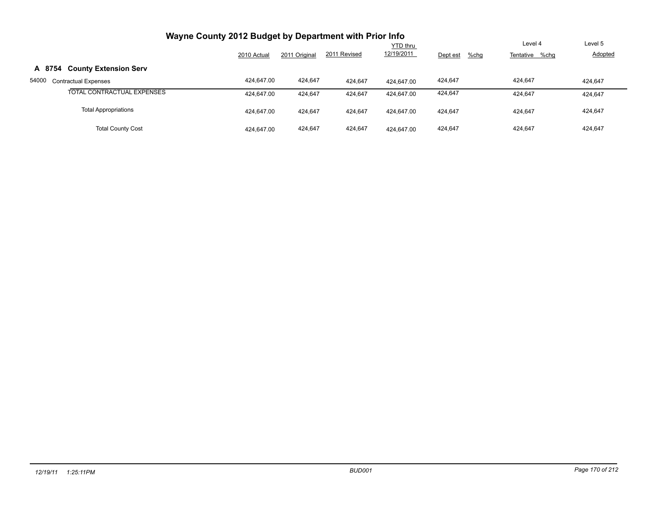| Wayne County 2012 Budget by Department with Prior Info |             |               |              |                 |                  |                |                |
|--------------------------------------------------------|-------------|---------------|--------------|-----------------|------------------|----------------|----------------|
|                                                        |             |               |              | <b>YTD thru</b> |                  | Level 4        | Level 5        |
|                                                        | 2010 Actual | 2011 Original | 2011 Revised | 12/19/2011      | %chg<br>Dept est | Tentative %chg | <b>Adopted</b> |
| <b>County Extension Serv</b><br>A 8754                 |             |               |              |                 |                  |                |                |
| 54000<br><b>Contractual Expenses</b>                   | 424.647.00  | 424.647       | 424,647      | 424.647.00      | 424,647          | 424.647        | 424.647        |
| TOTAL CONTRACTUAL EXPENSES                             | 424.647.00  | 424,647       | 424,647      | 424.647.00      | 424.647          | 424.647        | 424,647        |
| <b>Total Appropriations</b>                            | 424.647.00  | 424,647       | 424,647      | 424.647.00      | 424.647          | 424.647        | 424,647        |
| <b>Total County Cost</b>                               | 424.647.00  | 424,647       | 424,647      | 424.647.00      | 424.647          | 424.647        | 424,647        |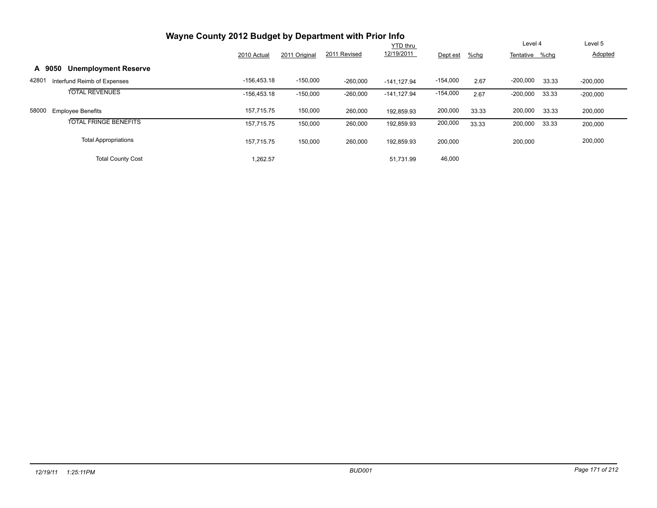| Wayne County 2012 Budget by Department with Prior Info |               |               |              |                 |            |         |                |       |            |
|--------------------------------------------------------|---------------|---------------|--------------|-----------------|------------|---------|----------------|-------|------------|
|                                                        |               |               |              | <b>YTD thru</b> |            |         | Level 4        |       | Level 5    |
|                                                        | 2010 Actual   | 2011 Original | 2011 Revised | 12/19/2011      | Dept est   | $%$ chg | Tentative %chg |       | Adopted    |
| <b>Unemployment Reserve</b><br>A 9050                  |               |               |              |                 |            |         |                |       |            |
| 42801<br>Interfund Reimb of Expenses                   | $-156.453.18$ | $-150,000$    | $-260,000$   | $-141.127.94$   | $-154,000$ | 2.67    | $-200,000$     | 33.33 | $-200,000$ |
| <b>TOTAL REVENUES</b>                                  | $-156.453.18$ | $-150,000$    | $-260,000$   | $-141.127.94$   | $-154,000$ | 2.67    | $-200,000$     | 33.33 | $-200,000$ |
| 58000<br><b>Employee Benefits</b>                      | 157,715.75    | 150,000       | 260,000      | 192,859.93      | 200,000    | 33.33   | 200,000        | 33.33 | 200,000    |
| <b>TOTAL FRINGE BENEFITS</b>                           | 157.715.75    | 150,000       | 260,000      | 192,859.93      | 200,000    | 33.33   | 200,000        | 33.33 | 200,000    |
| <b>Total Appropriations</b>                            | 157.715.75    | 150,000       | 260,000      | 192.859.93      | 200,000    |         | 200,000        |       | 200,000    |
| <b>Total County Cost</b>                               | 1,262.57      |               |              | 51.731.99       | 46,000     |         |                |       |            |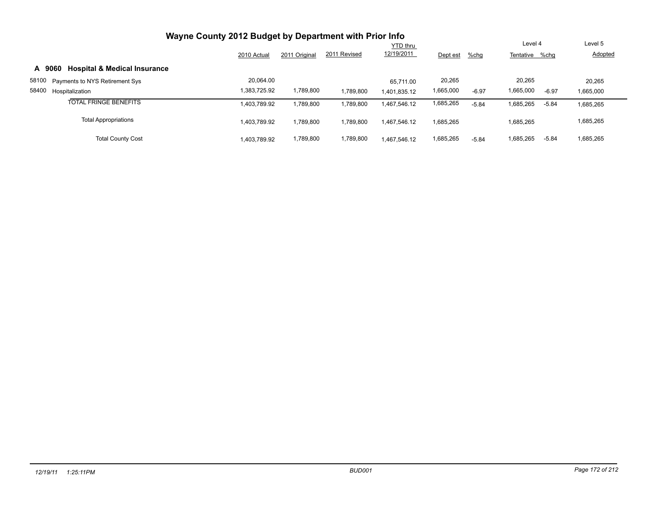| Wayne County 2012 Budget by Department with Prior Info |                 |               |              |              |           |         |           |         |           |
|--------------------------------------------------------|-----------------|---------------|--------------|--------------|-----------|---------|-----------|---------|-----------|
|                                                        | <b>YTD thru</b> |               |              |              |           |         | Level 4   |         | Level 5   |
|                                                        | 2010 Actual     | 2011 Original | 2011 Revised | 12/19/2011   | Dept est  | $%$ chg | Tentative | %chg    | Adopted   |
| <b>Hospital &amp; Medical Insurance</b><br>A 9060      |                 |               |              |              |           |         |           |         |           |
| 58100<br>Payments to NYS Retirement Sys                | 20.064.00       |               |              | 65.711.00    | 20,265    |         | 20.265    |         | 20,265    |
| 58400<br>Hospitalization                               | 1.383.725.92    | 1,789,800     | 1,789,800    | 1.401.835.12 | 1,665,000 | $-6.97$ | 1,665,000 | $-6.97$ | 1,665,000 |
| <b>TOTAL FRINGE BENEFITS</b>                           | 1,403,789.92    | 1,789,800     | 1,789,800    | 1.467.546.12 | 1,685,265 | $-5.84$ | 1,685,265 | $-5.84$ | 1,685,265 |
| <b>Total Appropriations</b>                            | 1.403.789.92    | 1,789,800     | 1.789.800    | 1.467.546.12 | 1,685,265 |         | 1,685,265 |         | 1,685,265 |
| <b>Total County Cost</b>                               | 1.403.789.92    | 1,789,800     | 1,789,800    | 1.467.546.12 | 1,685,265 | $-5.84$ | 1,685,265 | $-5.84$ | 1,685,265 |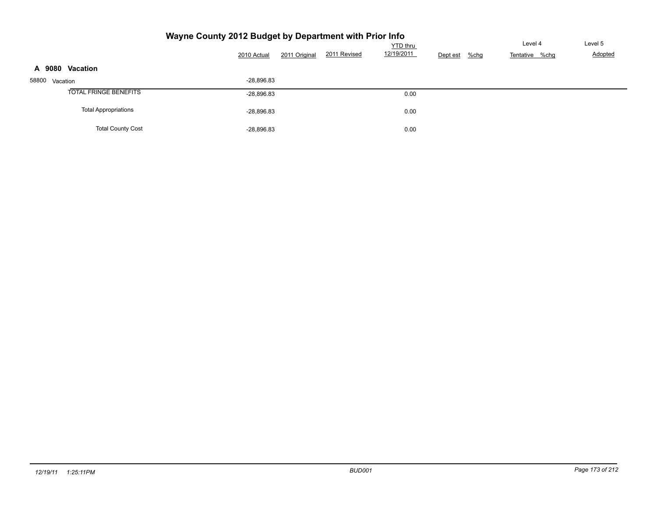## **Wayne County 2012 Budget by Department with Prior Info**

|                              | 2010 Actual  | 2011 Original | 2011 Revised | <b>YTD</b> thru<br>12/19/2011 | $%$ chg<br>Dept est | Level 4<br>Tentative %chg | Level 5<br>Adopted |
|------------------------------|--------------|---------------|--------------|-------------------------------|---------------------|---------------------------|--------------------|
| A 9080 Vacation              |              |               |              |                               |                     |                           |                    |
| 58800 Vacation               | $-28,896.83$ |               |              |                               |                     |                           |                    |
| <b>TOTAL FRINGE BENEFITS</b> | $-28,896.83$ |               |              | 0.00                          |                     |                           |                    |
| <b>Total Appropriations</b>  | $-28,896.83$ |               |              | 0.00                          |                     |                           |                    |
| <b>Total County Cost</b>     | $-28,896.83$ |               |              | 0.00                          |                     |                           |                    |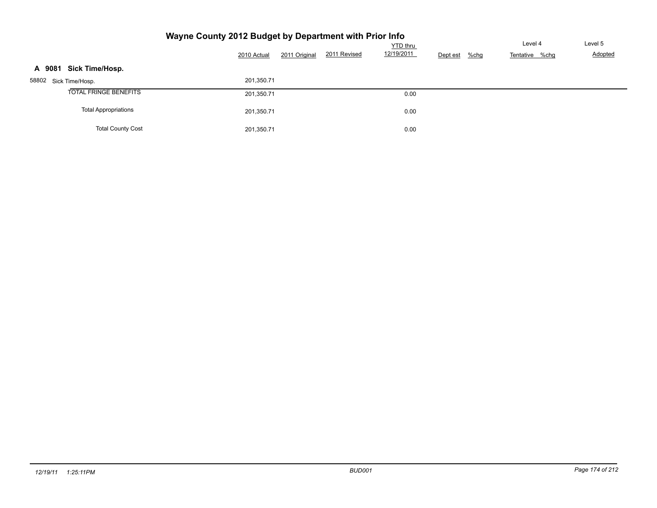#### **Wayne County 2012 Budget by Department with Prior Info** Tentative %chg <u>YTD thru</u><br>12/19/2011 Dept est %chg Tentative % 2010 Actual 2011 Original 2011 Revised 12/19/2011 Dept est %chg Level 5 Adopted **A 9081 Sick Time/Hosp.** 58802 Sick Time/Hosp. 201,350.71 TOTAL FRINGE BENEFITS 201,350.71 201,350.71 0.00 Total Appropriations 0.00 Total County Cost 0.00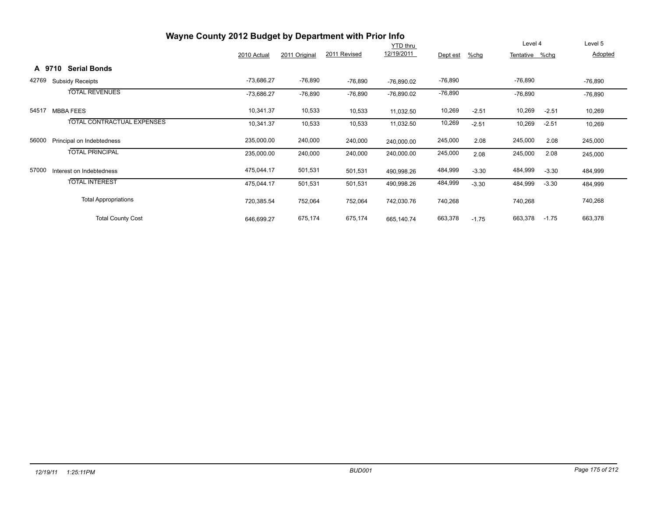|       | Wayne County 2012 Budget by Department with Prior Info |                                   |              |               |              |                 |           |         |                |         |           |  |  |
|-------|--------------------------------------------------------|-----------------------------------|--------------|---------------|--------------|-----------------|-----------|---------|----------------|---------|-----------|--|--|
|       |                                                        |                                   |              |               |              | <b>YTD</b> thru |           |         | Level 4        |         | Level 5   |  |  |
|       |                                                        |                                   | 2010 Actual  | 2011 Original | 2011 Revised | 12/19/2011      | Dept est  | $%$ chg | Tentative %chg |         | Adopted   |  |  |
|       | A 9710                                                 | <b>Serial Bonds</b>               |              |               |              |                 |           |         |                |         |           |  |  |
| 42769 |                                                        | <b>Subsidy Receipts</b>           | $-73,686.27$ | $-76,890$     | -76,890      | $-76,890.02$    | $-76,890$ |         | $-76,890$      |         | $-76,890$ |  |  |
|       |                                                        | <b>TOTAL REVENUES</b>             | $-73,686.27$ | $-76,890$     | $-76,890$    | $-76,890.02$    | -76,890   |         | $-76,890$      |         | $-76,890$ |  |  |
| 54517 |                                                        | <b>MBBA FEES</b>                  | 10,341.37    | 10,533        | 10,533       | 11,032.50       | 10,269    | $-2.51$ | 10,269         | $-2.51$ | 10,269    |  |  |
|       |                                                        | <b>TOTAL CONTRACTUAL EXPENSES</b> | 10,341.37    | 10,533        | 10,533       | 11,032.50       | 10,269    | $-2.51$ | 10,269         | $-2.51$ | 10,269    |  |  |
| 56000 |                                                        | Principal on Indebtedness         | 235,000.00   | 240,000       | 240,000      | 240,000.00      | 245,000   | 2.08    | 245,000        | 2.08    | 245,000   |  |  |
|       |                                                        | <b>TOTAL PRINCIPAL</b>            | 235,000.00   | 240,000       | 240,000      | 240,000.00      | 245,000   | 2.08    | 245,000        | 2.08    | 245,000   |  |  |
| 57000 |                                                        | Interest on Indebtedness          | 475,044.17   | 501,531       | 501,531      | 490,998.26      | 484,999   | $-3.30$ | 484,999        | $-3.30$ | 484,999   |  |  |
|       |                                                        | <b>TOTAL INTEREST</b>             | 475,044.17   | 501,531       | 501,531      | 490,998.26      | 484,999   | $-3.30$ | 484,999        | $-3.30$ | 484,999   |  |  |
|       |                                                        | <b>Total Appropriations</b>       | 720,385.54   | 752,064       | 752,064      | 742,030.76      | 740,268   |         | 740,268        |         | 740,268   |  |  |
|       |                                                        | <b>Total County Cost</b>          | 646,699.27   | 675,174       | 675,174      | 665,140.74      | 663,378   | $-1.75$ | 663,378        | $-1.75$ | 663,378   |  |  |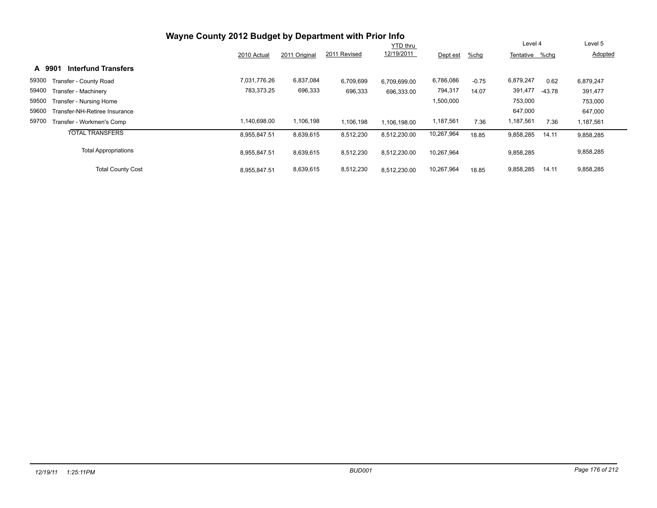| Wayne County 2012 Budget by Department with Prior Info |              |               |              |                 |            |         |                |          |           |  |
|--------------------------------------------------------|--------------|---------------|--------------|-----------------|------------|---------|----------------|----------|-----------|--|
|                                                        |              |               |              | <b>YTD thru</b> |            |         | Level 4        |          | Level 5   |  |
|                                                        | 2010 Actual  | 2011 Original | 2011 Revised | 12/19/2011      | Dept est   | %chg    | Tentative %chq |          | Adopted   |  |
| <b>Interfund Transfers</b><br>A 9901                   |              |               |              |                 |            |         |                |          |           |  |
| 59300<br>Transfer - County Road                        | 7,031,776.26 | 6,837,084     | 6,709,699    | 6.709.699.00    | 6,786,086  | $-0.75$ | 6,879,247      | 0.62     | 6,879,247 |  |
| 59400<br>Transfer - Machinery                          | 783,373.25   | 696,333       | 696,333      | 696.333.00      | 794,317    | 14.07   | 391,477        | $-43.78$ | 391,477   |  |
| 59500<br>Transfer - Nursing Home                       |              |               |              |                 | 1,500,000  |         | 753,000        |          | 753,000   |  |
| 59600<br>Transfer-NH-Retiree Insurance                 |              |               |              |                 |            |         | 647,000        |          | 647,000   |  |
| 59700<br>Transfer - Workmen's Comp                     | ,140,698.00  | 1,106,198     | 1,106,198    | 1.106.198.00    | 1,187,561  | 7.36    | 1,187,561      | 7.36     | 1,187,561 |  |
| <b>TOTAL TRANSFERS</b>                                 | 8,955,847.51 | 8,639,615     | 8,512,230    | 8,512,230.00    | 10,267,964 | 18.85   | 9,858,285      | 14.11    | 9,858,285 |  |
| <b>Total Appropriations</b>                            | 8,955,847.51 | 8,639,615     | 8,512,230    | 8,512,230.00    | 10,267,964 |         | 9,858,285      |          | 9,858,285 |  |
| <b>Total County Cost</b>                               | 8,955,847.51 | 8,639,615     | 8,512,230    | 8,512,230.00    | 10,267,964 | 18.85   | 9,858,285      | 14.11    | 9,858,285 |  |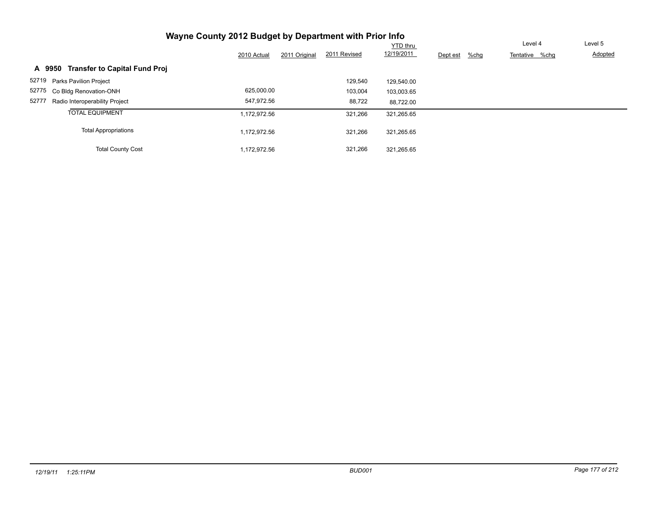| Wayne County 2012 Budget by Department with Prior Info |              |               |              |                 |          |      |                |         |
|--------------------------------------------------------|--------------|---------------|--------------|-----------------|----------|------|----------------|---------|
|                                                        |              |               |              | <b>YTD thru</b> |          |      | Level 4        | Level 5 |
|                                                        | 2010 Actual  | 2011 Original | 2011 Revised | 12/19/2011      | Dept est | %chg | Tentative %chq | Adopted |
| <b>Transfer to Capital Fund Proj</b><br>A 9950         |              |               |              |                 |          |      |                |         |
| 52719 Parks Pavilion Project                           |              |               | 129,540      | 129.540.00      |          |      |                |         |
| 52775<br>Co Bldg Renovation-ONH                        | 625,000.00   |               | 103,004      | 103.003.65      |          |      |                |         |
| 52777<br>Radio Interoperability Project                | 547.972.56   |               | 88,722       | 88.722.00       |          |      |                |         |
| <b>TOTAL EQUIPMENT</b>                                 | 1,172,972.56 |               | 321,266      | 321,265.65      |          |      |                |         |
| <b>Total Appropriations</b>                            | 1,172,972.56 |               | 321,266      | 321,265.65      |          |      |                |         |
| <b>Total County Cost</b>                               | 1,172,972.56 |               | 321,266      | 321.265.65      |          |      |                |         |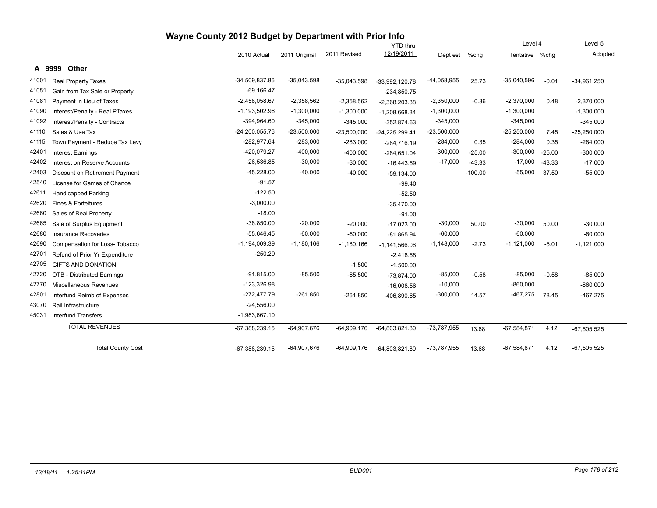|       |                                | Wayne County 2012 Budget by Department with Prior Info |               |               |                  |               |           |                |          |               |
|-------|--------------------------------|--------------------------------------------------------|---------------|---------------|------------------|---------------|-----------|----------------|----------|---------------|
|       |                                |                                                        |               |               | <b>YTD</b> thru  |               |           | Level 4        |          | Level 5       |
|       |                                | 2010 Actual                                            | 2011 Original | 2011 Revised  | 12/19/2011       | Dept est      | %chg      | Tentative %chg |          | Adopted       |
|       | A 9999<br>Other                |                                                        |               |               |                  |               |           |                |          |               |
| 41001 | <b>Real Property Taxes</b>     | $-34,509,837.86$                                       | $-35,043,598$ | $-35,043,598$ | -33,992,120.78   | $-44,058,955$ | 25.73     | $-35,040,596$  | $-0.01$  | $-34,961,250$ |
| 41051 | Gain from Tax Sale or Property | $-69,166.47$                                           |               |               | $-234,850.75$    |               |           |                |          |               |
| 41081 | Payment in Lieu of Taxes       | $-2,458,058.67$                                        | $-2,358,562$  | $-2,358,562$  | $-2,368,203.38$  | $-2,350,000$  | $-0.36$   | $-2,370,000$   | 0.48     | $-2,370,000$  |
| 41090 | Interest/Penalty - Real PTaxes | $-1,193,502.96$                                        | $-1,300,000$  | $-1,300,000$  | $-1,208,668.34$  | $-1,300,000$  |           | $-1,300,000$   |          | $-1,300,000$  |
| 41092 | Interest/Penalty - Contracts   | $-394,964.60$                                          | $-345,000$    | $-345,000$    | $-352,874.63$    | $-345,000$    |           | $-345,000$     |          | $-345,000$    |
| 41110 | Sales & Use Tax                | $-24,200,055.76$                                       | $-23,500,000$ | $-23,500,000$ | $-24,225,299.41$ | $-23,500,000$ |           | $-25,250,000$  | 7.45     | $-25,250,000$ |
| 41115 | Town Payment - Reduce Tax Levy | -282,977.64                                            | $-283,000$    | $-283,000$    | $-284,716.19$    | $-284,000$    | 0.35      | $-284,000$     | 0.35     | $-284,000$    |
| 42401 | <b>Interest Earnings</b>       | -420,079.27                                            | $-400,000$    | $-400,000$    | $-284,651.04$    | $-300,000$    | $-25.00$  | $-300,000$     | $-25.00$ | $-300,000$    |
| 42402 | Interest on Reserve Accounts   | $-26,536.85$                                           | $-30,000$     | $-30,000$     | $-16,443.59$     | $-17,000$     | $-43.33$  | $-17,000$      | $-43.33$ | $-17,000$     |
| 42403 | Discount on Retirement Payment | $-45,228.00$                                           | $-40,000$     | $-40,000$     | $-59,134.00$     |               | $-100.00$ | $-55,000$      | 37.50    | $-55,000$     |
| 42540 | License for Games of Chance    | $-91.57$                                               |               |               | $-99.40$         |               |           |                |          |               |
| 42611 | <b>Handicapped Parking</b>     | $-122.50$                                              |               |               | $-52.50$         |               |           |                |          |               |
| 42620 | Fines & Forteitures            | $-3,000.00$                                            |               |               | $-35,470.00$     |               |           |                |          |               |
| 42660 | Sales of Real Property         | $-18.00$                                               |               |               | $-91.00$         |               |           |                |          |               |
| 42665 | Sale of Surplus Equipment      | $-38,850.00$                                           | $-20,000$     | $-20,000$     | $-17,023.00$     | $-30,000$     | 50.00     | $-30,000$      | 50.00    | $-30,000$     |
| 42680 | <b>Insurance Recoveries</b>    | $-55,646.45$                                           | $-60,000$     | $-60,000$     | $-81,865.94$     | $-60,000$     |           | $-60,000$      |          | $-60,000$     |
| 42690 | Compensation for Loss-Tobacco  | $-1,194,009.39$                                        | $-1,180,166$  | $-1,180,166$  | $-1,141,566.06$  | $-1,148,000$  | $-2.73$   | $-1,121,000$   | $-5.01$  | $-1,121,000$  |
| 42701 | Refund of Prior Yr Expenditure | $-250.29$                                              |               |               | $-2,418.58$      |               |           |                |          |               |
| 42705 | <b>GIFTS AND DONATION</b>      |                                                        |               | $-1,500$      | $-1,500.00$      |               |           |                |          |               |
| 42720 | OTB - Distributed Earnings     | $-91,815.00$                                           | $-85,500$     | $-85,500$     | $-73,874.00$     | $-85,000$     | $-0.58$   | $-85,000$      | $-0.58$  | $-85,000$     |
| 42770 | <b>Miscellaneous Revenues</b>  | $-123,326.98$                                          |               |               | $-16,008.56$     | $-10,000$     |           | $-860,000$     |          | $-860,000$    |
| 42801 | Interfund Reimb of Expenses    | $-272,477.79$                                          | $-261,850$    | $-261,850$    | -406,890.65      | $-300,000$    | 14.57     | $-467,275$     | 78.45    | $-467,275$    |
| 43070 | Rail Infrastructure            | $-24,556.00$                                           |               |               |                  |               |           |                |          |               |
| 45031 | <b>Interfund Transfers</b>     | $-1,983,667.10$                                        |               |               |                  |               |           |                |          |               |
|       | <b>TOTAL REVENUES</b>          | $-67,388,239.15$                                       | $-64,907,676$ | $-64,909,176$ | $-64,803,821.80$ | $-73,787,955$ | 13.68     | $-67,584,871$  | 4.12     | $-67,505,525$ |
|       | <b>Total County Cost</b>       | $-67,388,239.15$                                       | $-64,907,676$ | $-64,909,176$ | $-64,803,821.80$ | $-73,787,955$ | 13.68     | $-67,584,871$  | 4.12     | $-67,505,525$ |

--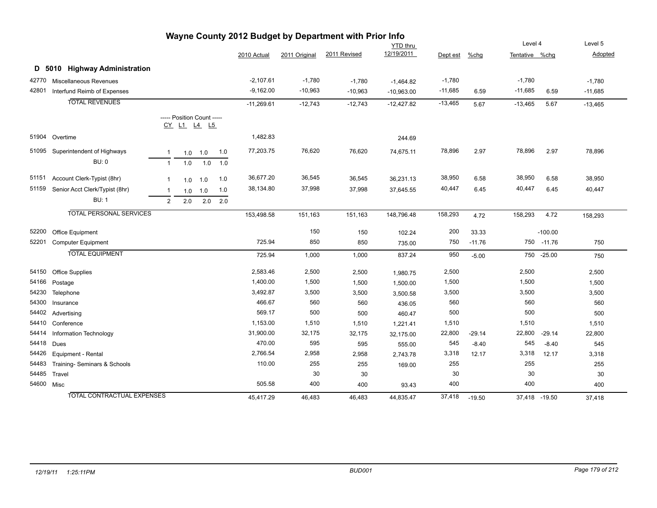|       |                                   |                |                            |           |     |              |               | Wayne County 2012 Budget by Department with Prior Info |              |           |          |                |               |           |
|-------|-----------------------------------|----------------|----------------------------|-----------|-----|--------------|---------------|--------------------------------------------------------|--------------|-----------|----------|----------------|---------------|-----------|
|       |                                   |                |                            |           |     |              |               |                                                        | YTD thru     |           |          | Level 4        |               | Level 5   |
|       |                                   |                |                            |           |     | 2010 Actual  | 2011 Original | 2011 Revised                                           | 12/19/2011   | Dept est  | $%$ chg  | Tentative %chg |               | Adopted   |
|       | D 5010 Highway Administration     |                |                            |           |     |              |               |                                                        |              |           |          |                |               |           |
| 42770 | Miscellaneous Revenues            |                |                            |           |     | $-2,107.61$  | $-1,780$      | $-1,780$                                               | $-1,464.82$  | $-1,780$  |          | $-1,780$       |               | $-1,780$  |
| 42801 | Interfund Reimb of Expenses       |                |                            |           |     | $-9,162.00$  | $-10,963$     | $-10,963$                                              | $-10,963.00$ | $-11,685$ | 6.59     | $-11,685$      | 6.59          | $-11,685$ |
|       | <b>TOTAL REVENUES</b>             |                |                            |           |     | $-11,269.61$ | $-12,743$     | $-12,743$                                              | $-12,427.82$ | $-13,465$ | 5.67     | $-13,465$      | 5.67          | $-13,465$ |
|       |                                   |                | ----- Position Count ----- |           |     |              |               |                                                        |              |           |          |                |               |           |
|       |                                   |                | CY L1 L4 L5                |           |     |              |               |                                                        |              |           |          |                |               |           |
| 51904 | Overtime                          |                |                            |           |     | 1,482.83     |               |                                                        | 244.69       |           |          |                |               |           |
| 51095 | Superintendent of Highways        | $\mathbf{1}$   |                            | $1.0$ 1.0 | 1.0 | 77,203.75    | 76,620        | 76,620                                                 | 74,675.11    | 78,896    | 2.97     | 78,896         | 2.97          | 78,896    |
|       | <b>BU: 0</b>                      | $\overline{1}$ | 1.0                        | 1.0       | 1.0 |              |               |                                                        |              |           |          |                |               |           |
| 51151 | Account Clerk-Typist (8hr)        | $\mathbf{1}$   | 1.0                        | 1.0       | 1.0 | 36,677.20    | 36,545        | 36,545                                                 | 36,231.13    | 38,950    | 6.58     | 38,950         | 6.58          | 38,950    |
| 51159 | Senior Acct Clerk/Typist (8hr)    | $\mathbf{1}$   | 1.0                        | 1.0       | 1.0 | 38,134.80    | 37,998        | 37,998                                                 | 37,645.55    | 40,447    | 6.45     | 40,447         | 6.45          | 40,447    |
|       | <b>BU: 1</b>                      | 2              | 2.0                        | 2.0       | 2.0 |              |               |                                                        |              |           |          |                |               |           |
|       | <b>TOTAL PERSONAL SERVICES</b>    |                |                            |           |     | 153,498.58   | 151,163       | 151,163                                                | 148,796.48   | 158,293   | 4.72     | 158,293        | 4.72          | 158,293   |
| 52200 | <b>Office Equipment</b>           |                |                            |           |     |              | 150           | 150                                                    | 102.24       | 200       | 33.33    |                | $-100.00$     |           |
| 52201 | <b>Computer Equipment</b>         |                |                            |           |     | 725.94       | 850           | 850                                                    | 735.00       | 750       | $-11.76$ | 750            | $-11.76$      | 750       |
|       | <b>TOTAL EQUIPMENT</b>            |                |                            |           |     | 725.94       | 1,000         | 1,000                                                  | 837.24       | 950       | $-5.00$  | 750            | $-25.00$      | 750       |
| 54150 | <b>Office Supplies</b>            |                |                            |           |     | 2,583.46     | 2,500         | 2,500                                                  | 1,980.75     | 2,500     |          | 2,500          |               | 2,500     |
| 54166 | Postage                           |                |                            |           |     | 1,400.00     | 1,500         | 1,500                                                  | 1,500.00     | 1,500     |          | 1,500          |               | 1,500     |
| 54230 | Telephone                         |                |                            |           |     | 3,492.87     | 3,500         | 3,500                                                  | 3,500.58     | 3,500     |          | 3,500          |               | 3,500     |
| 54300 | Insurance                         |                |                            |           |     | 466.67       | 560           | 560                                                    | 436.05       | 560       |          | 560            |               | 560       |
| 54402 | Advertising                       |                |                            |           |     | 569.17       | 500           | 500                                                    | 460.47       | 500       |          | 500            |               | 500       |
| 54410 | Conference                        |                |                            |           |     | 1,153.00     | 1,510         | 1,510                                                  | 1,221.41     | 1,510     |          | 1,510          |               | 1,510     |
| 54414 | Information Technology            |                |                            |           |     | 31,900.00    | 32,175        | 32,175                                                 | 32,175.00    | 22,800    | $-29.14$ | 22,800         | $-29.14$      | 22,800    |
| 54418 | Dues                              |                |                            |           |     | 470.00       | 595           | 595                                                    | 555.00       | 545       | $-8.40$  | 545            | $-8.40$       | 545       |
| 54426 | Equipment - Rental                |                |                            |           |     | 2,766.54     | 2,958         | 2,958                                                  | 2,743.78     | 3,318     | 12.17    | 3,318          | 12.17         | 3,318     |
| 54483 | Training- Seminars & Schools      |                |                            |           |     | 110.00       | 255           | 255                                                    | 169.00       | 255       |          | 255            |               | 255       |
| 54485 | Travel                            |                |                            |           |     |              | 30            | 30                                                     |              | 30        |          | 30             |               | 30        |
|       | 54600 Misc                        |                |                            |           |     | 505.58       | 400           | 400                                                    | 93.43        | 400       |          | 400            |               | 400       |
|       | <b>TOTAL CONTRACTUAL EXPENSES</b> |                |                            |           |     | 45,417.29    | 46,483        | 46,483                                                 | 44,835.47    | 37,418    | $-19.50$ |                | 37,418 -19.50 | 37,418    |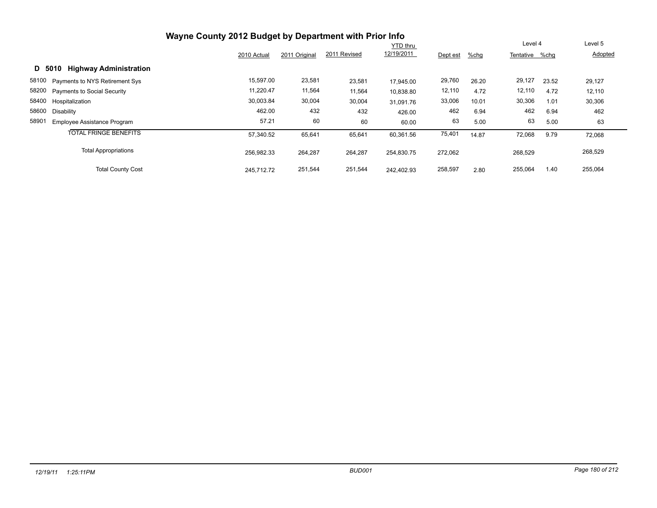| Wayne County 2012 Budget by Department with Prior Info |             |               |              |                 |          |         |                |       |         |
|--------------------------------------------------------|-------------|---------------|--------------|-----------------|----------|---------|----------------|-------|---------|
|                                                        |             |               |              | <b>YTD</b> thru |          |         | Level 4        |       | Level 5 |
|                                                        | 2010 Actual | 2011 Original | 2011 Revised | 12/19/2011      | Dept est | $%$ chg | Tentative %chg |       | Adopted |
| <b>Highway Administration</b><br>D 5010                |             |               |              |                 |          |         |                |       |         |
| 58100 Payments to NYS Retirement Sys                   | 15,597.00   | 23,581        | 23,581       | 17.945.00       | 29,760   | 26.20   | 29,127         | 23.52 | 29,127  |
| 58200 Payments to Social Security                      | 11,220.47   | 11,564        | 11,564       | 10,838.80       | 12,110   | 4.72    | 12,110         | 4.72  | 12,110  |
| 58400 Hospitalization                                  | 30,003.84   | 30,004        | 30,004       | 31.091.76       | 33,006   | 10.01   | 30,306         | 1.01  | 30,306  |
| 58600<br>Disability                                    | 462.00      | 432           | 432          | 426.00          | 462      | 6.94    | 462            | 6.94  | 462     |
| 58901<br>Employee Assistance Program                   | 57.21       | 60            | 60           | 60.00           | 63       | 5.00    | 63             | 5.00  | 63      |
| <b>TOTAL FRINGE BENEFITS</b>                           | 57,340.52   | 65,641        | 65,641       | 60,361.56       | 75,401   | 14.87   | 72,068         | 9.79  | 72,068  |
| <b>Total Appropriations</b>                            | 256.982.33  | 264,287       | 264,287      | 254.830.75      | 272,062  |         | 268,529        |       | 268,529 |
| <b>Total County Cost</b>                               | 245.712.72  | 251,544       | 251,544      | 242.402.93      | 258,597  | 2.80    | 255,064        | 1.40  | 255,064 |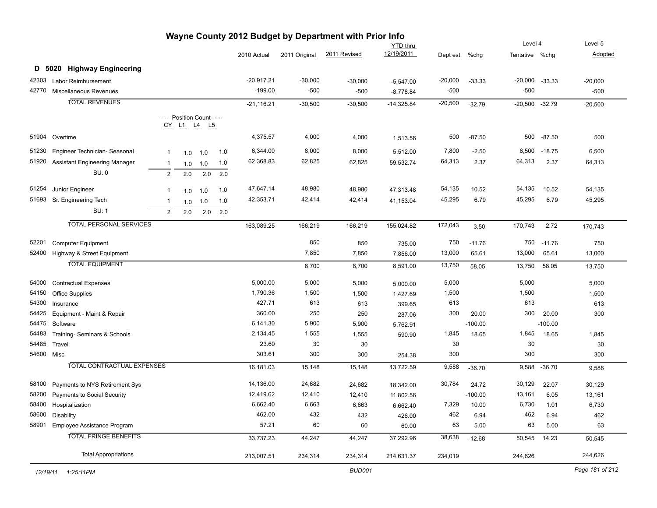|                | Wayne County 2012 Budget by Department with Prior Info<br>Level 4<br>Level 5 |                |                            |     |     |                      |                |                |                    |                |           |                  |           |                |
|----------------|------------------------------------------------------------------------------|----------------|----------------------------|-----|-----|----------------------|----------------|----------------|--------------------|----------------|-----------|------------------|-----------|----------------|
|                |                                                                              |                |                            |     |     |                      |                |                | <b>YTD thru</b>    |                |           |                  |           |                |
|                |                                                                              |                |                            |     |     | 2010 Actual          | 2011 Original  | 2011 Revised   | 12/19/2011         | Dept est       | %chg      | Tentative %chg   |           | Adopted        |
|                | D 5020 Highway Engineering                                                   |                |                            |     |     |                      |                |                |                    |                |           |                  |           |                |
| 42303          | <b>Labor Reimbursement</b>                                                   |                |                            |     |     | $-20,917.21$         | $-30,000$      | $-30,000$      | $-5,547.00$        | $-20,000$      | $-33.33$  | $-20,000$        | $-33.33$  | $-20,000$      |
| 42770          | Miscellaneous Revenues                                                       |                |                            |     |     | $-199.00$            | $-500$         | $-500$         | $-8,778.84$        | $-500$         |           | $-500$           |           | $-500$         |
|                | <b>TOTAL REVENUES</b>                                                        |                |                            |     |     | $-21,116.21$         | $-30,500$      | $-30,500$      | $-14,325.84$       | $-20,500$      | $-32.79$  | $-20,500 -32.79$ |           | $-20,500$      |
|                |                                                                              |                | ----- Position Count ----- |     |     |                      |                |                |                    |                |           |                  |           |                |
|                |                                                                              |                | <u>CY L1 L4 L5</u>         |     |     |                      |                |                |                    |                |           |                  |           |                |
| 51904          | Overtime                                                                     |                |                            |     |     | 4,375.57             | 4,000          | 4,000          | 1,513.56           | 500            | $-87.50$  | 500              | $-87.50$  | 500            |
| 51230          | Engineer Technician- Seasonal                                                | $\mathbf{1}$   | 1.0                        | 1.0 | 1.0 | 6,344.00             | 8,000          | 8,000          | 5,512.00           | 7,800          | $-2.50$   | 6,500            | $-18.75$  | 6,500          |
| 51920          | <b>Assistant Engineering Manager</b>                                         | $\overline{1}$ | 1.0                        | 1.0 | 1.0 | 62,368.83            | 62,825         | 62,825         | 59,532.74          | 64,313         | 2.37      | 64,313           | 2.37      | 64,313         |
|                | <b>BU: 0</b>                                                                 | 2              | 2.0                        | 2.0 | 2.0 |                      |                |                |                    |                |           |                  |           |                |
|                |                                                                              |                |                            |     |     |                      |                |                |                    |                |           |                  |           |                |
| 51254          | Junior Engineer                                                              | $\overline{1}$ | 1.0                        | 1.0 | 1.0 | 47,647.14            | 48,980         | 48,980         | 47,313.48          | 54,135         | 10.52     | 54,135           | 10.52     | 54,135         |
| 51693          | Sr. Engineering Tech                                                         | $\overline{1}$ | 1.0                        | 1.0 | 1.0 | 42,353.71            | 42,414         | 42,414         | 41,153.04          | 45,295         | 6.79      | 45,295           | 6.79      | 45,295         |
|                | <b>BU: 1</b>                                                                 | 2              | 2.0                        | 2.0 | 2.0 |                      |                |                |                    |                |           |                  |           |                |
|                | <b>TOTAL PERSONAL SERVICES</b>                                               |                |                            |     |     | 163,089.25           | 166,219        | 166,219        | 155,024.82         | 172,043        | 3.50      | 170,743          | 2.72      | 170,743        |
| 52201          | <b>Computer Equipment</b>                                                    |                |                            |     |     |                      | 850            | 850            | 735.00             | 750            | $-11.76$  | 750              | $-11.76$  | 750            |
| 52400          | Highway & Street Equipment                                                   |                |                            |     |     |                      | 7,850          | 7,850          | 7,856.00           | 13,000         | 65.61     | 13,000           | 65.61     | 13,000         |
|                | <b>TOTAL EQUIPMENT</b>                                                       |                |                            |     |     |                      | 8,700          | 8,700          | 8,591.00           | 13,750         | 58.05     | 13,750           | 58.05     | 13,750         |
|                |                                                                              |                |                            |     |     |                      |                |                |                    |                |           |                  |           |                |
| 54000<br>54150 | <b>Contractual Expenses</b>                                                  |                |                            |     |     | 5,000.00<br>1,790.36 | 5,000<br>1,500 | 5,000<br>1,500 | 5,000.00           | 5,000<br>1,500 |           | 5,000<br>1,500   |           | 5,000<br>1,500 |
| 54300          | Office Supplies<br>Insurance                                                 |                |                            |     |     | 427.71               | 613            | 613            | 1,427.69<br>399.65 | 613            |           | 613              |           | 613            |
| 54425          | Equipment - Maint & Repair                                                   |                |                            |     |     | 360.00               | 250            | 250            | 287.06             | 300            | 20.00     | 300              | 20.00     | 300            |
| 54475          | Software                                                                     |                |                            |     |     | 6,141.30             | 5,900          | 5,900          | 5,762.91           |                | $-100.00$ |                  | $-100.00$ |                |
| 54483          | Training- Seminars & Schools                                                 |                |                            |     |     | 2,134.45             | 1,555          | 1,555          | 590.90             | 1,845          | 18.65     | 1,845            | 18.65     | 1,845          |
| 54485          | Travel                                                                       |                |                            |     |     | 23.60                | 30             | 30             |                    | 30             |           | 30               |           | 30             |
| 54600 Misc     |                                                                              |                |                            |     |     | 303.61               | 300            | 300            | 254.38             | 300            |           | 300              |           | 300            |
|                | <b>TOTAL CONTRACTUAL EXPENSES</b>                                            |                |                            |     |     | 16,181.03            | 15,148         | 15,148         | 13,722.59          | 9,588          | $-36.70$  | 9,588            | $-36.70$  | 9,588          |
| 58100          | Payments to NYS Retirement Sys                                               |                |                            |     |     | 14,136.00            | 24,682         | 24,682         | 18,342.00          | 30,784         | 24.72     | 30,129           | 22.07     | 30,129         |
| 58200          | Payments to Social Security                                                  |                |                            |     |     | 12,419.62            | 12,410         | 12,410         | 11,802.56          |                | $-100.00$ | 13,161           | 6.05      | 13,161         |
| 58400          | Hospitalization                                                              |                |                            |     |     | 6,662.40             | 6,663          | 6,663          | 6,662.40           | 7,329          | 10.00     | 6,730            | 1.01      | 6,730          |
| 58600          | <b>Disability</b>                                                            |                |                            |     |     | 462.00               | 432            | 432            | 426.00             | 462            | 6.94      | 462              | 6.94      | 462            |
| 58901          | Employee Assistance Program                                                  |                |                            |     |     | 57.21                | 60             | 60             | 60.00              | 63             | 5.00      | 63               | 5.00      | 63             |
|                | <b>TOTAL FRINGE BENEFITS</b>                                                 |                |                            |     |     | 33,737.23            | 44,247         | 44,247         | 37,292.96          | 38,638         | $-12.68$  | 50,545           | 14.23     | 50,545         |
|                | <b>Total Appropriations</b>                                                  |                |                            |     |     | 213,007.51           | 234,314        | 234,314        | 214,631.37         | 234,019        |           | 244,626          |           | 244,626        |
|                |                                                                              |                |                            |     |     |                      |                |                |                    |                |           |                  |           |                |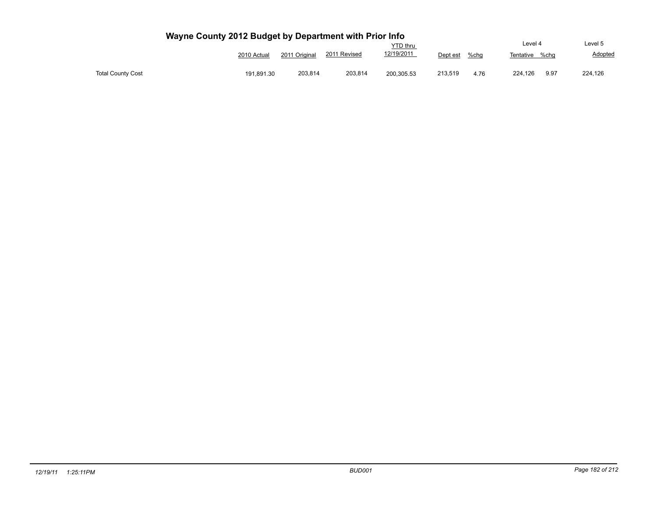|                          |             |               |              | <b>YTD</b> thru |          |      | Level 4   |      | Level 5 |
|--------------------------|-------------|---------------|--------------|-----------------|----------|------|-----------|------|---------|
|                          | 2010 Actual | 2011 Original | 2011 Revised | 12/19/2011      | Dept est | %chq | Tentative | %cha | Adopted |
| <b>Total County Cost</b> | 191,891.30  | 203.814       | 203,814      | 200,305.53      | 213.519  | 4.76 | 224,126   | 9.97 | 224,126 |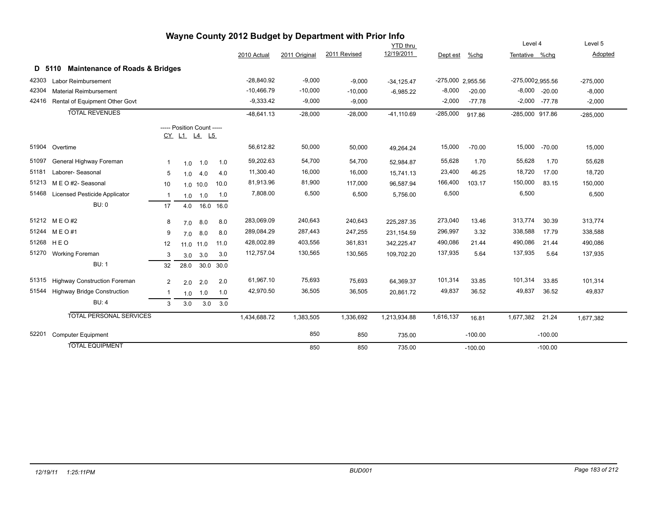|       |                                                     |              |                                                  |            |           |              |               | Wayne County 2012 Budget by Department with Prior Info |                 |                   |           |                  |                   |            |
|-------|-----------------------------------------------------|--------------|--------------------------------------------------|------------|-----------|--------------|---------------|--------------------------------------------------------|-----------------|-------------------|-----------|------------------|-------------------|------------|
|       |                                                     |              |                                                  |            |           |              |               |                                                        | <b>YTD</b> thru |                   |           | Level 4          |                   | Level 5    |
|       |                                                     |              |                                                  |            |           | 2010 Actual  | 2011 Original | 2011 Revised                                           | 12/19/2011      | Dept est          | $%$ chg   | Tentative %chg   |                   | Adopted    |
|       | <b>Maintenance of Roads &amp; Bridges</b><br>D 5110 |              |                                                  |            |           |              |               |                                                        |                 |                   |           |                  |                   |            |
|       | 42303 Labor Reimbursement                           |              |                                                  |            |           | $-28,840.92$ | $-9,000$      | $-9,000$                                               | $-34, 125.47$   | -275,000 2,955.56 |           | -275,0002,955.56 |                   | $-275,000$ |
| 42304 | <b>Material Reimbursement</b>                       |              |                                                  |            |           | $-10.466.79$ | $-10,000$     | $-10,000$                                              | $-6,985.22$     | $-8,000$          | $-20.00$  |                  | $-8,000 -20.00$   | $-8,000$   |
|       | 42416 Rental of Equipment Other Govt                |              |                                                  |            |           | $-9,333.42$  | $-9,000$      | $-9,000$                                               |                 | $-2,000$          | $-77.78$  |                  | $-2,000$ $-77.78$ | $-2,000$   |
|       | <b>TOTAL REVENUES</b>                               |              |                                                  |            |           | $-48.641.13$ | $-28,000$     | $-28,000$                                              | $-41,110.69$    | $-285,000$        | 917.86    | -285,000 917.86  |                   | $-285,000$ |
|       |                                                     |              | ----- Position Count -----<br><u>CY L1 L4 L5</u> |            |           |              |               |                                                        |                 |                   |           |                  |                   |            |
|       | 51904 Overtime                                      |              |                                                  |            |           | 56,612.82    | 50,000        | 50,000                                                 | 49,264.24       | 15,000            | $-70.00$  | 15,000           | $-70.00$          | 15,000     |
| 51097 | General Highway Foreman                             | 1            | 1.0                                              | 1.0        | 1.0       | 59,202.63    | 54,700        | 54,700                                                 | 52,984.87       | 55,628            | 1.70      | 55,628           | 1.70              | 55,628     |
| 51181 | Laborer- Seasonal                                   | 5            | 1.0                                              | 4.0        | 4.0       | 11,300.40    | 16,000        | 16,000                                                 | 15,741.13       | 23,400            | 46.25     | 18,720           | 17.00             | 18,720     |
|       | 51213 MEO#2-Seasonal                                | 10           |                                                  | $1.0$ 10.0 | 10.0      | 81,913.96    | 81,900        | 117,000                                                | 96.587.94       | 166,400           | 103.17    | 150,000          | 83.15             | 150,000    |
|       | 51468 Licensed Pesticide Applicator                 | $\mathbf{1}$ |                                                  | $1.0$ 1.0  | 1.0       | 7,808.00     | 6,500         | 6,500                                                  | 5,756.00        | 6,500             |           | 6,500            |                   | 6,500      |
|       | BU: 0                                               | 17           | 4.0                                              |            | 16.0 16.0 |              |               |                                                        |                 |                   |           |                  |                   |            |
|       | 51212 MEO#2                                         | 8            | 7.0                                              | 8.0        | 8.0       | 283,069.09   | 240,643       | 240,643                                                | 225.287.35      | 273,040           | 13.46     | 313,774          | 30.39             | 313,774    |
|       | 51244 MEO#1                                         | 9            | 7.0                                              | 8.0        | 8.0       | 289,084.29   | 287,443       | 247,255                                                | 231.154.59      | 296,997           | 3.32      | 338,588          | 17.79             | 338,588    |
|       | 51268 HEO                                           | 12           | 11.0                                             | 11.0       | 11.0      | 428,002.89   | 403,556       | 361,831                                                | 342.225.47      | 490,086           | 21.44     | 490,086          | 21.44             | 490,086    |
|       | 51270 Working Foreman                               | 3            | 3.0                                              | 3.0        | 3.0       | 112,757.04   | 130,565       | 130,565                                                | 109,702.20      | 137,935           | 5.64      | 137,935          | 5.64              | 137,935    |
|       | <b>BU: 1</b>                                        | 32           | 28.0                                             | 30.0       | 30.0      |              |               |                                                        |                 |                   |           |                  |                   |            |
|       | 51315 Highway Construction Foreman                  | 2            | 2.0                                              | 2.0        | 2.0       | 61,967.10    | 75,693        | 75,693                                                 | 64,369.37       | 101,314           | 33.85     | 101,314          | 33.85             | 101,314    |
|       | 51544 Highway Bridge Construction                   | $\mathbf{1}$ | 1.0                                              | 1.0        | 1.0       | 42,970.50    | 36,505        | 36,505                                                 | 20,861.72       | 49,837            | 36.52     | 49,837           | 36.52             | 49,837     |
|       | <b>BU: 4</b>                                        | 3            | 3.0                                              | 3.0        | 3.0       |              |               |                                                        |                 |                   |           |                  |                   |            |
|       | <b>TOTAL PERSONAL SERVICES</b>                      |              |                                                  |            |           | 1,434,688.72 | 1,383,505     | 1,336,692                                              | 1,213,934.88    | 1,616,137         | 16.81     | 1,677,382 21.24  |                   | 1,677,382  |
| 52201 | <b>Computer Equipment</b>                           |              |                                                  |            |           |              | 850           | 850                                                    | 735.00          |                   | $-100.00$ |                  | $-100.00$         |            |
|       | <b>TOTAL EQUIPMENT</b>                              |              |                                                  |            |           |              | 850           | 850                                                    | 735.00          |                   | $-100.00$ |                  | $-100.00$         |            |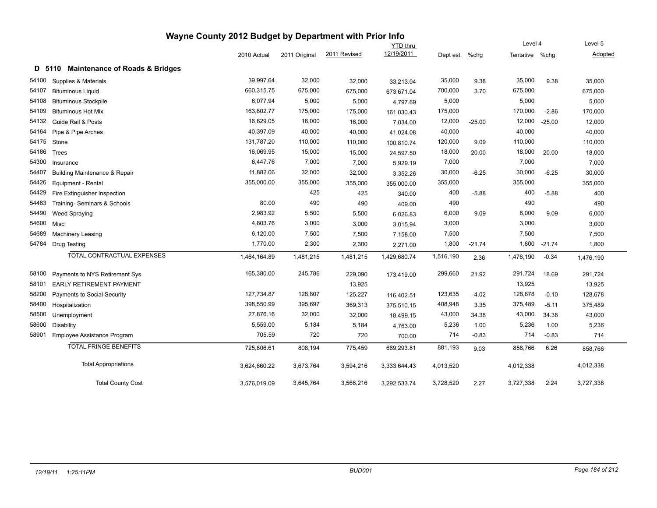|       |                                                     | Wayne County 2012 Budget by Department with Prior Info |               |              |                 |           |          |                |          |           |
|-------|-----------------------------------------------------|--------------------------------------------------------|---------------|--------------|-----------------|-----------|----------|----------------|----------|-----------|
|       |                                                     |                                                        |               |              | <b>YTD thru</b> |           |          | Level 4        |          | Level 5   |
|       |                                                     | 2010 Actual                                            | 2011 Original | 2011 Revised | 12/19/2011      | Dept est  | %chg     | Tentative %chg |          | Adopted   |
|       | <b>Maintenance of Roads &amp; Bridges</b><br>D 5110 |                                                        |               |              |                 |           |          |                |          |           |
| 54100 | Supplies & Materials                                | 39,997.64                                              | 32,000        | 32,000       | 33,213.04       | 35,000    | 9.38     | 35,000         | 9.38     | 35,000    |
| 54107 | <b>Bituminous Liquid</b>                            | 660,315.75                                             | 675,000       | 675,000      | 673,671.04      | 700,000   | 3.70     | 675,000        |          | 675,000   |
| 54108 | <b>Bituminous Stockpile</b>                         | 6,077.94                                               | 5,000         | 5,000        | 4,797.69        | 5,000     |          | 5,000          |          | 5,000     |
| 54109 | <b>Bituminous Hot Mix</b>                           | 163,802.77                                             | 175,000       | 175,000      | 161,030.43      | 175,000   |          | 170,000        | $-2.86$  | 170,000   |
| 54132 | Guide Rail & Posts                                  | 16,629.05                                              | 16,000        | 16,000       | 7,034.00        | 12,000    | $-25.00$ | 12,000         | $-25.00$ | 12,000    |
| 54164 | Pipe & Pipe Arches                                  | 40,397.09                                              | 40,000        | 40,000       | 41,024.08       | 40,000    |          | 40,000         |          | 40,000    |
| 54175 | Stone                                               | 131,787.20                                             | 110,000       | 110,000      | 100,810.74      | 120,000   | 9.09     | 110,000        |          | 110,000   |
| 54186 | Trees                                               | 16,069.95                                              | 15,000        | 15,000       | 24,597.50       | 18,000    | 20.00    | 18,000         | 20.00    | 18,000    |
| 54300 | Insurance                                           | 6,447.76                                               | 7,000         | 7,000        | 5,929.19        | 7,000     |          | 7,000          |          | 7,000     |
| 54407 | <b>Building Maintenance &amp; Repair</b>            | 11,882.06                                              | 32,000        | 32,000       | 3,352.26        | 30,000    | $-6.25$  | 30,000         | $-6.25$  | 30,000    |
| 54426 | Equipment - Rental                                  | 355,000.00                                             | 355,000       | 355,000      | 355,000.00      | 355,000   |          | 355,000        |          | 355,000   |
| 54429 | Fire Extinguisher Inspection                        |                                                        | 425           | 425          | 340.00          | 400       | $-5.88$  | 400            | $-5.88$  | 400       |
| 54483 | Training- Seminars & Schools                        | 80.00                                                  | 490           | 490          | 409.00          | 490       |          | 490            |          | 490       |
| 54490 | <b>Weed Spraying</b>                                | 2,983.92                                               | 5,500         | 5,500        | 6,026.83        | 6,000     | 9.09     | 6,000          | 9.09     | 6,000     |
| 54600 | Misc                                                | 4,803.76                                               | 3,000         | 3,000        | 3,015.94        | 3,000     |          | 3,000          |          | 3,000     |
| 54689 | Machinery Leasing                                   | 6,120.00                                               | 7,500         | 7,500        | 7,158.00        | 7,500     |          | 7,500          |          | 7,500     |
| 54784 | <b>Drug Testing</b>                                 | 1,770.00                                               | 2,300         | 2,300        | 2,271.00        | 1,800     | $-21.74$ | 1,800          | $-21.74$ | 1,800     |
|       | <b>TOTAL CONTRACTUAL EXPENSES</b>                   | 1,464,164.89                                           | 1,481,215     | 1,481,215    | 1,429,680.74    | 1,516,190 | 2.36     | 1,476,190      | $-0.34$  | 1,476,190 |
| 58100 | Payments to NYS Retirement Sys                      | 165,380.00                                             | 245,786       | 229,090      | 173,419.00      | 299,660   | 21.92    | 291,724        | 18.69    | 291,724   |
| 58101 | <b>EARLY RETIREMENT PAYMENT</b>                     |                                                        |               | 13,925       |                 |           |          | 13,925         |          | 13,925    |
| 58200 | Payments to Social Security                         | 127,734.87                                             | 128,807       | 125,227      | 116,402.51      | 123,635   | $-4.02$  | 128,678        | $-0.10$  | 128,678   |
| 58400 | Hospitalization                                     | 398,550.99                                             | 395,697       | 369,313      | 375,510.15      | 408,948   | 3.35     | 375,489        | $-5.11$  | 375,489   |
| 58500 | Unemployment                                        | 27,876.16                                              | 32,000        | 32,000       | 18,499.15       | 43,000    | 34.38    | 43,000         | 34.38    | 43,000    |
| 58600 | <b>Disability</b>                                   | 5,559.00                                               | 5,184         | 5,184        | 4,763.00        | 5,236     | 1.00     | 5,236          | 1.00     | 5,236     |
| 58901 | Employee Assistance Program                         | 705.59                                                 | 720           | 720          | 700.00          | 714       | $-0.83$  | 714            | $-0.83$  | 714       |
|       | <b>TOTAL FRINGE BENEFITS</b>                        | 725,806.61                                             | 808,194       | 775,459      | 689,293.81      | 881,193   | 9.03     | 858,766        | 6.26     | 858,766   |
|       | <b>Total Appropriations</b>                         | 3,624,660.22                                           | 3,673,764     | 3,594,216    | 3,333,644.43    | 4,013,520 |          | 4,012,338      |          | 4,012,338 |
|       | <b>Total County Cost</b>                            | 3,576,019.09                                           | 3,645,764     | 3,566,216    | 3,292,533.74    | 3,728,520 | 2.27     | 3,727,338      | 2.24     | 3,727,338 |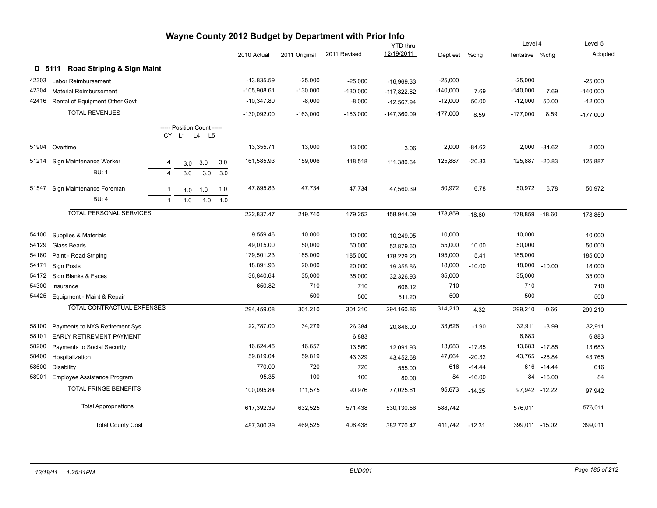|       |                                      |                |                            |     |     |               |               | Wayne County 2012 Budget by Department with Prior Info |                 |            |          |                |              |            |
|-------|--------------------------------------|----------------|----------------------------|-----|-----|---------------|---------------|--------------------------------------------------------|-----------------|------------|----------|----------------|--------------|------------|
|       |                                      |                |                            |     |     |               |               |                                                        | <b>YTD thru</b> |            |          | Level 4        |              | Level 5    |
|       |                                      |                |                            |     |     | 2010 Actual   | 2011 Original | 2011 Revised                                           | 12/19/2011      | Dept est   | $%$ chg  | Tentative %chg |              | Adopted    |
|       | D 5111 Road Striping & Sign Maint    |                |                            |     |     |               |               |                                                        |                 |            |          |                |              |            |
| 42303 | <b>Labor Reimbursement</b>           |                |                            |     |     | $-13,835.59$  | $-25,000$     | $-25,000$                                              | $-16,969.33$    | $-25,000$  |          | $-25,000$      |              | $-25,000$  |
| 42304 | <b>Material Reimbursement</b>        |                |                            |     |     | -105,908.61   | $-130,000$    | $-130,000$                                             | $-117,822.82$   | $-140,000$ | 7.69     | $-140,000$     | 7.69         | $-140,000$ |
|       | 42416 Rental of Equipment Other Govt |                |                            |     |     | $-10,347.80$  | $-8,000$      | $-8,000$                                               | $-12,567.94$    | $-12,000$  | 50.00    | $-12,000$      | 50.00        | $-12,000$  |
|       | <b>TOTAL REVENUES</b>                |                |                            |     |     | $-130,092.00$ | $-163,000$    | $-163,000$                                             | $-147,360.09$   | $-177,000$ | 8.59     | $-177,000$     | 8.59         | $-177,000$ |
|       |                                      |                | ----- Position Count ----- |     |     |               |               |                                                        |                 |            |          |                |              |            |
|       |                                      |                | <u>CY L1 L4 L5</u>         |     |     |               |               |                                                        |                 |            |          |                |              |            |
|       | 51904 Overtime                       |                |                            |     |     | 13,355.71     | 13,000        | 13,000                                                 | 3.06            | 2,000      | $-84.62$ |                | 2,000 -84.62 | 2,000      |
|       | 51214 Sign Maintenance Worker        | 4              | 3.0                        | 3.0 | 3.0 | 161,585.93    | 159,006       | 118,518                                                | 111,380.64      | 125,887    | $-20.83$ | 125,887 -20.83 |              | 125,887    |
|       | <b>BU: 1</b>                         | $\overline{4}$ | 3.0                        | 3.0 | 3.0 |               |               |                                                        |                 |            |          |                |              |            |
|       | 51547 Sign Maintenance Foreman       | $\overline{1}$ | 1.0                        | 1.0 | 1.0 | 47,895.83     | 47,734        | 47,734                                                 | 47,560.39       | 50,972     | 6.78     | 50,972         | 6.78         | 50,972     |
|       | <b>BU: 4</b>                         | $\overline{1}$ | 1.0                        | 1.0 | 1.0 |               |               |                                                        |                 |            |          |                |              |            |
|       | <b>TOTAL PERSONAL SERVICES</b>       |                |                            |     |     | 222,837.47    | 219,740       | 179,252                                                | 158,944.09      | 178,859    | $-18.60$ | 178,859 -18.60 |              | 178,859    |
|       |                                      |                |                            |     |     |               |               |                                                        |                 |            |          |                |              |            |
| 54100 | Supplies & Materials                 |                |                            |     |     | 9,559.46      | 10,000        | 10,000                                                 | 10,249.95       | 10,000     |          | 10,000         |              | 10,000     |
| 54129 | Glass Beads                          |                |                            |     |     | 49,015.00     | 50,000        | 50,000                                                 | 52,879.60       | 55,000     | 10.00    | 50,000         |              | 50,000     |
| 54160 | Paint - Road Striping                |                |                            |     |     | 179,501.23    | 185,000       | 185,000                                                | 178,229.20      | 195,000    | 5.41     | 185,000        |              | 185,000    |
| 54171 | Sign Posts                           |                |                            |     |     | 18,891.93     | 20,000        | 20,000                                                 | 19,355.86       | 18,000     | $-10.00$ | 18,000         | $-10.00$     | 18,000     |
| 54172 | Sign Blanks & Faces                  |                |                            |     |     | 36,840.64     | 35,000        | 35,000                                                 | 32,326.93       | 35,000     |          | 35,000         |              | 35,000     |
| 54300 | Insurance                            |                |                            |     |     | 650.82        | 710           | 710                                                    | 608.12          | 710        |          | 710            |              | 710        |
| 54425 | Equipment - Maint & Repair           |                |                            |     |     |               | 500           | 500                                                    | 511.20          | 500        |          | 500            |              | 500        |
|       | <b>TOTAL CONTRACTUAL EXPENSES</b>    |                |                            |     |     | 294,459.08    | 301,210       | 301,210                                                | 294,160.86      | 314,210    | 4.32     | 299,210        | $-0.66$      | 299,210    |
| 58100 | Payments to NYS Retirement Sys       |                |                            |     |     | 22,787.00     | 34,279        | 26,384                                                 | 20,846.00       | 33,626     | $-1.90$  | 32,911         | $-3.99$      | 32,911     |
| 58101 | EARLY RETIREMENT PAYMENT             |                |                            |     |     |               |               | 6,883                                                  |                 |            |          | 6,883          |              | 6,883      |
| 58200 | <b>Payments to Social Security</b>   |                |                            |     |     | 16,624.45     | 16,657        | 13,560                                                 | 12,091.93       | 13,683     | $-17.85$ | 13,683         | $-17.85$     | 13,683     |
| 58400 | Hospitalization                      |                |                            |     |     | 59,819.04     | 59,819        | 43,329                                                 | 43,452.68       | 47,664     | $-20.32$ | 43,765         | $-26.84$     | 43,765     |
| 58600 | <b>Disability</b>                    |                |                            |     |     | 770.00        | 720           | 720                                                    | 555.00          | 616        | $-14.44$ | 616            | $-14.44$     | 616        |
| 58901 | Employee Assistance Program          |                |                            |     |     | 95.35         | 100           | 100                                                    | 80.00           | 84         | $-16.00$ |                | 84 -16.00    | 84         |
|       | <b>TOTAL FRINGE BENEFITS</b>         |                |                            |     |     | 100,095.84    | 111,575       | 90,976                                                 | 77,025.61       | 95,673     | $-14.25$ | 97,942 -12.22  |              | 97,942     |
|       | <b>Total Appropriations</b>          |                |                            |     |     | 617,392.39    | 632,525       | 571,438                                                | 530,130.56      | 588,742    |          | 576,011        |              | 576,011    |
|       | <b>Total County Cost</b>             |                |                            |     |     | 487,300.39    | 469,525       | 408,438                                                | 382,770.47      | 411,742    | $-12.31$ | 399,011 -15.02 |              | 399,011    |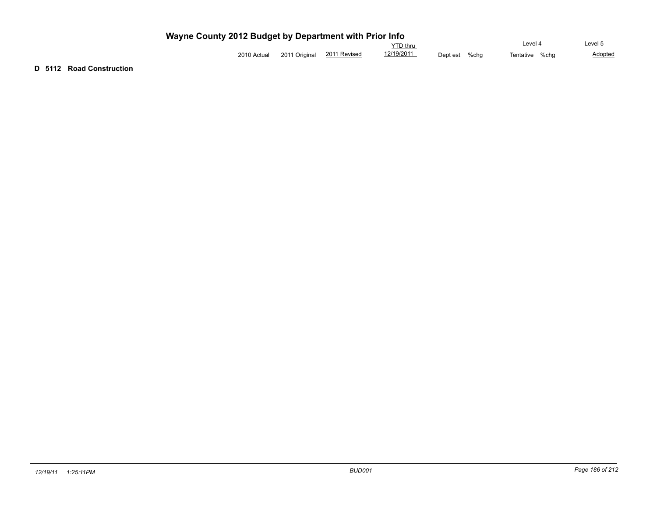|                |                  |                 | $\sim$<br>` thru |          | Level 4          | evel.<br>.      |
|----------------|------------------|-----------------|------------------|----------|------------------|-----------------|
| ว∩ฯ∩<br>Actual | 2011<br>Original | 2011<br>Revised | (10/201)         | Dept est | %cha<br>entative | Adopted<br>%cha |

**D 5112 Road Construction**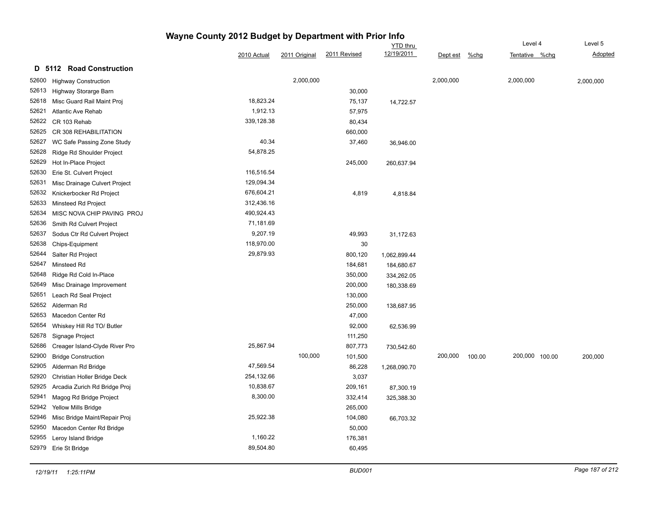|       |                                |             |               |              | <b>YTD</b> thru |           |        | Level 4        |  | Level 5        |
|-------|--------------------------------|-------------|---------------|--------------|-----------------|-----------|--------|----------------|--|----------------|
|       |                                | 2010 Actual | 2011 Original | 2011 Revised | 12/19/2011      | Dept est  | %chg   | Tentative %chg |  | <b>Adopted</b> |
|       | D 5112 Road Construction       |             |               |              |                 |           |        |                |  |                |
| 52600 | <b>Highway Construction</b>    |             | 2,000,000     |              |                 | 2,000,000 |        | 2,000,000      |  | 2,000,000      |
| 52613 | Highway Storarge Barn          |             |               | 30,000       |                 |           |        |                |  |                |
| 52618 | Misc Guard Rail Maint Proj     | 18,823.24   |               | 75,137       | 14,722.57       |           |        |                |  |                |
| 52621 | <b>Atlantic Ave Rehab</b>      | 1,912.13    |               | 57,975       |                 |           |        |                |  |                |
| 52622 | CR 103 Rehab                   | 339,128.38  |               | 80,434       |                 |           |        |                |  |                |
| 52625 | CR 308 REHABILITATION          |             |               | 660,000      |                 |           |        |                |  |                |
| 52627 | WC Safe Passing Zone Study     | 40.34       |               | 37,460       | 36,946.00       |           |        |                |  |                |
| 52628 | Ridge Rd Shoulder Project      | 54,878.25   |               |              |                 |           |        |                |  |                |
| 52629 | Hot In-Place Project           |             |               | 245,000      | 260,637.94      |           |        |                |  |                |
| 52630 | Erie St. Culvert Project       | 116,516.54  |               |              |                 |           |        |                |  |                |
| 52631 | Misc Drainage Culvert Project  | 129,094.34  |               |              |                 |           |        |                |  |                |
| 52632 | Knickerbocker Rd Project       | 676,604.21  |               | 4,819        | 4,818.84        |           |        |                |  |                |
| 52633 | Minsteed Rd Project            | 312,436.16  |               |              |                 |           |        |                |  |                |
| 52634 | MISC NOVA CHIP PAVING PROJ     | 490,924.43  |               |              |                 |           |        |                |  |                |
| 52636 | Smith Rd Culvert Project       | 71,181.69   |               |              |                 |           |        |                |  |                |
| 52637 | Sodus Ctr Rd Culvert Project   | 9,207.19    |               | 49,993       | 31,172.63       |           |        |                |  |                |
| 52638 | Chips-Equipment                | 118,970.00  |               | 30           |                 |           |        |                |  |                |
| 52644 | Salter Rd Project              | 29,879.93   |               | 800,120      | 1,062,899.44    |           |        |                |  |                |
| 52647 | Minsteed Rd                    |             |               | 184,681      | 184,680.67      |           |        |                |  |                |
| 52648 | Ridge Rd Cold In-Place         |             |               | 350,000      | 334,262.05      |           |        |                |  |                |
| 52649 | Misc Drainage Improvement      |             |               | 200,000      | 180,338.69      |           |        |                |  |                |
| 52651 | Leach Rd Seal Project          |             |               | 130,000      |                 |           |        |                |  |                |
| 52652 | Alderman Rd                    |             |               | 250,000      | 138,687.95      |           |        |                |  |                |
| 52653 | Macedon Center Rd              |             |               | 47,000       |                 |           |        |                |  |                |
| 52654 | Whiskey Hill Rd TO/ Butler     |             |               | 92,000       | 62,536.99       |           |        |                |  |                |
| 52678 | Signage Project                |             |               | 111,250      |                 |           |        |                |  |                |
| 52686 | Creager Island-Clyde River Pro | 25,867.94   |               | 807,773      | 730,542.60      |           |        |                |  |                |
| 52900 | <b>Bridge Construction</b>     |             | 100,000       | 101,500      |                 | 200,000   | 100.00 | 200,000 100.00 |  | 200,000        |
| 52905 | Alderman Rd Bridge             | 47,569.54   |               | 86,228       | 1,268,090.70    |           |        |                |  |                |
| 52920 | Christian Holler Bridge Deck   | 254,132.66  |               | 3,037        |                 |           |        |                |  |                |
| 52925 | Arcadia Zurich Rd Bridge Proj  | 10,838.67   |               | 209,161      | 87,300.19       |           |        |                |  |                |
| 52941 | Magog Rd Bridge Project        | 8,300.00    |               | 332,414      | 325,388.30      |           |        |                |  |                |
| 52942 | Yellow Mills Bridge            |             |               | 265,000      |                 |           |        |                |  |                |
| 52946 | Misc Bridge Maint/Repair Proj  | 25,922.38   |               | 104,080      | 66,703.32       |           |        |                |  |                |
| 52950 | Macedon Center Rd Bridge       |             |               | 50,000       |                 |           |        |                |  |                |
| 52955 | Leroy Island Bridge            | 1,160.22    |               | 176,381      |                 |           |        |                |  |                |
| 52979 | Erie St Bridge                 | 89,504.80   |               | 60,495       |                 |           |        |                |  |                |
|       |                                |             |               |              |                 |           |        |                |  |                |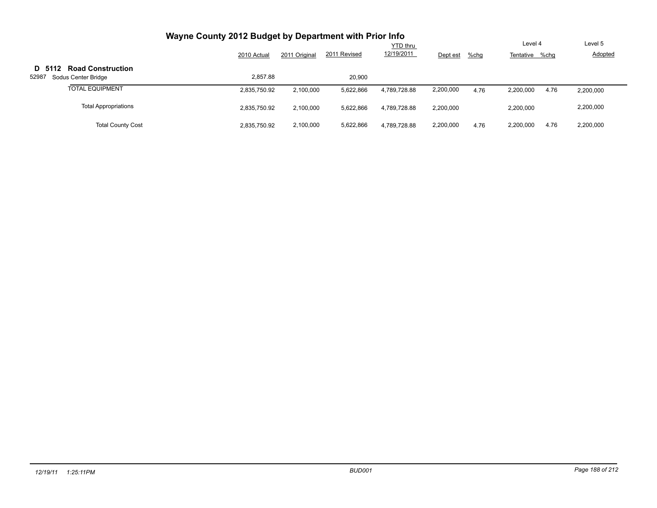|                                                          | 2010 Actual  | 2011 Original | 2011 Revised | YTD thru<br>12/19/2011 | Dept est  | $%$ chg | Level 4<br>Tentative %chg | Level 5<br>Adopted |
|----------------------------------------------------------|--------------|---------------|--------------|------------------------|-----------|---------|---------------------------|--------------------|
| D 5112 Road Construction<br>52987<br>Sodus Center Bridge | 2.857.88     |               | 20,900       |                        |           |         |                           |                    |
| <b>TOTAL EQUIPMENT</b>                                   | 2,835,750.92 | 2,100,000     | 5,622,866    | 4.789.728.88           | 2,200,000 | 4.76    | 2,200,000<br>4.76         | 2,200,000          |
| <b>Total Appropriations</b>                              | 2,835,750.92 | 2,100,000     | 5,622,866    | 4.789.728.88           | 2,200,000 |         | 2,200,000                 | 2,200,000          |
| <b>Total County Cost</b>                                 | 2,835,750.92 | 2,100,000     | 5,622,866    | 4.789.728.88           | 2,200,000 | 4.76    | 2,200,000<br>4.76         | 2,200,000          |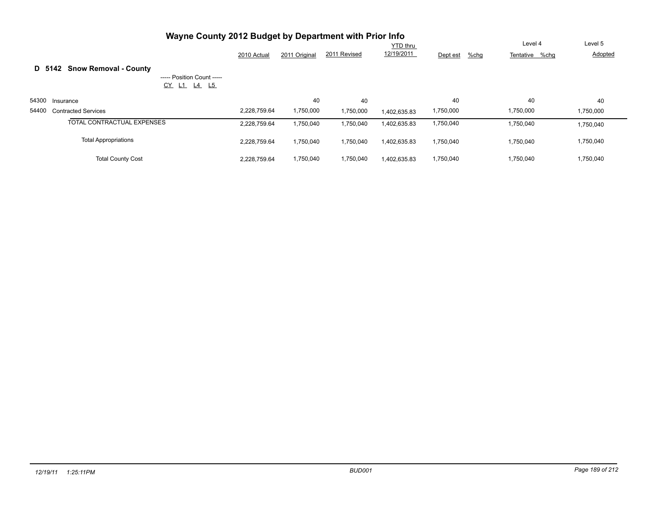|       | Wayne County 2012 Budget by Department with Prior Info |              |               |              |              |                     |                |           |
|-------|--------------------------------------------------------|--------------|---------------|--------------|--------------|---------------------|----------------|-----------|
|       |                                                        | Level 4      | Level 5       |              |              |                     |                |           |
|       |                                                        | 2010 Actual  | 2011 Original | 2011 Revised | 12/19/2011   | $%$ chg<br>Dept est | Tentative %chg | Adopted   |
|       | <b>Snow Removal - County</b><br>D 5142                 |              |               |              |              |                     |                |           |
|       | ----- Position Count -----<br><u>L4 L5</u><br>$CY$ L1  |              |               |              |              |                     |                |           |
| 54300 | Insurance                                              |              | 40            | 40           |              | 40                  | 40             | 40        |
| 54400 | <b>Contracted Services</b>                             | 2.228.759.64 | 1,750,000     | 1,750,000    | 1,402,635.83 | 1,750,000           | 1,750,000      | 1,750,000 |
|       | <b>TOTAL CONTRACTUAL EXPENSES</b>                      | 2,228,759.64 | 1,750,040     | 1,750,040    | 1,402,635.83 | 1,750,040           | 1,750,040      | 1,750,040 |
|       | <b>Total Appropriations</b>                            | 2,228,759.64 | 1,750,040     | 1,750,040    | 1,402,635.83 | 1,750,040           | 1,750,040      | 1,750,040 |
|       | <b>Total County Cost</b>                               | 2.228.759.64 | 1,750,040     | 1,750,040    | 1.402.635.83 | 1,750,040           | 1,750,040      | 1,750,040 |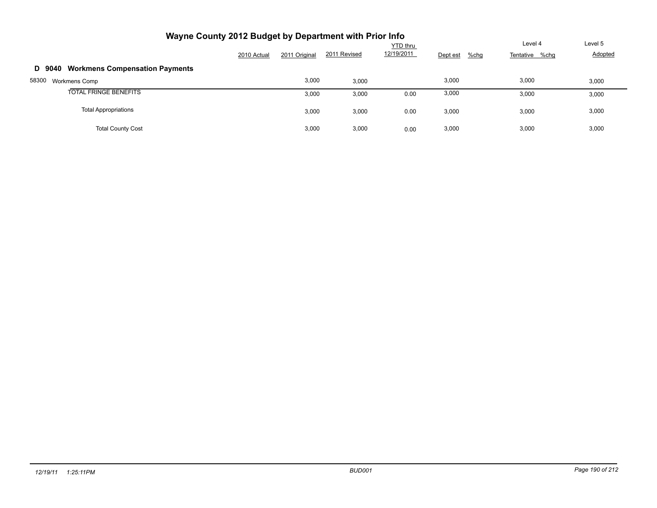| Wayne County 2012 Budget by Department with Prior Info |             |               |              |                        |          |                                      |                    |
|--------------------------------------------------------|-------------|---------------|--------------|------------------------|----------|--------------------------------------|--------------------|
|                                                        | 2010 Actual | 2011 Original | 2011 Revised | YTD thru<br>12/19/2011 | Dept est | Level 4<br>$%$ chg<br>Tentative %chg | Level 5<br>Adopted |
| <b>Workmens Compensation Payments</b><br>D 9040        |             |               |              |                        |          |                                      |                    |
| 58300<br>Workmens Comp                                 |             | 3,000         | 3,000        |                        | 3,000    | 3,000                                | 3,000              |
| <b>TOTAL FRINGE BENEFITS</b>                           |             | 3,000         | 3,000        | 0.00                   | 3,000    | 3,000                                | 3,000              |
| <b>Total Appropriations</b>                            |             | 3,000         | 3,000        | 0.00                   | 3,000    | 3,000                                | 3,000              |
| <b>Total County Cost</b>                               |             | 3,000         | 3,000        | 0.00                   | 3,000    | 3,000                                | 3,000              |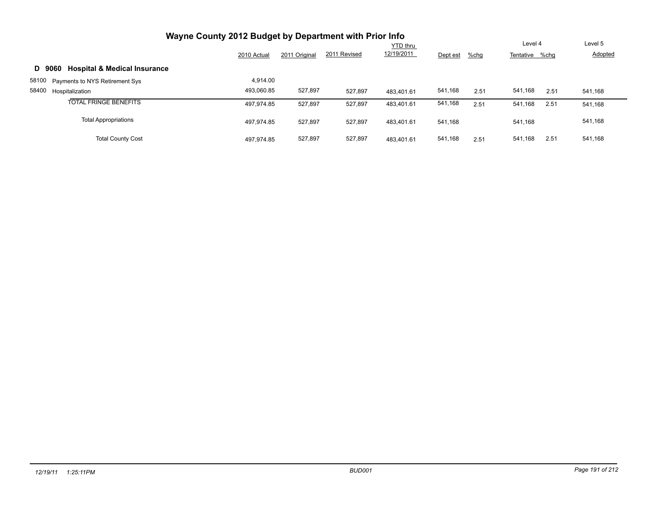| Wayne County 2012 Budget by Department with Prior Info |             |               |              |            |          |         |                 |                |
|--------------------------------------------------------|-------------|---------------|--------------|------------|----------|---------|-----------------|----------------|
|                                                        |             | Level 4       | Level 5      |            |          |         |                 |                |
|                                                        | 2010 Actual | 2011 Original | 2011 Revised | 12/19/2011 | Dept est | $%$ chg | Tentative %chg  | <b>Adopted</b> |
| <b>Hospital &amp; Medical Insurance</b><br>D 9060      |             |               |              |            |          |         |                 |                |
| 58100<br>Payments to NYS Retirement Sys                | 4.914.00    |               |              |            |          |         |                 |                |
| 58400<br>Hospitalization                               | 493.060.85  | 527,897       | 527,897      | 483.401.61 | 541,168  | 2.51    | 541,168<br>2.51 | 541,168        |
| <b>TOTAL FRINGE BENEFITS</b>                           | 497.974.85  | 527,897       | 527,897      | 483.401.61 | 541,168  | 2.51    | 541,168<br>2.51 | 541,168        |
| <b>Total Appropriations</b>                            | 497.974.85  | 527,897       | 527,897      | 483.401.61 | 541.168  |         | 541,168         | 541,168        |
| <b>Total County Cost</b>                               | 497.974.85  | 527,897       | 527,897      | 483.401.61 | 541,168  | 2.51    | 2.51<br>541,168 | 541,168        |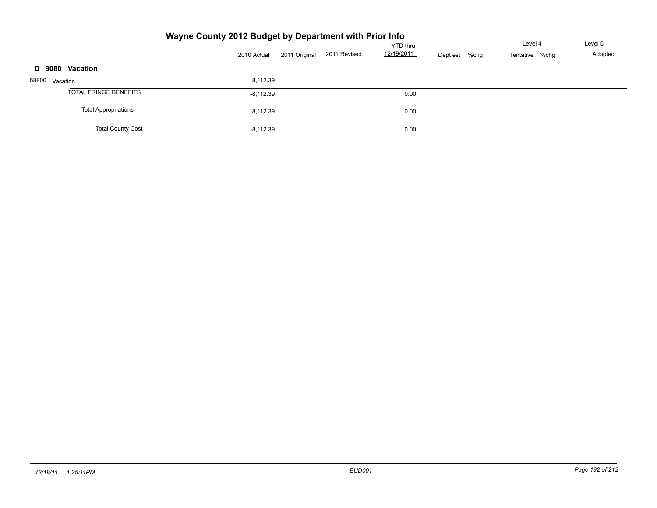#### **Wayne County 2012 Budget by Department with Prior Info** Tentative %chg <u>YTD thru</u><br>12/19/2011 Dept est %chg Tentative % 2010 Actual 2011 Original 2011 Revised 12/19/2011 Dept est %chg Level 5 Adopted **D 9080 Vacation** 58800 Vacation -8,112.39 TOTAL FRINGE BENEFITS 30 and 30 and 30 and 30 and 30 and 30 and 30 and 30 and 30 and 30 and 30 and 30 and 30 and 30 and 30 and 30 and 30 and 30 and 30 and 30 and 30 and 30 and 30 and 30 and 30 and 30 and 30 and 30 and 30 a Total Appropriations 0.00 Total County Cost 0.00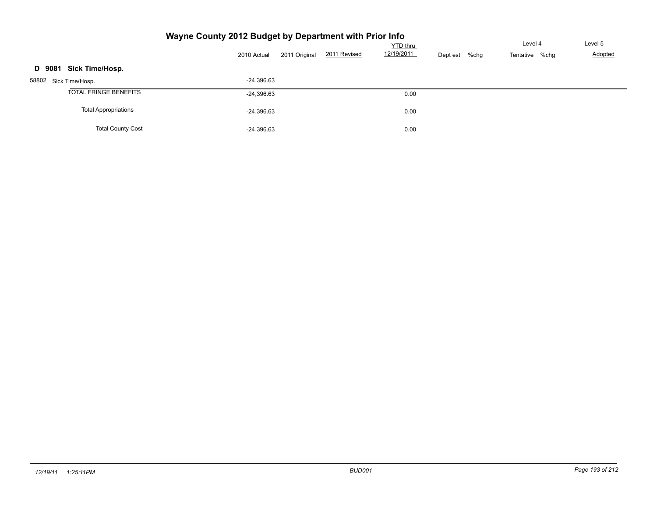|  | Wayne County 2012 Budget by Department with Prior Info |  |
|--|--------------------------------------------------------|--|
|  |                                                        |  |

|                             | 2011 Original<br>2010 Actual | <b>YTD</b> thru<br>12/19/2011<br>2011 Revised | Dept est<br>$%$ chg | Level 4<br>Tentative %chg | Level 5<br>Adopted |
|-----------------------------|------------------------------|-----------------------------------------------|---------------------|---------------------------|--------------------|
| Sick Time/Hosp.<br>D 9081   |                              |                                               |                     |                           |                    |
| 58802 Sick Time/Hosp.       | $-24,396.63$                 |                                               |                     |                           |                    |
| TOTAL FRINGE BENEFITS       | $-24,396.63$                 | 0.00                                          |                     |                           |                    |
| <b>Total Appropriations</b> | $-24,396.63$                 | 0.00                                          |                     |                           |                    |
| <b>Total County Cost</b>    | $-24,396.63$                 | 0.00                                          |                     |                           |                    |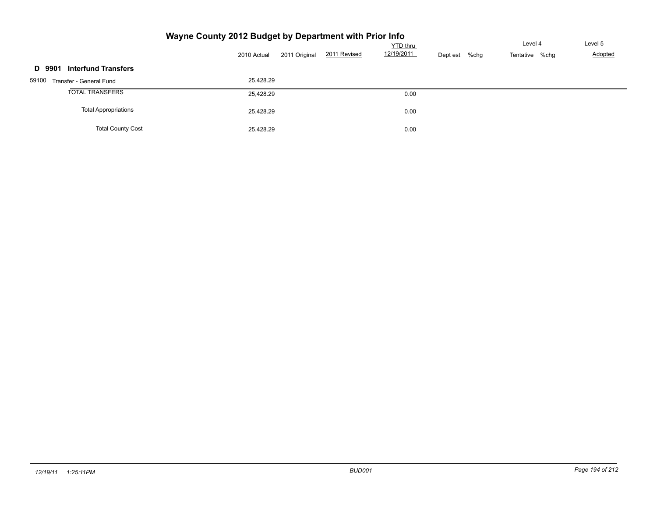|                                  | 2011 Original<br>2010 Actual | <b>YTD</b> thru<br>12/19/2011<br>2011 Revised | $%$ chg<br>Dept est | Level 4<br>Tentative %chg | Level 5<br>Adopted |
|----------------------------------|------------------------------|-----------------------------------------------|---------------------|---------------------------|--------------------|
| D 9901 Interfund Transfers       |                              |                                               |                     |                           |                    |
| 59100<br>Transfer - General Fund | 25,428.29                    |                                               |                     |                           |                    |
| <b>TOTAL TRANSFERS</b>           | 25,428.29                    | 0.00                                          |                     |                           |                    |
| <b>Total Appropriations</b>      | 25,428.29                    | 0.00                                          |                     |                           |                    |
| <b>Total County Cost</b>         | 25,428.29                    | 0.00                                          |                     |                           |                    |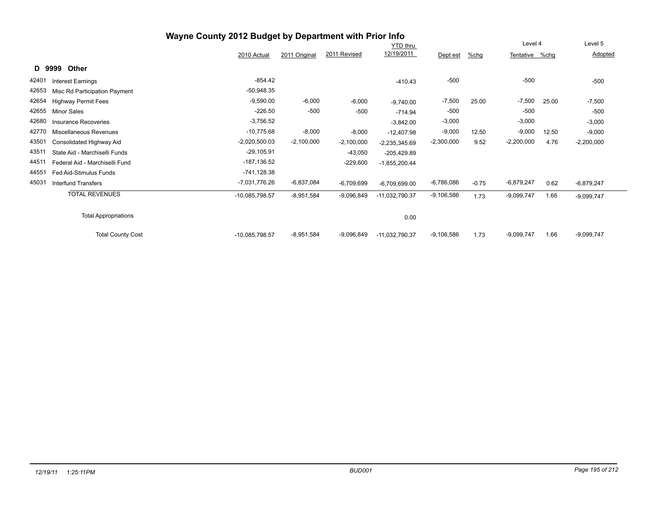|       |                                | Wayne County 2012 Budget by Department with Prior Info |               |              |                 |              |         |                |       |              |
|-------|--------------------------------|--------------------------------------------------------|---------------|--------------|-----------------|--------------|---------|----------------|-------|--------------|
|       |                                |                                                        |               |              | <b>YTD</b> thru |              |         | Level 4        |       | Level 5      |
|       |                                | 2010 Actual                                            | 2011 Original | 2011 Revised | 12/19/2011      | Dept est     | %chg    | Tentative %chg |       | Adopted      |
|       | Other<br>D 9999                |                                                        |               |              |                 |              |         |                |       |              |
| 42401 | <b>Interest Earnings</b>       | $-854.42$                                              |               |              | $-410.43$       | $-500$       |         | $-500$         |       | $-500$       |
| 42653 | Misc Rd Participation Payment  | $-50,948.35$                                           |               |              |                 |              |         |                |       |              |
| 42654 | <b>Highway Permit Fees</b>     | $-9,590.00$                                            | $-6,000$      | $-6,000$     | $-9,740.00$     | $-7,500$     | 25.00   | $-7,500$       | 25.00 | $-7,500$     |
| 42655 | <b>Minor Sales</b>             | $-226.50$                                              | $-500$        | $-500$       | $-714.94$       | $-500$       |         | $-500$         |       | $-500$       |
| 42680 | Insurance Recoveries           | $-3,756.52$                                            |               |              | $-3,842.00$     | $-3,000$     |         | $-3,000$       |       | $-3,000$     |
| 42770 | Miscellaneous Revenues         | $-10.775.68$                                           | $-8,000$      | $-8,000$     | $-12,407.98$    | $-9,000$     | 12.50   | $-9,000$       | 12.50 | $-9,000$     |
| 43501 | Consolidated Highway Aid       | $-2,020,500.03$                                        | $-2,100,000$  | $-2,100,000$ | $-2,235,345.69$ | $-2,300,000$ | 9.52    | $-2,200,000$   | 4.76  | $-2,200,000$ |
| 43511 | State Aid - Marchiselli Funds  | $-29,105.91$                                           |               | $-43,050$    | $-205,429.89$   |              |         |                |       |              |
| 44511 | Federal Aid - Marchiselli Fund | $-187,136.52$                                          |               | $-229,600$   | $-1,855,200.44$ |              |         |                |       |              |
| 44551 | Fed Aid-Stimulus Funds         | $-741,128.38$                                          |               |              |                 |              |         |                |       |              |
| 45031 | <b>Interfund Transfers</b>     | -7,031,776.26                                          | -6,837,084    | $-6,709,699$ | $-6,709,699.00$ | $-6,786,086$ | $-0.75$ | $-6,879,247$   | 0.62  | $-6,879,247$ |
|       | <b>TOTAL REVENUES</b>          | -10,085,798.57                                         | $-8,951,584$  | $-9,096,849$ | -11,032,790.37  | $-9,106,586$ | 1.73    | $-9,099,747$   | 1.66  | $-9,099,747$ |
|       | <b>Total Appropriations</b>    |                                                        |               |              | 0.00            |              |         |                |       |              |
|       | <b>Total County Cost</b>       | -10,085,798.57                                         | $-8,951,584$  | $-9,096,849$ | -11,032,790.37  | $-9,106,586$ | 1.73    | $-9,099,747$   | 1.66  | $-9,099,747$ |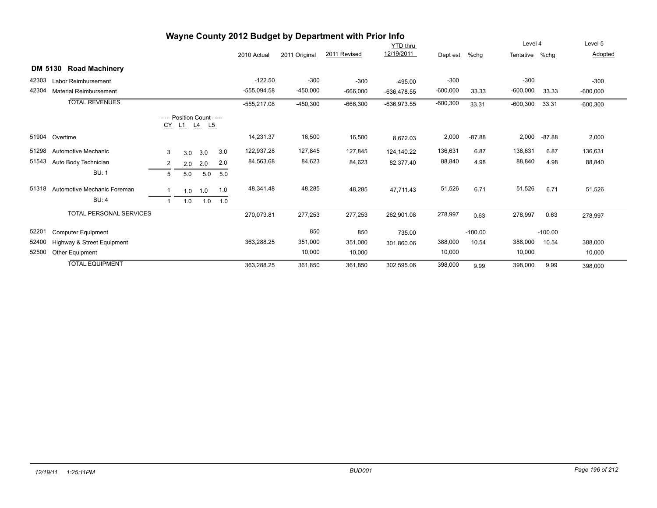|                |                                |                |     |                                           |     |               |               | Wayne County 2012 Budget by Department with Prior Info |               |            |           |                |           |            |
|----------------|--------------------------------|----------------|-----|-------------------------------------------|-----|---------------|---------------|--------------------------------------------------------|---------------|------------|-----------|----------------|-----------|------------|
|                |                                |                |     |                                           |     |               |               |                                                        | YTD_thru      |            |           | Level 4        |           | Level 5    |
|                |                                |                |     |                                           |     | 2010 Actual   | 2011 Original | 2011 Revised                                           | 12/19/2011    | Dept est   | %chg      | Tentative %chg |           | Adopted    |
| <b>DM 5130</b> | <b>Road Machinery</b>          |                |     |                                           |     |               |               |                                                        |               |            |           |                |           |            |
| 42303          | Labor Reimbursement            |                |     |                                           |     | $-122.50$     | $-300$        | $-300$                                                 | $-495.00$     | $-300$     |           | $-300$         |           | $-300$     |
| 42304          | <b>Material Reimbursement</b>  |                |     |                                           |     | $-555,094.58$ | $-450,000$    | $-666,000$                                             | $-636,478.55$ | $-600,000$ | 33.33     | $-600,000$     | 33.33     | $-600,000$ |
|                | <b>TOTAL REVENUES</b>          |                |     |                                           |     | $-555,217.08$ | $-450,300$    | $-666,300$                                             | $-636,973.55$ | $-600,300$ | 33.31     | $-600,300$     | 33.31     | $-600,300$ |
|                |                                |                |     | ----- Position Count -----<br>CY L1 L4 L5 |     |               |               |                                                        |               |            |           |                |           |            |
| 51904          | Overtime                       |                |     |                                           |     | 14,231.37     | 16,500        | 16,500                                                 | 8,672.03      | 2,000      | $-87.88$  | 2,000          | $-87.88$  | 2,000      |
| 51298          | Automotive Mechanic            | 3              | 3.0 | 3.0                                       | 3.0 | 122,937.28    | 127,845       | 127,845                                                | 124,140.22    | 136,631    | 6.87      | 136,631        | 6.87      | 136,631    |
| 51543          | Auto Body Technician           | 2              | 2.0 | 2.0                                       | 2.0 | 84,563.68     | 84,623        | 84,623                                                 | 82,377.40     | 88,840     | 4.98      | 88,840         | 4.98      | 88,840     |
|                | <b>BU: 1</b>                   | 5              | 5.0 | 5.0                                       | 5.0 |               |               |                                                        |               |            |           |                |           |            |
| 51318          | Automotive Mechanic Foreman    |                | 1.0 | 1.0                                       | 1.0 | 48,341.48     | 48,285        | 48,285                                                 | 47,711.43     | 51,526     | 6.71      | 51,526         | 6.71      | 51,526     |
|                | <b>BU: 4</b>                   | $\overline{ }$ | 1.0 | 1.0                                       | 1.0 |               |               |                                                        |               |            |           |                |           |            |
|                | <b>TOTAL PERSONAL SERVICES</b> |                |     |                                           |     | 270,073.81    | 277,253       | 277,253                                                | 262,901.08    | 278,997    | 0.63      | 278,997        | 0.63      | 278,997    |
| 52201          | <b>Computer Equipment</b>      |                |     |                                           |     |               | 850           | 850                                                    | 735.00        |            | $-100.00$ |                | $-100.00$ |            |
| 52400          | Highway & Street Equipment     |                |     |                                           |     | 363,288.25    | 351,000       | 351,000                                                | 301,860.06    | 388,000    | 10.54     | 388,000        | 10.54     | 388,000    |
| 52500          | Other Equipment                |                |     |                                           |     |               | 10,000        | 10,000                                                 |               | 10,000     |           | 10,000         |           | 10,000     |
|                | <b>TOTAL EQUIPMENT</b>         |                |     |                                           |     | 363,288.25    | 361,850       | 361,850                                                | 302,595.06    | 398,000    | 9.99      | 398,000        | 9.99      | 398,000    |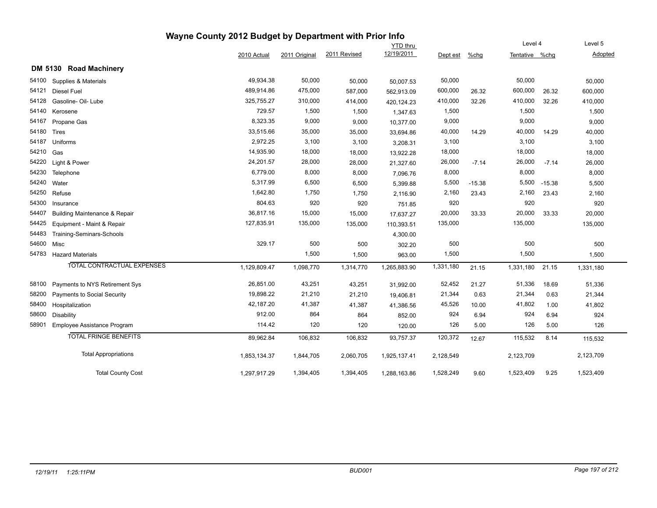|       |                                          | Wayne County 2012 Budget by Department with Prior Info |               |              |                 |           |          |                |          |           |
|-------|------------------------------------------|--------------------------------------------------------|---------------|--------------|-----------------|-----------|----------|----------------|----------|-----------|
|       |                                          |                                                        |               |              | <b>YTD thru</b> |           |          | Level 4        |          | Level 5   |
|       |                                          | 2010 Actual                                            | 2011 Original | 2011 Revised | 12/19/2011      | Dept est  | %chg     | Tentative %chq |          | Adopted   |
|       | DM 5130 Road Machinery                   |                                                        |               |              |                 |           |          |                |          |           |
| 54100 | Supplies & Materials                     | 49,934.38                                              | 50,000        | 50,000       | 50,007.53       | 50,000    |          | 50,000         |          | 50,000    |
| 54121 | <b>Diesel Fuel</b>                       | 489,914.86                                             | 475,000       | 587,000      | 562,913.09      | 600,000   | 26.32    | 600,000        | 26.32    | 600,000   |
| 54128 | Gasoline- Oil- Lube                      | 325,755.27                                             | 310,000       | 414,000      | 420,124.23      | 410,000   | 32.26    | 410,000        | 32.26    | 410,000   |
| 54140 | Kerosene                                 | 729.57                                                 | 1,500         | 1,500        | 1,347.63        | 1,500     |          | 1,500          |          | 1,500     |
| 54167 | Propane Gas                              | 8,323.35                                               | 9,000         | 9,000        | 10,377.00       | 9,000     |          | 9,000          |          | 9,000     |
| 54180 | Tires                                    | 33,515.66                                              | 35,000        | 35,000       | 33,694.86       | 40,000    | 14.29    | 40,000         | 14.29    | 40,000    |
| 54187 | Uniforms                                 | 2,972.25                                               | 3,100         | 3,100        | 3,208.31        | 3,100     |          | 3,100          |          | 3,100     |
| 54210 | Gas                                      | 14,935.90                                              | 18,000        | 18,000       | 13,922.28       | 18,000    |          | 18,000         |          | 18,000    |
| 54220 | Light & Power                            | 24,201.57                                              | 28,000        | 28,000       | 21,327.60       | 26,000    | $-7.14$  | 26,000         | $-7.14$  | 26,000    |
| 54230 | Telephone                                | 6,779.00                                               | 8,000         | 8,000        | 7,096.76        | 8,000     |          | 8,000          |          | 8,000     |
| 54240 | Water                                    | 5,317.99                                               | 6,500         | 6,500        | 5,399.88        | 5,500     | $-15.38$ | 5,500          | $-15.38$ | 5,500     |
| 54250 | Refuse                                   | 1,642.80                                               | 1,750         | 1,750        | 2,116.90        | 2,160     | 23.43    | 2,160          | 23.43    | 2,160     |
| 54300 | Insurance                                | 804.63                                                 | 920           | 920          | 751.85          | 920       |          | 920            |          | 920       |
| 54407 | <b>Building Maintenance &amp; Repair</b> | 36,817.16                                              | 15,000        | 15,000       | 17,637.27       | 20,000    | 33.33    | 20,000         | 33.33    | 20,000    |
| 54425 | Equipment - Maint & Repair               | 127,835.91                                             | 135,000       | 135,000      | 110,393.51      | 135,000   |          | 135,000        |          | 135,000   |
| 54483 | Training-Seminars-Schools                |                                                        |               |              | 4,300.00        |           |          |                |          |           |
| 54600 | Misc                                     | 329.17                                                 | 500           | 500          | 302.20          | 500       |          | 500            |          | 500       |
| 54783 | <b>Hazard Materials</b>                  |                                                        | 1,500         | 1,500        | 963.00          | 1,500     |          | 1,500          |          | 1,500     |
|       | TOTAL CONTRACTUAL EXPENSES               | 1,129,809.47                                           | 1,098,770     | 1,314,770    | 1,265,883.90    | 1,331,180 | 21.15    | 1,331,180      | 21.15    | 1,331,180 |
| 58100 | Payments to NYS Retirement Sys           | 26,851.00                                              | 43,251        | 43,251       | 31,992.00       | 52,452    | 21.27    | 51,336         | 18.69    | 51,336    |
| 58200 | <b>Payments to Social Security</b>       | 19,898.22                                              | 21,210        | 21,210       | 19,406.81       | 21,344    | 0.63     | 21,344         | 0.63     | 21,344    |
| 58400 | Hospitalization                          | 42,187.20                                              | 41,387        | 41,387       | 41,386.56       | 45,526    | 10.00    | 41,802         | 1.00     | 41,802    |
| 58600 | <b>Disability</b>                        | 912.00                                                 | 864           | 864          | 852.00          | 924       | 6.94     | 924            | 6.94     | 924       |
| 58901 | Employee Assistance Program              | 114.42                                                 | 120           | 120          | 120.00          | 126       | 5.00     | 126            | 5.00     | 126       |
|       | <b>TOTAL FRINGE BENEFITS</b>             | 89,962.84                                              | 106,832       | 106,832      | 93,757.37       | 120,372   | 12.67    | 115,532        | 8.14     | 115,532   |
|       | <b>Total Appropriations</b>              | 1,853,134.37                                           | 1,844,705     | 2,060,705    | 1,925,137.41    | 2,128,549 |          | 2,123,709      |          | 2,123,709 |
|       | <b>Total County Cost</b>                 | 1,297,917.29                                           | 1,394,405     | 1,394,405    | 1,288,163.86    | 1,528,249 | 9.60     | 1,523,409      | 9.25     | 1,523,409 |

 $\sim$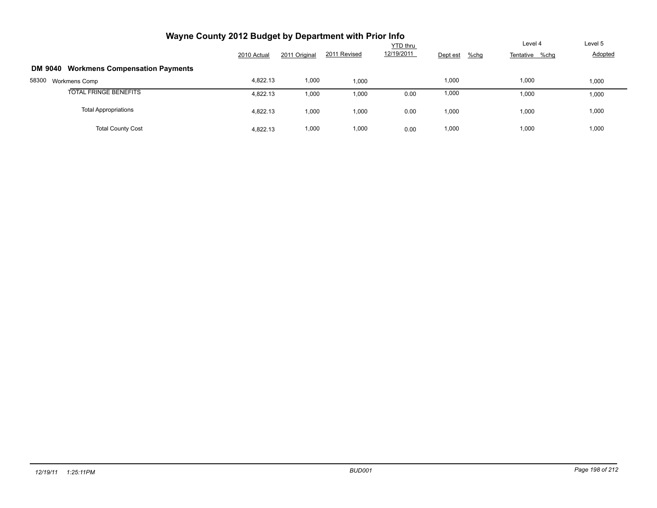| Wayne County 2012 Budget by Department with Prior Info  |             |               |              |                 |          |                        |         |
|---------------------------------------------------------|-------------|---------------|--------------|-----------------|----------|------------------------|---------|
|                                                         |             |               |              | <b>YTD</b> thru |          | Level 4                | Level 5 |
|                                                         | 2010 Actual | 2011 Original | 2011 Revised | 12/19/2011      | Dept est | %chg<br>Tentative %chg | Adopted |
| <b>Workmens Compensation Payments</b><br><b>DM 9040</b> |             |               |              |                 |          |                        |         |
| 58300<br>Workmens Comp                                  | 4,822.13    | 1,000         | 1,000        |                 | 1,000    | 1,000                  | 1,000   |
| <b>TOTAL FRINGE BENEFITS</b>                            | 4.822.13    | 1,000         | 1,000        | 0.00            | 1,000    | 1,000                  | 1,000   |
| <b>Total Appropriations</b>                             | 4,822.13    | 1,000         | 1,000        | 0.00            | 1,000    | 1,000                  | 1,000   |
| <b>Total County Cost</b>                                | 4.822.13    | 1,000         | 1,000        | 0.00            | 1,000    | 1,000                  | 1,000   |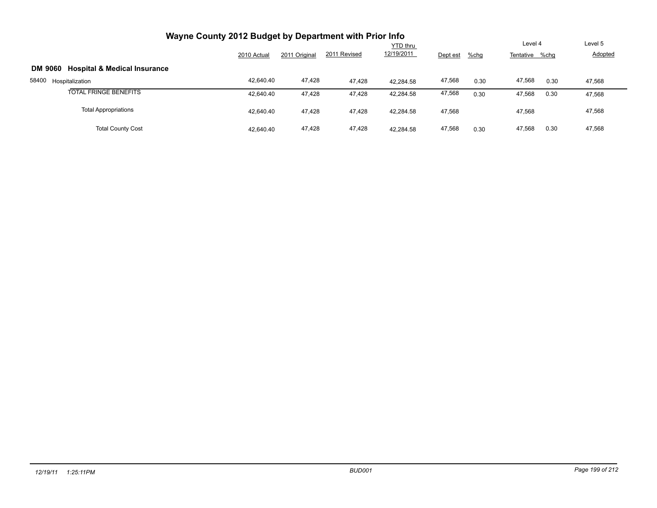| Wayne County 2012 Budget by Department with Prior Info    |             |               |              |                 |          |         |                |      |                |
|-----------------------------------------------------------|-------------|---------------|--------------|-----------------|----------|---------|----------------|------|----------------|
|                                                           |             |               |              | <b>YTD thru</b> |          |         | Level 4        |      | Level 5        |
|                                                           | 2010 Actual | 2011 Original | 2011 Revised | 12/19/2011      | Dept est | $%$ chg | Tentative %chg |      | <b>Adopted</b> |
| <b>Hospital &amp; Medical Insurance</b><br><b>DM 9060</b> |             |               |              |                 |          |         |                |      |                |
| 58400<br>Hospitalization                                  | 42,640.40   | 47,428        | 47.428       | 42.284.58       | 47,568   | 0.30    | 47,568         | 0.30 | 47,568         |
| <b>TOTAL FRINGE BENEFITS</b>                              | 42,640.40   | 47,428        | 47,428       | 42,284.58       | 47,568   | 0.30    | 47,568         | 0.30 | 47,568         |
| <b>Total Appropriations</b>                               | 42,640.40   | 47,428        | 47,428       | 42,284.58       | 47,568   |         | 47,568         |      | 47,568         |
| <b>Total County Cost</b>                                  | 42.640.40   | 47,428        | 47.428       | 42.284.58       | 47,568   | 0.30    | 47,568         | 0.30 | 47,568         |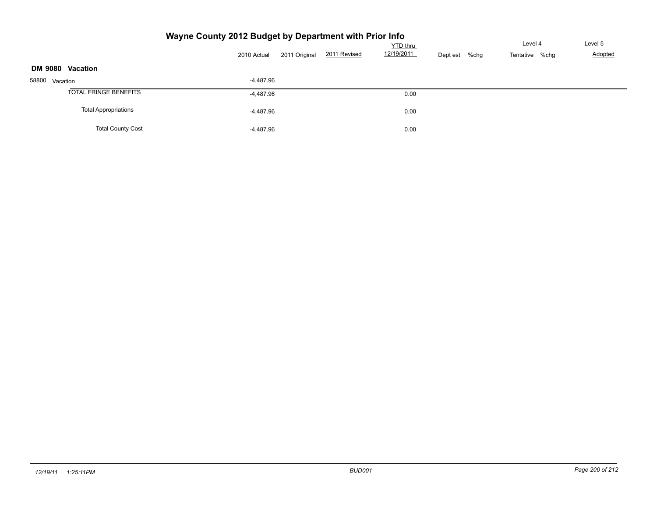| YTD thru         |                             |             |               |              |            |                     |                | Level 5 |
|------------------|-----------------------------|-------------|---------------|--------------|------------|---------------------|----------------|---------|
|                  |                             | 2010 Actual | 2011 Original | 2011 Revised | 12/19/2011 | Dept est<br>$%$ chg | Tentative %chg | Adopted |
| DM 9080 Vacation |                             |             |               |              |            |                     |                |         |
| 58800 Vacation   |                             | $-4,487.96$ |               |              |            |                     |                |         |
|                  | TOTAL FRINGE BENEFITS       | -4,487.96   |               |              | 0.00       |                     |                |         |
|                  | <b>Total Appropriations</b> | $-4,487.96$ |               |              | 0.00       |                     |                |         |
|                  | <b>Total County Cost</b>    | $-4,487.96$ |               |              | 0.00       |                     |                |         |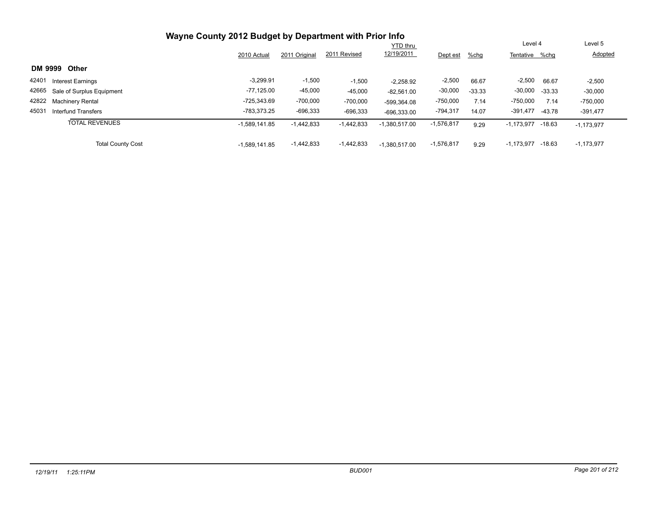|                                     |                 |               |              | <b>YTD</b> thru |              |          | Level 4               |          | Level 5      |
|-------------------------------------|-----------------|---------------|--------------|-----------------|--------------|----------|-----------------------|----------|--------------|
|                                     | 2010 Actual     | 2011 Original | 2011 Revised | 12/19/2011      | Dept est     | $%$ chg  | Tentative %chq        |          | Adopted      |
| DM 9999<br><b>Other</b>             |                 |               |              |                 |              |          |                       |          |              |
| 42401<br><b>Interest Earnings</b>   | $-3,299.91$     | $-1,500$      | $-1,500$     | $-2,258.92$     | $-2,500$     | 66.67    | $-2,500$              | 66.67    | $-2,500$     |
| 42665 Sale of Surplus Equipment     | -77,125.00      | $-45,000$     | $-45,000$    | $-82,561.00$    | $-30,000$    | $-33.33$ | $-30,000$             | $-33.33$ | $-30,000$    |
| 42822 Machinery Rental              | $-725.343.69$   | $-700,000$    | $-700,000$   | -599.364.08     | $-750,000$   | 7.14     | $-750,000$            | 7.14     | $-750,000$   |
| 45031<br><b>Interfund Transfers</b> | -783.373.25     | $-696,333$    | $-696,333$   | $-696,333.00$   | $-794,317$   | 14.07    | $-391,477$            | $-43.78$ | $-391,477$   |
| <b>TOTAL REVENUES</b>               | $-1,589,141.85$ | $-1,442,833$  | $-1,442,833$ | $-1,380,517.00$ | $-1,576,817$ | 9.29     | $-1,173,977$ $-18.63$ |          | $-1,173,977$ |
| <b>Total County Cost</b>            | $-1.589.141.85$ | $-1,442,833$  | $-1,442,833$ | $-1,380,517.00$ | $-1,576,817$ | 9.29     | $-1,173,977$          | -18.63   | $-1,173,977$ |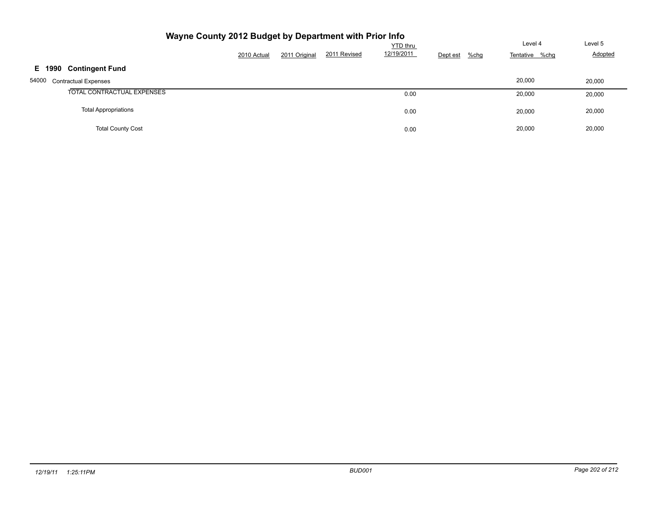| Wayne County 2012 Budget by Department with Prior Info |             | Level 4       | Level 5      |                        |                     |                |         |
|--------------------------------------------------------|-------------|---------------|--------------|------------------------|---------------------|----------------|---------|
|                                                        | 2010 Actual | 2011 Original | 2011 Revised | YTD thru<br>12/19/2011 | $%$ chg<br>Dept est | Tentative %chg | Adopted |
| <b>Contingent Fund</b><br>E 1990                       |             |               |              |                        |                     |                |         |
| 54000<br><b>Contractual Expenses</b>                   |             |               |              |                        |                     | 20,000         | 20,000  |
| TOTAL CONTRACTUAL EXPENSES                             |             |               |              | 0.00                   |                     | 20,000         | 20,000  |
| <b>Total Appropriations</b>                            |             |               |              | 0.00                   |                     | 20,000         | 20,000  |
| <b>Total County Cost</b>                               |             |               |              | 0.00                   |                     | 20.000         | 20,000  |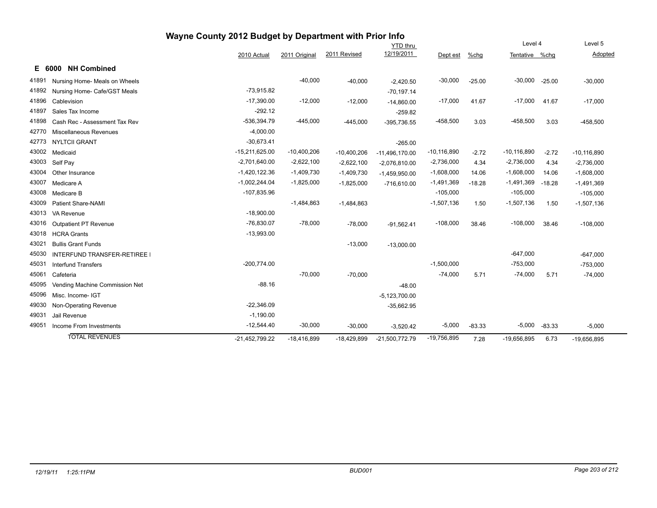| Wayne County 2012 Budget by Department with Prior Info |                                   |                  |               |               |                  |                 |          |                 |          |                 |  |
|--------------------------------------------------------|-----------------------------------|------------------|---------------|---------------|------------------|-----------------|----------|-----------------|----------|-----------------|--|
|                                                        |                                   |                  |               |               | <b>YTD thru</b>  |                 |          | Level 4         |          | Level 5         |  |
|                                                        |                                   | 2010 Actual      | 2011 Original | 2011 Revised  | 12/19/2011       | Dept est        | %chg     | Tentative %chg  |          | Adopted         |  |
|                                                        | <b>NH Combined</b><br>E 6000      |                  |               |               |                  |                 |          |                 |          |                 |  |
| 41891                                                  | Nursing Home- Meals on Wheels     |                  | $-40,000$     | $-40,000$     | $-2,420.50$      | $-30,000$       | $-25.00$ | $-30,000$       | $-25.00$ | $-30,000$       |  |
| 41892                                                  | Nursing Home- Cafe/GST Meals      | $-73,915.82$     |               |               | $-70,197.14$     |                 |          |                 |          |                 |  |
| 41896                                                  | Cablevision                       | $-17,390.00$     | $-12,000$     | $-12,000$     | $-14,860.00$     | $-17,000$       | 41.67    | $-17,000$       | 41.67    | $-17,000$       |  |
| 41897                                                  | Sales Tax Income                  | $-292.12$        |               |               | $-259.82$        |                 |          |                 |          |                 |  |
| 41898                                                  | Cash Rec - Assessment Tax Rev     | $-536,394.79$    | $-445,000$    | $-445,000$    | $-395.736.55$    | $-458,500$      | 3.03     | $-458,500$      | 3.03     | $-458,500$      |  |
| 42770                                                  | Miscellaneous Revenues            | $-4,000.00$      |               |               |                  |                 |          |                 |          |                 |  |
| 42773                                                  | <b>NYLTCII GRANT</b>              | $-30,673.41$     |               |               | $-265.00$        |                 |          |                 |          |                 |  |
| 43002                                                  | Medicaid                          | $-15,211,625.00$ | $-10,400,206$ | $-10,400,206$ | $-11,496,170.00$ | $-10, 116, 890$ | $-2.72$  | $-10, 116, 890$ | $-2.72$  | $-10, 116, 890$ |  |
| 43003                                                  | Self Pay                          | $-2,701,640.00$  | $-2,622,100$  | $-2,622,100$  | $-2,076,810.00$  | $-2,736,000$    | 4.34     | $-2,736,000$    | 4.34     | $-2,736,000$    |  |
| 43004                                                  | Other Insurance                   | $-1,420,122.36$  | $-1,409,730$  | $-1,409,730$  | $-1,459,950.00$  | $-1,608,000$    | 14.06    | $-1,608,000$    | 14.06    | $-1,608,000$    |  |
| 43007                                                  | Medicare A                        | $-1,002,244.04$  | $-1,825,000$  | $-1,825,000$  | $-716,610.00$    | $-1,491,369$    | $-18.28$ | $-1,491,369$    | $-18.28$ | $-1,491,369$    |  |
| 43008                                                  | Medicare B                        | $-107,835.96$    |               |               |                  | $-105,000$      |          | $-105,000$      |          | $-105,000$      |  |
| 43009                                                  | <b>Patient Share-NAMI</b>         |                  | $-1,484,863$  | $-1,484,863$  |                  | $-1,507,136$    | 1.50     | $-1,507,136$    | 1.50     | $-1,507,136$    |  |
| 43013                                                  | VA Revenue                        | $-18,900.00$     |               |               |                  |                 |          |                 |          |                 |  |
| 43016                                                  | Outpatient PT Revenue             | $-76,830.07$     | $-78,000$     | $-78,000$     | $-91,562.41$     | $-108,000$      | 38.46    | $-108,000$      | 38.46    | $-108,000$      |  |
| 43018                                                  | <b>HCRA Grants</b>                | $-13,993.00$     |               |               |                  |                 |          |                 |          |                 |  |
| 43021                                                  | <b>Bullis Grant Funds</b>         |                  |               | $-13,000$     | $-13,000.00$     |                 |          |                 |          |                 |  |
| 45030                                                  | <b>INTERFUND TRANSFER-RETIREE</b> |                  |               |               |                  |                 |          | $-647,000$      |          | $-647,000$      |  |
| 45031                                                  | <b>Interfund Transfers</b>        | $-200,774.00$    |               |               |                  | $-1,500,000$    |          | $-753,000$      |          | $-753,000$      |  |
| 45061                                                  | Cafeteria                         |                  | $-70,000$     | $-70,000$     |                  | $-74,000$       | 5.71     | $-74,000$       | 5.71     | $-74,000$       |  |
| 45095                                                  | Vending Machine Commission Net    | $-88.16$         |               |               | $-48.00$         |                 |          |                 |          |                 |  |
| 45096                                                  | Misc. Income- IGT                 |                  |               |               | $-5,123,700.00$  |                 |          |                 |          |                 |  |
| 49030                                                  | Non-Operating Revenue             | $-22,346.09$     |               |               | $-35,662.95$     |                 |          |                 |          |                 |  |
| 49031                                                  | Jail Revenue                      | $-1,190.00$      |               |               |                  |                 |          |                 |          |                 |  |
| 49051                                                  | Income From Investments           | $-12,544.40$     | $-30,000$     | $-30,000$     | $-3,520.42$      | $-5,000$        | $-83.33$ | $-5,000$        | $-83.33$ | $-5,000$        |  |
|                                                        | <b>TOTAL REVENUES</b>             | $-21,452,799.22$ | $-18,416,899$ | $-18,429,899$ | $-21,500,772.79$ | $-19,756,895$   | 7.28     | $-19,656,895$   | 6.73     | $-19,656,895$   |  |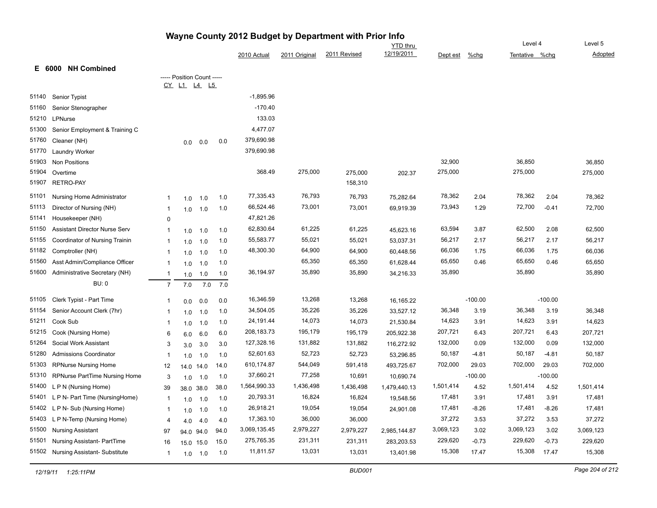|       |                                      |                         |                            |           |      |              |               |              | <b>YTD</b> thru |           |           | Level 4        |           | Level 5   |
|-------|--------------------------------------|-------------------------|----------------------------|-----------|------|--------------|---------------|--------------|-----------------|-----------|-----------|----------------|-----------|-----------|
|       |                                      |                         |                            |           |      | 2010 Actual  | 2011 Original | 2011 Revised | 12/19/2011      | Dept est  | $%$ chg   | Tentative %chg |           | Adopted   |
|       | <b>NH Combined</b><br>E 6000         |                         |                            |           |      |              |               |              |                 |           |           |                |           |           |
|       |                                      |                         | ----- Position Count ----- |           |      |              |               |              |                 |           |           |                |           |           |
|       |                                      |                         | CY L1 L4 L5                |           |      |              |               |              |                 |           |           |                |           |           |
| 51140 | Senior Typist                        |                         |                            |           |      | $-1,895.96$  |               |              |                 |           |           |                |           |           |
| 51160 | Senior Stenographer                  |                         |                            |           |      | $-170.40$    |               |              |                 |           |           |                |           |           |
| 51210 | LPNurse                              |                         |                            |           |      | 133.03       |               |              |                 |           |           |                |           |           |
| 51300 | Senior Employment & Training C       |                         |                            |           |      | 4,477.07     |               |              |                 |           |           |                |           |           |
| 51760 | Cleaner (NH)                         |                         | 0.0                        | 0.0       | 0.0  | 379,690.98   |               |              |                 |           |           |                |           |           |
| 51770 | Laundry Worker                       |                         |                            |           |      | 379,690.98   |               |              |                 |           |           |                |           |           |
| 51903 | <b>Non Positions</b>                 |                         |                            |           |      |              |               |              |                 | 32,900    |           | 36,850         |           | 36,850    |
| 51904 | Overtime                             |                         |                            |           |      | 368.49       | 275,000       | 275,000      | 202.37          | 275,000   |           | 275,000        |           | 275,000   |
| 51907 | <b>RETRO-PAY</b>                     |                         |                            |           |      |              |               | 158,310      |                 |           |           |                |           |           |
| 51101 | Nursing Home Administrator           | -1                      | 1.0                        | 1.0       | 1.0  | 77,335.43    | 76,793        | 76,793       | 75,282.64       | 78,362    | 2.04      | 78,362         | 2.04      | 78,362    |
| 51113 | Director of Nursing (NH)             | $\overline{\mathbf{1}}$ | 1.0                        | 1.0       | 1.0  | 66,524.46    | 73,001        | 73,001       | 69,919.39       | 73,943    | 1.29      | 72,700         | $-0.41$   | 72,700    |
| 51141 | Housekeeper (NH)                     | 0                       |                            |           |      | 47,821.26    |               |              |                 |           |           |                |           |           |
| 51150 | <b>Assistant Director Nurse Serv</b> | $\overline{\mathbf{1}}$ | 1.0                        | 1.0       | 1.0  | 62,830.64    | 61,225        | 61,225       | 45,623.16       | 63,594    | 3.87      | 62,500         | 2.08      | 62,500    |
| 51155 | Coordinator of Nursing Trainin       | $\overline{\mathbf{1}}$ | 1.0                        | 1.0       | 1.0  | 55,583.77    | 55,021        | 55,021       | 53,037.31       | 56,217    | 2.17      | 56,217         | 2.17      | 56,217    |
| 51182 | Comptroller (NH)                     | $\overline{\mathbf{1}}$ | 1.0                        | 1.0       | 1.0  | 48,300.30    | 64,900        | 64,900       | 60,448.56       | 66,036    | 1.75      | 66,036         | 1.75      | 66,036    |
| 51560 | Asst Admin/Compliance Officer        | $\overline{\mathbf{1}}$ | 1.0                        | 1.0       | 1.0  |              | 65,350        | 65,350       | 61,628.44       | 65,650    | 0.46      | 65,650         | 0.46      | 65,650    |
| 51600 | Administrative Secretary (NH)        | $\overline{1}$          | 1.0                        | 1.0       | 1.0  | 36,194.97    | 35,890        | 35,890       | 34,216.33       | 35,890    |           | 35,890         |           | 35,890    |
|       | <b>BU: 0</b>                         | $\overline{7}$          | 7.0                        | 7.0       | 7.0  |              |               |              |                 |           |           |                |           |           |
| 51105 | Clerk Typist - Part Time             | -1                      | 0.0                        | 0.0       | 0.0  | 16,346.59    | 13,268        | 13,268       | 16,165.22       |           | $-100.00$ |                | $-100.00$ |           |
| 51154 | Senior Account Clerk (7hr)           | -1                      | 1.0                        | 1.0       | 1.0  | 34,504.05    | 35,226        | 35,226       | 33,527.12       | 36,348    | 3.19      | 36,348         | 3.19      | 36,348    |
| 51211 | Cook Sub                             | $\overline{\mathbf{1}}$ | 1.0                        | 1.0       | 1.0  | 24,191.44    | 14,073        | 14,073       | 21,530.84       | 14,623    | 3.91      | 14,623         | 3.91      | 14,623    |
| 51215 | Cook (Nursing Home)                  | 6                       | 6.0                        | 6.0       | 6.0  | 208,183.73   | 195,179       | 195,179      | 205,922.38      | 207,721   | 6.43      | 207,721        | 6.43      | 207,721   |
| 51264 | Social Work Assistant                | 3                       | 3.0                        | 3.0       | 3.0  | 127,328.16   | 131,882       | 131,882      | 116,272.92      | 132,000   | 0.09      | 132,000        | 0.09      | 132,000   |
| 51280 | <b>Admissions Coordinator</b>        | -1                      | 1.0                        | 1.0       | 1.0  | 52,601.63    | 52,723        | 52,723       | 53,296.85       | 50,187    | $-4.81$   | 50,187         | $-4.81$   | 50,187    |
| 51303 | <b>RPNurse Nursing Home</b>          | 12                      |                            | 14.0 14.0 | 14.0 | 610,174.87   | 544,049       | 591,418      | 493,725.67      | 702,000   | 29.03     | 702,000        | 29.03     | 702,000   |
| 51310 | RPNurse PartTime Nursing Home        | 3                       | 1.0                        | 1.0       | 1.0  | 37,660.21    | 77,258        | 10,691       | 10,690.74       |           | $-100.00$ |                | $-100.00$ |           |
| 51400 | L P N (Nursing Home)                 | 39                      |                            | 38.0 38.0 | 38.0 | 1,564,990.33 | 1,436,498     | 1,436,498    | 1,479,440.13    | 1,501,414 | 4.52      | 1,501,414      | 4.52      | 1,501,414 |
| 51401 | L P N- Part Time (NursingHome)       | $\overline{\mathbf{1}}$ | 1.0                        | 1.0       | 1.0  | 20,793.31    | 16,824        | 16,824       | 19,548.56       | 17,481    | 3.91      | 17,481         | 3.91      | 17,481    |
| 51402 | L P N- Sub (Nursing Home)            | $\overline{\mathbf{1}}$ |                            | 1.0       | 1.0  | 26,918.21    | 19,054        | 19,054       | 24,901.08       | 17,481    | $-8.26$   | 17,481         | $-8.26$   | 17,481    |
| 51403 | L P N-Temp (Nursing Home)            | $\overline{4}$          | 1.0                        |           | 4.0  | 17,363.10    | 36,000        | 36,000       |                 | 37,272    | 3.53      | 37,272         | 3.53      | 37,272    |
| 51500 | <b>Nursing Assistant</b>             | 97                      | 4.0                        | 4.0       | 94.0 | 3,069,135.45 | 2,979,227     | 2,979,227    | 2,985,144.87    | 3,069,123 | 3.02      | 3,069,123      | 3.02      | 3,069,123 |
| 51501 | Nursing Assistant- PartTime          |                         |                            | 94.0 94.0 | 15.0 | 275,765.35   | 231,311       | 231,311      | 283,203.53      | 229,620   | $-0.73$   | 229,620        | $-0.73$   | 229,620   |
| 51502 | <b>Nursing Assistant-Substitute</b>  | 16                      |                            | 15.0 15.0 | 1.0  | 11,811.57    | 13,031        | 13,031       | 13,401.98       | 15,308    | 17.47     | 15,308         | 17.47     | 15,308    |
|       |                                      | $\overline{1}$          | 1.0                        | 1.0       |      |              |               |              |                 |           |           |                |           |           |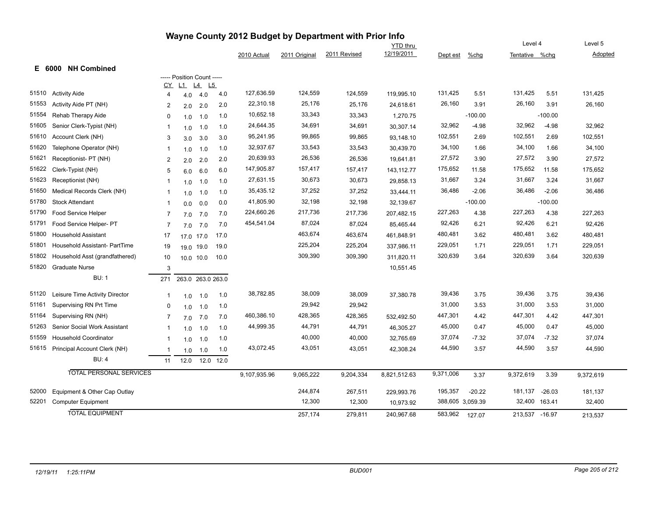| Wayne County 2012 Budget by Department with Prior Info |                                                       |                         |                            |                        |            |              |                   |                    |                 |                             |           |                          |           |                    |
|--------------------------------------------------------|-------------------------------------------------------|-------------------------|----------------------------|------------------------|------------|--------------|-------------------|--------------------|-----------------|-----------------------------|-----------|--------------------------|-----------|--------------------|
|                                                        |                                                       |                         |                            |                        |            |              |                   |                    | <b>YTD</b> thru |                             |           | Level 4                  |           | Level 5            |
|                                                        |                                                       |                         |                            |                        |            | 2010 Actual  | 2011 Original     | 2011 Revised       | 12/19/2011      | Dept est                    | $%$ chg   | Tentative %chg           |           | Adopted            |
|                                                        | E 6000 NH Combined                                    |                         |                            |                        |            |              |                   |                    |                 |                             |           |                          |           |                    |
|                                                        |                                                       |                         | ----- Position Count ----- |                        |            |              |                   |                    |                 |                             |           |                          |           |                    |
| 51510                                                  | <b>Activity Aide</b>                                  | CY<br>4                 | L1                         | $\underline{14}$<br>L5 |            | 127,636.59   | 124,559           | 124,559            | 119,995.10      | 131,425                     | 5.51      | 131,425                  | 5.51      | 131,425            |
| 51553                                                  | Activity Aide PT (NH)                                 | 2                       | 4.0                        | 4.0                    | 4.0        | 22,310.18    | 25,176            | 25,176             | 24,618.61       | 26,160                      | 3.91      | 26,160                   | 3.91      | 26,160             |
| 51554                                                  | Rehab Therapy Aide                                    | $\mathbf 0$             | 2.0                        | 2.0                    | 2.0<br>1.0 | 10,652.18    | 33,343            | 33,343             | 1,270.75        |                             | $-100.00$ |                          | $-100.00$ |                    |
| 51605                                                  | Senior Clerk-Typist (NH)                              |                         | 1.0                        | 1.0                    |            | 24,644.35    | 34,691            | 34,691             | 30,307.14       | 32,962                      | -4.98     | 32,962                   | $-4.98$   | 32,962             |
| 51610                                                  | Account Clerk (NH)                                    | $\overline{1}$          | 1.0                        | 1.0                    | 1.0<br>3.0 | 95,241.95    | 99,865            | 99,865             | 93,148.10       | 102,551                     | 2.69      | 102,551                  | 2.69      | 102,551            |
| 51620                                                  | Telephone Operator (NH)                               | 3                       | 3.0                        | 3.0                    | 1.0        | 32,937.67    | 33,543            | 33,543             | 30,439.70       | 34,100                      | 1.66      | 34,100                   | 1.66      | 34,100             |
| 51621                                                  | Receptionist- PT (NH)                                 | -1                      | 1.0                        | 1.0                    | 2.0        | 20,639.93    | 26,536            | 26,536             |                 | 27,572                      | 3.90      | 27,572                   | 3.90      | 27,572             |
| 51622                                                  | Clerk-Typist (NH)                                     | $\overline{c}$          | 2.0                        | 2.0                    |            | 147,905.87   | 157,417           | 157,417            | 19,641.81       | 175,652                     | 11.58     | 175,652                  | 11.58     | 175,652            |
| 51623                                                  | Receptionist (NH)                                     | 5                       | 6.0                        | 6.0                    | 6.0        | 27,631.15    | 30,673            | 30,673             | 143,112.77      | 31,667                      | 3.24      | 31,667                   | 3.24      | 31,667             |
| 51650                                                  | Medical Records Clerk (NH)                            | $\overline{1}$          | 1.0                        | 1.0                    | 1.0        | 35,435.12    | 37,252            | 37,252             | 29,858.13       | 36,486                      | $-2.06$   | 36,486                   | $-2.06$   | 36,486             |
| 51780                                                  | <b>Stock Attendant</b>                                | -1                      | 1.0                        | 1.0                    | 1.0        | 41,805.90    | 32,198            | 32,198             | 33,444.11       |                             | $-100.00$ |                          | $-100.00$ |                    |
| 51790                                                  | Food Service Helper                                   | $\overline{\mathbf{1}}$ | 0.0                        | 0.0                    | 0.0        | 224,660.26   | 217,736           | 217,736            | 32,139.67       | 227,263                     | 4.38      | 227,263                  | 4.38      | 227,263            |
| 51791                                                  |                                                       | $\overline{7}$          | 7.0                        | 7.0                    | 7.0        | 454,541.04   | 87,024            |                    | 207,482.15      | 92,426                      | 6.21      | 92,426                   | 6.21      | 92,426             |
| 51800                                                  | Food Service Helper- PT<br><b>Household Assistant</b> | $\overline{7}$          | 7.0                        | 7.0                    | 7.0        |              | 463,674           | 87,024             | 85,465.44       | 480,481                     | 3.62      | 480,481                  | 3.62      |                    |
| 51801                                                  |                                                       | 17                      |                            | 17.0 17.0              | 17.0       |              | 225,204           | 463,674<br>225,204 | 461,848.91      | 229,051                     | 1.71      | 229,051                  | 1.71      | 480,481<br>229,051 |
| 51802                                                  | Household Assistant- PartTime                         | 19                      |                            | 19.0 19.0              | 19.0       |              | 309,390           |                    | 337,986.11      | 320,639                     |           | 320,639                  |           |                    |
|                                                        | Household Asst (grandfathered)                        | 10                      |                            | 10.0 10.0              | 10.0       |              |                   | 309,390            | 311,820.11      |                             | 3.64      |                          | 3.64      | 320,639            |
| 51820                                                  | <b>Graduate Nurse</b>                                 | 3                       |                            |                        |            |              |                   |                    | 10,551.45       |                             |           |                          |           |                    |
|                                                        | <b>BU: 1</b>                                          | 271                     |                            | 263.0 263.0 263.0      |            |              |                   |                    |                 |                             |           |                          |           |                    |
| 51120                                                  | Leisure Time Activity Director                        | $\overline{1}$          | 1.0                        | 1.0                    | 1.0        | 38,782.85    | 38,009            | 38,009             | 37,380.78       | 39,436                      | 3.75      | 39,436                   | 3.75      | 39,436             |
| 51161                                                  | Supervising RN Prt Time                               | 0                       | 1.0                        | 1.0                    | 1.0        |              | 29,942            | 29,942             |                 | 31,000                      | 3.53      | 31,000                   | 3.53      | 31,000             |
| 51164                                                  | Supervising RN (NH)                                   | $\overline{7}$          | 7.0                        | 7.0                    | 7.0        | 460,386.10   | 428,365           | 428,365            | 532,492.50      | 447,301                     | 4.42      | 447,301                  | 4.42      | 447,301            |
| 51263                                                  | Senior Social Work Assistant                          | -1                      | 1.0                        | 1.0                    | 1.0        | 44,999.35    | 44,791            | 44,791             | 46,305.27       | 45,000                      | 0.47      | 45,000                   | 0.47      | 45,000             |
| 51559                                                  | <b>Household Coordinator</b>                          | -1                      | 1.0                        | 1.0                    | 1.0        |              | 40,000            | 40,000             | 32,765.69       | 37,074                      | -7.32     | 37,074                   | $-7.32$   | 37,074             |
| 51615                                                  | Principal Account Clerk (NH)                          | $\overline{1}$          | 1.0                        | 1.0                    | 1.0        | 43,072.45    | 43,051            | 43,051             | 42,308.24       | 44,590                      | 3.57      | 44,590                   | 3.57      | 44,590             |
|                                                        | <b>BU: 4</b>                                          | 11                      | 12.0                       | 12.0                   | 12.0       |              |                   |                    |                 |                             |           |                          |           |                    |
|                                                        | <b>TOTAL PERSONAL SERVICES</b>                        |                         |                            |                        |            | 9,107,935.96 | 9,065,222         | 9,204,334          | 8,821,512.63    | 9,371,006                   | 3.37      | 9,372,619                | 3.39      | 9,372,619          |
|                                                        |                                                       |                         |                            |                        |            |              |                   |                    |                 |                             |           |                          |           |                    |
| 52000<br>52201                                         | Equipment & Other Cap Outlay                          |                         |                            |                        |            |              | 244,874<br>12,300 | 267,511<br>12,300  | 229,993.76      | 195,357<br>388,605 3,059.39 | $-20.22$  | 181,137<br>32,400 163.41 | $-26.03$  | 181,137<br>32,400  |
|                                                        | <b>Computer Equipment</b><br><b>TOTAL EQUIPMENT</b>   |                         |                            |                        |            |              |                   |                    | 10,973.92       |                             |           |                          |           |                    |
|                                                        |                                                       |                         |                            |                        |            |              | 257.174           | 279.811            | 240.967.68      | 583,962                     | 127.07    | 213,537 -16.97           |           | 213.537            |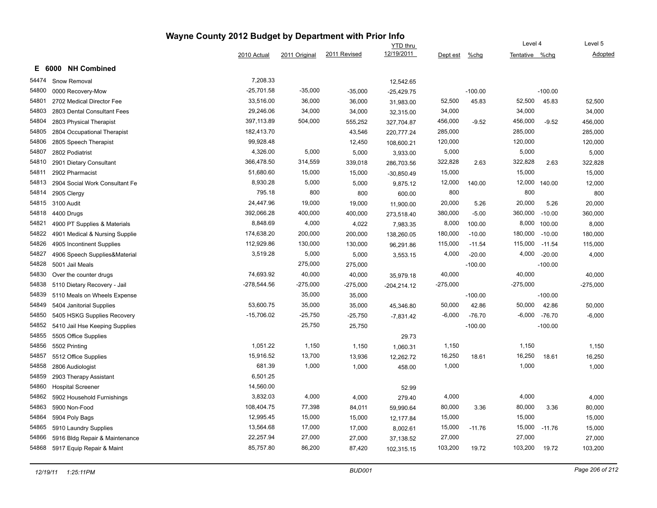#### **Wayne County 2012 Budget by Department with Prior Info** Tentative %chg **Level 4** YTD thru 2010 Actual 2011 Original 2011 Revised 12/19/2011 Dept est %chg Level 5 Adopted **E 6000 NH Combined** 54474 Snow Removal 7,208.33 12,542.65 54800 0000 Recovery-Mow -25,701.58 -35,000 -35,000 25,429.75 -100.00 -100.00 54801 2702 Medical Director Fee 33,516.00 36,000 36,000 31,983.00 52,500 45.83 52,500 45.83 52,500 54803 2803 Dental Consultant Fees 29,246.06 34,000 34,000 32,315.00 34,000 34,000 34,000 54804 2803 Physical Therapist 397,113.89 504,000 555,252 327,704.87 456,000 -9.52 456,000 -9.52 456,000 54805 2804 Occupational Therapist 182,413.70 43,546 220,777.24 285,000 285,000 285,000 54806 2805 Speech Therapist 99,928.48 12,450 108,600.21 120,000 120,000 54807 2802 Podiatrist 4,326.00 5,000 5,000 3,933.00 5,000 5,000 5,000 54810 2901 Dietary Consultant 366,478.50 314,559 339,018 286,703.56 322,828 2.63 322,828 2.63 322,828 54811 2902 Pharmacist 51,680.60 15,000 15,000 15,000 15,000 15,000 54813 2904 Social Work Consultant Fe 6 6,000 8,930.28 5,000 5,000 5,000 9,875.12 12,000 140.00 12,000 140.00 12,000 54814 2905 Clergy 795.18 800 600.00 800 800 800 54815 3100 Audit 24,447.96 19,000 19,000 11,900.00 20,000 5.26 20,000 5.26 20,000 54818 4400 Drugs 392,066.28 400,000 400,000 273,518.40 380,000 -5.00 360,000 -10.00 360,000 54821 4900 PT Supplies & Materials **8.848.69** 8,848.69 4,000 4,022 7,983.35 8,000 100.00 8,000 100.00 8,000 8,000 54822 4901 Medical & Nursing Supplie 174,638.20 200,000 200,000 138,260.05 180,000 -10.00 180,000 -10.00 180,000 54826 4905 Incontinent Supplies 112,929.86 130,000 130,000 96,291.86 115,000 -11.54 115,000 -11.54 115,000 54827 4906 Speech Supplies&Material 3,519.28 5,000 5,000 3,553.15 4,000 -20.00 4,000 -20.00 4,000 54828 5001 Jail Meals 275,000 275,000 -100.00 -100.00 54830 Over the counter drugs 74,693.92 40,000 40,000 35,979.18 40,000 40,000 40,000 54838 5110 Dietary Recovery - Jail - 275,000 -278,544.56 -275,000 -275,000 -204.214.12 -275,000 -275,000 -275,000 -275,000 -275,000 -275,000 -275,000 -275,000 -275,000 -275,000 -275,000 -275,000 -275,000 -275,000 -275,000 54839 5110 Meals on Wheels Expense 35,000 35,000 -100.00 -100.00 54849 5404 Janitorial Supplies 53,600.75 35,000 35,000 45,346.80 50,000 42.86 50,000 42.86 50,000 54850 5405 HSKG Supplies Recovery -15,706.02 -25,750 -25,750 -7,831.42 -6,000 -76.70 -6,000 -76.70 -6,000 54852 5410 Jail Hse Keeping Supplies 25,750 25,750 -100.00 -100.00 54855 5505 Office Supplies 29.73 54856 5502 Printing 1,051.22 1,150 1,150 1,060.31 1,150 1,150 1,150 54857 5512 Office Supplies 15,916.52 13,700 13,936 12,262.72 16,250 18.61 16,250 18.61 16,250 54858 2806 Audiologist 681.39 1,000 1,000 458.00 1,000 1,000 1,000 54859 2903 Therapy Assistant 6,501.25 54860 Hospital Screener 14,560.00 52.99 54862 5902 Household Furnishings 3,832.03 3,832.03 4,000 4,000 4,000 4,000 4,000 4,000 4,000 4,000 4,000 54863 5900 Non-Food 108,404.75 77,398 84,011 <sub>59,</sub>990.64 80,000 3.36 80,000 3.36 80,000 54864 5904 Poly Bags 12,995.45 15,000 12,177.84 15,000 15,000 15,000 54865 5910 Laundry Supplies 13,564.68 17,000 17,000 8,002.61 15,000 -11.76 15,000 -11.76 15,000 54866 5916 Bldg Repair & Maintenance 22,257.94 27,000 27,000 37,138.52 27,000 27,000 27,000 54868 5917 Equip Repair & Maint 85,757.80 86,200 87,420 102,315.15 103,200 19.72 103,200 19.72 103,200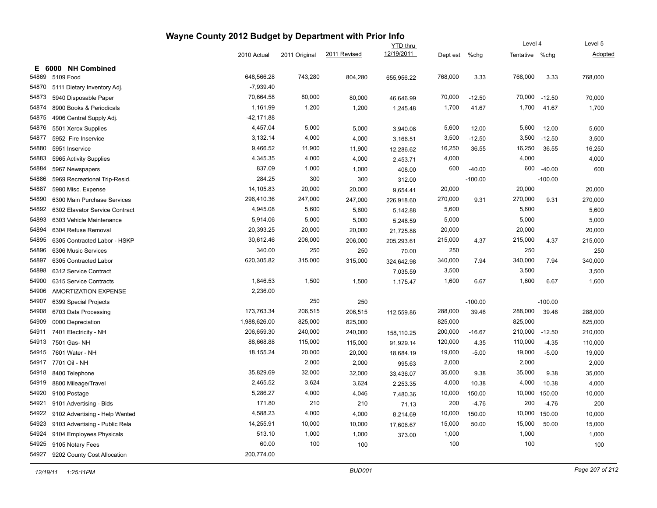|       |                                |              |               | <b>YTD</b> thru |            |          |           | Level 4        |           | Level 5 |  |
|-------|--------------------------------|--------------|---------------|-----------------|------------|----------|-----------|----------------|-----------|---------|--|
|       |                                | 2010 Actual  | 2011 Original | 2011 Revised    | 12/19/2011 | Dept est | $%$ chg   | Tentative %chg |           | Adopted |  |
| Е.    | <b>NH Combined</b><br>6000     |              |               |                 |            |          |           |                |           |         |  |
| 54869 | 5109 Food                      | 648,566.28   | 743,280       | 804,280         | 655,956.22 | 768,000  | 3.33      | 768,000        | 3.33      | 768,000 |  |
| 54870 | 5111 Dietary Inventory Adj.    | $-7,939.40$  |               |                 |            |          |           |                |           |         |  |
| 54873 | 5940 Disposable Paper          | 70,664.58    | 80,000        | 80,000          | 46,646.99  | 70,000   | $-12.50$  | 70,000         | $-12.50$  | 70,000  |  |
| 54874 | 8900 Books & Periodicals       | 1,161.99     | 1,200         | 1,200           | 1,245.48   | 1,700    | 41.67     | 1,700          | 41.67     | 1,700   |  |
| 54875 | 4906 Central Supply Adj.       | $-42,171.88$ |               |                 |            |          |           |                |           |         |  |
| 54876 | 5501 Xerox Supplies            | 4,457.04     | 5,000         | 5,000           | 3,940.08   | 5,600    | 12.00     | 5,600          | 12.00     | 5,600   |  |
| 54877 | 5952 Fire Inservice            | 3,132.14     | 4,000         | 4,000           | 3,166.51   | 3,500    | $-12.50$  | 3,500          | $-12.50$  | 3,500   |  |
| 54880 | 5951 Inservice                 | 9,466.52     | 11,900        | 11,900          | 12,286.62  | 16,250   | 36.55     | 16,250         | 36.55     | 16,250  |  |
| 54883 | 5965 Activity Supplies         | 4,345.35     | 4,000         | 4,000           | 2,453.71   | 4,000    |           | 4,000          |           | 4,000   |  |
| 54884 | 5967 Newspapers                | 837.09       | 1,000         | 1,000           | 408.00     | 600      | $-40.00$  | 600            | $-40.00$  | 600     |  |
| 54886 | 5969 Recreational Trip-Resid.  | 284.25       | 300           | 300             | 312.00     |          | $-100.00$ |                | $-100.00$ |         |  |
| 54887 | 5980 Misc. Expense             | 14,105.83    | 20,000        | 20,000          | 9,654.41   | 20,000   |           | 20,000         |           | 20,000  |  |
| 54890 | 6300 Main Purchase Services    | 296,410.36   | 247,000       | 247,000         | 226,918.60 | 270,000  | 9.31      | 270,000        | 9.31      | 270,000 |  |
| 54892 | 6302 Elavator Service Contract | 4,945.08     | 5,600         | 5,600           | 5,142.88   | 5,600    |           | 5,600          |           | 5,600   |  |
| 54893 | 6303 Vehicle Maintenance       | 5,914.06     | 5,000         | 5,000           | 5,248.59   | 5,000    |           | 5,000          |           | 5,000   |  |
| 54894 | 6304 Refuse Removal            | 20,393.25    | 20,000        | 20,000          | 21,725.88  | 20,000   |           | 20,000         |           | 20,000  |  |
| 54895 | 6305 Contracted Labor - HSKP   | 30,612.46    | 206,000       | 206,000         | 205,293.61 | 215,000  | 4.37      | 215,000        | 4.37      | 215,000 |  |
| 54896 | 6306 Music Services            | 340.00       | 250           | 250             | 70.00      | 250      |           | 250            |           | 250     |  |
| 54897 | 6305 Contracted Labor          | 620,305.82   | 315,000       | 315,000         | 324,642.98 | 340,000  | 7.94      | 340,000        | 7.94      | 340,000 |  |
| 54898 | 6312 Service Contract          |              |               |                 | 7,035.59   | 3,500    |           | 3,500          |           | 3,500   |  |
| 54900 | 6315 Service Contracts         | 1,846.53     | 1,500         | 1,500           | 1,175.47   | 1,600    | 6.67      | 1,600          | 6.67      | 1,600   |  |
| 54906 | AMORTIZATION EXPENSE           | 2,236.00     |               |                 |            |          |           |                |           |         |  |
| 54907 | 6399 Special Projects          |              | 250           | 250             |            |          | $-100.00$ |                | $-100.00$ |         |  |
| 54908 | 6703 Data Processing           | 173,763.34   | 206,515       | 206,515         | 112,559.86 | 288,000  | 39.46     | 288,000        | 39.46     | 288,000 |  |
| 54909 | 0000 Depreciation              | 1,988,626.00 | 825,000       | 825,000         |            | 825,000  |           | 825,000        |           | 825,000 |  |
| 54911 | 7401 Electricity - NH          | 206,659.30   | 240,000       | 240,000         | 158,110.25 | 200,000  | $-16.67$  | 210,000        | $-12.50$  | 210,000 |  |
| 54913 | 7501 Gas- NH                   | 88,668.88    | 115,000       | 115,000         | 91,929.14  | 120,000  | 4.35      | 110,000        | $-4.35$   | 110,000 |  |
| 54915 | 7601 Water - NH                | 18,155.24    | 20,000        | 20,000          | 18,684.19  | 19,000   | $-5.00$   | 19,000         | $-5.00$   | 19,000  |  |
| 54917 | 7701 Oil - NH                  |              | 2,000         | 2,000           | 995.63     | 2,000    |           | 2,000          |           | 2,000   |  |
| 54918 | 8400 Telephone                 | 35,829.69    | 32,000        | 32,000          | 33,436.07  | 35,000   | 9.38      | 35,000         | 9.38      | 35,000  |  |
| 54919 | 8800 Mileage/Travel            | 2,465.52     | 3,624         | 3,624           | 2,253.35   | 4,000    | 10.38     | 4,000          | 10.38     | 4,000   |  |
| 54920 | 9100 Postage                   | 5,286.27     | 4,000         | 4,046           | 7,480.36   | 10,000   | 150.00    | 10,000         | 150.00    | 10,000  |  |
| 54921 | 9101 Advertising - Bids        | 171.80       | 210           | 210             | 71.13      | 200      | $-4.76$   | 200            | $-4.76$   | 200     |  |
| 54922 | 9102 Advertising - Help Wanted | 4,588.23     | 4,000         | 4,000           | 8,214.69   | 10,000   | 150.00    | 10,000         | 150.00    | 10,000  |  |
| 54923 | 9103 Advertising - Public Rela | 14,255.91    | 10,000        | 10,000          | 17,606.67  | 15,000   | 50.00     | 15,000         | 50.00     | 15,000  |  |
| 54924 | 9104 Employees Physicals       | 513.10       | 1,000         | 1,000           | 373.00     | 1,000    |           | 1,000          |           | 1,000   |  |
| 54925 | 9105 Notary Fees               | 60.00        | 100           | 100             |            | 100      |           | 100            |           | 100     |  |
| 54927 | 9202 County Cost Allocation    | 200,774.00   |               |                 |            |          |           |                |           |         |  |

Level 5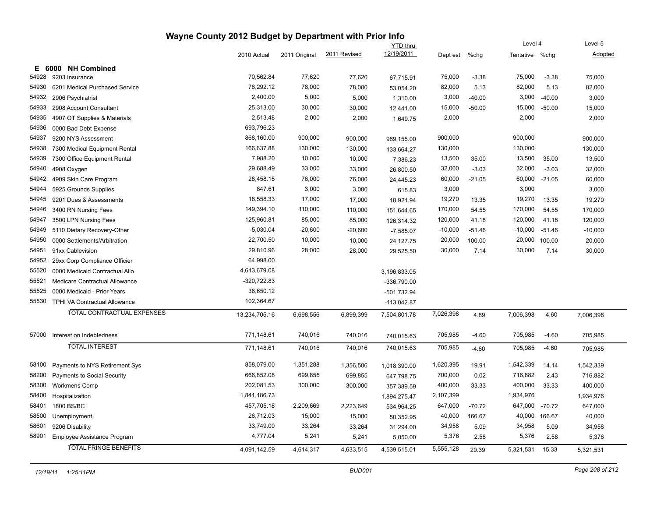|       |                                   |               |               |              | <b>YTD</b> thru |           |          | Level 4        |          | Level 5   |
|-------|-----------------------------------|---------------|---------------|--------------|-----------------|-----------|----------|----------------|----------|-----------|
|       |                                   | 2010 Actual   | 2011 Original | 2011 Revised | 12/19/2011      | Dept est  | $%$ chg  | Tentative %chg |          | Adopted   |
| Е     | <b>NH Combined</b><br>6000        |               |               |              |                 |           |          |                |          |           |
| 54928 | 9203 Insurance                    | 70,562.84     | 77,620        | 77,620       | 67,715.91       | 75,000    | $-3.38$  | 75,000         | $-3.38$  | 75,000    |
| 54930 | 6201 Medical Purchased Service    | 78,292.12     | 78,000        | 78,000       | 53,054.20       | 82,000    | 5.13     | 82,000         | 5.13     | 82,000    |
| 54932 | 2906 Psychiatrist                 | 2,400.00      | 5,000         | 5,000        | 1,310.00        | 3,000     | $-40.00$ | 3,000          | $-40.00$ | 3,000     |
| 54933 | 2908 Account Consultant           | 25,313.00     | 30,000        | 30,000       | 12,441.00       | 15,000    | $-50.00$ | 15,000         | $-50.00$ | 15,000    |
| 54935 | 4907 OT Supplies & Materials      | 2,513.48      | 2,000         | 2,000        | 1,649.75        | 2,000     |          | 2,000          |          | 2,000     |
| 54936 | 0000 Bad Debt Expense             | 693,796.23    |               |              |                 |           |          |                |          |           |
| 54937 | 9200 NYS Assessment               | 868,160.00    | 900,000       | 900,000      | 989,155.00      | 900,000   |          | 900,000        |          | 900,000   |
| 54938 | 7300 Medical Equipment Rental     | 166,637.88    | 130,000       | 130,000      | 133,664.27      | 130,000   |          | 130,000        |          | 130,000   |
| 54939 | 7300 Office Equipment Rental      | 7,988.20      | 10,000        | 10,000       | 7,386.23        | 13,500    | 35.00    | 13,500         | 35.00    | 13,500    |
| 54940 | 4908 Oxygen                       | 29,688.49     | 33,000        | 33,000       | 26,800.50       | 32,000    | $-3.03$  | 32,000         | $-3.03$  | 32,000    |
| 54942 | 4909 Skin Care Program            | 28.458.15     | 76,000        | 76,000       | 24,445.23       | 60,000    | $-21.05$ | 60,000         | $-21.05$ | 60,000    |
| 54944 | 5925 Grounds Supplies             | 847.61        | 3,000         | 3,000        | 615.83          | 3,000     |          | 3,000          |          | 3,000     |
| 54945 | 9201 Dues & Assessments           | 18,558.33     | 17,000        | 17,000       | 18,921.94       | 19,270    | 13.35    | 19,270         | 13.35    | 19,270    |
| 54946 | 3400 RN Nursing Fees              | 149,394.10    | 110,000       | 110,000      | 151,644.65      | 170,000   | 54.55    | 170,000        | 54.55    | 170,000   |
| 54947 | 3500 LPN Nursing Fees             | 125,960.81    | 85,000        | 85,000       | 126,314.32      | 120,000   | 41.18    | 120,000        | 41.18    | 120,000   |
| 54949 | 5110 Dietary Recovery-Other       | $-5,030.04$   | $-20,600$     | $-20,600$    | $-7,585.07$     | $-10,000$ | $-51.46$ | $-10,000$      | $-51.46$ | $-10,000$ |
| 54950 | 0000 Settlements/Arbitration      | 22,700.50     | 10,000        | 10,000       | 24,127.75       | 20,000    | 100.00   | 20,000         | 100.00   | 20,000    |
| 54951 | 91xx Cablevision                  | 29,810.96     | 28,000        | 28,000       | 29,525.50       | 30,000    | 7.14     | 30,000         | 7.14     | 30,000    |
| 54952 | 29xx Corp Compliance Officier     | 64,998.00     |               |              |                 |           |          |                |          |           |
| 55520 | 0000 Medicaid Contractual Allo    | 4,613,679.08  |               |              | 3,196,833.05    |           |          |                |          |           |
| 55521 | Medicare Contractual Allowance    | $-320,722.83$ |               |              | $-336,790.00$   |           |          |                |          |           |
| 55525 | 0000 Medicaid - Prior Years       | 36,650.12     |               |              | -501,732.94     |           |          |                |          |           |
| 55530 | TPHI VA Contractual Allowance     | 102,364.67    |               |              | $-113,042.87$   |           |          |                |          |           |
|       | <b>TOTAL CONTRACTUAL EXPENSES</b> | 13,234,705.16 | 6,698,556     | 6,899,399    | 7,504,801.78    | 7,026,398 | 4.89     | 7,006,398      | 4.60     | 7,006,398 |
| 57000 | Interest on Indebtedness          | 771,148.61    | 740,016       | 740,016      | 740,015.63      | 705,985   | $-4.60$  | 705,985        | $-4.60$  | 705,985   |
|       | <b>TOTAL INTEREST</b>             | 771,148.61    | 740,016       | 740,016      | 740,015.63      | 705,985   | $-4.60$  | 705,985        | $-4.60$  | 705,985   |
|       |                                   |               |               |              |                 |           |          |                |          |           |
| 58100 | Payments to NYS Retirement Sys    | 858,079.00    | 1,351,288     | 1,356,506    | 1,018,390.00    | 1,620,395 | 19.91    | 1,542,339      | 14.14    | 1,542,339 |
| 58200 | Payments to Social Security       | 666,852.08    | 699,855       | 699,855      | 647,798.75      | 700,000   | 0.02     | 716,882        | 2.43     | 716,882   |
| 58300 | Workmens Comp                     | 202,081.53    | 300,000       | 300,000      | 357,389.59      | 400,000   | 33.33    | 400,000        | 33.33    | 400,000   |
| 58400 | Hospitalization                   | 1,841,186.73  |               |              | 1,894,275.47    | 2,107,399 |          | 1,934,976      |          | 1,934,976 |
| 58401 | 1800 BS/BC                        | 457,705.18    | 2,209,669     | 2,223,649    | 534,964.25      | 647,000   | $-70.72$ | 647,000        | $-70.72$ | 647,000   |
| 58500 | Unemployment                      | 26,712.03     | 15,000        | 15,000       | 50,352.95       | 40,000    | 166.67   | 40,000         | 166.67   | 40,000    |
| 58601 | 9206 Disability                   | 33,749.00     | 33,264        | 33,264       | 31,294.00       | 34,958    | 5.09     | 34,958         | 5.09     | 34,958    |
| 58901 | Employee Assistance Program       | 4,777.04      | 5,241         | 5,241        | 5,050.00        | 5,376     | 2.58     | 5,376          | 2.58     | 5,376     |
|       | <b>TOTAL FRINGE BENEFITS</b>      | 4,091,142.59  | 4,614,317     | 4,633,515    | 4,539,515.01    | 5,555,128 | 20.39    | 5,321,531      | 15.33    | 5,321,531 |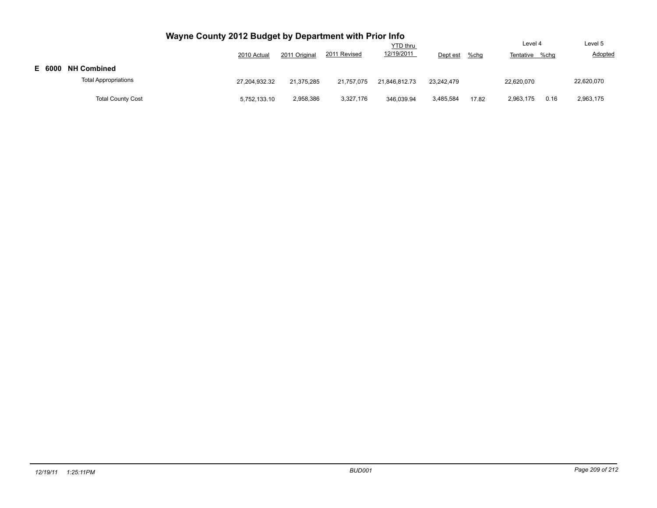|        |                             | Wayne County 2012 Budget by Department with Prior Info |               |              |               |            |       |            |      |            |
|--------|-----------------------------|--------------------------------------------------------|---------------|--------------|---------------|------------|-------|------------|------|------------|
|        |                             |                                                        | Level 4       |              |               |            |       |            |      |            |
|        |                             | 2010 Actual                                            | 2011 Original | 2011 Revised | 12/19/2011    | Dept est   | %chg  | Tentative  | %chq | Adopted    |
| E 6000 | <b>NH Combined</b>          |                                                        |               |              |               |            |       |            |      |            |
|        | <b>Total Appropriations</b> | 27.204.932.32                                          | 21.375.285    | 21.757.075   | 21.846.812.73 | 23.242.479 |       | 22.620.070 |      | 22,620,070 |
|        | <b>Total County Cost</b>    | 5,752,133.10                                           | 2,958,386     | 3,327,176    | 346.039.94    | 3,485,584  | 17.82 | 2,963,175  | 0.16 | 2,963,175  |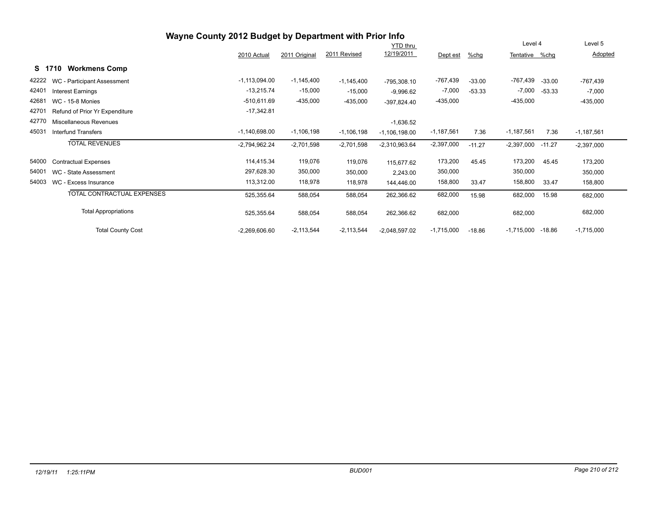# **Wayne County 2012 Budget by Department with Prior Info**

|        |                                   |                 |               |              | <b>YTD</b> thru |              |          |              | Level 4  |              | Level 5 |  |
|--------|-----------------------------------|-----------------|---------------|--------------|-----------------|--------------|----------|--------------|----------|--------------|---------|--|
|        |                                   | 2010 Actual     | 2011 Original | 2011 Revised | 12/19/2011      | Dept est     | %chg     | Tentative    | %chg     | Adopted      |         |  |
| S 1710 | <b>Workmens Comp</b>              |                 |               |              |                 |              |          |              |          |              |         |  |
| 42222  | WC - Participant Assessment       | $-1,113,094.00$ | $-1,145,400$  | $-1,145,400$ | $-795,308.10$   | -767,439     | $-33.00$ | -767,439     | $-33.00$ | -767,439     |         |  |
| 42401  | <b>Interest Earnings</b>          | $-13,215.74$    | $-15,000$     | $-15,000$    | $-9,996.62$     | $-7,000$     | $-53.33$ | $-7,000$     | $-53.33$ | $-7,000$     |         |  |
| 42681  | <b>WC - 15-8 Monies</b>           | $-510,611.69$   | $-435,000$    | $-435,000$   | $-397,824.40$   | $-435,000$   |          | $-435,000$   |          | $-435,000$   |         |  |
| 42701  | Refund of Prior Yr Expenditure    | $-17,342.81$    |               |              |                 |              |          |              |          |              |         |  |
| 42770  | Miscellaneous Revenues            |                 |               |              | $-1,636.52$     |              |          |              |          |              |         |  |
| 45031  | Interfund Transfers               | $-1,140,698.00$ | $-1,106,198$  | $-1,106,198$ | $-1,106,198.00$ | $-1,187,561$ | 7.36     | $-1,187,561$ | 7.36     | $-1,187,561$ |         |  |
|        | <b>TOTAL REVENUES</b>             | $-2,794,962.24$ | $-2,701,598$  | $-2,701,598$ | $-2,310,963.64$ | $-2,397,000$ | $-11.27$ | $-2,397,000$ | $-11.27$ | $-2,397,000$ |         |  |
| 54000  | <b>Contractual Expenses</b>       | 114,415.34      | 119,076       | 119,076      | 115,677.62      | 173,200      | 45.45    | 173,200      | 45.45    | 173,200      |         |  |
| 54001  | WC - State Assessment             | 297,628.30      | 350,000       | 350,000      | 2,243.00        | 350,000      |          | 350,000      |          | 350,000      |         |  |
| 54003  | WC - Excess Insurance             | 113,312.00      | 118,978       | 118,978      | 144,446.00      | 158,800      | 33.47    | 158,800      | 33.47    | 158,800      |         |  |
|        | <b>TOTAL CONTRACTUAL EXPENSES</b> | 525,355.64      | 588,054       | 588,054      | 262,366.62      | 682,000      | 15.98    | 682,000      | 15.98    | 682,000      |         |  |
|        | <b>Total Appropriations</b>       | 525,355.64      | 588,054       | 588,054      | 262,366.62      | 682,000      |          | 682,000      |          | 682,000      |         |  |
|        | <b>Total County Cost</b>          | $-2,269,606.60$ | $-2,113,544$  | $-2,113,544$ | $-2,048,597.02$ | $-1,715,000$ | $-18.86$ | $-1,715,000$ | $-18.86$ | $-1,715,000$ |         |  |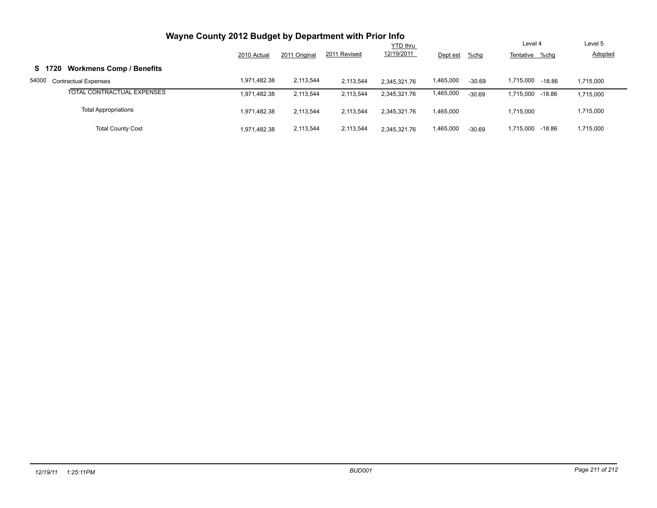| Wayne County 2012 Budget by Department with Prior Info |              |                 |              |              |           |          |                     |           |
|--------------------------------------------------------|--------------|-----------------|--------------|--------------|-----------|----------|---------------------|-----------|
|                                                        |              | <b>YTD thru</b> |              |              |           |          |                     | Level 5   |
|                                                        | 2010 Actual  | 2011 Original   | 2011 Revised | 12/19/2011   | Dept est  | $%$ chg  | Tentative %chg      | Adopted   |
| <b>Workmens Comp / Benefits</b><br>S 1720              |              |                 |              |              |           |          |                     |           |
| 54000<br><b>Contractual Expenses</b>                   | 1,971,482.38 | 2,113,544       | 2,113,544    | 2.345.321.76 | 1,465,000 | $-30.69$ | 1,715,000<br>-18.86 | 1,715,000 |
| TOTAL CONTRACTUAL EXPENSES                             | 1,971,482.38 | 2,113,544       | 2,113,544    | 2.345.321.76 | 1,465,000 | $-30.69$ | 1,715,000<br>-18.86 | 1,715,000 |
| <b>Total Appropriations</b>                            | 1.971.482.38 | 2,113,544       | 2,113,544    | 2,345,321.76 | 1,465,000 |          | 1,715,000           | 1,715,000 |
| <b>Total County Cost</b>                               | 1.971.482.38 | 2,113,544       | 2,113,544    | 2.345.321.76 | 1,465,000 | $-30.69$ | 1,715,000<br>-18.86 | 1,715,000 |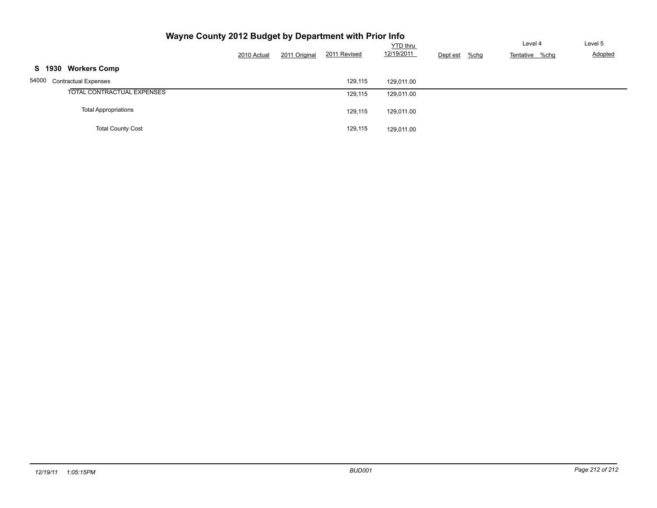| Wayne County 2012 Budget by Department with Prior Info |             |               |              |                               |                     |                           |                    |
|--------------------------------------------------------|-------------|---------------|--------------|-------------------------------|---------------------|---------------------------|--------------------|
|                                                        | 2010 Actual | 2011 Original | 2011 Revised | <b>YTD thru</b><br>12/19/2011 | $%$ chg<br>Dept est | Level 4<br>Tentative %chg | Level 5<br>Adopted |
| <b>Workers Comp</b><br>S 1930                          |             |               |              |                               |                     |                           |                    |
| 54000<br><b>Contractual Expenses</b>                   |             |               | 129,115      | 129.011.00                    |                     |                           |                    |
| TOTAL CONTRACTUAL EXPENSES                             |             |               | 129,115      | 129,011.00                    |                     |                           |                    |
| <b>Total Appropriations</b>                            |             |               | 129.115      | 129,011.00                    |                     |                           |                    |
| <b>Total County Cost</b>                               |             |               | 129,115      | 129,011.00                    |                     |                           |                    |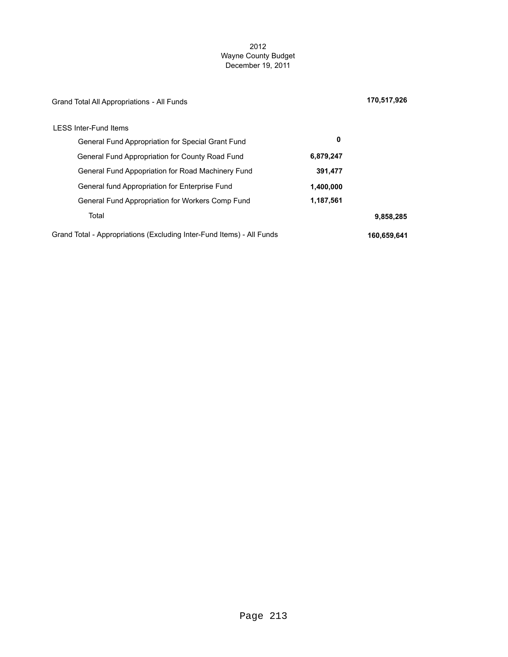### 2012 Wayne County Budget December 19, 2011

| Grand Total All Appropriations - All Funds                            |           | 170,517,926 |
|-----------------------------------------------------------------------|-----------|-------------|
| <b>LESS Inter-Fund Items</b>                                          |           |             |
| General Fund Appropriation for Special Grant Fund                     | 0         |             |
| General Fund Appropriation for County Road Fund                       | 6,879,247 |             |
| General Fund Appopriation for Road Machinery Fund                     | 391,477   |             |
| General fund Appropriation for Enterprise Fund                        | 1,400,000 |             |
| General Fund Appropriation for Workers Comp Fund                      | 1,187,561 |             |
| Total                                                                 |           | 9,858,285   |
| Grand Total - Appropriations (Excluding Inter-Fund Items) - All Funds |           | 160,659,641 |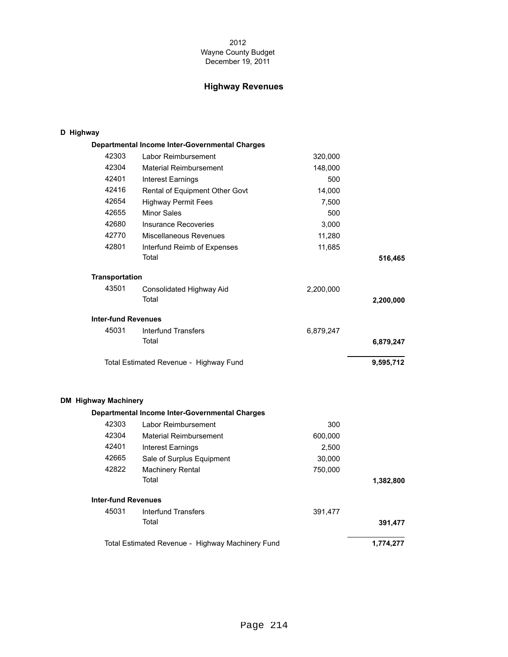### 2012 Wayne County Budget December 19, 2011

# **Highway Revenues**

### **D Highway**

|                             | Departmental Income Inter-Governmental Charges   |           |           |
|-----------------------------|--------------------------------------------------|-----------|-----------|
| 42303                       | Labor Reimbursement                              | 320,000   |           |
| 42304                       | <b>Material Reimbursement</b>                    | 148,000   |           |
| 42401                       | <b>Interest Earnings</b>                         | 500       |           |
| 42416                       | Rental of Equipment Other Govt                   | 14,000    |           |
| 42654                       | <b>Highway Permit Fees</b>                       | 7,500     |           |
| 42655                       | <b>Minor Sales</b>                               | 500       |           |
| 42680                       | <b>Insurance Recoveries</b>                      | 3,000     |           |
| 42770                       | Miscellaneous Revenues                           | 11,280    |           |
| 42801                       | Interfund Reimb of Expenses                      | 11,685    |           |
|                             | Total                                            |           | 516,465   |
| <b>Transportation</b>       |                                                  |           |           |
| 43501                       | Consolidated Highway Aid                         | 2,200,000 |           |
|                             | Total                                            |           | 2,200,000 |
| <b>Inter-fund Revenues</b>  |                                                  |           |           |
| 45031                       | <b>Interfund Transfers</b>                       | 6,879,247 |           |
|                             | Total                                            |           | 6,879,247 |
|                             | Total Estimated Revenue - Highway Fund           |           | 9,595,712 |
| <b>DM Highway Machinery</b> |                                                  |           |           |
|                             | Departmental Income Inter-Governmental Charges   |           |           |
| 42303                       | Labor Reimbursement                              | 300       |           |
| 42304                       | <b>Material Reimbursement</b>                    | 600,000   |           |
| 42401                       | <b>Interest Earnings</b>                         | 2,500     |           |
| 42665                       | Sale of Surplus Equipment                        | 30,000    |           |
| 42822                       | <b>Machinery Rental</b>                          | 750,000   |           |
|                             | Total                                            |           | 1,382,800 |
| <b>Inter-fund Revenues</b>  |                                                  |           |           |
| 45031                       | <b>Interfund Transfers</b>                       | 391,477   |           |
|                             | Total                                            |           | 391,477   |
|                             | Total Estimated Revenue - Highway Machinery Fund |           | 1,774,277 |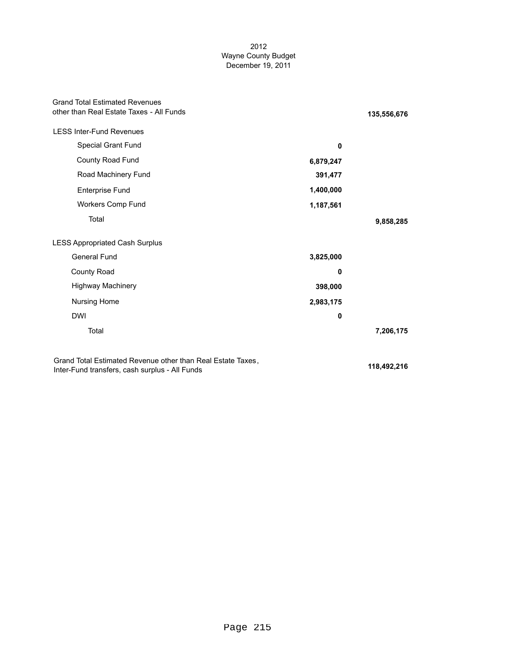### 2012 Wayne County Budget December 19, 2011

| <b>Grand Total Estimated Revenues</b><br>other than Real Estate Taxes - All Funds                             |           | 135,556,676 |
|---------------------------------------------------------------------------------------------------------------|-----------|-------------|
| <b>LESS Inter-Fund Revenues</b>                                                                               |           |             |
| Special Grant Fund                                                                                            | 0         |             |
| County Road Fund                                                                                              | 6,879,247 |             |
| Road Machinery Fund                                                                                           | 391,477   |             |
| Enterprise Fund                                                                                               | 1,400,000 |             |
| Workers Comp Fund                                                                                             | 1,187,561 |             |
| Total                                                                                                         |           | 9,858,285   |
| <b>LESS Appropriated Cash Surplus</b>                                                                         |           |             |
| <b>General Fund</b>                                                                                           | 3,825,000 |             |
| <b>County Road</b>                                                                                            | 0         |             |
| <b>Highway Machinery</b>                                                                                      | 398,000   |             |
| Nursing Home                                                                                                  | 2,983,175 |             |
| <b>DWI</b>                                                                                                    | 0         |             |
| Total                                                                                                         |           | 7,206,175   |
| Grand Total Estimated Revenue other than Real Estate Taxes,<br>Inter-Fund transfers, cash surplus - All Funds |           | 118,492,216 |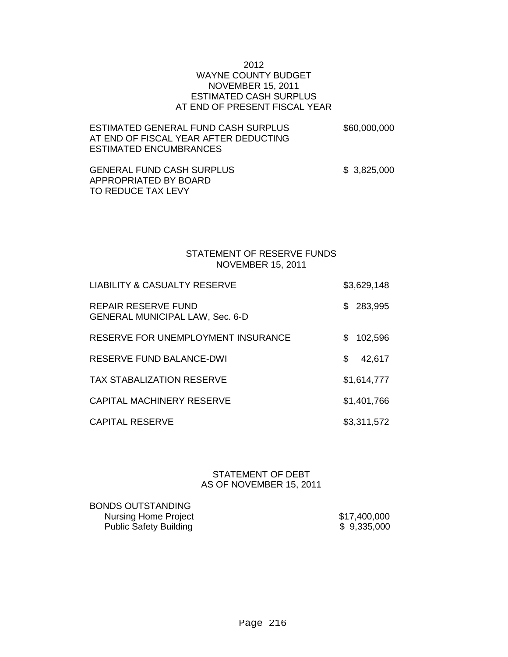### 2012 WAYNE COUNTY BUDGET NOVEMBER 15, 2011 ESTIMATED CASH SURPLUS AT END OF PRESENT FISCAL YEAR

| ESTIMATED GENERAL FUND CASH SURPLUS.   | \$60,000,000 |
|----------------------------------------|--------------|
| AT END OF FISCAL YEAR AFTER DEDUCTING. |              |
| ESTIMATED ENCUMBRANCES                 |              |

GENERAL FUND CASH SURPLUS  $$3,825,000$ APPROPRIATED BY BOARD TO REDUCE TAX LEVY

### STATEMENT OF RESERVE FUNDS NOVEMBER 15, 2011

| <b>LIABILITY &amp; CASUALTY RESERVE</b>                              |     | \$3,629,148 |
|----------------------------------------------------------------------|-----|-------------|
| <b>REPAIR RESERVE FUND</b><br><b>GENERAL MUNICIPAL LAW, Sec. 6-D</b> |     | \$ 283,995  |
| <b>RESERVE FOR UNEMPLOYMENT INSURANCE</b>                            | SS. | 102,596     |
| <b>RESERVE FUND BALANCE-DWI</b>                                      | \$  | 42,617      |
| <b>TAX STABALIZATION RESERVE</b>                                     |     | \$1,614,777 |
| <b>CAPITAL MACHINERY RESERVE</b>                                     |     | \$1,401,766 |
| <b>CAPITAL RESERVE</b>                                               |     | \$3,311,572 |

STATEMENT OF DEBT AS OF NOVEMBER 15, 2011

BONDS OUTSTANDING Nursing Home Project \$17,400,000 Public Safety Building \$ 9,335,000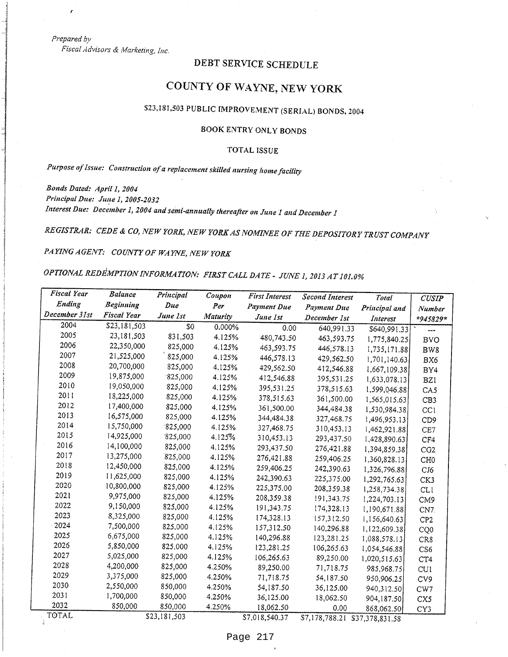Prepared by

Fiscal Advisors & Marketing, Inc.

# DEBT SERVICE SCHEDULE

# COUNTY OF WAYNE, NEW YORK

# \$23,181,503 PUBLIC IMPROVEMENT (SERIAL) BONDS, 2004

# BOOK ENTRY ONLY BONDS

### **TOTAL ISSUE**

Purpose of Issue: Construction of a replacement skilled nursing home facility

Bonds Dated: April 1, 2004 Principal Due: June 1, 2005-2032 Interest Due: December 1, 2004 and semi-annually thereafter on June 1 and December 1

REGISTRAR: CEDE & CO, NEW YORK, NEW YORK AS NOMINEE OF THE DEPOSITORY TRUST COMPANY

PAYING AGENT: COUNTY OF WAYNE, NEW YORK

OPTIONAL REDEMPTION INFORMATION: FIRST CALL DATE - JUNE 1, 2013 AT 101.0%

| Fiscal Year   | <b>Balance</b>   | Principal    | Coupon          | <b>First Interest</b> | <b>Second Interest</b>         | Total         | <b>CUSIP</b>    |
|---------------|------------------|--------------|-----------------|-----------------------|--------------------------------|---------------|-----------------|
| Ending        | <b>Beginning</b> | Due          | Per             | <b>Payment Due</b>    | Payment Due                    | Principal and | Number          |
| December 31st | Fiscal Year      | June 1st     | <b>Maturity</b> | June 1st              | December 1st                   | Interest      | $*945829*$      |
| 2004          | \$23,181,503     | \$0          | 0.000%          | 0.00                  | 640,991.33                     | \$640,991.33  | ---             |
| 2005          | 23,181,503       | 831,503      | 4.125%          | 480,743.50            | 463,593.75                     | 1,775,840.25  | <b>BVO</b>      |
| 2006          | 22,350,000       | 825,000      | 4.125%          | 463,593.75            | 446,578.13                     | 1,735,171.88  | BW <sub>8</sub> |
| 2007          | 21,525,000       | 825,000      | 4.125%          | 446,578.13            | 429,562.50                     | 1,701,140.63  | BX6             |
| 2008          | 20,700,000       | 825,000      | 4.125%          | 429,562.50            | 412,546.88                     | 1,667,109.38  | BY4             |
| 2009          | 19,875,000       | 825,000      | 4.125%          | 412,546.88            | 395,531.25                     | 1,633,078.13  | BZ1             |
| 2010          | 19,050,000       | 825,000      | 4.125%          | 395,531.25            | 378,515.63                     | 1,599,046.88  | CA <sub>5</sub> |
| 2011          | 18,225,000       | 825,000      | 4.125%          | 378,515.63            | 361,500.00                     | 1,565,015.63  | CB <sub>3</sub> |
| 2012          | 17,400,000       | 825,000      | 4.125%          | 361,500.00            | 344,484.38                     | 1,530,984.38  | CC1             |
| 2013          | 16,575,000       | 825,000      | 4.125%          | 344,484.38            | 327,468.75                     | 1,496,953.13  | CD <sub>9</sub> |
| 2014          | 15,750,000       | 825,000      | 4.125%          | 327,468.75            | 310,453.13                     | 1,462,921.88  | CE7             |
| 2015          | 14,925,000       | 825,000      | 4.125%          | 310,453.13            | 293,437.50                     | 1,428,890.63  | CF4             |
| 2016          | 14,100,000       | 825,000      | 4.125%          | 293,437.50            | 276,421.88                     | 1,394,859.38  | CG2             |
| 2017          | 13,275,000       | 825,000      | 4.125%          | 276,421.88            | 259,406.25                     | 1,360,828.13  | CH <sub>0</sub> |
| 2018          | 12,450,000       | 825,000      | 4.125%          | 259,406.25            | 242,390.63                     | 1,326,796.88  | CJ6             |
| 2019          | 11,625,000       | 825,000      | 4.125%          | 242,390.63            | 225,375.00                     | 1,292,765.63  | CK3             |
| 2020          | 10,800,000       | 825,000      | 4.125%          | 225,375.00            | 208,359.38                     | 1,258,734.38  | <b>CL1</b>      |
| 2021          | 9,975,000        | 825,000      | 4.125%          | 208,359.38            | 191,343.75                     | 1,224,703.13  | CM <sub>9</sub> |
| 2022          | 9,150,000        | 825,000      | 4.125%          | 191,343.75            | 174,328.13                     | 1,190,671.88  | CN7.            |
| 2023          | 8,325,000        | 825,000      | 4.125%          | 174,328.13            | 157,312.50                     | 1,156,640.63  | CP <sub>2</sub> |
| 2024          | 7,500,000        | 825,000      | 4.125%          | 157,312.50            | 140,296.88                     | 1,122,609.38  | CQ0             |
| 2025          | 6,675,000        | 825,000      | 4.125%          | 140,296.88            | 123,281.25                     | 1,088,578.13  | CR8             |
| 2026          | 5,850,000        | 825,000      | 4.125%          | 123,281.25            | 106,265.63                     | 1,054,546.88  | CS6             |
| 2027          | 5,025,000        | 825,000      | 4.125%          | 106,265.63            | 89,250.00                      | 1,020,515.63  | CT4             |
| 2028          | 4,200,000        | 825,000      | 4.250%          | 89,250.00             | 71,718.75                      | 985,968.75    | CU1             |
| 2029          | 3,375,000        | 825,000      | 4.250%          | 71,718.75             | 54,187.50                      | 950,906.25    | CV9             |
| 2030          | 2,550,000        | 850,000      | 4.250%          | 54,187.50             | 36,125.00                      | 940,312.50    | CW7             |
| 2031          | 1,700,000        | 850,000      | 4.250%          | 36,125.00             | 18,062.50                      | 904,187.50    | CX5             |
| 2032          | 850,000          | 850,000      | 4.250%          | 18,062.50             | 0.00                           | 868,062.50    | CY3             |
| TOTAL         |                  | \$23,181,503 |                 | \$7,018,540.37        | \$7,178,788.21 \$37,378,831.58 |               |                 |

Page 217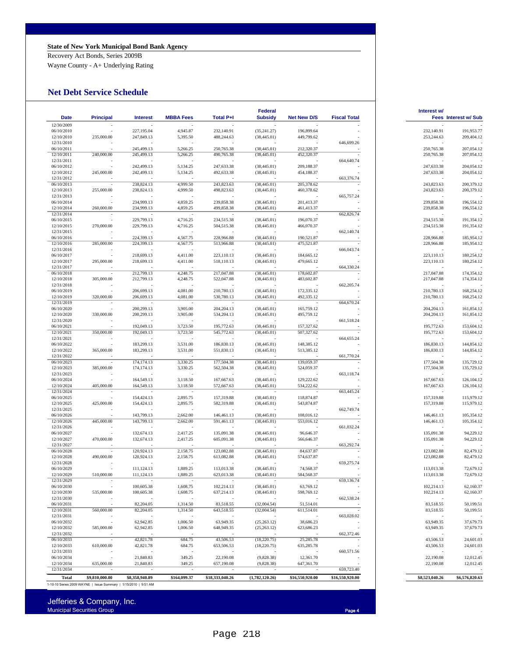#### **State of New York Municipal Bond Bank Agency**

Recovery Act Bonds, Series 2009B

Wayne County - A+ Underlying Rating

#### **Net Debt Service Schedule**

| <b>Date</b>              | <b>Principal</b>                                                | <b>Interest</b>          | <b>MBBA Fees</b>         | <b>Total P+I</b>         | Federal<br><b>Subsidy</b>    | <b>Net New D/S</b>       | <b>Fiscal Total</b> | Interest w/              | <b>Fees Interest w/ Sub</b> |
|--------------------------|-----------------------------------------------------------------|--------------------------|--------------------------|--------------------------|------------------------------|--------------------------|---------------------|--------------------------|-----------------------------|
| 12/30/2009               |                                                                 |                          |                          |                          |                              |                          |                     |                          |                             |
| 06/10/2010               |                                                                 | 227,195.04               | 4,945.87                 | 232.140.91               | (35, 241.27)                 | 196,899.64               |                     | 232,140.91               | 191,953.77                  |
| 12/10/2010               | 235,000.00                                                      | 247,849.13               | 5,395.50                 | 488,244.63               | (38, 445.01)                 | 449,799.62               |                     | 253,244.63               | 209,404.12                  |
| 12/31/2010               |                                                                 |                          |                          |                          |                              |                          | 646,699.26          |                          |                             |
| 06/10/2011               |                                                                 | 245,499.13               | 5,266.25                 | 250,765.38               | (38, 445.01)                 | 212,320.37               |                     | 250,765.38               | 207,054.12                  |
| 12/10/2011<br>12/31/2011 | 240,000.00                                                      | 245,499.13               | 5,266.25                 | 490,765.38               | (38, 445.01)                 | 452,320.37               | 664,640.74          | 250,765.38               | 207,054.12                  |
| 06/10/2012               |                                                                 | 242,499.13               | 5,134.25                 | 247,633.38               | (38, 445.01)                 | 209,188.37               |                     | 247,633.38               | 204,054.12                  |
| 12/10/2012               | 245,000.00                                                      | 242,499.13               | 5,134.25                 | 492,633.38               | (38, 445.01)                 | 454,188.37               |                     | 247,633.38               | 204,054.12                  |
| 12/31/2012               |                                                                 |                          |                          |                          |                              |                          | 663,376.74          |                          |                             |
| 06/10/2013               |                                                                 | 238,824.13               | 4,999.50                 | 243,823.63               | (38, 445.01)                 | 205,378.62               |                     | 243,823.63               | 200,379.12                  |
| 12/10/2013               | 255,000.00                                                      | 238,824.13               | 4,999.50                 | 498,823.63               | (38, 445.01)                 | 460,378.62               |                     | 243,823.63               | 200,379.12                  |
| 12/31/2013<br>06/10/2014 |                                                                 | 234,999.13               | 4,859.25                 | 239,858.38               | (38, 445.01)                 | 201,413.37               | 665,757.24          | 239,858.38               | 196,554.12                  |
| 12/10/2014               | 260,000.00                                                      | 234,999.13               | 4,859.25                 | 499,858.38               | (38, 445.01)                 | 461,413.37               |                     | 239,858.38               | 196,554.12                  |
| 12/31/2014               |                                                                 |                          |                          |                          |                              |                          | 662,826.74          |                          |                             |
| 06/10/2015               |                                                                 | 229,799.13               | 4,716.25                 | 234,515.38               | (38, 445.01)                 | 196,070.37               |                     | 234,515.38               | 191,354.12                  |
| 12/10/2015               | 270,000.00                                                      | 229,799.13               | 4,716.25                 | 504,515.38               | (38, 445.01)                 | 466,070.37               |                     | 234,515.38               | 191,354.12                  |
| 12/31/2015               |                                                                 |                          |                          |                          |                              |                          | 662,140.74          |                          |                             |
| 06/10/2016<br>12/10/2016 | 285,000.00                                                      | 224,399.13<br>224,399.13 | 4,567.75<br>4,567.75     | 228,966.88<br>513,966.88 | (38, 445.01)<br>(38, 445.01) | 190,521.87<br>475,521.87 |                     | 228,966.88<br>228,966.88 | 185,954.12<br>185,954.12    |
| 12/31/2016               |                                                                 |                          |                          |                          |                              |                          | 666,043.74          |                          |                             |
| 06/10/2017               |                                                                 | 218,699.13               | 4,411.00                 | 223,110.13               | (38, 445.01)                 | 184,665.12               |                     | 223,110.13               | 180,254.12                  |
| 12/10/2017               | 295,000.00                                                      | 218,699.13               | 4,411.00                 | 518,110.13               | (38, 445.01)                 | 479,665.12               |                     | 223,110.13               | 180,254.12                  |
| 12/31/2017               |                                                                 |                          |                          |                          |                              |                          | 664,330.24          |                          |                             |
| 06/10/2018               |                                                                 | 212,799.13               | 4,248.75                 | 217,047.88               | (38, 445.01)                 | 178,602.87               |                     | 217,047.88               | 174,354.12                  |
| 12/10/2018               | 305,000.00                                                      | 212,799.13               | 4,248.75                 | 522,047.88               | (38, 445.01)                 | 483,602.87               |                     | 217,047.88               | 174,354.12                  |
| 12/31/2018               |                                                                 |                          |                          |                          |                              |                          | 662,205.74          |                          |                             |
| 06/10/2019<br>12/10/2019 | 320,000.00                                                      | 206,699.13<br>206,699.13 | 4,081.00<br>4,081.00     | 210,780.13<br>530,780.13 | (38, 445.01)<br>(38, 445.01) | 172,335.12<br>492,335.12 |                     | 210,780.13<br>210,780.13 | 168,254.12<br>168,254.12    |
| 12/31/2019               |                                                                 |                          |                          |                          |                              |                          | 664,670.24          |                          |                             |
| 06/10/2020               |                                                                 | 200,299.13               | 3,905.00                 | 204, 204. 13             | (38, 445.01)                 | 165,759.12               |                     | 204, 204. 13             | 161,854.12                  |
| 12/10/2020               | 330,000.00                                                      | 200,299.13               | 3,905.00                 | 534,204.13               | (38, 445.01)                 | 495,759.12               |                     | 204, 204. 13             | 161,854.12                  |
| 12/31/2020               |                                                                 |                          |                          |                          |                              |                          | 661,518.24          |                          |                             |
| 06/10/2021               |                                                                 | 192,049.13               | 3,723.50                 | 195,772.63               | (38, 445.01)                 | 157,327.62               |                     | 195,772.63               | 153,604.12                  |
| 12/10/2021               | 350,000.00                                                      | 192,049.13               | 3,723.50                 | 545,772.63               | (38, 445.01)                 | 507,327.62               |                     | 195,772.63               | 153,604.12                  |
| 12/31/2021<br>06/10/2022 |                                                                 | 183,299.13               | 3,531.00                 | 186,830.13               | (38, 445.01)                 | 148,385.12               | 664, 655.24         | 186,830.13               | 144,854.12                  |
| 12/10/2022               | 365,000.00                                                      | 183,299.13               | 3,531.00                 | 551,830.13               | (38, 445.01)                 | 513,385.12               |                     | 186,830.13               | 144,854.12                  |
| 12/31/2022               |                                                                 |                          |                          |                          |                              |                          | 661,770.24          |                          |                             |
| 06/10/2023               |                                                                 | 174,174.13               | 3,330.25                 | 177,504.38               | (38, 445.01)                 | 139,059.37               |                     | 177,504.38               | 135,729.12                  |
| 12/10/2023               | 385,000.00                                                      | 174, 174. 13             | 3,330.25                 | 562,504.38               | (38, 445.01)                 | 524,059.37               |                     | 177,504.38               | 135,729.12                  |
| 12/31/2023               |                                                                 |                          |                          |                          |                              |                          | 663,118.74          |                          |                             |
| 06/10/2024               |                                                                 | 164,549.13               | 3,118.50                 | 167,667.63               | (38, 445.01)                 | 129,222.62               |                     | 167,667.63               | 126,104.12                  |
| 12/10/2024<br>12/31/2024 | 405,000.00                                                      | 164,549.13               | 3,118.50                 | 572,667.63               | (38, 445.01)                 | 534,222.62               | 663,445.24          | 167,667.63               | 126,104.12                  |
| 06/10/2025               |                                                                 | 154,424.13               | 2,895.75                 | 157,319.88               | (38, 445.01)                 | 118,874.87               |                     | 157,319.88               | 115,979.12                  |
| 12/10/2025               | 425,000.00                                                      | 154,424.13               | 2,895.75                 | 582,319.88               | (38, 445.01)                 | 543,874.87               |                     | 157,319.88               | 115,979.12                  |
| 12/31/2025               |                                                                 |                          |                          |                          |                              |                          | 662,749.74          |                          |                             |
| 06/10/2026               |                                                                 | 143,799.13               | 2,662.00                 | 146,461.13               | (38, 445.01)                 | 108,016.12               |                     | 146,461.13               | 105,354.12                  |
| 12/10/2026               | 445,000.00                                                      | 143,799.13               | 2,662.00                 | 591,461.13               | (38, 445.01)                 | 553,016.12               |                     | 146,461.13               | 105,354.12                  |
| 12/31/2026<br>06/10/2027 |                                                                 | 132,674.13               | 2,417.25                 | 135,091.38               | (38, 445.01)                 | 96,646.37                | 661,032.24          | 135,091.38               | 94,229.12                   |
| 12/10/2027               | 470,000.00                                                      | 132,674.13               | 2,417.25                 | 605,091.38               | (38, 445.01)                 | 566,646.37               |                     | 135,091.38               | 94,229.12                   |
| 12/31/2027               |                                                                 |                          |                          |                          |                              |                          | 663,292.74          |                          |                             |
| 06/10/2028               |                                                                 | 120,924.13               | 2,158.75                 | 123,082.88               | (38, 445.01)                 | 84,637.87                |                     | 123,082.88               | 82,479.12                   |
| 12/10/2028               | 490,000.00                                                      | 120,924.13               | 2,158.75                 | 613,082.88               | (38, 445.01)                 | 574,637.87               |                     | 123,082.88               | 82,479.12                   |
| 12/31/2028               |                                                                 |                          |                          |                          |                              |                          | 659,275.74          |                          |                             |
| 06/10/2029               |                                                                 | 111,124.13               | 1,889.25                 | 113,013.38               | (38, 445.01)                 | 74,568.37                |                     | 113,013.38               | 72,679.12                   |
| 12/10/2029               | 510,000.00                                                      | 111,124.13               | 1,889.25                 | 623,013.38               | (38, 445.01)                 | 584,568.37               |                     | 113,013.38               | 72,679.12                   |
| 12/31/2029<br>06/10/2030 |                                                                 | 100,605.38               | 1,608.75                 | 102,214.13               | (38, 445.01)                 | 63,769.12                | 659,136.74          | 102,214.13               | 62,160.37                   |
| 12/10/2030               | 535,000.00                                                      | 100,605.38               | 1,608.75                 | 637,214.13               | (38, 445.01)                 | 598,769.12               |                     | 102,214.13               | 62,160.37                   |
| 12/31/2030               |                                                                 |                          |                          |                          |                              |                          | 662,538.24          |                          |                             |
| 06/10/2031               |                                                                 | 82,204.05                | 1,314.50                 | 83,518.55                | (32,004,54)                  | 51,514.01                |                     | 83,518.55                | 50,199.51                   |
| 12/10/2031               | 560,000.00                                                      | 82,204.05                | 1,314.50                 | 643,518.55               | (32,004.54)                  | 611,514.01               |                     | 83,518.55                | 50,199.51                   |
| 12/31/2031               |                                                                 |                          |                          |                          |                              |                          | 663,028.02          |                          |                             |
| 06/10/2032               | $\sim$<br>585,000.00                                            | 62,942.85                | 1,006.50                 | 63,949.35                | (25, 263.12)                 | 38,686.23                |                     | 63,949.35<br>63,949.35   | 37,679.73                   |
| 12/10/2032<br>12/31/2032 |                                                                 | 62,942.85                | 1,006.50                 | 648,949.35               | (25, 263.12)                 | 623,686.23               | 662,372.46          |                          | 37,679.73                   |
| 06/10/2033               | $\sim$                                                          | 42,821.78                | 684.75                   | 43,506.53                | (18,220.75)                  | 25,285.78                |                     | 43,506.53                | 24,601.03                   |
| 12/10/2033               | 610,000.00                                                      | 42,821.78                | 684.75                   | 653,506.53               | (18, 220.75)                 | 635,285.78               |                     | 43,506.53                | 24,601.03                   |
| 12/31/2033               |                                                                 | $\sim$                   | $\sim$                   |                          |                              | $\sim$                   | 660,571.56          |                          |                             |
| 06/10/2034               |                                                                 | 21,840.83                | 349.25                   | 22,190.08                | (9,828.38)                   | 12,361.70                |                     | 22,190.08                | 12,012.45                   |
| 12/10/2034               | 635,000.00                                                      | 21,840.83                | 349.25                   | 657,190.08               | (9,828.38)                   | 647,361.70               |                     | 22,190.08                | 12,012.45                   |
| 12/31/2034               |                                                                 |                          | $\overline{\phantom{a}}$ |                          |                              |                          | 659,723.40          |                          |                             |
| <b>Total</b>             | \$9,810,000.00                                                  | \$8,358,940.89           | \$164,099.37             | \$18,333,040.26          | (1,782,120.26)               | \$16,550,920.00          | \$16,550,920.00     | \$8,523,040.26           | \$6,576,820.63              |
|                          | 1-10-10 Series 2009 WAYNE   Issue Summary   1/15/2010   9:51 AM |                          |                          |                          |                              |                          |                     |                          |                             |

| $\mathcal{L}^{\text{max}}_{\text{max}}$ and $\mathcal{L}^{\text{max}}_{\text{max}}$ and $\mathcal{L}^{\text{max}}_{\text{max}}$ and $\mathcal{L}^{\text{max}}_{\text{max}}$ |  |  |
|-----------------------------------------------------------------------------------------------------------------------------------------------------------------------------|--|--|
|                                                                                                                                                                             |  |  |
|                                                                                                                                                                             |  |  |
|                                                                                                                                                                             |  |  |
|                                                                                                                                                                             |  |  |

Jefferies & Company, Inc. Municipal Securities Group **Page 4** Automobile Control of the Control of the Control of the Control of the Page 4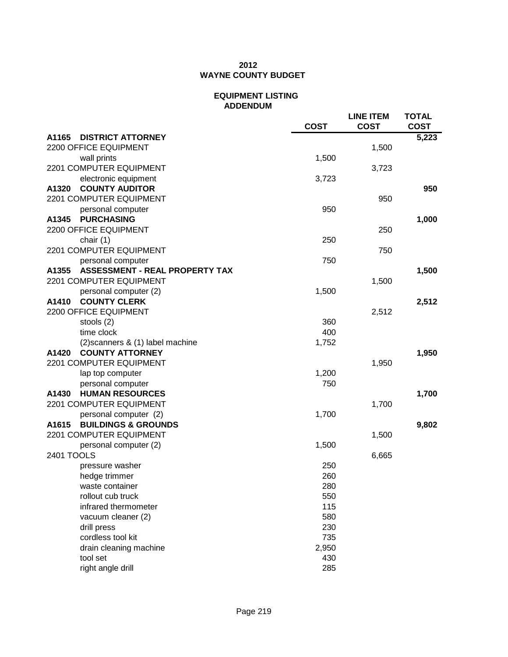## **2012 WAYNE COUNTY BUDGET**

### **EQUIPMENT LISTING ADDENDUM**

|                                                | <b>COST</b> | <b>LINE ITEM</b><br><b>COST</b> | <b>TOTAL</b><br><b>COST</b> |
|------------------------------------------------|-------------|---------------------------------|-----------------------------|
| A1165<br><b>DISTRICT ATTORNEY</b>              |             |                                 | 5,223                       |
| 2200 OFFICE EQUIPMENT                          |             | 1,500                           |                             |
| wall prints                                    | 1,500       |                                 |                             |
| 2201 COMPUTER EQUIPMENT                        |             | 3,723                           |                             |
| electronic equipment                           | 3,723       |                                 |                             |
| <b>COUNTY AUDITOR</b><br>A1320                 |             |                                 | 950                         |
| 2201 COMPUTER EQUIPMENT                        |             | 950                             |                             |
| personal computer                              | 950         |                                 |                             |
| <b>PURCHASING</b><br>A1345                     |             |                                 | 1,000                       |
| 2200 OFFICE EQUIPMENT                          |             | 250                             |                             |
| chair (1)                                      | 250         |                                 |                             |
| 2201 COMPUTER EQUIPMENT                        |             | 750                             |                             |
| personal computer                              | 750         |                                 |                             |
| <b>ASSESSMENT - REAL PROPERTY TAX</b><br>A1355 |             |                                 | 1,500                       |
| 2201 COMPUTER EQUIPMENT                        |             | 1,500                           |                             |
| personal computer (2)                          | 1,500       |                                 |                             |
| <b>COUNTY CLERK</b><br>A1410                   |             |                                 | 2,512                       |
| 2200 OFFICE EQUIPMENT                          |             | 2,512                           |                             |
| stools (2)                                     | 360         |                                 |                             |
| time clock                                     | 400         |                                 |                             |
| (2) scanners & (1) label machine               | 1,752       |                                 |                             |
| <b>COUNTY ATTORNEY</b><br>A1420                |             |                                 | 1,950                       |
| 2201 COMPUTER EQUIPMENT                        |             | 1,950                           |                             |
| lap top computer                               | 1,200       |                                 |                             |
| personal computer                              | 750         |                                 |                             |
| <b>HUMAN RESOURCES</b><br>A1430                |             |                                 | 1,700                       |
| 2201 COMPUTER EQUIPMENT                        |             | 1,700                           |                             |
| personal computer (2)                          | 1,700       |                                 |                             |
| <b>BUILDINGS &amp; GROUNDS</b><br>A1615        |             |                                 | 9,802                       |
| 2201 COMPUTER EQUIPMENT                        |             | 1,500                           |                             |
| personal computer (2)                          | 1,500       |                                 |                             |
| 2401 TOOLS                                     |             | 6,665                           |                             |
| pressure washer                                | 250         |                                 |                             |
| hedge trimmer                                  | 260         |                                 |                             |
| waste container                                | 280         |                                 |                             |
| rollout cub truck                              | 550         |                                 |                             |
| infrared thermometer                           | 115         |                                 |                             |
| vacuum cleaner (2)                             | 580         |                                 |                             |
| drill press                                    | 230         |                                 |                             |
| cordless tool kit                              | 735         |                                 |                             |
| drain cleaning machine                         | 2,950       |                                 |                             |
| tool set                                       | 430         |                                 |                             |
| right angle drill                              | 285         |                                 |                             |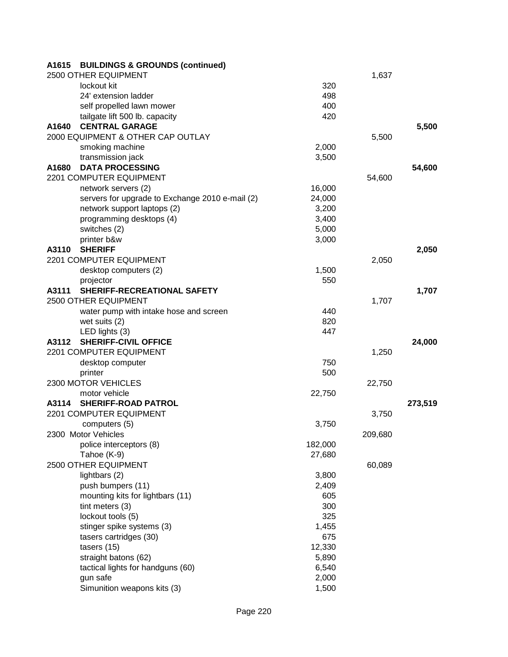| A1615 | <b>BUILDINGS &amp; GROUNDS (continued)</b>      |         |         |         |
|-------|-------------------------------------------------|---------|---------|---------|
|       | 2500 OTHER EQUIPMENT                            |         | 1,637   |         |
|       | lockout kit                                     | 320     |         |         |
|       | 24' extension ladder                            | 498     |         |         |
|       | self propelled lawn mower                       | 400     |         |         |
|       | tailgate lift 500 lb. capacity                  | 420     |         |         |
| A1640 | <b>CENTRAL GARAGE</b>                           |         |         | 5,500   |
|       | 2000 EQUIPMENT & OTHER CAP OUTLAY               |         | 5,500   |         |
|       | smoking machine                                 | 2,000   |         |         |
|       | transmission jack                               | 3,500   |         |         |
| A1680 | <b>DATA PROCESSING</b>                          |         |         | 54,600  |
|       | 2201 COMPUTER EQUIPMENT                         |         | 54,600  |         |
|       | network servers (2)                             | 16,000  |         |         |
|       | servers for upgrade to Exchange 2010 e-mail (2) | 24,000  |         |         |
|       | network support laptops (2)                     | 3,200   |         |         |
|       | programming desktops (4)                        | 3,400   |         |         |
|       | switches (2)                                    | 5,000   |         |         |
|       | printer b&w                                     | 3,000   |         |         |
| A3110 | <b>SHERIFF</b>                                  |         |         | 2,050   |
|       | 2201 COMPUTER EQUIPMENT                         |         | 2,050   |         |
|       | desktop computers (2)                           | 1,500   |         |         |
|       | projector                                       | 550     |         |         |
| A3111 | SHERIFF-RECREATIONAL SAFETY                     |         |         | 1,707   |
|       | 2500 OTHER EQUIPMENT                            |         | 1,707   |         |
|       | water pump with intake hose and screen          | 440     |         |         |
|       | wet suits (2)                                   | 820     |         |         |
|       | LED lights (3)                                  | 447     |         |         |
| A3112 | <b>SHERIFF-CIVIL OFFICE</b>                     |         |         | 24,000  |
|       | 2201 COMPUTER EQUIPMENT                         |         | 1,250   |         |
|       | desktop computer                                | 750     |         |         |
|       | printer                                         | 500     |         |         |
|       | 2300 MOTOR VEHICLES                             |         | 22,750  |         |
|       | motor vehicle                                   | 22,750  |         |         |
| A3114 | <b>SHERIFF-ROAD PATROL</b>                      |         |         | 273,519 |
|       | 2201 COMPUTER EQUIPMENT                         |         | 3,750   |         |
|       | computers (5)                                   | 3,750   |         |         |
|       | 2300 Motor Vehicles                             |         | 209,680 |         |
|       | police interceptors (8)                         | 182,000 |         |         |
|       | Tahoe (K-9)                                     | 27,680  |         |         |
|       | 2500 OTHER EQUIPMENT                            |         | 60,089  |         |
|       | lightbars (2)                                   | 3,800   |         |         |
|       | push bumpers (11)                               | 2,409   |         |         |
|       | mounting kits for lightbars (11)                | 605     |         |         |
|       | tint meters (3)                                 | 300     |         |         |
|       | lockout tools (5)                               | 325     |         |         |
|       | stinger spike systems (3)                       | 1,455   |         |         |
|       | tasers cartridges (30)                          | 675     |         |         |
|       | tasers (15)                                     | 12,330  |         |         |
|       | straight batons (62)                            | 5,890   |         |         |
|       | tactical lights for handguns (60)               | 6,540   |         |         |
|       | gun safe                                        | 2,000   |         |         |
|       | Simunition weapons kits (3)                     | 1,500   |         |         |
|       |                                                 |         |         |         |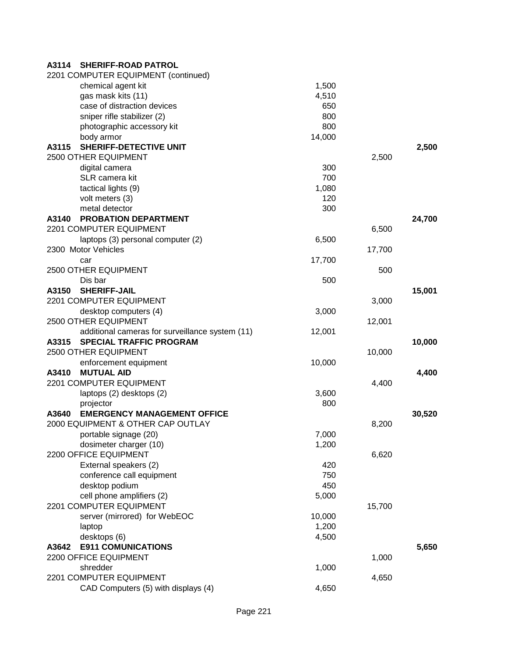| A3114 | <b>SHERIFF-ROAD PATROL</b>                      |        |        |        |
|-------|-------------------------------------------------|--------|--------|--------|
|       | 2201 COMPUTER EQUIPMENT (continued)             |        |        |        |
|       | chemical agent kit                              | 1,500  |        |        |
|       | gas mask kits (11)                              | 4,510  |        |        |
|       | case of distraction devices                     | 650    |        |        |
|       | sniper rifle stabilizer (2)                     | 800    |        |        |
|       | photographic accessory kit                      | 800    |        |        |
|       | body armor                                      | 14,000 |        |        |
| A3115 | <b>SHERIFF-DETECTIVE UNIT</b>                   |        |        | 2,500  |
|       | 2500 OTHER EQUIPMENT                            |        | 2,500  |        |
|       | digital camera                                  | 300    |        |        |
|       | SLR camera kit                                  | 700    |        |        |
|       | tactical lights (9)                             | 1,080  |        |        |
|       | volt meters (3)                                 | 120    |        |        |
|       | metal detector                                  | 300    |        |        |
| A3140 | <b>PROBATION DEPARTMENT</b>                     |        |        | 24,700 |
|       | 2201 COMPUTER EQUIPMENT                         |        | 6,500  |        |
|       | laptops (3) personal computer (2)               | 6,500  |        |        |
|       | 2300 Motor Vehicles                             |        | 17,700 |        |
|       | car                                             | 17,700 |        |        |
|       | 2500 OTHER EQUIPMENT                            |        | 500    |        |
|       | Dis bar                                         | 500    |        |        |
| A3150 | <b>SHERIFF-JAIL</b>                             |        |        | 15,001 |
|       | 2201 COMPUTER EQUIPMENT                         |        | 3,000  |        |
|       | desktop computers (4)                           | 3,000  |        |        |
|       | 2500 OTHER EQUIPMENT                            |        | 12,001 |        |
|       | additional cameras for surveillance system (11) | 12,001 |        |        |
| A3315 | <b>SPECIAL TRAFFIC PROGRAM</b>                  |        |        | 10,000 |
|       | 2500 OTHER EQUIPMENT                            |        | 10,000 |        |
|       | enforcement equipment                           | 10,000 |        |        |
| A3410 | <b>MUTUAL AID</b>                               |        |        | 4,400  |
|       | 2201 COMPUTER EQUIPMENT                         |        | 4,400  |        |
|       | laptops (2) desktops (2)                        | 3,600  |        |        |
|       | projector                                       | 800    |        |        |
| A3640 | <b>EMERGENCY MANAGEMENT OFFICE</b>              |        |        | 30,520 |
|       | 2000 EQUIPMENT & OTHER CAP OUTLAY               |        | 8,200  |        |
|       | portable signage (20)                           | 7,000  |        |        |
|       | dosimeter charger (10)                          | 1,200  |        |        |
|       | 2200 OFFICE EQUIPMENT                           |        | 6,620  |        |
|       | External speakers (2)                           | 420    |        |        |
|       | conference call equipment                       | 750    |        |        |
|       | desktop podium                                  | 450    |        |        |
|       | cell phone amplifiers (2)                       | 5,000  |        |        |
|       | 2201 COMPUTER EQUIPMENT                         |        | 15,700 |        |
|       | server (mirrored) for WebEOC                    | 10,000 |        |        |
|       | laptop                                          | 1,200  |        |        |
|       | desktops (6)                                    | 4,500  |        |        |
| A3642 | <b>E911 COMUNICATIONS</b>                       |        |        | 5,650  |
|       | 2200 OFFICE EQUIPMENT                           |        | 1,000  |        |
|       | shredder                                        | 1,000  |        |        |
|       | 2201 COMPUTER EQUIPMENT                         |        | 4,650  |        |
|       | CAD Computers (5) with displays (4)             | 4,650  |        |        |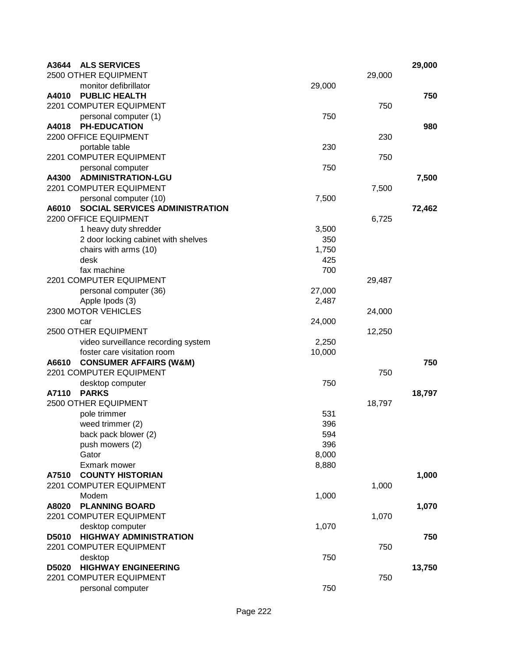| A3644<br><b>ALS SERVICES</b>     |                                     |        |        | 29,000 |
|----------------------------------|-------------------------------------|--------|--------|--------|
| 2500 OTHER EQUIPMENT             |                                     |        | 29,000 |        |
|                                  | monitor defibrillator               | 29,000 |        |        |
| A4010                            | <b>PUBLIC HEALTH</b>                |        |        | 750    |
| 2201 COMPUTER EQUIPMENT          |                                     |        | 750    |        |
|                                  | personal computer (1)               | 750    |        |        |
| <b>PH-EDUCATION</b><br>A4018     |                                     |        |        | 980    |
| 2200 OFFICE EQUIPMENT            |                                     |        | 230    |        |
| portable table                   |                                     | 230    |        |        |
| 2201 COMPUTER EQUIPMENT          |                                     |        | 750    |        |
|                                  | personal computer                   | 750    |        |        |
| A4300                            | <b>ADMINISTRATION-LGU</b>           |        |        | 7,500  |
| 2201 COMPUTER EQUIPMENT          |                                     |        | 7,500  |        |
|                                  | personal computer (10)              | 7,500  |        |        |
| A6010                            | SOCIAL SERVICES ADMINISTRATION      |        |        | 72,462 |
| 2200 OFFICE EQUIPMENT            |                                     |        | 6,725  |        |
|                                  | 1 heavy duty shredder               | 3,500  |        |        |
|                                  | 2 door locking cabinet with shelves | 350    |        |        |
|                                  | chairs with arms (10)               | 1,750  |        |        |
| desk                             |                                     | 425    |        |        |
| fax machine                      |                                     | 700    |        |        |
| 2201 COMPUTER EQUIPMENT          |                                     |        | 29,487 |        |
|                                  | personal computer (36)              | 27,000 |        |        |
| Apple Ipods (3)                  |                                     | 2,487  |        |        |
| 2300 MOTOR VEHICLES              |                                     |        | 24,000 |        |
| car                              |                                     | 24,000 |        |        |
| 2500 OTHER EQUIPMENT             |                                     |        | 12,250 |        |
|                                  | video surveillance recording system | 2,250  |        |        |
|                                  | foster care visitation room         | 10,000 |        |        |
| A6610                            | <b>CONSUMER AFFAIRS (W&amp;M)</b>   |        |        | 750    |
| 2201 COMPUTER EQUIPMENT          |                                     |        | 750    |        |
|                                  | desktop computer                    | 750    |        |        |
| A7110<br><b>PARKS</b>            |                                     |        |        | 18,797 |
| 2500 OTHER EQUIPMENT             |                                     |        | 18,797 |        |
| pole trimmer                     |                                     | 531    |        |        |
| weed trimmer (2)                 |                                     | 396    |        |        |
|                                  | back pack blower (2)                | 594    |        |        |
| push mowers (2)                  |                                     | 396    |        |        |
| Gator                            |                                     | 8,000  |        |        |
| Exmark mower                     |                                     | 8,880  |        |        |
| A7510<br>2201 COMPUTER EQUIPMENT | <b>COUNTY HISTORIAN</b>             |        |        | 1,000  |
|                                  |                                     |        | 1,000  |        |
| Modem<br>A8020                   | <b>PLANNING BOARD</b>               | 1,000  |        |        |
|                                  |                                     |        |        | 1,070  |
| 2201 COMPUTER EQUIPMENT          |                                     |        | 1,070  |        |
|                                  | desktop computer                    | 1,070  |        |        |
| D5010                            | <b>HIGHWAY ADMINISTRATION</b>       |        |        | 750    |
| 2201 COMPUTER EQUIPMENT          |                                     |        | 750    |        |
| desktop                          |                                     | 750    |        |        |
| D5020                            | <b>HIGHWAY ENGINEERING</b>          |        |        | 13,750 |
| 2201 COMPUTER EQUIPMENT          |                                     |        | 750    |        |
|                                  | personal computer                   | 750    |        |        |